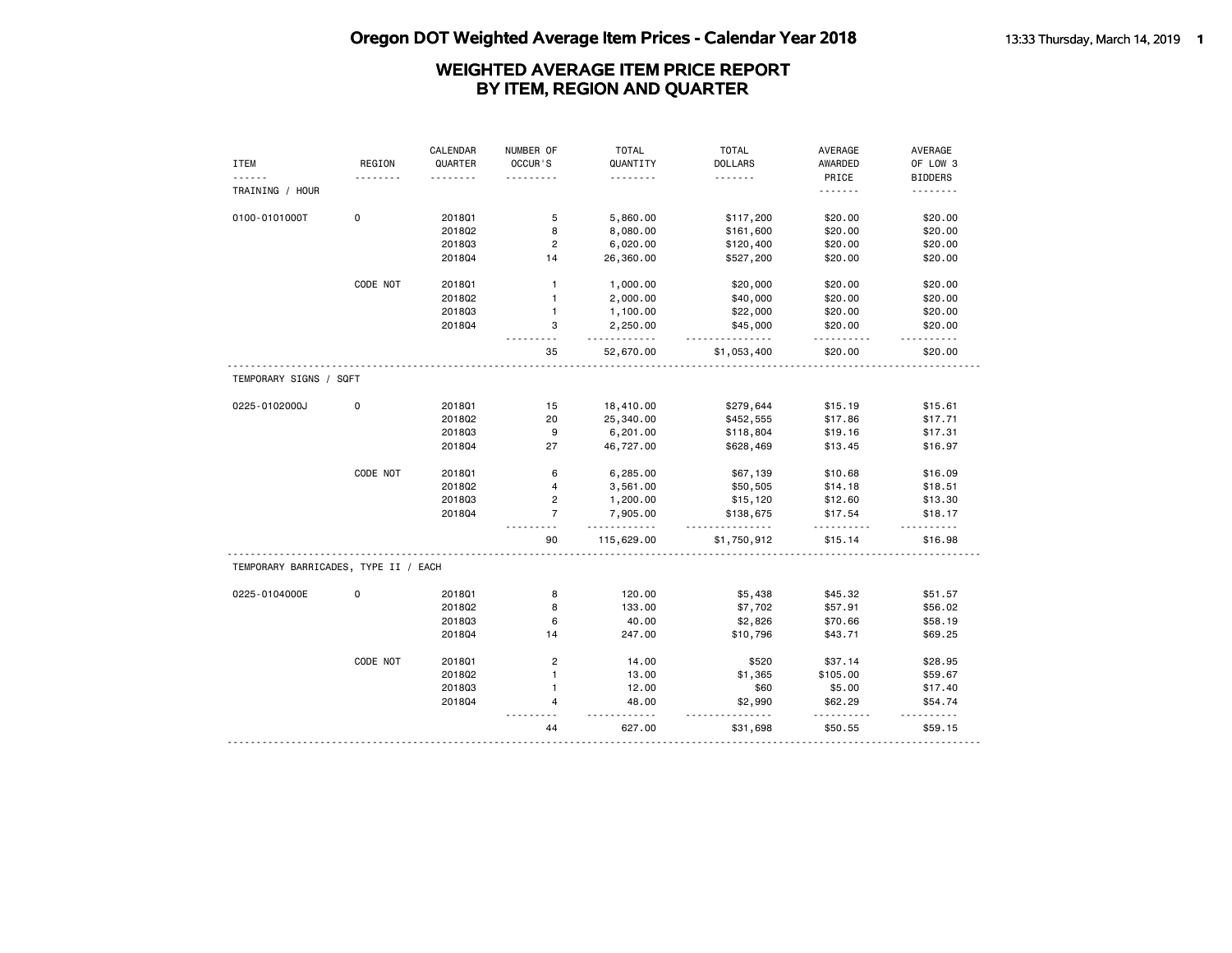# **Oregon DOT Weighted Average Item Prices - Calendar Year 2018** 13:33 Thursday, March 14, 2019 1

|                                      |             | CALENDAR | NUMBER OF      | <b>TOTAL</b>         | <b>TOTAL</b>     | AVERAGE             | AVERAGE        |
|--------------------------------------|-------------|----------|----------------|----------------------|------------------|---------------------|----------------|
| <b>ITEM</b>                          | REGION      | QUARTER  | OCCUR'S        | QUANTITY             | <b>DOLLARS</b>   | AWARDED             | OF LOW 3       |
| .                                    |             | .        | .              | .                    | .                | PRICE               | <b>BIDDERS</b> |
| TRAINING / HOUR                      |             |          |                |                      |                  | .                   | .              |
| 0100-0101000T                        | $\mathbf 0$ | 201801   | 5              | 5,860.00             | \$117,200        | \$20.00             | \$20.00        |
|                                      |             | 201802   | 8              | 8,080.00             | \$161,600        | \$20.00             | \$20.00        |
|                                      |             | 201803   | $\overline{c}$ | 6,020.00             | \$120,400        | \$20.00             | \$20.00        |
|                                      |             | 201804   | 14             | 26,360.00            | \$527,200        | \$20.00             | \$20.00        |
|                                      | CODE NOT    | 201801   | $\mathbf{1}$   | 1,000.00             | \$20,000         | \$20.00             | \$20.00        |
|                                      |             | 201802   | $\mathbf{1}$   | 2,000.00             | \$40,000         | \$20.00             | \$20.00        |
|                                      |             | 201803   | $\mathbf{1}$   | 1,100.00             | \$22,000         | \$20.00             | \$20.00        |
|                                      |             |          | 3              |                      | \$45,000         |                     |                |
|                                      |             | 201804   |                | 2,250.00<br><u>.</u> | <u>.</u>         | \$20.00<br>.        | \$20.00<br>.   |
|                                      |             |          | 35             | 52,670.00            | \$1,053,400      | \$20.00             | \$20.00        |
| TEMPORARY SIGNS / SQFT               |             |          |                |                      |                  |                     |                |
| 0225-0102000J                        | 0           | 201801   | 15             | 18,410.00            | \$279,644        | \$15.19             | \$15.61        |
|                                      |             | 201802   | 20             | 25,340.00            | \$452,555        | \$17.86             | \$17.71        |
|                                      |             | 201803   | 9              | 6,201.00             | \$118,804        | \$19.16             | \$17.31        |
|                                      |             | 201804   | 27             | 46,727.00            | \$628,469        | \$13.45             | \$16.97        |
|                                      | CODE NOT    | 201801   | 6              | 6,285.00             | \$67,139         | \$10.68             | \$16.09        |
|                                      |             | 201802   | $\overline{4}$ | 3,561.00             | \$50,505         | \$14.18             | \$18.51        |
|                                      |             | 201803   | 2              | 1,200.00             | \$15,120         | \$12.60             | \$13.30        |
|                                      |             | 201804   | $\overline{7}$ | 7,905.00             | \$138,675        | \$17.54             | \$18.17        |
|                                      |             |          | 90             | .<br>115,629.00      | .<br>\$1,750,912 | .<br>\$15.14        | .<br>\$16.98   |
| TEMPORARY BARRICADES, TYPE II / EACH |             |          |                |                      |                  |                     |                |
| 0225-0104000E                        | 0           | 201801   | 8              | 120.00               | \$5,438          | \$45.32             | \$51.57        |
|                                      |             | 201802   | 8              | 133.00               | \$7,702          | \$57.91             | \$56.02        |
|                                      |             | 201803   | 6              | 40.00                | \$2,826          | \$70.66             | \$58.19        |
|                                      |             | 201804   | 14             | 247.00               | \$10,796         | \$43.71             | \$69.25        |
|                                      | CODE NOT    | 201801   | $\overline{2}$ | 14.00                | \$520            | \$37.14             | \$28.95        |
|                                      |             | 201802   | $\mathbf{1}$   | 13.00                | \$1,365          | \$105.00            | \$59.67        |
|                                      |             | 201803   | $\mathbf{1}$   | 12.00                | \$60             | \$5.00              | \$17.40        |
|                                      |             | 201804   | 4              | 48.00                | \$2,990          | \$62.29             | \$54.74        |
|                                      |             |          | $ -$<br>44     | .<br>627.00          | \$31,698         | <u>.</u><br>\$50.55 | .<br>\$59.15   |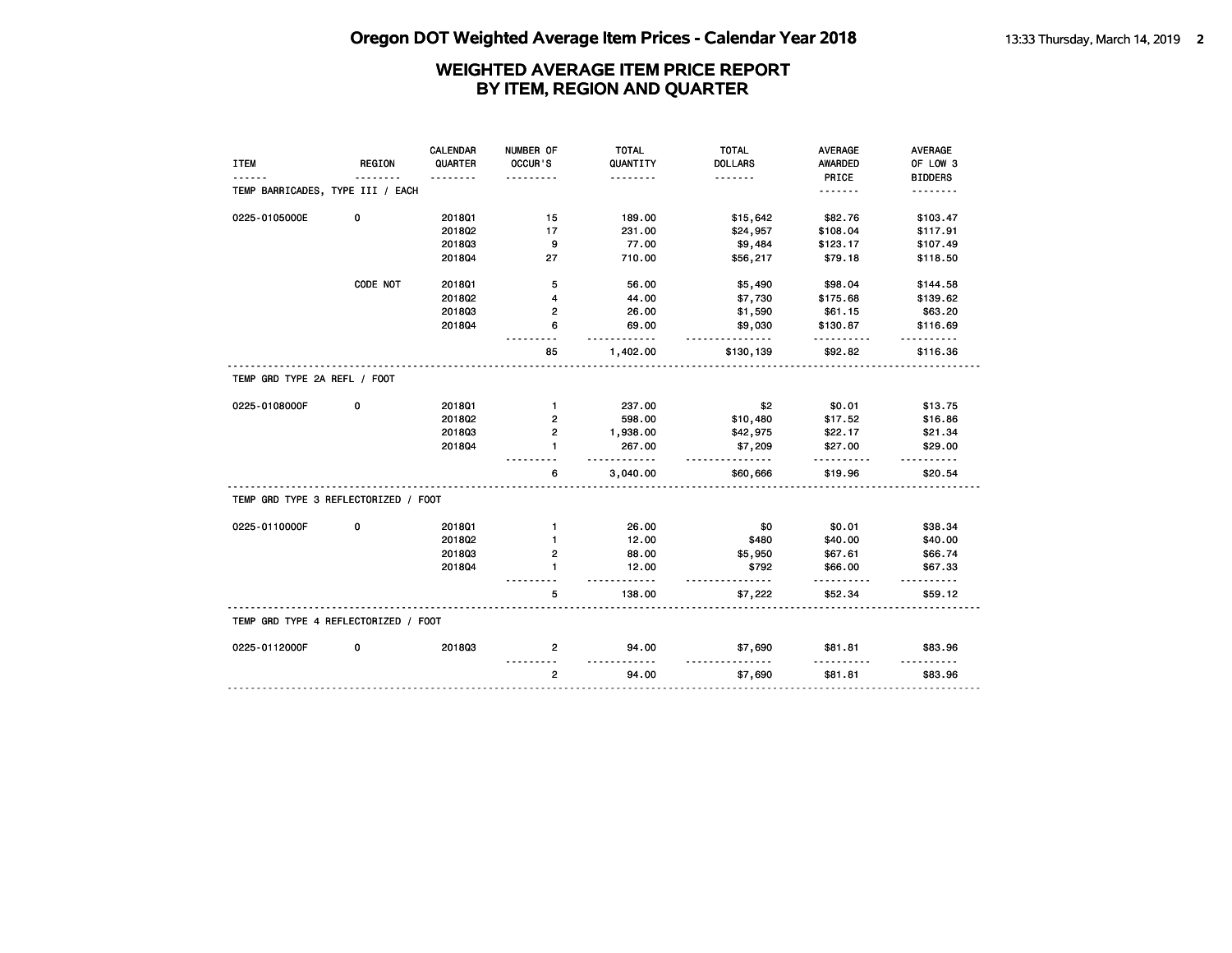|                                      |               | <b>CALENDAR</b> | NUMBER OF      | <b>TOTAL</b>          | <b>TOTAL</b>          | <b>AVERAGE</b> | <b>AVERAGE</b> |
|--------------------------------------|---------------|-----------------|----------------|-----------------------|-----------------------|----------------|----------------|
| <b>ITEM</b>                          | <b>REGION</b> | QUARTER         | OCCUR'S        | QUANTITY              | <b>DOLLARS</b>        | <b>AWARDED</b> | OF LOW 3       |
|                                      |               | . <b>.</b>      | $- - - -$      | .                     | .                     | PRICE          | <b>BIDDERS</b> |
| TEMP BARRICADES, TYPE III / EACH     |               |                 |                |                       |                       | .              | .              |
| 0225-0105000E                        | 0             | 2018Q1          | 15             | 189.00                | \$15,642              | \$82.76        | \$103.47       |
|                                      |               | 2018Q2          | 17             | 231.00                | \$24,957              | \$108.04       | \$117.91       |
|                                      |               | 201803          | 9              | 77.00                 | \$9,484               | \$123.17       | \$107.49       |
|                                      |               | 201804          | 27             | 710.00                | \$56,217              | \$79.18        | \$118.50       |
|                                      | CODE NOT      | 201801          | 5              | 56.00                 | \$5,490               | \$98.04        | \$144.58       |
|                                      |               | 2018Q2          | 4              | 44.00                 | \$7,730               | \$175.68       | \$139.62       |
|                                      |               | 201803          | 2              | 26.00                 | \$1,590               | \$61.15        | \$63.20        |
|                                      |               | 201804          | 6              | 69.00                 | \$9,030               | \$130.87       | \$116.69       |
|                                      |               |                 | 85             | - - - - -<br>1,402.00 | <u>.</u><br>\$130,139 | \$92.82        | \$116.36       |
| TEMP GRD TYPE 2A REFL / FOOT         |               |                 |                |                       |                       |                |                |
| 0225-0108000F                        | 0             | 2018Q1          | $\mathbf{1}$   | 237.00                | \$2                   | \$0.01         | \$13.75        |
|                                      |               | 2018Q2          | $\overline{2}$ | 598.00                | \$10,480              | \$17.52        | \$16.86        |
|                                      |               | 201803          | $\overline{2}$ | 1,938.00              | \$42,975              | \$22.17        | \$21.34        |
|                                      |               | 201804          | 1              | 267.00                | \$7,209               | \$27.00        | \$29.00        |
|                                      |               |                 | 6              | <u>.</u><br>3,040.00  | .<br>\$60,666         | \$19.96        | \$20.54        |
| TEMP GRD TYPE 3 REFLECTORIZED / FOOT |               |                 |                |                       |                       |                |                |
| 0225-0110000F                        | 0             | 201801          | $\mathbf{1}$   | 26.00                 | \$0                   | \$0.01         | \$38.34        |
|                                      |               | 201802          | 1              | 12.00                 | \$480                 | \$40.00        | \$40.00        |
|                                      |               | 201803          | 2              | 88.00                 | \$5,950               | \$67.61        | \$66.74        |
|                                      |               | 201804          | 1              | 12.00                 | \$792                 | \$66.00        | \$67.33        |
|                                      |               |                 | 5              | .<br>138.00           | $- - - -$<br>\$7,222  | .<br>\$52.34   | .<br>\$59.12   |
| TEMP GRD TYPE 4 REFLECTORIZED / FOOT |               |                 |                |                       |                       |                |                |
| 0225-0112000F                        | 0             | 201803          | 2              | 94.00                 | \$7,690               | \$81.81        | \$83.96        |
|                                      |               |                 | $\overline{2}$ | 94.00                 | \$7,690               | \$81.81        | \$83.96        |
|                                      |               |                 |                |                       |                       |                |                |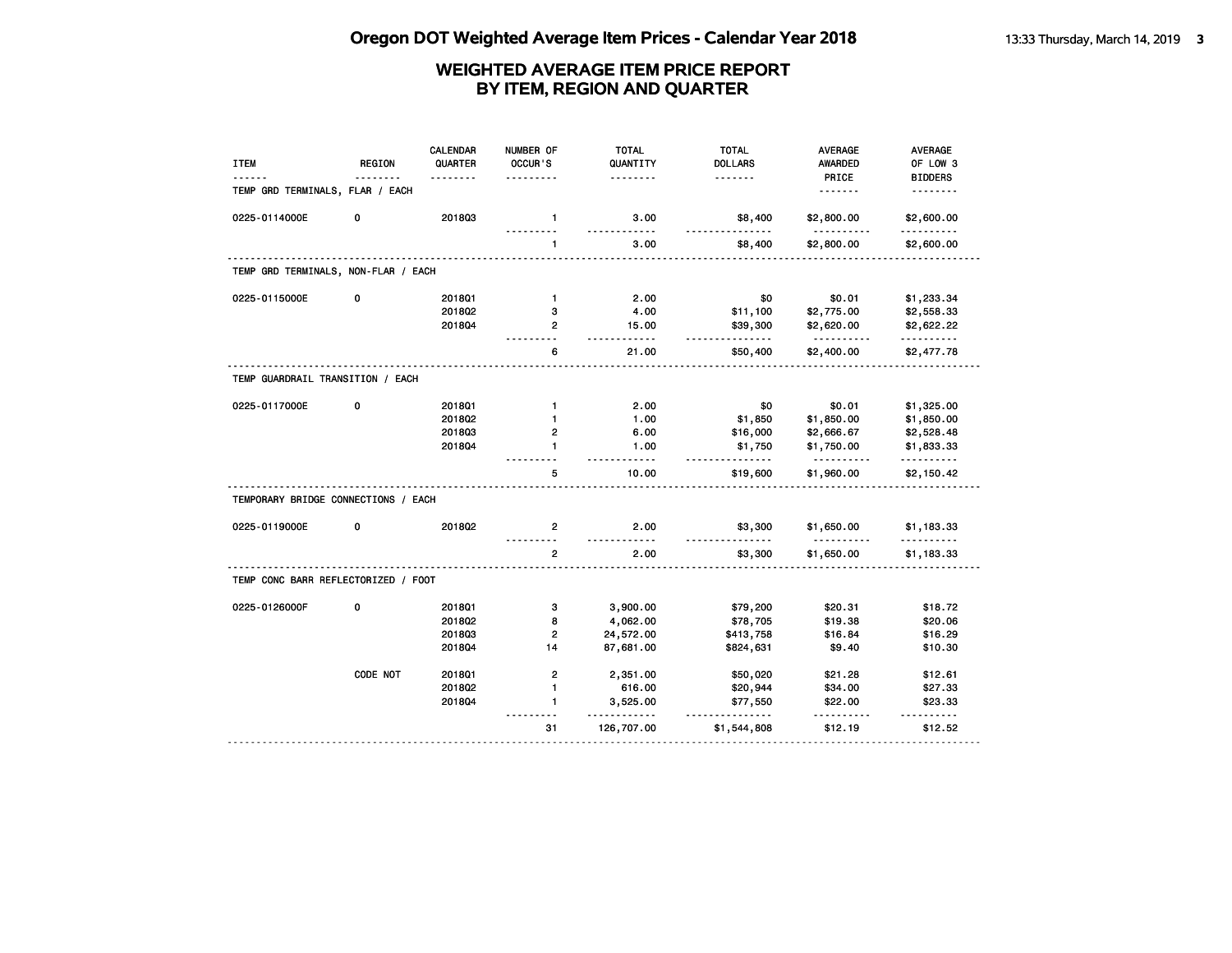| <b>ITEM</b>                         | <b>REGION</b> | <b>CALENDAR</b><br>QUARTER<br>. | NUMBER OF<br>OCCUR'S | <b>TOTAL</b><br>QUANTITY<br>. | <b>TOTAL</b><br><b>DOLLARS</b><br>. | <b>AVERAGE</b><br><b>AWARDED</b><br>PRICE | <b>AVERAGE</b><br>OF LOW 3<br><b>BIDDERS</b> |
|-------------------------------------|---------------|---------------------------------|----------------------|-------------------------------|-------------------------------------|-------------------------------------------|----------------------------------------------|
| TEMP GRD TERMINALS, FLAR / EACH     |               |                                 |                      |                               |                                     | <u>.</u>                                  | <u>.</u>                                     |
| 0225-0114000E                       | 0             | 201803                          | $\mathbf{1}$         | 3.00                          | \$8,400                             | \$2,800.00                                | \$2,600.00                                   |
|                                     |               |                                 | $\mathbf{1}$         | 3.00                          | -------<br>\$8,400                  | \$2,800.00                                | \$2,600.00                                   |
| TEMP GRD TERMINALS, NON-FLAR / EACH |               |                                 |                      |                               |                                     |                                           |                                              |
| 0225-0115000E                       | 0             | 201801                          | $\mathbf{1}$         | 2.00                          | \$0                                 | \$0.01                                    | \$1,233.34                                   |
|                                     |               | 201802                          | 3                    | 4.00                          | \$11,100                            | \$2,775.00                                | \$2,558.33                                   |
|                                     |               | 2018Q4                          | $\overline{2}$       | 15.00<br>.                    | \$39,300<br>.                       | \$2,620.00<br><u>.</u>                    | \$2,622.22<br>.                              |
|                                     |               |                                 | 6                    | 21.00                         | \$50,400                            | \$2,400.00                                | \$2,477.78                                   |
| TEMP GUARDRAIL TRANSITION / EACH    |               |                                 |                      |                               |                                     |                                           |                                              |
| 0225-0117000E                       | 0             | 201801                          | $\mathbf{1}$         | 2.00                          | \$0                                 | \$0.01                                    | \$1,325.00                                   |
|                                     |               | 2018Q2                          | $\mathbf{1}$         | 1.00                          | \$1,850                             | \$1,850.00                                | \$1,850.00                                   |
|                                     |               | 201803                          | 2                    | 6.00                          | \$16,000                            | \$2,666.67                                | \$2,528.48                                   |
|                                     |               | 2018Q4                          | 1                    | 1.00<br>.                     | \$1,750<br>.                        | \$1,750.00<br>.                           | \$1,833.33<br>.                              |
|                                     |               |                                 | 5                    | 10.00                         | \$19,600                            | \$1,960.00                                | \$2,150.42                                   |
| TEMPORARY BRIDGE CONNECTIONS / EACH |               |                                 |                      |                               |                                     |                                           |                                              |
| 0225-0119000E                       | 0             | 2018Q2                          | 2                    | 2.00<br>.                     | \$3,300<br><u>.</u>                 | \$1,650.00<br><u>.</u>                    | \$1,183.33<br>.                              |
|                                     |               |                                 | $\overline{2}$       | 2.00                          | \$3,300                             | \$1,650.00                                | \$1,183.33                                   |
| TEMP CONC BARR REFLECTORIZED / FOOT |               |                                 |                      |                               |                                     |                                           |                                              |
| 0225-0126000F                       | 0             | 201801                          | 3                    | 3,900.00                      | \$79,200                            | \$20.31                                   | \$18.72                                      |
|                                     |               | 2018Q2                          | 8                    | 4,062.00                      | \$78,705                            | \$19.38                                   | \$20.06                                      |
|                                     |               | 201803                          | $\overline{2}$       | 24,572.00                     | \$413,758                           | \$16.84                                   | \$16.29                                      |
|                                     |               | 2018Q4                          | 14                   | 87,681.00                     | \$824,631                           | \$9.40                                    | \$10.30                                      |
|                                     | CODE NOT      | 201801                          | $\overline{2}$       | 2,351.00                      | \$50,020                            | \$21.28                                   | \$12.61                                      |
|                                     |               | 201802                          | $\mathbf{1}$         | 616.00                        | \$20,944                            | \$34.00                                   | \$27.33                                      |
|                                     |               | 2018Q4                          | $\mathbf{1}$         | 3,525.00                      | \$77,550                            | \$22.00                                   | \$23.33<br>$- - - - - -$                     |
|                                     |               |                                 | 31                   | 126,707.00                    | \$1,544,808                         | \$12.19                                   | \$12.52                                      |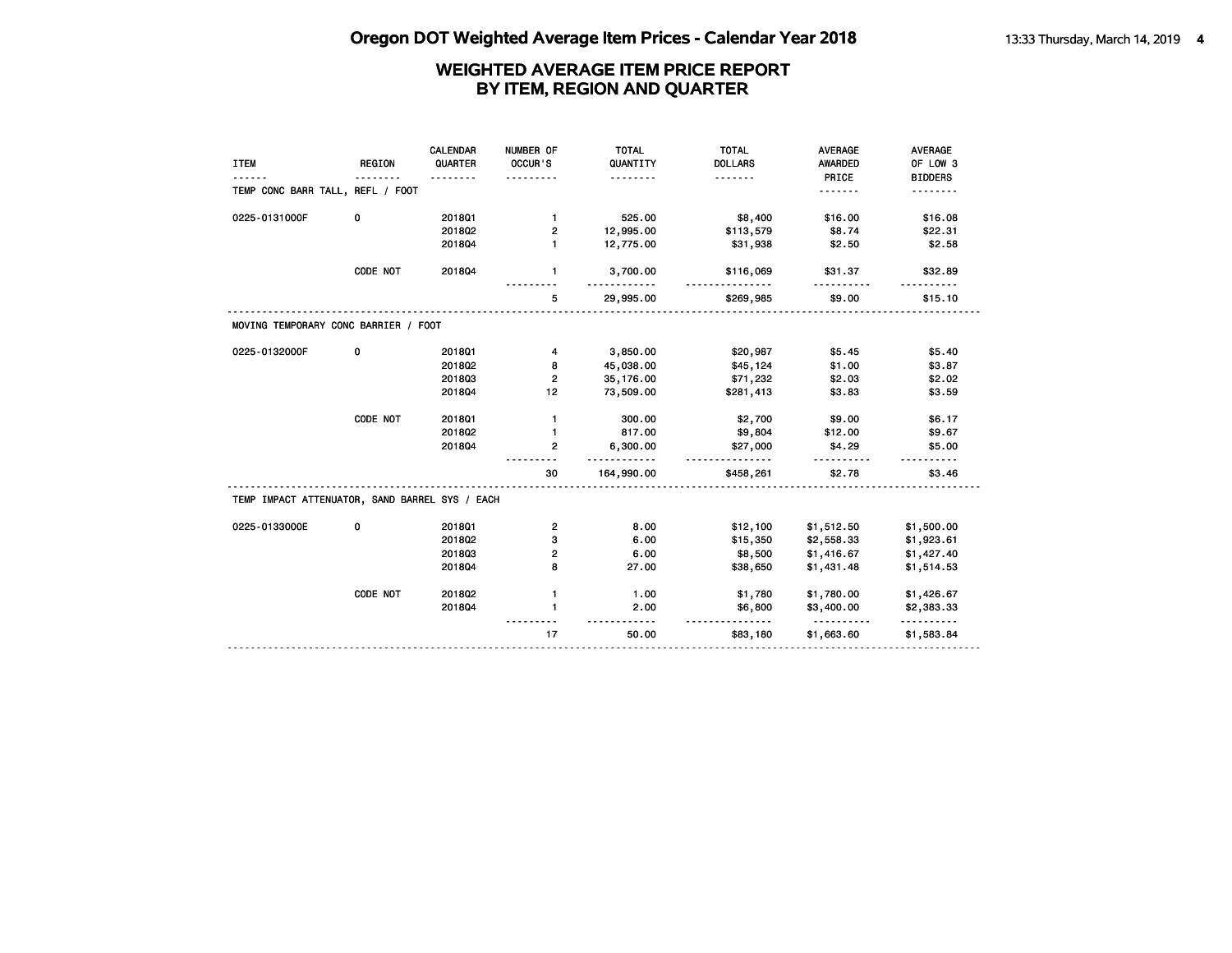|                                  | $- - - - - - -$ |                                      | QUANTITY                                       | <b>DOLLARS</b> | AWARDED              | OF LOW 3               |
|----------------------------------|-----------------|--------------------------------------|------------------------------------------------|----------------|----------------------|------------------------|
|                                  |                 |                                      | <u>.</u>                                       | .              | PRICE                | <b>BIDDERS</b>         |
| TEMP CONC BARR TALL, REFL / FOOT |                 |                                      |                                                |                | .                    |                        |
| 0                                | 2018Q1          | $\mathbf{1}$                         | 525.00                                         | \$8,400        | \$16.00              | \$16.08                |
|                                  | 2018Q2          | 2                                    | 12,995.00                                      | \$113,579      | \$8.74               | \$22.31                |
|                                  | 201804          | $\blacksquare$                       | 12,775.00                                      | \$31,938       | \$2.50               | \$2.58                 |
| CODE NOT                         | 201804          | $\mathbf{1}$                         | 3,700.00                                       | \$116,069      | \$31.37              | \$32.89                |
|                                  |                 | 5                                    | 29,995.00                                      | \$269,985      | \$9.00               | \$15.10                |
|                                  |                 |                                      |                                                |                |                      |                        |
| 0                                | 201801          | 4                                    |                                                |                |                      | \$5.40                 |
|                                  | 2018Q2          | 8                                    | 45,038.00                                      | \$45,124       | \$1.00               | \$3.87                 |
|                                  | 201803          | $\overline{2}$                       | 35, 176.00                                     | \$71,232       | \$2.03               | \$2.02                 |
|                                  | 201804          | 12                                   | 73,509.00                                      | \$281,413      | \$3.83               | \$3.59                 |
| CODE NOT                         | 2018Q1          | $\mathbf{1}$                         | 300.00                                         | \$2,700        | \$9.00               | \$6.17                 |
|                                  | 2018Q2          | $\mathbf{1}$                         | 817.00                                         | \$9,804        | \$12.00              | \$9.67                 |
|                                  | 201804          | $\mathbf{2}$                         | 6,300.00                                       | \$27,000       | \$4.29               | \$5.00                 |
|                                  |                 | 30                                   | 164,990.00                                     | \$458,261      | \$2.78               | \$3.46                 |
|                                  |                 |                                      |                                                |                |                      |                        |
| 0                                | 2018Q1          | $\overline{\mathbf{c}}$              | 8.00                                           | \$12,100       | \$1,512.50           | \$1,500.00             |
|                                  | 2018Q2          | 3                                    | 6.00                                           | \$15,350       | \$2,558.33           | \$1,923.61             |
|                                  | 201803          | $\overline{2}$                       | 6.00                                           | \$8,500        | \$1,416.67           | \$1,427.40             |
|                                  | 201804          | 8                                    | 27.00                                          | \$38,650       | \$1,431.48           | \$1,514.53             |
| CODE NOT                         | 2018Q2          | $\mathbf{1}$                         | 1.00                                           | \$1,780        | \$1,780.00           | \$1,426.67             |
|                                  | 201804          | $\mathbf{1}$                         | 2.00                                           | \$6,800        | \$3,400.00           | \$2,383.33             |
|                                  |                 | 17                                   | 50.00                                          | \$83,180       | \$1,663.60           | <u>.</u><br>\$1,583.84 |
|                                  |                 | MOVING TEMPORARY CONC BARRIER / FOOT | TEMP IMPACT ATTENUATOR, SAND BARREL SYS / EACH | 3,850.00<br>.  | \$20,987<br><u>.</u> | \$5.45<br><u>.</u>     |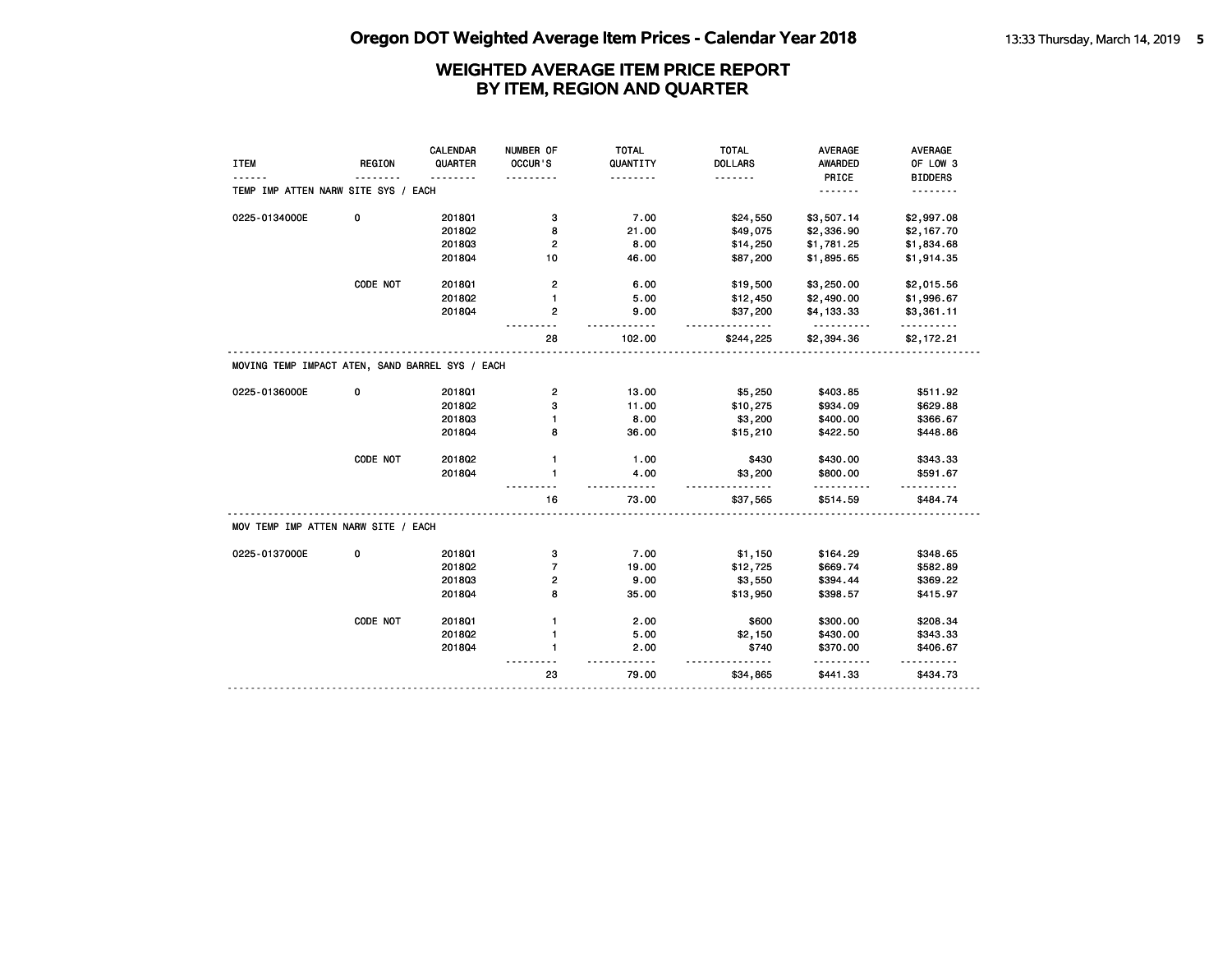|                                                 |               | <b>CALENDAR</b> | NUMBER OF               | <b>TOTAL</b>      | <b>TOTAL</b>          | <b>AVERAGE</b>         | <b>AVERAGE</b>  |
|-------------------------------------------------|---------------|-----------------|-------------------------|-------------------|-----------------------|------------------------|-----------------|
| <b>ITEM</b>                                     | <b>REGION</b> | QUARTER         | OCCUR'S                 | QUANTITY          | <b>DOLLARS</b>        | <b>AWARDED</b>         | OF LOW 3        |
|                                                 |               |                 | .                       | .                 | <u>.</u>              | PRICE                  | <b>BIDDERS</b>  |
| TEMP IMP ATTEN NARW SITE SYS / EACH             |               |                 |                         |                   |                       | .                      | .               |
| 0225-0134000E                                   | 0             | 2018Q1          | з                       | 7.00              | \$24,550              | \$3,507.14             | \$2,997.08      |
|                                                 |               | 2018Q2          | 8                       | 21.00             | \$49,075              | \$2,336.90             | \$2,167.70      |
|                                                 |               | 201803          | 2                       | 8.00              | \$14,250              | \$1,781.25             | \$1,834.68      |
|                                                 |               | 201804          | 10                      | 46.00             | \$87,200              | \$1,895.65             | \$1,914.35      |
|                                                 |               |                 |                         |                   |                       |                        |                 |
|                                                 | CODE NOT      | 201801          | $\mathbf{2}$            | 6.00              | \$19,500              | \$3,250.00             | \$2,015.56      |
|                                                 |               | 2018Q2          | $\mathbf{1}$            | 5.00              | \$12,450              | \$2,490.00             | \$1,996.67      |
|                                                 |               | 201804          | 2                       | 9.00              | \$37,200              | \$4,133.33             | \$3,361.11      |
|                                                 |               |                 | 28                      | $- - -$<br>102.00 | <u>.</u><br>\$244,225 | <u>.</u><br>\$2,394.36 | .<br>\$2,172.21 |
| MOVING TEMP IMPACT ATEN, SAND BARREL SYS / EACH |               |                 |                         |                   |                       |                        |                 |
|                                                 |               |                 |                         |                   |                       |                        |                 |
| 0225-0136000E                                   | 0             | 2018Q1          | $\overline{\mathbf{c}}$ | 13.00             | \$5,250               | \$403.85               | \$511.92        |
|                                                 |               | 2018Q2          | з                       | 11.00             | \$10,275              | \$934.09               | \$629.88        |
|                                                 |               | 201803          |                         | 8.00              | \$3,200               | \$400.00               | \$366.67        |
|                                                 |               | 201804          | 8                       | 36.00             | \$15,210              | \$422.50               | \$448.86        |
|                                                 | CODE NOT      | 2018Q2          | $\mathbf{1}$            | 1.00              | \$430                 | \$430.00               | \$343.33        |
|                                                 |               | 201804          | 1                       | 4.00              | \$3,200               | \$800.00               | \$591.67        |
|                                                 |               |                 |                         |                   | <u>.</u>              |                        |                 |
|                                                 |               |                 | 16                      | 73.00             | \$37,565              | \$514.59               | \$484.74        |
| MOV TEMP IMP ATTEN NARW SITE / EACH             |               |                 |                         |                   |                       |                        |                 |
| 0225-0137000E                                   | 0             | 2018Q1          | з                       | 7.00              | \$1,150               | \$164.29               | \$348.65        |
|                                                 |               | 201802          | $\overline{7}$          | 19.00             | \$12,725              | \$669.74               | \$582.89        |
|                                                 |               | 201803          | 2                       | 9.00              | \$3,550               | \$394.44               | \$369.22        |
|                                                 |               | 201804          | 8                       | 35.00             | \$13,950              | \$398.57               | \$415.97        |
|                                                 |               |                 |                         |                   |                       |                        |                 |
|                                                 | CODE NOT      | 2018Q1          | 1                       | 2.00              | \$600                 | \$300.00               | \$208.34        |
|                                                 |               | 2018Q2          | 1                       | 5.00              | \$2,150               | \$430.00               | \$343.33        |
|                                                 |               | 201804          | $\mathbf{1}$            | 2.00              | \$740                 | \$370.00               | \$406.67        |
|                                                 |               |                 | 23                      | 79.00             | \$34,865              | .<br>\$441.33          | \$434.73        |
|                                                 |               |                 |                         |                   |                       |                        |                 |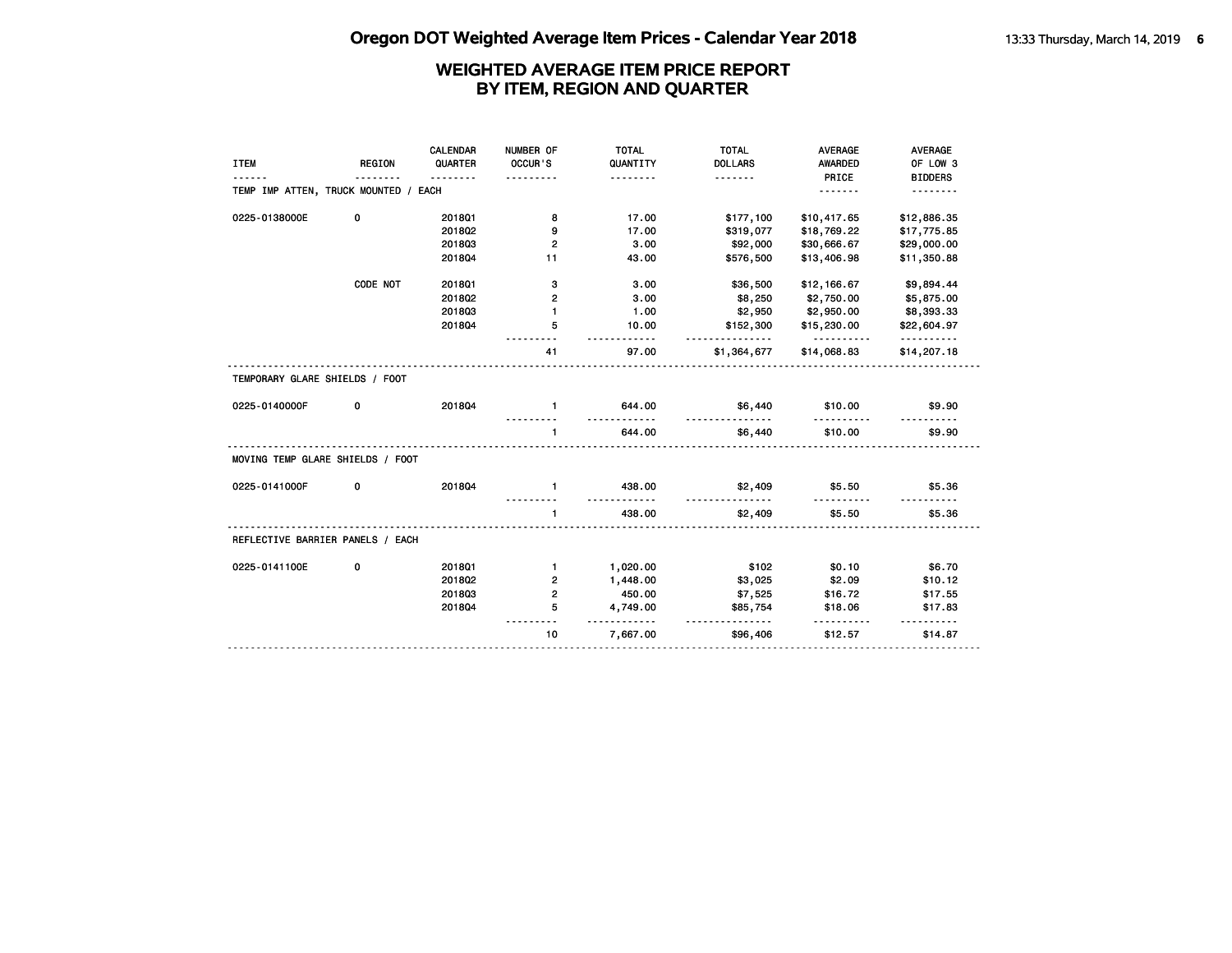|                                      |               | CALENDAR | NUMBER OF      | <b>TOTAL</b>               | <b>TOTAL</b>            | <b>AVERAGE</b>          | <b>AVERAGE</b>          |
|--------------------------------------|---------------|----------|----------------|----------------------------|-------------------------|-------------------------|-------------------------|
| <b>ITEM</b>                          | <b>REGION</b> | QUARTER  | OCCUR'S        | QUANTITY                   | <b>DOLLARS</b>          | <b>AWARDED</b>          | OF LOW 3                |
|                                      |               | .        |                | <u>.</u>                   | <u>.</u>                | PRICE                   | <b>BIDDERS</b>          |
| TEMP IMP ATTEN, TRUCK MOUNTED / EACH |               |          |                |                            |                         | <u>.</u>                | <u>.</u>                |
| 0225-0138000E                        | 0             | 2018Q1   | 8              | 17.00                      | \$177,100               | \$10,417.65             | \$12,886.35             |
|                                      |               | 2018Q2   | 9              | 17.00                      | \$319,077               | \$18,769.22             | \$17,775.85             |
|                                      |               | 201803   | 2              | 3.00                       | \$92,000                | \$30,666.67             | \$29,000.00             |
|                                      |               | 201804   | 11             | 43.00                      | \$576,500               | \$13,406.98             | \$11,350.88             |
|                                      | CODE NOT      | 201801   | з              | 3.00                       | \$36,500                | \$12,166.67             | \$9,894.44              |
|                                      |               | 2018Q2   | 2              | 3.00                       | \$8,250                 | \$2,750.00              | \$5,875.00              |
|                                      |               | 201803   | $\mathbf{1}$   | 1.00                       | \$2,950                 | \$2,950.00              | \$8,393.33              |
|                                      |               | 201804   | 5              | 10.00                      | \$152,300               | \$15,230.00             | \$22,604.97             |
|                                      |               |          | 41             | 97.00                      | <u>.</u><br>\$1,364,677 | <u>.</u><br>\$14,068.83 | <u>.</u><br>\$14,207.18 |
| TEMPORARY GLARE SHIELDS / FOOT       |               |          |                |                            |                         |                         |                         |
| 0225-0140000F                        | 0             | 201804   | $\mathbf{1}$   | 644.00                     | \$6,440<br><u>.</u>     | \$10.00                 | \$9.90                  |
|                                      |               |          | $\mathbf{1}$   | 644.00                     | \$6,440                 | \$10.00                 | \$9.90                  |
| MOVING TEMP GLARE SHIELDS / FOOT     |               |          |                |                            |                         |                         |                         |
| 0225-0141000F                        | 0             | 201804   | $\blacksquare$ | 438.00<br><u>---------</u> | \$2,409                 | \$5.50                  | \$5.36                  |
|                                      |               |          | $\mathbf{1}$   | 438.00                     | \$2,409                 | \$5.50                  | \$5.36                  |
| REFLECTIVE BARRIER PANELS / EACH     |               |          |                |                            |                         |                         |                         |
| 0225-0141100E                        | 0             | 2018Q1   | $\mathbf{1}$   | 1,020.00                   | \$102                   | \$0.10                  | \$6.70                  |
|                                      |               | 2018Q2   | 2              | 1,448.00                   | \$3,025                 | \$2.09                  | \$10.12                 |
|                                      |               | 201803   | $\overline{2}$ | 450.00                     | \$7,525                 | \$16.72                 | \$17.55                 |
|                                      |               | 201804   | 5              | 4,749.00                   | \$85,754                | \$18.06                 | \$17.83                 |
|                                      |               |          | 10             | .<br>7,667.00              | <u>.</u><br>\$96,406    | .<br>\$12.57            | .<br>\$14.87            |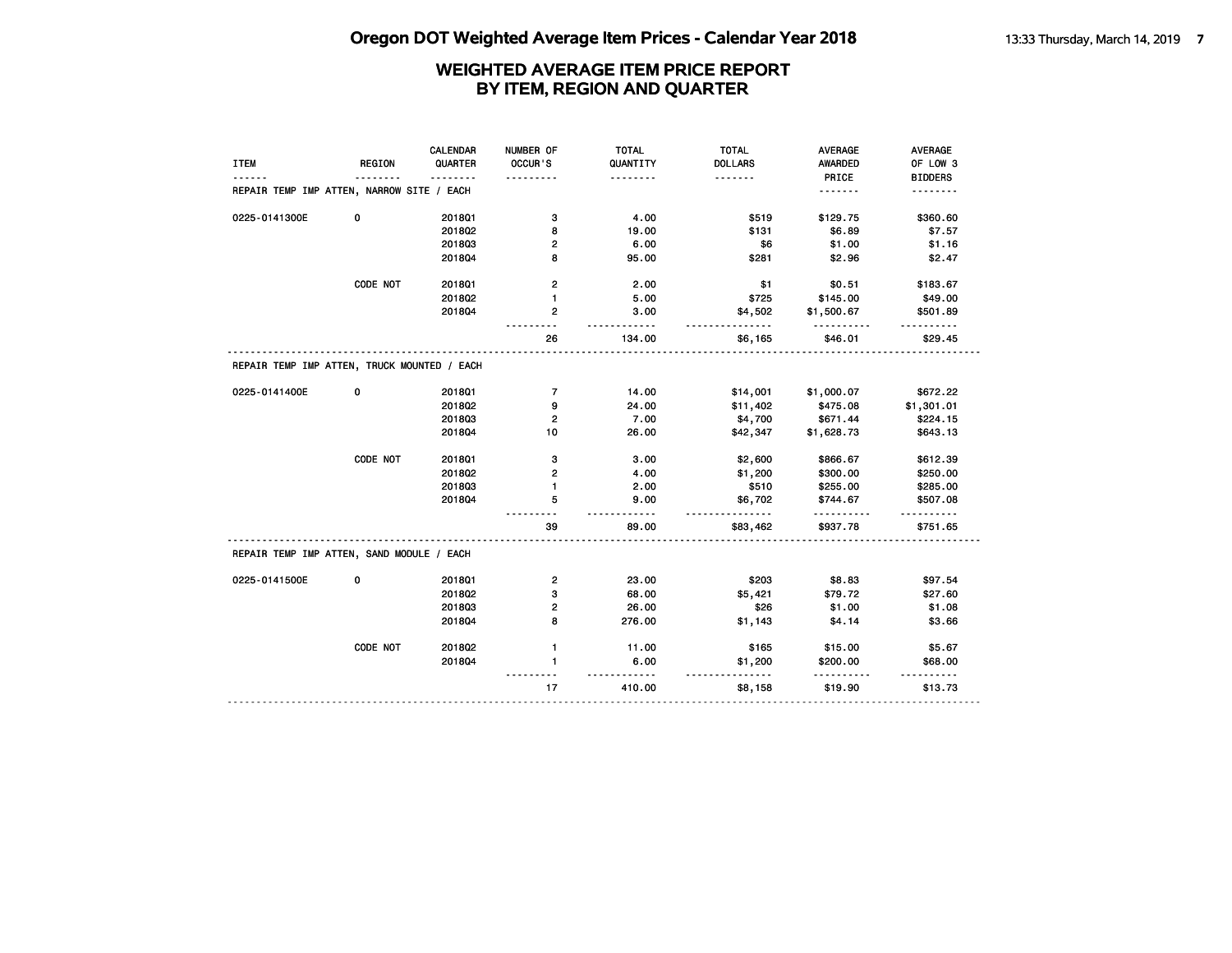# **Oregon DOT Weighted Average Item Prices - Calendar Year 2018** 13:33 Thursday, March 14, 2019 7

|                                             |               | CALENDAR | NUMBER OF               | <b>TOTAL</b> | <b>TOTAL</b>   | <b>AVERAGE</b> | AVERAGE        |
|---------------------------------------------|---------------|----------|-------------------------|--------------|----------------|----------------|----------------|
| <b>ITEM</b>                                 | <b>REGION</b> | QUARTER  | OCCUR'S                 | QUANTITY     | <b>DOLLARS</b> | <b>AWARDED</b> | OF LOW 3       |
|                                             |               |          |                         | .            | .              | PRICE          | <b>BIDDERS</b> |
| REPAIR TEMP IMP ATTEN, NARROW SITE / EACH   |               |          |                         |              |                | <u>.</u>       | .              |
| 0225-0141300E                               | 0             | 2018Q1   | з                       | 4.00         | \$519          | \$129.75       | \$360.60       |
|                                             |               | 201802   | 8                       | 19.00        | \$131          | \$6.89         | \$7.57         |
|                                             |               | 201803   | 2                       | 6.00         | \$6            | \$1.00         | \$1.16         |
|                                             |               | 201804   | 8                       | 95.00        | \$281          | \$2.96         | \$2.47         |
|                                             | CODE NOT      | 201801   | $\overline{\mathbf{c}}$ | 2.00         | \$1            | \$0.51         | \$183.67       |
|                                             |               | 2018Q2   | 1                       | 5.00         | \$725          | \$145.00       | \$49.00        |
|                                             |               | 2018Q4   | 2                       | 3.00<br>.    | \$4,502        | \$1,500.67     | \$501.89       |
|                                             |               |          | 26                      | 134.00       | \$6,165        | \$46.01        | \$29.45        |
| REPAIR TEMP IMP ATTEN, TRUCK MOUNTED / EACH |               |          |                         |              |                |                |                |
| 0225-0141400E                               | 0             | 201801   | $\overline{7}$          | 14.00        | \$14,001       | \$1,000.07     | \$672.22       |
|                                             |               | 2018Q2   | 9                       | 24.00        | \$11,402       | \$475.08       | \$1,301.01     |
|                                             |               | 201803   | $\overline{2}$          | 7.00         | \$4,700        | \$671.44       | \$224.15       |
|                                             |               | 201804   | 10                      | 26.00        | \$42,347       | \$1,628.73     | \$643.13       |
|                                             | CODE NOT      | 201801   | 3                       | 3.00         | \$2,600        | \$866.67       | \$612.39       |
|                                             |               | 2018Q2   | $\overline{2}$          | 4.00         | \$1,200        | \$300.00       | \$250.00       |
|                                             |               | 201803   | 1                       | 2.00         | \$510          | \$255.00       | \$285.00       |
|                                             |               | 2018Q4   | 5                       | 9.00<br>.    | \$6,702        | \$744.67       | \$507.08       |
|                                             |               |          | 39                      | 89.00        | \$83,462       | \$937.78       | \$751.65       |
| REPAIR TEMP IMP ATTEN, SAND MODULE / EACH   |               |          |                         |              |                |                |                |
| 0225-0141500E                               | 0             | 201801   | $\overline{\mathbf{c}}$ | 23.00        | \$203          | \$8.83         | \$97.54        |
|                                             |               | 2018Q2   | 3                       | 68.00        | \$5,421        | \$79.72        | \$27.60        |
|                                             |               | 201803   | $\overline{2}$          | 26.00        | \$26           | \$1.00         | \$1.08         |
|                                             |               | 2018Q4   | 8                       | 276.00       | \$1,143        | \$4.14         | \$3.66         |
|                                             | CODE NOT      | 2018Q2   | $\mathbf{1}$            | 11.00        | \$165          | \$15.00        | \$5.67         |
|                                             |               | 201804   | $\mathbf{1}$            | 6.00<br>.    | \$1,200<br>.   | \$200.00<br>.  | \$68.00<br>.   |
|                                             |               |          | 17                      | 410.00       | \$8,158        | \$19.90        | \$13.73        |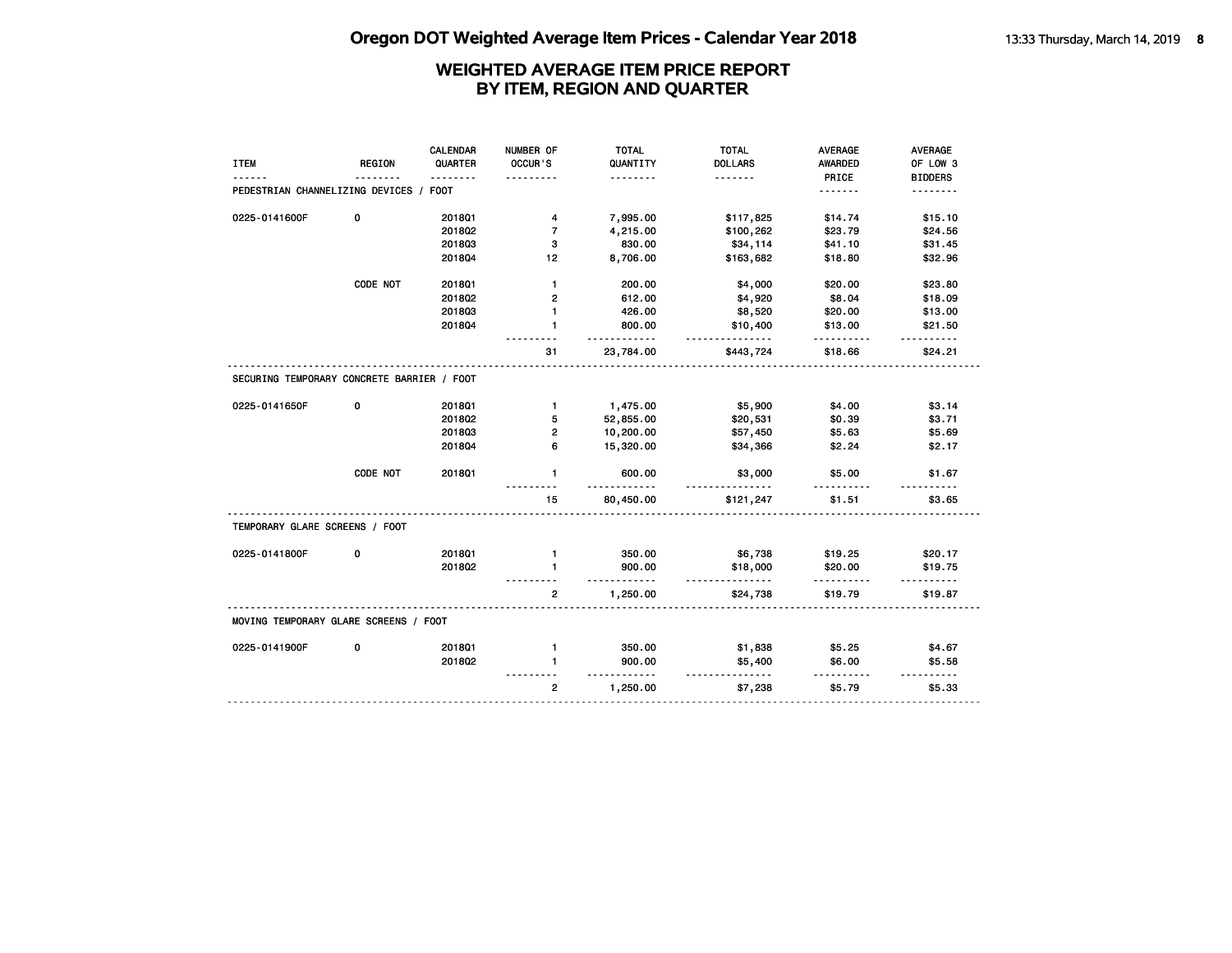|                                            |               | <b>CALENDAR</b> | NUMBER OF      | <b>TOTAL</b>               | <b>TOTAL</b>         | <b>AVERAGE</b>   | <b>AVERAGE</b>  |
|--------------------------------------------|---------------|-----------------|----------------|----------------------------|----------------------|------------------|-----------------|
| <b>ITEM</b>                                | <b>REGION</b> | QUARTER         | OCCUR'S        | QUANTITY                   | <b>DOLLARS</b>       | AWARDED          | OF LOW 3        |
|                                            |               |                 |                | .                          | .                    | PRICE            | <b>BIDDERS</b>  |
| PEDESTRIAN CHANNELIZING DEVICES / FOOT     |               |                 |                |                            |                      | <u>.</u>         | .               |
| 0225-0141600F                              | 0             | 201801          | 4              | 7,995.00                   | \$117,825            | \$14.74          | \$15.10         |
|                                            |               | 2018Q2          | $\overline{7}$ | 4,215.00                   | \$100,262            | \$23.79          | \$24.56         |
|                                            |               | 201803          | 3              | 830.00                     | \$34,114             | \$41.10          | \$31.45         |
|                                            |               | 201804          | 12             | 8,706.00                   | \$163,682            | \$18.80          | \$32.96         |
|                                            | CODE NOT      | 2018Q1          | $\mathbf{1}$   | 200.00                     | \$4,000              | \$20.00          | \$23.80         |
|                                            |               | 2018Q2          | 2              | 612.00                     | \$4,920              | \$8.04           | \$18.09         |
|                                            |               | 201803          | $\mathbf{1}$   | 426.00                     | \$8,520              | \$20.00          | \$13.00         |
|                                            |               | 201804          | $\mathbf{1}$   | 800.00                     | \$10,400             | \$13.00          | \$21.50         |
|                                            |               |                 | 31             | $- - - - - -$<br>23,784.00 | \$443,724            | \$18.66          | \$24.21         |
| SECURING TEMPORARY CONCRETE BARRIER / FOOT |               |                 |                |                            |                      |                  |                 |
| 0225-0141650F                              | 0             | 2018Q1          | $\mathbf{1}$   | 1,475.00                   | \$5,900              | \$4.00           | \$3.14          |
|                                            |               | 2018Q2          | 5              | 52,855.00                  | \$20,531             | \$0.39           | \$3.71          |
|                                            |               | 201803          | $\overline{2}$ | 10,200.00                  | \$57,450             | \$5.63           | \$5.69          |
|                                            |               | 201804          | 6              | 15,320.00                  | \$34,366             | \$2.24           | \$2.17          |
|                                            | CODE NOT      | 201801          | $\mathbf{1}$   | 600.00<br>$- - -$          | \$3,000              | \$5.00<br>------ | \$1.67          |
|                                            |               |                 | 15             | 80,450.00                  | \$121,247            | \$1.51           | \$3.65          |
| TEMPORARY GLARE SCREENS / FOOT             |               |                 |                |                            |                      |                  |                 |
| 0225-0141800F                              | 0             | 2018Q1          | $\mathbf{1}$   | 350.00                     | \$6,738              | \$19.25          | \$20.17         |
|                                            |               | 2018Q2          | 1              | 900.00                     | \$18,000<br><u>.</u> | \$20.00          | \$19.75         |
|                                            |               |                 | $\overline{2}$ | 1,250.00                   | \$24,738             | \$19.79          | \$19.87         |
| MOVING TEMPORARY GLARE SCREENS / FOOT      |               |                 |                |                            |                      |                  |                 |
| 0225-0141900F                              | 0             | 2018Q1          | $\mathbf{1}$   | 350.00                     | \$1,838              | \$5.25           | \$4.67          |
|                                            |               | 2018Q2          | 1              | 900.00<br>$- - - - - -$    | \$5,400              | \$6.00           | \$5.58          |
|                                            |               |                 | $\overline{2}$ | 1,250.00                   | ------<br>\$7,238    | \$5.79           | -----<br>\$5.33 |
|                                            |               |                 |                |                            |                      |                  |                 |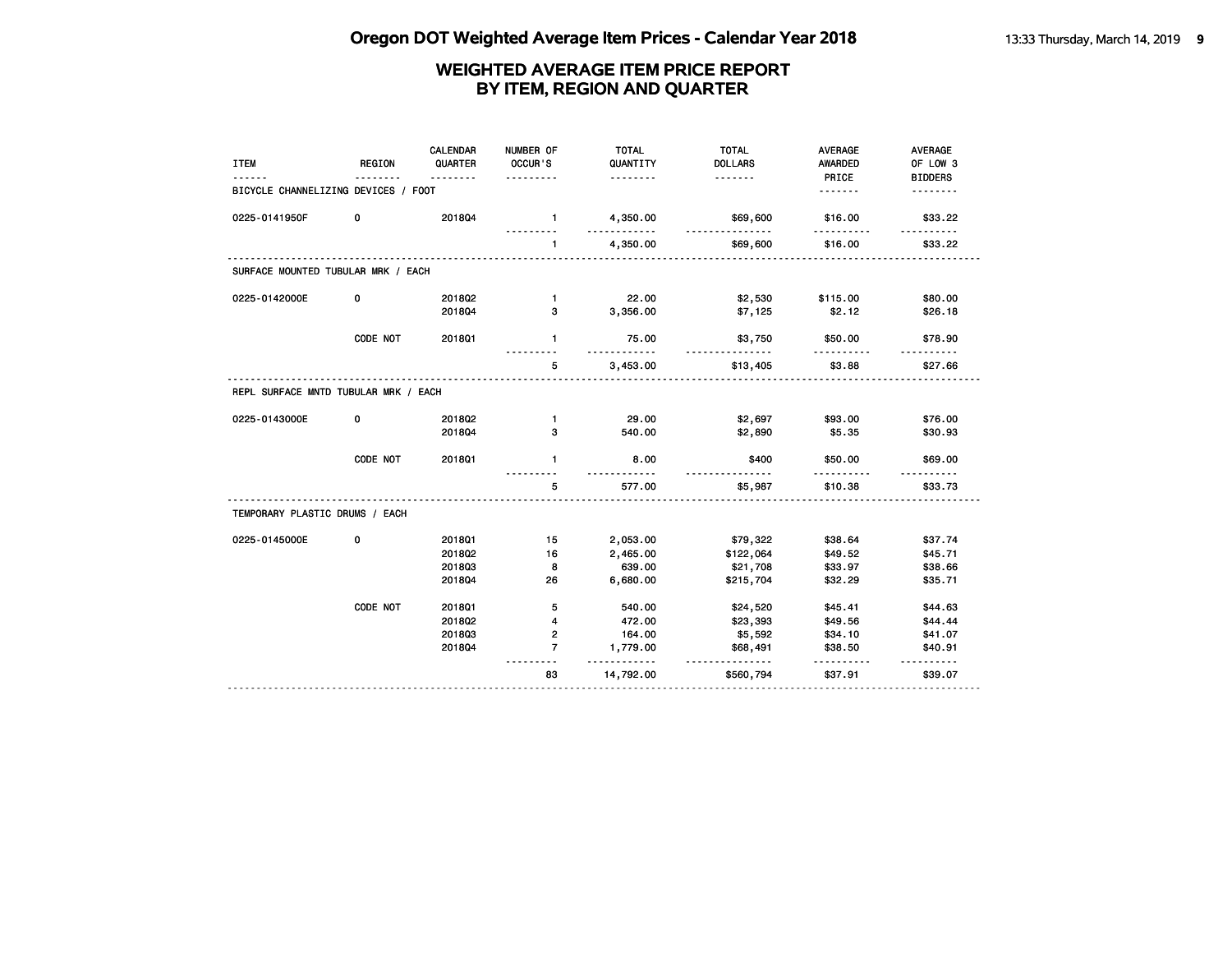| <b>ITEM</b>                          | <b>REGION</b> | <b>CALENDAR</b><br>QUARTER | NUMBER OF<br>OCCUR'S<br>. | <b>TOTAL</b><br>QUANTITY<br>. | <b>TOTAL</b><br><b>DOLLARS</b><br>. | <b>AVERAGE</b><br><b>AWARDED</b><br>PRICE | <b>AVERAGE</b><br>OF LOW 3<br><b>BIDDERS</b> |
|--------------------------------------|---------------|----------------------------|---------------------------|-------------------------------|-------------------------------------|-------------------------------------------|----------------------------------------------|
| BICYCLE CHANNELIZING DEVICES / FOOT  |               |                            |                           |                               |                                     | .                                         |                                              |
| 0225-0141950F                        | 0             | 201804                     | $\mathbf{1}$              | 4,350.00                      | \$69,600                            | \$16.00                                   | \$33.22                                      |
|                                      |               |                            | $\mathbf{1}$              | 4,350.00                      | \$69,600                            | \$16.00                                   | \$33.22                                      |
| SURFACE MOUNTED TUBULAR MRK / EACH   |               |                            |                           |                               |                                     |                                           |                                              |
| 0225-0142000E                        | 0             | 201802                     | $\mathbf{1}$              | 22.00                         | \$2,530                             | \$115.00                                  | \$80.00                                      |
|                                      |               | 201804                     | 3                         | 3,356.00                      | \$7,125                             | \$2.12                                    | \$26.18                                      |
|                                      | CODE NOT      | 201801                     | $\mathbf{1}$              | 75.00                         | \$3,750                             | \$50.00                                   | \$78.90                                      |
|                                      |               |                            | 5                         | 3,453.00                      | \$13,405                            | \$3.88                                    | \$27.66                                      |
| REPL SURFACE MNTD TUBULAR MRK / EACH |               |                            |                           |                               |                                     |                                           |                                              |
| 0225-0143000E                        | 0             | 2018Q2                     | $\mathbf{1}$              | 29.00                         | \$2,697                             | \$93.00                                   | \$76.00                                      |
|                                      |               | 201804                     | 3                         | 540.00                        | \$2,890                             | \$5.35                                    | \$30.93                                      |
|                                      | CODE NOT      | 201801                     | $\mathbf{1}$              | 8.00                          | \$400                               | \$50.00                                   | \$69.00                                      |
|                                      |               |                            | 5                         | 577.00                        | \$5,987                             | \$10.38                                   | \$33.73                                      |
| TEMPORARY PLASTIC DRUMS / EACH       |               |                            |                           |                               |                                     |                                           |                                              |
| 0225-0145000E                        | 0             | 2018Q1                     | 15                        | 2,053.00                      | \$79,322                            | \$38.64                                   | \$37.74                                      |
|                                      |               | 201802                     | 16                        | 2,465.00                      | \$122,064                           | \$49.52                                   | \$45.71                                      |
|                                      |               | 201803                     | 8                         | 639.00                        | \$21,708                            | \$33.97                                   | \$38.66                                      |
|                                      |               | 201804                     | 26                        | 6,680.00                      | \$215,704                           | \$32.29                                   | \$35.71                                      |
|                                      | CODE NOT      | 2018Q1                     | 5                         | 540.00                        | \$24,520                            | \$45.41                                   | \$44.63                                      |
|                                      |               | 2018Q2                     | 4                         | 472.00                        | \$23,393                            | \$49.56                                   | \$44.44                                      |
|                                      |               | 201803                     | 2                         | 164.00                        | \$5,592                             | \$34.10                                   | \$41.07                                      |
|                                      |               | 201804                     | $\overline{7}$            | 1,779.00<br><u>.</u>          | \$68,491<br>.                       | \$38.50                                   | \$40.91                                      |
|                                      |               |                            | 83                        | 14,792.00                     | \$560,794                           | \$37.91                                   | \$39.07                                      |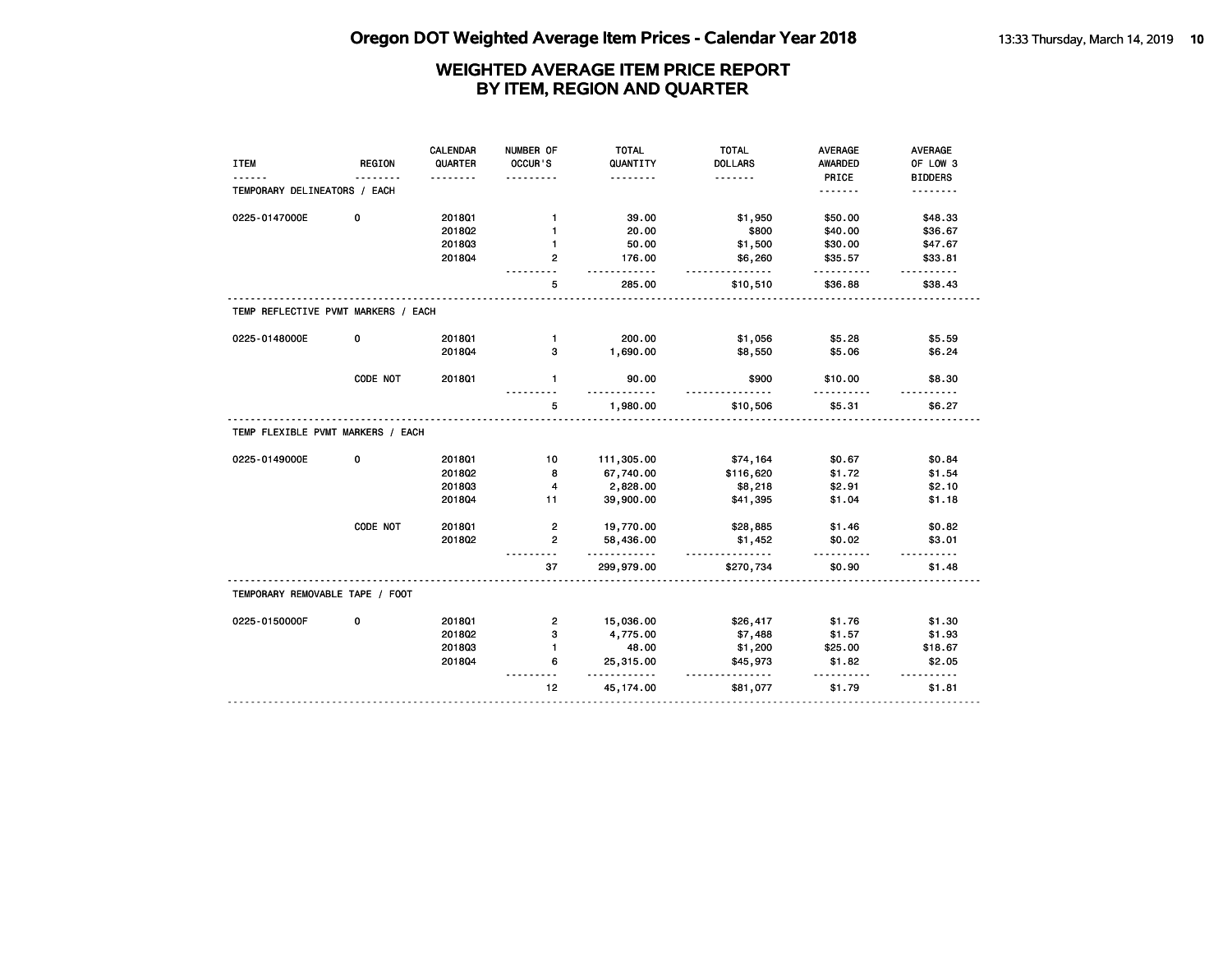|                                     |               | <b>CALENDAR</b> | NUMBER OF               | <b>TOTAL</b>   | <b>TOTAL</b>         | <b>AVERAGE</b>     | AVERAGE            |
|-------------------------------------|---------------|-----------------|-------------------------|----------------|----------------------|--------------------|--------------------|
| <b>ITEM</b>                         | <b>REGION</b> | QUARTER         | OCCUR'S                 | QUANTITY       | <b>DOLLARS</b>       | AWARDED            | OF LOW 3           |
|                                     | $- - - -$     | <u>.</u>        |                         | .              | <u>.</u>             | PRICE              | <b>BIDDERS</b>     |
| TEMPORARY DELINEATORS / EACH        |               |                 |                         |                |                      | <u>.</u>           | <u>.</u>           |
| 0225-0147000E                       | 0             | 2018Q1          | 1                       | 39.00          | \$1,950              | \$50.00            | \$48.33            |
|                                     |               | 2018Q2          | $\mathbf{1}$            | 20.00          | \$800                | \$40.00            | \$36.67            |
|                                     |               | 201803          | $\mathbf{1}$            | 50.00          | \$1,500              | \$30.00            | \$47.67            |
|                                     |               | 201804          | $\mathbf{2}$            | 176.00         | \$6,260<br><u>.</u>  | \$35.57            | \$33.81            |
|                                     |               |                 | 5                       | 285.00         | \$10,510             | \$36.88            | \$38.43            |
| TEMP REFLECTIVE PVMT MARKERS / EACH |               |                 |                         |                |                      |                    |                    |
| 0225-0148000E                       | 0             | 201801          | $\mathbf{1}$            | 200.00         | \$1,056              | \$5.28             | \$5.59             |
|                                     |               | 201804          | 3                       | 1,690.00       | \$8,550              | \$5.06             | \$6.24             |
|                                     | CODE NOT      | 201801          | $\blacksquare$          | 90.00<br>.     | \$900                | \$10.00            | \$8.30             |
|                                     |               |                 | 5                       | 1,980.00       | \$10,506             | \$5.31             | \$6.27             |
| TEMP FLEXIBLE PVMT MARKERS / EACH   |               |                 |                         |                |                      |                    |                    |
| 0225-0149000E                       | 0             | 2018Q1          | 10                      | 111,305.00     | \$74,164             | \$0.67             | \$0.84             |
|                                     |               | 201802          | 8                       | 67,740.00      | \$116,620            | \$1.72             | \$1.54             |
|                                     |               | 201803          | $\overline{\mathbf{4}}$ | 2,828.00       | \$8,218              | \$2.91             | \$2.10             |
|                                     |               | 201804          | 11                      | 39,900.00      | \$41,395             | \$1.04             | \$1.18             |
|                                     | CODE NOT      | 2018Q1          | $\overline{2}$          | 19,770.00      | \$28,885             | \$1.46             | \$0.82             |
|                                     |               | 2018Q2          | $\overline{2}$          | 58,436.00<br>. | \$1,452<br>.         | \$0.02<br>.        | \$3.01<br><u>.</u> |
|                                     |               |                 | 37                      | 299,979.00     | \$270,734            | \$0.90             | \$1.48             |
| TEMPORARY REMOVABLE TAPE / FOOT     |               |                 |                         |                |                      |                    |                    |
| 0225-0150000F                       | 0             | 201801          | 2                       | 15,036.00      | \$26,417             | \$1.76             | \$1.30             |
|                                     |               | 2018Q2          | 3                       | 4,775.00       | \$7,488              | \$1.57             | \$1.93             |
|                                     |               | 201803          | $\mathbf{1}$            | 48.00          | \$1,200              | \$25.00            | \$18.67            |
|                                     |               | 201804          | 6                       | 25,315.00<br>. | \$45,973<br><u>.</u> | \$1.82<br><u>.</u> | \$2.05<br>.        |
|                                     |               |                 | 12                      | 45, 174.00     | \$81,077             | \$1.79             | \$1.81             |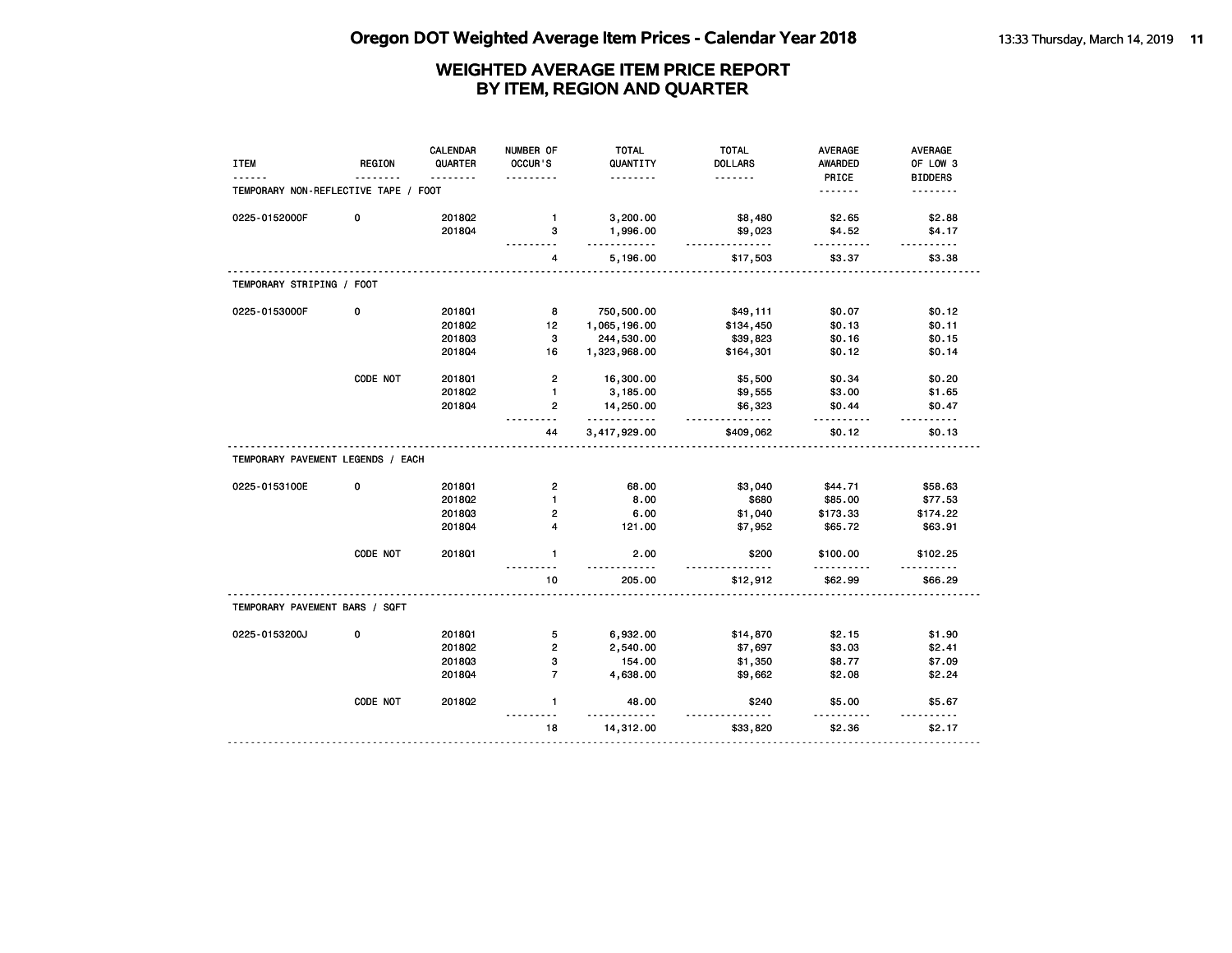| PRICE<br><u>.</u><br>.<br>.<br>TEMPORARY NON-REFLECTIVE TAPE / FOOT<br>.<br>2018Q2<br>3,200.00<br>\$8,480<br>0225-0152000F<br>0<br>$\mathbf{1}$<br>\$2.65<br>201804<br>1,996.00<br>\$9,023<br>\$4.52<br>з<br>.<br>.<br>5,196.00<br>\$17,503<br>\$3.37<br>4<br>TEMPORARY STRIPING / FOOT<br>$\mathbf{o}$<br>0225-0153000F<br>2018Q1<br>8<br>750,500.00<br>\$0.07<br>\$49,111<br>201802<br>12<br>1,065,196.00<br>\$134,450<br>\$0.13<br>201803<br>3<br>244,530.00<br>\$39,823<br>\$0.16<br>201804<br>16<br>1,323,968.00<br>\$164,301<br>\$0.12<br>CODE NOT<br>$\overline{2}$<br>201801<br>\$5,500<br>\$0.34<br>16,300.00<br>201802<br>1<br>\$3.00<br>3,185.00<br>\$9,555<br>2018Q4<br>$\overline{2}$<br>14,250.00<br>\$6,323<br>\$0.44<br>.<br><u>.</u><br>.<br>.<br>3,417,929.00<br>\$409,062<br>\$0.12<br>44<br>TEMPORARY PAVEMENT LEGENDS / EACH<br>0<br>0225-0153100E<br>2018Q1<br>$\overline{2}$<br>68.00<br>\$3,040<br>\$44.71<br>201802<br>8.00<br>\$680<br>\$85.00<br>$\blacksquare$<br>201803<br>2<br>6.00<br>\$1,040<br>\$173.33<br>$\overline{\mathbf{4}}$<br>2018Q4<br>121.00<br>\$7,952<br>\$65.72<br>CODE NOT<br>201801<br>$\mathbf{1}$<br>2.00<br>\$200<br>\$100.00<br>10<br>\$62.99<br>205.00<br>\$12,912<br>TEMPORARY PAVEMENT BARS / SQFT<br>0<br>5<br>0225-0153200J<br>201801<br>6,932.00<br>\$14,870<br>\$2.15<br>$\overline{2}$<br>2018Q2<br>2,540.00<br>\$7,697<br>\$3.03<br>3<br>201803<br>154.00<br>\$1,350<br>\$8.77<br>$\overline{7}$<br>2018Q4<br>4,638.00<br>\$9,662<br>\$2.08<br>CODE NOT<br>201802<br>$\mathbf{1}$<br>48.00<br>\$240<br>\$5.00<br>$- - - -$ | <b>ITEM</b> | <b>REGION</b> | <b>CALENDAR</b><br>QUARTER | NUMBER OF<br>OCCUR'S | <b>TOTAL</b><br>QUANTITY | <b>TOTAL</b><br><b>DOLLARS</b> | <b>AVERAGE</b><br><b>AWARDED</b> | <b>AVERAGE</b><br>OF LOW 3 |
|-----------------------------------------------------------------------------------------------------------------------------------------------------------------------------------------------------------------------------------------------------------------------------------------------------------------------------------------------------------------------------------------------------------------------------------------------------------------------------------------------------------------------------------------------------------------------------------------------------------------------------------------------------------------------------------------------------------------------------------------------------------------------------------------------------------------------------------------------------------------------------------------------------------------------------------------------------------------------------------------------------------------------------------------------------------------------------------------------------------------------------------------------------------------------------------------------------------------------------------------------------------------------------------------------------------------------------------------------------------------------------------------------------------------------------------------------------------------------------------------------------------------------------------------------------------------------------------------|-------------|---------------|----------------------------|----------------------|--------------------------|--------------------------------|----------------------------------|----------------------------|
|                                                                                                                                                                                                                                                                                                                                                                                                                                                                                                                                                                                                                                                                                                                                                                                                                                                                                                                                                                                                                                                                                                                                                                                                                                                                                                                                                                                                                                                                                                                                                                                         |             |               |                            |                      |                          |                                |                                  | <b>BIDDERS</b>             |
|                                                                                                                                                                                                                                                                                                                                                                                                                                                                                                                                                                                                                                                                                                                                                                                                                                                                                                                                                                                                                                                                                                                                                                                                                                                                                                                                                                                                                                                                                                                                                                                         |             |               |                            |                      |                          |                                |                                  | .                          |
|                                                                                                                                                                                                                                                                                                                                                                                                                                                                                                                                                                                                                                                                                                                                                                                                                                                                                                                                                                                                                                                                                                                                                                                                                                                                                                                                                                                                                                                                                                                                                                                         |             |               |                            |                      |                          |                                |                                  | \$2.88                     |
|                                                                                                                                                                                                                                                                                                                                                                                                                                                                                                                                                                                                                                                                                                                                                                                                                                                                                                                                                                                                                                                                                                                                                                                                                                                                                                                                                                                                                                                                                                                                                                                         |             |               |                            |                      |                          |                                |                                  | \$4.17                     |
|                                                                                                                                                                                                                                                                                                                                                                                                                                                                                                                                                                                                                                                                                                                                                                                                                                                                                                                                                                                                                                                                                                                                                                                                                                                                                                                                                                                                                                                                                                                                                                                         |             |               |                            |                      |                          |                                |                                  | \$3.38                     |
|                                                                                                                                                                                                                                                                                                                                                                                                                                                                                                                                                                                                                                                                                                                                                                                                                                                                                                                                                                                                                                                                                                                                                                                                                                                                                                                                                                                                                                                                                                                                                                                         |             |               |                            |                      |                          |                                |                                  |                            |
|                                                                                                                                                                                                                                                                                                                                                                                                                                                                                                                                                                                                                                                                                                                                                                                                                                                                                                                                                                                                                                                                                                                                                                                                                                                                                                                                                                                                                                                                                                                                                                                         |             |               |                            |                      |                          |                                |                                  | \$0.12                     |
|                                                                                                                                                                                                                                                                                                                                                                                                                                                                                                                                                                                                                                                                                                                                                                                                                                                                                                                                                                                                                                                                                                                                                                                                                                                                                                                                                                                                                                                                                                                                                                                         |             |               |                            |                      |                          |                                |                                  | \$0.11                     |
|                                                                                                                                                                                                                                                                                                                                                                                                                                                                                                                                                                                                                                                                                                                                                                                                                                                                                                                                                                                                                                                                                                                                                                                                                                                                                                                                                                                                                                                                                                                                                                                         |             |               |                            |                      |                          |                                |                                  | \$0.15                     |
|                                                                                                                                                                                                                                                                                                                                                                                                                                                                                                                                                                                                                                                                                                                                                                                                                                                                                                                                                                                                                                                                                                                                                                                                                                                                                                                                                                                                                                                                                                                                                                                         |             |               |                            |                      |                          |                                |                                  | \$0.14                     |
|                                                                                                                                                                                                                                                                                                                                                                                                                                                                                                                                                                                                                                                                                                                                                                                                                                                                                                                                                                                                                                                                                                                                                                                                                                                                                                                                                                                                                                                                                                                                                                                         |             |               |                            |                      |                          |                                |                                  | \$0.20                     |
|                                                                                                                                                                                                                                                                                                                                                                                                                                                                                                                                                                                                                                                                                                                                                                                                                                                                                                                                                                                                                                                                                                                                                                                                                                                                                                                                                                                                                                                                                                                                                                                         |             |               |                            |                      |                          |                                |                                  | \$1.65                     |
|                                                                                                                                                                                                                                                                                                                                                                                                                                                                                                                                                                                                                                                                                                                                                                                                                                                                                                                                                                                                                                                                                                                                                                                                                                                                                                                                                                                                                                                                                                                                                                                         |             |               |                            |                      |                          |                                |                                  | \$0.47                     |
|                                                                                                                                                                                                                                                                                                                                                                                                                                                                                                                                                                                                                                                                                                                                                                                                                                                                                                                                                                                                                                                                                                                                                                                                                                                                                                                                                                                                                                                                                                                                                                                         |             |               |                            |                      |                          |                                |                                  | \$0.13                     |
|                                                                                                                                                                                                                                                                                                                                                                                                                                                                                                                                                                                                                                                                                                                                                                                                                                                                                                                                                                                                                                                                                                                                                                                                                                                                                                                                                                                                                                                                                                                                                                                         |             |               |                            |                      |                          |                                |                                  |                            |
|                                                                                                                                                                                                                                                                                                                                                                                                                                                                                                                                                                                                                                                                                                                                                                                                                                                                                                                                                                                                                                                                                                                                                                                                                                                                                                                                                                                                                                                                                                                                                                                         |             |               |                            |                      |                          |                                |                                  | \$58.63                    |
|                                                                                                                                                                                                                                                                                                                                                                                                                                                                                                                                                                                                                                                                                                                                                                                                                                                                                                                                                                                                                                                                                                                                                                                                                                                                                                                                                                                                                                                                                                                                                                                         |             |               |                            |                      |                          |                                |                                  | \$77.53                    |
|                                                                                                                                                                                                                                                                                                                                                                                                                                                                                                                                                                                                                                                                                                                                                                                                                                                                                                                                                                                                                                                                                                                                                                                                                                                                                                                                                                                                                                                                                                                                                                                         |             |               |                            |                      |                          |                                |                                  | \$174.22                   |
|                                                                                                                                                                                                                                                                                                                                                                                                                                                                                                                                                                                                                                                                                                                                                                                                                                                                                                                                                                                                                                                                                                                                                                                                                                                                                                                                                                                                                                                                                                                                                                                         |             |               |                            |                      |                          |                                |                                  | \$63.91                    |
|                                                                                                                                                                                                                                                                                                                                                                                                                                                                                                                                                                                                                                                                                                                                                                                                                                                                                                                                                                                                                                                                                                                                                                                                                                                                                                                                                                                                                                                                                                                                                                                         |             |               |                            |                      |                          |                                |                                  | \$102.25                   |
|                                                                                                                                                                                                                                                                                                                                                                                                                                                                                                                                                                                                                                                                                                                                                                                                                                                                                                                                                                                                                                                                                                                                                                                                                                                                                                                                                                                                                                                                                                                                                                                         |             |               |                            |                      |                          |                                |                                  | \$66.29                    |
|                                                                                                                                                                                                                                                                                                                                                                                                                                                                                                                                                                                                                                                                                                                                                                                                                                                                                                                                                                                                                                                                                                                                                                                                                                                                                                                                                                                                                                                                                                                                                                                         |             |               |                            |                      |                          |                                |                                  |                            |
|                                                                                                                                                                                                                                                                                                                                                                                                                                                                                                                                                                                                                                                                                                                                                                                                                                                                                                                                                                                                                                                                                                                                                                                                                                                                                                                                                                                                                                                                                                                                                                                         |             |               |                            |                      |                          |                                |                                  | \$1.90                     |
|                                                                                                                                                                                                                                                                                                                                                                                                                                                                                                                                                                                                                                                                                                                                                                                                                                                                                                                                                                                                                                                                                                                                                                                                                                                                                                                                                                                                                                                                                                                                                                                         |             |               |                            |                      |                          |                                |                                  | \$2.41                     |
|                                                                                                                                                                                                                                                                                                                                                                                                                                                                                                                                                                                                                                                                                                                                                                                                                                                                                                                                                                                                                                                                                                                                                                                                                                                                                                                                                                                                                                                                                                                                                                                         |             |               |                            |                      |                          |                                |                                  | \$7.09                     |
|                                                                                                                                                                                                                                                                                                                                                                                                                                                                                                                                                                                                                                                                                                                                                                                                                                                                                                                                                                                                                                                                                                                                                                                                                                                                                                                                                                                                                                                                                                                                                                                         |             |               |                            |                      |                          |                                |                                  | \$2.24                     |
|                                                                                                                                                                                                                                                                                                                                                                                                                                                                                                                                                                                                                                                                                                                                                                                                                                                                                                                                                                                                                                                                                                                                                                                                                                                                                                                                                                                                                                                                                                                                                                                         |             |               |                            |                      |                          |                                |                                  | \$5.67                     |
|                                                                                                                                                                                                                                                                                                                                                                                                                                                                                                                                                                                                                                                                                                                                                                                                                                                                                                                                                                                                                                                                                                                                                                                                                                                                                                                                                                                                                                                                                                                                                                                         |             |               |                            | 18                   | 14,312.00                | \$33,820                       | \$2.36                           | \$2.17                     |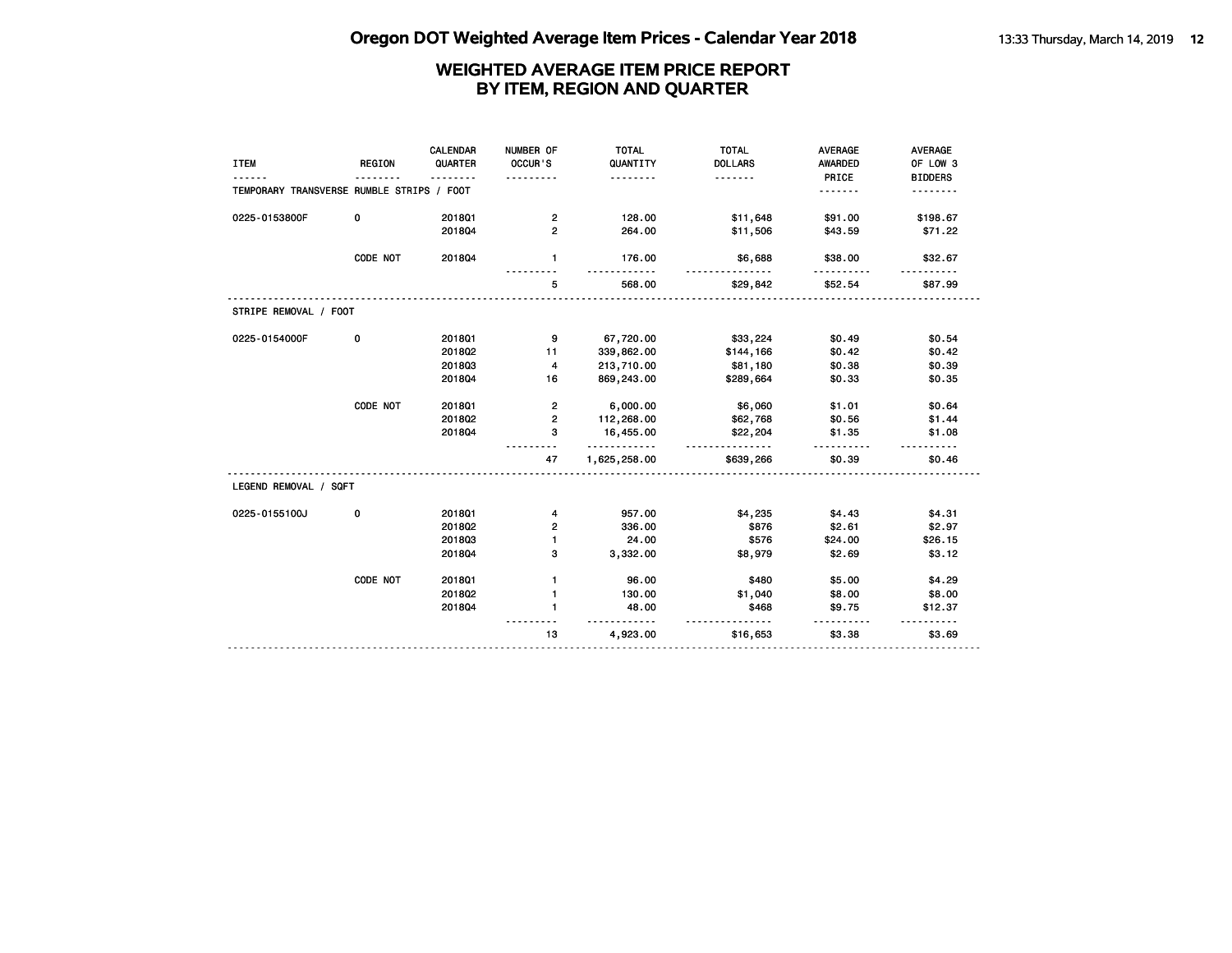| <b>ITEM</b>                               | <b>REGION</b> | CALENDAR<br>QUARTER | NUMBER OF<br>OCCUR'S    | <b>TOTAL</b><br>QUANTITY<br>. | <b>TOTAL</b><br><b>DOLLARS</b><br><u>.</u> | <b>AVERAGE</b><br>AWARDED<br>PRICE | <b>AVERAGE</b><br>OF LOW 3<br><b>BIDDERS</b> |
|-------------------------------------------|---------------|---------------------|-------------------------|-------------------------------|--------------------------------------------|------------------------------------|----------------------------------------------|
| TEMPORARY TRANSVERSE RUMBLE STRIPS / FOOT |               |                     |                         |                               |                                            | .                                  |                                              |
| 0225-0153800F                             | 0             | 201801              | $\overline{2}$          | 128.00                        | \$11,648                                   | \$91.00                            | \$198.67                                     |
|                                           |               | 201804              | $\overline{2}$          | 264.00                        | \$11,506                                   | \$43.59                            | \$71.22                                      |
|                                           | CODE NOT      | 201804              | $\mathbf{1}$            | 176.00                        | \$6,688<br>--------                        | \$38.00                            | \$32.67                                      |
|                                           |               |                     | 5                       | 568.00                        | \$29,842                                   | \$52.54                            | \$87.99                                      |
| STRIPE REMOVAL / FOOT                     |               |                     |                         |                               |                                            |                                    |                                              |
| 0225-0154000F                             | 0             | 2018Q1              | g,                      | 67,720.00                     | \$33,224                                   | \$0.49                             | \$0.54                                       |
|                                           |               | 2018Q2              | 11                      | 339,862.00                    | \$144,166                                  | \$0.42                             | \$0.42                                       |
|                                           |               | 201803              | 4                       | 213,710.00                    | \$81,180                                   | \$0.38                             | \$0.39                                       |
|                                           |               | 201804              | 16                      | 869,243.00                    | \$289,664                                  | \$0.33                             | \$0.35                                       |
|                                           | CODE NOT      | 201801              | $\overline{\mathbf{c}}$ | 6,000.00                      | \$6,060                                    | \$1.01                             | \$0.64                                       |
|                                           |               | 2018Q2              | $\overline{2}$          | 112,268.00                    | \$62,768                                   | \$0.56                             | \$1.44                                       |
|                                           |               | 201804              | з                       | 16,455.00<br><u>.</u>         | \$22,204<br><u>.</u>                       | \$1.35                             | \$1.08                                       |
|                                           |               |                     | 47                      | 1,625,258.00                  | \$639,266                                  | \$0.39                             | \$0.46                                       |
| LEGEND REMOVAL / SQFT                     |               |                     |                         |                               |                                            |                                    |                                              |
| 0225-0155100J                             | 0             | 2018Q1              | 4                       | 957.00                        | \$4,235                                    | \$4.43                             | \$4.31                                       |
|                                           |               | 201802              | 2                       | 336.00                        | \$876                                      | \$2.61                             | \$2.97                                       |
|                                           |               | 201803              | $\mathbf{1}$            | 24.00                         | \$576                                      | \$24.00                            | \$26.15                                      |
|                                           |               | 201804              | 3                       | 3,332.00                      | \$8,979                                    | \$2.69                             | \$3.12                                       |
|                                           | CODE NOT      | 201801              | $\mathbf{1}$            | 96.00                         | \$480                                      | \$5.00                             | \$4.29                                       |
|                                           |               | 2018Q2              | $\mathbf{1}$            | 130.00                        | \$1,040                                    | \$8.00                             | \$8.00                                       |
|                                           |               | 201804              | 1                       | 48.00                         | \$468                                      | \$9.75                             | \$12.37                                      |
|                                           |               |                     | 13                      | 4,923.00                      | \$16,653                                   | \$3.38                             | \$3.69                                       |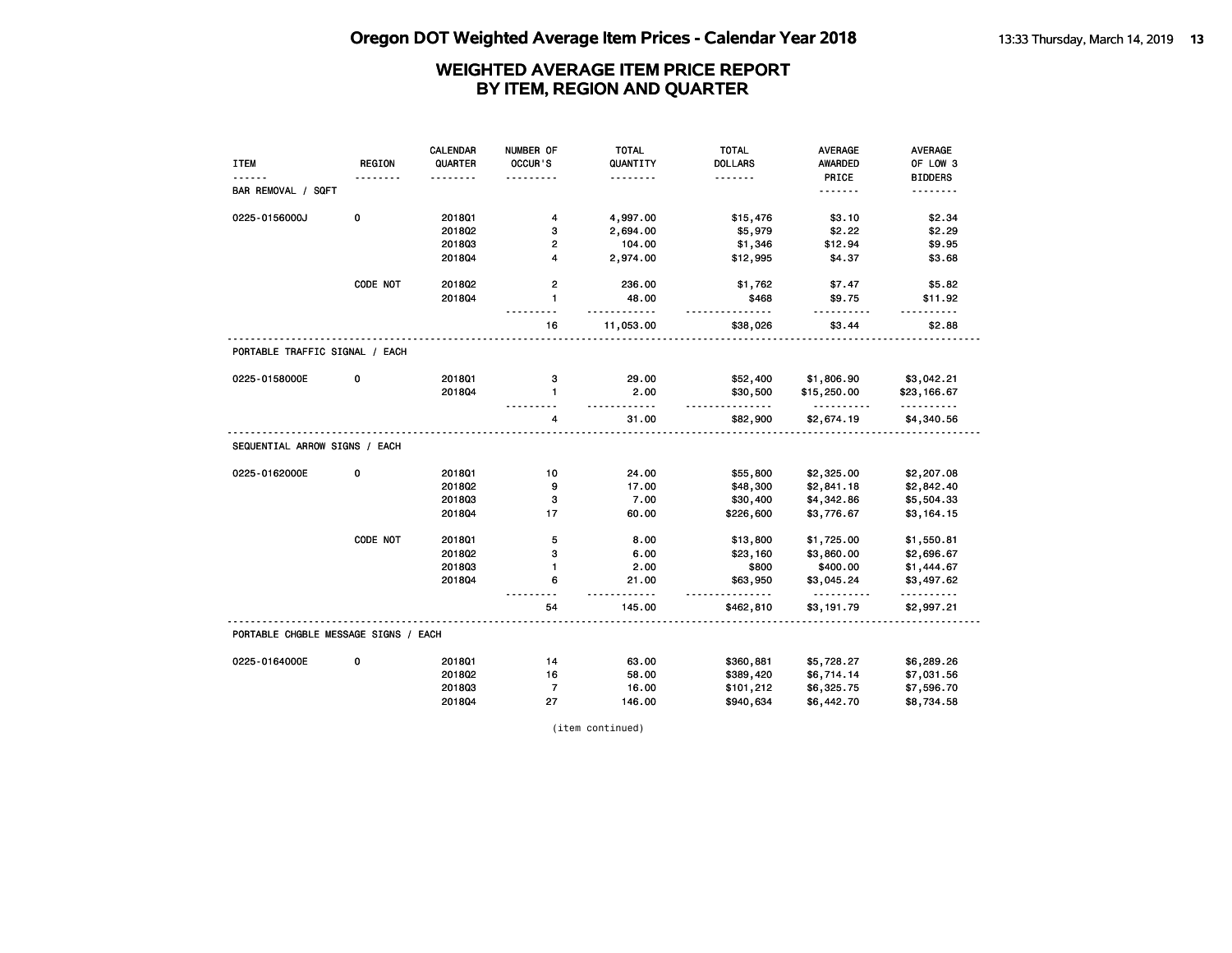|                                      |               | CALENDAR | NUMBER OF               | <b>TOTAL</b>      | <b>TOTAL</b>   | <b>AVERAGE</b>         | <b>AVERAGE</b>         |
|--------------------------------------|---------------|----------|-------------------------|-------------------|----------------|------------------------|------------------------|
| <b>ITEM</b>                          | <b>REGION</b> | QUARTER  | OCCUR'S                 | QUANTITY          | <b>DOLLARS</b> | <b>AWARDED</b>         | OF LOW 3               |
|                                      |               |          |                         | - - - - - - - -   | <u>.</u>       | PRICE                  | <b>BIDDERS</b>         |
| BAR REMOVAL / SQFT                   |               |          |                         |                   |                | <u>.</u>               | <u>.</u>               |
| 0225-0156000J                        | 0             | 2018Q1   | 4                       | 4,997.00          | \$15,476       | \$3.10                 | \$2.34                 |
|                                      |               | 201802   | з                       | 2,694.00          | \$5,979        | \$2.22                 | \$2.29                 |
|                                      |               | 201803   | $\mathbf{2}$            | 104.00            | \$1,346        | \$12.94                | \$9.95                 |
|                                      |               | 2018Q4   | $\overline{\mathbf{4}}$ | 2,974.00          | \$12,995       | \$4.37                 | \$3.68                 |
|                                      | CODE NOT      | 2018Q2   | $\mathbf{2}$            | 236.00            | \$1,762        | \$7.47                 | \$5.82                 |
|                                      |               | 201804   | $\mathbf{1}$            | 48.00<br>.        | \$468          | \$9.75<br>.            | \$11.92                |
|                                      |               |          | 16                      | 11,053.00         | \$38,026       | \$3.44                 | \$2.88                 |
| PORTABLE TRAFFIC SIGNAL / EACH       |               |          |                         |                   |                |                        |                        |
| 0225-0158000E                        | 0             | 2018Q1   | з                       | 29.00             | \$52,400       | \$1,806.90             | \$3,042.21             |
|                                      |               | 201804   | $\mathbf{1}$            | 2.00              | \$30,500       | \$15,250.00            | \$23,166.67            |
|                                      |               |          | 4                       | <u>.</u><br>31.00 | .<br>\$82,900  | <u>.</u><br>\$2,674.19 | <u>.</u><br>\$4,340.56 |
| SEQUENTIAL ARROW SIGNS / EACH        |               |          |                         |                   |                |                        |                        |
| 0225-0162000E                        | 0             | 201801   | 10                      | 24.00             | \$55,800       | \$2,325.00             | \$2,207.08             |
|                                      |               | 201802   | 9                       | 17.00             | \$48,300       | \$2,841.18             | \$2,842.40             |
|                                      |               | 201803   | 3                       | 7.00              | \$30,400       | \$4,342.86             | \$5,504.33             |
|                                      |               | 2018Q4   | 17                      | 60.00             | \$226,600      | \$3,776.67             | \$3,164.15             |
|                                      | CODE NOT      | 2018Q1   | 5                       | 8.00              | \$13,800       | \$1,725.00             | \$1,550.81             |
|                                      |               | 2018Q2   | 3                       | 6.00              | \$23,160       | \$3,860.00             | \$2,696.67             |
|                                      |               | 201803   | $\mathbf{1}$            | 2.00              | \$800          | \$400.00               | \$1,444.67             |
|                                      |               | 201804   | 6                       | 21.00<br>.        | \$63,950       | \$3,045.24<br><u>.</u> | \$3,497.62<br>.        |
|                                      |               |          | 54                      | 145.00            | \$462,810      | \$3,191.79             | \$2,997.21             |
| PORTABLE CHGBLE MESSAGE SIGNS / EACH |               |          |                         |                   |                |                        |                        |
| 0225-0164000E                        | 0             | 2018Q1   | 14                      | 63.00             | \$360,881      | \$5,728.27             | \$6,289.26             |
|                                      |               | 2018Q2   | 16                      | 58.00             | \$389,420      | \$6,714.14             | \$7,031.56             |
|                                      |               | 201803   | $\overline{7}$          | 16.00             | \$101,212      | \$6,325.75             | \$7,596.70             |
|                                      |               | 201804   | 27                      | 146.00            | \$940,634      | \$6,442.70             | \$8,734.58             |

(item continued)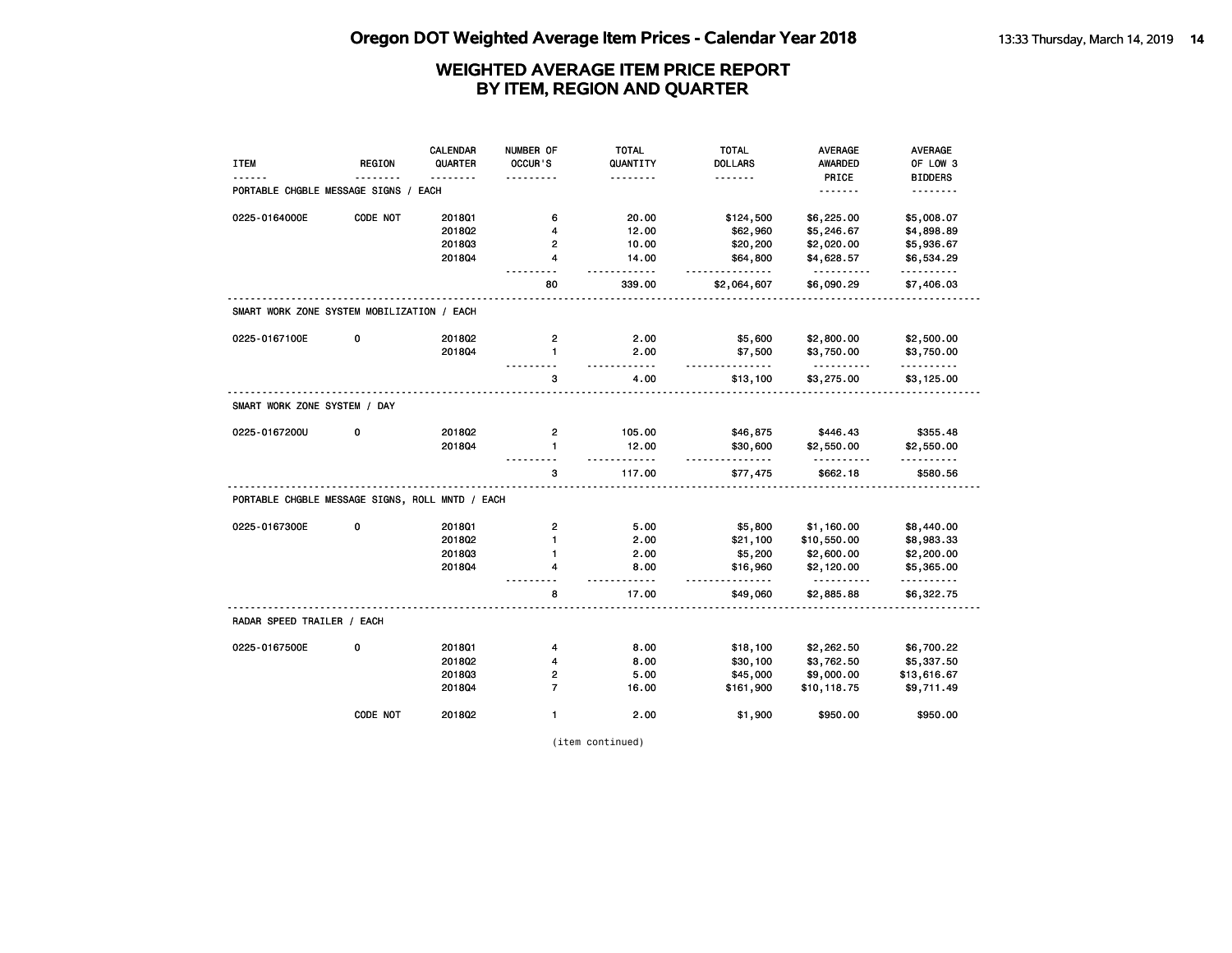|                                                 |               | <b>CALENDAR</b> | NUMBER OF               | <b>TOTAL</b>      | <b>TOTAL</b>        | <b>AVERAGE</b>          | AVERAGE                    |
|-------------------------------------------------|---------------|-----------------|-------------------------|-------------------|---------------------|-------------------------|----------------------------|
| <b>ITEM</b>                                     | <b>REGION</b> | QUARTER         | OCCUR'S                 | QUANTITY<br>.     | <b>DOLLARS</b><br>. | <b>AWARDED</b><br>PRICE | OF LOW 3<br><b>BIDDERS</b> |
| PORTABLE CHGBLE MESSAGE SIGNS /                 |               | EACH            |                         |                   |                     | .                       | .                          |
| 0225-0164000E                                   | CODE NOT      | 201801          | 6                       | 20.00             | \$124,500           | \$6,225.00              | \$5,008.07                 |
|                                                 |               | 2018Q2          | 4                       | 12.00             | \$62,960            | \$5,246.67              | \$4,898.89                 |
|                                                 |               | 201803          | 2                       | 10.00             | \$20,200            | \$2,020.00              | \$5,936.67                 |
|                                                 |               | 201804          | 4                       | 14.00<br>.        | \$64,800<br>.       | \$4,628.57<br><u>.</u>  | \$6,534.29<br>.            |
|                                                 |               |                 | 80                      | 339.00            | \$2,064,607         | \$6,090.29              | \$7,406.03                 |
| SMART WORK ZONE SYSTEM MOBILIZATION / EACH      |               |                 |                         |                   |                     |                         |                            |
| 0225-0167100E                                   | 0             | 2018Q2          | $\overline{\mathbf{c}}$ | 2.00              | \$5,600             | \$2,800.00              | \$2,500.00                 |
|                                                 |               | 201804          | $\mathbf{1}$            | 2.00              | \$7,500             | \$3,750.00              | \$3,750.00                 |
|                                                 |               |                 | 3                       | $- - - -$<br>4.00 | .<br>\$13,100       | .<br>\$3,275.00         | .<br>\$3,125.00            |
| SMART WORK ZONE SYSTEM / DAY                    |               |                 |                         |                   |                     |                         |                            |
| 0225-0167200U                                   | 0             | 2018Q2          | $\overline{2}$          | 105.00            | \$46,875            | \$446.43                | \$355.48                   |
|                                                 |               | 201804          | $\mathbf{1}$            | 12.00             | \$30,600<br>.       | \$2,550.00              | \$2,550.00                 |
|                                                 |               |                 | 3                       | 117.00            | \$77,475            | \$662.18                | \$580.56                   |
| PORTABLE CHGBLE MESSAGE SIGNS, ROLL MNTD / EACH |               |                 |                         |                   |                     |                         |                            |
| 0225-0167300E                                   | 0             | 201801          | $\overline{\mathbf{c}}$ | 5.00              | \$5,800             | \$1,160.00              | \$8,440.00                 |
|                                                 |               | 2018Q2          | $\mathbf{1}$            | 2.00              | \$21,100            | \$10,550.00             | \$8,983.33                 |
|                                                 |               | 201803          | $\mathbf{1}$            | 2.00              | \$5,200             | \$2,600.00              | \$2,200.00                 |
|                                                 |               | 2018Q4          | 4                       | 8.00<br>$- - -$   | \$16,960<br>$- - -$ | \$2,120.00<br><u>.</u>  | \$5,365.00<br>.            |
|                                                 |               |                 | 8                       | 17.00             | \$49,060            | \$2,885.88              | \$6,322.75                 |
| RADAR SPEED TRAILER / EACH                      |               |                 |                         |                   |                     |                         |                            |
| 0225-0167500E                                   | 0             | 201801          | 4                       | 8.00              | \$18,100            | \$2,262.50              | \$6,700.22                 |
|                                                 |               | 2018Q2          | 4                       | 8.00              | \$30,100            | \$3,762.50              | \$5,337.50                 |
|                                                 |               | 201803          | $\overline{2}$          | 5.00              | \$45,000            | \$9,000.00              | \$13,616.67                |
|                                                 |               | 2018Q4          | $\overline{7}$          | 16.00             | \$161,900           | \$10,118.75             | \$9,711.49                 |
|                                                 | CODE NOT      | 2018Q2          | $\mathbf{1}$            | 2.00              | \$1,900             | \$950.00                | \$950.00                   |

(item continued)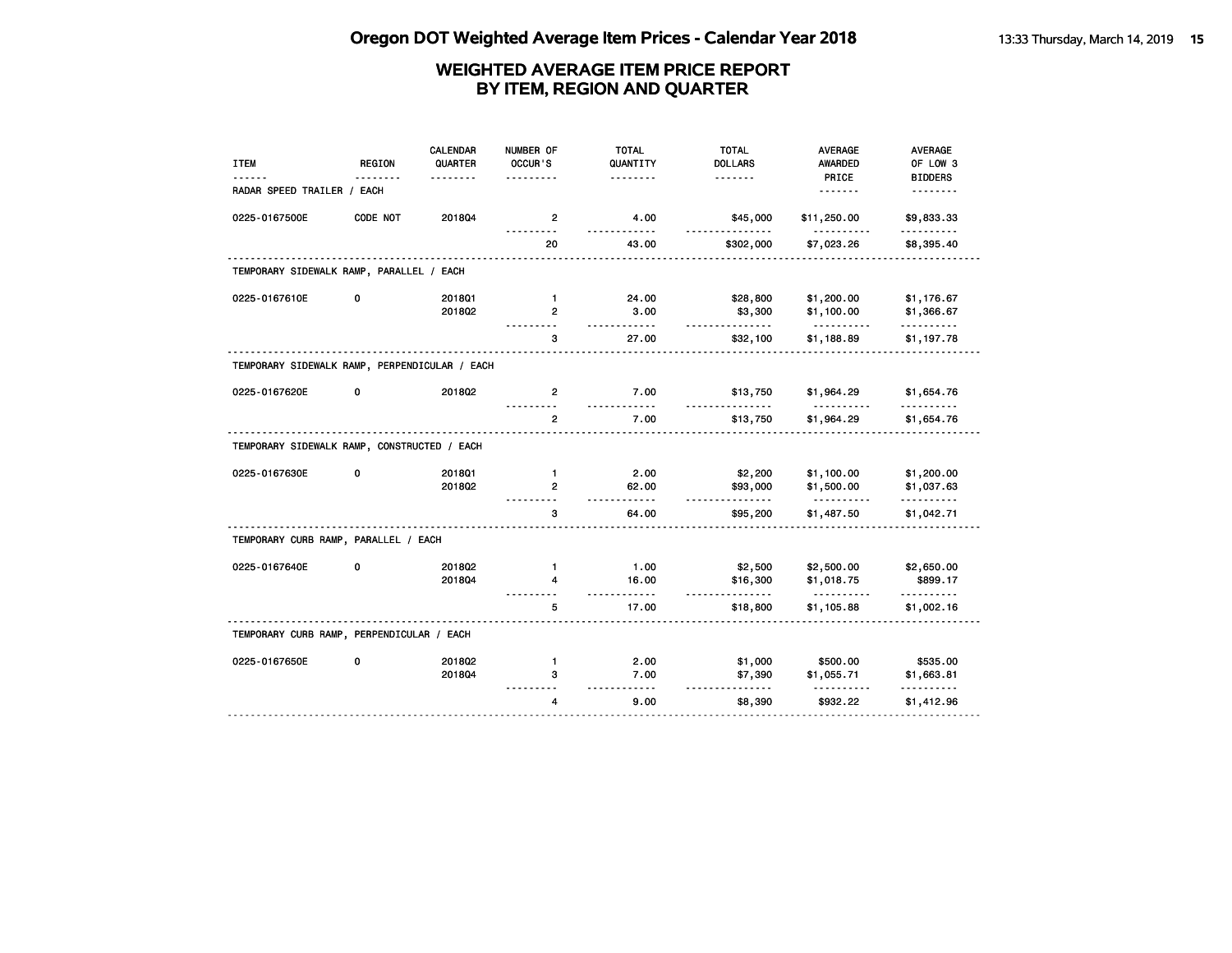| <b>ITEM</b>                                   | <b>REGION</b> | <b>CALENDAR</b><br>QUARTER | NUMBER OF<br>OCCUR'S | <b>TOTAL</b><br>QUANTITY | <b>TOTAL</b><br><b>DOLLARS</b> | <b>AVERAGE</b><br><b>AWARDED</b> | AVERAGE<br>OF LOW 3    |
|-----------------------------------------------|---------------|----------------------------|----------------------|--------------------------|--------------------------------|----------------------------------|------------------------|
|                                               |               |                            |                      | .                        | <u>.</u>                       | PRICE                            | <b>BIDDERS</b>         |
| RADAR SPEED TRAILER / EACH                    |               |                            |                      |                          |                                | <u>.</u>                         | <u>.</u>               |
| 0225-0167500E                                 | CODE NOT      | 201804                     | $\overline{2}$       | 4.00                     | \$45,000                       | \$11,250.00                      | \$9,833.33<br>.        |
|                                               |               |                            | 20                   | 43.00                    | \$302,000                      | \$7,023.26                       | \$8,395.40             |
| TEMPORARY SIDEWALK RAMP, PARALLEL / EACH      |               |                            |                      |                          |                                |                                  |                        |
| 0225-0167610E                                 | 0             | 201801                     | $\mathbf{1}$         | 24.00                    | \$28,800                       | \$1,200.00                       | \$1,176.67             |
|                                               |               | 2018Q2                     | $\overline{2}$       | 3.00                     | \$3,300                        | \$1,100.00                       | \$1,366.67             |
|                                               |               |                            | 3                    | .<br>27.00               | <u>.</u><br>\$32,100           | .<br>\$1,188.89                  | .<br>\$1,197.78        |
| TEMPORARY SIDEWALK RAMP, PERPENDICULAR / EACH |               |                            |                      |                          |                                |                                  |                        |
| 0225-0167620E                                 | 0             | 2018Q2                     | $\overline{2}$       | 7.00<br>$- - - - - -$    | \$13,750                       | \$1,964.29                       | \$1,654.76             |
|                                               |               |                            | $\overline{2}$       | 7.00                     | \$13,750                       | \$1,964.29                       | \$1,654.76             |
| TEMPORARY SIDEWALK RAMP, CONSTRUCTED / EACH   |               |                            |                      |                          |                                |                                  |                        |
| 0225-0167630E                                 | 0             | 2018Q1                     | $\mathbf{1}$         | 2.00                     | \$2,200                        | \$1,100.00                       | \$1,200.00             |
|                                               |               | 201802                     | $\overline{2}$       | 62.00                    | \$93,000                       | \$1,500.00                       | \$1,037.63             |
|                                               |               |                            | 3                    | .<br>64.00               | <u>.</u><br>\$95,200           | <u>.</u><br>\$1,487.50           | .<br>\$1,042.71        |
| TEMPORARY CURB RAMP, PARALLEL / EACH          |               |                            |                      |                          |                                |                                  |                        |
| 0225-0167640E                                 | 0             | 201802                     | $\mathbf{1}$         | 1.00                     | \$2,500                        | \$2,500.00                       | \$2,650.00             |
|                                               |               | 201804                     | 4                    | 16.00                    | \$16,300                       | \$1,018.75                       | \$899.17               |
|                                               |               |                            | 5                    | 17.00                    | <u>.</u><br>\$18,800           | \$1,105.88                       | <u>.</u><br>\$1,002.16 |
| TEMPORARY CURB RAMP, PERPENDICULAR / EACH     |               |                            |                      |                          |                                |                                  |                        |
| 0225-0167650E                                 | 0             | 2018Q2                     | $\mathbf{1}$         | 2.00                     | \$1,000                        | \$500.00                         | \$535.00               |
|                                               |               | 201804                     | з                    | 7.00                     | \$7,390                        | \$1,055.71                       | \$1,663.81             |
|                                               |               |                            | 4                    | $- - -$<br>9.00          | \$8,390                        | \$932.22                         | \$1,412.96             |
|                                               |               |                            |                      |                          |                                |                                  |                        |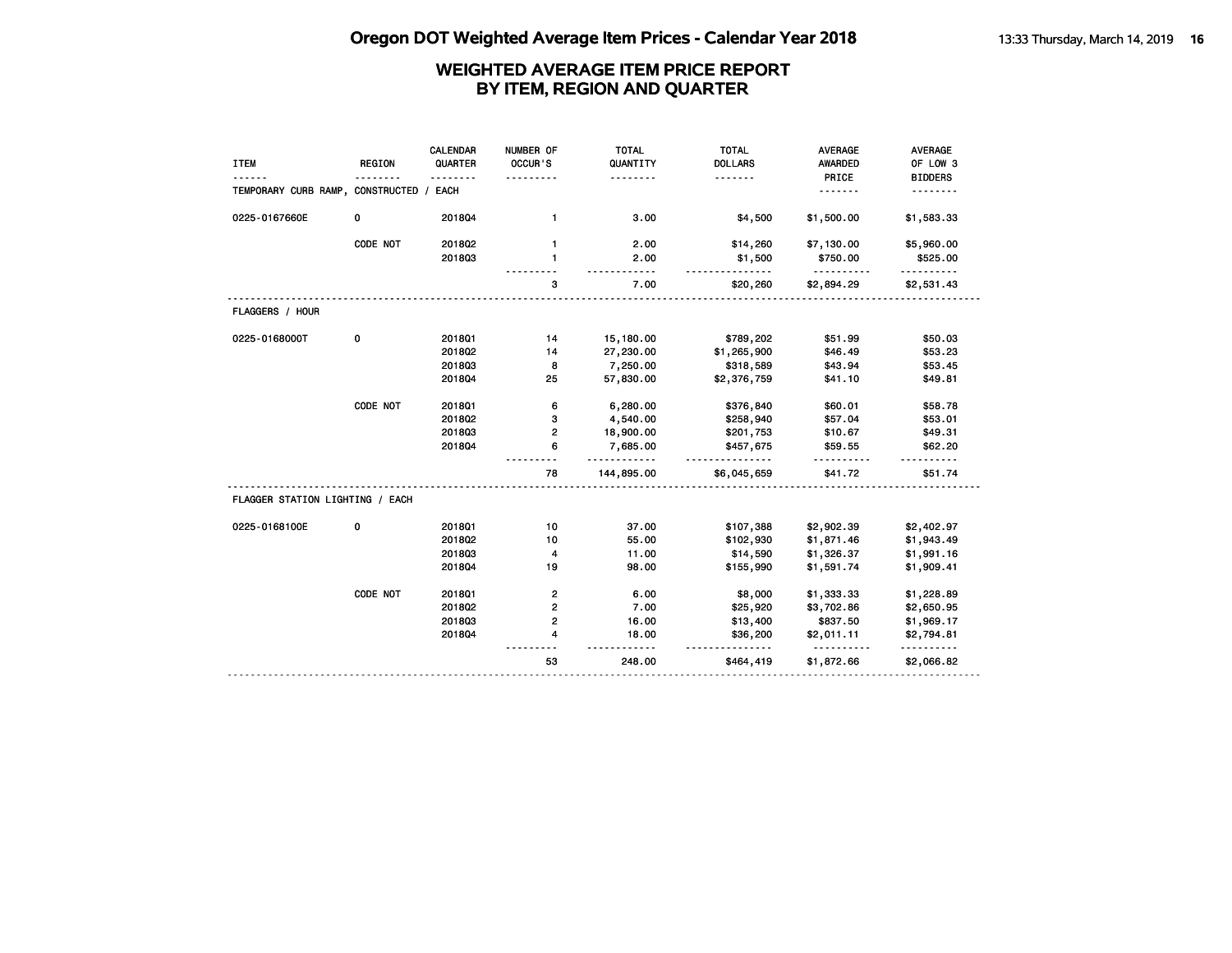| <b>ITEM</b>                        | <b>REGION</b> | CALENDAR<br>QUARTER<br>. | NUMBER OF<br>OCCUR'S    | <b>TOTAL</b><br>QUANTITY<br>. | <b>TOTAL</b><br><b>DOLLARS</b><br><u>.</u> | <b>AVERAGE</b><br><b>AWARDED</b><br>PRICE | <b>AVERAGE</b><br>OF LOW 3<br><b>BIDDERS</b> |
|------------------------------------|---------------|--------------------------|-------------------------|-------------------------------|--------------------------------------------|-------------------------------------------|----------------------------------------------|
| TEMPORARY CURB RAMP, CONSTRUCTED / |               | EACH                     |                         |                               |                                            | <u>.</u>                                  | .                                            |
| 0225-0167660E                      | 0             | 201804                   | $\mathbf{1}$            | 3.00                          | \$4,500                                    | \$1,500.00                                | \$1,583.33                                   |
|                                    | CODE NOT      | 201802                   | $\mathbf{1}$            | 2.00                          | \$14,260                                   | \$7,130.00                                | \$5,960.00                                   |
|                                    |               | 201803                   | $\mathbf{1}$            | 2.00<br>-----                 | \$1,500                                    | \$750.00<br>.                             | \$525.00<br>.                                |
|                                    |               |                          | 3                       | 7.00                          | \$20,260                                   | \$2,894.29                                | \$2,531.43                                   |
| FLAGGERS / HOUR                    |               |                          |                         |                               |                                            |                                           |                                              |
| 0225-0168000T                      | 0             | 2018Q1                   | 14                      | 15,180.00                     | \$789,202                                  | \$51.99                                   | \$50.03                                      |
|                                    |               | 2018Q2                   | 14                      | 27,230.00                     | \$1,265,900                                | \$46.49                                   | \$53.23                                      |
|                                    |               | 201803                   | 8                       | 7,250.00                      | \$318,589                                  | \$43.94                                   | \$53.45                                      |
|                                    |               | 201804                   | 25                      | 57,830.00                     | \$2,376,759                                | \$41.10                                   | \$49.81                                      |
|                                    | CODE NOT      | 2018Q1                   | 6                       | 6,280.00                      | \$376,840                                  | \$60.01                                   | \$58.78                                      |
|                                    |               | 2018Q2                   | з                       | 4,540.00                      | \$258,940                                  | \$57.04                                   | \$53.01                                      |
|                                    |               | 201803                   | 2                       | 18,900.00                     | \$201,753                                  | \$10.67                                   | \$49.31                                      |
|                                    |               | 201804                   | 6                       | 7,685.00                      | \$457,675                                  | \$59.55                                   | \$62.20                                      |
|                                    |               |                          | 78                      | <u>.</u><br>144,895.00        | .<br>\$6,045,659                           | .<br>\$41.72                              | \$51.74                                      |
| FLAGGER STATION LIGHTING / EACH    |               |                          |                         |                               |                                            |                                           |                                              |
| 0225-0168100E                      | 0             | 2018Q1                   | 10                      | 37.00                         | \$107,388                                  | \$2,902.39                                | \$2,402.97                                   |
|                                    |               | 2018Q2                   | 10                      | 55.00                         | \$102,930                                  | \$1,871.46                                | \$1,943.49                                   |
|                                    |               | 201803                   | 4                       | 11.00                         | \$14,590                                   | \$1,326.37                                | \$1,991.16                                   |
|                                    |               | 201804                   | 19                      | 98.00                         | \$155,990                                  | \$1,591.74                                | \$1,909.41                                   |
|                                    | CODE NOT      | 2018Q1                   | $\overline{\mathbf{c}}$ | 6.00                          | \$8,000                                    | \$1,333.33                                | \$1,228.89                                   |
|                                    |               | 2018Q2                   | 2                       | 7.00                          | \$25,920                                   | \$3,702.86                                | \$2,650.95                                   |
|                                    |               | 201803                   | 2                       | 16.00                         | \$13,400                                   | \$837.50                                  | \$1,969.17                                   |
|                                    |               | 201804                   | 4                       | 18.00                         | \$36,200                                   | \$2,011.11                                | \$2,794.81                                   |
|                                    |               |                          | 53                      | 248.00                        | <u>.</u><br>\$464,419                      | \$1,872.66                                | .<br>\$2,066.82                              |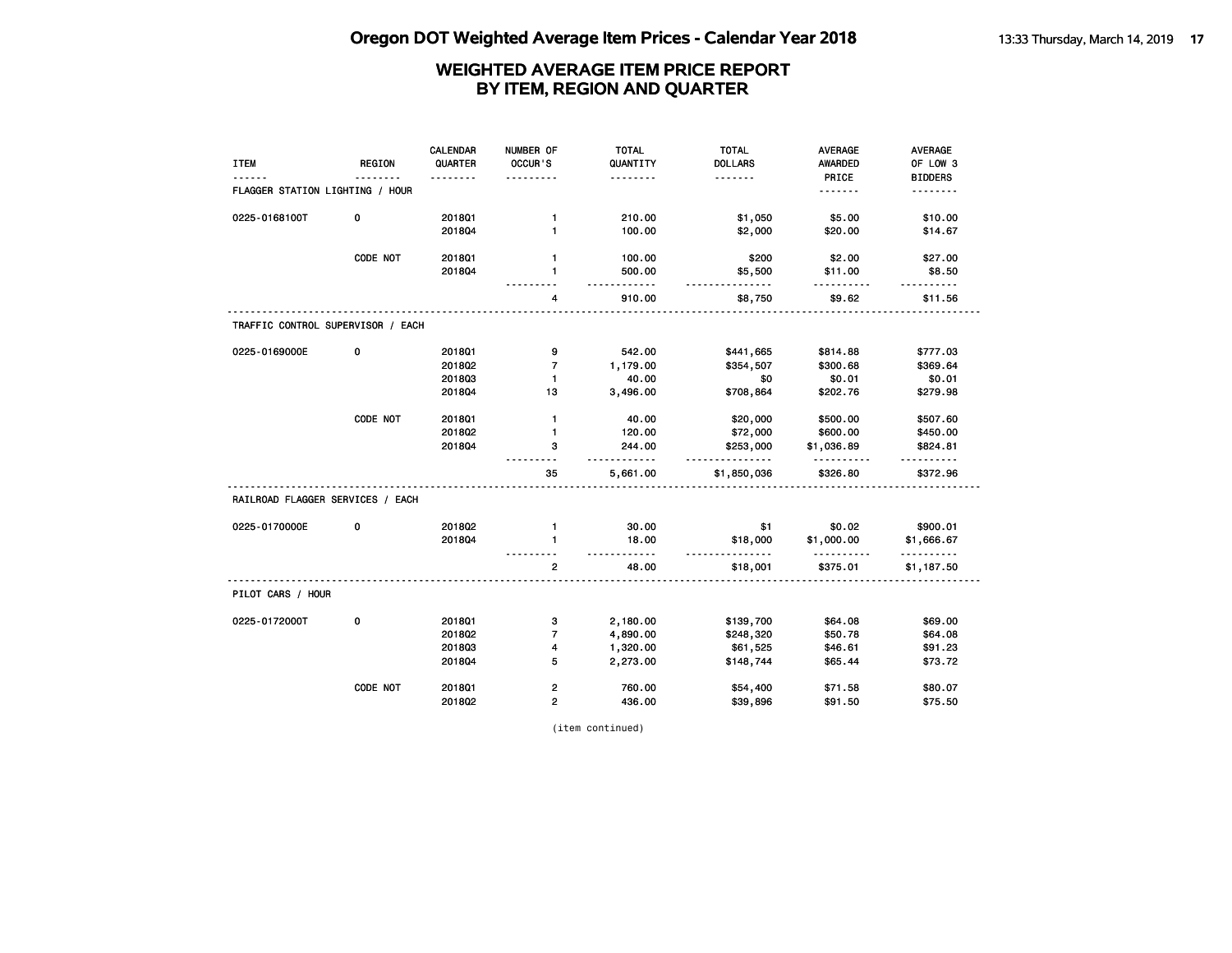|                                   |               | CALENDAR | NUMBER OF               | <b>TOTAL</b>      | <b>TOTAL</b>                              | <b>AVERAGE</b>  | <b>AVERAGE</b>       |
|-----------------------------------|---------------|----------|-------------------------|-------------------|-------------------------------------------|-----------------|----------------------|
| <b>ITEM</b>                       | <b>REGION</b> | QUARTER  | OCCUR'S                 | QUANTITY          | <b>DOLLARS</b>                            | <b>AWARDED</b>  | OF LOW 3             |
|                                   |               | -------- |                         | <u>.</u>          | .                                         | PRICE           | <b>BIDDERS</b>       |
| FLAGGER STATION LIGHTING / HOUR   |               |          |                         |                   |                                           |                 | <u>.</u>             |
| 0225-0168100T                     | 0             | 201801   | $\mathbf{1}$            | 210.00            | \$1,050                                   | \$5.00          | \$10.00              |
|                                   |               | 201804   | $\mathbf{1}$            | 100.00            | \$2,000                                   | \$20.00         | \$14.67              |
|                                   | CODE NOT      | 2018Q1   | $\mathbf{1}$            | 100.00            | \$200                                     | \$2.00          | \$27.00              |
|                                   |               | 201804   | 1                       | 500.00<br>- - - - | \$5,500<br><u>.</u>                       | \$11.00         | \$8.50               |
|                                   |               |          | 4                       | 910.00            | \$8,750                                   | \$9.62          | \$11.56              |
| TRAFFIC CONTROL SUPERVISOR / EACH |               |          |                         |                   |                                           |                 |                      |
| 0225-0169000E                     | 0             | 2018Q1   | 9                       | 542.00            | \$441,665                                 | \$814.88        | \$777.03             |
|                                   |               | 2018Q2   | $\overline{7}$          | 1,179.00          | \$354,507                                 | \$300.68        | \$369.64             |
|                                   |               | 201803   | $\mathbf{1}$            | 40.00             | \$0                                       | \$0.01          | \$0.01               |
|                                   |               | 2018Q4   | 13                      | 3,496.00          | \$708,864                                 | \$202.76        | \$279.98             |
|                                   | CODE NOT      | 201801   | $\mathbf{1}$            | 40.00             | \$20,000                                  | \$500.00        | \$507.60             |
|                                   |               | 201802   | $\mathbf{1}$            | 120.00            | \$72,000                                  | \$600.00        | \$450.00             |
|                                   |               | 2018Q4   | з                       | 244.00<br>.       | \$253,000<br><u>-----------</u>           | \$1,036.89<br>. | \$824.81<br><u>.</u> |
|                                   |               |          | 35                      | 5,661.00          | \$1,850,036                               | \$326.80        | \$372.96             |
| RAILROAD FLAGGER SERVICES / EACH  |               |          |                         |                   |                                           |                 |                      |
| 0225-0170000E                     | 0             | 2018Q2   | $\mathbf{1}$            | 30.00             | \$1                                       | \$0.02          | \$900.01             |
|                                   |               | 201804   | $\mathbf{1}$            | 18.00<br>.        | \$18,000<br><u> - - - - - - - - - - -</u> | \$1,000.00<br>. | \$1,666.67<br>.      |
|                                   |               |          | $\mathbf{2}$            | 48.00             | \$18,001                                  | \$375.01        | \$1,187.50           |
| PILOT CARS / HOUR                 |               |          |                         |                   |                                           |                 |                      |
| 0225-0172000T                     | 0             | 2018Q1   | 3                       | 2,180.00          | \$139,700                                 | \$64.08         | \$69.00              |
|                                   |               | 2018Q2   | $\overline{7}$          | 4,890.00          | \$248,320                                 | \$50.78         | \$64.08              |
|                                   |               | 201803   | 4                       | 1,320.00          | \$61,525                                  | \$46.61         | \$91.23              |
|                                   |               | 201804   | 5                       | 2,273.00          | \$148,744                                 | \$65.44         | \$73.72              |
|                                   | CODE NOT      | 2018Q1   | $\overline{\mathbf{c}}$ | 760.00            | \$54,400                                  | \$71.58         | \$80.07              |
|                                   |               | 2018Q2   | $\overline{2}$          | 436.00            | \$39,896                                  | \$91.50         | \$75.50              |

(item continued)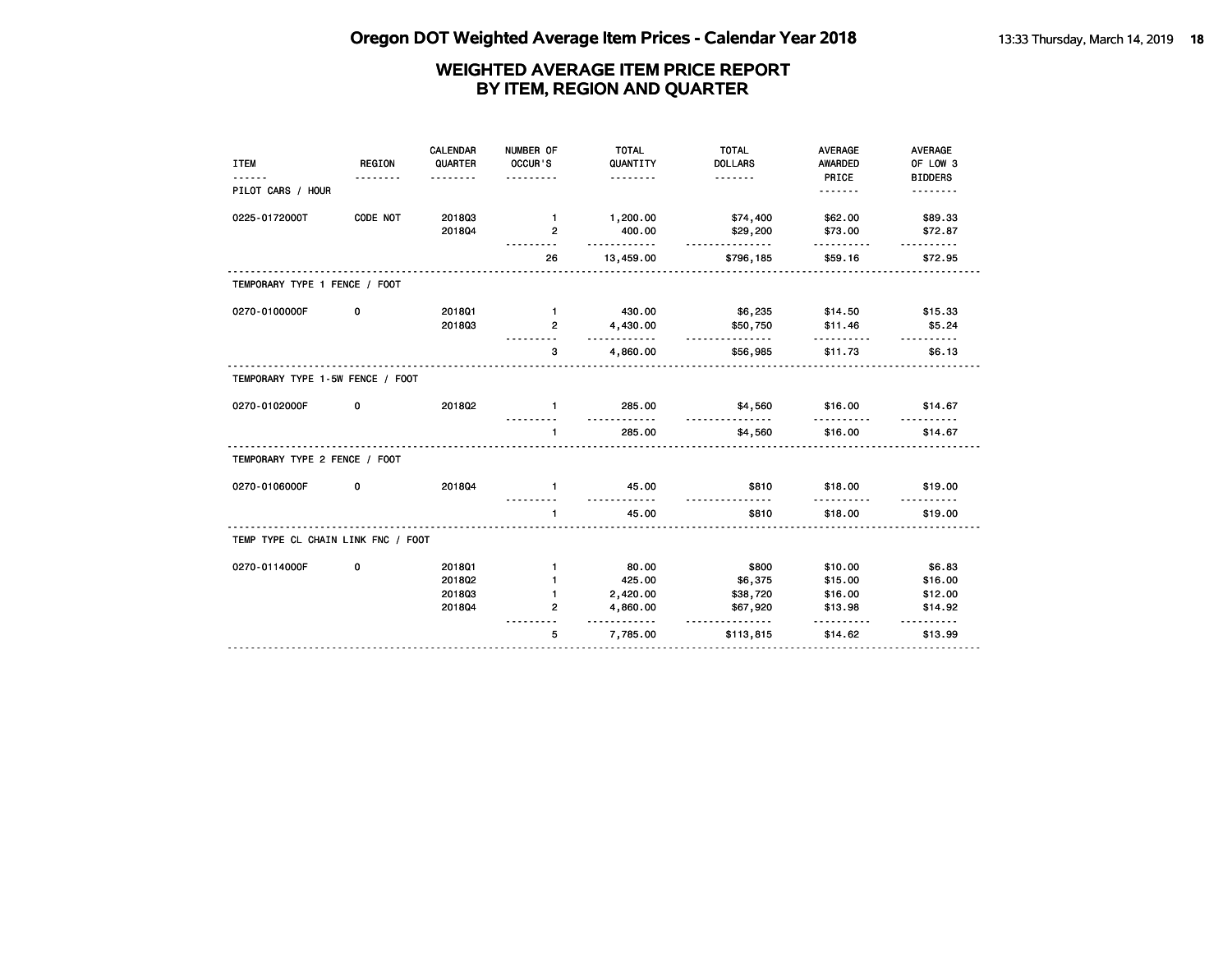| <b>ITEM</b>                        | <b>REGION</b><br>. | CALENDAR<br>QUARTER<br>.             | NUMBER OF<br>OCCUR'S<br>.                                      | <b>TOTAL</b><br>QUANTITY<br><u>.</u>                         | <b>TOTAL</b><br><b>DOLLARS</b><br><u>.</u>    | <b>AVERAGE</b><br><b>AWARDED</b><br>PRICE     | <b>AVERAGE</b><br>OF LOW 3<br><b>BIDDERS</b>        |
|------------------------------------|--------------------|--------------------------------------|----------------------------------------------------------------|--------------------------------------------------------------|-----------------------------------------------|-----------------------------------------------|-----------------------------------------------------|
| PILOT CARS / HOUR                  |                    |                                      |                                                                |                                                              |                                               | <u>.</u>                                      |                                                     |
| 0225-0172000T                      | CODE NOT           | 201803<br>201804                     | $\blacksquare$<br>$\overline{2}$                               | 1,200.00<br>400.00<br><u>.</u>                               | \$74,400<br>\$29,200<br>.                     | \$62.00<br>\$73.00                            | \$89.33<br>\$72.87                                  |
|                                    |                    |                                      | 26                                                             | 13,459.00                                                    | \$796,185                                     | \$59.16                                       | \$72.95                                             |
| TEMPORARY TYPE 1 FENCE / FOOT      |                    |                                      |                                                                |                                                              |                                               |                                               |                                                     |
| 0270-0100000F                      | 0                  | 2018Q1<br>201803                     | $\blacksquare$<br>$\overline{2}$                               | 430.00<br>4,430.00<br>.                                      | \$6,235<br>\$50,750<br>.                      | \$14.50<br>\$11.46                            | \$15.33<br>\$5.24                                   |
|                                    |                    |                                      | 3                                                              | 4,860.00                                                     | \$56,985                                      | \$11.73                                       | \$6.13                                              |
| TEMPORARY TYPE 1-5W FENCE / FOOT   |                    |                                      |                                                                |                                                              |                                               |                                               |                                                     |
| 0270-0102000F                      | 0                  | 201802                               | $\mathbf{1}$                                                   | 285.00<br>.                                                  | \$4,560<br><u>.</u>                           | \$16.00                                       | \$14.67                                             |
|                                    |                    |                                      | $\mathbf{1}$                                                   | 285.00                                                       | \$4,560                                       | \$16.00                                       | \$14.67                                             |
| TEMPORARY TYPE 2 FENCE / FOOT      |                    |                                      |                                                                |                                                              |                                               |                                               |                                                     |
| 0270-0106000F                      | 0                  | 201804                               | $\mathbf{1}$                                                   | 45.00                                                        | \$810<br>.                                    | \$18.00                                       | \$19.00                                             |
|                                    |                    |                                      | $\mathbf{1}$                                                   | 45.00                                                        | \$810                                         | \$18.00                                       | \$19.00                                             |
| TEMP TYPE CL CHAIN LINK FNC / FOOT |                    |                                      |                                                                |                                                              |                                               |                                               |                                                     |
| 0270-0114000F                      | 0                  | 2018Q1<br>2018Q2<br>201803<br>201804 | $\mathbf{1}$<br>$\mathbf{1}$<br>$\mathbf{1}$<br>$\overline{2}$ | 80.00<br>425.00<br>2,420.00<br>4,860.00<br><u>----------</u> | \$800<br>\$6,375<br>\$38,720<br>\$67,920<br>. | \$10.00<br>\$15.00<br>\$16.00<br>\$13.98<br>. | \$6.83<br>\$16.00<br>\$12.00<br>\$14.92<br><u>.</u> |
|                                    |                    |                                      | 5                                                              | 7,785.00                                                     | \$113,815                                     | \$14.62                                       | \$13.99                                             |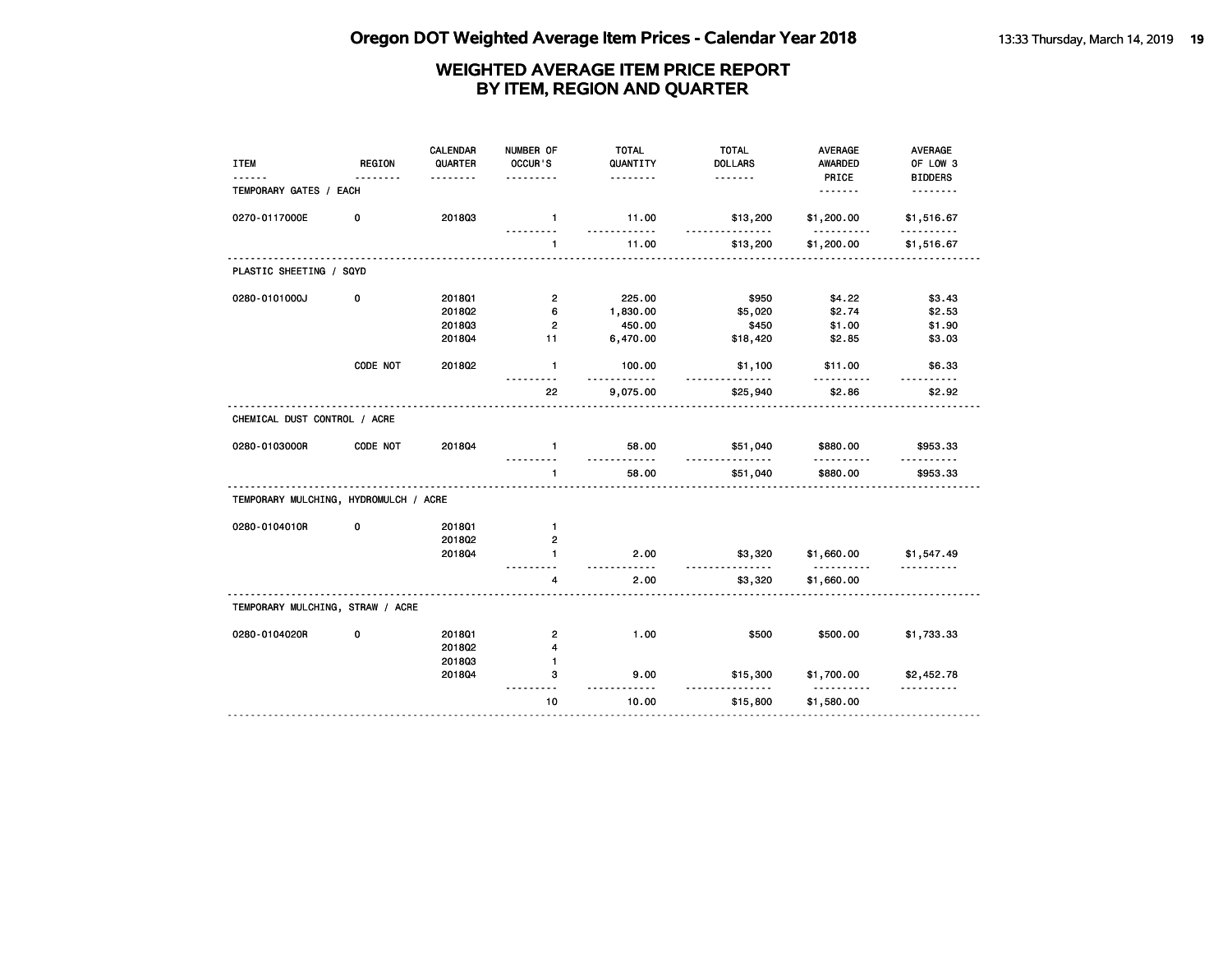| <b>ITEM</b>                           | <b>REGION</b> | <b>CALENDAR</b><br>QUARTER | NUMBER OF<br>OCCUR'S | <b>TOTAL</b><br>QUANTITY | <b>TOTAL</b><br><b>DOLLARS</b> | <b>AVERAGE</b><br><b>AWARDED</b> | AVERAGE<br>OF LOW 3                       |
|---------------------------------------|---------------|----------------------------|----------------------|--------------------------|--------------------------------|----------------------------------|-------------------------------------------|
|                                       | .             | <u>.</u>                   |                      | <u>.</u>                 |                                | PRICE                            | <b>BIDDERS</b>                            |
| TEMPORARY GATES / EACH                |               |                            |                      |                          |                                | <u>.</u>                         | <u>.</u>                                  |
| 0270-0117000E                         | 0             | 201803                     | $\mathbf{1}$         | 11.00<br><u>.</u>        | \$13,200<br>.                  | \$1,200.00<br>.                  | \$1,516.67<br>.                           |
|                                       |               |                            | $\mathbf{1}$         | 11.00                    | \$13,200                       | \$1,200.00                       | \$1,516.67                                |
| PLASTIC SHEETING / SQYD               |               |                            |                      |                          |                                |                                  |                                           |
| 0280-0101000J                         | 0             | 201801                     | $\overline{2}$       | 225.00                   | \$950                          | \$4.22                           | \$3.43                                    |
|                                       |               | 2018Q2                     | 6                    | 1,830.00                 | \$5,020                        | \$2.74                           | \$2.53                                    |
|                                       |               | 201803                     | $\overline{2}$       | 450.00                   | \$450                          | \$1.00                           | \$1.90                                    |
|                                       |               | 201804                     | 11                   | 6,470.00                 | \$18,420                       | \$2.85                           | \$3.03                                    |
|                                       | CODE NOT      | 201802                     | $\mathbf{1}$         | 100.00<br>.              | \$1,100<br>.                   | \$11.00<br>.                     | \$6.33<br>.                               |
|                                       |               |                            | 22                   | 9,075.00                 | \$25,940                       | \$2.86                           | \$2.92                                    |
| CHEMICAL DUST CONTROL / ACRE          |               |                            |                      |                          |                                |                                  |                                           |
| 0280-0103000R                         | CODE NOT      | 201804                     | $\blacksquare$       | 58.00<br>.               | \$51,040<br><u>.</u>           | \$880.00                         | \$953.33                                  |
|                                       |               |                            | $\mathbf{1}$<br>.    | 58.00<br>.               | \$51,040                       | \$880.00                         | \$953.33                                  |
| TEMPORARY MULCHING, HYDROMULCH / ACRE |               |                            |                      |                          |                                |                                  |                                           |
| 0280-0104010R                         | 0             | 201801                     | $\mathbf{1}$         |                          |                                |                                  |                                           |
|                                       |               | 2018Q2                     | $\overline{2}$       |                          |                                |                                  |                                           |
|                                       |               | 2018Q4                     | $\mathbf{1}$         | 2.00<br>-----            | \$3,320<br><u>.</u>            | \$1,660.00<br>.                  | \$1,547.49<br><u> - - - - - - - - - -</u> |
|                                       |               |                            | 4                    | 2.00                     | \$3,320                        | \$1,660.00                       |                                           |
| TEMPORARY MULCHING, STRAW / ACRE      |               |                            |                      |                          |                                |                                  |                                           |
| 0280-0104020R                         | 0             | 201801                     | $\mathbf{2}$         | 1.00                     | \$500                          | \$500.00                         | \$1,733.33                                |
|                                       |               | 2018Q2                     | 4                    |                          |                                |                                  |                                           |
|                                       |               | 201803                     | 1                    |                          |                                |                                  |                                           |
|                                       |               | 2018Q4                     | з                    | 9.00                     | \$15,300                       | \$1,700.00<br>.                  | \$2,452.78<br><u>.</u>                    |
|                                       |               |                            | 10                   | 10.00                    | \$15,800                       | \$1,580.00                       |                                           |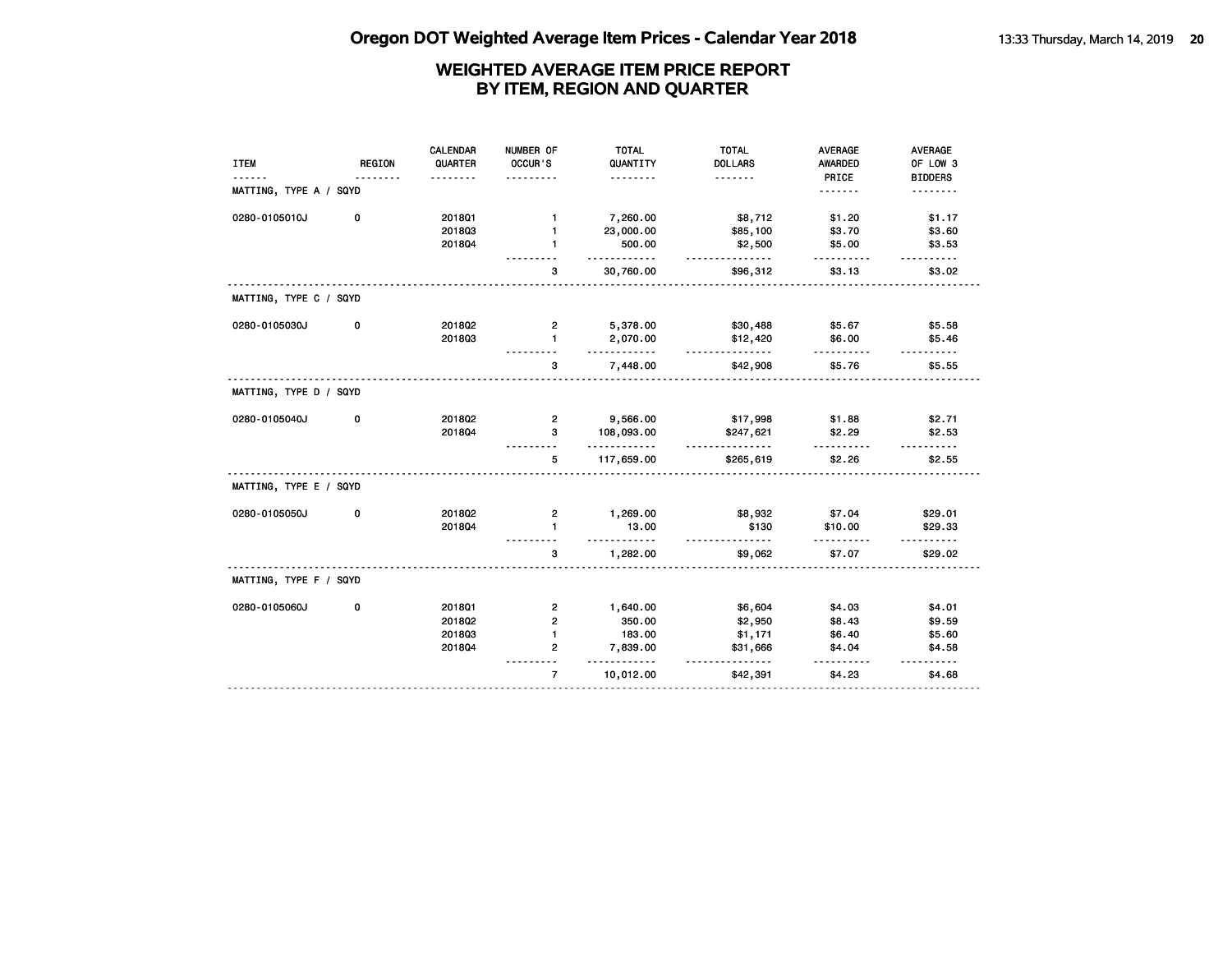| <b>AWARDED</b><br>PRICE<br><u>.</u><br>\$1.20<br>\$3.70 | OF LOW 3<br><b>BIDDERS</b><br>.<br>\$1.17 |
|---------------------------------------------------------|-------------------------------------------|
|                                                         |                                           |
|                                                         |                                           |
|                                                         |                                           |
|                                                         |                                           |
|                                                         | \$3.60                                    |
|                                                         | \$3.53                                    |
| \$3.13                                                  | \$3.02                                    |
|                                                         |                                           |
| \$5.67                                                  | \$5.58                                    |
| \$6.00                                                  | \$5.46<br>.                               |
| \$5.76                                                  | \$5.55                                    |
|                                                         |                                           |
| \$1.88                                                  | \$2.71                                    |
| \$2.29                                                  | \$2.53                                    |
| \$2.26                                                  | \$2.55                                    |
|                                                         |                                           |
| \$7.04                                                  | \$29.01                                   |
| \$10.00                                                 | \$29.33<br>$- - - - - -$                  |
| \$7.07                                                  | \$29.02                                   |
|                                                         |                                           |
| \$4.03                                                  | \$4.01                                    |
| \$8.43                                                  | \$9.59                                    |
| \$6.40                                                  | \$5.60                                    |
| \$4.04                                                  | \$4.58<br>.                               |
| \$4.23                                                  | \$4.68                                    |
|                                                         | \$5.00<br>.                               |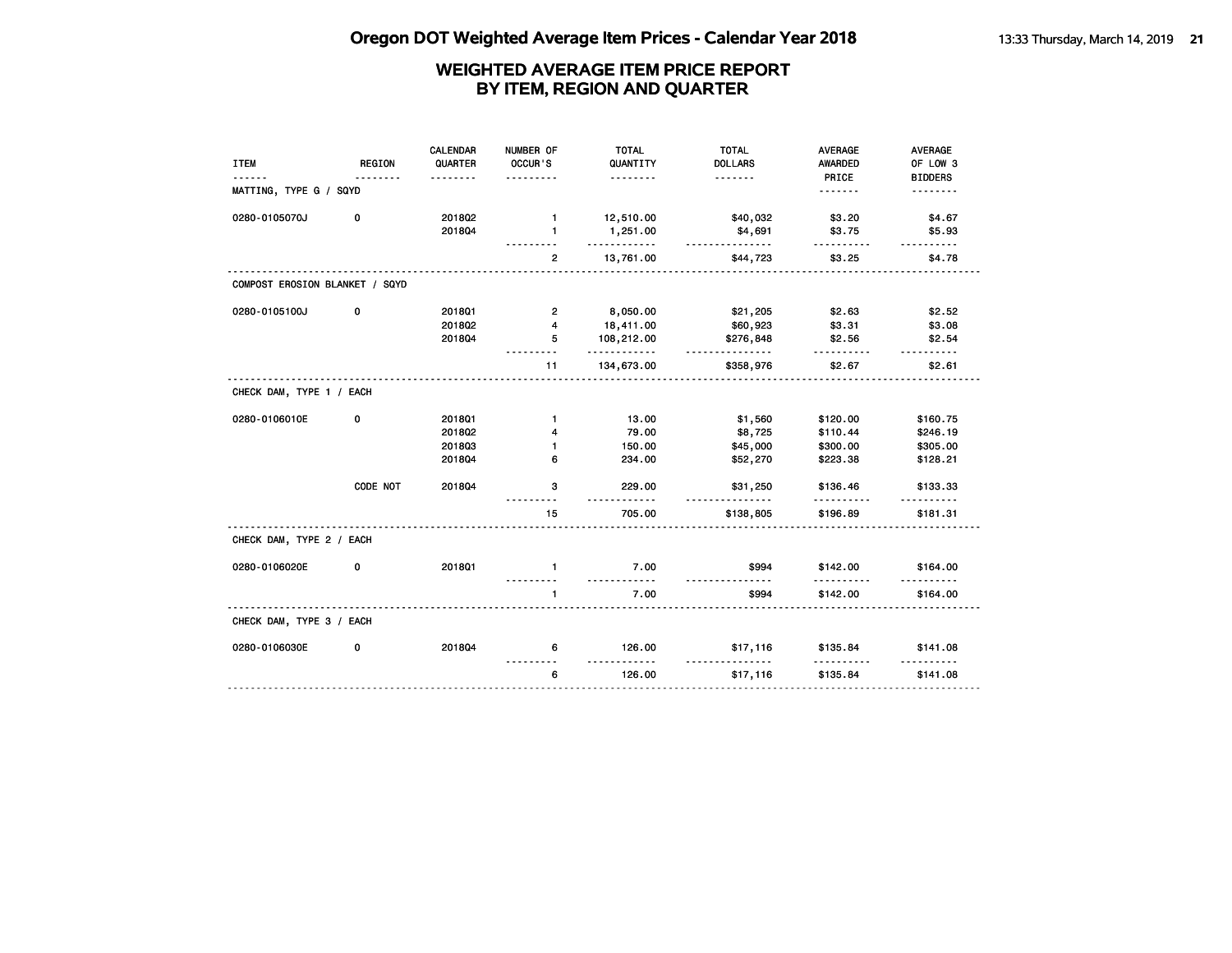| <b>ITEM</b>                    | <b>REGION</b> | CALENDAR<br>QUARTER<br>. | NUMBER OF<br>OCCUR'S<br>.    | <b>TOTAL</b><br>QUANTITY<br>. | <b>TOTAL</b><br><b>DOLLARS</b><br>. | <b>AVERAGE</b><br><b>AWARDED</b><br>PRICE | <b>AVERAGE</b><br>OF LOW 3<br><b>BIDDERS</b> |
|--------------------------------|---------------|--------------------------|------------------------------|-------------------------------|-------------------------------------|-------------------------------------------|----------------------------------------------|
| MATTING, TYPE G / SQYD         |               |                          |                              |                               |                                     | .                                         | .                                            |
| 0280-0105070J                  | 0             | 2018Q2<br>201804         | $\mathbf{1}$<br>$\mathbf{1}$ | 12,510.00<br>1,251.00         | \$40,032<br>\$4,691                 | \$3.20<br>\$3.75                          | \$4.67<br>\$5.93                             |
|                                |               |                          | $\mathbf{2}$                 | <u>.</u><br>13,761.00         | .<br>\$44,723                       | .<br>\$3.25                               | .<br>\$4.78                                  |
| COMPOST EROSION BLANKET / SQYD |               |                          |                              |                               |                                     |                                           |                                              |
| 0280-0105100J                  | 0             | 2018Q1                   | $\overline{2}$               | 8,050.00                      | \$21,205                            | \$2.63                                    | \$2.52                                       |
|                                |               | 201802                   | $\overline{4}$               | 18,411.00                     | \$60,923                            | \$3.31                                    | \$3.08                                       |
|                                |               | 201804                   | 5                            | 108,212.00<br>.               | \$276,848<br>.                      | \$2.56<br>.                               | \$2.54<br>.                                  |
|                                |               |                          | 11                           | 134,673.00                    | \$358,976                           | \$2.67                                    | \$2.61                                       |
| CHECK DAM, TYPE 1 / EACH       |               |                          |                              |                               |                                     |                                           |                                              |
| 0280-0106010E                  | 0             | 2018Q1                   | $\mathbf{1}$                 | 13.00                         | \$1,560                             | \$120.00                                  | \$160.75                                     |
|                                |               | 201802                   | 4                            | 79.00                         | \$8,725                             | \$110.44                                  | \$246.19                                     |
|                                |               | 201803                   | $\mathbf{1}$                 | 150.00                        | \$45,000                            | \$300.00                                  | \$305.00                                     |
|                                |               | 201804                   | 6                            | 234.00                        | \$52,270                            | \$223.38                                  | \$128.21                                     |
|                                | CODE NOT      | 201804                   | 3                            | 229.00<br>$- - -$             | \$31,250<br><u>.</u>                | \$136.46                                  | \$133.33                                     |
|                                |               |                          | 15                           | 705.00                        | \$138,805                           | \$196.89                                  | \$181.31                                     |
| CHECK DAM, TYPE 2 / EACH       |               |                          |                              |                               |                                     |                                           |                                              |
| 0280-0106020E                  | 0             | 2018Q1                   | $\mathbf{1}$                 | 7.00                          | \$994                               | \$142.00                                  | \$164.00                                     |
|                                |               |                          | .<br>1                       | <u>.</u><br>7.00              | .<br>\$994                          | .<br>\$142.00                             | .<br>\$164.00                                |
| CHECK DAM, TYPE 3 / EACH       |               |                          |                              |                               |                                     |                                           |                                              |
| 0280-0106030E                  | 0             | 201804                   | 6                            | 126.00                        | \$17,116                            | \$135.84                                  | \$141.08                                     |
|                                |               |                          | 6                            | 126.00                        | \$17,116                            | \$135.84                                  | \$141.08                                     |
|                                |               |                          |                              |                               |                                     |                                           |                                              |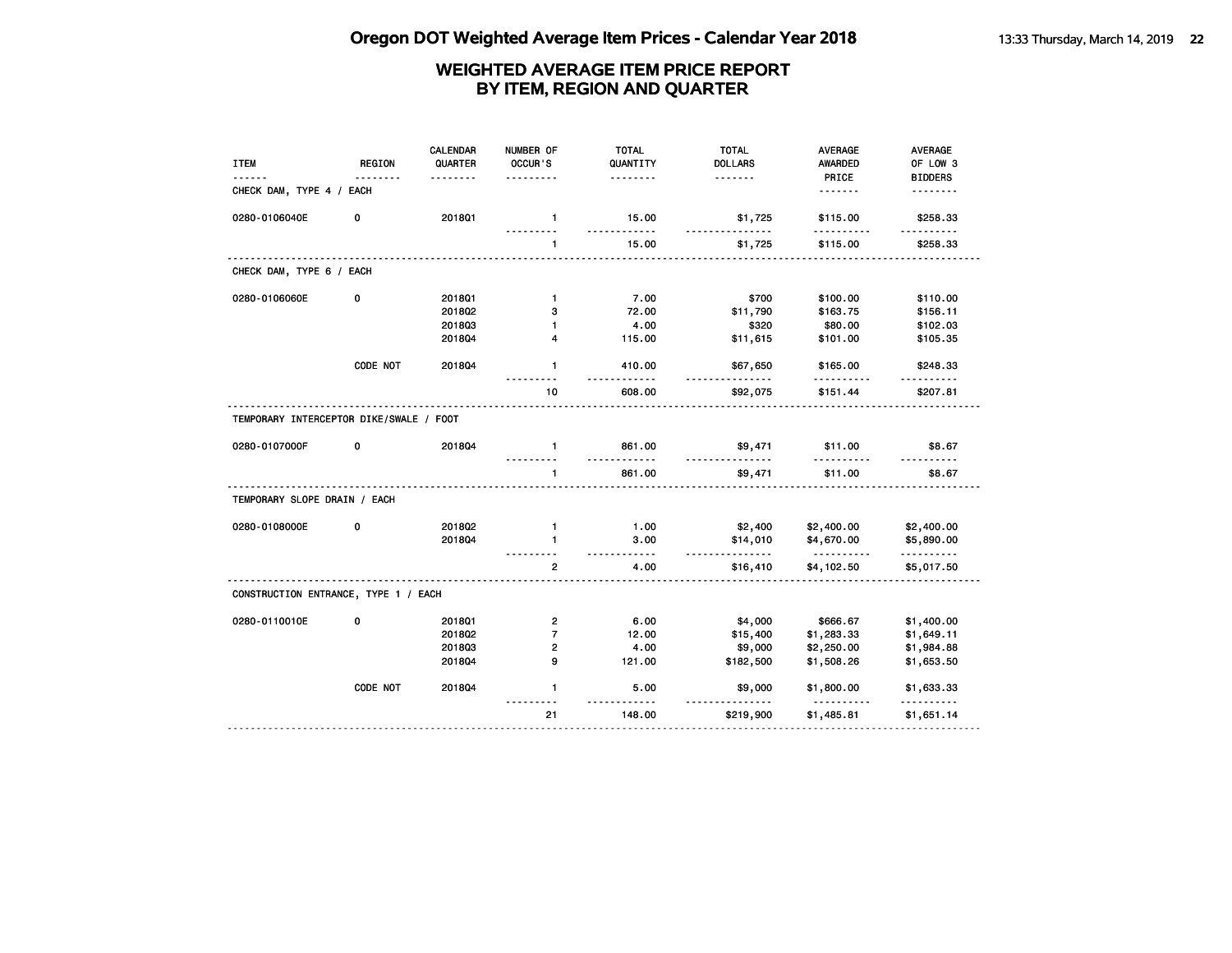| <b>ITEM</b>                             | <b>REGION</b> | <b>CALENDAR</b><br>QUARTER | NUMBER OF<br>OCCUR'S    | <b>TOTAL</b><br>QUANTITY<br>. | <b>TOTAL</b><br><b>DOLLARS</b><br><u>.</u> | <b>AVERAGE</b><br><b>AWARDED</b><br>PRICE | AVERAGE<br>OF LOW 3<br><b>BIDDERS</b> |
|-----------------------------------------|---------------|----------------------------|-------------------------|-------------------------------|--------------------------------------------|-------------------------------------------|---------------------------------------|
| CHECK DAM, TYPE 4 / EACH                |               |                            |                         |                               |                                            | <u>.</u>                                  | <u>.</u>                              |
| 0280-0106040E                           | 0             | 2018Q1                     | $\mathbf{1}$            | 15.00<br>.                    | \$1,725<br>.                               | \$115.00                                  | \$258.33<br><u>.</u>                  |
|                                         |               |                            | $\mathbf{1}$            | 15.00                         | \$1,725                                    | \$115.00                                  | \$258.33                              |
| CHECK DAM, TYPE 6 / EACH                |               |                            |                         |                               |                                            |                                           |                                       |
| 0280-0106060E                           | 0             | 2018Q1                     | $\mathbf{1}$            | 7.00                          | \$700                                      | \$100.00                                  | \$110.00                              |
|                                         |               | 2018Q2                     | з                       | 72.00                         | \$11,790                                   | \$163.75                                  | \$156.11                              |
|                                         |               | 201803                     | $\blacksquare$          | 4.00                          | \$320                                      | \$80.00                                   | \$102.03                              |
|                                         |               | 201804                     | 4                       | 115.00                        | \$11,615                                   | \$101.00                                  | \$105.35                              |
|                                         | CODE NOT      | 2018Q4                     | $\mathbf{1}$            | 410.00                        | \$67,650                                   | \$165.00                                  | \$248.33                              |
|                                         |               |                            | 10                      | 608.00                        | \$92,075                                   | \$151.44                                  | \$207.81                              |
| TEMPORARY INTERCEPTOR DIKE/SWALE / FOOT |               |                            |                         |                               |                                            |                                           |                                       |
| 0280-0107000F                           | 0             | 201804                     | $\mathbf{1}$            | 861.00                        | \$9,471<br>.                               | \$11.00                                   | \$8.67                                |
|                                         |               |                            | $\mathbf{1}$            | 861.00                        | \$9,471                                    | \$11.00                                   | \$8.67                                |
| TEMPORARY SLOPE DRAIN / EACH            |               |                            |                         |                               |                                            |                                           |                                       |
| 0280-0108000E                           | 0             | 201802                     | $\mathbf{1}$            | 1.00                          | \$2,400                                    | \$2,400.00                                | \$2,400.00                            |
|                                         |               | 2018Q4                     | $\mathbf{1}$            | 3.00<br>$- - - - -$           | \$14,010<br><u>.</u>                       | \$4,670.00<br><u>.</u>                    | \$5,890.00<br>.                       |
|                                         |               |                            | $\overline{2}$          | 4.00                          | \$16,410                                   | \$4,102.50                                | \$5,017.50                            |
| CONSTRUCTION ENTRANCE, TYPE 1 / EACH    |               |                            |                         |                               |                                            |                                           |                                       |
| 0280-0110010E                           | 0             | 201801                     | $\overline{\mathbf{c}}$ | 6.00                          | \$4,000                                    | \$666.67                                  | \$1,400.00                            |
|                                         |               | 201802                     | $\overline{7}$          | 12.00                         | \$15,400                                   | \$1,283.33                                | \$1,649.11                            |
|                                         |               | 201803                     | $\overline{2}$          | 4.00                          | \$9,000                                    | \$2,250.00                                | \$1,984.88                            |
|                                         |               | 2018Q4                     | 9                       | 121.00                        | \$182,500                                  | \$1,508.26                                | \$1,653.50                            |
|                                         |               |                            |                         |                               |                                            |                                           |                                       |
|                                         | CODE NOT      | 2018Q4                     | $\mathbf{1}$            | 5.00                          | \$9,000                                    | \$1,800.00                                | \$1,633.33                            |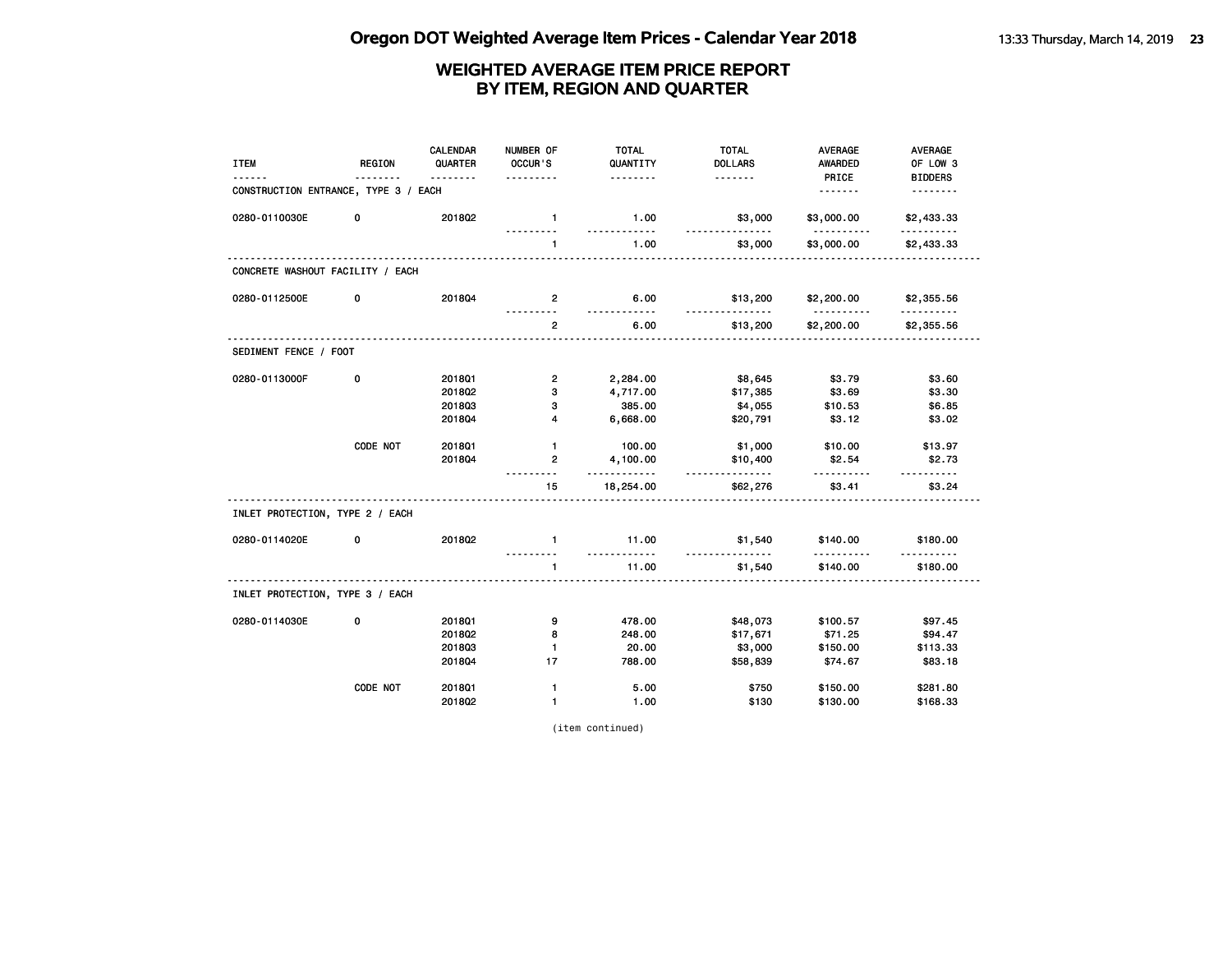| <b>ITEM</b>                          | <b>REGION</b> | <b>CALENDAR</b><br>QUARTER | NUMBER OF<br>OCCUR'S | <b>TOTAL</b><br>QUANTITY | <b>TOTAL</b><br><b>DOLLARS</b> | <b>AVERAGE</b><br><b>AWARDED</b> | <b>AVERAGE</b><br>OF LOW 3 |
|--------------------------------------|---------------|----------------------------|----------------------|--------------------------|--------------------------------|----------------------------------|----------------------------|
| CONSTRUCTION ENTRANCE, TYPE 3 / EACH |               | <u>.</u>                   | .                    | <u>.</u>                 |                                | PRICE<br><u>.</u>                | <b>BIDDERS</b><br><u>.</u> |
| 0280-0110030E                        | 0             | 201802                     | $\mathbf{1}$         | 1.00                     | \$3,000                        | \$3,000.00                       | \$2,433.33                 |
|                                      |               |                            | <u>.</u><br>1        | .<br>1.00                | <u>.</u><br>\$3,000            | .<br>\$3,000.00                  | <u>.</u><br>\$2,433.33     |
| CONCRETE WASHOUT FACILITY / EACH     |               |                            |                      |                          |                                |                                  |                            |
| 0280-0112500E                        | 0             | 2018Q4                     | $\overline{2}$       | 6.00                     | \$13,200                       | \$2,200.00                       | \$2,355.56                 |
|                                      |               |                            | $\overline{2}$       | <u>.</u><br>6.00         | .<br>\$13,200                  | <u>.</u><br>\$2,200.00           | \$2,355.56                 |
| SEDIMENT FENCE / FOOT                |               |                            |                      |                          |                                |                                  |                            |
| 0280-0113000F                        | 0             | 201801                     | $\overline{2}$       | 2,284.00                 | \$8,645                        | \$3.79                           | \$3.60                     |
|                                      |               | 201802                     | 3                    | 4,717.00                 | \$17,385                       | \$3.69                           | \$3.30                     |
|                                      |               | 201803                     | з                    | 385.00                   | \$4,055                        | \$10.53                          | \$6.85                     |
|                                      |               | 201804                     | 4                    | 6,668.00                 | \$20,791                       | \$3.12                           | \$3.02                     |
|                                      | CODE NOT      | 201801                     | $\mathbf{1}$         | 100.00                   | \$1,000                        | \$10.00                          | \$13.97                    |
|                                      |               | 2018Q4                     | $\overline{2}$       | 4,100.00                 | \$10,400                       | \$2.54                           | \$2.73                     |
|                                      |               |                            | 15                   | <u>.</u><br>18,254.00    | <u>.</u><br>\$62,276           | <u>.</u><br>\$3.41               | <u>.</u><br>\$3.24         |
| INLET PROTECTION, TYPE 2 / EACH      |               |                            |                      |                          |                                |                                  |                            |
| 0280-0114020E                        | 0             | 201802                     | $\blacksquare$       | 11.00                    | \$1,540                        | \$140.00                         | \$180.00                   |
|                                      |               |                            | $\mathbf{1}$         | <u>.</u><br>11.00        | <u>.</u><br>\$1,540            | .<br>\$140.00                    | \$180.00                   |
| INLET PROTECTION, TYPE 3 / EACH      |               |                            |                      |                          |                                |                                  |                            |
| 0280-0114030E                        | 0             | 201801                     | 9                    | 478.00                   | \$48,073                       | \$100.57                         | \$97.45                    |
|                                      |               | 2018Q2                     | 8                    | 248.00                   | \$17,671                       | \$71.25                          | \$94.47                    |
|                                      |               | 201803                     | $\mathbf{1}$         | 20.00                    | \$3,000                        | \$150.00                         | \$113.33                   |
|                                      |               | 201804                     | 17                   | 788.00                   | \$58,839                       | \$74.67                          | \$83.18                    |
|                                      | CODE NOT      | 2018Q1                     | $\mathbf{1}$         | 5.00                     | \$750                          | \$150.00                         | \$281.80                   |
|                                      |               | 2018Q2                     | $\mathbf{1}$         | 1.00                     | \$130                          | \$130.00                         | \$168.33                   |

(item continued)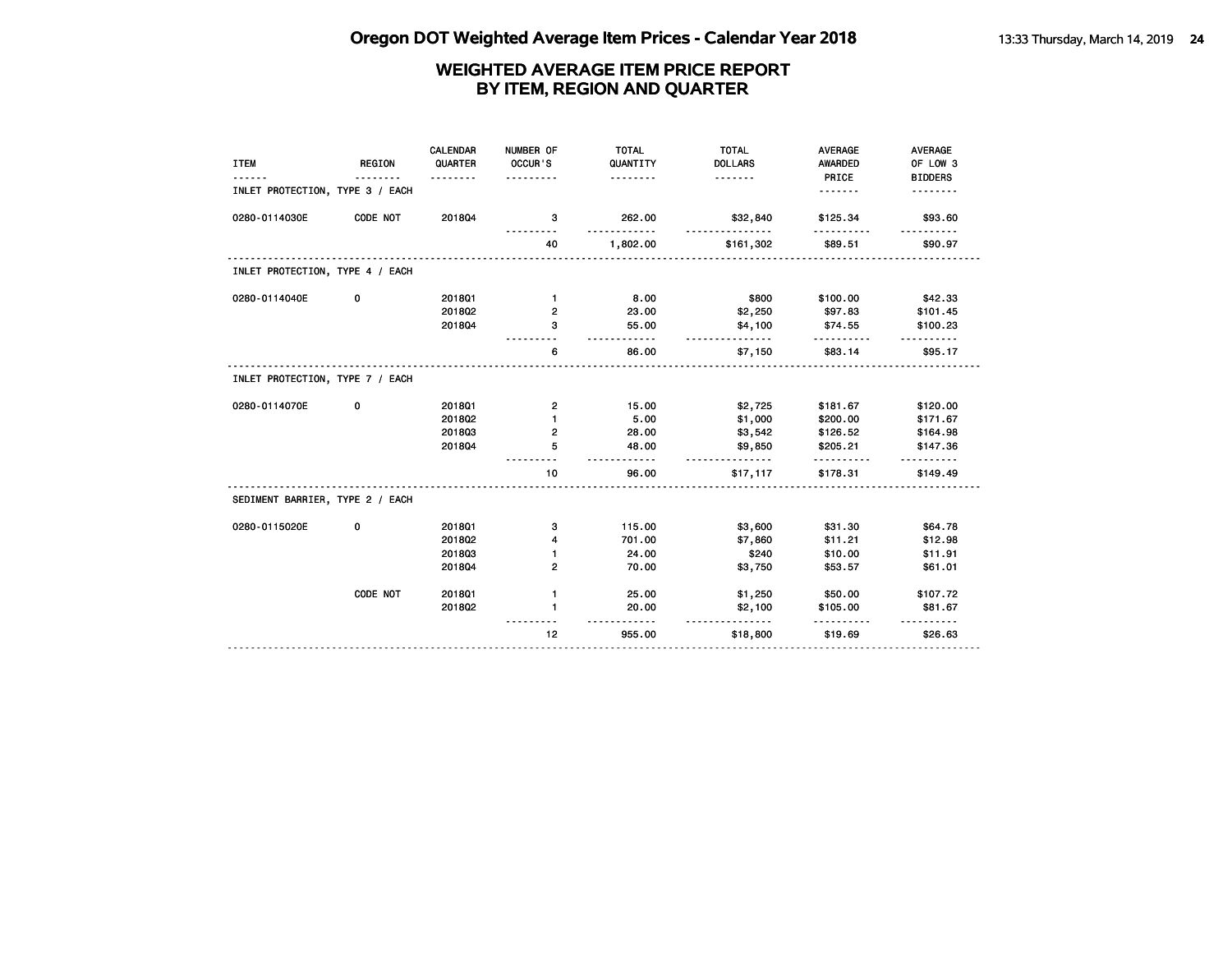| <b>ITEM</b>                     | <b>REGION</b> | <b>CALENDAR</b><br>QUARTER<br>. | NUMBER OF<br>OCCUR'S | <b>TOTAL</b><br>QUANTITY<br>. | <b>TOTAL</b><br><b>DOLLARS</b><br><u>.</u> | <b>AVERAGE</b><br><b>AWARDED</b><br>PRICE | <b>AVERAGE</b><br>OF LOW 3<br><b>BIDDERS</b> |
|---------------------------------|---------------|---------------------------------|----------------------|-------------------------------|--------------------------------------------|-------------------------------------------|----------------------------------------------|
| INLET PROTECTION, TYPE 3 / EACH |               |                                 |                      |                               |                                            | .                                         |                                              |
| 0280-0114030E                   | CODE NOT      | 201804                          | 3                    | 262.00                        | \$32,840                                   | \$125.34                                  | \$93.60                                      |
|                                 |               |                                 | 40                   | 1,802.00                      | \$161,302                                  | \$89.51                                   | \$90.97                                      |
| INLET PROTECTION, TYPE 4 / EACH |               |                                 |                      |                               |                                            |                                           |                                              |
| 0280-0114040E                   | 0             | 2018Q1                          | $\mathbf{1}$         | 8.00                          | \$800                                      | \$100.00                                  | \$42.33                                      |
|                                 |               | 2018Q2                          | 2                    | 23.00                         | \$2,250                                    | \$97.83                                   | \$101.45                                     |
|                                 |               | 201804                          | з                    | 55.00                         | \$4,100                                    | \$74.55                                   | \$100.23                                     |
|                                 |               |                                 | 6                    | 86.00                         | \$7,150                                    | \$83.14                                   | \$95.17                                      |
| INLET PROTECTION, TYPE 7 / EACH |               |                                 |                      |                               |                                            |                                           |                                              |
| 0280-0114070E                   | 0             | 2018Q1                          | $\mathbf{2}$         | 15.00                         | \$2,725                                    | \$181.67                                  | \$120.00                                     |
|                                 |               | 2018Q2                          | 1                    | 5.00                          | \$1,000                                    | \$200.00                                  | \$171.67                                     |
|                                 |               | 201803                          | 2                    | 28.00                         | \$3,542                                    | \$126.52                                  | \$164.98                                     |
|                                 |               | 201804                          | 5                    | 48.00<br>$- - - - -$          | \$9,850<br><u>.</u>                        | \$205.21                                  | \$147.36                                     |
|                                 |               |                                 | 10                   | 96.00                         | \$17,117                                   | \$178.31                                  | \$149.49                                     |
| SEDIMENT BARRIER, TYPE 2 / EACH |               |                                 |                      |                               |                                            |                                           |                                              |
| 0280-0115020E                   | 0             | 2018Q1                          | з                    | 115.00                        | \$3,600                                    | \$31.30                                   | \$64.78                                      |
|                                 |               | 2018Q2                          | 4                    | 701.00                        | \$7,860                                    | \$11.21                                   | \$12.98                                      |
|                                 |               | 201803                          | $\mathbf{1}$         | 24.00                         | \$240                                      | \$10.00                                   | \$11.91                                      |
|                                 |               | 201804                          | $\overline{2}$       | 70.00                         | \$3,750                                    | \$53.57                                   | \$61.01                                      |
|                                 | CODE NOT      | 201801                          | $\mathbf{1}$         | 25.00                         | \$1,250                                    | \$50.00                                   | \$107.72                                     |
|                                 |               | 2018Q2                          | $\mathbf{1}$         | 20.00                         | \$2,100<br><u>.</u>                        | \$105.00                                  | \$81.67                                      |
|                                 |               |                                 | 12                   | 955.00                        | \$18,800                                   | \$19.69                                   | \$26.63                                      |
|                                 |               |                                 |                      |                               |                                            |                                           |                                              |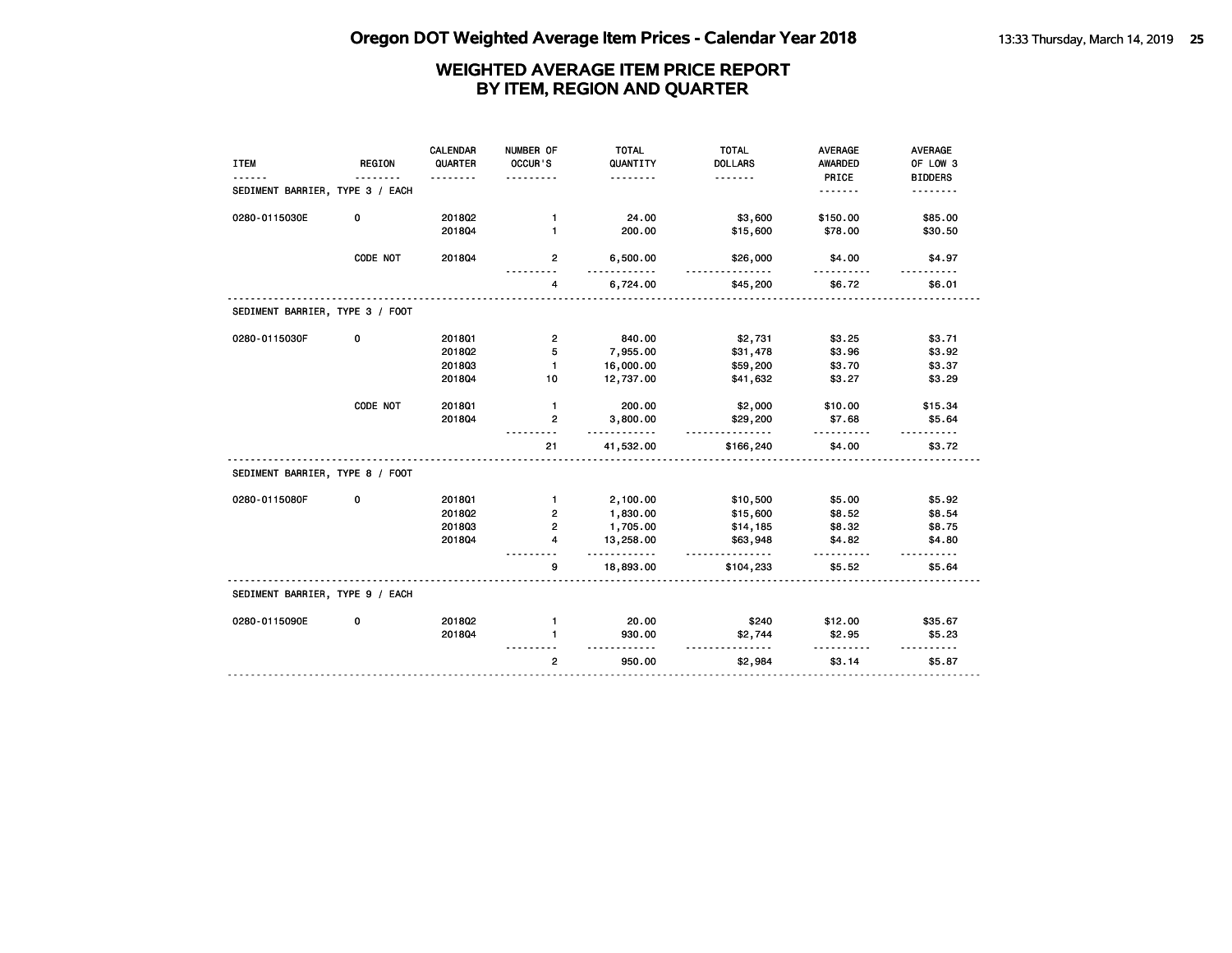| <b>ITEM</b>                     | <b>REGION</b> | <b>CALENDAR</b><br>QUARTER<br><u>.</u> | NUMBER OF<br>OCCUR'S<br>. | <b>TOTAL</b><br>QUANTITY<br><u>.</u> | <b>TOTAL</b><br><b>DOLLARS</b><br><u>.</u> | <b>AVERAGE</b><br><b>AWARDED</b><br>PRICE | AVERAGE<br>OF LOW 3<br><b>BIDDERS</b> |
|---------------------------------|---------------|----------------------------------------|---------------------------|--------------------------------------|--------------------------------------------|-------------------------------------------|---------------------------------------|
| SEDIMENT BARRIER, TYPE 3 / EACH |               |                                        |                           |                                      |                                            | .                                         | .                                     |
| 0280-0115030E                   | 0             | 2018Q2                                 | $\mathbf{1}$              | 24.00                                | \$3,600                                    | \$150.00                                  | \$85.00                               |
|                                 |               | 201804                                 | $\mathbf{1}$              | 200.00                               | \$15,600                                   | \$78.00                                   | \$30.50                               |
|                                 | CODE NOT      | 201804                                 | $\overline{2}$            | 6,500.00<br>.                        | \$26,000                                   | \$4.00<br>.                               | \$4.97                                |
|                                 |               |                                        | 4                         | 6,724.00                             | \$45,200                                   | \$6.72                                    | \$6.01                                |
| SEDIMENT BARRIER, TYPE 3 / FOOT |               |                                        |                           |                                      |                                            |                                           |                                       |
| 0280-0115030F                   | 0             | 2018Q1                                 | $\overline{2}$            | 840.00                               | \$2,731                                    | \$3.25                                    | \$3.71                                |
|                                 |               | 201802                                 | 5                         | 7,955.00                             | \$31,478                                   | \$3.96                                    | \$3.92                                |
|                                 |               | 201803                                 | $\mathbf{1}$              | 16,000.00                            | \$59,200                                   | \$3.70                                    | \$3.37                                |
|                                 |               | 201804                                 | 10                        | 12,737.00                            | \$41,632                                   | \$3.27                                    | \$3.29                                |
|                                 | CODE NOT      | 2018Q1                                 | $\mathbf{1}$              | 200.00                               | \$2,000                                    | \$10.00                                   | \$15.34                               |
|                                 |               | 201804                                 | $\mathbf{2}$              | 3,800.00<br>.                        | \$29,200<br><u>.</u>                       | \$7.68                                    | \$5.64                                |
|                                 |               |                                        | 21                        | 41,532.00                            | \$166,240                                  | \$4.00                                    | \$3.72                                |
| SEDIMENT BARRIER, TYPE 8 / FOOT |               |                                        |                           |                                      |                                            |                                           |                                       |
| 0280-0115080F                   | 0             | 2018Q1                                 | $\mathbf{1}$              | 2,100.00                             | \$10,500                                   | \$5.00                                    | \$5.92                                |
|                                 |               | 201802                                 | $\overline{2}$            | 1,830.00                             | \$15,600                                   | \$8.52                                    | \$8.54                                |
|                                 |               | 201803                                 | 2                         | 1,705.00                             | \$14,185                                   | \$8.32                                    | \$8.75                                |
|                                 |               | 201804                                 | 4                         | 13,258.00<br>.                       | \$63,948<br>.                              | \$4.82<br>.                               | \$4.80                                |
|                                 |               |                                        | 9                         | 18,893.00                            | \$104,233                                  | \$5.52                                    | \$5.64                                |
| SEDIMENT BARRIER, TYPE 9 / EACH |               |                                        |                           |                                      |                                            |                                           |                                       |
| 0280-0115090E                   | 0             | 201802                                 | $\mathbf{1}$              | 20.00                                | \$240                                      | \$12.00                                   | \$35.67                               |
|                                 |               | 201804                                 | 1                         | 930.00                               | \$2,744                                    | \$2.95                                    | \$5.23                                |
|                                 |               |                                        | $\overline{2}$            | 950.00                               | \$2,984                                    | \$3.14                                    | \$5.87                                |
|                                 |               |                                        |                           |                                      |                                            |                                           |                                       |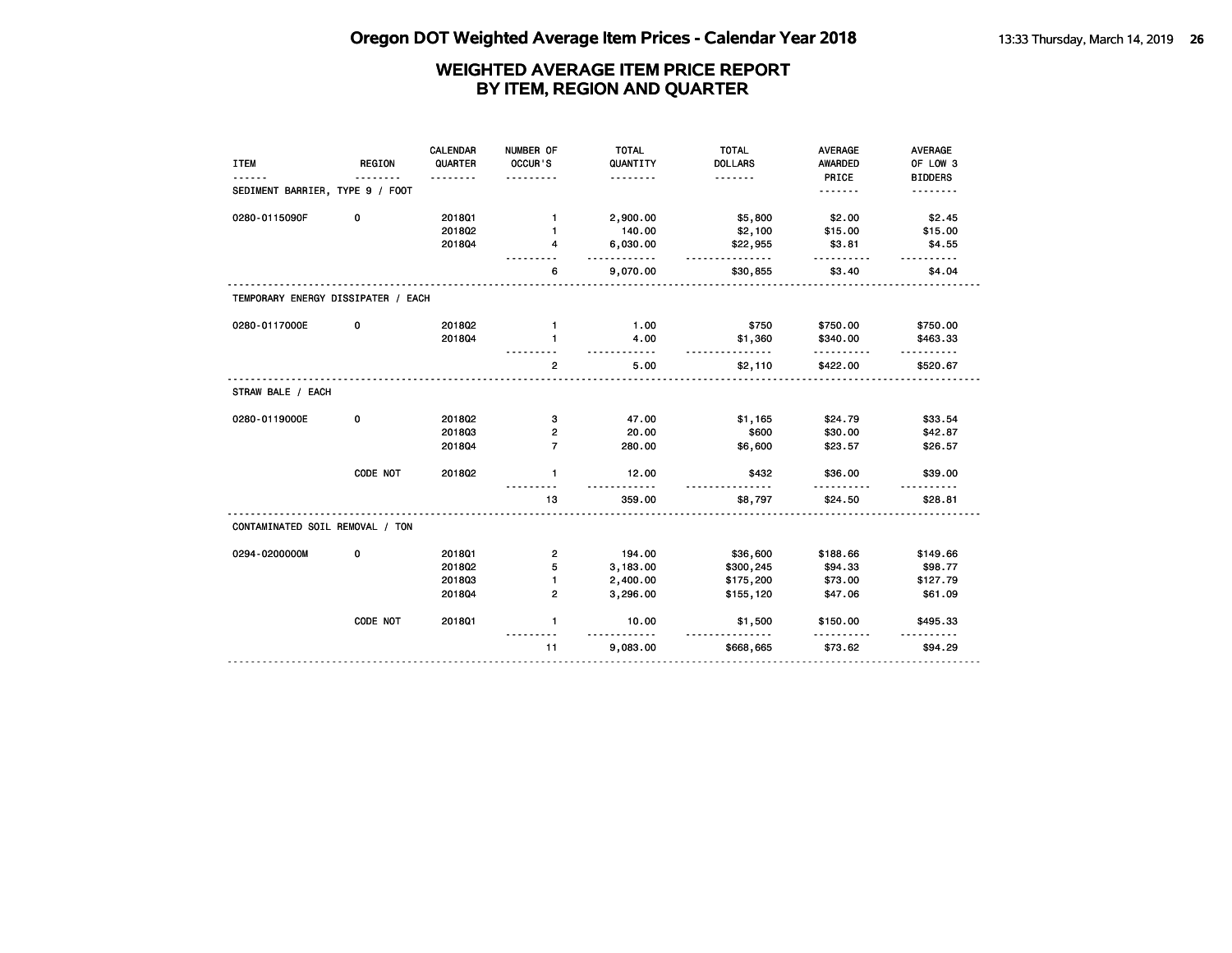|                                    |               | <b>CALENDAR</b> | NUMBER OF      | <b>TOTAL</b> | <b>TOTAL</b>         | <b>AVERAGE</b> | AVERAGE        |
|------------------------------------|---------------|-----------------|----------------|--------------|----------------------|----------------|----------------|
| <b>ITEM</b>                        | <b>REGION</b> | QUARTER         | OCCUR'S        | QUANTITY     | <b>DOLLARS</b>       | <b>AWARDED</b> | OF LOW 3       |
|                                    |               |                 |                | .            | .                    | PRICE          | <b>BIDDERS</b> |
| SEDIMENT BARRIER, TYPE 9 / FOOT    |               |                 |                |              |                      | .              | .              |
| 0280-0115090F                      | 0             | 2018Q1          | $\mathbf 1$    | 2,900.00     | \$5,800              | \$2.00         | \$2.45         |
|                                    |               | 201802          | 1              | 140.00       | \$2,100              | \$15.00        | \$15.00        |
|                                    |               | 201804          | 4              | 6,030.00     | \$22,955<br>.        | \$3.81<br>.    | \$4.55         |
|                                    |               |                 | 6              | 9,070.00     | \$30,855             | \$3.40         | \$4.04         |
| TEMPORARY ENERGY DISSIPATER / EACH |               |                 |                |              |                      |                |                |
| 0280-0117000E                      | 0             | 201802          | $\mathbf{1}$   | 1.00         | \$750                | \$750.00       | \$750.00       |
|                                    |               | 201804          | $\mathbf{1}$   | 4.00         | \$1,360              | \$340.00       | \$463.33       |
|                                    |               |                 | $\overline{2}$ | .<br>5.00    | <u>.</u><br>\$2,110  | .<br>\$422.00  | .<br>\$520.67  |
| STRAW BALE / EACH                  |               |                 |                |              |                      |                |                |
| 0280-0119000E                      | 0             | 2018Q2          | 3              | 47.00        | \$1,165              | \$24.79        | \$33.54        |
|                                    |               | 201803          | 2              | 20.00        | \$600                | \$30.00        | \$42.87        |
|                                    |               | 201804          | $\overline{7}$ | 280.00       | \$6,600              | \$23.57        | \$26.57        |
|                                    | CODE NOT      | 2018Q2          | $\mathbf{1}$   | 12.00        | \$432                | \$36.00        | \$39.00        |
|                                    |               |                 | 13             | 359.00       | \$8,797              | \$24.50        | \$28.81        |
| CONTAMINATED SOIL REMOVAL / TON    |               |                 |                |              |                      |                |                |
| 0294-0200000M                      | 0             | 2018Q1          | 2              | 194.00       | \$36,600             | \$188.66       | \$149.66       |
|                                    |               | 201802          | 5              | 3,183.00     | \$300,245            | \$94.33        | \$98.77        |
|                                    |               | 201803          | $\mathbf{1}$   | 2,400.00     | \$175,200            | \$73.00        | \$127.79       |
|                                    |               | 201804          | 2              | 3,296.00     | \$155,120            | \$47.06        | \$61.09        |
|                                    | CODE NOT      | 2018Q1          | $\mathbf{1}$   | 10.00<br>.   | \$1,500<br>--------- | \$150.00<br>.  | \$495.33       |
|                                    |               |                 | 11             | 9,083.00     | \$668,665            | \$73.62        | \$94.29        |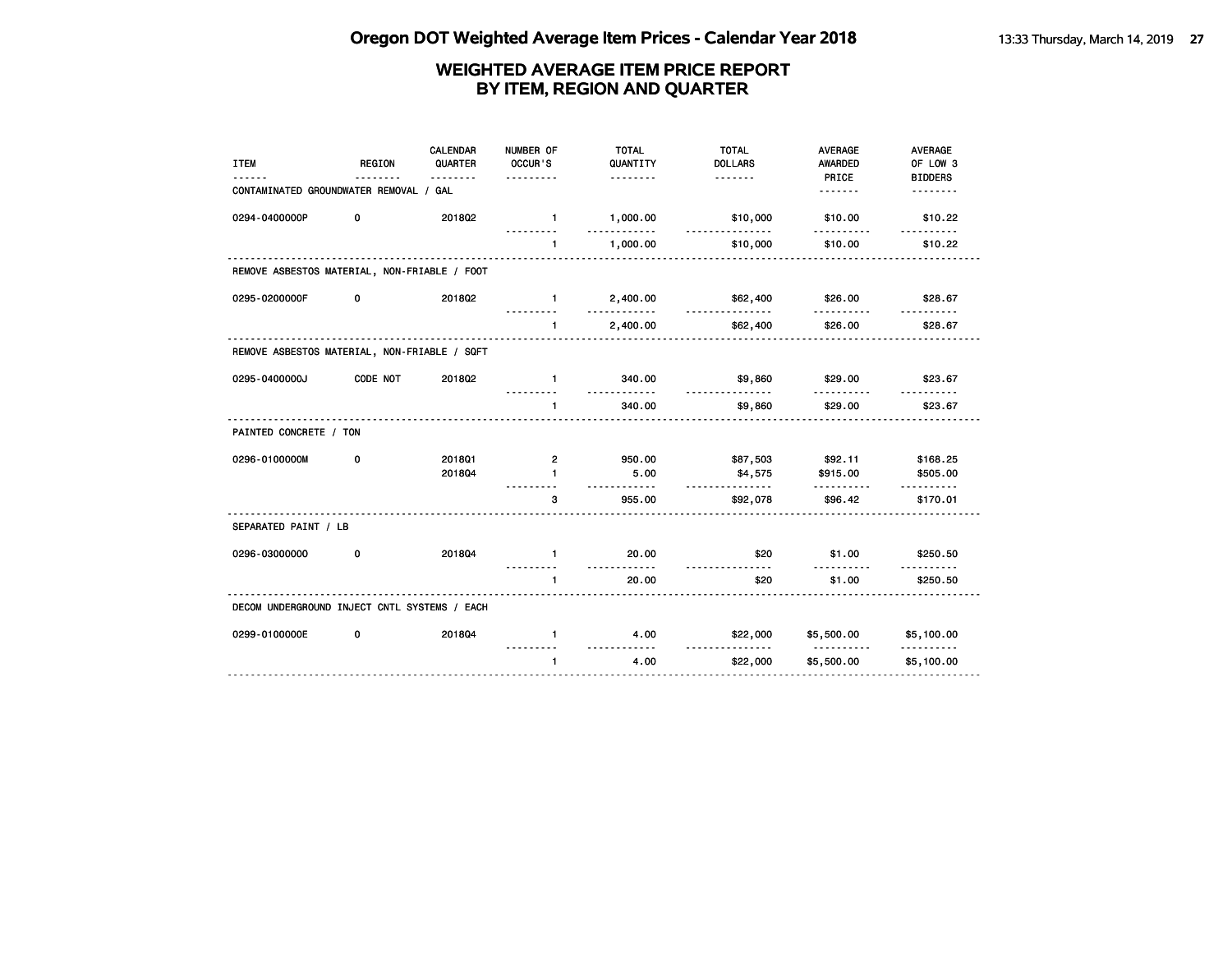| <b>ITEM</b>                                  | <b>REGION</b> | <b>CALENDAR</b><br>QUARTER<br>. | NUMBER OF<br>OCCUR'S<br>.      | <b>TOTAL</b><br>QUANTITY<br><u>.</u> | <b>TOTAL</b><br><b>DOLLARS</b><br>. | <b>AVERAGE</b><br><b>AWARDED</b><br>PRICE | <b>AVERAGE</b><br>OF LOW 3<br><b>BIDDERS</b> |
|----------------------------------------------|---------------|---------------------------------|--------------------------------|--------------------------------------|-------------------------------------|-------------------------------------------|----------------------------------------------|
| CONTAMINATED GROUNDWATER REMOVAL / GAL       |               |                                 |                                |                                      |                                     | <u>.</u>                                  | <u>.</u>                                     |
| 0294-0400000P                                | 0             | 201802                          | $\mathbf{1}$                   | 1,000.00<br>---------                | \$10,000                            | \$10.00                                   | \$10.22                                      |
|                                              |               |                                 | $\mathbf{1}$                   | 1,000.00                             | \$10,000                            | \$10.00                                   | \$10.22                                      |
| REMOVE ASBESTOS MATERIAL, NON-FRIABLE / FOOT |               |                                 |                                |                                      |                                     |                                           |                                              |
| 0295-0200000F                                | 0             | 2018Q2                          | $\mathbf{1}$                   | 2,400.00<br>.                        | \$62,400<br><u>.</u>                | \$26.00                                   | \$28.67                                      |
|                                              |               |                                 | 1                              | 2,400.00                             | \$62,400                            | <u>.</u><br>\$26.00                       | <u>.</u><br>\$28.67                          |
| REMOVE ASBESTOS MATERIAL, NON-FRIABLE / SQFT |               |                                 |                                |                                      |                                     |                                           |                                              |
| 0295-0400000J                                | CODE NOT      | 2018Q2                          | $\mathbf{1}$                   | 340.00<br>.                          | \$9,860<br>.                        | \$29.00                                   | \$23.67                                      |
|                                              |               |                                 | $\blacksquare$                 | 340.00                               | \$9,860                             | \$29.00                                   | \$23.67                                      |
| PAINTED CONCRETE / TON                       |               |                                 |                                |                                      |                                     |                                           |                                              |
| 0296-0100000M                                | 0             | 201801<br>201804                | $\overline{2}$<br>$\mathbf{1}$ | 950.00<br>5.00<br>.                  | \$87,503<br>\$4,575<br>.            | \$92.11<br>\$915.00<br><u>.</u>           | \$168.25<br>\$505.00<br>. <b>.</b>           |
|                                              |               |                                 | 3                              | 955.00                               | \$92,078                            | \$96.42                                   | \$170.01                                     |
| SEPARATED PAINT / LB                         |               |                                 |                                |                                      |                                     |                                           |                                              |
| 0296-03000000                                | 0             | 201804                          | $\blacksquare$                 | 20.00                                | \$20                                | \$1.00                                    | \$250.50                                     |
|                                              |               |                                 | $\blacktriangleleft$           | <u>.</u><br>20.00                    | ----<br>\$20                        | \$1.00                                    | \$250.50                                     |
| DECOM UNDERGROUND INJECT CNTL SYSTEMS / EACH |               |                                 |                                |                                      |                                     |                                           |                                              |
| 0299-0100000E                                | 0             | 201804                          | $\mathbf{1}$                   | 4.00                                 | \$22,000                            | \$5,500.00                                | \$5,100.00                                   |
|                                              |               |                                 | $\mathbf{1}$                   | 4.00                                 | \$22,000                            | \$5,500.00                                | \$5,100.00                                   |
|                                              |               |                                 |                                |                                      |                                     |                                           |                                              |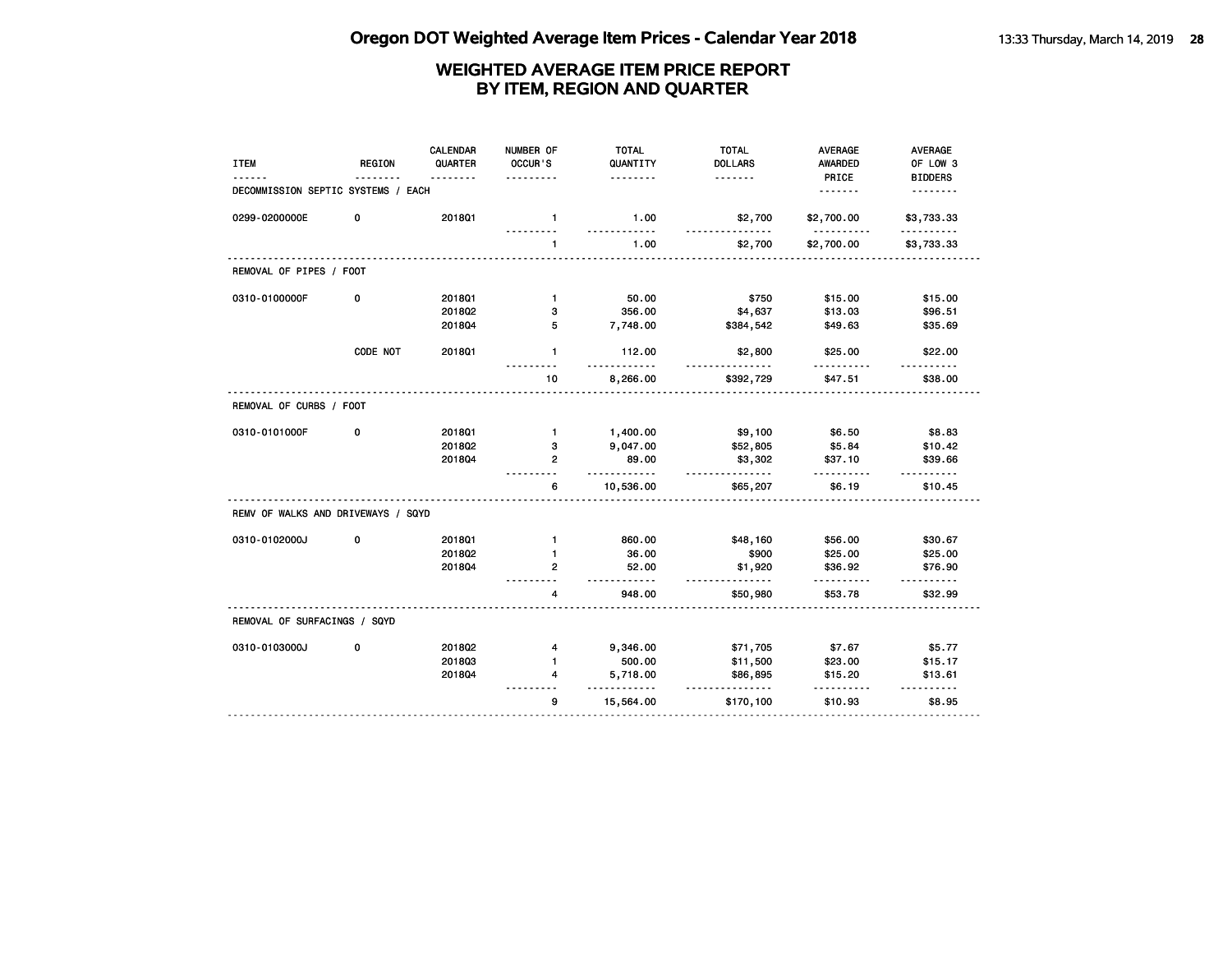| <b>ITEM</b>                        | <b>REGION</b> | <b>CALENDAR</b><br>QUARTER | NUMBER OF<br>OCCUR'S | <b>TOTAL</b><br>QUANTITY | <b>TOTAL</b><br><b>DOLLARS</b> | <b>AVERAGE</b><br>AWARDED | <b>AVERAGE</b><br>OF LOW 3 |
|------------------------------------|---------------|----------------------------|----------------------|--------------------------|--------------------------------|---------------------------|----------------------------|
| DECOMMISSION SEPTIC SYSTEMS / EACH |               |                            | .                    | .                        | <u>.</u>                       | PRICE<br><u>.</u>         | <b>BIDDERS</b><br>-------- |
| 0299-0200000E                      | 0             | 201801                     | $\mathbf{1}$         | 1.00<br>.                | \$2,700                        | \$2,700.00<br><u>.</u>    | \$3,733.33<br><u>.</u>     |
|                                    |               |                            | 1                    | 1.00                     | \$2,700                        | \$2,700.00                | \$3,733.33                 |
| REMOVAL OF PIPES / FOOT            |               |                            |                      |                          |                                |                           |                            |
| 0310-0100000F                      | 0             | 2018Q1                     | $\mathbf{1}$         | 50.00                    | \$750                          | \$15.00                   | \$15.00                    |
|                                    |               | 2018Q2                     | 3                    | 356.00                   | \$4,637                        | \$13.03                   | \$96.51                    |
|                                    |               | 2018Q4                     | 5                    | 7,748.00                 | \$384,542                      | \$49.63                   | \$35.69                    |
|                                    | CODE NOT      | 2018Q1                     | $\mathbf{1}$         | 112.00                   | \$2,800                        | \$25.00                   | \$22.00                    |
|                                    |               |                            | 10                   | 8,266.00                 | \$392,729                      | \$47.51                   | \$38.00                    |
| REMOVAL OF CURBS / FOOT            |               |                            |                      |                          |                                |                           |                            |
| 0310-0101000F                      | 0             | 201801                     | $\mathbf{1}$         | 1,400.00                 | \$9,100                        | \$6.50                    | \$8.83                     |
|                                    |               | 2018Q2                     | з                    | 9,047.00                 | \$52,805                       | \$5.84                    | \$10.42                    |
|                                    |               | 2018Q4                     | $\mathbf{2}$         | 89.00<br>.               | \$3,302<br>.                   | \$37.10                   | \$39.66                    |
|                                    |               |                            | 6                    | 10,536.00                | \$65,207                       | \$6.19                    | \$10.45                    |
| REMV OF WALKS AND DRIVEWAYS / SQYD |               |                            |                      |                          |                                |                           |                            |
| 0310-0102000J                      | 0             | 2018Q1                     | $\mathbf{1}$         | 860.00                   | \$48,160                       | \$56.00                   | \$30.67                    |
|                                    |               | 2018Q2                     | $\mathbf{1}$         | 36.00                    | \$900                          | \$25.00                   | \$25.00                    |
|                                    |               | 2018Q4                     | 2                    | 52.00<br>$- - -$         | \$1,920<br>$- - - -$           | \$36.92                   | \$76.90<br>.               |
|                                    |               |                            | 4                    | 948.00                   | \$50,980                       | \$53.78                   | \$32.99                    |
| REMOVAL OF SURFACINGS / SQYD       |               |                            |                      |                          |                                |                           |                            |
| 0310-0103000J                      | 0             | 201802                     | 4                    | 9,346.00                 | \$71,705                       | \$7.67                    | \$5.77                     |
|                                    |               | 201803                     | $\mathbf{1}$         | 500.00                   | \$11,500                       | \$23.00                   | \$15.17                    |
|                                    |               | 2018Q4                     | 4                    | 5,718.00                 | \$86,895<br><u>.</u>           | \$15.20                   | \$13.61                    |
|                                    |               |                            | 9                    | 15,564.00                | \$170,100                      | \$10.93                   | \$8.95                     |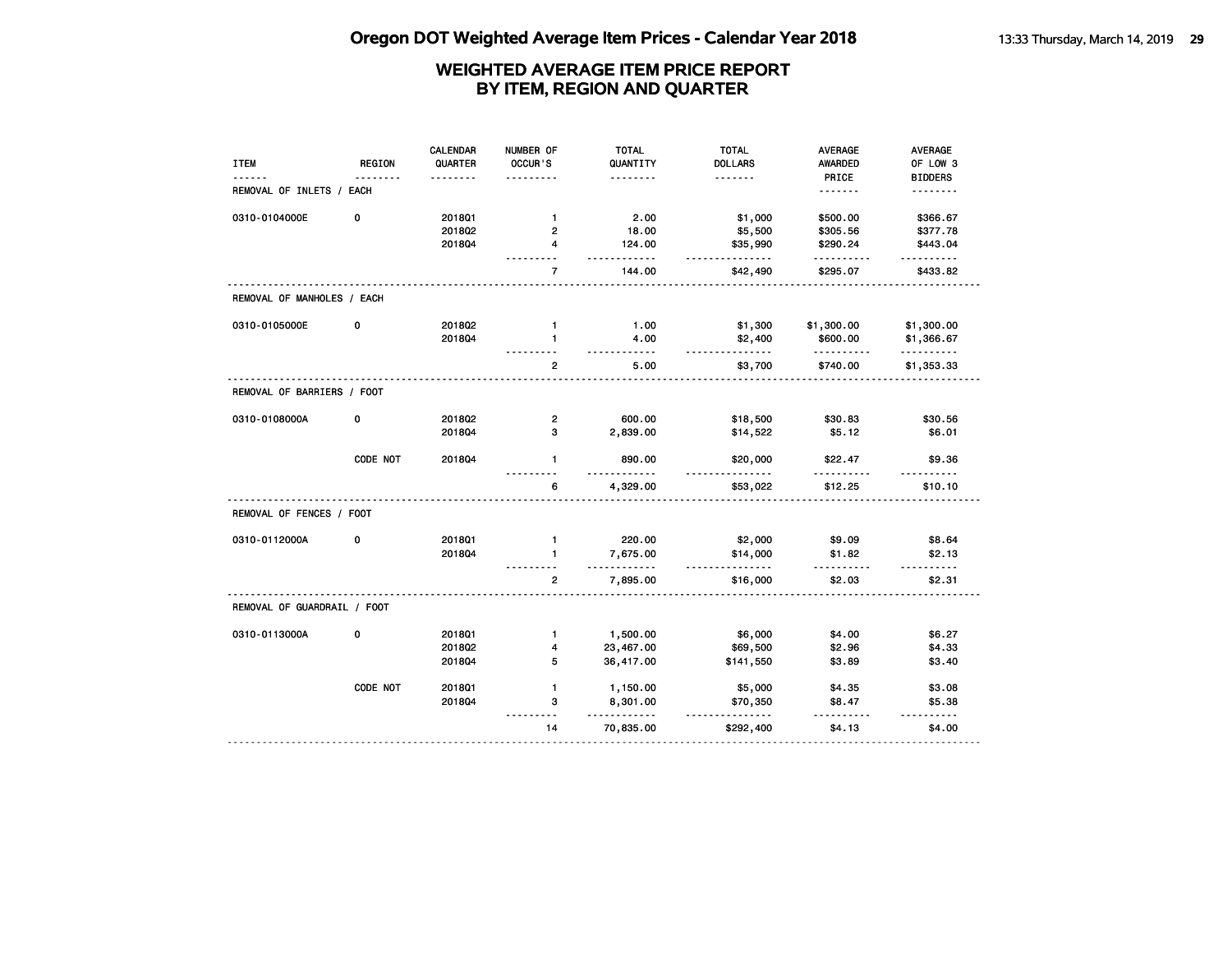| <b>ITEM</b>                 | <b>REGION</b> | <b>CALENDAR</b><br>QUARTER | NUMBER OF<br>OCCUR'S    | <b>TOTAL</b><br>QUANTITY<br>. | <b>TOTAL</b><br><b>DOLLARS</b><br>. | <b>AVERAGE</b><br><b>AWARDED</b><br>PRICE | AVERAGE<br>OF LOW 3        |
|-----------------------------|---------------|----------------------------|-------------------------|-------------------------------|-------------------------------------|-------------------------------------------|----------------------------|
| REMOVAL OF INLETS / EACH    |               |                            |                         |                               |                                     | <u>.</u>                                  | <b>BIDDERS</b><br><u>.</u> |
| 0310-0104000E               | 0             | 201801                     | $\mathbf{1}$            | 2.00                          | \$1,000                             | \$500.00                                  | \$366.67                   |
|                             |               | 201802                     | $\overline{2}$          | 18.00                         | \$5,500                             | \$305.56                                  | \$377.78                   |
|                             |               | 201804                     | $\overline{\mathbf{4}}$ | 124.00<br>$- - - - - -$       | \$35,990<br>.                       | \$290.24<br>.                             | \$443.04<br>.              |
|                             |               |                            | $\overline{7}$          | 144.00                        | \$42,490                            | \$295.07                                  | \$433.82                   |
| REMOVAL OF MANHOLES / EACH  |               |                            |                         |                               |                                     |                                           |                            |
| 0310-0105000E               | 0             | 2018Q2                     | $\mathbf{1}$            | 1.00                          | \$1,300                             | \$1,300.00                                | \$1,300.00                 |
|                             |               | 201804                     | $\blacksquare$          | 4.00<br>- - - - -             | \$2,400<br>.                        | \$600.00<br>.                             | \$1,366.67<br>. <b>.</b>   |
|                             |               |                            | $\mathbf{2}$            | 5.00                          | \$3,700                             | \$740.00                                  | \$1,353.33                 |
| REMOVAL OF BARRIERS / FOOT  |               |                            |                         |                               |                                     |                                           |                            |
| 0310-0108000A               | 0             | 2018Q2                     | $\overline{2}$          | 600.00                        | \$18,500                            | \$30.83                                   | \$30.56                    |
|                             |               | 201804                     | з                       | 2,839.00                      | \$14,522                            | \$5.12                                    | \$6.01                     |
|                             | CODE NOT      | 201804                     | $\mathbf{1}$            | 890.00                        | \$20,000<br>.                       | \$22.47                                   | \$9.36                     |
|                             |               |                            | 6                       | 4,329.00                      | \$53,022                            | \$12.25                                   | \$10.10                    |
| REMOVAL OF FENCES / FOOT    |               |                            |                         |                               |                                     |                                           |                            |
| 0310-0112000A               | 0             | 2018Q1                     | $\mathbf{1}$            | 220.00                        | \$2,000                             | \$9.09                                    | \$8.64                     |
|                             |               | 2018Q4                     | $\mathbf{1}$            | 7,675.00<br>.                 | \$14,000<br><u>.</u>                | \$1.82<br><u>.</u>                        | \$2.13<br>.                |
|                             |               |                            | $\overline{2}$          | 7,895.00                      | \$16,000                            | \$2.03                                    | \$2.31                     |
| REMOVAL OF GUARDRAIL / FOOT |               |                            |                         |                               |                                     |                                           |                            |
| 0310-0113000A               | 0             | 2018Q1                     | $\mathbf{1}$            | 1,500.00                      | \$6,000                             | \$4.00                                    | \$6.27                     |
|                             |               | 201802                     | 4                       | 23,467.00                     | \$69,500                            | \$2.96                                    | \$4.33                     |
|                             |               | 2018Q4                     | 5                       | 36,417.00                     | \$141,550                           | \$3.89                                    | \$3.40                     |
|                             | CODE NOT      | 201801                     | $\mathbf{1}$            | 1,150.00                      | \$5,000                             | \$4.35                                    | \$3.08                     |
|                             |               | 201804                     | 3<br>$ -$               | 8,301.00<br>$- - -$           | \$70,350<br>.                       | \$8.47                                    | \$5.38<br>$- - - - -$      |
|                             |               |                            | 14                      | 70,835.00                     | \$292,400                           | \$4.13                                    | \$4.00                     |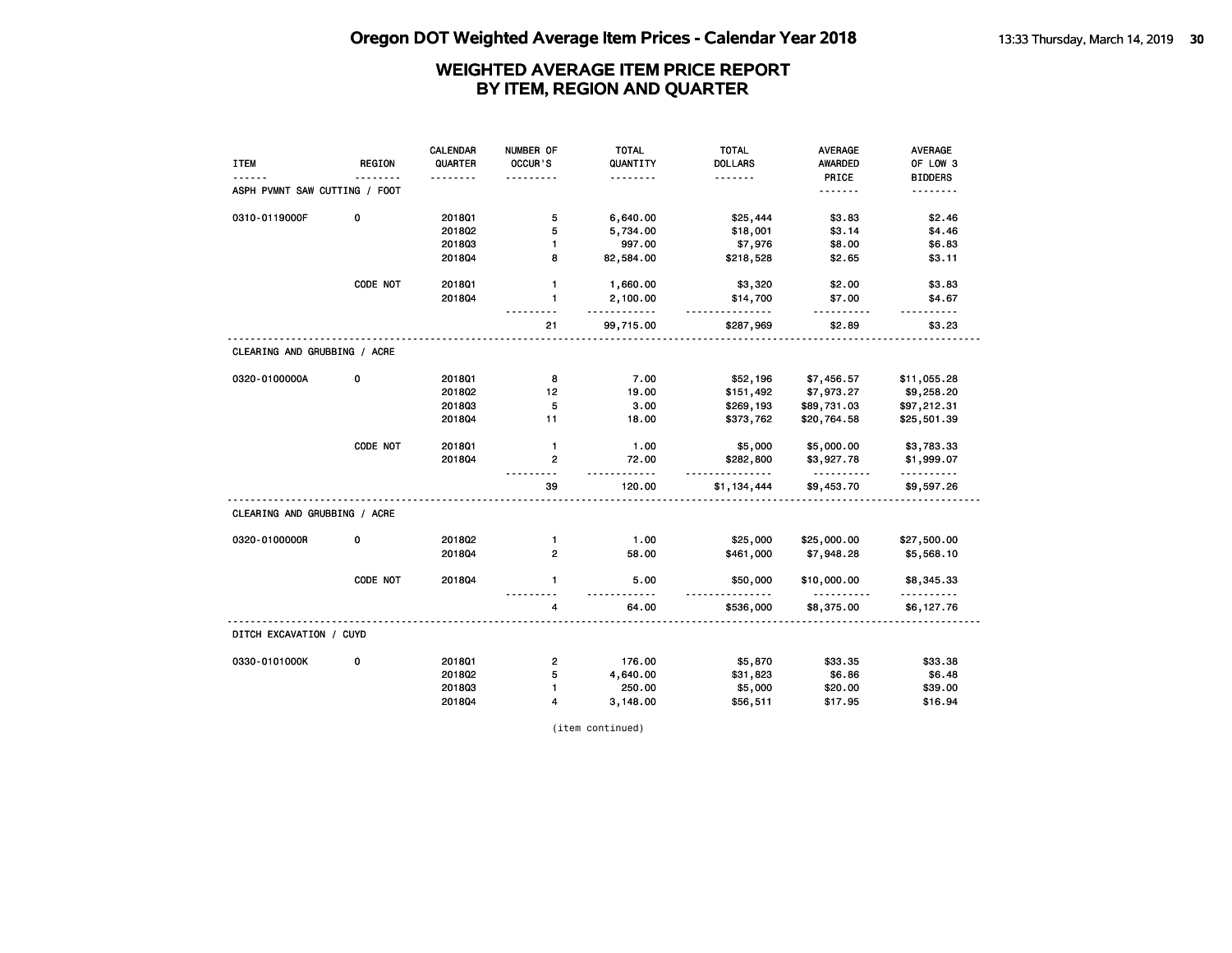|                               |               | CALENDAR | NUMBER OF               | <b>TOTAL</b>  | <b>TOTAL</b>   | <b>AVERAGE</b>          | AVERAGE                |
|-------------------------------|---------------|----------|-------------------------|---------------|----------------|-------------------------|------------------------|
| <b>ITEM</b>                   | <b>REGION</b> | QUARTER  | OCCUR'S                 | QUANTITY      | <b>DOLLARS</b> | <b>AWARDED</b>          | OF LOW 3               |
|                               |               |          |                         | .             | <u>.</u>       | PRICE                   | <b>BIDDERS</b>         |
| ASPH PVMNT SAW CUTTING / FOOT |               |          |                         |               |                | <u>.</u>                |                        |
| 0310-0119000F                 | 0             | 201801   | 5                       | 6,640.00      | \$25,444       | \$3.83                  | \$2.46                 |
|                               |               | 2018Q2   | 5                       | 5,734.00      | \$18,001       | \$3.14                  | \$4.46                 |
|                               |               | 201803   | $\mathbf{1}$            | 997.00        | \$7,976        | \$8.00                  | \$6.83                 |
|                               |               | 201804   | 8                       | 82,584.00     | \$218,528      | \$2.65                  | \$3.11                 |
|                               | CODE NOT      | 201801   | $\mathbf{1}$            | 1,660.00      | \$3,320        | \$2.00                  | \$3.83                 |
|                               |               | 201804   | $\mathbf{1}$            | 2,100.00<br>. | \$14,700<br>.  | \$7.00<br>.             | \$4.67                 |
|                               |               |          | 21                      | 99,715.00     | \$287,969      | \$2.89                  | \$3.23                 |
| CLEARING AND GRUBBING / ACRE  |               |          |                         |               |                |                         |                        |
| 0320-0100000A                 | 0             | 201801   | 8                       | 7.00          | \$52,196       | \$7,456.57              | \$11,055.28            |
|                               |               | 2018Q2   | 12                      | 19.00         | \$151,492      | \$7,973.27              | \$9,258.20             |
|                               |               | 201803   | 5                       | 3.00          | \$269,193      | \$89,731.03             | \$97,212.31            |
|                               |               | 2018Q4   | 11                      | 18.00         | \$373,762      | \$20,764.58             | \$25,501.39            |
|                               | CODE NOT      | 2018Q1   | $\mathbf{1}$            | 1.00          | \$5,000        | \$5,000.00              | \$3,783.33             |
|                               |               | 201804   | $\overline{2}$          | 72.00<br>.    | \$282,800<br>. | \$3,927.78<br><u>.</u>  | \$1,999.07<br><u>.</u> |
|                               |               |          | 39                      | 120.00        | \$1,134,444    | \$9,453.70              | \$9,597.26             |
| CLEARING AND GRUBBING / ACRE  |               |          |                         |               |                |                         |                        |
| 0320-0100000R                 | 0             | 201802   | $\mathbf{1}$            | 1.00          | \$25,000       | \$25,000.00             | \$27,500.00            |
|                               |               | 201804   | $\overline{2}$          | 58.00         | \$461,000      | \$7,948.28              | \$5,568.10             |
|                               | CODE NOT      | 2018Q4   | $\mathbf{1}$            | 5.00          | \$50,000       | \$10,000.00<br><u>.</u> | \$8,345.33<br>.        |
|                               |               |          | 4                       | 64.00         | \$536,000      | \$8,375.00              | \$6,127.76             |
| DITCH EXCAVATION / CUYD       |               |          |                         |               |                |                         |                        |
| 0330-0101000K                 | 0             | 2018Q1   | $\overline{\mathbf{c}}$ | 176.00        | \$5,870        | \$33.35                 | \$33.38                |
|                               |               | 2018Q2   | 5                       | 4,640.00      | \$31,823       | \$6.86                  | \$6.48                 |
|                               |               | 201803   | $\mathbf{1}$            | 250.00        | \$5,000        | \$20.00                 | \$39.00                |
|                               |               | 2018Q4   | 4                       | 3,148.00      | \$56,511       | \$17.95                 | \$16.94                |

(item continued)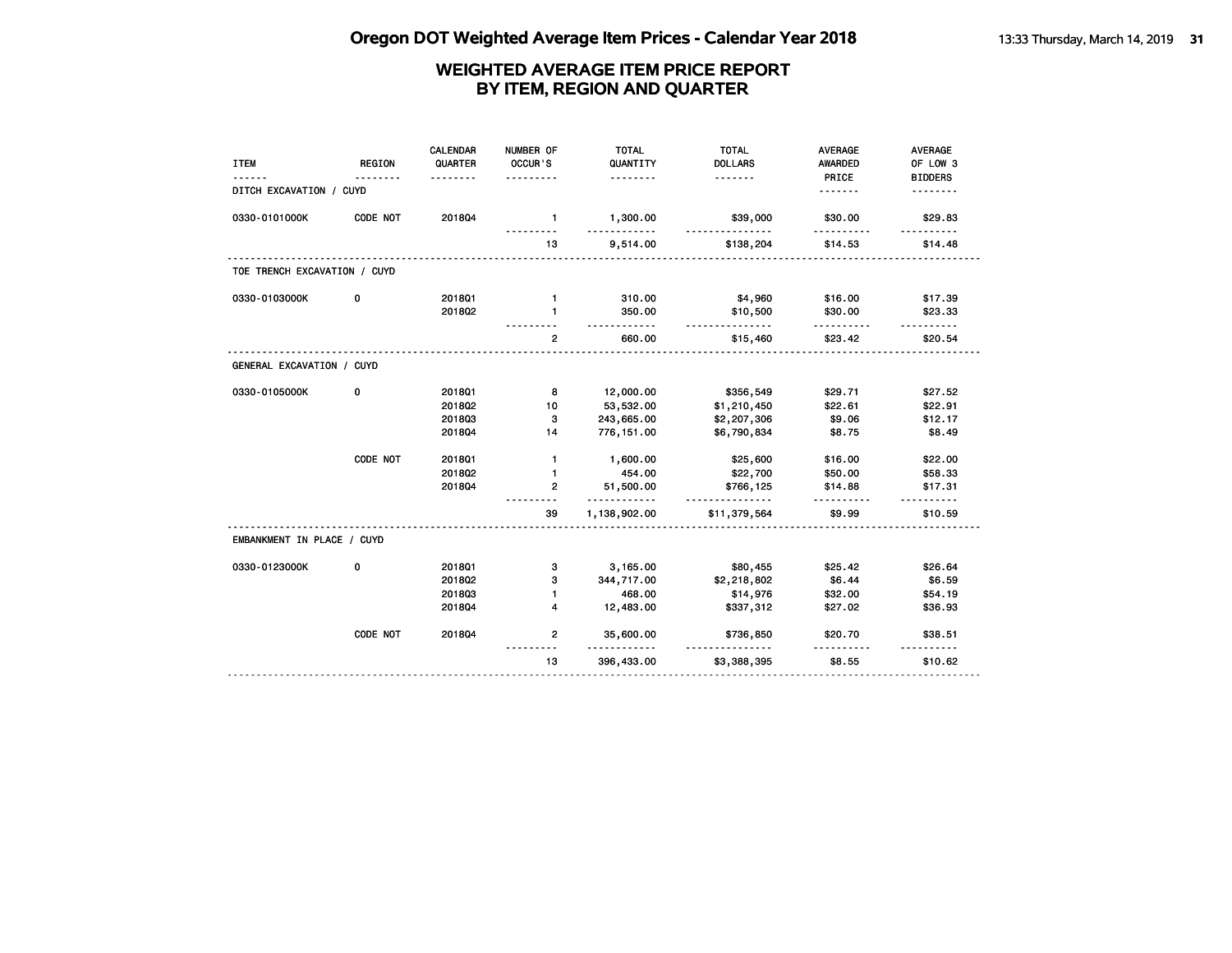|                              |               | <b>CALENDAR</b> | NUMBER OF    | <b>TOTAL</b>             | <b>TOTAL</b>         | <b>AVERAGE</b>      | AVERAGE           |
|------------------------------|---------------|-----------------|--------------|--------------------------|----------------------|---------------------|-------------------|
| <b>ITEM</b>                  | <b>REGION</b> | QUARTER         | OCCUR'S      | QUANTITY                 | <b>DOLLARS</b>       | AWARDED             | OF LOW 3          |
|                              |               |                 |              | .                        | .                    | PRICE               | <b>BIDDERS</b>    |
| DITCH EXCAVATION / CUYD      |               |                 |              |                          |                      | .                   |                   |
| 0330-0101000K                | CODE NOT      | 201804          | $\mathbf{1}$ | 1,300.00                 | \$39,000             | \$30.00             | \$29.83           |
|                              |               |                 | 13           | 9,514.00                 | \$138,204            | \$14.53             | \$14.48           |
| TOE TRENCH EXCAVATION / CUYD |               |                 |              |                          |                      |                     |                   |
| 0330-0103000K                | 0             | 2018Q1          | $\mathbf{1}$ | 310.00                   | \$4,960              | \$16.00             | \$17.39           |
|                              |               | 2018Q2          | 1            | 350.00                   | \$10,500             | \$30.00             | \$23.33           |
|                              |               |                 | $\mathbf{2}$ | .<br>660.00              | <u>.</u><br>\$15,460 | .<br>\$23.42        | .<br>\$20.54      |
| GENERAL EXCAVATION / CUYD    |               |                 |              |                          |                      |                     |                   |
| 0330-0105000K                | 0             | 2018Q1          | 8            | 12,000.00                | \$356,549            | \$29.71             | \$27.52           |
|                              |               | 201802          | 10           | 53,532.00                | \$1,210,450          | \$22.61             | \$22.91           |
|                              |               | 201803          | 3            | 243,665.00               | \$2,207,306          | \$9.06              | \$12.17           |
|                              |               | 201804          | 14           | 776, 151.00              | \$6,790,834          | \$8.75              | \$8.49            |
|                              | CODE NOT      | 2018Q1          | $\mathbf{1}$ | 1,600.00                 | \$25,600             | \$16.00             | \$22.00           |
|                              |               | 2018Q2          | 1            | 454.00                   | \$22,700             | \$50.00             | \$58.33           |
|                              |               | 201804          | 2            | 51,500.00                | \$766,125            | \$14.88             | \$17.31           |
|                              |               |                 | 39           | $\cdots$<br>1,138,902.00 | \$11,379,564         | $- - - -$<br>\$9.99 | ------<br>\$10.59 |
| EMBANKMENT IN PLACE / CUYD   |               |                 |              |                          |                      |                     |                   |
| 0330-0123000K                | 0             | 2018Q1          | 3            | 3,165.00                 | \$80,455             | \$25.42             | \$26.64           |
|                              |               | 2018Q2          | з            | 344,717.00               | \$2,218,802          | \$6.44              | \$6.59            |
|                              |               | 201803          | $\mathbf{1}$ | 468.00                   | \$14,976             | \$32.00             | \$54.19           |
|                              |               | 201804          | 4            | 12,483.00                | \$337,312            | \$27.02             | \$36.93           |
|                              | CODE NOT      | 201804          | $\mathbf{2}$ | 35,600.00<br>.           | \$736,850            | \$20.70             | \$38.51           |
|                              |               |                 | 13           | 396,433.00               | \$3,388,395          | \$8.55              | \$10.62           |
|                              |               |                 |              |                          |                      |                     |                   |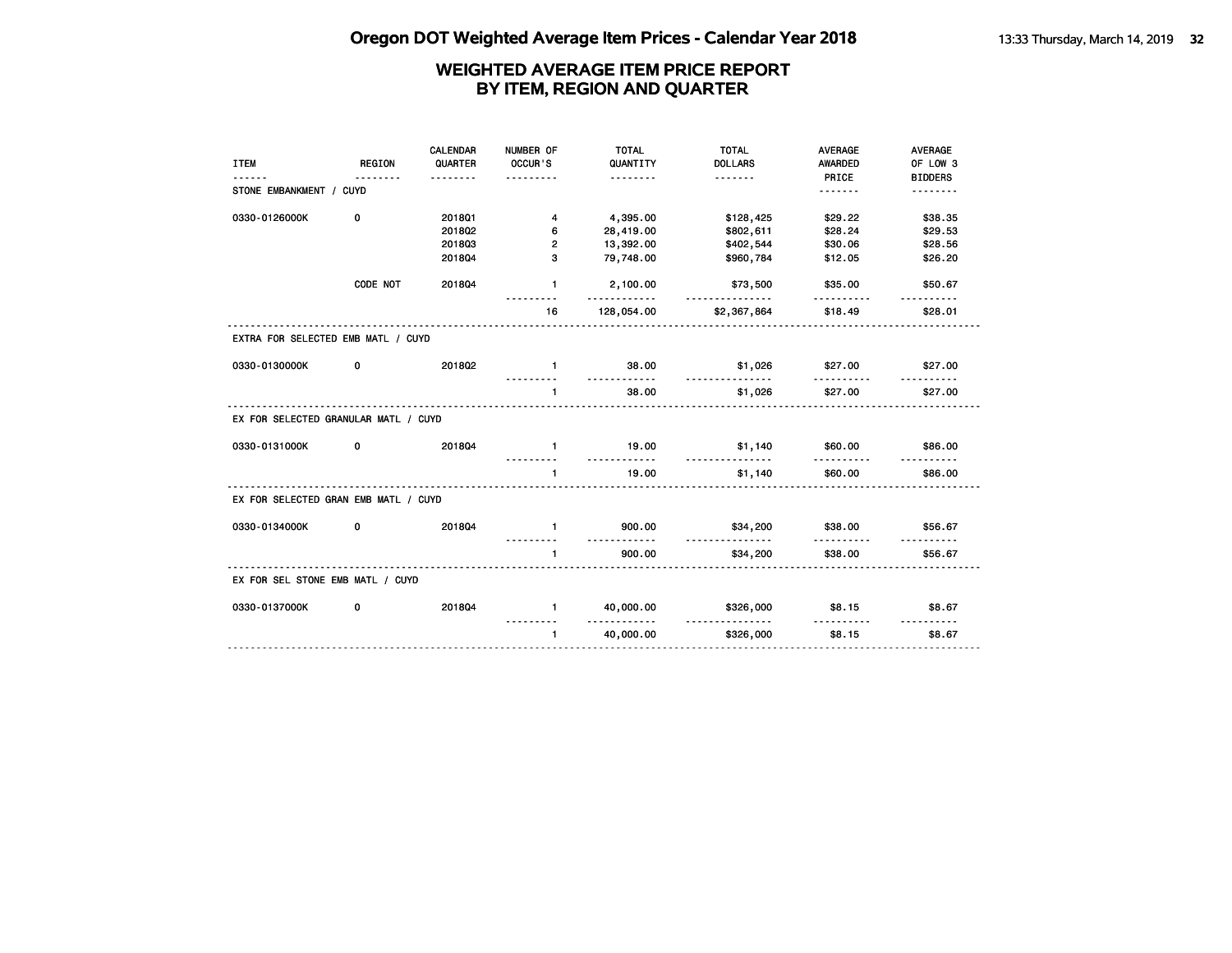|                                      |               | CALENDAR | NUMBER OF      | <b>TOTAL</b>       | <b>TOTAL</b>         | <b>AVERAGE</b>        | <b>AVERAGE</b>             |
|--------------------------------------|---------------|----------|----------------|--------------------|----------------------|-----------------------|----------------------------|
| <b>ITEM</b>                          | <b>REGION</b> | QUARTER  | OCCUR'S        | QUANTITY           | <b>DOLLARS</b>       | <b>AWARDED</b>        | OF LOW 3                   |
| STONE EMBANKMENT / CUYD              |               | <u>.</u> | .              | <u>.</u>           |                      | PRICE<br><u>.</u>     | <b>BIDDERS</b><br><u>.</u> |
|                                      |               |          |                |                    |                      |                       |                            |
| 0330-0126000K                        | 0             | 2018Q1   | 4              | 4,395.00           | \$128,425            | \$29.22               | \$38.35                    |
|                                      |               | 201802   | 6              | 28,419.00          | \$802,611            | \$28.24               | \$29.53                    |
|                                      |               | 201803   | $\overline{2}$ | 13,392.00          | \$402,544            | \$30.06               | \$28.56                    |
|                                      |               | 201804   | 3              | 79,748.00          | \$960,784            | \$12.05               | \$26.20                    |
|                                      | CODE NOT      | 201804   | $\mathbf{1}$   | 2,100.00<br>.      | \$73,500<br>.        | \$35.00               | \$50.67                    |
|                                      |               |          | 16             | 128,054.00         | \$2,367,864          | \$18.49               | \$28.01                    |
| EXTRA FOR SELECTED EMB MATL / CUYD   |               |          |                |                    |                      |                       |                            |
| 0330-0130000K                        | 0             | 201802   | $\mathbf{1}$   | 38.00<br><u>.</u>  | \$1,026              | \$27.00               | \$27.00                    |
|                                      |               |          | $\blacksquare$ | 38.00              | <u>.</u><br>\$1,026  | ----------<br>\$27.00 | \$27.00                    |
| EX FOR SELECTED GRANULAR MATL / CUYD |               |          |                |                    |                      |                       |                            |
| 0330-0131000K                        | 0             | 201804   | $\blacksquare$ | 19.00<br>.         | \$1,140<br>.         | \$60.00               | \$86.00                    |
|                                      |               |          | $\blacksquare$ | 19.00              | \$1,140              | \$60.00               | \$86.00                    |
| EX FOR SELECTED GRAN EMB MATL / CUYD |               |          |                |                    |                      |                       |                            |
| 0330-0134000K                        | 0             | 201804   | $\blacksquare$ | 900.00             | \$34,200             | \$38.00               | \$56.67                    |
|                                      |               |          | $\mathbf{1}$   | <u>.</u><br>900.00 | <u>.</u><br>\$34,200 | <u>.</u><br>\$38.00   | \$56.67                    |
| EX FOR SEL STONE EMB MATL / CUYD     |               |          |                |                    |                      |                       |                            |
| 0330-0137000K                        | 0             | 201804   | $\mathbf{1}$   | 40,000.00          | \$326,000            | \$8.15                | \$8.67                     |
|                                      |               |          | $\mathbf{1}$   | .<br>40,000.00     | .<br>\$326,000       | <u>.</u><br>\$8.15    | <u>.</u><br>\$8.67         |
|                                      |               |          |                |                    |                      |                       |                            |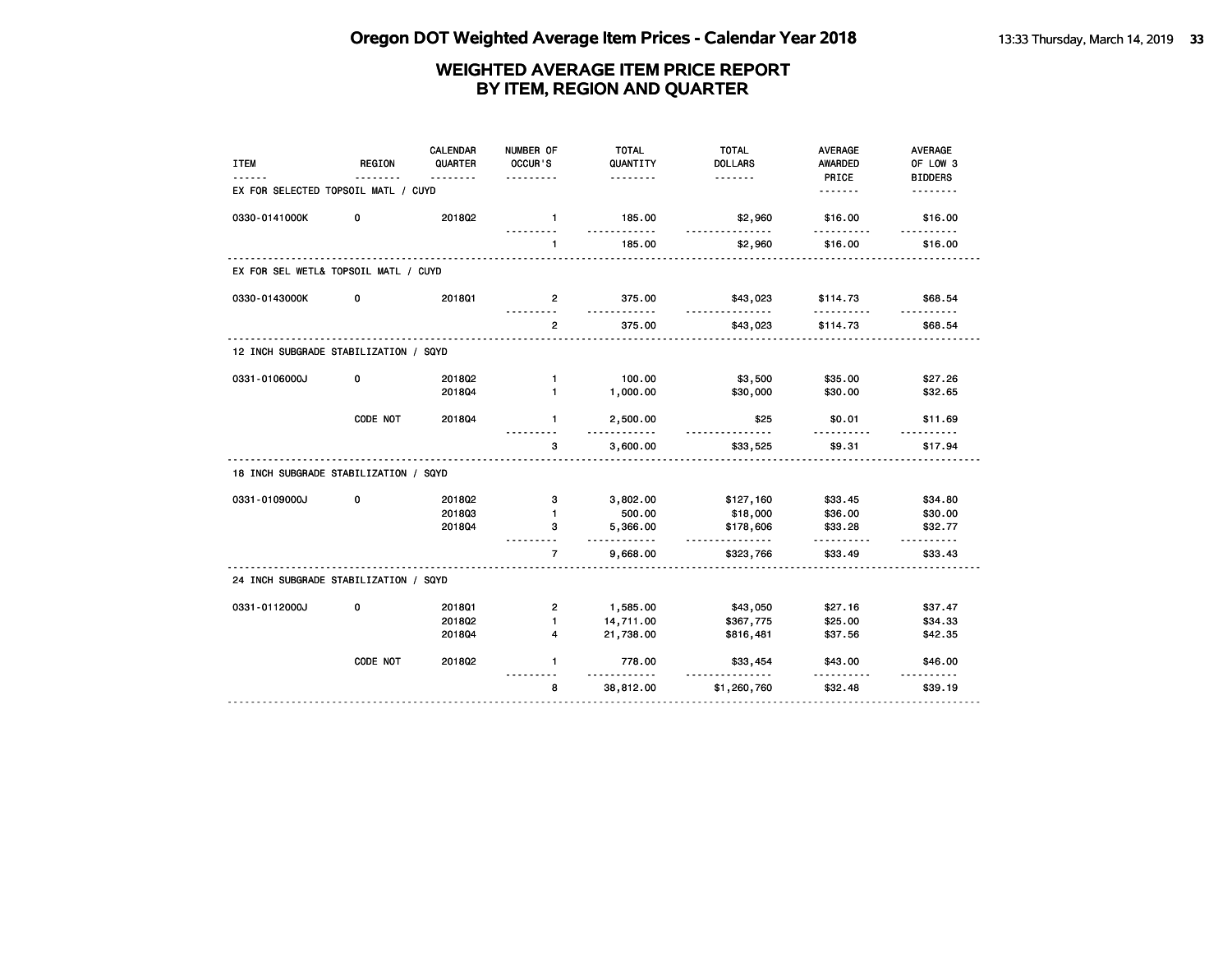| <b>ITEM</b>                           | <b>REGION</b> | <b>CALENDAR</b><br>QUARTER<br>. | NUMBER OF<br>OCCUR'S<br>. | <b>TOTAL</b><br>QUANTITY<br><u>.</u> | <b>TOTAL</b><br><b>DOLLARS</b><br><u>.</u> | <b>AVERAGE</b><br>AWARDED<br>PRICE | <b>AVERAGE</b><br>OF LOW 3<br><b>BIDDERS</b> |
|---------------------------------------|---------------|---------------------------------|---------------------------|--------------------------------------|--------------------------------------------|------------------------------------|----------------------------------------------|
| EX FOR SELECTED TOPSOIL MATL / CUYD   |               |                                 |                           |                                      |                                            |                                    | <u>.</u>                                     |
| 0330-0141000K                         | 0             | 201802                          | $\mathbf{1}$              | 185.00<br>$- - -$                    | \$2,960                                    | \$16.00<br>.                       | \$16.00                                      |
|                                       |               |                                 | $\mathbf{1}$              | 185.00                               | \$2,960                                    | \$16.00                            | \$16.00                                      |
| EX FOR SEL WETL& TOPSOIL MATL / CUYD  |               |                                 |                           |                                      |                                            |                                    |                                              |
| 0330-0143000K                         | 0             | 2018Q1                          | $\overline{2}$            | 375.00<br>.                          | \$43,023<br><u>.</u>                       | \$114.73<br><u>.</u>               | \$68.54<br>. . <b>.</b>                      |
|                                       |               |                                 | $\overline{2}$            | 375.00                               | \$43,023                                   | \$114.73                           | \$68.54                                      |
| 12 INCH SUBGRADE STABILIZATION / SQYD |               |                                 |                           |                                      |                                            |                                    |                                              |
| 0331-0106000J                         | 0             | 2018Q2                          | $\mathbf{1}$              | 100.00                               | \$3,500                                    | \$35.00                            | \$27.26                                      |
|                                       |               | 201804                          | $\mathbf{1}$              | 1,000.00                             | \$30,000                                   | \$30.00                            | \$32.65                                      |
|                                       | CODE NOT      | 201804                          | $\mathbf{1}$              | 2,500.00<br>.                        | \$25<br>.                                  | \$0.01                             | \$11.69                                      |
|                                       |               |                                 | 3                         | 3,600.00                             | \$33,525                                   | \$9.31                             | \$17.94                                      |
| 18 INCH SUBGRADE STABILIZATION / SQYD |               |                                 |                           |                                      |                                            |                                    |                                              |
| 0331-0109000J                         | 0             | 201802                          | 3                         | 3,802.00                             | \$127,160                                  | \$33.45                            | \$34.80                                      |
|                                       |               | 201803                          | $\mathbf{1}$              | 500.00                               | \$18,000                                   | \$36.00                            | \$30.00                                      |
|                                       |               | 201804                          | 3                         | 5,366.00<br>.                        | \$178,606<br>.                             | \$33.28                            | \$32.77<br>.                                 |
|                                       |               |                                 | $\overline{7}$            | 9,668.00                             | \$323,766                                  | \$33.49                            | \$33.43                                      |
| 24 INCH SUBGRADE STABILIZATION / SQYD |               |                                 |                           |                                      |                                            |                                    |                                              |
| 0331-0112000J                         | 0             | 201801                          | $\overline{2}$            | 1,585.00                             | \$43,050                                   | \$27.16                            | \$37.47                                      |
|                                       |               | 201802                          | $\blacksquare$            | 14,711.00                            | \$367,775                                  | \$25.00                            | \$34.33                                      |
|                                       |               | 2018Q4                          | 4                         | 21,738.00                            | \$816,481                                  | \$37.56                            | \$42.35                                      |
|                                       | CODE NOT      | 2018Q2                          | $\mathbf{1}$              | 778.00<br>.                          | \$33,454                                   | \$43.00                            | \$46.00<br><u>.</u>                          |
|                                       |               |                                 | 8                         | 38,812.00                            | \$1,260,760                                | \$32.48                            | \$39.19                                      |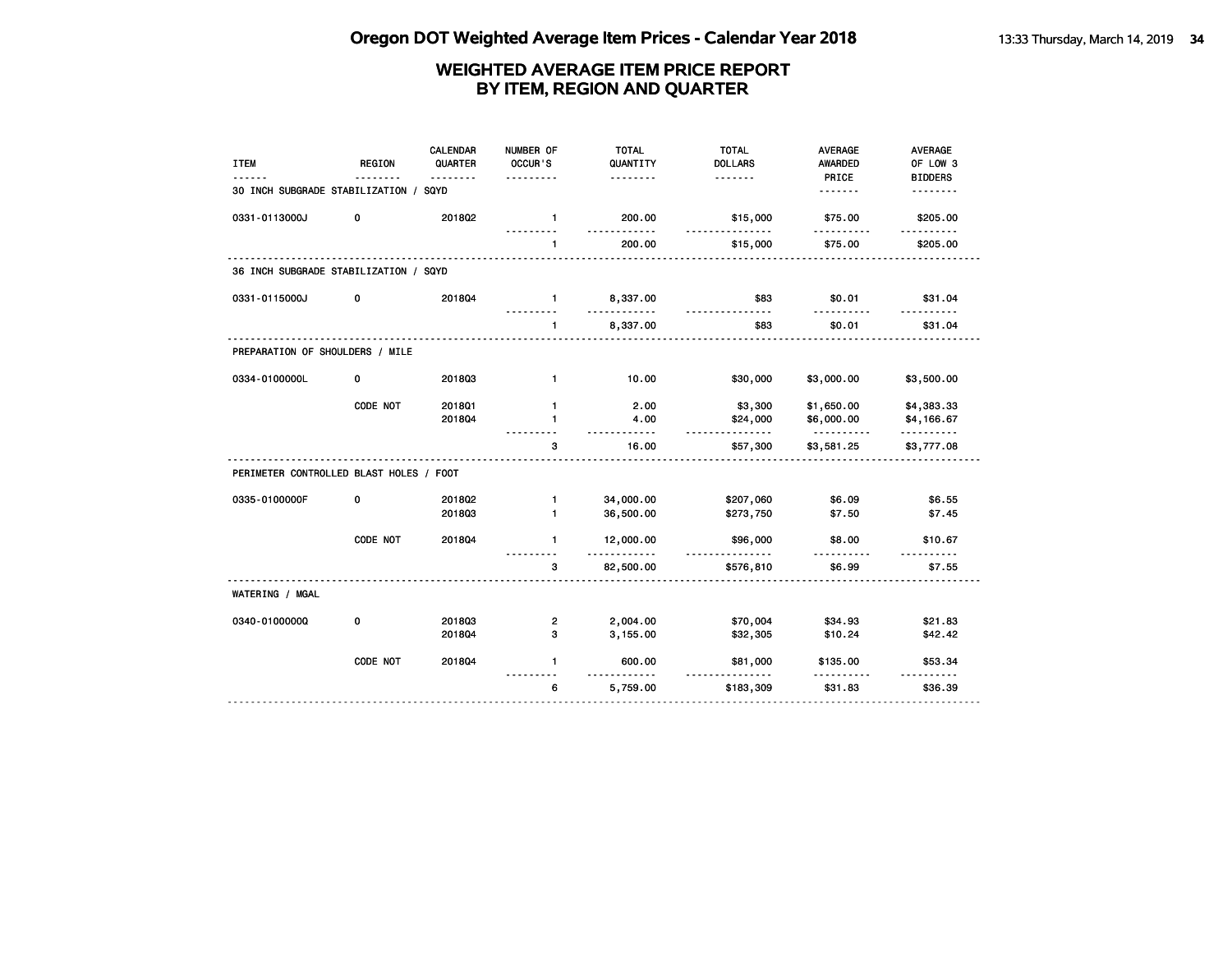| <b>ITEM</b>                             | <b>REGION</b> | CALENDAR<br>QUARTER<br>. | NUMBER OF<br>OCCUR'S         | <b>TOTAL</b><br>QUANTITY<br>. | <b>TOTAL</b><br><b>DOLLARS</b><br>.                                                                                                                                                                                                                                                                                                                                                                                                                                                                | <b>AVERAGE</b><br>AWARDED<br>PRICE | <b>AVERAGE</b><br>OF LOW 3 |
|-----------------------------------------|---------------|--------------------------|------------------------------|-------------------------------|----------------------------------------------------------------------------------------------------------------------------------------------------------------------------------------------------------------------------------------------------------------------------------------------------------------------------------------------------------------------------------------------------------------------------------------------------------------------------------------------------|------------------------------------|----------------------------|
| 30 INCH SUBGRADE STABILIZATION /        |               | SQYD                     | .                            |                               |                                                                                                                                                                                                                                                                                                                                                                                                                                                                                                    | .                                  | <b>BIDDERS</b><br><u>.</u> |
| 0331-0113000J                           | 0             | 2018Q2                   | $\mathbf{1}$                 | 200.00                        | \$15,000                                                                                                                                                                                                                                                                                                                                                                                                                                                                                           | \$75.00                            | \$205.00                   |
|                                         |               |                          | 1                            | 200.00                        | \$15,000                                                                                                                                                                                                                                                                                                                                                                                                                                                                                           | \$75.00                            | \$205.00                   |
| 36 INCH SUBGRADE STABILIZATION / SQYD   |               |                          |                              |                               |                                                                                                                                                                                                                                                                                                                                                                                                                                                                                                    |                                    |                            |
| 0331-0115000J                           | 0             | 201804                   | $\blacksquare$               | 8,337.00<br>. . <b>.</b>      | \$83                                                                                                                                                                                                                                                                                                                                                                                                                                                                                               | \$0.01                             | \$31.04                    |
|                                         |               |                          | $\mathbf{1}$                 | 8,337.00                      | \$83                                                                                                                                                                                                                                                                                                                                                                                                                                                                                               | \$0.01                             | \$31.04                    |
| PREPARATION OF SHOULDERS / MILE         |               |                          |                              |                               |                                                                                                                                                                                                                                                                                                                                                                                                                                                                                                    |                                    |                            |
| 0334-0100000L                           | 0             | 201803                   | $\mathbf{1}$                 | 10.00                         | \$30,000                                                                                                                                                                                                                                                                                                                                                                                                                                                                                           | \$3,000.00                         | \$3,500.00                 |
|                                         | CODE NOT      | 2018Q1<br>201804         | $\mathbf{1}$<br>$\mathbf{1}$ | 2.00<br>4.00                  | \$3,300<br>\$24,000                                                                                                                                                                                                                                                                                                                                                                                                                                                                                | \$1,650.00<br>\$6,000.00           | \$4,383.33<br>\$4,166.67   |
|                                         |               |                          | 3                            | 16.00                         | .<br>\$57,300                                                                                                                                                                                                                                                                                                                                                                                                                                                                                      | \$3,581.25                         | .<br>\$3,777.08            |
| PERIMETER CONTROLLED BLAST HOLES / FOOT |               |                          |                              |                               |                                                                                                                                                                                                                                                                                                                                                                                                                                                                                                    |                                    |                            |
| 0335-0100000F                           | 0             | 2018Q2<br>201803         | $\mathbf{1}$<br>$\mathbf{1}$ | 34,000.00<br>36,500.00        | \$207,060<br>\$273,750                                                                                                                                                                                                                                                                                                                                                                                                                                                                             | \$6.09<br>\$7.50                   | \$6.55<br>\$7.45           |
|                                         | CODE NOT      | 201804                   | $\mathbf{1}$                 | 12,000.00<br><u>.</u>         | \$96,000<br>$\begin{array}{cccccccccc} \multicolumn{2}{c}{} & \multicolumn{2}{c}{} & \multicolumn{2}{c}{} & \multicolumn{2}{c}{} & \multicolumn{2}{c}{} & \multicolumn{2}{c}{} & \multicolumn{2}{c}{} & \multicolumn{2}{c}{} & \multicolumn{2}{c}{} & \multicolumn{2}{c}{} & \multicolumn{2}{c}{} & \multicolumn{2}{c}{} & \multicolumn{2}{c}{} & \multicolumn{2}{c}{} & \multicolumn{2}{c}{} & \multicolumn{2}{c}{} & \multicolumn{2}{c}{} & \multicolumn{2}{c}{} & \multicolumn{2}{c}{} & \mult$ | \$8.00                             | \$10.67                    |
|                                         |               |                          | 3                            | 82,500.00                     | \$576,810                                                                                                                                                                                                                                                                                                                                                                                                                                                                                          | \$6.99                             | \$7.55                     |
| WATERING / MGAL                         |               |                          |                              |                               |                                                                                                                                                                                                                                                                                                                                                                                                                                                                                                    |                                    |                            |
| 0340-01000000                           | 0             | 201803<br>201804         | $\mathbf{2}$<br>3            | 2,004.00<br>3,155.00          | \$70,004<br>\$32,305                                                                                                                                                                                                                                                                                                                                                                                                                                                                               | \$34.93<br>\$10.24                 | \$21.83<br>\$42.42         |
|                                         | CODE NOT      | 201804                   | $\mathbf{1}$                 | 600.00<br><u>.</u>            | \$81,000<br>.                                                                                                                                                                                                                                                                                                                                                                                                                                                                                      | \$135.00                           | \$53.34<br>$- - - - - -$   |
|                                         |               |                          | 6                            | 5,759.00                      | \$183,309                                                                                                                                                                                                                                                                                                                                                                                                                                                                                          | \$31.83                            | \$36.39                    |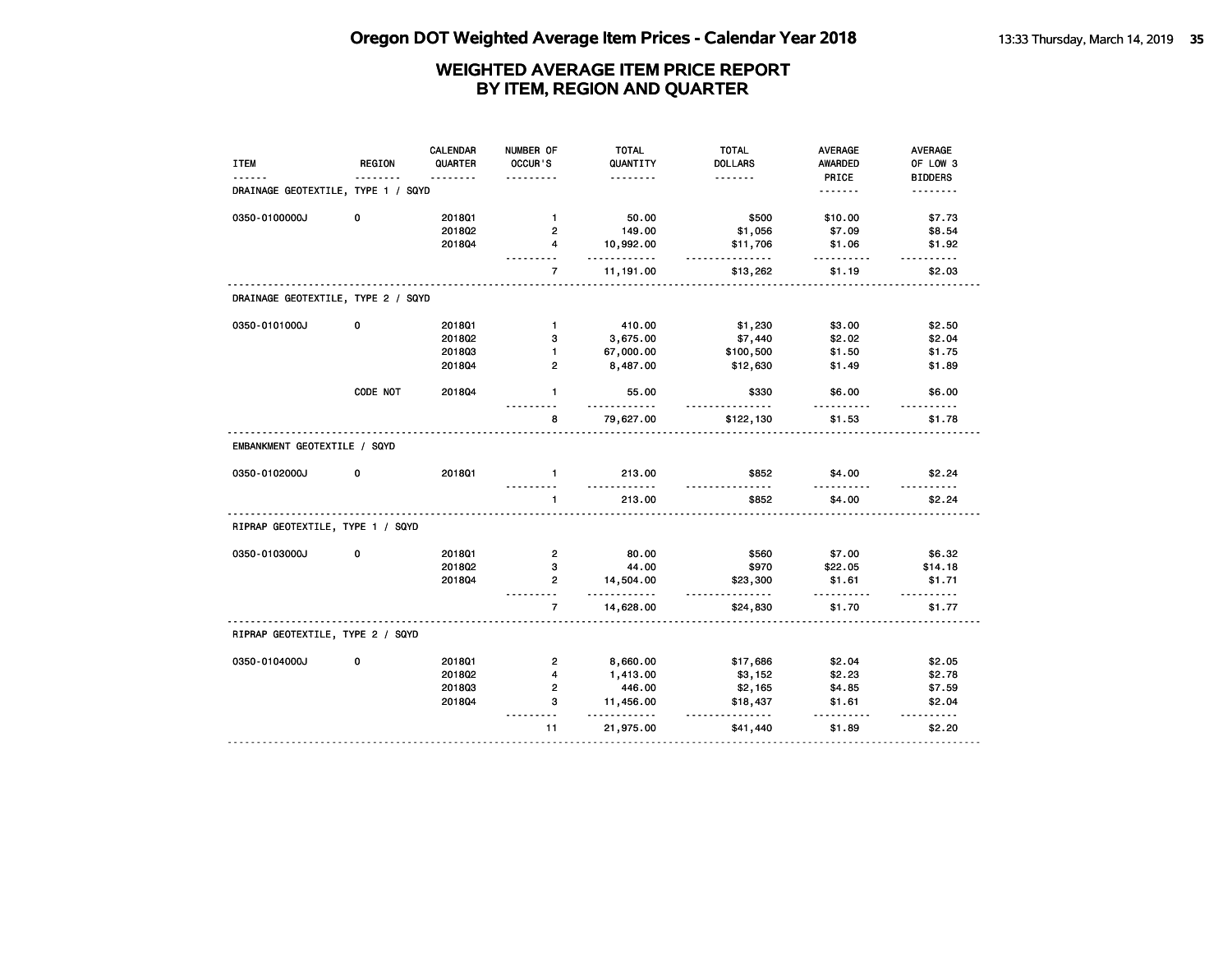|                                    |               | <b>CALENDAR</b> | NUMBER OF      | <b>TOTAL</b>             | <b>TOTAL</b>        | <b>AVERAGE</b>          | AVERAGE                    |
|------------------------------------|---------------|-----------------|----------------|--------------------------|---------------------|-------------------------|----------------------------|
| <b>ITEM</b>                        | <b>REGION</b> | QUARTER<br>.    | OCCUR'S        | QUANTITY<br>.            | <b>DOLLARS</b><br>. | <b>AWARDED</b><br>PRICE | OF LOW 3<br><b>BIDDERS</b> |
| DRAINAGE GEOTEXTILE, TYPE 1 / SQYD |               |                 |                |                          |                     | <u>.</u>                | <u>.</u>                   |
| 0350-0100000J                      | 0             | 2018Q1          | $\mathbf{1}$   | 50.00                    | \$500               | \$10.00                 | \$7.73                     |
|                                    |               | 201802          | $\mathbf{2}$   | 149.00                   | \$1,056             | \$7.09                  | \$8.54                     |
|                                    |               | 201804          | $\overline{4}$ | 10,992.00<br>.           | \$11,706<br>.       | \$1.06<br>.             | \$1.92<br>$- - - - - -$    |
|                                    |               |                 | $\overline{7}$ | 11,191.00                | \$13,262            | \$1.19                  | \$2.03                     |
| DRAINAGE GEOTEXTILE, TYPE 2 / SQYD |               |                 |                |                          |                     |                         |                            |
| 0350-0101000J                      | 0             | 201801          | $\mathbf{1}$   | 410.00                   | \$1,230             | \$3.00                  | \$2.50                     |
|                                    |               | 201802          | 3              | 3,675.00                 | \$7,440             | \$2.02                  | \$2.04                     |
|                                    |               | 201803          | $\mathbf{1}$   | 67,000.00                | \$100,500           | \$1.50                  | \$1.75                     |
|                                    |               | 2018Q4          | $\overline{2}$ | 8,487.00                 | \$12,630            | \$1.49                  | \$1.89                     |
|                                    | CODE NOT      | 2018Q4          | $\mathbf{1}$   | 55.00<br>.               | \$330               | \$6.00                  | \$6.00                     |
|                                    |               |                 | 8              | 79,627.00                | \$122,130           | \$1.53                  | \$1.78                     |
| EMBANKMENT GEOTEXTILE / SQYD       |               |                 |                |                          |                     |                         |                            |
| 0350-0102000J                      | 0             | 201801          | $\blacksquare$ | 213.00<br>.              | \$852               | \$4.00                  | \$2.24                     |
|                                    |               |                 | $\mathbf{1}$   | 213.00                   | \$852               | \$4.00                  | \$2.24                     |
| RIPRAP GEOTEXTILE, TYPE 1 / SQYD   |               |                 |                |                          |                     |                         |                            |
| 0350-0103000J                      | $\mathbf 0$   | 2018Q1          | $\overline{2}$ | 80.00                    | \$560               | \$7.00                  | \$6.32                     |
|                                    |               | 201802          | 3              | 44.00                    | \$970               | \$22.05                 | \$14.18                    |
|                                    |               | 201804          | $\overline{2}$ | 14,504.00<br>$- - - - -$ | \$23,300<br>.       | \$1.61                  | \$1.71                     |
|                                    |               |                 | $\overline{7}$ | 14,628.00                | \$24,830            | \$1.70                  | \$1.77                     |
| RIPRAP GEOTEXTILE, TYPE 2 / SQYD   |               |                 |                |                          |                     |                         |                            |
| 0350-0104000J                      | 0             | 2018Q1          | $\overline{2}$ | 8,660.00                 | \$17,686            | \$2.04                  | \$2.05                     |
|                                    |               | 2018Q2          | $\overline{4}$ | 1,413.00                 | \$3,152             | \$2.23                  | \$2.78                     |
|                                    |               | 201803          | $\overline{2}$ | 446.00                   | \$2,165             | \$4.85                  | \$7.59                     |
|                                    |               | 201804          | 3<br>$- - -$   | 11,456.00<br>- - - -     | \$18,437<br>.       | \$1.61                  | \$2.04<br>$- - - - - -$    |
|                                    |               |                 | 11             | 21,975.00                | \$41,440            | \$1.89                  | \$2.20                     |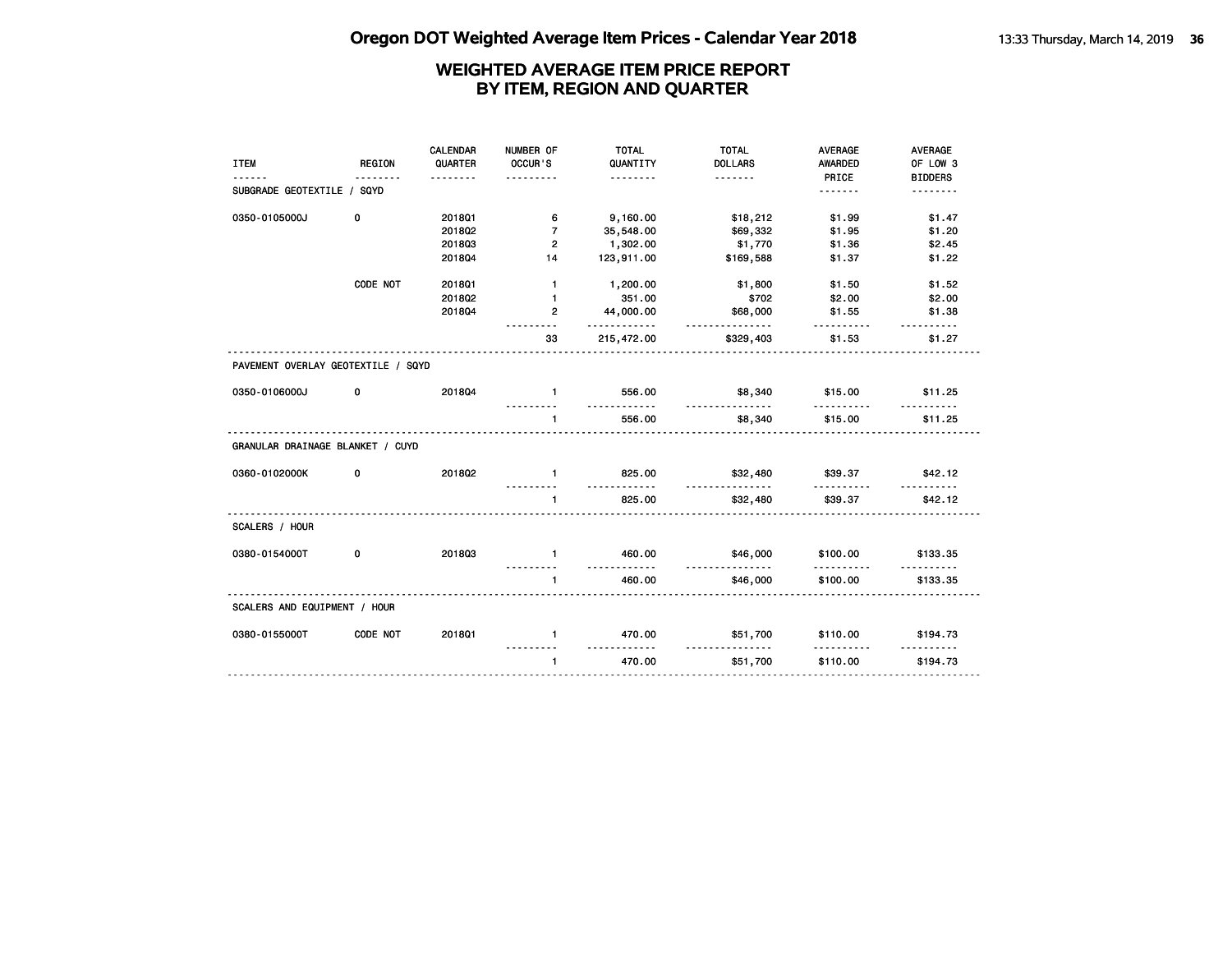|                                    |               | CALENDAR | NUMBER OF         | <b>TOTAL</b>       | <b>TOTAL</b>         | <b>AVERAGE</b> | <b>AVERAGE</b> |
|------------------------------------|---------------|----------|-------------------|--------------------|----------------------|----------------|----------------|
| <b>ITEM</b>                        | <b>REGION</b> | QUARTER  | OCCUR'S           | QUANTITY           | <b>DOLLARS</b>       | AWARDED        | OF LOW 3       |
|                                    |               | <u>.</u> | .                 | <u>.</u>           |                      | PRICE          | <b>BIDDERS</b> |
| SUBGRADE GEOTEXTILE / SQYD         |               |          |                   |                    |                      | <u>.</u>       | .              |
|                                    |               |          |                   |                    |                      |                |                |
| 0350-0105000J                      | 0             | 2018Q1   | 6                 | 9,160.00           | \$18,212             | \$1.99         | \$1.47         |
|                                    |               | 201802   | $\overline{7}$    | 35,548.00          | \$69,332             | \$1.95         | \$1.20         |
|                                    |               | 201803   | $\overline{2}$    | 1,302.00           | \$1,770              | \$1.36         | \$2.45         |
|                                    |               | 201804   | 14                | 123,911.00         | \$169,588            | \$1.37         | \$1.22         |
|                                    | CODE NOT      | 201801   | $\mathbf{1}$      | 1,200.00           | \$1,800              | \$1.50         | \$1.52         |
|                                    |               | 2018Q2   | $\mathbf{1}$      | 351.00             | \$702                | \$2.00         | \$2.00         |
|                                    |               | 201804   | $\overline{2}$    | 44,000.00          | \$68,000             | \$1.55         | \$1.38         |
|                                    |               |          |                   | .                  | .                    | .              |                |
|                                    |               |          | 33                | 215,472.00         | \$329,403            | \$1.53         | \$1.27         |
| PAVEMENT OVERLAY GEOTEXTILE / SQYD |               |          |                   |                    |                      |                |                |
| 0350-0106000J                      | 0             | 201804   | $\blacksquare$    | 556.00             | \$8,340              | \$15.00        | \$11.25        |
|                                    |               |          | $\mathbf{1}$      | <u>.</u><br>556.00 | <u>.</u><br>\$8,340  | .<br>\$15.00   | \$11.25        |
| GRANULAR DRAINAGE BLANKET / CUYD   |               |          |                   |                    |                      |                |                |
| 0360-0102000K                      | 0             | 201802   | $\mathbf{1}$      | 825.00<br>.        | \$32,480             | \$39.37<br>.   | \$42.12        |
|                                    |               |          | $\mathbf{1}$      | 825.00             | \$32,480             | \$39.37        | \$42.12        |
| SCALERS / HOUR                     |               |          |                   |                    |                      |                |                |
| 0380-0154000T                      | 0             | 201803   | $\mathbf{1}$<br>. | 460.00<br>.        | \$46,000<br>.        | \$100.00<br>.  | \$133.35       |
|                                    |               |          | $\mathbf{1}$      | 460.00             | \$46,000             | \$100.00       | \$133.35       |
| SCALERS AND EQUIPMENT / HOUR       |               |          |                   |                    |                      |                |                |
| 0380-0155000T                      | CODE NOT      | 2018Q1   | $\mathbf{1}$      | 470.00             | \$51,700<br><u>.</u> | \$110.00       | \$194.73       |
|                                    |               |          | $\mathbf{1}$      | 470.00             | \$51,700             | \$110.00       | \$194.73       |
|                                    |               |          |                   |                    |                      |                |                |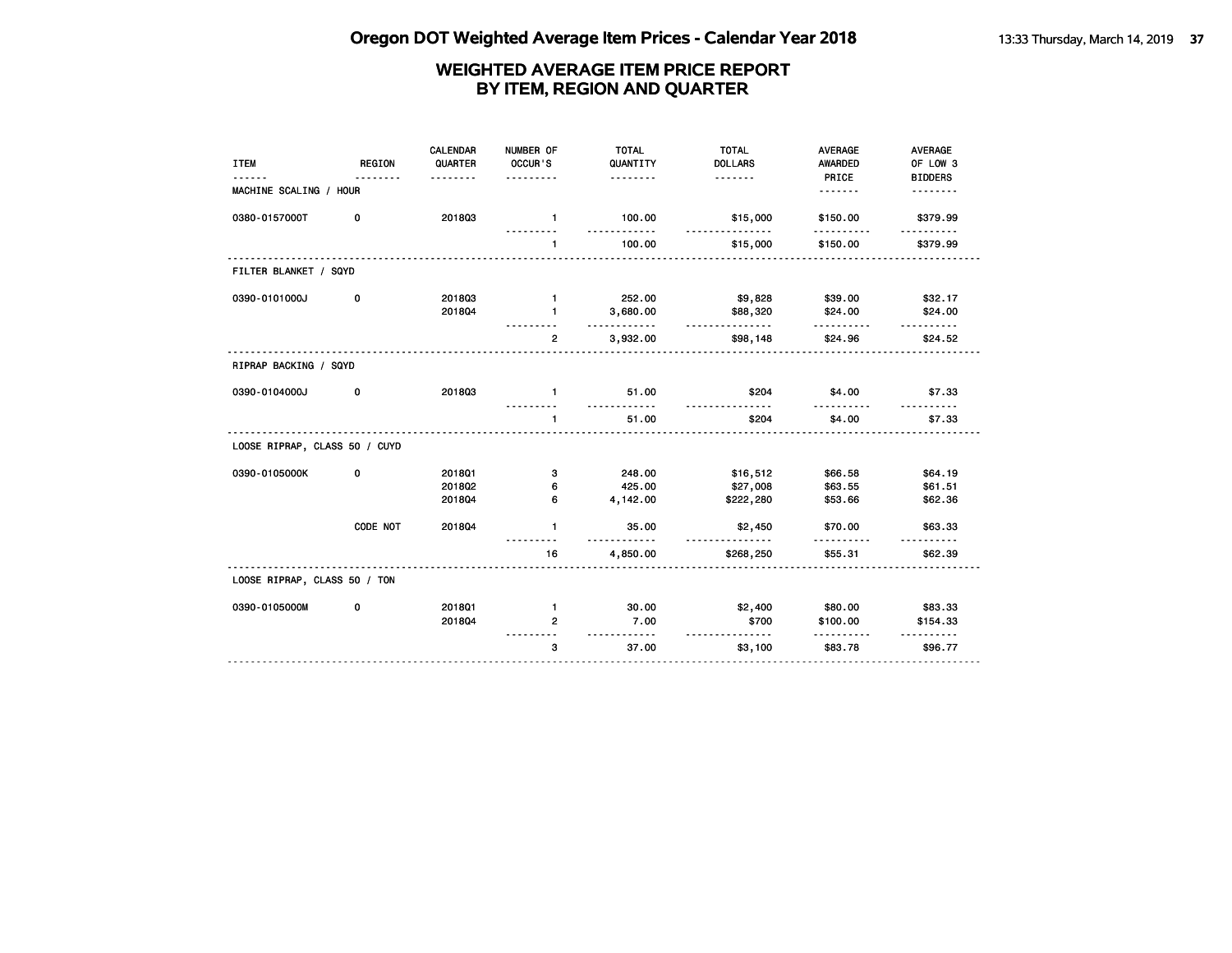| <b>ITEM</b>                   | <b>REGION</b> | <b>CALENDAR</b><br>QUARTER<br>$- - - - - - -$ | NUMBER OF<br>OCCUR'S<br>. | <b>TOTAL</b><br>QUANTITY<br>. | <b>TOTAL</b><br><b>DOLLARS</b><br>. | <b>AVERAGE</b><br>AWARDED<br>PRICE | AVERAGE<br>OF LOW 3<br><b>BIDDERS</b> |
|-------------------------------|---------------|-----------------------------------------------|---------------------------|-------------------------------|-------------------------------------|------------------------------------|---------------------------------------|
| MACHINE SCALING / HOUR        |               |                                               |                           |                               |                                     | <u>.</u>                           | .                                     |
| 0380-0157000T                 | 0             | 201803                                        | $\blacksquare$            | 100.00<br>december 2010       | \$15,000<br>.                       | \$150.00                           | \$379.99                              |
|                               |               |                                               | $\mathbf{1}$              | 100.00                        | \$15,000                            | \$150.00                           | \$379.99                              |
| FILTER BLANKET / SQYD         |               |                                               |                           |                               |                                     |                                    |                                       |
| 0390-0101000J                 | 0             | 201803                                        | $\mathbf{1}$              | 252.00                        | \$9,828                             | \$39.00                            | \$32.17                               |
|                               |               | 201804                                        | $\mathbf{1}$              | 3,680.00<br>.                 | \$88,320<br><u>.</u>                | \$24.00<br><u></u>                 | \$24.00<br><u>.</u>                   |
|                               |               |                                               | $\overline{2}$            | 3,932.00                      | \$98,148                            | \$24.96                            | \$24.52                               |
| RIPRAP BACKING / SQYD         |               |                                               |                           |                               |                                     |                                    |                                       |
| 0390-0104000J                 | 0             | 201803                                        | $\mathbf{1}$              | 51.00<br>.                    | \$204<br><u>.</u>                   | \$4.00<br><u>.</u>                 | \$7.33<br><u>.</u>                    |
|                               |               |                                               | $\mathbf{1}$              | 51.00                         | \$204                               | \$4.00                             | \$7.33                                |
| LOOSE RIPRAP, CLASS 50 / CUYD |               |                                               |                           |                               |                                     |                                    |                                       |
| 0390-0105000K                 | 0             | 2018Q1                                        | з                         | 248.00                        | \$16,512                            | \$66.58                            | \$64.19                               |
|                               |               | 2018Q2                                        | 6                         | 425.00                        | \$27,008                            | \$63.55                            | \$61.51                               |
|                               |               | 201804                                        | 6                         | 4,142.00                      | \$222,280                           | \$53.66                            | \$62.36                               |
|                               | CODE NOT      | 201804                                        | $\mathbf{1}$              | 35.00<br><u>.</u>             | \$2,450<br>.                        | \$70.00                            | \$63.33                               |
|                               |               |                                               | 16                        | 4,850.00                      | \$268,250                           | \$55.31                            | \$62.39                               |
| LOOSE RIPRAP, CLASS 50 / TON  |               |                                               |                           |                               |                                     |                                    |                                       |
| 0390-0105000M                 | 0             | 201801                                        | $\mathbf{1}$              | 30.00                         | \$2,400                             | \$80.00                            | \$83.33                               |
|                               |               | 201804                                        | $\overline{2}$            | 7.00<br><u>.</u>              | \$700<br><u>.</u>                   | \$100.00                           | \$154.33                              |
|                               |               |                                               | 3                         | 37.00                         | \$3,100                             | \$83.78                            | \$96.77                               |
|                               |               |                                               |                           |                               |                                     |                                    |                                       |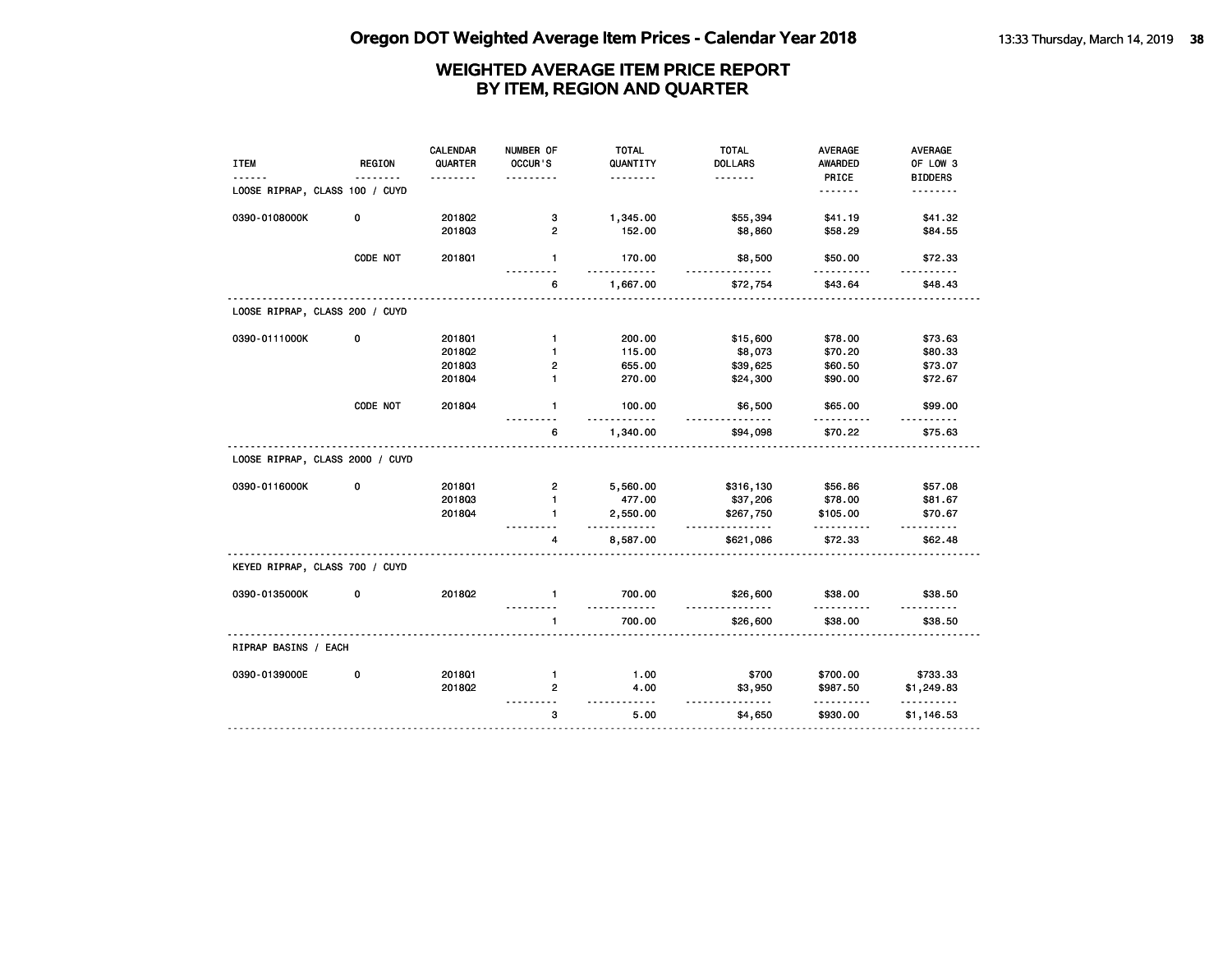| <b>ITEM</b>                     | REGION   | <b>CALENDAR</b><br>QUARTER | NUMBER OF<br>OCCUR'S | <b>TOTAL</b><br>QUANTITY | <b>TOTAL</b><br><b>DOLLARS</b> | <b>AVERAGE</b><br><b>AWARDED</b> | AVERAGE<br>OF LOW 3  |
|---------------------------------|----------|----------------------------|----------------------|--------------------------|--------------------------------|----------------------------------|----------------------|
|                                 |          |                            |                      | .                        | .                              | PRICE                            | <b>BIDDERS</b>       |
| LOOSE RIPRAP, CLASS 100 / CUYD  |          |                            |                      |                          |                                | <u>.</u>                         | .                    |
| 0390-0108000K                   | 0        | 201802                     | 3                    | 1,345.00                 | \$55,394                       | \$41.19                          | \$41.32              |
|                                 |          | 201803                     | $\overline{2}$       | 152.00                   | \$8,860                        | \$58.29                          | \$84.55              |
|                                 | CODE NOT | 2018Q1                     | $\mathbf{1}$         | 170.00<br>.              | \$8,500<br>.                   | \$50.00<br>.                     | \$72.33<br>.         |
|                                 |          |                            | 6                    | 1,667.00                 | \$72,754                       | \$43.64                          | \$48.43              |
| LOOSE RIPRAP, CLASS 200 / CUYD  |          |                            |                      |                          |                                |                                  |                      |
| 0390-0111000K                   | 0        | 201801                     | $\mathbf{1}$         | 200.00                   | \$15,600                       | \$78.00                          | \$73.63              |
|                                 |          | 201802                     | 1                    | 115.00                   | \$8,073                        | \$70.20                          | \$80.33              |
|                                 |          | 201803                     | $\overline{2}$       | 655.00                   | \$39,625                       | \$60.50                          | \$73.07              |
|                                 |          | 2018Q4                     | $\mathbf{1}$         | 270.00                   | \$24,300                       | \$90.00                          | \$72.67              |
|                                 | CODE NOT | 201804                     | $\mathbf{1}$         | 100.00                   | \$6,500                        | \$65.00                          | \$99.00              |
|                                 |          |                            | 6                    | 1,340.00                 | \$94,098                       | \$70.22                          | \$75.63              |
| LOOSE RIPRAP, CLASS 2000 / CUYD |          |                            |                      |                          |                                |                                  |                      |
| 0390-0116000K                   | 0        | 201801                     | $\overline{2}$       | 5,560.00                 | \$316,130                      | \$56.86                          | \$57.08              |
|                                 |          | 201803                     | $\mathbf{1}$         | 477.00                   | \$37,206                       | \$78.00                          | \$81.67              |
|                                 |          | 201804                     | $\mathbf{1}$         | 2,550.00<br><u>.</u>     | \$267,750<br>.                 | \$105.00                         | \$70.67<br>1.1.1.1.1 |
|                                 |          |                            | 4                    | 8,587.00                 | \$621,086                      | \$72.33                          | \$62.48              |
| KEYED RIPRAP, CLASS 700 / CUYD  |          |                            |                      |                          |                                |                                  |                      |
| 0390-0135000K                   | 0        | 201802                     | $\mathbf{1}$         | 700.00                   | \$26,600<br><u>.</u>           | \$38.00                          | \$38.50              |
|                                 |          |                            | $\mathbf{1}$         | 700.00                   | \$26,600                       | \$38.00                          | \$38.50              |
| RIPRAP BASINS / EACH            |          |                            |                      |                          |                                |                                  |                      |
| 0390-0139000E                   | 0        | 201801                     | $\mathbf{1}$         | 1.00                     | \$700                          | \$700.00                         | \$733.33             |
|                                 |          | 201802                     | 2                    | 4.00                     | \$3,950<br><u>.</u>            | \$987.50                         | \$1,249.83           |
|                                 |          |                            | 3                    | $- - - -$<br>5.00        | \$4,650                        | \$930.00                         | .<br>\$1,146.53      |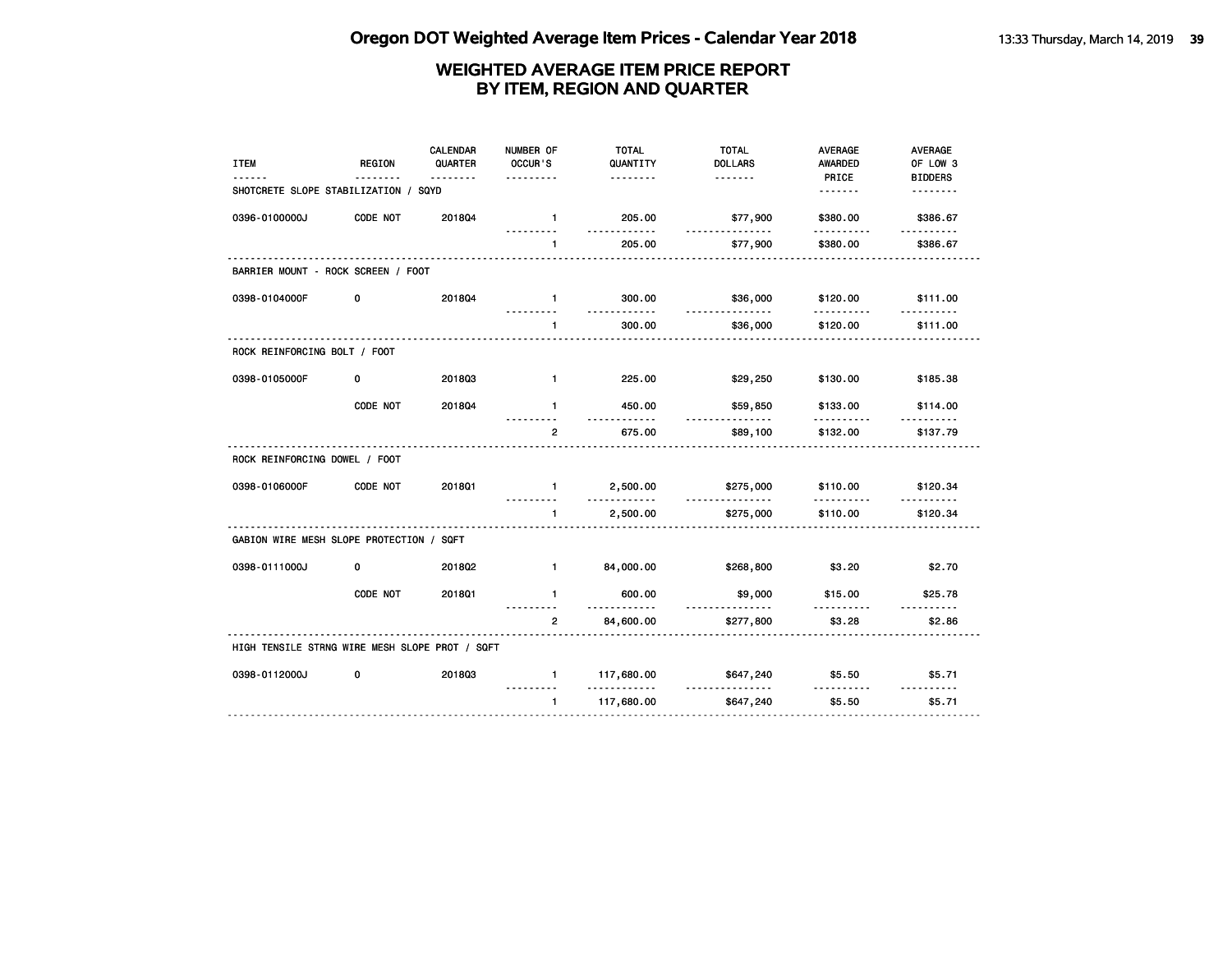| <b>ITEM</b>                                    | <b>REGION</b> | <b>CALENDAR</b><br>QUARTER | NUMBER OF<br>OCCUR'S     | <b>TOTAL</b><br>QUANTITY | <b>TOTAL</b><br><b>DOLLARS</b> | <b>AVERAGE</b><br><b>AWARDED</b> | <b>AVERAGE</b><br>OF LOW 3 |
|------------------------------------------------|---------------|----------------------------|--------------------------|--------------------------|--------------------------------|----------------------------------|----------------------------|
| SHOTCRETE SLOPE STABILIZATION / SQYD           |               | .                          |                          | .                        | <u>.</u>                       | PRICE<br><u>.</u>                | <b>BIDDERS</b><br>-------- |
| 0396-0100000J                                  | CODE NOT      | 2018Q4                     | $\mathbf{1}$<br><u>.</u> | 205.00<br>.              | \$77,900<br><u>.</u>           | \$380.00<br>.                    | \$386.67<br><u>.</u>       |
|                                                |               |                            | $\mathbf{1}$             | 205.00                   | \$77,900                       | \$380.00                         | \$386.67                   |
| BARRIER MOUNT - ROCK SCREEN / FOOT             |               |                            |                          |                          |                                |                                  |                            |
| 0398-0104000F                                  | 0             | 201804                     | $\mathbf{1}$             | 300.00<br>.              | \$36,000<br>.                  | \$120.00                         | \$111.00                   |
|                                                |               |                            | 1                        | 300.00                   | \$36,000                       | \$120.00                         | \$111.00                   |
| ROCK REINFORCING BOLT / FOOT                   |               |                            |                          |                          |                                |                                  |                            |
| 0398-0105000F                                  | 0             | 201803                     | $\blacksquare$           | 225.00                   | \$29,250                       | \$130.00                         | \$185.38                   |
|                                                | CODE NOT      | 2018Q4                     | $\mathbf{1}$             | 450.00                   | \$59,850                       | \$133.00<br>.                    | \$114.00                   |
|                                                |               |                            | $\mathbf{2}$             | 675.00                   | \$89,100                       | \$132.00                         | \$137.79                   |
| ROCK REINFORCING DOWEL / FOOT                  |               |                            |                          |                          |                                |                                  |                            |
| 0398-0106000F                                  | CODE NOT      | 2018Q1                     | $\blacksquare$           | 2,500.00                 | \$275,000                      | \$110.00                         | \$120.34                   |
|                                                |               |                            | $\mathbf{1}$             | 2,500.00                 | \$275,000                      | \$110.00                         | \$120.34                   |
| GABION WIRE MESH SLOPE PROTECTION / SQFT       |               |                            |                          |                          |                                |                                  |                            |
| 0398-0111000J                                  | 0             | 2018Q2                     | $\blacksquare$           | 84,000.00                | \$268,800                      | \$3.20                           | \$2.70                     |
|                                                | CODE NOT      | 201801                     | $\mathbf{1}$             | 600.00<br>$- - - -$      | \$9,000                        | \$15.00                          | \$25.78<br>- - - - - -     |
|                                                |               |                            | $\overline{2}$           | 84,600.00                | \$277,800                      | \$3.28                           | \$2.86                     |
| HIGH TENSILE STRNG WIRE MESH SLOPE PROT / SQFT |               |                            |                          |                          |                                |                                  |                            |
| 0398-0112000J                                  | 0             | 201803                     | $\mathbf{1}$             | 117,680.00               | \$647,240                      | \$5.50                           | \$5.71                     |
|                                                |               |                            | $\mathbf{1}$             | 117,680.00               | \$647,240                      | \$5.50                           | \$5.71                     |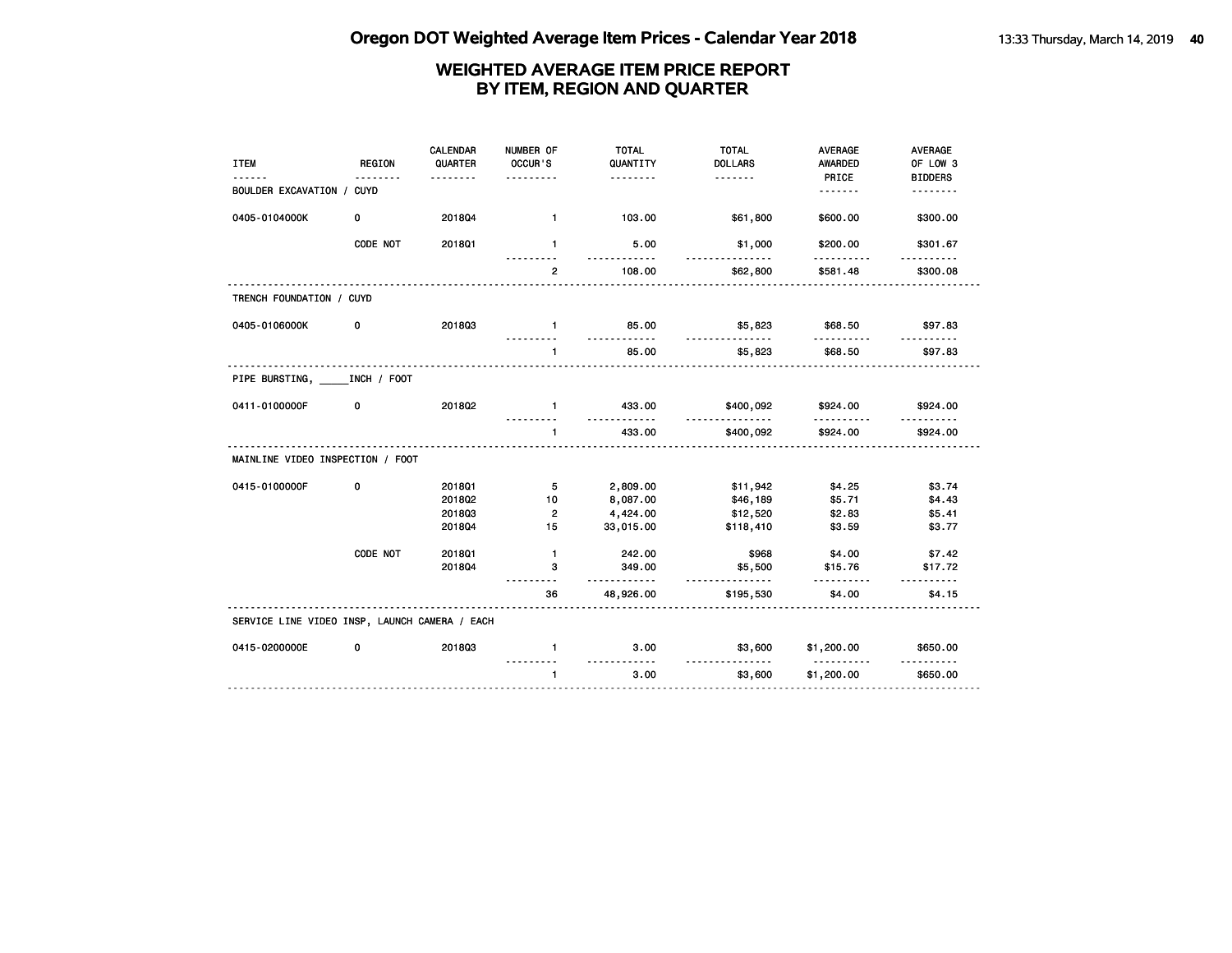| <b>ITEM</b>                                   | <b>REGION</b> | <b>CALENDAR</b><br>QUARTER | NUMBER OF<br>OCCUR'S | <b>TOTAL</b><br>QUANTITY  | <b>TOTAL</b><br><b>DOLLARS</b> | <b>AVERAGE</b><br>AWARDED | AVERAGE<br>OF LOW 3 |
|-----------------------------------------------|---------------|----------------------------|----------------------|---------------------------|--------------------------------|---------------------------|---------------------|
|                                               |               | .                          |                      | .                         | <u>.</u>                       | PRICE                     | <b>BIDDERS</b>      |
| BOULDER EXCAVATION /                          | <b>CUYD</b>   |                            |                      |                           |                                | <u>.</u>                  | <u>.</u>            |
| 0405-0104000K                                 | 0             | 201804                     | $\mathbf{1}$         | 103.00                    | \$61,800                       | \$600.00                  | \$300.00            |
|                                               | CODE NOT      | 201801                     | $\mathbf{1}$         | 5.00<br><u>.</u>          | \$1,000<br><u>.</u>            | \$200.00<br>.             | \$301.67            |
|                                               |               |                            | $\overline{2}$       | 108.00                    | \$62,800                       | \$581.48                  | \$300.08            |
| TRENCH FOUNDATION / CUYD                      |               |                            |                      |                           |                                |                           |                     |
| 0405-0106000K                                 | 0             | 201803                     | $\blacksquare$       | 85.00<br>.                | \$5,823<br>------------        | \$68.50                   | \$97.83             |
|                                               |               |                            | $\mathbf{1}$         | 85.00                     | \$5,823                        | \$68.50                   | \$97.83             |
| PIPE BURSTING, INCH / FOOT                    |               |                            |                      |                           |                                |                           |                     |
| 0411-0100000F                                 | 0             | 2018Q2                     | $\mathbf{1}$         | 433.00<br>.               | \$400,092<br><u></u>           | \$924.00<br><u>.</u>      | \$924.00            |
|                                               |               |                            | $\mathbf{1}$         | 433.00                    | \$400,092                      | \$924.00                  | \$924.00            |
| MAINLINE VIDEO INSPECTION / FOOT              |               |                            |                      |                           |                                |                           |                     |
| 0415-0100000F                                 | 0             | 201801                     | 5                    | 2,809.00                  | \$11,942                       | \$4.25                    | \$3.74              |
|                                               |               | 201802                     | 10                   | 8,087.00                  | \$46,189                       | \$5.71                    | \$4.43              |
|                                               |               | 201803                     | $\overline{2}$       | 4,424.00                  | \$12,520                       | \$2.83                    | \$5.41              |
|                                               |               | 201804                     | 15                   | 33,015.00                 | \$118,410                      | \$3.59                    | \$3.77              |
|                                               | CODE NOT      | 2018Q1                     | $\mathbf{1}$         | 242.00                    | \$968                          | \$4.00                    | \$7.42              |
|                                               |               | 201804                     | 3                    | 349.00                    | \$5,500                        | \$15.76                   | \$17.72<br>.        |
|                                               |               |                            | 36                   | .<br>48,926.00            | .<br>\$195,530                 | .<br>\$4.00               | \$4.15              |
| SERVICE LINE VIDEO INSP, LAUNCH CAMERA / EACH |               |                            |                      |                           |                                |                           |                     |
| 0415-0200000E                                 | 0             | 201803                     | $\mathbf{1}$         | 3.00                      | \$3,600                        | \$1,200.00                | \$650.00            |
|                                               |               |                            | $\mathbf{1}$         | <u>----------</u><br>3.00 | \$3,600                        | <u>.</u><br>\$1,200.00    | \$650.00            |
|                                               |               |                            |                      |                           |                                |                           |                     |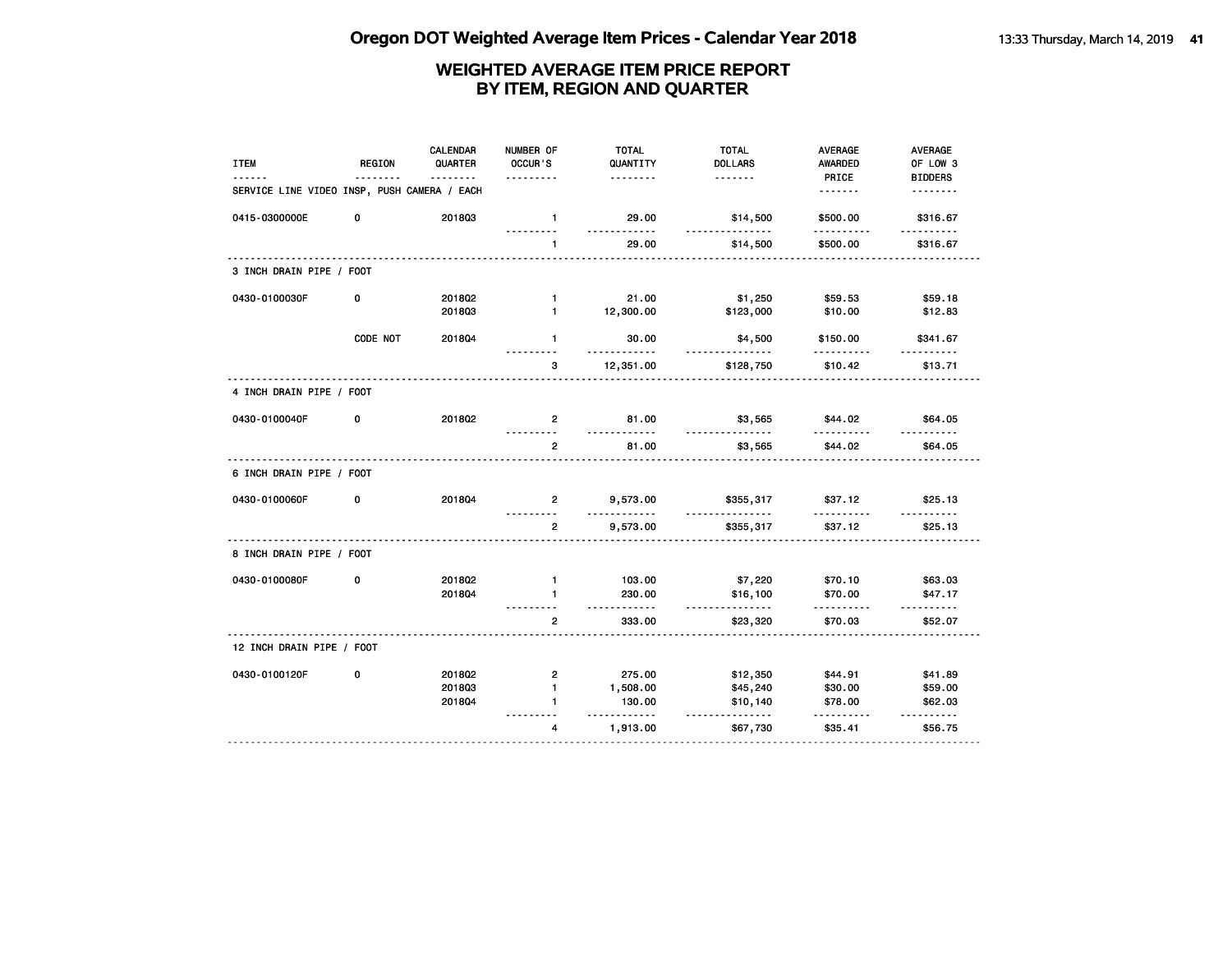| <b>ITEM</b>                                 | <b>REGION</b> | <b>CALENDAR</b><br>QUARTER<br><u>.</u> | NUMBER OF<br>OCCUR'S<br>.  | <b>TOTAL</b><br>QUANTITY<br><u>.</u> | <b>TOTAL</b><br><b>DOLLARS</b><br>. | <b>AVERAGE</b><br><b>AWARDED</b><br>PRICE | AVERAGE<br>OF LOW 3<br><b>BIDDERS</b> |
|---------------------------------------------|---------------|----------------------------------------|----------------------------|--------------------------------------|-------------------------------------|-------------------------------------------|---------------------------------------|
| SERVICE LINE VIDEO INSP, PUSH CAMERA / EACH |               |                                        |                            |                                      |                                     | <u>.</u>                                  | <u>.</u>                              |
| 0415-0300000E                               | 0             | 201803                                 | $\mathbf{1}$               | 29.00                                | \$14,500                            | \$500.00                                  | \$316.67                              |
|                                             |               |                                        | $\mathbf{1}$               | 29.00                                | <u>.</u><br>\$14,500                | \$500.00                                  | \$316.67                              |
| 3 INCH DRAIN PIPE / FOOT                    |               |                                        |                            |                                      |                                     |                                           |                                       |
| 0430-0100030F                               | 0             | 2018Q2                                 | $\mathbf{1}$               | 21.00                                | \$1,250                             | \$59.53                                   | \$59.18                               |
|                                             |               | 201803                                 | $\mathbf{1}$               | 12,300.00                            | \$123,000                           | \$10.00                                   | \$12.83                               |
|                                             | CODE NOT      | 201804                                 | $\mathbf{1}$               | 30.00<br><u>.</u>                    | \$4,500                             | \$150.00<br>.                             | \$341.67                              |
|                                             |               |                                        | з                          | 12,351.00                            | \$128,750                           | \$10.42                                   | \$13.71                               |
| 4 INCH DRAIN PIPE / FOOT                    |               |                                        |                            |                                      |                                     |                                           |                                       |
| 0430-0100040F                               | 0             | 2018Q2                                 | $\overline{2}$             | 81.00<br><u>.</u>                    | \$3,565<br><u>.</u>                 | \$44.02                                   | \$64.05                               |
|                                             |               |                                        | <u>.</u><br>$\overline{2}$ | 81.00                                | \$3,565                             | \$44.02                                   | \$64.05                               |
| 6 INCH DRAIN PIPE / FOOT                    |               |                                        |                            |                                      |                                     |                                           |                                       |
| 0430-0100060F                               | 0             | 201804                                 | $\mathbf{2}$               | 9,573.00<br>.                        | \$355,317                           | \$37.12                                   | \$25.13                               |
|                                             |               |                                        | $\overline{2}$             | 9,573.00                             | \$355,317                           | \$37.12                                   | \$25.13                               |
| 8 INCH DRAIN PIPE / FOOT                    |               |                                        |                            |                                      |                                     |                                           |                                       |
| 0430-0100080F                               | 0             | 2018Q2                                 | $\mathbf{1}$               | 103.00                               | \$7,220                             | \$70.10                                   | \$63.03                               |
|                                             |               | 2018Q4                                 | $\mathbf{1}$<br>.          | 230.00<br>.                          | \$16,100<br>.                       | \$70.00<br>.                              | \$47.17<br>.                          |
|                                             |               |                                        | $\mathbf{2}$               | 333.00                               | \$23,320                            | \$70.03                                   | \$52.07                               |
| 12 INCH DRAIN PIPE / FOOT                   |               |                                        |                            |                                      |                                     |                                           |                                       |
| 0430-0100120F                               | 0             | 201802                                 | $\overline{2}$             | 275.00                               | \$12,350                            | \$44.91                                   | \$41.89                               |
|                                             |               | 201803                                 | $\mathbf{1}$               | 1,508.00                             | \$45,240                            | \$30.00                                   | \$59.00                               |
|                                             |               | 201804                                 | 1                          | 130.00<br>.                          | \$10,140<br><u>.</u>                | \$78.00                                   | \$62.03<br>$- - - - - -$              |
|                                             |               |                                        | 4                          | 1,913.00                             | \$67,730                            | \$35.41                                   | \$56.75                               |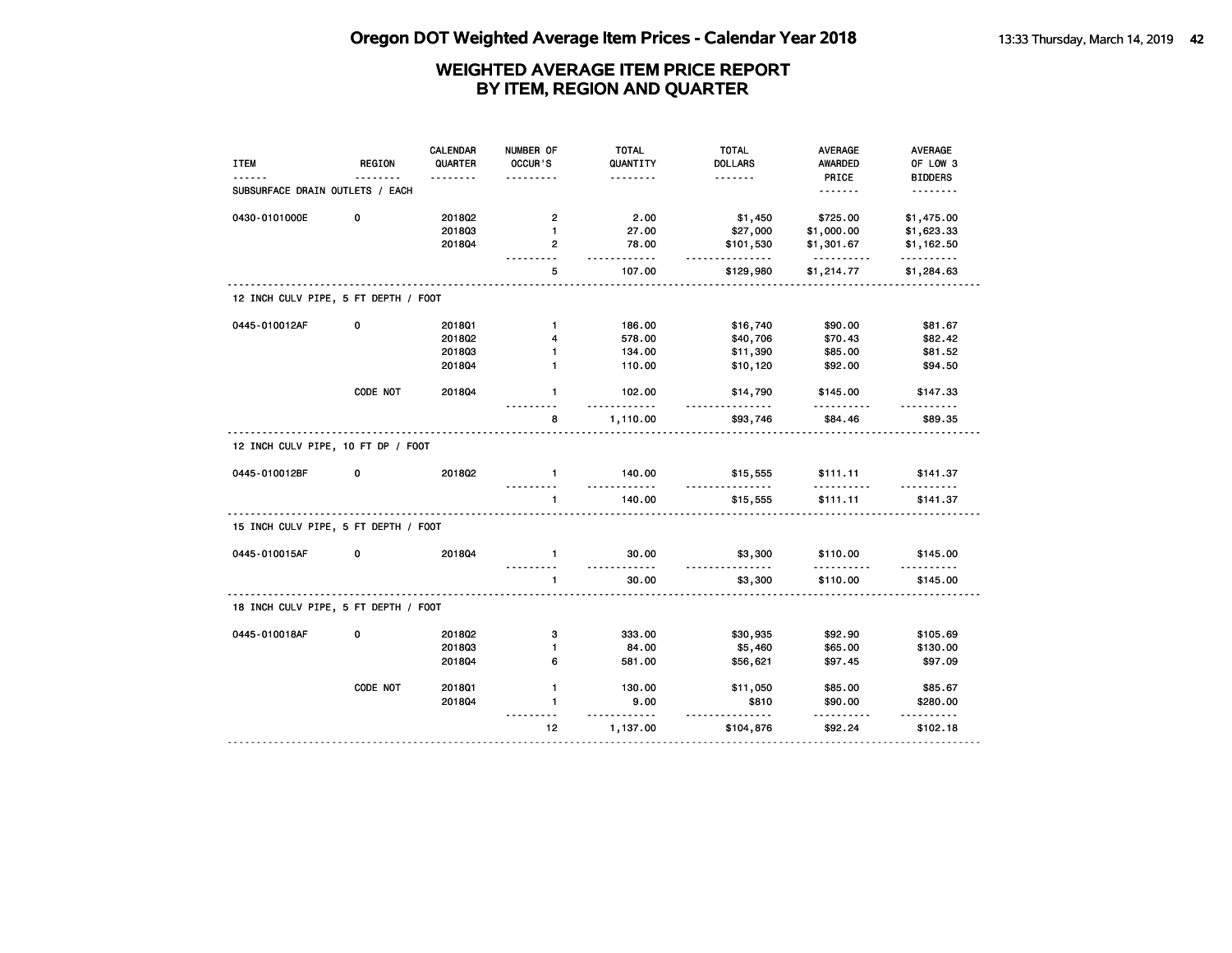| <b>ITEM</b>                          | <b>REGION</b> | <b>CALENDAR</b><br>QUARTER | NUMBER OF<br>OCCUR'S | <b>TOTAL</b><br>QUANTITY | <b>TOTAL</b><br><b>DOLLARS</b> | <b>AVERAGE</b><br><b>AWARDED</b> | <b>AVERAGE</b><br>OF LOW 3 |
|--------------------------------------|---------------|----------------------------|----------------------|--------------------------|--------------------------------|----------------------------------|----------------------------|
| SUBSURFACE DRAIN OUTLETS / EACH      |               |                            |                      | .                        | <u>.</u>                       | PRICE<br><u>.</u>                | <b>BIDDERS</b><br><u>.</u> |
| 0430-0101000E                        | 0             | 2018Q2                     | $\overline{2}$       | 2.00                     | \$1,450                        | \$725.00                         | \$1,475.00                 |
|                                      |               | 201803                     | $\mathbf{1}$         | 27.00                    | \$27,000                       | \$1,000.00                       | \$1,623.33                 |
|                                      |               | 201804                     | $\overline{2}$       | 78.00<br><u>.</u>        | \$101,530<br>.                 | \$1,301.67<br>.                  | \$1,162.50<br>.            |
|                                      |               |                            | 5                    | 107.00                   | \$129,980                      | \$1,214.77                       | \$1,284.63                 |
| 12 INCH CULV PIPE, 5 FT DEPTH / FOOT |               |                            |                      |                          |                                |                                  |                            |
| 0445-010012AF                        | 0             | 201801                     | $\mathbf{1}$         | 186.00                   | \$16,740                       | \$90.00                          | \$81.67                    |
|                                      |               | 2018Q2                     | 4                    | 578.00                   | \$40,706                       | \$70.43                          | \$82.42                    |
|                                      |               | 201803                     | $\mathbf{1}$         | 134.00                   | \$11,390                       | \$85.00                          | \$81.52                    |
|                                      |               | 2018Q4                     | 1                    | 110.00                   | \$10,120                       | \$92.00                          | \$94.50                    |
|                                      | CODE NOT      | 2018Q4                     | $\mathbf{1}$         | 102.00<br>.              | \$14,790                       | \$145.00                         | \$147.33                   |
|                                      |               |                            | 8                    | 1,110.00                 | \$93,746                       | \$84.46                          | \$89.35                    |
| 12 INCH CULV PIPE, 10 FT DP / FOOT   |               |                            |                      |                          |                                |                                  |                            |
| 0445-010012BF                        | 0             | 2018Q2                     | $\mathbf{1}$         | 140.00                   | \$15,555                       | \$111.11                         | \$141.37                   |
|                                      |               |                            | $\mathbf{1}$         | 140.00                   | \$15,555                       | \$111.11                         | \$141.37                   |
| 15 INCH CULV PIPE, 5 FT DEPTH / FOOT |               |                            |                      |                          |                                |                                  |                            |
| 0445-010015AF                        | 0             | 201804                     | $\mathbf{1}$         | 30.00<br>.               | \$3,300<br>.                   | \$110.00                         | \$145.00                   |
|                                      |               |                            | $\mathbf{1}$         | 30.00                    | \$3,300                        | \$110.00                         | \$145.00                   |
| 18 INCH CULV PIPE, 5 FT DEPTH / FOOT |               |                            |                      |                          |                                |                                  |                            |
| 0445-010018AF                        | 0             | 201802                     | з                    | 333.00                   | \$30,935                       | \$92.90                          | \$105.69                   |
|                                      |               | 201803                     | 1                    | 84.00                    | \$5,460                        | \$65.00                          | \$130.00                   |
|                                      |               | 2018Q4                     | 6                    | 581.00                   | \$56,621                       | \$97.45                          | \$97.09                    |
|                                      | CODE NOT      | 201801                     | $\mathbf{1}$         | 130.00                   | \$11,050                       | \$85.00                          | \$85.67                    |
|                                      |               | 201804                     | $\mathbf{1}$         | 9.00                     | \$810<br><u>.</u>              | \$90.00                          | \$280.00                   |
|                                      |               |                            | 12                   | 1,137.00                 | \$104,876                      | \$92.24                          | \$102.18                   |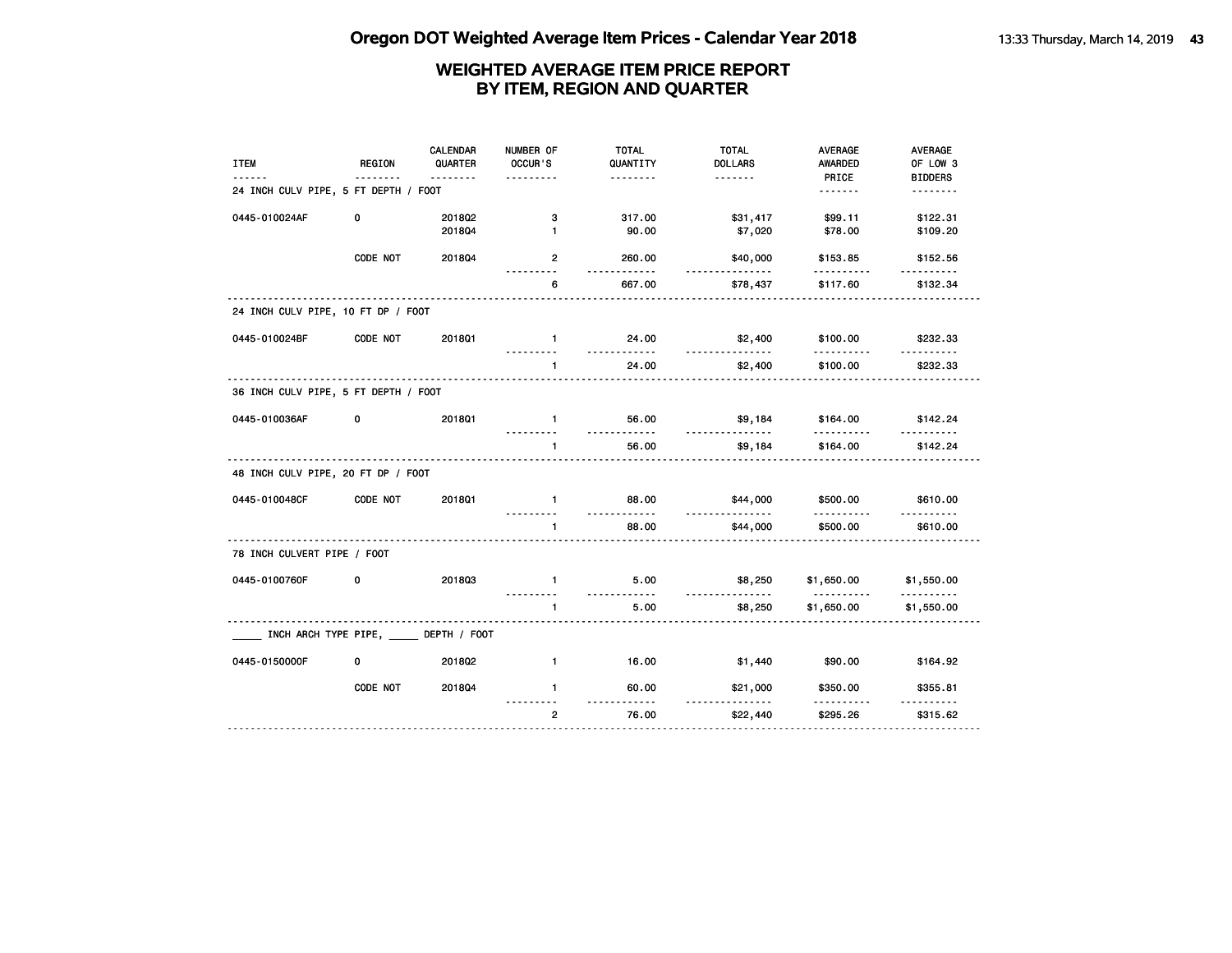| <b>ITEM</b>                          | <b>REGION</b>                           | <b>CALENDAR</b><br>QUARTER<br><u>.</u> | NUMBER OF<br>OCCUR'S | <b>TOTAL</b><br>QUANTITY<br>. | <b>TOTAL</b><br><b>DOLLARS</b><br><u>.</u> | <b>AVERAGE</b><br><b>AWARDED</b><br>PRICE | AVERAGE<br>OF LOW 3        |
|--------------------------------------|-----------------------------------------|----------------------------------------|----------------------|-------------------------------|--------------------------------------------|-------------------------------------------|----------------------------|
| 24 INCH CULV PIPE, 5 FT DEPTH / FOOT |                                         |                                        |                      |                               |                                            | <u>.</u>                                  | <b>BIDDERS</b><br><u>.</u> |
| 0445-010024AF                        | 0                                       | 201802<br>201804                       | з<br>$\mathbf{1}$    | 317.00<br>90.00               | \$31,417<br>\$7,020                        | \$99.11<br>\$78.00                        | \$122.31<br>\$109.20       |
|                                      | CODE NOT                                | 2018Q4                                 | $\mathbf{2}$         | 260.00<br><u>.</u>            | \$40,000                                   | \$153.85                                  | \$152.56                   |
|                                      |                                         |                                        | 6                    | 667.00                        | \$78,437                                   | .<br>\$117.60                             | .<br>\$132.34              |
| 24 INCH CULV PIPE, 10 FT DP / FOOT   |                                         |                                        |                      |                               |                                            |                                           |                            |
| 0445-010024BF                        | CODE NOT                                | 201801                                 | $\blacksquare$       | 24.00                         | \$2,400                                    | \$100.00                                  | \$232.33                   |
|                                      |                                         |                                        | $\mathbf{1}$         | 24.00                         | \$2,400                                    | \$100.00                                  | \$232.33                   |
| 36 INCH CULV PIPE, 5 FT DEPTH / FOOT |                                         |                                        |                      |                               |                                            |                                           |                            |
| 0445-010036AF                        | 0                                       | <b>2018Q1</b>                          | $\blacksquare$       | 56.00                         | \$9,184                                    | \$164.00                                  | \$142.24                   |
|                                      |                                         |                                        | $\mathbf{1}$         | 56.00                         | \$9,184                                    | \$164.00                                  | \$142.24                   |
| 48 INCH CULV PIPE, 20 FT DP / FOOT   |                                         |                                        |                      |                               |                                            |                                           |                            |
| 0445-010048CF                        | CODE NOT                                | 201801                                 | $\mathbf{1}$         | 88.00                         | \$44,000<br>.                              | \$500.00                                  | \$610.00                   |
|                                      |                                         |                                        | $\mathbf{1}$         | 88.00                         | \$44,000                                   | \$500.00                                  | \$610.00                   |
| 78 INCH CULVERT PIPE / FOOT          |                                         |                                        |                      |                               |                                            |                                           |                            |
| 0445-0100760F                        | 0                                       | 201803                                 | $\mathbf{1}$         | 5.00<br><u>.</u>              | \$8,250<br>.                               | \$1,650.00<br><u>.</u>                    | \$1,550.00                 |
|                                      |                                         |                                        | $\mathbf{1}$         | 5.00                          | \$8,250                                    | \$1,650.00                                | \$1,550.00                 |
|                                      | INCH ARCH TYPE PIPE, _____ DEPTH / FOOT |                                        |                      |                               |                                            |                                           |                            |
| 0445-0150000F                        | 0                                       | 2018Q2                                 | $\mathbf{1}$         | 16.00                         | \$1,440                                    | \$90.00                                   | \$164.92                   |
|                                      | CODE NOT                                | 2018Q4                                 | $\blacksquare$       | 60.00<br>$- - - - -$          | \$21,000                                   | \$350.00                                  | \$355.81                   |
|                                      |                                         |                                        | $\overline{2}$       | 76.00                         | \$22,440                                   | \$295.26                                  | \$315.62                   |
|                                      |                                         |                                        |                      |                               |                                            |                                           |                            |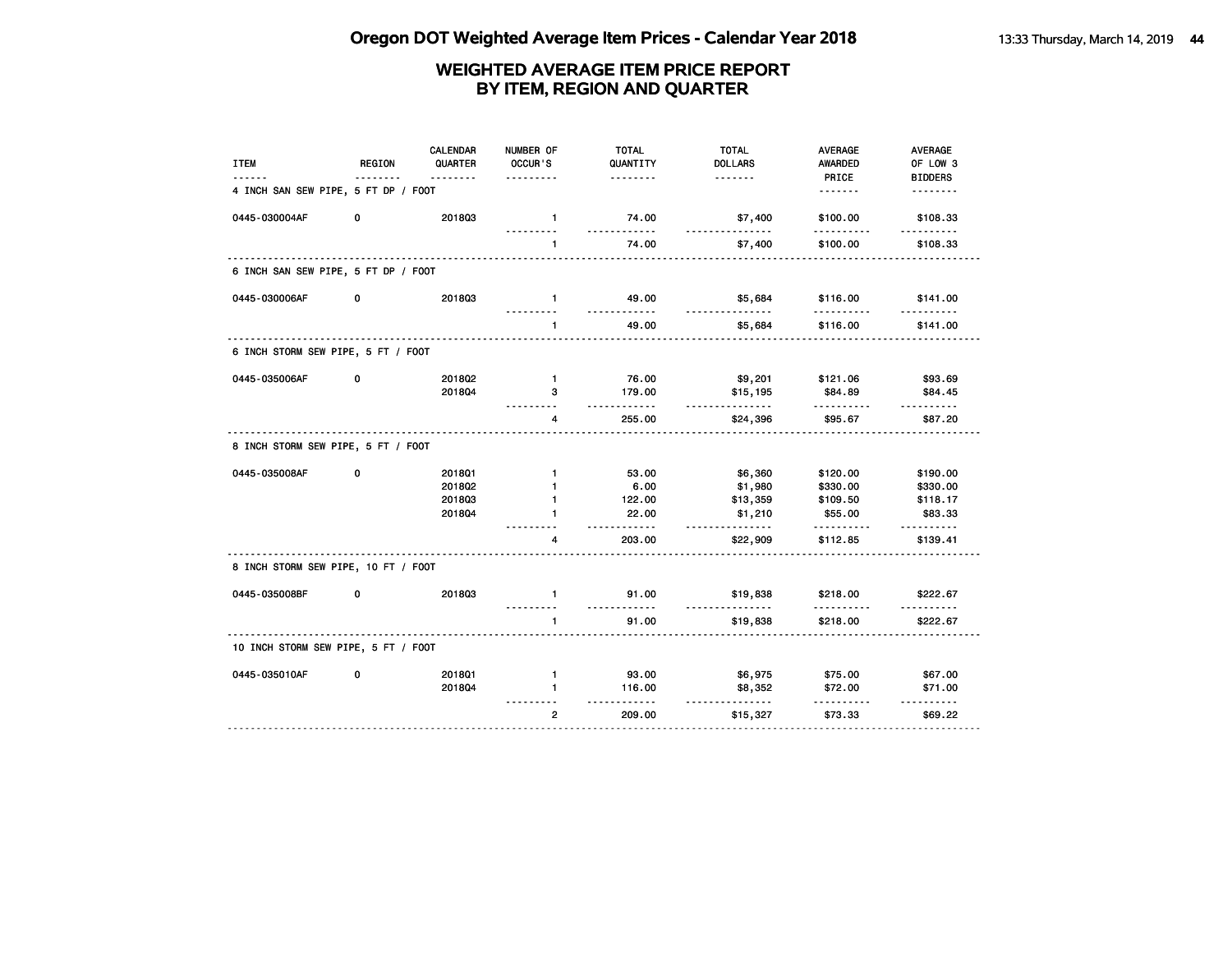| <b>ITEM</b>                         | <b>REGION</b> | <b>CALENDAR</b><br>QUARTER<br>. | NUMBER OF<br>OCCUR'S         | <b>TOTAL</b><br>QUANTITY<br>. | <b>TOTAL</b><br><b>DOLLARS</b><br><u>.</u> | <b>AVERAGE</b><br><b>AWARDED</b> | AVERAGE<br>OF LOW 3        |
|-------------------------------------|---------------|---------------------------------|------------------------------|-------------------------------|--------------------------------------------|----------------------------------|----------------------------|
| 4 INCH SAN SEW PIPE, 5 FT DP / FOOT |               |                                 |                              |                               |                                            | PRICE<br><u>.</u>                | <b>BIDDERS</b><br><u>.</u> |
| 0445-030004AF                       | 0             | 201803                          | $\mathbf{1}$                 | 74.00<br><u>.</u>             | \$7,400<br>.                               | \$100.00                         | \$108.33<br><u>.</u>       |
|                                     |               |                                 | $\mathbf{1}$                 | 74.00                         | \$7,400                                    | \$100.00                         | \$108.33                   |
| 6 INCH SAN SEW PIPE, 5 FT DP / FOOT |               |                                 |                              |                               |                                            |                                  |                            |
| 0445-030006AF                       | 0             | 201803                          | $\mathbf{1}$                 | 49.00<br><u>.</u>             | \$5,684<br>.                               | \$116.00<br>.                    | \$141.00                   |
|                                     |               |                                 | 1                            | 49.00                         | \$5,684                                    | \$116.00                         | \$141.00                   |
| 6 INCH STORM SEW PIPE, 5 FT / FOOT  |               |                                 |                              |                               |                                            |                                  |                            |
| 0445-035006AF                       | 0             | 2018Q2                          | $\mathbf{1}$                 | 76.00                         | \$9,201                                    | \$121.06                         | \$93.69                    |
|                                     |               | 201804                          | 3                            | 179.00<br>.                   | \$15,195<br>.                              | \$84.89<br>.                     | \$84.45<br><u>.</u>        |
|                                     |               |                                 | 4                            | 255.00                        | \$24,396                                   | \$95.67                          | \$87.20                    |
| 8 INCH STORM SEW PIPE, 5 FT / FOOT  |               |                                 |                              |                               |                                            |                                  |                            |
| 0445-035008AF                       | 0             | 201801                          | $\mathbf{1}$                 | 53.00                         | \$6,360                                    | \$120.00                         | \$190.00                   |
|                                     |               | 201802                          | $\mathbf{1}$                 | 6.00                          | \$1,980                                    | \$330.00                         | \$330.00                   |
|                                     |               | 201803<br>201804                | $\mathbf{1}$<br>$\mathbf{1}$ | 122.00<br>22.00               | \$13,359                                   | \$109.50                         | \$118.17<br>\$83.33        |
|                                     |               |                                 |                              | .                             | \$1,210<br><u>.</u>                        | \$55.00                          |                            |
|                                     |               |                                 | 4                            | 203.00                        | \$22,909                                   | \$112.85                         | \$139.41                   |
| 8 INCH STORM SEW PIPE, 10 FT / FOOT |               |                                 |                              |                               |                                            |                                  |                            |
| 0445-035008BF                       | 0             | 201803                          | $\mathbf{1}$                 | 91.00                         | \$19,838                                   | \$218.00                         | \$222.67                   |
|                                     |               |                                 | $\mathbf{1}$                 | $- - - -$<br>91.00            | \$19,838                                   | \$218.00                         | \$222.67                   |
| 10 INCH STORM SEW PIPE, 5 FT / FOOT |               |                                 |                              |                               |                                            |                                  |                            |
| 0445-035010AF                       | 0             | 2018Q1                          | $\mathbf{1}$                 | 93.00                         | \$6,975                                    | \$75.00                          | \$67.00                    |
|                                     |               | 2018Q4                          | $\blacksquare$               | 116.00                        | \$8,352                                    | \$72.00                          | \$71.00                    |
|                                     |               |                                 | $\overline{2}$               | $- - - - - -$<br>209.00       | <u>.</u><br>\$15,327                       | <u>.</u><br>\$73.33              | .<br>\$69.22               |
|                                     |               |                                 |                              |                               |                                            |                                  |                            |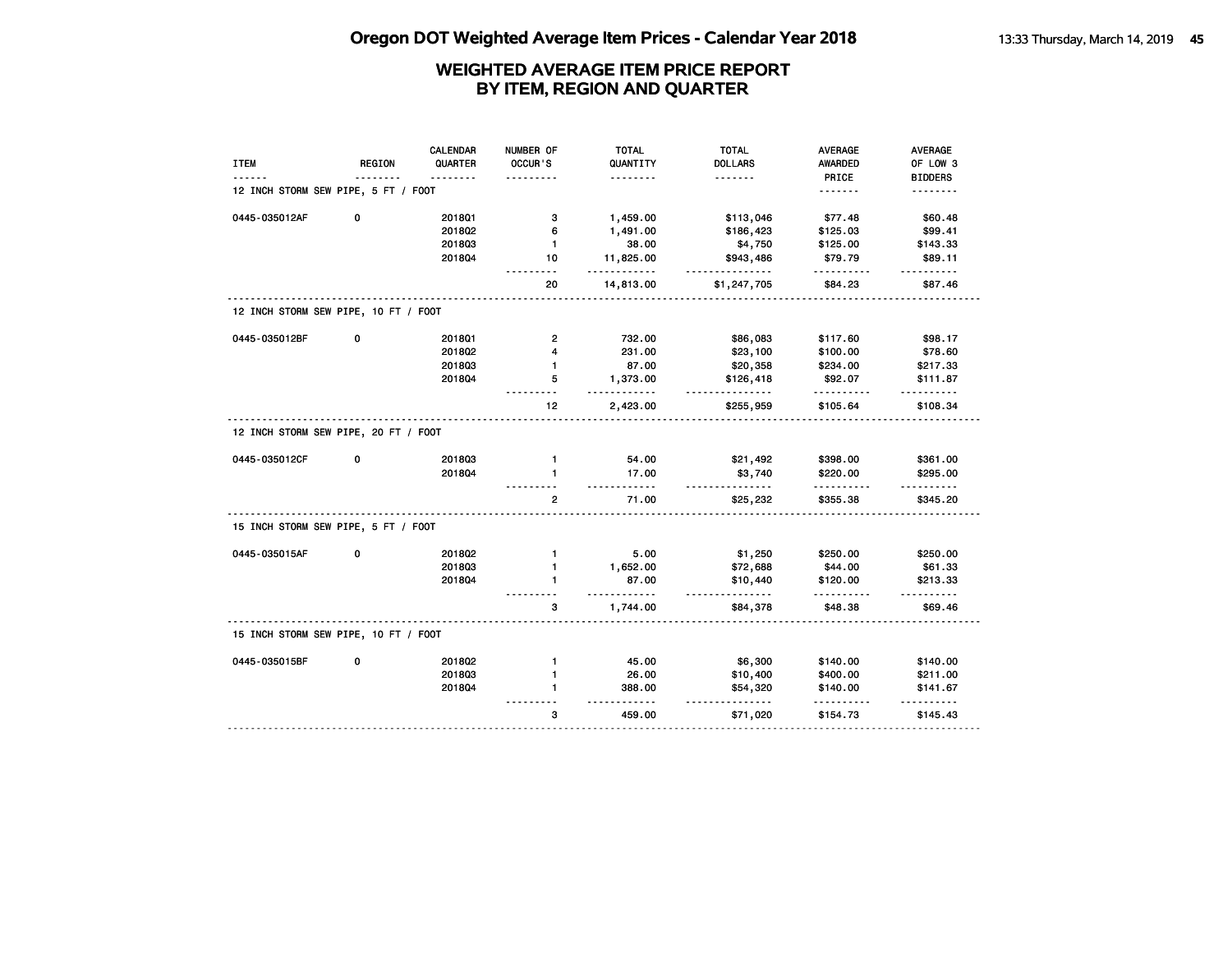| <b>ITEM</b>                          | REGION | <b>CALENDAR</b><br>QUARTER | NUMBER OF<br><b>OCCUR'S</b> | <b>TOTAL</b><br>QUANTITY | <b>TOTAL</b><br><b>DOLLARS</b> | AVERAGE<br><b>AWARDED</b> | AVERAGE<br>OF LOW 3      |
|--------------------------------------|--------|----------------------------|-----------------------------|--------------------------|--------------------------------|---------------------------|--------------------------|
|                                      |        | .                          |                             | .                        | .                              | PRICE                     | <b>BIDDERS</b>           |
| 12 INCH STORM SEW PIPE, 5 FT / FOOT  |        |                            |                             |                          |                                | <u>.</u>                  | .                        |
| 0445-035012AF                        | 0      | 201801                     | з                           | 1,459.00                 | \$113,046                      | \$77.48                   | \$60.48                  |
|                                      |        | 201802                     | 6                           | 1,491.00                 | \$186,423                      | \$125.03                  | \$99.41                  |
|                                      |        | 201803                     | $\mathbf{1}$                | 38.00                    | \$4,750                        | \$125.00                  | \$143.33                 |
|                                      |        | 2018Q4                     | 10                          | 11,825.00<br><u></u>     | \$943,486                      | \$79.79                   | \$89.11<br>$- - - - - -$ |
|                                      |        |                            | 20                          | 14,813.00                | \$1,247,705                    | \$84.23                   | \$87.46                  |
| 12 INCH STORM SEW PIPE, 10 FT / FOOT |        |                            |                             |                          |                                |                           |                          |
| 0445-035012BF                        | 0      | 201801                     | $\mathbf{2}$                | 732.00                   | \$86,083                       | \$117.60                  | \$98.17                  |
|                                      |        | 2018Q2                     | 4                           | 231.00                   | \$23,100                       | \$100.00                  | \$78.60                  |
|                                      |        | 201803                     | $\mathbf{1}$                | 87.00                    | \$20,358                       | \$234.00                  | \$217.33                 |
|                                      |        | 201804                     | 5                           | 1,373.00<br>.            | \$126,418<br>.                 | \$92.07<br>.              | \$111.87                 |
|                                      |        |                            | 12                          | 2,423.00                 | \$255,959                      | \$105.64                  | <u>.</u><br>\$108.34     |
| 12 INCH STORM SEW PIPE, 20 FT / FOOT |        |                            |                             |                          |                                |                           |                          |
| 0445-035012CF                        | 0      | 201803                     | $\mathbf{1}$                | 54.00                    | \$21,492                       | \$398.00                  | \$361.00                 |
|                                      |        | 201804                     | 1                           | 17.00<br>.               | \$3,740<br><u>.</u>            | \$220.00<br>.             | \$295.00<br>.            |
|                                      |        |                            | $\mathbf{2}$                | 71.00                    | \$25,232                       | \$355.38                  | \$345.20                 |
| 15 INCH STORM SEW PIPE, 5 FT / FOOT  |        |                            |                             |                          |                                |                           |                          |
| 0445-035015AF                        | 0      | 2018Q2                     | $\mathbf{1}$                | 5.00                     | \$1,250                        | \$250.00                  | \$250.00                 |
|                                      |        | 201803                     | $\mathbf{1}$                | 1,652.00                 | \$72,688                       | \$44.00                   | \$61.33                  |
|                                      |        | 201804                     | 1                           | 87.00<br>.               | \$10,440<br><u>.</u>           | \$120.00                  | \$213.33                 |
|                                      |        |                            | 3                           | 1,744.00                 | \$84,378                       | \$48.38                   | \$69.46                  |
| 15 INCH STORM SEW PIPE, 10 FT / FOOT |        |                            |                             |                          |                                |                           |                          |
| 0445-035015BF                        | 0      | 201802                     | $\mathbf{1}$                | 45.00                    | \$6,300                        | \$140.00                  | \$140.00                 |
|                                      |        | 201803                     | $\mathbf{1}$                | 26.00                    | \$10,400                       | \$400.00                  | \$211.00                 |
|                                      |        | 2018Q4                     | $\blacksquare$              | 388.00<br>$- - -$        | \$54,320                       | \$140.00                  | \$141.67                 |
|                                      |        |                            | 3                           | 459.00                   | $\cdots$<br>\$71,020           | \$154.73                  | \$145.43                 |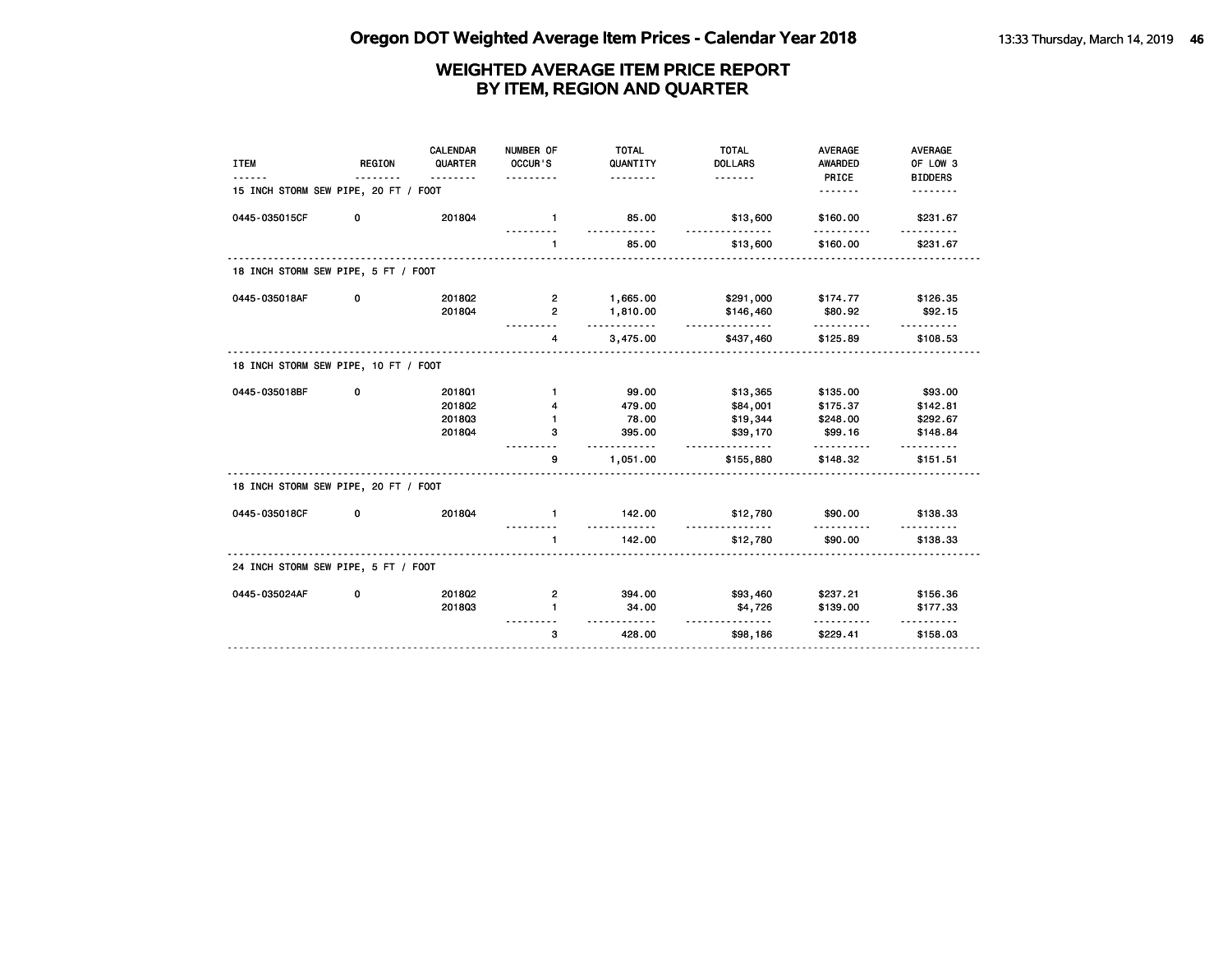| <b>ITEM</b>                          | <b>REGION</b><br><u>.</u> | <b>CALENDAR</b><br>QUARTER<br>. | NUMBER OF<br>OCCUR'S<br><u>.</u> | <b>TOTAL</b><br>QUANTITY<br>. | <b>TOTAL</b><br><b>DOLLARS</b> | <b>AVERAGE</b><br>AWARDED<br>PRICE | <b>AVERAGE</b><br>OF LOW 3<br><b>BIDDERS</b> |
|--------------------------------------|---------------------------|---------------------------------|----------------------------------|-------------------------------|--------------------------------|------------------------------------|----------------------------------------------|
| 15 INCH STORM SEW PIPE, 20 FT / FOOT |                           |                                 |                                  |                               |                                |                                    | .                                            |
| 0445-035015CF                        | 0                         | 201804                          | $\mathbf{1}$                     | 85.00                         | \$13,600<br><u>.</u>           | \$160.00                           | \$231.67                                     |
|                                      |                           |                                 | $\mathbf{1}$                     | 85.00                         | \$13,600                       | \$160.00                           | \$231.67                                     |
| 18 INCH STORM SEW PIPE, 5 FT / FOOT  |                           |                                 |                                  |                               |                                |                                    |                                              |
| 0445-035018AF                        | 0                         | 2018Q2                          | $\mathbf{2}$                     | 1,665.00                      | \$291,000                      | \$174.77                           | \$126.35                                     |
|                                      |                           | 201804                          | $\overline{2}$                   | 1,810.00<br>.                 | \$146,460<br>.                 | \$80.92                            | \$92.15                                      |
|                                      |                           |                                 | 4                                | 3,475.00                      | \$437,460                      | \$125.89                           | \$108.53                                     |
| 18 INCH STORM SEW PIPE, 10 FT / FOOT |                           |                                 |                                  |                               |                                |                                    |                                              |
| 0445-035018BF                        | 0                         | 2018Q1                          | $\mathbf{1}$                     | 99.00                         | \$13,365                       | \$135.00                           | \$93.00                                      |
|                                      |                           | 2018Q2                          | 4                                | 479.00                        | \$84,001                       | \$175.37                           | \$142.81                                     |
|                                      |                           | 201803                          | $\mathbf{1}$                     | 78.00                         | \$19,344                       | \$248.00                           | \$292.67                                     |
|                                      |                           | 201804                          | з                                | 395.00<br>.                   | \$39,170<br><u>.</u>           | \$99.16                            | \$148.84                                     |
|                                      |                           |                                 | 9                                | 1,051.00                      | \$155,880                      | \$148.32                           | \$151.51                                     |
| 18 INCH STORM SEW PIPE, 20 FT / FOOT |                           |                                 |                                  |                               |                                |                                    |                                              |
| 0445-035018CF                        | 0                         | 201804                          | $\mathbf{1}$                     | 142.00                        | \$12,780                       | \$90.00                            | \$138.33                                     |
|                                      |                           |                                 | $\mathbf{1}$                     | 142.00                        | \$12,780                       | \$90.00                            | \$138.33                                     |
| 24 INCH STORM SEW PIPE, 5 FT / FOOT  |                           |                                 |                                  |                               |                                |                                    |                                              |
| 0445-035024AF                        | 0                         | 201802                          | $\mathbf{2}$                     | 394.00                        | \$93,460                       | \$237.21                           | \$156.36                                     |
|                                      |                           | 201803                          | $\mathbf{1}$                     | 34.00<br><u>.</u>             | \$4,726<br>.                   | \$139.00<br>.                      | \$177.33                                     |
|                                      |                           |                                 | 3                                | 428.00                        | \$98,186                       | \$229.41                           | \$158.03                                     |
|                                      |                           |                                 |                                  |                               |                                |                                    |                                              |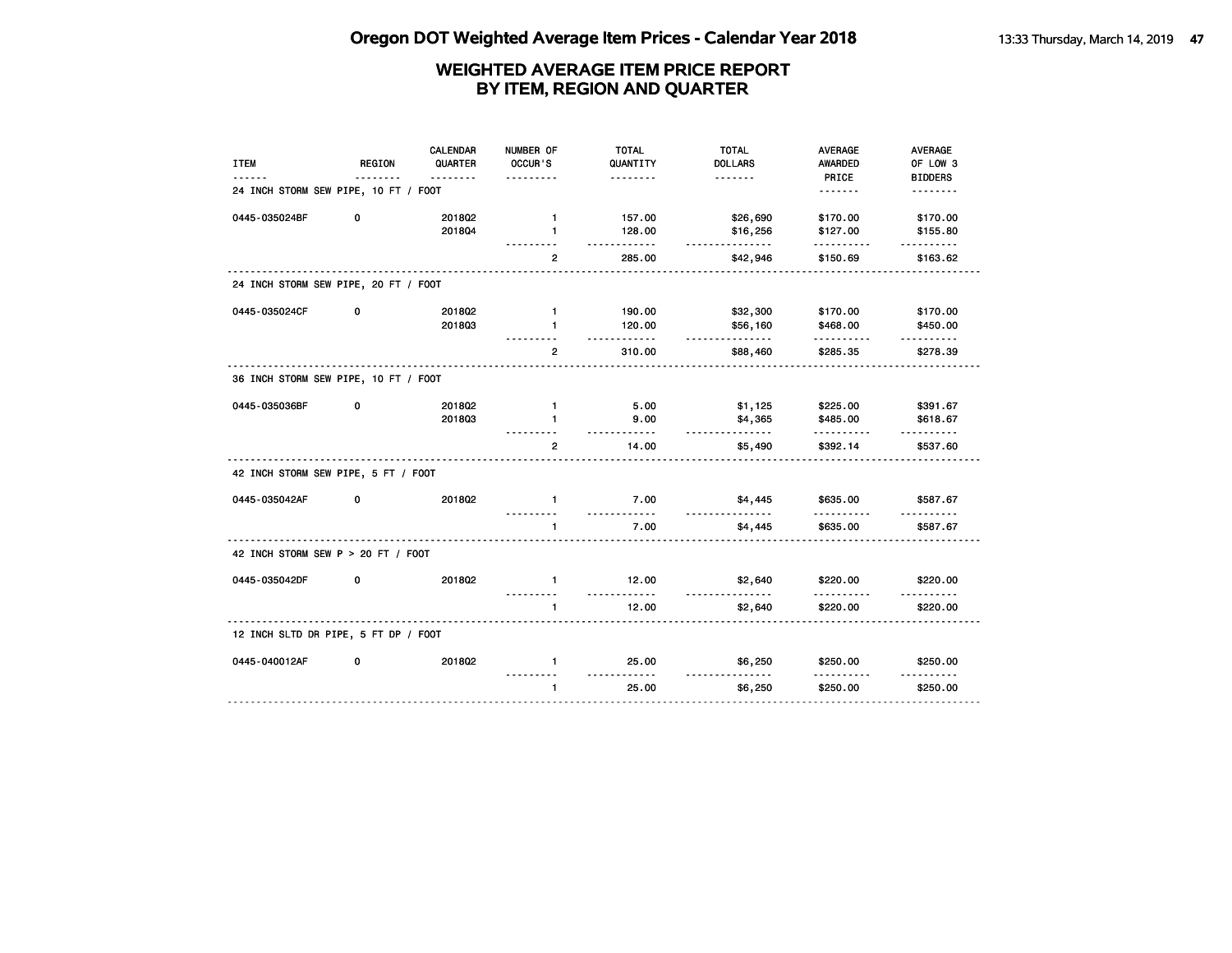|                                      |        | CALENDAR            | NUMBER OF         | <b>TOTAL</b>         | <b>TOTAL</b>               | <b>AVERAGE</b>   | <b>AVERAGE</b>             |
|--------------------------------------|--------|---------------------|-------------------|----------------------|----------------------------|------------------|----------------------------|
| <b>ITEM</b>                          | REGION | QUARTER<br><u>.</u> | OCCUR'S           | QUANTITY<br><u>.</u> | <b>DOLLARS</b><br><u>.</u> | AWARDED<br>PRICE | OF LOW 3<br><b>BIDDERS</b> |
| 24 INCH STORM SEW PIPE, 10 FT / FOOT |        |                     |                   |                      |                            |                  | <u>.</u>                   |
| 0445-035024BF                        | 0      | 2018Q2              | $\mathbf{1}$      | 157.00               | \$26,690                   | \$170.00         | \$170.00                   |
|                                      |        | 201804              | $\mathbf{1}$<br>. | 128.00<br>.          | \$16,256<br><u>.</u>       | \$127.00<br>.    | \$155.80<br>.              |
|                                      |        |                     | $\overline{2}$    | 285.00               | \$42,946                   | \$150.69         | \$163.62                   |
| 24 INCH STORM SEW PIPE, 20 FT / FOOT |        |                     |                   |                      |                            |                  |                            |
| 0445-035024CF                        | 0      | 2018Q2              | $\mathbf{1}$      | 190.00               | \$32,300                   | \$170.00         | \$170.00                   |
|                                      |        | 201803              | $\mathbf{1}$      | 120.00<br><u>.</u>   | \$56,160<br><u>.</u>       | \$468.00<br>.    | \$450.00<br><u>.</u>       |
|                                      |        |                     | $\overline{2}$    | 310.00               | \$88,460                   | \$285.35         | \$278.39                   |
| 36 INCH STORM SEW PIPE, 10 FT / FOOT |        |                     |                   |                      |                            |                  |                            |
| 0445-035036BF                        | 0      | 2018Q2              | $\mathbf{1}$      | 5.00                 | \$1,125                    | \$225.00         | \$391.67                   |
|                                      |        | 201803              | $\mathbf{1}$      | 9.00<br><u>.</u>     | \$4,365<br><u>.</u>        | \$485.00<br>.    | \$618.67                   |
|                                      |        |                     | $\overline{2}$    | 14.00                | \$5,490                    | \$392.14         | \$537.60                   |
| 42 INCH STORM SEW PIPE, 5 FT / FOOT  |        |                     |                   |                      |                            |                  |                            |
| 0445-035042AF                        | 0      | 201802              | $\mathbf{1}$      | 7.00<br>.            | \$4,445                    | \$635,00<br>.    | \$587.67                   |
|                                      |        |                     | $\blacksquare$    | 7.00                 | \$4,445                    | \$635.00         | \$587.67                   |
| 42 INCH STORM SEW P > 20 FT / FOOT   |        |                     |                   |                      |                            |                  |                            |
| 0445-035042DF                        | 0      | 201802              | $\mathbf{1}$      | 12.00<br>.           | \$2,640                    | \$220.00         | \$220.00                   |
|                                      |        |                     | 1                 | 12.00                | \$2,640                    | \$220.00         | \$220.00                   |
| 12 INCH SLTD DR PIPE, 5 FT DP / FOOT |        |                     |                   |                      |                            |                  |                            |
| 0445-040012AF                        | 0      | 201802              | $\mathbf{1}$      | 25.00<br><u>.</u>    | \$6,250<br><u>.</u>        | \$250.00         | \$250.00                   |
|                                      |        |                     | $\mathbf{1}$      | 25.00                | \$6,250                    | \$250.00         | \$250.00                   |
|                                      |        |                     |                   |                      |                            |                  |                            |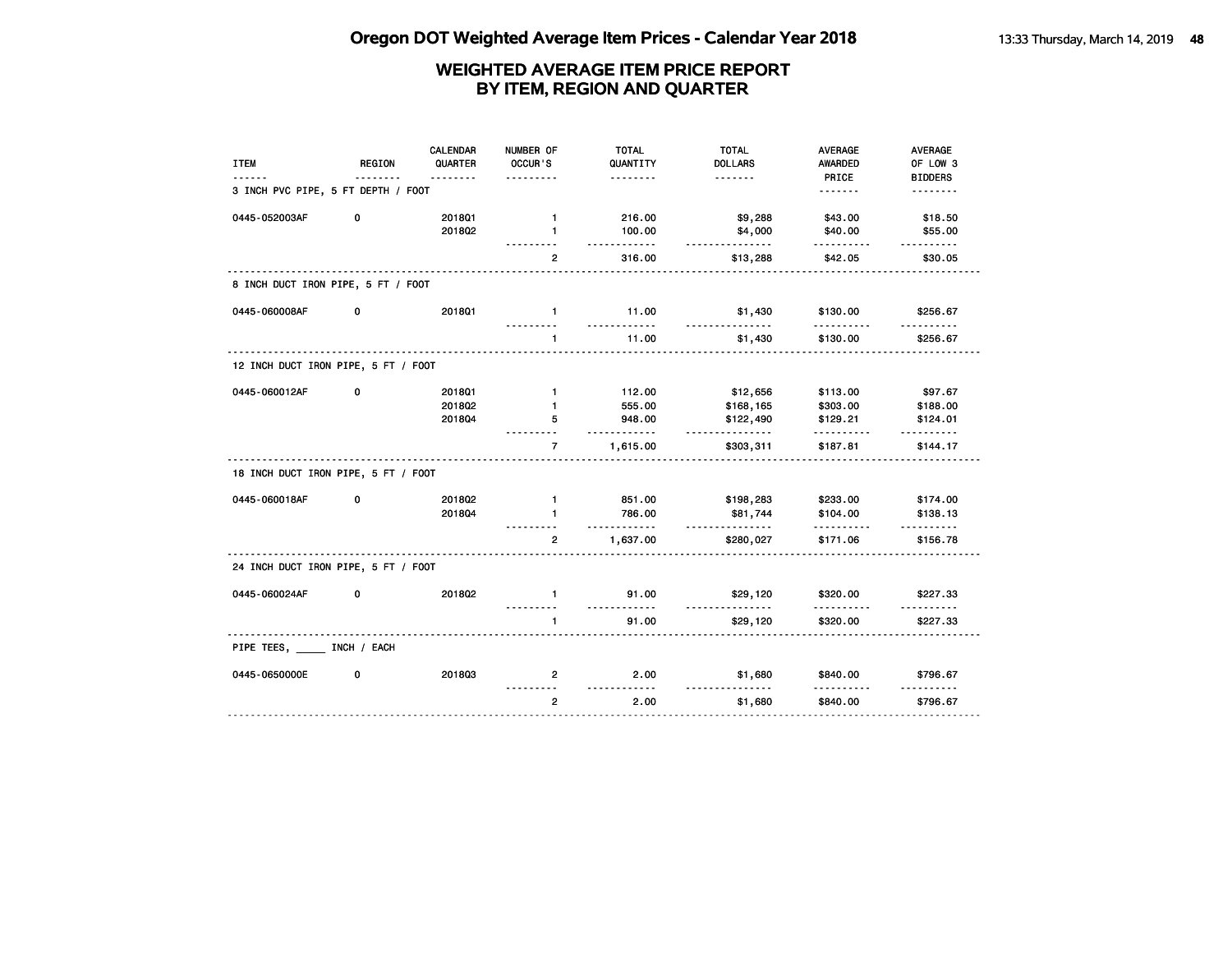| <b>ITEM</b>                         | <b>REGION</b> | <b>CALENDAR</b><br>QUARTER | NUMBER OF<br>OCCUR'S     | <b>TOTAL</b><br>QUANTITY | <b>TOTAL</b><br><b>DOLLARS</b> | <b>AVERAGE</b><br><b>AWARDED</b> | <b>AVERAGE</b><br>OF LOW 3 |
|-------------------------------------|---------------|----------------------------|--------------------------|--------------------------|--------------------------------|----------------------------------|----------------------------|
|                                     |               | <u>.</u>                   | .                        | .                        | <u>.</u>                       | PRICE                            | <b>BIDDERS</b>             |
| 3 INCH PVC PIPE, 5 FT DEPTH / FOOT  |               |                            |                          |                          |                                |                                  | .                          |
| 0445-052003AF                       | 0             | 2018Q1                     | $\mathbf{1}$             | 216.00                   | \$9,288                        | \$43.00                          | \$18.50                    |
|                                     |               | 201802                     | 1                        | 100.00<br>.              | \$4,000<br>.                   | \$40.00<br>                      | \$55.00                    |
|                                     |               |                            | $\overline{2}$           | 316.00                   | \$13,288                       | \$42.05                          | \$30.05                    |
| 8 INCH DUCT IRON PIPE, 5 FT / FOOT  |               |                            |                          |                          |                                |                                  |                            |
| 0445-060008AF                       | 0             | 2018Q1                     | $\mathbf{1}$<br><u>.</u> | 11.00<br>.               | \$1,430<br>$- - - - - -$       | \$130.00<br>.                    | \$256.67<br>.              |
|                                     |               |                            | $\mathbf{1}$             | 11.00                    | \$1,430                        | \$130.00                         | \$256.67                   |
| 12 INCH DUCT IRON PIPE, 5 FT / FOOT |               |                            |                          |                          |                                |                                  |                            |
| 0445-060012AF                       | 0             | 2018Q1                     | $\mathbf{1}$             | 112.00                   | \$12,656                       | \$113.00                         | \$97.67                    |
|                                     |               | 2018Q2                     | $\mathbf{1}$             | 555.00                   | \$168,165                      | \$303.00                         | \$188.00                   |
|                                     |               | 2018Q4                     | 5<br>.                   | 948.00<br>.              | \$122,490<br><u>.</u>          | \$129.21<br>.                    | \$124.01<br>.              |
|                                     |               |                            | $\overline{7}$           | 1,615.00                 | \$303,311                      | \$187.81                         | \$144.17                   |
| 18 INCH DUCT IRON PIPE, 5 FT / FOOT |               |                            |                          |                          |                                |                                  |                            |
| 0445-060018AF                       | 0             | 2018Q2                     | $\mathbf{1}$             | 851.00                   | \$198,283                      | \$233.00                         | \$174.00                   |
|                                     |               | 2018Q4                     | 1                        | 786.00<br>.              | \$81,744<br>.                  | \$104.00<br>.                    | \$138.13                   |
|                                     |               |                            | $\overline{2}$           | 1,637.00                 | \$280,027                      | \$171.06                         | \$156.78                   |
| 24 INCH DUCT IRON PIPE, 5 FT / FOOT |               |                            |                          |                          |                                |                                  |                            |
| 0445-060024AF                       | 0             | 201802                     | $\mathbf{1}$             | 91.00<br>.               | \$29,120                       | \$320.00<br><u>.</u>             | \$227.33<br>$- - - - - -$  |
|                                     |               |                            | $\mathbf{1}$             | 91.00                    | \$29,120                       | \$320.00                         | \$227.33                   |
| PIPE TEES, INCH / EACH              |               |                            |                          |                          |                                |                                  |                            |
| 0445-0650000E                       | 0             | 201803                     | 2                        | 2.00<br>.                | \$1,680                        | \$840.00                         | \$796.67                   |
|                                     |               |                            | $\overline{2}$           | 2.00                     | \$1,680                        | \$840.00                         | \$796.67                   |
|                                     |               |                            |                          |                          |                                |                                  |                            |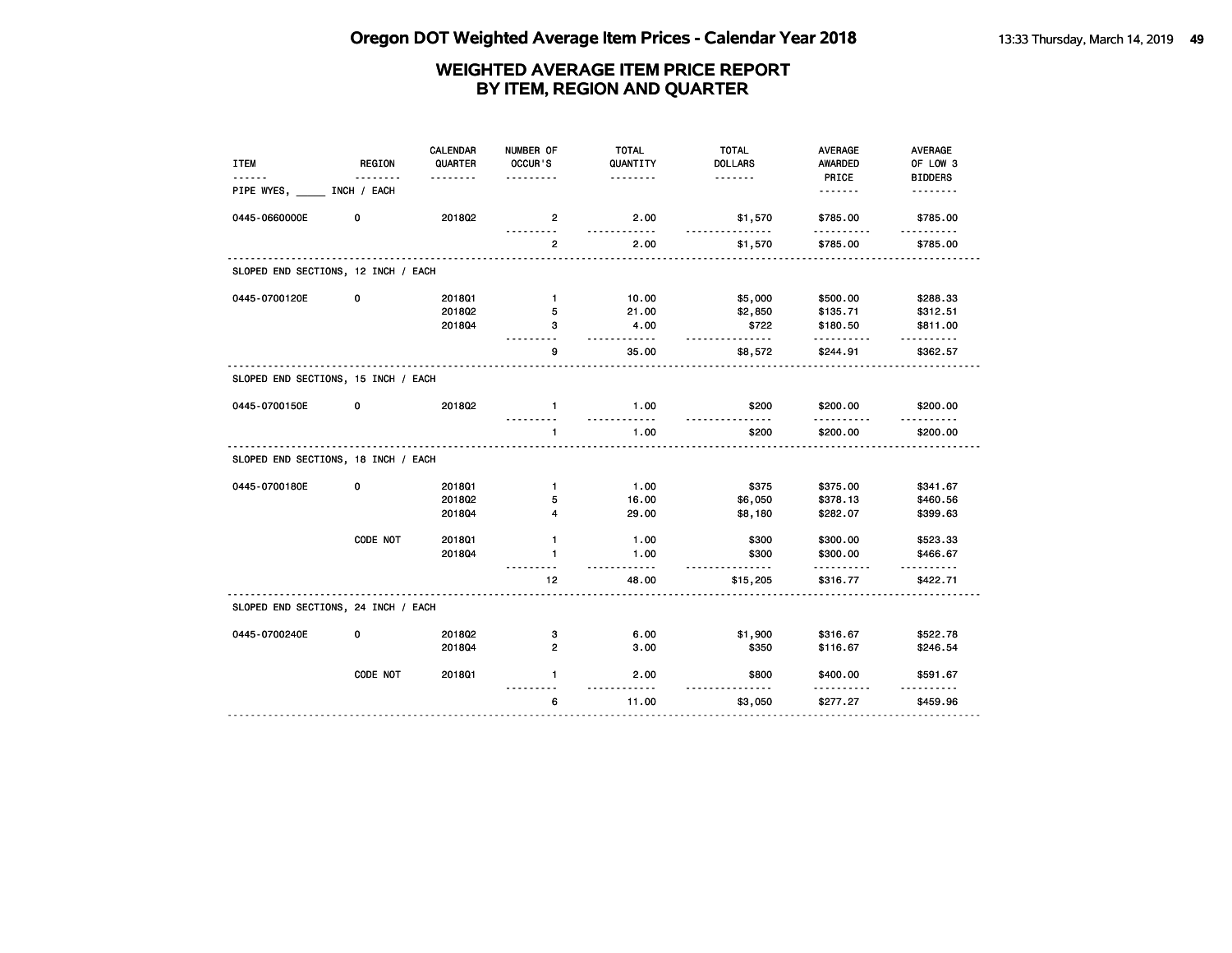| PRICE<br><b>BIDDERS</b><br><u>.</u><br>.<br><u>.</u><br>.<br>PIPE WYES,<br>INCH / EACH<br><u>.</u><br><u>.</u><br>0445-0660000E<br>2018Q2<br>0<br>2.00<br>\$1,570<br>\$785.00<br>\$785.00<br>$\overline{2}$<br>$- - - - -$<br><u>.</u><br><u>.</u><br><u>.</u><br>2.00<br>\$785.00<br>$\overline{2}$<br>\$1,570<br>\$785.00<br>SLOPED END SECTIONS, 12 INCH / EACH<br>0445-0700120E<br>0<br>201801<br>10.00<br>\$5,000<br>\$500.00<br>\$288.33<br>$\mathbf{1}$<br>2018Q2<br>\$2,850<br>5<br>21.00<br>\$135.71<br>\$312.51<br>201804<br>4.00<br>\$722<br>\$180.50<br>\$811.00<br>з<br><u>.</u><br>.<br>.<br>.<br>35.00<br>g<br>\$244.91<br>\$362.57<br>\$8,572<br>SLOPED END SECTIONS, 15 INCH / EACH<br>0445-0700150E<br>0<br>2018Q2<br>1.00<br>\$200<br>$\mathbf{1}$<br>\$200.00<br>\$200.00<br><u>.</u><br><u>.</u><br>$\frac{1}{2}$<br>.<br>.<br>1.00<br>\$200<br>\$200.00<br>\$200.00<br>$\mathbf{1}$<br>.<br>SLOPED END SECTIONS, 18 INCH / EACH<br>0445-0700180E<br>0<br>1.00<br>\$375<br>\$375.00<br>201801<br>$\mathbf{1}$<br>\$341.67<br>2018Q2<br>16.00<br>\$6,050<br>\$378.13<br>5<br>\$460.56<br>201804<br>4<br>29.00<br>\$8,180<br>\$282.07<br>\$399.63<br>CODE NOT<br>2018Q1<br>$\mathbf{1}$<br>1.00<br>\$300<br>\$300.00<br>\$523.33<br>201804<br>1.00<br>\$300<br>1<br>\$300.00<br>\$466.67<br>-----<br>.<br>12 <sub>2</sub><br>48.00<br>\$316.77<br>\$422.71<br>\$15,205<br>SLOPED END SECTIONS, 24 INCH / EACH<br>\$1,900<br>0445-0700240E<br>0<br>2018Q2<br>6.00<br>\$316.67<br>\$522.78<br>з<br>3.00<br>2018Q4<br>2<br>\$350<br>\$116.67<br>\$246.54<br>CODE NOT<br>201801<br>$\mathbf{1}$<br>2.00<br>\$800<br>\$400.00<br>\$591.67<br>$- - - - -$<br>11.00<br>6<br>\$277.27<br>\$459.96<br>\$3,050 | <b>ITEM</b> | <b>REGION</b> | <b>CALENDAR</b><br>QUARTER | NUMBER OF<br>OCCUR'S | <b>TOTAL</b><br>QUANTITY | <b>TOTAL</b><br><b>DOLLARS</b> | <b>AVERAGE</b><br><b>AWARDED</b> | AVERAGE<br>OF LOW 3 |
|-------------------------------------------------------------------------------------------------------------------------------------------------------------------------------------------------------------------------------------------------------------------------------------------------------------------------------------------------------------------------------------------------------------------------------------------------------------------------------------------------------------------------------------------------------------------------------------------------------------------------------------------------------------------------------------------------------------------------------------------------------------------------------------------------------------------------------------------------------------------------------------------------------------------------------------------------------------------------------------------------------------------------------------------------------------------------------------------------------------------------------------------------------------------------------------------------------------------------------------------------------------------------------------------------------------------------------------------------------------------------------------------------------------------------------------------------------------------------------------------------------------------------------------------------------------------------------------------------------------------------------------------------------------------------------------------------------------------------|-------------|---------------|----------------------------|----------------------|--------------------------|--------------------------------|----------------------------------|---------------------|
|                                                                                                                                                                                                                                                                                                                                                                                                                                                                                                                                                                                                                                                                                                                                                                                                                                                                                                                                                                                                                                                                                                                                                                                                                                                                                                                                                                                                                                                                                                                                                                                                                                                                                                                         |             |               |                            |                      |                          |                                |                                  |                     |
|                                                                                                                                                                                                                                                                                                                                                                                                                                                                                                                                                                                                                                                                                                                                                                                                                                                                                                                                                                                                                                                                                                                                                                                                                                                                                                                                                                                                                                                                                                                                                                                                                                                                                                                         |             |               |                            |                      |                          |                                |                                  |                     |
|                                                                                                                                                                                                                                                                                                                                                                                                                                                                                                                                                                                                                                                                                                                                                                                                                                                                                                                                                                                                                                                                                                                                                                                                                                                                                                                                                                                                                                                                                                                                                                                                                                                                                                                         |             |               |                            |                      |                          |                                |                                  |                     |
|                                                                                                                                                                                                                                                                                                                                                                                                                                                                                                                                                                                                                                                                                                                                                                                                                                                                                                                                                                                                                                                                                                                                                                                                                                                                                                                                                                                                                                                                                                                                                                                                                                                                                                                         |             |               |                            |                      |                          |                                |                                  |                     |
|                                                                                                                                                                                                                                                                                                                                                                                                                                                                                                                                                                                                                                                                                                                                                                                                                                                                                                                                                                                                                                                                                                                                                                                                                                                                                                                                                                                                                                                                                                                                                                                                                                                                                                                         |             |               |                            |                      |                          |                                |                                  |                     |
|                                                                                                                                                                                                                                                                                                                                                                                                                                                                                                                                                                                                                                                                                                                                                                                                                                                                                                                                                                                                                                                                                                                                                                                                                                                                                                                                                                                                                                                                                                                                                                                                                                                                                                                         |             |               |                            |                      |                          |                                |                                  |                     |
|                                                                                                                                                                                                                                                                                                                                                                                                                                                                                                                                                                                                                                                                                                                                                                                                                                                                                                                                                                                                                                                                                                                                                                                                                                                                                                                                                                                                                                                                                                                                                                                                                                                                                                                         |             |               |                            |                      |                          |                                |                                  |                     |
|                                                                                                                                                                                                                                                                                                                                                                                                                                                                                                                                                                                                                                                                                                                                                                                                                                                                                                                                                                                                                                                                                                                                                                                                                                                                                                                                                                                                                                                                                                                                                                                                                                                                                                                         |             |               |                            |                      |                          |                                |                                  |                     |
|                                                                                                                                                                                                                                                                                                                                                                                                                                                                                                                                                                                                                                                                                                                                                                                                                                                                                                                                                                                                                                                                                                                                                                                                                                                                                                                                                                                                                                                                                                                                                                                                                                                                                                                         |             |               |                            |                      |                          |                                |                                  |                     |
|                                                                                                                                                                                                                                                                                                                                                                                                                                                                                                                                                                                                                                                                                                                                                                                                                                                                                                                                                                                                                                                                                                                                                                                                                                                                                                                                                                                                                                                                                                                                                                                                                                                                                                                         |             |               |                            |                      |                          |                                |                                  |                     |
|                                                                                                                                                                                                                                                                                                                                                                                                                                                                                                                                                                                                                                                                                                                                                                                                                                                                                                                                                                                                                                                                                                                                                                                                                                                                                                                                                                                                                                                                                                                                                                                                                                                                                                                         |             |               |                            |                      |                          |                                |                                  |                     |
|                                                                                                                                                                                                                                                                                                                                                                                                                                                                                                                                                                                                                                                                                                                                                                                                                                                                                                                                                                                                                                                                                                                                                                                                                                                                                                                                                                                                                                                                                                                                                                                                                                                                                                                         |             |               |                            |                      |                          |                                |                                  |                     |
|                                                                                                                                                                                                                                                                                                                                                                                                                                                                                                                                                                                                                                                                                                                                                                                                                                                                                                                                                                                                                                                                                                                                                                                                                                                                                                                                                                                                                                                                                                                                                                                                                                                                                                                         |             |               |                            |                      |                          |                                |                                  |                     |
|                                                                                                                                                                                                                                                                                                                                                                                                                                                                                                                                                                                                                                                                                                                                                                                                                                                                                                                                                                                                                                                                                                                                                                                                                                                                                                                                                                                                                                                                                                                                                                                                                                                                                                                         |             |               |                            |                      |                          |                                |                                  |                     |
|                                                                                                                                                                                                                                                                                                                                                                                                                                                                                                                                                                                                                                                                                                                                                                                                                                                                                                                                                                                                                                                                                                                                                                                                                                                                                                                                                                                                                                                                                                                                                                                                                                                                                                                         |             |               |                            |                      |                          |                                |                                  |                     |
|                                                                                                                                                                                                                                                                                                                                                                                                                                                                                                                                                                                                                                                                                                                                                                                                                                                                                                                                                                                                                                                                                                                                                                                                                                                                                                                                                                                                                                                                                                                                                                                                                                                                                                                         |             |               |                            |                      |                          |                                |                                  |                     |
|                                                                                                                                                                                                                                                                                                                                                                                                                                                                                                                                                                                                                                                                                                                                                                                                                                                                                                                                                                                                                                                                                                                                                                                                                                                                                                                                                                                                                                                                                                                                                                                                                                                                                                                         |             |               |                            |                      |                          |                                |                                  |                     |
|                                                                                                                                                                                                                                                                                                                                                                                                                                                                                                                                                                                                                                                                                                                                                                                                                                                                                                                                                                                                                                                                                                                                                                                                                                                                                                                                                                                                                                                                                                                                                                                                                                                                                                                         |             |               |                            |                      |                          |                                |                                  |                     |
|                                                                                                                                                                                                                                                                                                                                                                                                                                                                                                                                                                                                                                                                                                                                                                                                                                                                                                                                                                                                                                                                                                                                                                                                                                                                                                                                                                                                                                                                                                                                                                                                                                                                                                                         |             |               |                            |                      |                          |                                |                                  |                     |
|                                                                                                                                                                                                                                                                                                                                                                                                                                                                                                                                                                                                                                                                                                                                                                                                                                                                                                                                                                                                                                                                                                                                                                                                                                                                                                                                                                                                                                                                                                                                                                                                                                                                                                                         |             |               |                            |                      |                          |                                |                                  |                     |
|                                                                                                                                                                                                                                                                                                                                                                                                                                                                                                                                                                                                                                                                                                                                                                                                                                                                                                                                                                                                                                                                                                                                                                                                                                                                                                                                                                                                                                                                                                                                                                                                                                                                                                                         |             |               |                            |                      |                          |                                |                                  |                     |
|                                                                                                                                                                                                                                                                                                                                                                                                                                                                                                                                                                                                                                                                                                                                                                                                                                                                                                                                                                                                                                                                                                                                                                                                                                                                                                                                                                                                                                                                                                                                                                                                                                                                                                                         |             |               |                            |                      |                          |                                |                                  |                     |
|                                                                                                                                                                                                                                                                                                                                                                                                                                                                                                                                                                                                                                                                                                                                                                                                                                                                                                                                                                                                                                                                                                                                                                                                                                                                                                                                                                                                                                                                                                                                                                                                                                                                                                                         |             |               |                            |                      |                          |                                |                                  |                     |
|                                                                                                                                                                                                                                                                                                                                                                                                                                                                                                                                                                                                                                                                                                                                                                                                                                                                                                                                                                                                                                                                                                                                                                                                                                                                                                                                                                                                                                                                                                                                                                                                                                                                                                                         |             |               |                            |                      |                          |                                |                                  |                     |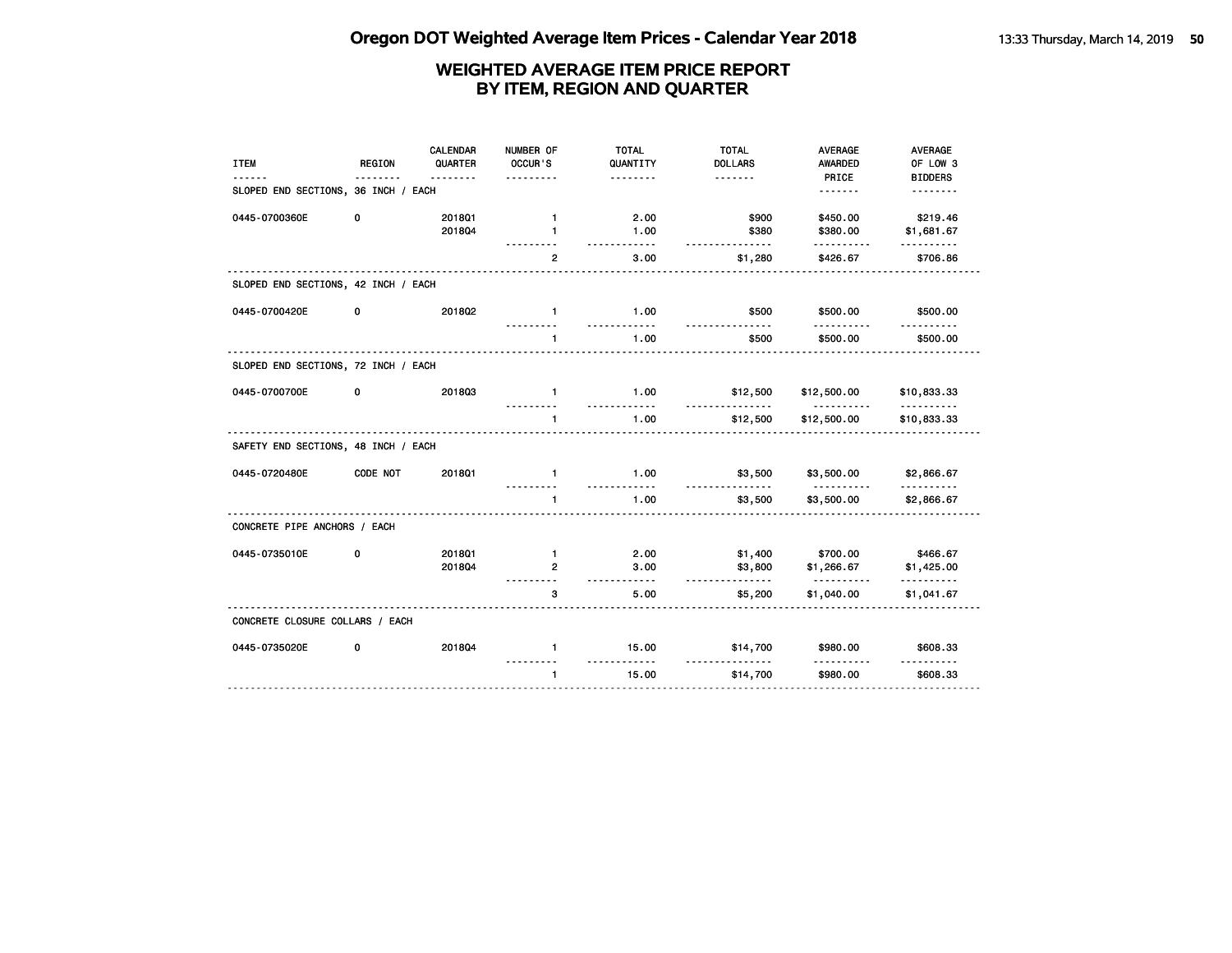| <b>ITEM</b>                         | <b>REGION</b> | CALENDAR<br>QUARTER<br>. <b>.</b> | NUMBER OF<br>OCCUR'S<br>$- - - -$ | <b>TOTAL</b><br>QUANTITY<br>. | <b>TOTAL</b><br><b>DOLLARS</b> | <b>AVERAGE</b><br><b>AWARDED</b><br>PRICE | <b>AVERAGE</b><br>OF LOW 3<br><b>BIDDERS</b> |
|-------------------------------------|---------------|-----------------------------------|-----------------------------------|-------------------------------|--------------------------------|-------------------------------------------|----------------------------------------------|
| SLOPED END SECTIONS, 36 INCH / EACH |               |                                   |                                   |                               |                                | <u>.</u>                                  | <u>.</u>                                     |
| 0445-0700360E                       | 0             | 201801<br>201804                  | $\mathbf{1}$<br>$\mathbf{1}$      | 2.00<br>1.00<br>.             | \$900<br>\$380<br>.            | \$450.00<br>\$380.00<br><u>.</u>          | \$219.46<br>\$1,681.67<br>. <u>.</u>         |
|                                     |               |                                   | $\overline{2}$                    | 3.00                          | \$1,280                        | \$426.67                                  | \$706.86                                     |
| SLOPED END SECTIONS, 42 INCH / EACH |               |                                   |                                   |                               |                                |                                           |                                              |
| 0445-0700420E                       | 0             | 201802                            | $\mathbf{1}$                      | 1.00                          | \$500                          | \$500.00                                  | \$500.00                                     |
|                                     |               |                                   | $\mathbf{1}$                      | 1.00                          | \$500                          | \$500.00                                  | \$500.00                                     |
| SLOPED END SECTIONS, 72 INCH / EACH |               |                                   |                                   |                               |                                |                                           |                                              |
| 0445-0700700E                       | 0             | 201803                            | $\mathbf{1}$                      | 1.00<br><u>.</u>              | \$12,500<br>$- - - -$          | \$12,500.00<br><u>.</u>                   | \$10,833.33<br><u>.</u>                      |
|                                     |               |                                   |                                   | 1.00                          | \$12,500                       | \$12,500.00                               | \$10,833.33                                  |
| SAFETY END SECTIONS, 48 INCH / EACH |               |                                   |                                   |                               |                                |                                           |                                              |
| 0445-0720480E                       | CODE NOT      | <b>2018Q1</b>                     | $\mathbf{1}$                      | 1.00                          | \$3,500                        | \$3,500.00                                | \$2,866.67                                   |
|                                     |               |                                   | $\mathbf{1}$                      | 1.00                          | \$3,500                        | \$3,500.00                                | \$2,866.67                                   |
| CONCRETE PIPE ANCHORS / EACH        |               |                                   |                                   |                               |                                |                                           |                                              |
| 0445-0735010E                       | 0             | <b>2018Q1</b><br>201804           | $\mathbf{1}$<br>$\overline{2}$    | 2.00<br>3.00                  | \$1,400<br>\$3,800             | \$700.00<br>\$1,266.67                    | \$466.67<br>\$1,425.00                       |
|                                     |               |                                   | .                                 | <u></u>                       | .                              | <u>.</u>                                  | <u>.</u>                                     |
|                                     |               |                                   | 3                                 | 5.00                          | \$5,200                        | \$1,040.00                                | \$1,041.67                                   |
| CONCRETE CLOSURE COLLARS / EACH     |               |                                   |                                   |                               |                                |                                           |                                              |
| 0445-0735020E                       | 0             | 201804                            | $\mathbf{1}$                      | 15.00                         | \$14,700                       | \$980.00                                  | \$608.33                                     |
|                                     |               |                                   | $\mathbf{1}$                      | 15.00                         | \$14,700                       | \$980.00                                  | \$608.33                                     |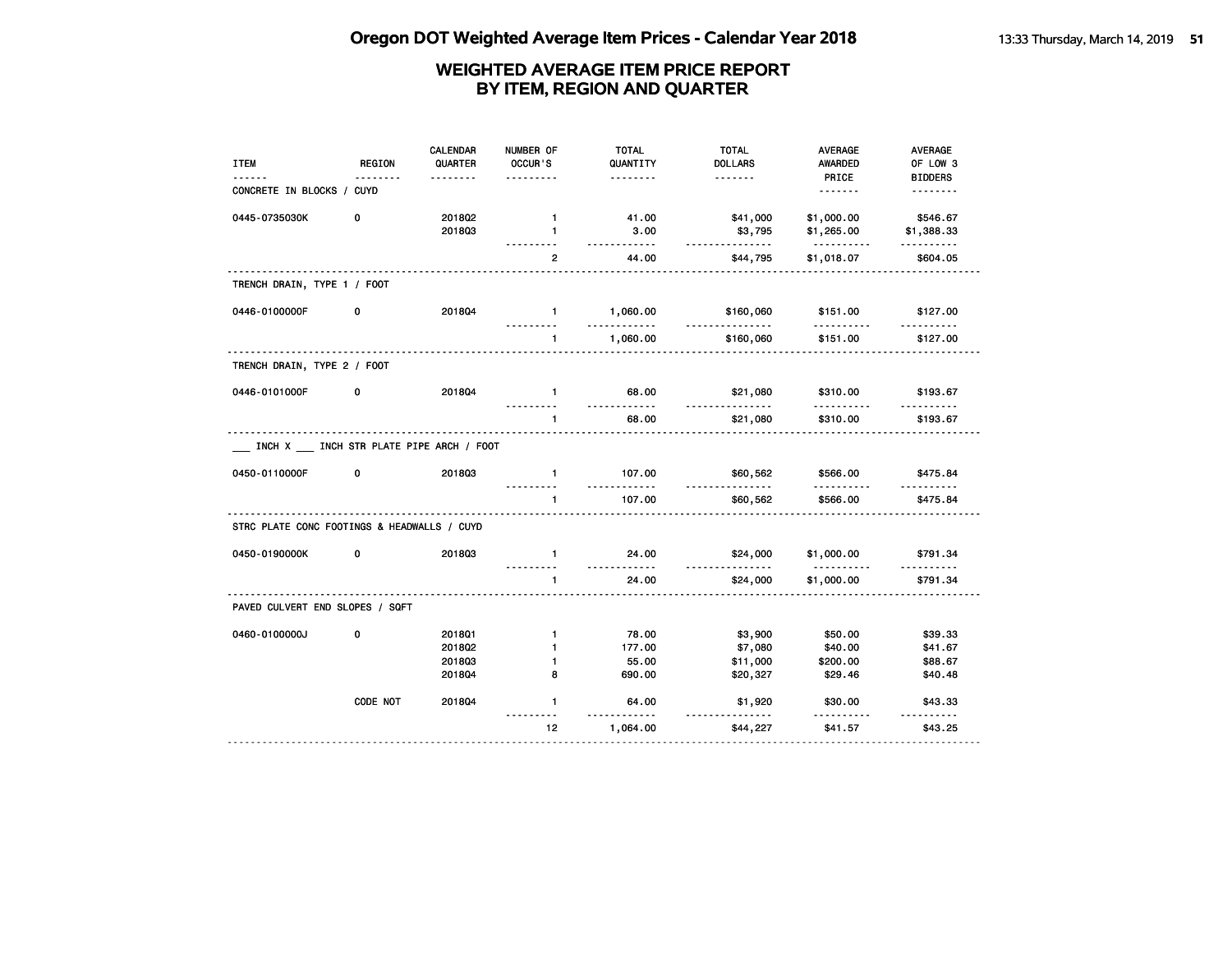| <b>ITEM</b>                                 | <b>REGION</b>                              | <b>CALENDAR</b><br>QUARTER<br>$- - - - - - -$ | NUMBER OF<br>OCCUR'S | <b>TOTAL</b><br>QUANTITY<br>. | <b>TOTAL</b><br><b>DOLLARS</b><br>. | <b>AVERAGE</b><br><b>AWARDED</b><br>PRICE | AVERAGE<br>OF LOW 3<br><b>BIDDERS</b> |
|---------------------------------------------|--------------------------------------------|-----------------------------------------------|----------------------|-------------------------------|-------------------------------------|-------------------------------------------|---------------------------------------|
| CONCRETE IN BLOCKS / CUYD                   |                                            |                                               |                      |                               |                                     | <u>.</u>                                  | .                                     |
| 0445-0735030K                               | 0                                          | 201802                                        | $\mathbf{1}$         | 41.00                         | \$41,000                            | \$1,000.00                                | \$546.67                              |
|                                             |                                            | 201803                                        | $\mathbf{1}$         | 3.00<br><u>.</u>              | \$3,795<br>.                        | \$1,265.00<br><u>.</u>                    | \$1,388.33<br>.                       |
|                                             |                                            |                                               | 2                    | 44.00                         | \$44,795                            | \$1,018.07                                | \$604.05                              |
| TRENCH DRAIN, TYPE 1 / FOOT                 |                                            |                                               |                      |                               |                                     |                                           |                                       |
| 0446-0100000F                               | 0                                          | 2018Q4                                        | $\blacksquare$       | 1,060.00                      | \$160,060                           | \$151.00                                  | \$127.00                              |
|                                             |                                            |                                               | $\mathbf{1}$         | 1,060.00                      | \$160,060                           | \$151.00                                  | \$127.00                              |
| TRENCH DRAIN, TYPE 2 / FOOT                 |                                            |                                               |                      |                               |                                     |                                           |                                       |
| 0446-0101000F                               | 0                                          | 201804                                        | $\blacksquare$       | 68.00                         | \$21,080                            | \$310.00                                  | \$193.67                              |
|                                             |                                            |                                               | $\mathbf{1}$         | 68.00                         | \$21,080                            | \$310.00                                  | \$193.67                              |
|                                             | INCH X ___ INCH STR PLATE PIPE ARCH / FOOT |                                               |                      |                               |                                     |                                           |                                       |
| 0450-0110000F                               | 0                                          | 201803                                        | $\mathbf{1}$         | 107.00<br><u>.</u>            | \$60,562<br><u>.</u>                | \$566.00                                  | \$475.84                              |
|                                             |                                            |                                               | $\mathbf{1}$         | 107.00                        | \$60,562                            | \$566.00                                  | \$475.84                              |
| STRC PLATE CONC FOOTINGS & HEADWALLS / CUYD |                                            |                                               |                      |                               |                                     |                                           |                                       |
| 0450-0190000K                               | 0                                          | 201803                                        | $\mathbf{1}$         | 24.00<br><u>.</u>             | \$24,000<br>-----------             | \$1,000.00                                | \$791.34                              |
|                                             |                                            |                                               | $\mathbf{1}$         | 24.00                         | \$24,000                            | \$1,000.00                                | \$791.34                              |
| PAVED CULVERT END SLOPES / SQFT             |                                            |                                               |                      |                               |                                     |                                           |                                       |
| 0460-0100000J                               | 0                                          | 201801                                        | $\mathbf{1}$         | 78.00                         | \$3,900                             | \$50.00                                   | \$39.33                               |
|                                             |                                            | 201802                                        | 1                    | 177.00                        | \$7,080                             | \$40.00                                   | \$41.67                               |
|                                             |                                            | 201803                                        | $\mathbf{1}$         | 55.00                         | \$11,000                            | \$200.00                                  | \$88.67                               |
|                                             |                                            | 2018Q4                                        | 8                    | 690.00                        | \$20,327                            | \$29.46                                   | \$40.48                               |
|                                             | CODE NOT                                   | 2018Q4                                        | $\mathbf{1}$         | 64.00                         | \$1,920                             | \$30.00                                   | \$43.33                               |
|                                             |                                            |                                               | 12 <sub>2</sub>      | 1,064.00                      | \$44,227                            | \$41.57                                   | \$43.25                               |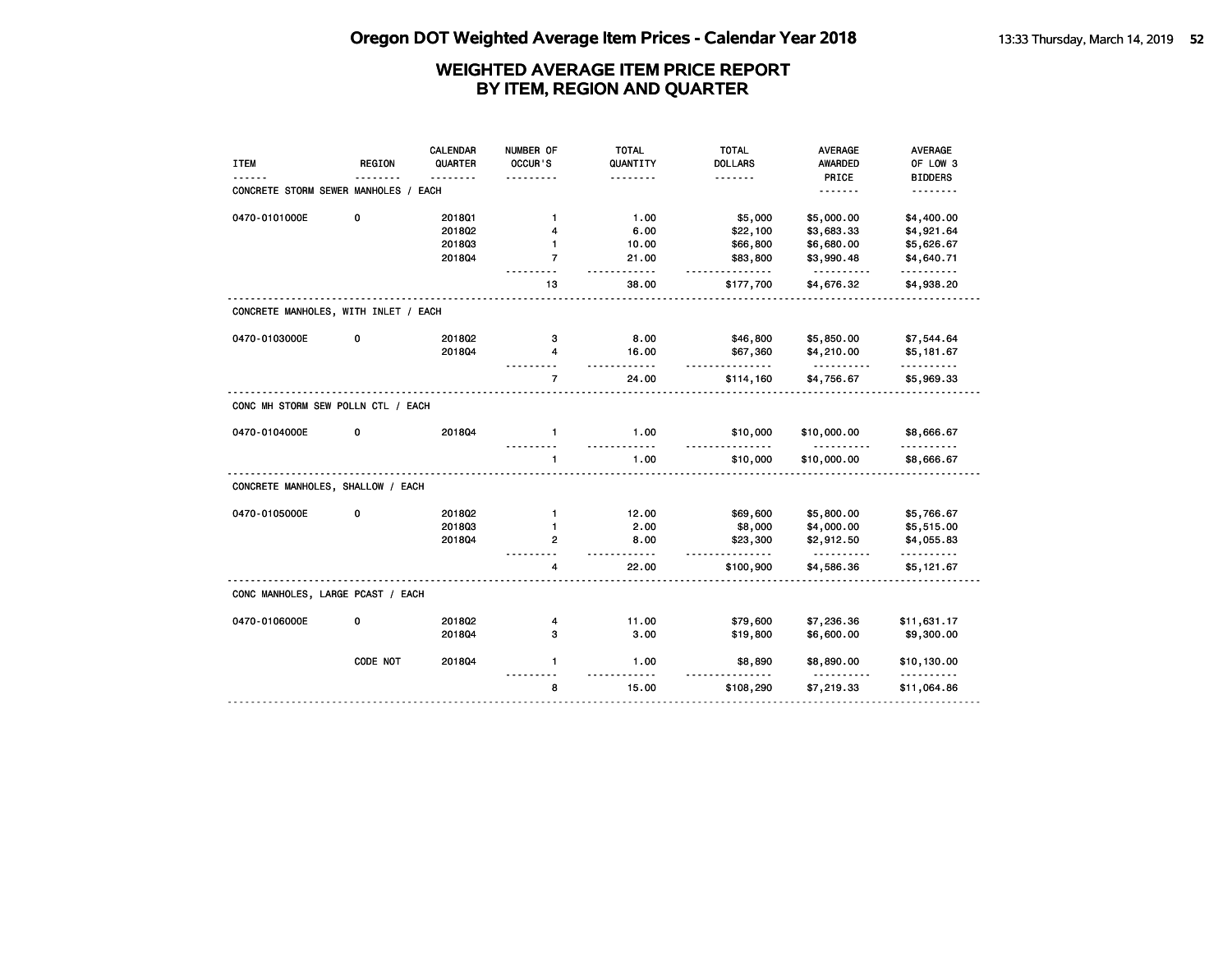|                                      |               | CALENDAR | NUMBER OF      | <b>TOTAL</b>                     | <b>TOTAL</b>   | <b>AVERAGE</b>         | AVERAGE                 |
|--------------------------------------|---------------|----------|----------------|----------------------------------|----------------|------------------------|-------------------------|
| <b>ITEM</b>                          | <b>REGION</b> | QUARTER  | OCCUR'S        | QUANTITY                         | <b>DOLLARS</b> | <b>AWARDED</b>         | OF LOW 3                |
|                                      |               |          |                | .                                | .              | PRICE                  | <b>BIDDERS</b>          |
| CONCRETE STORM SEWER MANHOLES /      |               | EACH     |                |                                  |                | <u>.</u>               |                         |
| 0470-0101000E                        | 0             | 2018Q1   | $\mathbf{1}$   | 1.00                             | \$5,000        | \$5,000.00             | \$4,400.00              |
|                                      |               | 2018Q2   | 4              | 6.00                             | \$22,100       | \$3,683.33             | \$4,921.64              |
|                                      |               | 201803   | 1              | 10.00                            | \$66,800       | \$6,680.00             | \$5,626.67              |
|                                      |               | 201804   | $\overline{7}$ | 21.00<br>- - - -                 | \$83,800<br>.  | \$3,990.48<br><u>.</u> | \$4,640.71<br>.         |
|                                      |               |          | 13             | 38.00                            | \$177,700      | \$4,676.32             | \$4,938.20              |
| CONCRETE MANHOLES, WITH INLET / EACH |               |          |                |                                  |                |                        |                         |
| 0470-0103000E                        | 0             | 2018Q2   | з              | 8.00                             | \$46,800       | \$5,850.00             | \$7,544.64              |
|                                      |               | 201804   | 4              | 16.00<br>.                       | \$67,360<br>.  | \$4,210.00<br>.        | \$5,181.67<br>.         |
|                                      |               |          | $\overline{7}$ | 24.00                            | \$114,160      | \$4,756.67             | \$5,969.33              |
| CONC MH STORM SEW POLLN CTL / EACH   |               |          |                |                                  |                |                        |                         |
| 0470-0104000E                        | 0             | 201804   | $\mathbf{1}$   | 1.00<br>$\overline{\phantom{a}}$ | \$10,000       | \$10,000.00            | \$8,666.67              |
|                                      |               |          | $\mathbf{1}$   | 1.00                             | \$10,000       | \$10,000.00            | \$8,666.67              |
| CONCRETE MANHOLES, SHALLOW / EACH    |               |          |                |                                  |                |                        |                         |
| 0470-0105000E                        | 0             | 201802   | $\mathbf{1}$   | 12.00                            | \$69,600       | \$5,800.00             | \$5,766.67              |
|                                      |               | 201803   | $\mathbf{1}$   | 2.00                             | \$8,000        | \$4,000.00             | \$5,515.00              |
|                                      |               | 201804   | $\mathbf{2}$   | 8.00<br>-----                    | \$23,300<br>.  | \$2,912.50<br><u>.</u> | \$4,055.83<br>.         |
|                                      |               |          | 4              | 22.00                            | \$100,900      | \$4,586.36             | \$5,121.67              |
| CONC MANHOLES, LARGE PCAST / EACH    |               |          |                |                                  |                |                        |                         |
| 0470-0106000E                        | 0             | 2018Q2   | 4              | 11.00                            | \$79,600       | \$7,236.36             | \$11,631.17             |
|                                      |               | 201804   | з              | 3.00                             | \$19,800       | \$6,600.00             | \$9,300.00              |
|                                      | CODE NOT      | 201804   | $\mathbf{1}$   | 1.00                             | \$8,890        | \$8,890.00<br><u>.</u> | \$10,130.00<br><u>.</u> |
|                                      |               |          | 8              | 15.00                            | \$108,290      | \$7,219.33             | \$11,064.86             |
|                                      |               |          |                |                                  |                |                        |                         |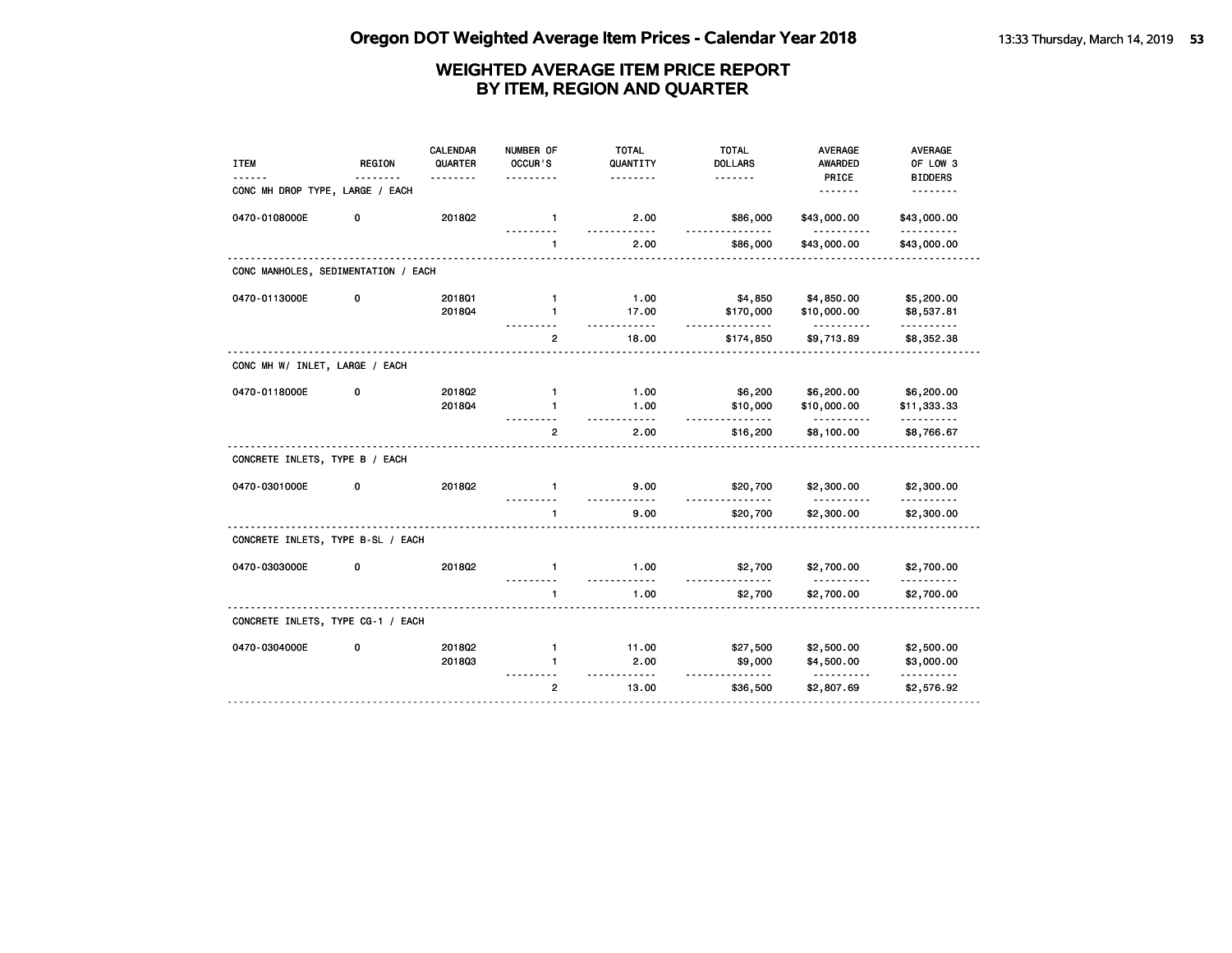| <b>ITEM</b>                         | <b>REGION</b> | CALENDAR<br>QUARTER | NUMBER OF<br>OCCUR'S | <b>TOTAL</b><br>QUANTITY | <b>TOTAL</b><br><b>DOLLARS</b> | <b>AVERAGE</b><br>AWARDED | AVERAGE<br>OF LOW 3      |
|-------------------------------------|---------------|---------------------|----------------------|--------------------------|--------------------------------|---------------------------|--------------------------|
| CONC MH DROP TYPE, LARGE / EACH     |               |                     |                      | .                        | <u>.</u>                       | PRICE<br><u>.</u>         | <b>BIDDERS</b>           |
| 0470-0108000E                       | 0             | 201802              | $\mathbf{1}$         | 2.00<br>.                | \$86,000<br>$- - -$            | \$43,000.00<br><u>.</u>   | \$43,000.00<br><u>.</u>  |
|                                     |               |                     | 1                    | 2.00                     | \$86,000                       | \$43,000.00               | \$43,000.00              |
| CONC MANHOLES, SEDIMENTATION / EACH |               |                     |                      |                          |                                |                           |                          |
| 0470-0113000E                       | 0             | 2018Q1              | $\mathbf{1}$         | 1.00                     | \$4,850                        | \$4,850.00                | \$5,200.00               |
|                                     |               | 201804              | $\mathbf{1}$         | 17.00<br>$- - - - -$     | \$170,000<br>------            | \$10,000.00<br><u>.</u>   | \$8,537.81<br>. <b>.</b> |
|                                     |               |                     | $\overline{2}$       | 18.00                    | \$174,850                      | \$9,713.89                | \$8,352.38               |
| CONC MH W/ INLET, LARGE / EACH      |               |                     |                      |                          |                                |                           |                          |
| 0470-0118000E                       | 0             | 2018Q2              | $\mathbf{1}$         | 1.00                     | \$6,200                        | \$6,200.00                | \$6,200.00               |
|                                     |               | 201804              | $\mathbf{1}$         | 1.00                     | \$10,000<br><u>.</u>           | \$10,000.00               | \$11,333.33              |
|                                     |               |                     | $\overline{2}$       | 2.00                     | \$16,200                       | \$8,100.00                | \$8,766.67               |
| CONCRETE INLETS, TYPE B / EACH      |               |                     |                      |                          |                                |                           |                          |
| 0470-0301000E                       | 0             | 201802              | $\mathbf{1}$         | 9.00                     | \$20,700                       | \$2,300.00                | \$2,300.00               |
|                                     |               |                     | 1                    | 9.00                     | \$20,700                       | \$2,300.00                | \$2,300.00               |
| CONCRETE INLETS, TYPE B-SL / EACH   |               |                     |                      |                          |                                |                           |                          |
| 0470-0303000E                       | 0             | 2018Q2              | $\mathbf{1}$         | 1.00<br>-----            | \$2,700                        | \$2,700.00                | \$2,700.00               |
|                                     |               |                     | $\mathbf{1}$         | 1.00                     | \$2,700                        | \$2,700.00                | \$2,700.00               |
| CONCRETE INLETS, TYPE CG-1 / EACH   |               |                     |                      |                          |                                |                           |                          |
| 0470-0304000E                       | 0             | 2018Q2              | $\mathbf{1}$         | 11.00                    | \$27,500                       | \$2,500.00                | \$2,500.00               |
|                                     |               | 201803              | 1                    | 2.00                     | \$9,000                        | \$4,500.00                | \$3,000.00               |
|                                     |               |                     | $\overline{2}$       | - - - - -<br>13.00       | <u>.</u><br>\$36,500           | \$2,807.69                | .<br>\$2,576.92          |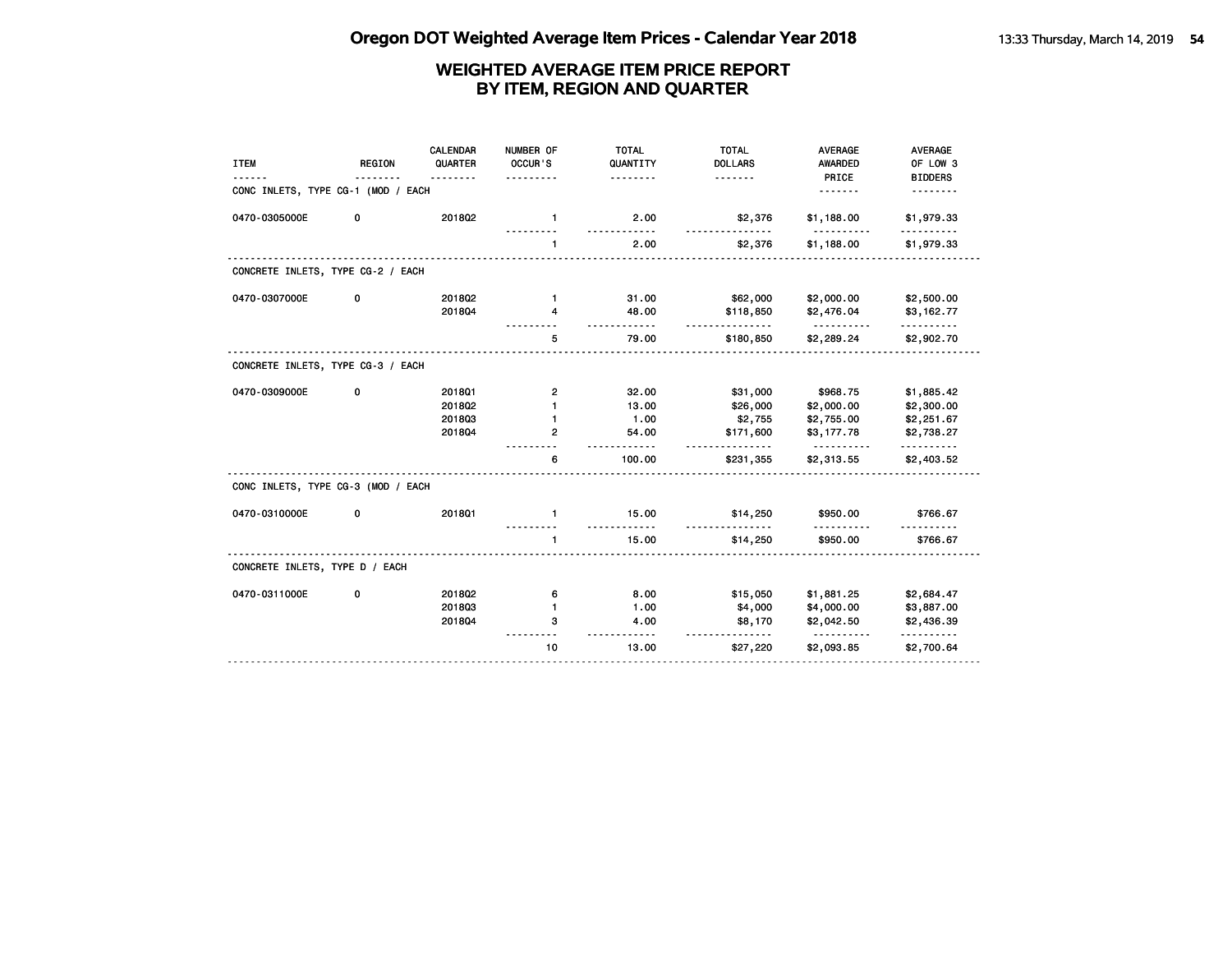| <b>ITEM</b>                        | <b>REGION</b> | CALENDAR<br>QUARTER | NUMBER OF<br>OCCUR'S | <b>TOTAL</b><br>QUANTITY<br>. | <b>TOTAL</b><br><b>DOLLARS</b><br>. | <b>AVERAGE</b><br><b>AWARDED</b><br>PRICE | AVERAGE<br>OF LOW 3<br><b>BIDDERS</b>   |
|------------------------------------|---------------|---------------------|----------------------|-------------------------------|-------------------------------------|-------------------------------------------|-----------------------------------------|
| CONC INLETS, TYPE CG-1 (MOD / EACH |               |                     |                      |                               |                                     | .                                         |                                         |
| 0470-0305000E                      | 0             | 2018Q2              | $\mathbf{1}$         | 2.00                          | \$2,376                             | \$1,188.00                                | \$1,979.33                              |
|                                    |               |                     | $\mathbf{1}$         | 2.00                          | \$2,376                             | \$1,188.00                                | \$1,979.33                              |
| CONCRETE INLETS, TYPE CG-2 / EACH  |               |                     |                      |                               |                                     |                                           |                                         |
| 0470-0307000E                      | 0             | 2018Q2              | $\mathbf{1}$         | 31.00                         | \$62,000                            | \$2,000.00                                | \$2,500.00                              |
|                                    |               | 201804              | 4                    | 48.00<br>.                    | \$118,850<br>.                      | \$2,476.04                                | \$3,162.77<br><u> - - - - - - - - -</u> |
|                                    |               |                     | 5                    | 79.00                         | \$180,850                           | \$2,289.24                                | \$2,902.70                              |
| CONCRETE INLETS, TYPE CG-3 / EACH  |               |                     |                      |                               |                                     |                                           |                                         |
| 0470-0309000E                      | 0             | 2018Q1              | 2                    | 32.00                         | \$31,000                            | \$968.75                                  | \$1,885.42                              |
|                                    |               | 2018Q2              |                      | 13.00                         | \$26,000                            | \$2,000.00                                | \$2,300.00                              |
|                                    |               | 201803              | 1                    | 1.00                          | \$2,755                             | \$2,755.00                                | \$2,251.67                              |
|                                    |               | 201804              | $\mathbf{2}$         | 54.00<br>$- - - -$            | \$171,600<br><u>.</u>               | \$3,177.78<br><u>.</u>                    | \$2,738.27<br><u>.</u>                  |
|                                    |               |                     | 6                    | 100.00                        | \$231,355                           | \$2,313.55                                | \$2,403.52                              |
| CONC INLETS, TYPE CG-3 (MOD / EACH |               |                     |                      |                               |                                     |                                           |                                         |
| 0470-0310000E                      | 0             | 2018Q1              | $\mathbf{1}$         | 15.00                         | \$14,250                            | \$950.00                                  | \$766.67                                |
|                                    |               |                     | $\mathbf{1}$         | 15.00                         | \$14,250                            | \$950.00                                  | \$766.67                                |
| CONCRETE INLETS, TYPE D / EACH     |               |                     |                      |                               |                                     |                                           |                                         |
| 0470-0311000E                      | 0             | 2018Q2              | 6                    | 8.00                          | \$15,050                            | \$1,881.25                                | \$2,684.47                              |
|                                    |               | 201803              | $\mathbf{1}$         | 1.00                          | \$4,000                             | \$4,000.00                                | \$3,887.00                              |
|                                    |               | 201804              | з                    | 4.00                          | \$8,170                             | \$2,042.50                                | \$2,436.39<br>---------                 |
|                                    |               |                     | 10                   | 13.00                         | \$27,220                            | \$2,093.85                                | \$2,700.64                              |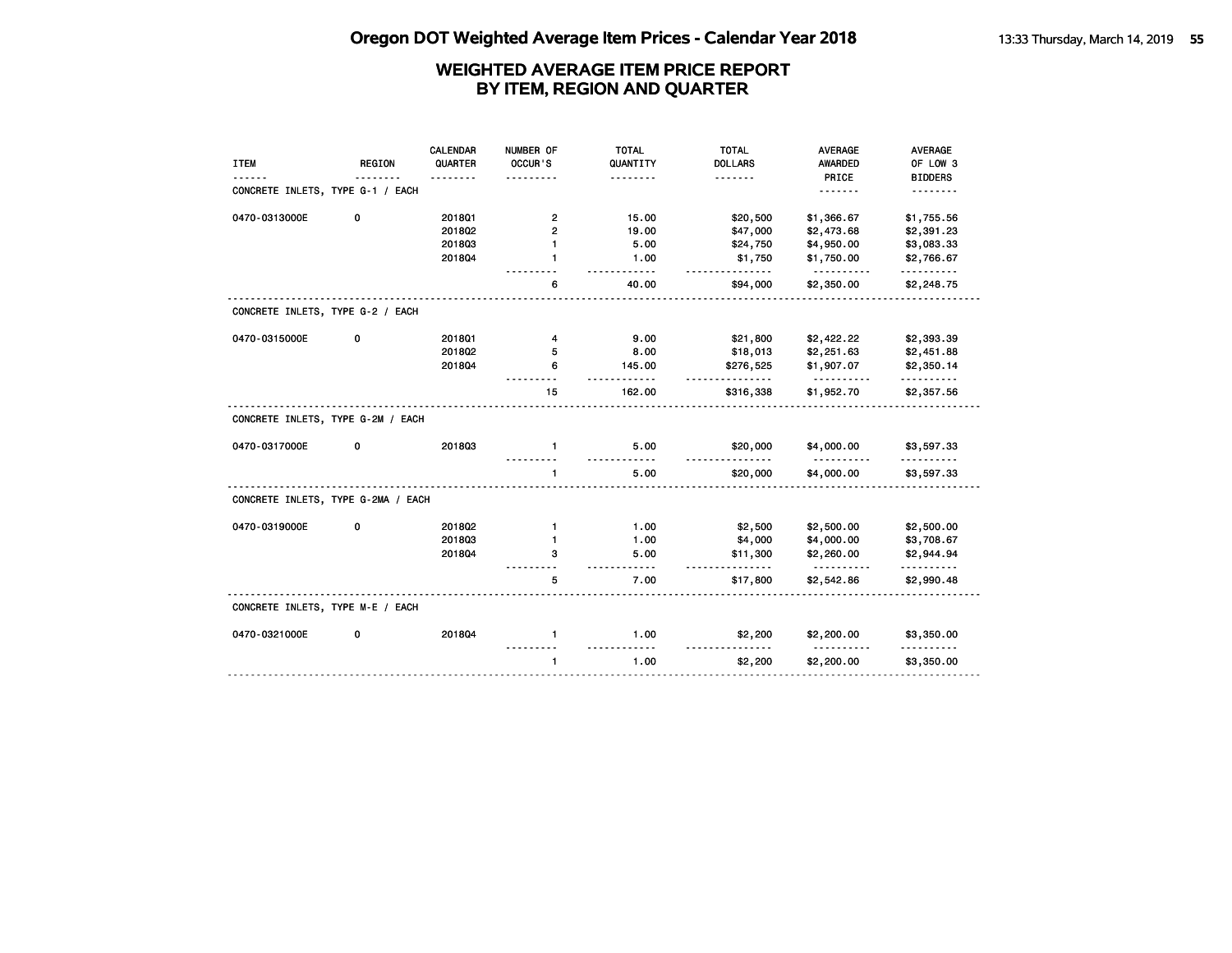|                                    |               | <b>CALENDAR</b> | NUMBER OF      | <b>TOTAL</b>         | <b>TOTAL</b>          | <b>AVERAGE</b>                  | <b>AVERAGE</b>  |
|------------------------------------|---------------|-----------------|----------------|----------------------|-----------------------|---------------------------------|-----------------|
| <b>ITEM</b>                        | <b>REGION</b> | QUARTER         | OCCUR'S        | QUANTITY             | <b>DOLLARS</b>        | <b>AWARDED</b>                  | OF LOW 3        |
|                                    |               |                 |                |                      | <u>.</u>              | PRICE                           | <b>BIDDERS</b>  |
| CONCRETE INLETS, TYPE G-1 / EACH   |               |                 |                |                      |                       |                                 |                 |
| 0470-0313000E                      | 0             | 201801          | $\overline{2}$ | 15.00                | \$20,500              | \$1,366.67                      | \$1,755.56      |
|                                    |               | 2018Q2          | $\mathbf{2}$   | 19.00                | \$47,000              | \$2,473.68                      | \$2,391.23      |
|                                    |               | 201803          | $\mathbf{1}$   | 5.00                 | \$24,750              | \$4,950.00                      | \$3,083.33      |
|                                    |               | 201804          | 1              | 1.00<br>$- - - - -$  | \$1,750<br>.          | \$1,750.00<br>.                 | \$2,766.67<br>. |
|                                    |               |                 | 6              | 40.00                | \$94,000              | \$2,350.00                      | \$2,248.75      |
| CONCRETE INLETS, TYPE G-2 / EACH   |               |                 |                |                      |                       |                                 |                 |
| 0470-0315000E                      | 0             | 2018Q1          | 4              | 9.00                 | \$21,800              | \$2,422.22                      | \$2,393.39      |
|                                    |               | 2018Q2          | 5              | 8.00                 | \$18,013              | \$2,251.63                      | \$2,451.88      |
|                                    |               | 201804          | 6              | 145.00               | \$276,525             | \$1,907.07                      | \$2,350.14      |
|                                    |               |                 | 15             | 162.00               | <u>.</u><br>\$316,338 | \$1,952.70                      | \$2,357.56      |
| CONCRETE INLETS, TYPE G-2M / EACH  |               |                 |                |                      |                       |                                 |                 |
| 0470-0317000E                      | 0             | 201803          | $\mathbf{1}$   | 5.00<br>. . <b>.</b> | \$20,000              | \$4,000.00<br><u>----------</u> | \$3,597.33      |
|                                    |               |                 | $\mathbf{1}$   | 5.00                 | \$20,000              | \$4,000.00                      | \$3,597.33      |
| CONCRETE INLETS, TYPE G-2MA / EACH |               |                 |                |                      |                       |                                 |                 |
| 0470-0319000E                      | 0             | 201802          | $\mathbf{1}$   | 1.00                 | \$2,500               | \$2,500.00                      | \$2,500.00      |
|                                    |               | 201803          | $\mathbf{1}$   | 1.00                 | \$4,000               | \$4,000.00                      | \$3,708.67      |
|                                    |               | 201804          | з              | 5.00<br>.            | \$11,300<br>.         | \$2,260.00<br><u>----------</u> | \$2,944.94<br>. |
|                                    |               |                 | 5              | 7.00                 | \$17,800              | \$2,542.86                      | \$2,990.48      |
| CONCRETE INLETS, TYPE M-E / EACH   |               |                 |                |                      |                       |                                 |                 |
| 0470-0321000E                      | 0             | 201804          | $\mathbf{1}$   | 1.00                 | \$2,200               | \$2,200.00                      | \$3,350.00      |
|                                    |               |                 | $\mathbf{1}$   | 1.00                 | \$2,200               | \$2,200.00                      | \$3,350.00      |
|                                    |               |                 |                |                      |                       |                                 |                 |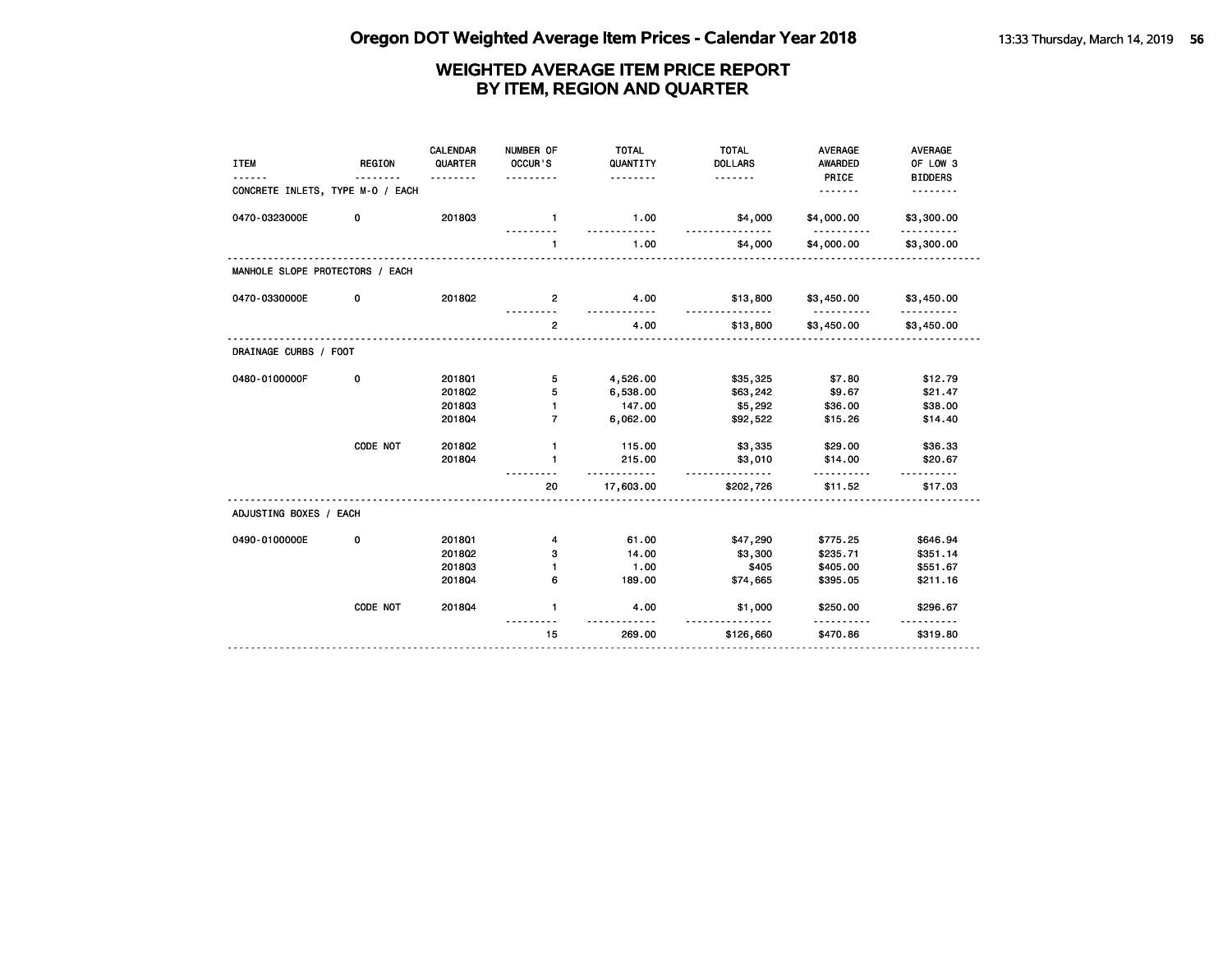| <b>ITEM</b>                      | <b>REGION</b> | <b>CALENDAR</b><br>QUARTER<br>. | NUMBER OF<br>OCCUR'S<br>. | <b>TOTAL</b><br>QUANTITY<br>. | <b>TOTAL</b><br><b>DOLLARS</b><br><u>.</u> | <b>AVERAGE</b><br><b>AWARDED</b><br>PRICE | <b>AVERAGE</b><br>OF LOW 3<br><b>BIDDERS</b> |
|----------------------------------|---------------|---------------------------------|---------------------------|-------------------------------|--------------------------------------------|-------------------------------------------|----------------------------------------------|
| CONCRETE INLETS, TYPE M-0 / EACH |               |                                 |                           |                               |                                            | <u>.</u>                                  | <u>.</u>                                     |
| 0470-0323000E                    | 0             | 201803                          | $\mathbf{1}$              | 1.00                          | \$4,000                                    | \$4,000.00<br><u>----------</u>           | \$3,300.00                                   |
|                                  |               |                                 | $\mathbf{1}$              | 1.00                          | --------<br>\$4,000                        | \$4,000.00                                | \$3,300.00                                   |
| MANHOLE SLOPE PROTECTORS / EACH  |               |                                 |                           |                               |                                            |                                           |                                              |
| 0470-0330000E                    | 0             | 201802                          | $\overline{2}$            | 4.00                          | \$13,800                                   | \$3,450.00                                | \$3,450.00                                   |
|                                  |               |                                 | $\overline{2}$            | 4.00                          | \$13,800                                   | \$3,450.00                                | \$3,450.00                                   |
| DRAINAGE CURBS / FOOT            |               |                                 |                           |                               |                                            |                                           |                                              |
| 0480-0100000F                    | 0             | 2018Q1                          | 5                         | 4,526.00                      | \$35,325                                   | \$7.80                                    | \$12.79                                      |
|                                  |               | 201802                          | 5                         | 6,538.00                      | \$63,242                                   | \$9.67                                    | \$21.47                                      |
|                                  |               | 201803                          | $\mathbf{1}$              | 147.00                        | \$5,292                                    | \$36.00                                   | \$38.00                                      |
|                                  |               | 201804                          | $\overline{7}$            | 6,062.00                      | \$92,522                                   | \$15.26                                   | \$14.40                                      |
|                                  | CODE NOT      | 2018Q2                          | $\mathbf{1}$              | 115.00                        | \$3,335                                    | \$29.00                                   | \$36.33                                      |
|                                  |               | 201804                          | $\mathbf{1}$              | 215.00                        | \$3,010                                    | \$14.00                                   | \$20.67                                      |
|                                  |               |                                 | 20                        | <u></u><br>17,603.00          | <u>.</u><br>\$202,726                      | \$11.52                                   | \$17.03                                      |
| ADJUSTING BOXES / EACH           |               |                                 |                           |                               |                                            |                                           |                                              |
| 0490-0100000E                    | 0             | 2018Q1                          | 4                         | 61.00                         | \$47,290                                   | \$775.25                                  | \$646.94                                     |
|                                  |               | 201802                          | 3                         | 14.00                         | \$3,300                                    | \$235.71                                  | \$351.14                                     |
|                                  |               | 201803                          | $\mathbf{1}$              | 1.00                          | \$405                                      | \$405.00                                  | \$551.67                                     |
|                                  |               | 201804                          | 6                         | 189.00                        | \$74,665                                   | \$395.05                                  | \$211.16                                     |
|                                  | CODE NOT      | 201804                          | $\mathbf{1}$              | 4.00                          | \$1,000<br>--------                        | \$250.00                                  | \$296.67                                     |
|                                  |               |                                 | 15                        | 269.00                        | \$126,660                                  | \$470.86                                  | \$319.80                                     |
|                                  |               |                                 |                           |                               |                                            |                                           |                                              |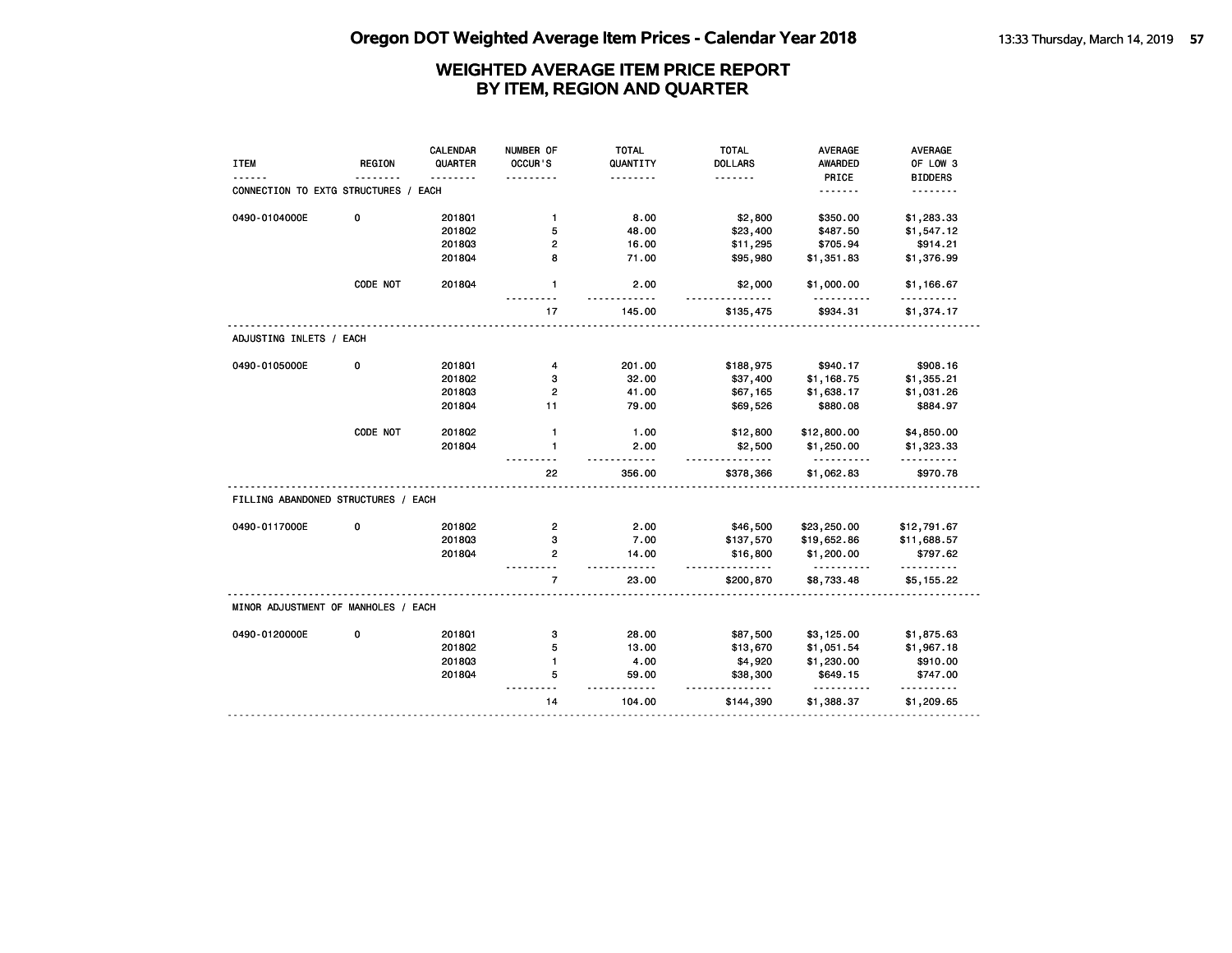|                                      |               | CALENDAR | NUMBER OF      | <b>TOTAL</b>         | <b>TOTAL</b>         | <b>AVERAGE</b>         | <b>AVERAGE</b>  |
|--------------------------------------|---------------|----------|----------------|----------------------|----------------------|------------------------|-----------------|
| <b>ITEM</b>                          | <b>REGION</b> | QUARTER  | OCCUR'S        | QUANTITY             | <b>DOLLARS</b>       | <b>AWARDED</b>         | OF LOW 3        |
|                                      |               |          |                | .                    | <u>.</u>             | PRICE                  | <b>BIDDERS</b>  |
| CONNECTION TO EXTG STRUCTURES / EACH |               |          |                |                      |                      | <u>.</u>               | .               |
| 0490-0104000E                        | 0             | 201801   | $\mathbf{1}$   | 8.00                 | \$2,800              | \$350.00               | \$1,283.33      |
|                                      |               | 2018Q2   | 5              | 48.00                | \$23,400             | \$487.50               | \$1,547.12      |
|                                      |               | 201803   | $\overline{2}$ | 16.00                | \$11,295             | \$705.94               | \$914.21        |
|                                      |               | 2018Q4   | 8              | 71.00                | \$95,980             | \$1,351.83             | \$1,376.99      |
|                                      | CODE NOT      | 201804   | $\mathbf{1}$   | 2.00<br><u>.</u>     | \$2,000              | \$1,000.00             | \$1,166.67<br>. |
|                                      |               |          | 17             | 145.00               | \$135,475            | \$934.31               | \$1,374.17      |
| ADJUSTING INLETS / EACH              |               |          |                |                      |                      |                        |                 |
| 0490-0105000E                        | 0             | 201801   | 4              | 201.00               | \$188,975            | \$940.17               | \$908.16        |
|                                      |               | 2018Q2   | з              | 32.00                | \$37,400             | \$1,168.75             | \$1,355.21      |
|                                      |               | 201803   | $\overline{2}$ | 41.00                | \$67,165             | \$1,638.17             | \$1,031.26      |
|                                      |               | 201804   | 11             | 79.00                | \$69,526             | \$880.08               | \$884.97        |
|                                      | CODE NOT      | 2018Q2   | $\mathbf{1}$   | 1.00                 | \$12,800             | \$12,800.00            | \$4,850.00      |
|                                      |               | 2018Q4   | $\mathbf{1}$   | 2.00<br><u>.</u>     | \$2,500<br>.         | \$1,250.00<br><u>.</u> | \$1,323.33<br>. |
|                                      |               |          | 22             | 356.00               | \$378,366            | \$1,062.83             | \$970.78        |
| FILLING ABANDONED STRUCTURES / EACH  |               |          |                |                      |                      |                        |                 |
| 0490-0117000E                        | 0             | 201802   | $\overline{2}$ | 2.00                 | \$46,500             | \$23,250.00            | \$12,791.67     |
|                                      |               | 201803   | з              | 7.00                 | \$137,570            | \$19,652.86            | \$11,688.57     |
|                                      |               | 2018Q4   | $\overline{2}$ | 14.00<br>$- - - - -$ | \$16,800<br><u>.</u> | \$1,200.00<br>.        | \$797.62<br>.   |
|                                      |               |          | $\overline{7}$ | 23.00                | \$200,870            | \$8,733.48             | \$5,155.22      |
| MINOR ADJUSTMENT OF MANHOLES / EACH  |               |          |                |                      |                      |                        |                 |
| 0490-0120000E                        | 0             | 201801   | з              | 28.00                | \$87,500             | \$3,125.00             | \$1,875.63      |
|                                      |               | 2018Q2   | 5              | 13.00                | \$13,670             | \$1,051.54             | \$1,967.18      |
|                                      |               | 201803   | $\mathbf{1}$   | 4.00                 | \$4,920              | \$1,230.00             | \$910.00        |
|                                      |               | 2018Q4   | 5              | 59.00                | \$38,300<br>.        | \$649.15<br>.          | \$747.00        |
|                                      |               |          | 14             | 104.00               | \$144,390            | \$1,388.37             | \$1,209.65      |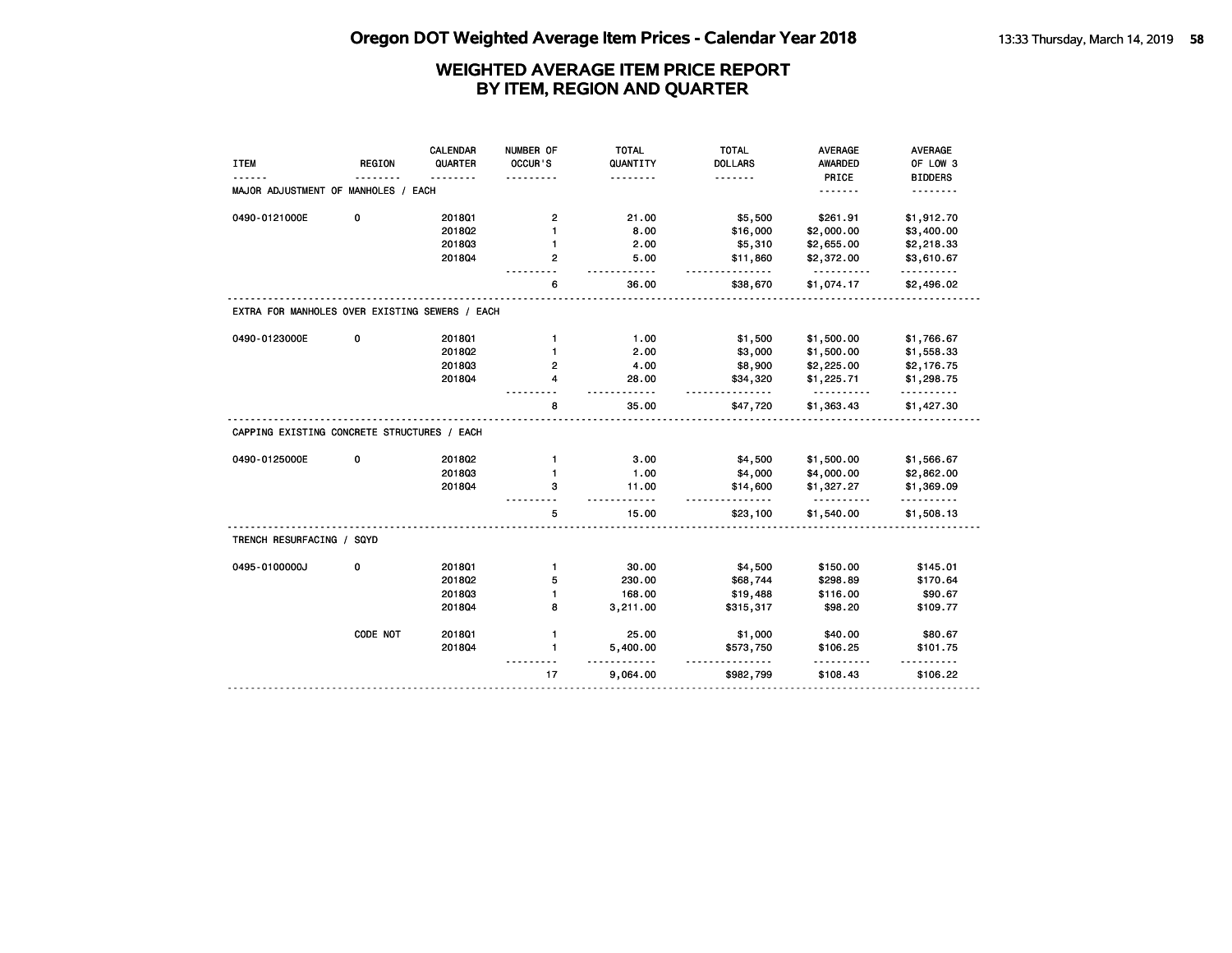|                                                |               | <b>CALENDAR</b> | NUMBER OF      | <b>TOTAL</b>        | <b>TOTAL</b>         | <b>AVERAGE</b>         | <b>AVERAGE</b>         |
|------------------------------------------------|---------------|-----------------|----------------|---------------------|----------------------|------------------------|------------------------|
| <b>ITEM</b>                                    | <b>REGION</b> | QUARTER         | OCCUR'S        | QUANTITY            | <b>DOLLARS</b>       | <b>AWARDED</b>         | OF LOW 3               |
|                                                |               |                 |                |                     | .                    | PRICE                  | <b>BIDDERS</b>         |
| MAJOR ADJUSTMENT OF MANHOLES / EACH            |               |                 |                |                     |                      | .                      |                        |
| 0490-0121000E                                  | 0             | 2018Q1          | 2              | 21.00               | \$5,500              | \$261.91               | \$1,912.70             |
|                                                |               | 2018Q2          | 1              | 8.00                | \$16,000             | \$2,000.00             | \$3,400.00             |
|                                                |               | 201803          | 1              | 2.00                | \$5,310              | \$2,655.00             | \$2,218.33             |
|                                                |               | 201804          | $\overline{2}$ | 5.00<br>$- - - - -$ | \$11,860             | \$2,372.00<br>.        | \$3,610.67<br>.        |
|                                                |               |                 | 6              | 36.00               | \$38,670             | \$1,074.17             | \$2,496.02             |
| EXTRA FOR MANHOLES OVER EXISTING SEWERS / EACH |               |                 |                |                     |                      |                        |                        |
| 0490-0123000E                                  | $\mathbf 0$   | 2018Q1          | $\mathbf{1}$   | 1.00                | \$1,500              | \$1,500.00             | \$1,766.67             |
|                                                |               | 2018Q2          | $\mathbf{1}$   | 2.00                | \$3,000              | \$1,500.00             | \$1,558.33             |
|                                                |               | 201803          | 2              | 4.00                | \$8,900              | \$2,225.00             | \$2,176.75             |
|                                                |               | 201804          | 4              | 28.00<br>$- - -$    | \$34,320             | \$1,225.71<br>$- - -$  | \$1,298.75<br>.        |
|                                                |               |                 | 8              | 35.00               | \$47,720             | \$1,363.43             | \$1,427.30             |
| CAPPING EXISTING CONCRETE STRUCTURES / EACH    |               |                 |                |                     |                      |                        |                        |
| 0490-0125000E                                  | 0             | 201802          | $\mathbf{1}$   | 3.00                | \$4,500              | \$1,500.00             | \$1,566.67             |
|                                                |               | 201803          | $\mathbf{1}$   | 1.00                | \$4,000              | \$4,000.00             | \$2,862.00             |
|                                                |               | 201804          | з              | 11.00               | \$14,600<br><u>.</u> | \$1,327.27<br><u>.</u> | \$1,369.09<br><u>.</u> |
|                                                |               |                 | 5              | 15.00               | \$23,100             | \$1,540.00             | \$1,508.13             |
| TRENCH RESURFACING / SQYD                      |               |                 |                |                     |                      |                        |                        |
| 0495-0100000J                                  | 0             | 2018Q1          | $\mathbf{1}$   | 30.00               | \$4,500              | \$150.00               | \$145.01               |
|                                                |               | 201802          | 5              | 230.00              | \$68,744             | \$298.89               | \$170.64               |
|                                                |               | 201803          | $\mathbf{1}$   | 168.00              | \$19,488             | \$116.00               | \$90.67                |
|                                                |               | 201804          | 8              | 3,211.00            | \$315,317            | \$98.20                | \$109.77               |
|                                                | CODE NOT      | 2018Q1          | $\mathbf{1}$   | 25.00               | \$1,000              | \$40.00                | \$80.67                |
|                                                |               | 201804          | $\mathbf{1}$   | 5,400.00            | \$573,750            | \$106.25               | \$101.75               |
|                                                |               |                 | 17             | 9,064.00            | \$982,799            | \$108.43               | \$106.22               |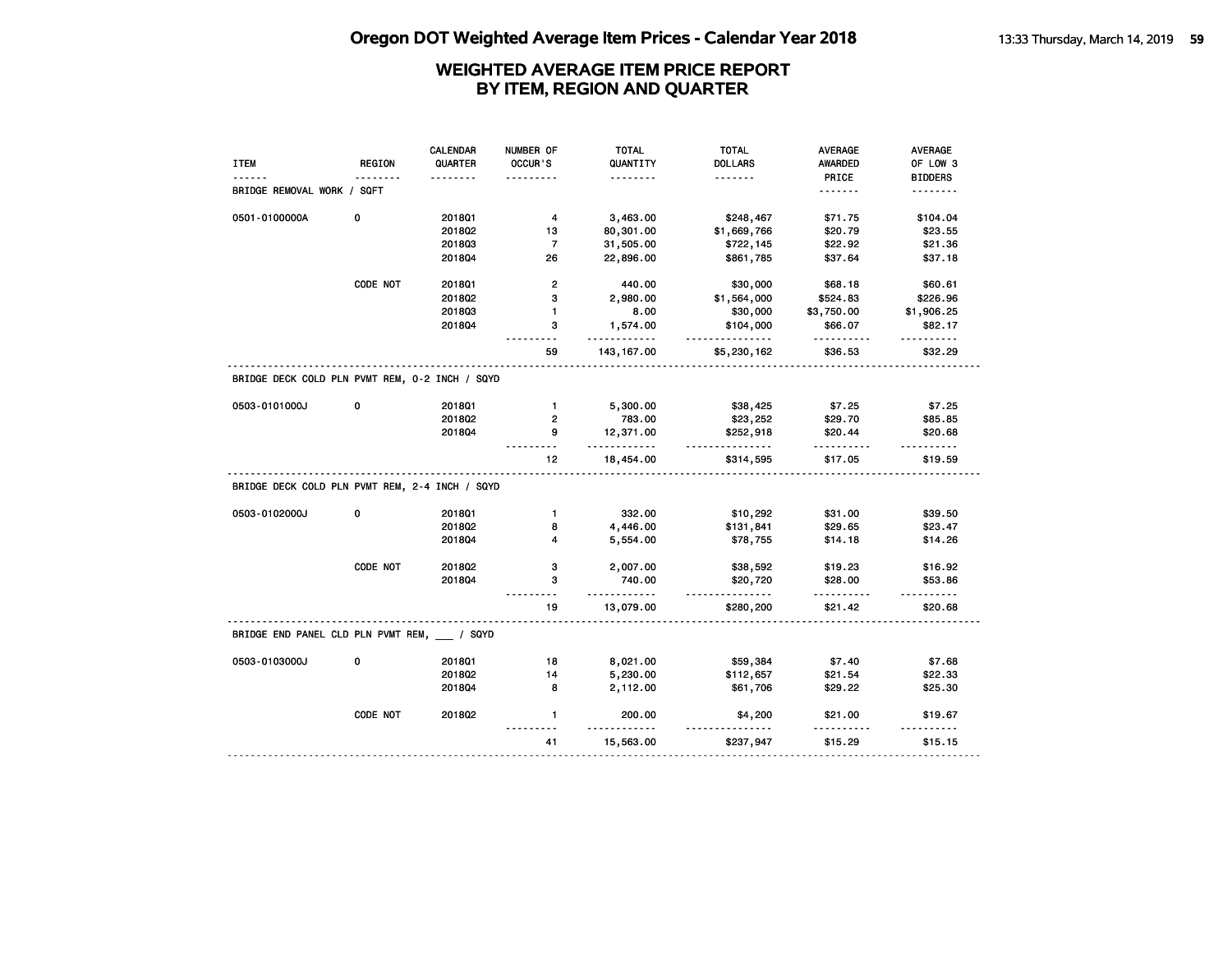| <b>ITEM</b>                                    | <b>REGION</b> | <b>CALENDAR</b><br>QUARTER<br>. | NUMBER OF<br>OCCUR'S | TOTAL<br>QUANTITY<br><u>.</u> | <b>TOTAL</b><br><b>DOLLARS</b><br>. | <b>AVERAGE</b><br><b>AWARDED</b><br>PRICE | AVERAGE<br>OF LOW 3<br><b>BIDDERS</b> |
|------------------------------------------------|---------------|---------------------------------|----------------------|-------------------------------|-------------------------------------|-------------------------------------------|---------------------------------------|
| BRIDGE REMOVAL WORK / SQFT                     |               |                                 |                      |                               |                                     | .                                         | .                                     |
| 0501-0100000A                                  | 0             | 201801                          | 4                    | 3,463.00                      | \$248,467                           | \$71.75                                   | \$104.04                              |
|                                                |               | 2018Q2                          | 13                   | 80,301.00                     | \$1,669,766                         | \$20.79                                   | \$23.55                               |
|                                                |               | 201803                          | $\overline{7}$       | 31,505.00                     | \$722,145                           | \$22.92                                   | \$21.36                               |
|                                                |               | 2018Q4                          | 26                   | 22,896.00                     | \$861,785                           | \$37.64                                   | \$37.18                               |
|                                                | CODE NOT      | 2018Q1                          | $\mathbf{2}$         | 440.00                        | \$30,000                            | \$68.18                                   | \$60.61                               |
|                                                |               | 2018Q2                          | 3                    | 2,980.00                      | \$1,564,000                         | \$524.83                                  | \$226.96                              |
|                                                |               | 201803                          | $\mathbf{1}$         | 8.00                          | \$30,000                            | \$3,750.00                                | \$1,906.25                            |
|                                                |               | 201804                          | 3                    | 1,574.00<br><u></u> .         | \$104,000<br>.                      | \$66.07<br>.                              | \$82.17<br>.                          |
|                                                |               |                                 | 59                   | 143, 167.00                   | \$5,230,162                         | \$36.53                                   | \$32.29                               |
| BRIDGE DECK COLD PLN PVMT REM, 0-2 INCH / SQYD |               |                                 |                      |                               |                                     |                                           |                                       |
| 0503-0101000J                                  | 0             | 201801                          | $\mathbf{1}$         | 5,300.00                      | \$38,425                            | \$7.25                                    | \$7.25                                |
|                                                |               | 201802                          | $\overline{2}$       | 783.00                        | \$23,252                            | \$29.70                                   | \$85.85                               |
|                                                |               | 201804                          | 9                    | 12,371.00<br>.                | \$252,918<br><u>.</u>               | \$20.44<br><u></u>                        | \$20.68<br>.                          |
|                                                |               |                                 | 12                   | 18,454.00                     | \$314,595                           | \$17.05                                   | \$19.59                               |
| BRIDGE DECK COLD PLN PVMT REM, 2-4 INCH / SQYD |               |                                 |                      |                               |                                     |                                           |                                       |
| 0503-0102000J                                  | 0             | 2018Q1                          | $\mathbf{1}$         | 332.00                        | \$10,292                            | \$31.00                                   | \$39.50                               |
|                                                |               | 2018Q2                          | 8                    | 4,446.00                      | \$131,841                           | \$29.65                                   | \$23.47                               |
|                                                |               | 2018Q4                          | 4                    | 5,554.00                      | \$78,755                            | \$14.18                                   | \$14.26                               |
|                                                | CODE NOT      | 201802                          | 3                    | 2,007.00                      | \$38,592                            | \$19.23                                   | \$16.92                               |
|                                                |               | 201804                          | 3                    | 740.00<br>.                   | \$20,720<br><u>.</u>                | \$28.00<br><u>.</u>                       | \$53.86<br><u>.</u>                   |
|                                                |               |                                 | 19                   | 13,079.00                     | \$280,200                           | \$21.42                                   | \$20.68                               |
| BRIDGE END PANEL CLD PLN PVMT REM, / SQYD      |               |                                 |                      |                               |                                     |                                           |                                       |
| 0503-0103000J                                  | $\mathbf 0$   | 201801                          | 18                   | 8,021.00                      | \$59,384                            | \$7.40                                    | \$7.68                                |
|                                                |               | 2018Q2                          | 14                   | 5,230.00                      | \$112,657                           | \$21.54                                   | \$22.33                               |
|                                                |               | 2018Q4                          | 8                    | 2,112.00                      | \$61,706                            | \$29.22                                   | \$25.30                               |
|                                                | CODE NOT      | 201802                          | $\mathbf{1}$         | 200.00                        | \$4,200                             | \$21.00                                   | \$19.67                               |
|                                                |               |                                 | - - -                |                               |                                     |                                           |                                       |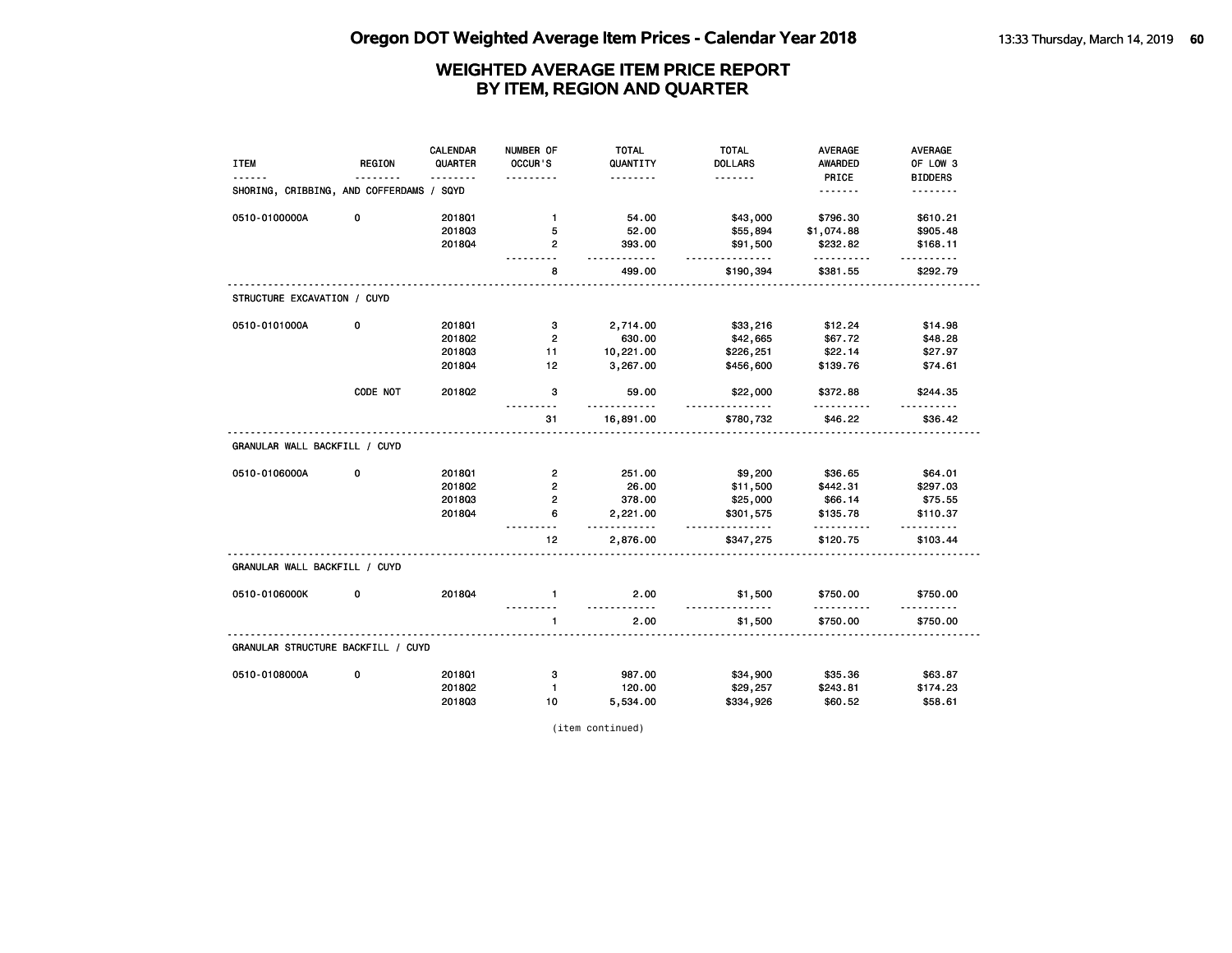| <b>ITEM</b>                              | <b>REGION</b> | CALENDAR<br>QUARTER | NUMBER OF<br>OCCUR'S | <b>TOTAL</b><br>QUANTITY | <b>TOTAL</b><br><b>DOLLARS</b> | <b>AVERAGE</b><br>AWARDED | <b>AVERAGE</b><br>OF LOW 3 |
|------------------------------------------|---------------|---------------------|----------------------|--------------------------|--------------------------------|---------------------------|----------------------------|
|                                          |               | .                   |                      | .                        | .                              | PRICE                     | <b>BIDDERS</b>             |
| SHORING, CRIBBING, AND COFFERDAMS / SQYD |               |                     |                      |                          |                                | <u>.</u>                  | <u>.</u>                   |
| 0510-0100000A                            | 0             | 201801              | $\mathbf{1}$         | 54.00                    | \$43,000                       | \$796.30                  | \$610.21                   |
|                                          |               | 201803              | 5                    | 52.00                    | \$55,894                       | \$1,074.88                | \$905.48                   |
|                                          |               | 2018Q4              | $\mathbf{2}$         | 393.00<br>.              | \$91,500<br>.                  | \$232.82<br>.             | \$168.11<br><u>.</u>       |
|                                          |               |                     | 8                    | 499.00                   | \$190,394                      | \$381.55                  | \$292.79                   |
| STRUCTURE EXCAVATION / CUYD              |               |                     |                      |                          |                                |                           |                            |
| 0510-0101000A                            | 0             | 201801              | з                    | 2,714.00                 | \$33,216                       | \$12.24                   | \$14.98                    |
|                                          |               | 201802              | $\overline{2}$       | 630.00                   | \$42,665                       | \$67.72                   | \$48.28                    |
|                                          |               | 201803              | 11                   | 10,221.00                | \$226,251                      | \$22.14                   | \$27.97                    |
|                                          |               | 201804              | 12 <sup>°</sup>      | 3,267.00                 | \$456,600                      | \$139.76                  | \$74.61                    |
|                                          | CODE NOT      | 2018Q2              | 3                    | 59.00                    | \$22,000                       | \$372.88                  | \$244.35                   |
|                                          |               |                     | 31                   | 16,891.00                | <u>.</u><br>\$780,732          | \$46.22                   | \$36.42                    |
| GRANULAR WALL BACKFILL / CUYD            |               |                     |                      |                          |                                |                           |                            |
| 0510-0106000A                            | 0             | 201801              | $\overline{2}$       | 251.00                   | \$9,200                        | \$36.65                   | \$64.01                    |
|                                          |               | 201802              | $\overline{2}$       | 26.00                    | \$11,500                       | \$442.31                  | \$297.03                   |
|                                          |               | 201803              | $\overline{2}$       | 378.00                   | \$25,000                       | \$66.14                   | \$75.55                    |
|                                          |               | 201804              | 6                    | 2,221.00<br>.            | \$301,575<br>.                 | \$135.78                  | \$110.37<br>.              |
|                                          |               |                     | 12                   | 2,876.00                 | \$347,275                      | \$120.75                  | \$103.44                   |
| GRANULAR WALL BACKFILL / CUYD            |               |                     |                      |                          |                                |                           |                            |
| 0510-0106000K                            | 0             | 201804              | $\mathbf{1}$         | 2.00<br>.                | \$1,500<br><u>.</u>            | \$750.00                  | \$750.00<br>.              |
|                                          |               |                     | 1                    | 2.00                     | \$1,500                        | .<br>\$750.00             | \$750.00                   |
| GRANULAR STRUCTURE BACKFILL / CUYD       |               |                     |                      |                          |                                |                           |                            |
| 0510-0108000A                            | 0             | 2018Q1              | з                    | 987.00                   | \$34,900                       | \$35.36                   | \$63.87                    |
|                                          |               | 2018Q2              | $\mathbf{1}$         | 120.00                   | \$29,257                       | \$243.81                  | \$174.23                   |
|                                          |               | 201803              | 10                   | 5,534.00                 | \$334,926                      | \$60.52                   | \$58.61                    |

(item continued)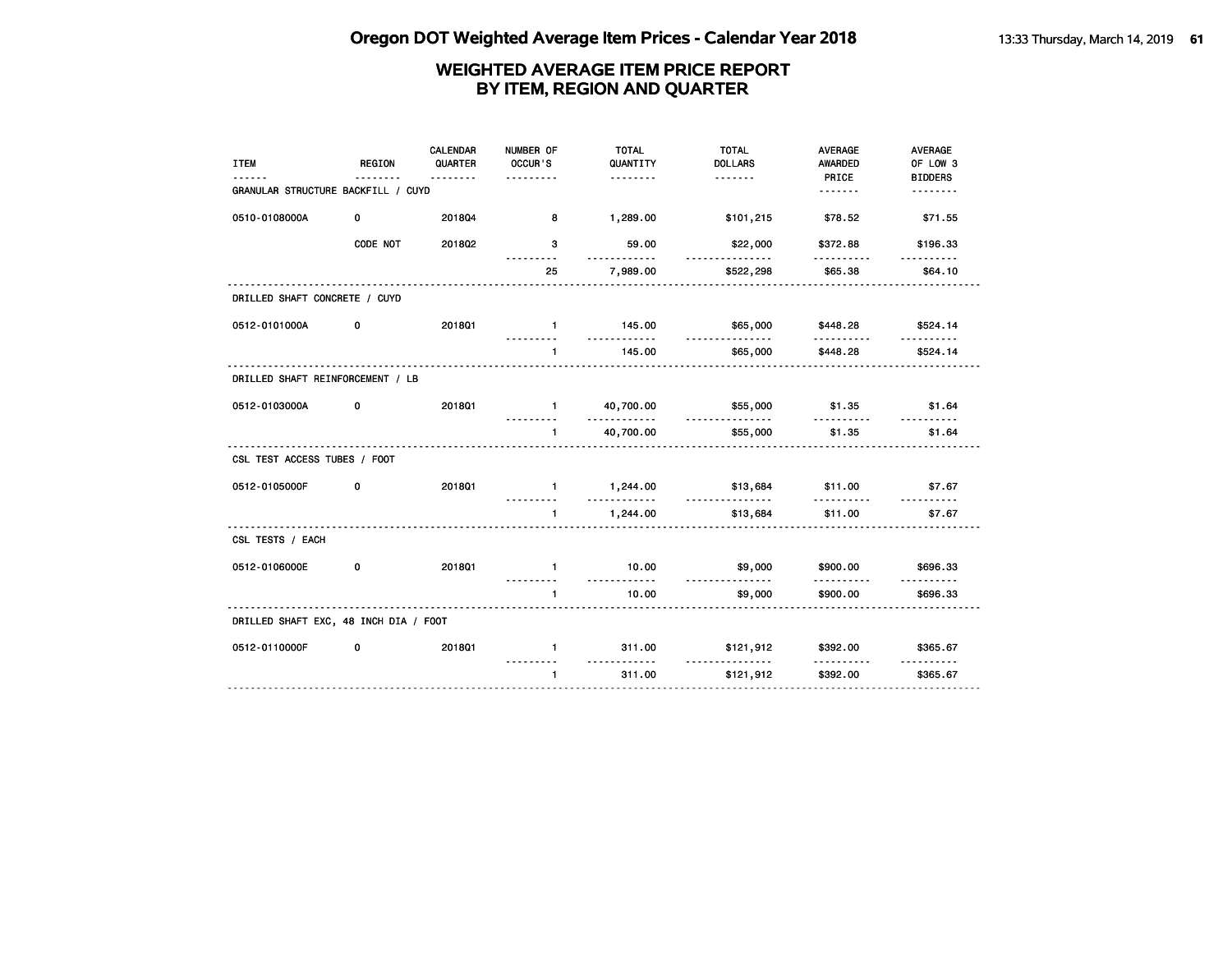|                                       |               | <b>CALENDAR</b> | NUMBER OF                 | <b>TOTAL</b>             | <b>TOTAL</b>         | <b>AVERAGE</b>       | AVERAGE              |
|---------------------------------------|---------------|-----------------|---------------------------|--------------------------|----------------------|----------------------|----------------------|
| <b>ITEM</b>                           | <b>REGION</b> | QUARTER         | OCCUR'S<br>.              | QUANTITY                 | <b>DOLLARS</b>       | <b>AWARDED</b>       | OF LOW 3             |
| GRANULAR STRUCTURE BACKFILL / CUYD    |               | <u>.</u>        |                           | .                        |                      | PRICE<br><u>.</u>    | <b>BIDDERS</b><br>.  |
|                                       |               |                 |                           |                          |                      |                      |                      |
| 0510-0108000A                         | 0             | 201804          | 8                         | 1,289.00                 | \$101,215            | \$78.52              | \$71.55              |
|                                       | CODE NOT      | 201802          | 3<br>.                    | 59.00<br>.               | \$22,000<br><u>.</u> | \$372.88<br>.        | \$196.33<br>.        |
|                                       |               |                 | 25                        | 7,989.00                 | \$522,298            | \$65.38              | \$64.10              |
| DRILLED SHAFT CONCRETE / CUYD         |               |                 |                           |                          |                      |                      |                      |
| 0512-0101000A                         | 0             | 2018Q1          | $\blacksquare$            | 145.00<br>.              | \$65,000<br>.        | \$448.28             | \$524.14             |
|                                       |               |                 | $\mathbf{1}$              | 145.00                   | \$65,000             | \$448.28             | \$524.14             |
| DRILLED SHAFT REINFORCEMENT / LB      |               |                 |                           |                          |                      |                      |                      |
| 0512-0103000A                         | 0             | <b>2018Q1</b>   | $\mathbf{1}$<br>.         | 40,700.00<br>.           | \$55,000<br><u>.</u> | \$1.35<br><u>.</u>   | \$1.64<br><u>.</u>   |
|                                       |               |                 | $\mathbf{1}$              | 40,700.00                | \$55,000             | \$1.35               | \$1.64               |
| CSL TEST ACCESS TUBES / FOOT          |               |                 |                           |                          |                      |                      |                      |
| 0512-0105000F                         | 0             | 201801          | $\blacksquare$            | 1,244.00<br>. . <b>.</b> | \$13,684<br>.        | \$11.00              | \$7.67               |
|                                       |               |                 | $\mathbf{1}$              | 1,244.00                 | \$13,684             | \$11.00              | \$7.67               |
| CSL TESTS / EACH                      |               |                 |                           |                          |                      |                      |                      |
| 0512-0106000E                         | 0             | 201801          | $\mathbf{1}$<br>--------- | 10.00<br>.               | \$9,000<br>.         | \$900.00<br><u>.</u> | \$696.33<br><u>.</u> |
|                                       |               |                 | $\mathbf{1}$              | 10.00                    | \$9,000              | \$900.00             | \$696.33             |
| DRILLED SHAFT EXC, 48 INCH DIA / FOOT |               |                 |                           |                          |                      |                      |                      |
| 0512-0110000F                         | 0             | 201801          | $\mathbf{1}$              | 311.00<br>.              | \$121,912            | \$392.00             | \$365.67             |
|                                       |               |                 | $\mathbf{1}$              | 311.00                   | \$121,912            | \$392.00             | \$365.67             |
|                                       |               |                 |                           |                          |                      |                      |                      |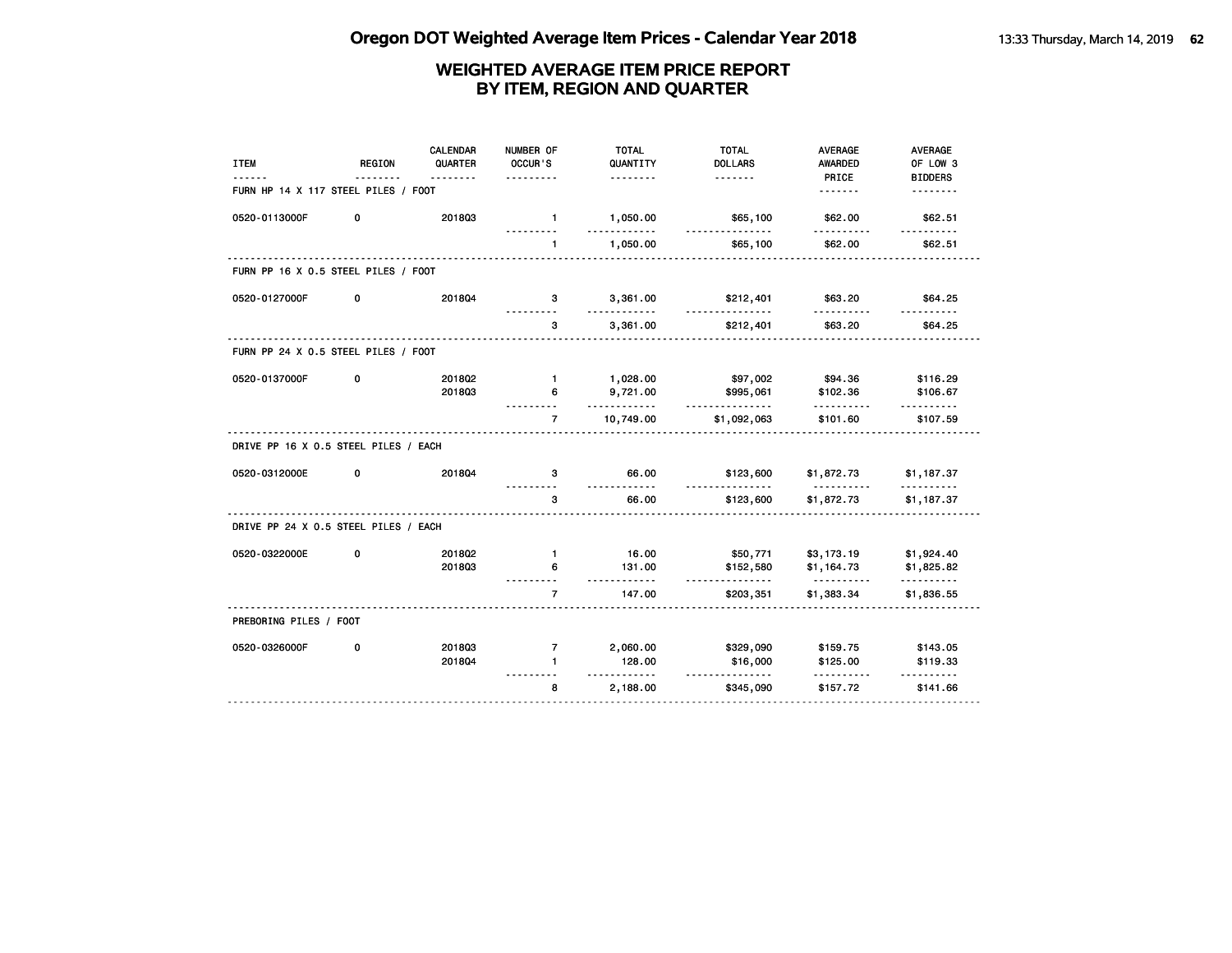| <b>ITEM</b>                          | <b>REGION</b> | <b>CALENDAR</b><br>QUARTER | NUMBER OF<br>OCCUR'S | <b>TOTAL</b><br>QUANTITY | <b>TOTAL</b><br><b>DOLLARS</b> | <b>AVERAGE</b><br><b>AWARDED</b> | <b>AVERAGE</b><br>OF LOW 3 |
|--------------------------------------|---------------|----------------------------|----------------------|--------------------------|--------------------------------|----------------------------------|----------------------------|
| FURN HP 14 X 117 STEEL PILES / FOOT  |               | <u>.</u>                   |                      | .                        |                                | PRICE<br><u>.</u>                | <b>BIDDERS</b>             |
| 0520-0113000F                        | 0             | 201803                     | $\mathbf{1}$<br>.    | 1,050.00<br>.            | \$65,100<br>.                  | \$62.00<br>.                     | \$62.51<br><u>.</u>        |
|                                      |               |                            | $\mathbf{1}$         | 1,050.00                 | \$65,100                       | \$62.00                          | \$62.51                    |
| FURN PP 16 X 0.5 STEEL PILES / FOOT  |               |                            |                      |                          |                                |                                  |                            |
| 0520-0127000F                        | 0             | 2018Q4                     | 3                    | 3,361.00                 | \$212,401                      | \$63.20                          | \$64.25                    |
|                                      |               |                            | 3                    | 3,361.00                 | \$212,401                      | \$63.20                          | \$64.25                    |
| FURN PP 24 X 0.5 STEEL PILES / FOOT  |               |                            |                      |                          |                                |                                  |                            |
| 0520-0137000F                        | 0             | 2018Q2                     | $\blacksquare$       | 1,028.00                 | \$97,002                       | \$94.36                          | \$116.29                   |
|                                      |               | 201803                     | 6                    | 9,721.00<br>.            | \$995,061<br>.                 | \$102.36                         | \$106.67                   |
|                                      |               |                            | $\overline{7}$       | 10,749.00                | \$1,092,063                    | \$101.60                         | \$107.59                   |
| DRIVE PP 16 X 0.5 STEEL PILES / EACH |               |                            |                      |                          |                                |                                  |                            |
| 0520-0312000E                        | 0             | 201804                     | 3                    | 66.00<br>$- - - - - -$   | \$123,600<br><u>.</u>          | \$1,872.73<br><u>.</u>           | \$1,187.37<br>.            |
|                                      |               |                            | з                    | 66.00                    | \$123,600                      | \$1,872.73                       | \$1,187.37                 |
| DRIVE PP 24 X 0.5 STEEL PILES / EACH |               |                            |                      |                          |                                |                                  |                            |
| 0520-0322000E                        | 0             | 201802                     | $\mathbf{1}$         | 16.00                    | \$50,771                       | \$3,173.19                       | \$1,924.40                 |
|                                      |               | 201803                     | 6                    | 131.00<br>.              | \$152,580<br><u>.</u>          | \$1,164.73<br><u>.</u>           | \$1,825.82<br>.            |
|                                      |               |                            | $\overline{7}$       | 147.00                   | \$203,351                      | \$1,383.34                       | \$1,836.55                 |
| PREBORING PILES / FOOT               |               |                            |                      |                          |                                |                                  |                            |
| 0520-0326000F                        | 0             | 201803                     | $\overline{7}$       | 2,060.00                 | \$329,090                      | \$159.75                         | \$143.05                   |
|                                      |               | 201804                     | $\blacksquare$       | 128.00<br>.              | \$16,000<br><u>.</u>           | \$125.00<br>.                    | \$119.33<br><u>.</u>       |
|                                      |               |                            | 8                    | 2,188.00                 | \$345,090                      | \$157.72                         | \$141.66                   |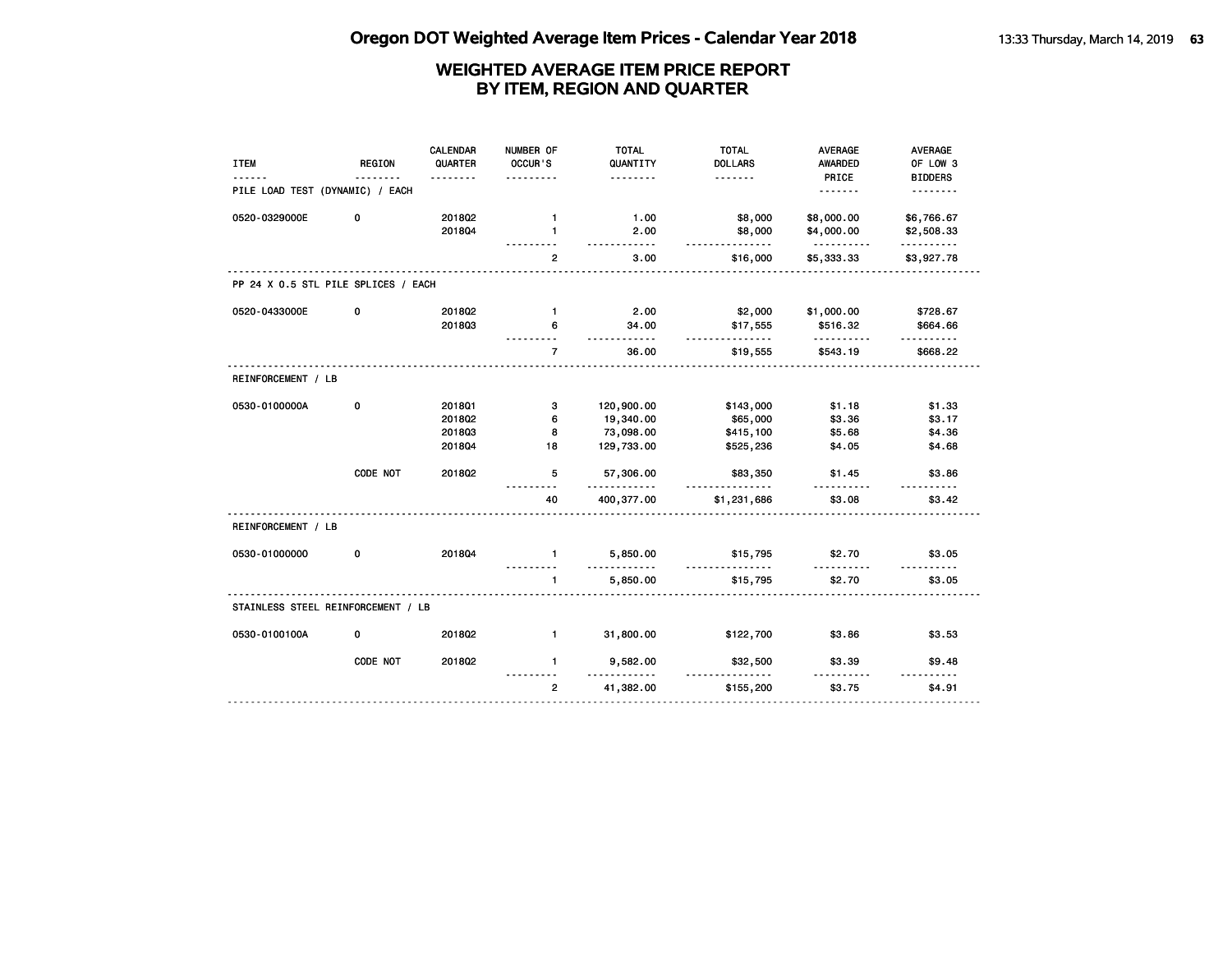| <b>ITEM</b>                         | <b>REGION</b> | <b>CALENDAR</b><br>QUARTER | NUMBER OF<br>OCCUR'S | <b>TOTAL</b><br>QUANTITY | <b>TOTAL</b><br><b>DOLLARS</b> | <b>AVERAGE</b><br>AWARDED | <b>AVERAGE</b><br>OF LOW 3 |
|-------------------------------------|---------------|----------------------------|----------------------|--------------------------|--------------------------------|---------------------------|----------------------------|
|                                     |               | .                          | .                    | .                        | .                              | PRICE                     | <b>BIDDERS</b>             |
| PILE LOAD TEST (DYNAMIC) / EACH     |               |                            |                      |                          |                                |                           | .                          |
| 0520-0329000E                       | 0             | 201802                     | $\mathbf{1}$         | 1.00                     | \$8,000                        | \$8,000.00                | \$6,766.67                 |
|                                     |               | 201804                     | $\mathbf{1}$         | 2.00<br>$- - -$          | \$8,000<br>.                   | \$4,000.00<br>.           | \$2,508.33<br>.            |
|                                     |               |                            | $\mathbf{2}$         | 3.00                     | \$16,000                       | \$5,333.33                | \$3,927.78                 |
| PP 24 X 0.5 STL PILE SPLICES / EACH |               |                            |                      |                          |                                |                           |                            |
| 0520-0433000E                       | 0             | 2018Q2                     | $\mathbf{1}$         | 2.00                     | \$2,000                        | \$1,000.00                | \$728.67                   |
|                                     |               | 201803                     | 6                    | 34.00<br>.               | \$17,555<br><u>.</u>           | \$516.32                  | \$664.66                   |
|                                     |               |                            | $\overline{7}$       | 36.00                    | \$19,555                       | \$543.19                  | \$668.22                   |
| REINFORCEMENT / LB                  |               |                            |                      |                          |                                |                           |                            |
| 0530-0100000A                       | 0             | 2018Q1                     | з                    | 120,900.00               | \$143,000                      | \$1.18                    | \$1.33                     |
|                                     |               | 2018Q2                     | 6                    | 19,340.00                | \$65,000                       | \$3.36                    | \$3.17                     |
|                                     |               | 201803                     | 8                    | 73,098.00                | \$415,100                      | \$5.68                    | \$4.36                     |
|                                     |               | 2018Q4                     | 18                   | 129,733.00               | \$525,236                      | \$4.05                    | \$4.68                     |
|                                     | CODE NOT      | 201802                     | 5                    | 57,306.00<br>.           | \$83,350                       | \$1.45<br>.               | \$3.86                     |
|                                     |               |                            | 40                   | 400,377.00               | \$1,231,686                    | \$3.08                    | \$3.42                     |
| REINFORCEMENT / LB                  |               |                            |                      |                          |                                |                           |                            |
| 0530-01000000                       | 0             | 201804                     | $\mathbf{1}$         | 5,850.00                 | \$15,795                       | \$2.70                    | \$3.05                     |
|                                     |               |                            | $\mathbf{1}$         | 5,850.00                 | \$15,795                       | \$2.70                    | \$3.05                     |
| STAINLESS STEEL REINFORCEMENT / LB  |               |                            |                      |                          |                                |                           |                            |
| 0530-0100100A                       | 0             | 2018Q2                     | $\mathbf{1}$         | 31,800.00                | \$122,700                      | \$3.86                    | \$3.53                     |
|                                     | CODE NOT      | 2018Q2                     | $\mathbf{1}$         | 9,582.00                 | \$32,500                       | \$3.39                    | \$9.48                     |
|                                     |               |                            | $\overline{2}$       | 41,382.00                | \$155,200                      | \$3.75                    | \$4.91                     |
|                                     |               |                            |                      |                          |                                |                           |                            |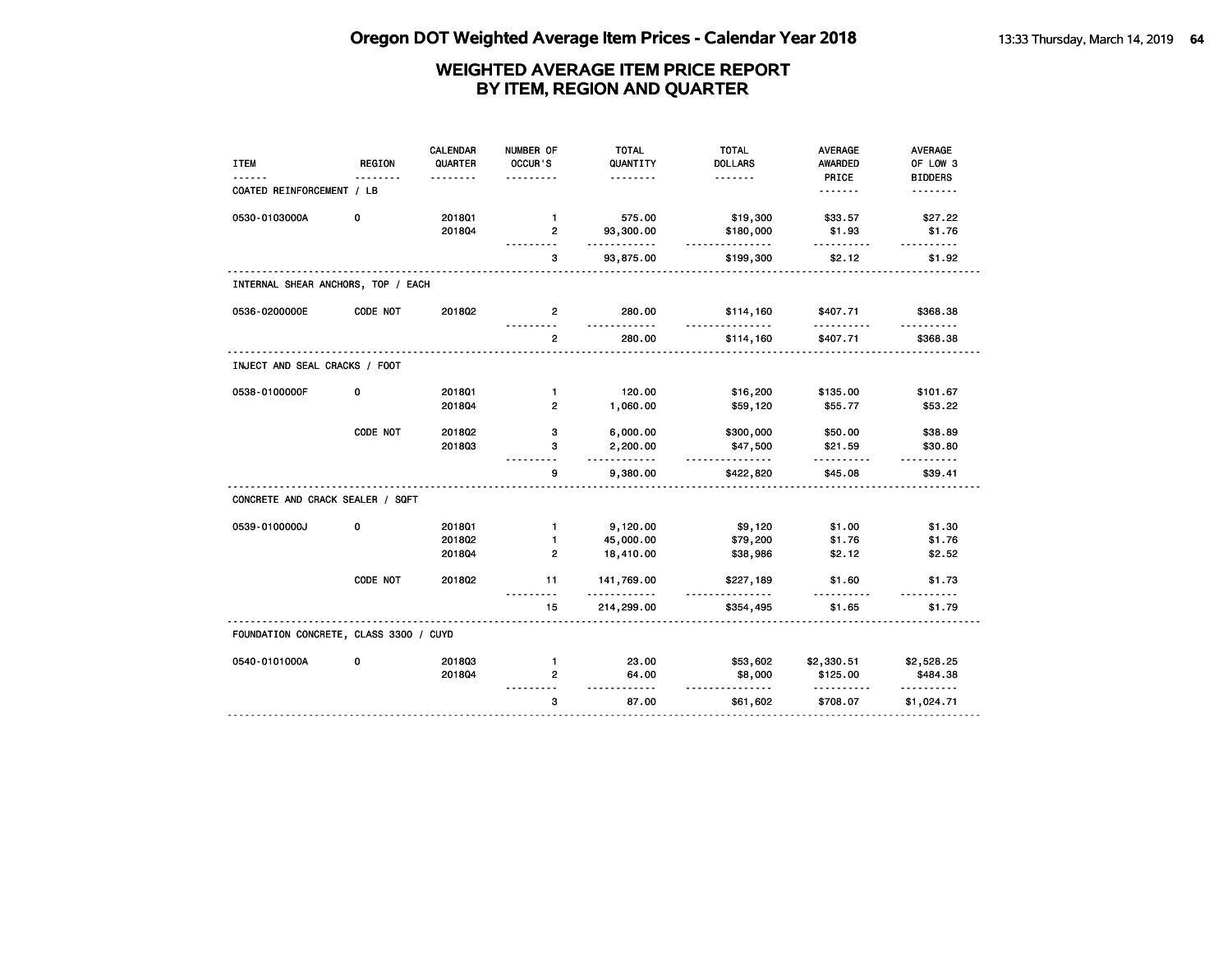| <b>ITEM</b>                            | <b>REGION</b> | <b>CALENDAR</b><br>QUARTER | NUMBER OF<br>OCCUR'S | <b>TOTAL</b><br>QUANTITY | <b>TOTAL</b><br><b>DOLLARS</b> | <b>AVERAGE</b><br><b>AWARDED</b> | <b>AVERAGE</b><br>OF LOW 3 |
|----------------------------------------|---------------|----------------------------|----------------------|--------------------------|--------------------------------|----------------------------------|----------------------------|
|                                        |               | <u>.</u>                   | .                    | .                        | <u>.</u>                       | PRICE                            | <b>BIDDERS</b>             |
| COATED REINFORCEMENT / LB              |               |                            |                      |                          |                                | <u>.</u>                         | <u>.</u>                   |
| 0530-0103000A                          | 0             | 2018Q1                     | $\mathbf{1}$         | 575.00                   | \$19,300                       | \$33.57                          | \$27.22                    |
|                                        |               | 201804                     | $\overline{2}$       | 93,300.00<br>.           | \$180,000<br>.                 | \$1.93<br>.                      | \$1.76<br>$- - - - - -$    |
|                                        |               |                            | 3                    | 93,875.00                | \$199,300                      | \$2.12                           | \$1.92                     |
| INTERNAL SHEAR ANCHORS, TOP / EACH     |               |                            |                      |                          |                                |                                  |                            |
| 0536-0200000E                          | CODE NOT      | 2018Q2                     | $\overline{2}$       | 280.00<br>$- - -$        | \$114,160<br>.                 | \$407.71<br>.                    | \$368.38                   |
|                                        |               |                            | $\overline{2}$       | 280.00                   | \$114,160                      | \$407.71                         | \$368.38                   |
| INJECT AND SEAL CRACKS / FOOT          |               |                            |                      |                          |                                |                                  |                            |
| 0538-0100000F                          | 0             | 201801                     | $\mathbf{1}$         | 120.00                   | \$16,200                       | \$135.00                         | \$101.67                   |
|                                        |               | 201804                     | $\overline{2}$       | 1,060.00                 | \$59,120                       | \$55.77                          | \$53.22                    |
|                                        | CODE NOT      | 2018Q2                     | з                    | 6,000.00                 | \$300,000                      | \$50.00                          | \$38.89                    |
|                                        |               | 201803                     | з                    | 2,200.00<br><u>.</u>     | \$47,500                       | \$21.59                          | \$30.80                    |
|                                        |               |                            | 9                    | 9,380.00                 | .<br>\$422,820                 | --------<br>\$45.08              | \$39.41                    |
| CONCRETE AND CRACK SEALER / SQFT       |               |                            |                      |                          |                                |                                  |                            |
| 0539-0100000J                          | 0             | 2018Q1                     | $\mathbf{1}$         | 9,120.00                 | \$9,120                        | \$1.00                           | \$1.30                     |
|                                        |               | 201802                     | $\mathbf{1}$         | 45,000.00                | \$79,200                       | \$1.76                           | \$1.76                     |
|                                        |               | 2018Q4                     | $\mathbf{2}$         | 18,410.00                | \$38,986                       | \$2.12                           | \$2.52                     |
|                                        | CODE NOT      | 2018Q2                     | 11                   | 141,769.00<br>.          | \$227,189<br><u>.</u>          | \$1.60                           | \$1.73                     |
|                                        |               |                            | 15                   | 214,299.00               | \$354,495                      | \$1.65                           | \$1.79                     |
| FOUNDATION CONCRETE, CLASS 3300 / CUYD |               |                            |                      |                          |                                |                                  |                            |
| 0540-0101000A                          | 0             | 201803                     | $\mathbf{1}$         | 23.00                    | \$53,602                       | \$2,330.51                       | \$2,528.25                 |
|                                        |               | 2018Q4                     | 2                    | 64.00                    | \$8,000                        | \$125.00                         | \$484.38                   |
|                                        |               |                            | 3                    | $- - - - -$<br>87.00     | <u>.</u><br>\$61,602           | .<br>\$708.07                    | <u>.</u><br>\$1,024.71     |
|                                        |               |                            |                      |                          |                                |                                  |                            |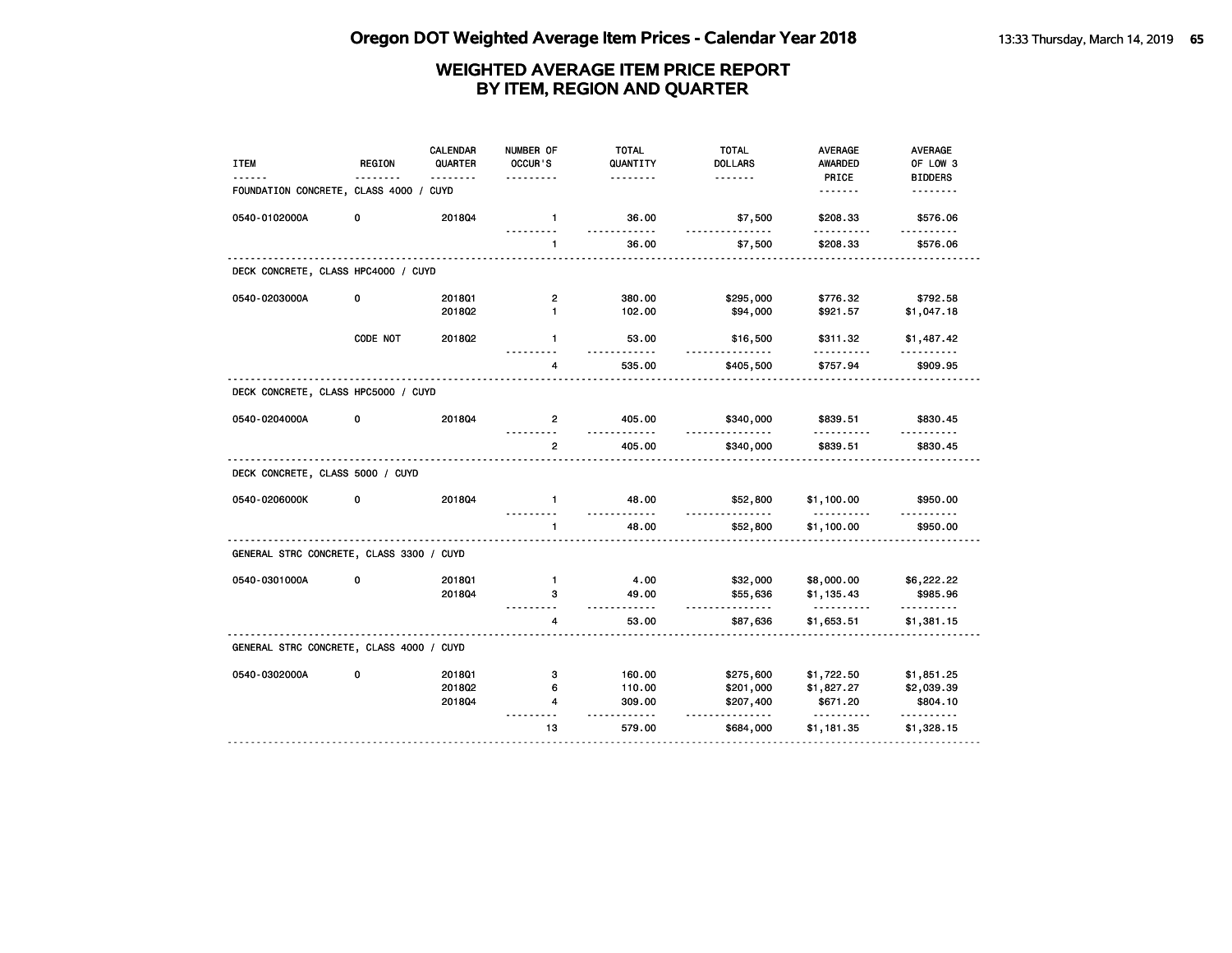| <b>ITEM</b>                              | <b>REGION</b> | <b>CALENDAR</b><br>QUARTER<br>. | NUMBER OF<br>OCCUR'S | <b>TOTAL</b><br>QUANTITY<br>. | <b>TOTAL</b><br><b>DOLLARS</b><br><u>.</u> | <b>AVERAGE</b><br><b>AWARDED</b><br>PRICE | <b>AVERAGE</b><br>OF LOW 3<br><b>BIDDERS</b> |
|------------------------------------------|---------------|---------------------------------|----------------------|-------------------------------|--------------------------------------------|-------------------------------------------|----------------------------------------------|
| FOUNDATION CONCRETE, CLASS 4000 /        |               | CUYD                            |                      |                               |                                            | <u>.</u>                                  | <u>.</u>                                     |
| 0540-0102000A                            | 0             | 2018Q4                          | $\mathbf{1}$         | 36.00                         | \$7,500                                    | \$208.33                                  | \$576.06                                     |
|                                          |               |                                 | $\mathbf{1}$         | 36.00                         | \$7,500                                    | \$208.33                                  | \$576.06                                     |
| DECK CONCRETE, CLASS HPC4000 / CUYD      |               |                                 |                      |                               |                                            |                                           |                                              |
| 0540-0203000A                            | 0             | 2018Q1                          | $\overline{2}$       | 380.00                        | \$295,000                                  | \$776.32                                  | \$792.58                                     |
|                                          |               | 201802                          | $\mathbf{1}$         | 102.00                        | \$94,000                                   | \$921.57                                  | \$1,047.18                                   |
|                                          | CODE NOT      | 201802                          | $\mathbf{1}$         | 53.00<br>.                    | \$16,500                                   | \$311.32                                  | \$1,487.42                                   |
|                                          |               |                                 | 4                    | 535.00                        | \$405,500                                  | \$757.94                                  | \$909.95                                     |
| DECK CONCRETE, CLASS HPC5000 / CUYD      |               |                                 |                      |                               |                                            |                                           |                                              |
| 0540-0204000A                            | 0             | 2018Q4                          | 2                    | 405.00<br><u>.</u>            | \$340,000<br><u>.</u>                      | \$839.51<br>.                             | \$830.45                                     |
|                                          |               |                                 | $\overline{2}$       | 405.00                        | \$340,000                                  | \$839.51                                  | \$830.45                                     |
| DECK CONCRETE, CLASS 5000 / CUYD         |               |                                 |                      |                               |                                            |                                           |                                              |
| 0540-0206000K                            | 0             | 201804                          | $\mathbf{1}$         | 48.00<br>.                    | \$52,800                                   | \$1,100.00<br><u>.</u>                    | \$950.00                                     |
|                                          |               |                                 | 1                    | 48.00                         | \$52,800                                   | \$1,100.00                                | \$950.00                                     |
| GENERAL STRC CONCRETE, CLASS 3300 / CUYD |               |                                 |                      |                               |                                            |                                           |                                              |
| 0540-0301000A                            | 0             | 201801                          | $\mathbf{1}$         | 4.00                          | \$32,000                                   | \$8,000.00                                | \$6,222.22                                   |
|                                          |               | 2018Q4                          | з                    | 49.00<br>.                    | \$55,636<br>.                              | \$1,135.43<br>.                           | \$985.96<br>.                                |
|                                          |               |                                 | 4                    | 53.00                         | \$87,636                                   | \$1,653.51                                | \$1,381.15                                   |
| GENERAL STRC CONCRETE, CLASS 4000 / CUYD |               |                                 |                      |                               |                                            |                                           |                                              |
| 0540-0302000A                            | 0             | 2018Q1                          | 3                    | 160.00                        | \$275,600                                  | \$1,722.50                                | \$1,851.25                                   |
|                                          |               | 2018Q2                          | 6                    | 110.00                        | \$201,000                                  | \$1,827.27                                | \$2,039.39                                   |
|                                          |               | 2018Q4                          | 4                    | 309.00                        | \$207,400<br>$- - - - -$                   | \$671.20<br><u>.</u>                      | \$804.10<br>.                                |
|                                          |               |                                 | 13                   | 579.00                        | \$684,000                                  | \$1,181.35                                | \$1,328.15                                   |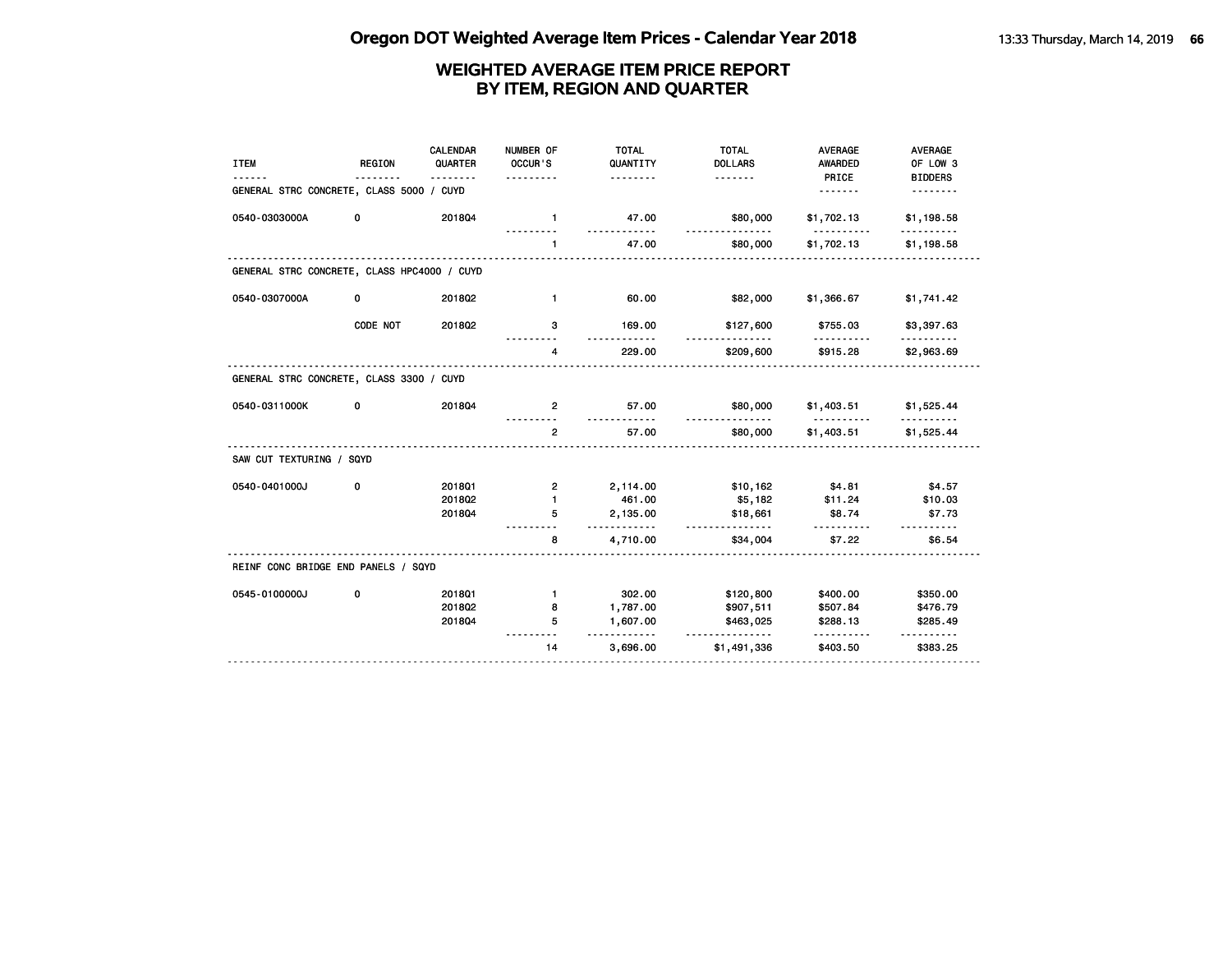| <b>ITEM</b>                                 | <b>REGION</b> | CALENDAR<br>QUARTER<br><u>.</u> | NUMBER OF<br>OCCUR'S | <b>TOTAL</b><br>QUANTITY<br>. | <b>TOTAL</b><br><b>DOLLARS</b><br><u>.</u> | <b>AVERAGE</b><br><b>AWARDED</b><br>PRICE | <b>AVERAGE</b><br>OF LOW 3<br><b>BIDDERS</b> |
|---------------------------------------------|---------------|---------------------------------|----------------------|-------------------------------|--------------------------------------------|-------------------------------------------|----------------------------------------------|
| GENERAL STRC CONCRETE, CLASS 5000 / CUYD    |               |                                 |                      |                               |                                            | <u>.</u>                                  | .                                            |
| 0540-0303000A                               | 0             | 201804                          | $\mathbf{1}$         | 47.00                         | \$80,000                                   | \$1,702.13                                | \$1,198.58                                   |
|                                             |               |                                 | $\mathbf{1}$         | 47.00                         | \$80,000                                   | \$1,702.13                                | \$1,198.58                                   |
| GENERAL STRC CONCRETE, CLASS HPC4000 / CUYD |               |                                 |                      |                               |                                            |                                           |                                              |
| 0540-0307000A                               | 0             | 2018Q2                          | $\mathbf{1}$         | 60.00                         | \$82,000                                   | \$1,366.67                                | \$1,741.42                                   |
|                                             | CODE NOT      | 201802                          | з                    | 169.00                        | \$127,600                                  | \$755.03                                  | \$3,397.63                                   |
|                                             |               |                                 | 4                    | 229.00                        | \$209,600                                  | \$915.28                                  | \$2,963.69                                   |
| GENERAL STRC CONCRETE, CLASS 3300 / CUYD    |               |                                 |                      |                               |                                            |                                           |                                              |
| 0540-0311000K                               | 0             | 201804                          | $\mathbf{2}$         | 57.00<br><u>.</u>             | \$80,000<br><u>.</u>                       | \$1,403.51<br><u>.</u>                    | \$1,525.44<br><u>.</u>                       |
|                                             |               |                                 | $\overline{2}$       | 57.00                         | \$80,000                                   | \$1,403.51                                | \$1,525.44                                   |
| SAW CUT TEXTURING / SQYD                    |               |                                 |                      |                               |                                            |                                           |                                              |
| 0540-0401000J                               | 0             | 2018Q1                          | 2                    | 2,114.00                      | \$10,162                                   | \$4.81                                    | \$4.57                                       |
|                                             |               | 201802                          | $\mathbf{1}$         | 461.00                        | \$5,182                                    | \$11.24                                   | \$10.03                                      |
|                                             |               | 201804                          | 5                    | 2,135.00<br>.                 | \$18,661<br>.                              | \$8.74                                    | \$7.73                                       |
|                                             |               |                                 | 8                    | 4,710.00                      | \$34,004                                   | \$7.22                                    | \$6.54                                       |
| REINF CONC BRIDGE END PANELS / SQYD         |               |                                 |                      |                               |                                            |                                           |                                              |
| 0545-0100000J                               | 0             | 2018Q1                          | $\mathbf{1}$         | 302.00                        | \$120,800                                  | \$400.00                                  | \$350.00                                     |
|                                             |               | 201802                          | 8                    | 1,787.00                      | \$907,511                                  | \$507.84                                  | \$476.79                                     |
|                                             |               | 201804                          | 5                    | 1,607.00<br>.                 | \$463,025                                  | \$288.13                                  | \$285.49<br>$- - - - - -$                    |
|                                             |               |                                 | 14                   | 3,696.00                      | \$1,491,336                                | \$403.50                                  | \$383.25                                     |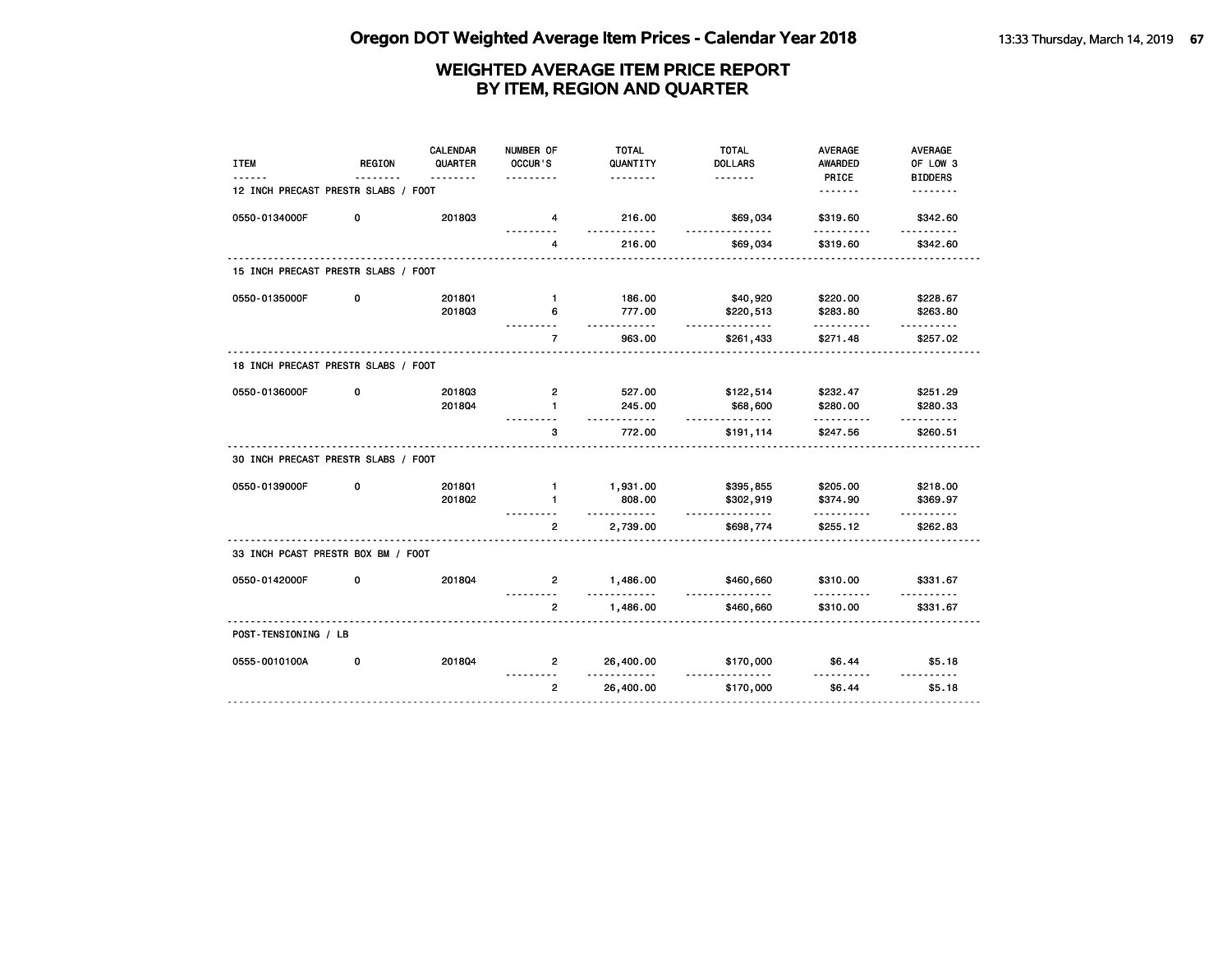| <b>ITEM</b>                         | <b>REGION</b> | <b>CALENDAR</b><br>QUARTER | NUMBER OF<br>OCCUR'S | <b>TOTAL</b><br>QUANTITY | <b>TOTAL</b><br><b>DOLLARS</b> | AVERAGE<br>AWARDED                  | AVERAGE<br>OF LOW 3        |
|-------------------------------------|---------------|----------------------------|----------------------|--------------------------|--------------------------------|-------------------------------------|----------------------------|
| 12 INCH PRECAST PRESTR SLABS / FOOT |               | <u>.</u>                   |                      | .                        | <u>.</u>                       | PRICE                               | <b>BIDDERS</b><br><u>.</u> |
| 0550-0134000F                       | 0             | 201803                     | 4                    | 216.00                   | \$69,034                       | \$319.60                            | \$342.60                   |
|                                     |               |                            | .<br>4               | .<br>216.00              | .<br>\$69,034                  | .<br>\$319.60                       | <u>.</u><br>\$342.60       |
| 15 INCH PRECAST PRESTR SLABS / FOOT |               |                            |                      |                          |                                |                                     |                            |
| 0550-0135000F                       | 0             | 2018Q1                     | $\mathbf{1}$         | 186.00                   | \$40,920                       | \$220.00                            | \$228.67                   |
|                                     |               | 201803                     | 6                    | 777.00                   | \$220,513                      | \$283.80                            | \$263.80                   |
|                                     |               |                            | $\overline{7}$       | .<br>963.00              | .<br>\$261,433                 | .<br>\$271.48                       | <u>.</u><br>\$257.02       |
| 18 INCH PRECAST PRESTR SLABS / FOOT |               |                            |                      |                          |                                |                                     |                            |
| 0550-0136000F                       | 0             | 201803                     | $\overline{2}$       | 527.00                   | \$122,514                      | \$232.47                            | \$251.29                   |
|                                     |               | 201804                     | $\mathbf{1}$         | 245.00                   | \$68,600<br>.                  | \$280.00                            | \$280.33                   |
|                                     |               |                            | 3                    | 772.00                   | \$191,114                      | \$247.56                            | \$260.51                   |
| 30 INCH PRECAST PRESTR SLABS / FOOT |               |                            |                      |                          |                                |                                     |                            |
| 0550-0139000F                       | 0             | 201801                     | $\mathbf{1}$         | 1,931.00                 | \$395,855                      | \$205.00                            | \$218.00                   |
|                                     |               | 201802                     | $\blacksquare$       | 808.00<br>.              | \$302,919<br><u>.</u>          | \$374.90<br>.                       | \$369.97                   |
|                                     |               |                            | $\overline{2}$       | 2,739.00                 | \$698,774                      | \$255.12                            | \$262.83                   |
| 33 INCH PCAST PRESTR BOX BM / FOOT  |               |                            |                      |                          |                                |                                     |                            |
| 0550-0142000F                       | 0             | 201804                     | $\overline{2}$       | 1,486.00<br>-----        | \$460,660<br><u>.</u>          | \$310.00                            | \$331.67                   |
|                                     |               |                            | $\overline{2}$       | 1,486.00                 | \$460,660                      | \$310.00                            | \$331.67                   |
| POST-TENSIONING / LB                |               |                            |                      |                          |                                |                                     |                            |
| 0555-0010100A                       | 0             | 201804                     | $\overline{2}$       | 26,400.00<br>.           | \$170,000<br>.                 | \$6.44<br><u> - - - - - - - - -</u> | \$5.18<br><u>.</u>         |
|                                     |               |                            | $\overline{2}$       | 26,400.00                | \$170,000                      | \$6.44                              | \$5.18                     |
|                                     |               |                            |                      |                          |                                |                                     |                            |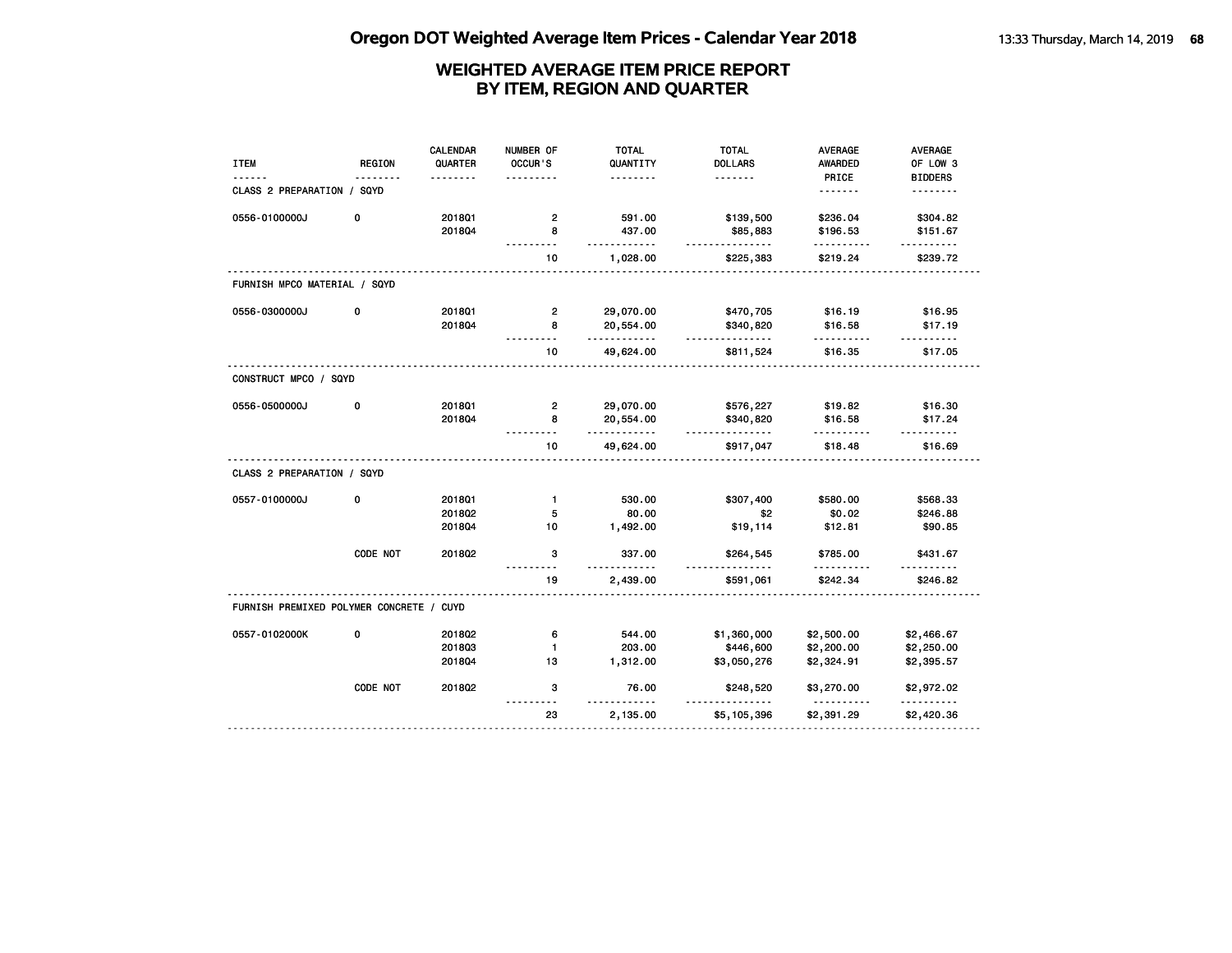| <b>ITEM</b>                              | <b>REGION</b> | <b>CALENDAR</b><br>QUARTER | NUMBER OF<br>OCCUR'S | <b>TOTAL</b><br>QUANTITY | <b>TOTAL</b><br><b>DOLLARS</b> | <b>AVERAGE</b><br><b>AWARDED</b> | AVERAGE<br>OF LOW 3  |
|------------------------------------------|---------------|----------------------------|----------------------|--------------------------|--------------------------------|----------------------------------|----------------------|
|                                          |               |                            |                      | .                        | <u>.</u>                       | PRICE                            | <b>BIDDERS</b>       |
| CLASS 2 PREPARATION / SQYD               |               |                            |                      |                          |                                | <u>.</u>                         | <u>.</u>             |
| 0556-0100000J                            | 0             | 201801                     | $\overline{2}$       | 591.00                   | \$139,500                      | \$236.04                         | \$304.82             |
|                                          |               | 201804                     | 8                    | 437.00<br>- - - -        | \$85,883<br><u>.</u>           | \$196.53                         | \$151.67             |
|                                          |               |                            | 10                   | 1,028.00                 | \$225,383                      | \$219.24                         | \$239.72             |
| FURNISH MPCO MATERIAL / SQYD             |               |                            |                      |                          |                                |                                  |                      |
| 0556-0300000J                            | 0             | 2018Q1                     | $\overline{2}$       | 29,070.00                | \$470,705                      | \$16.19                          | \$16.95              |
|                                          |               | 201804                     | 8                    | 20,554.00<br>.           | \$340,820<br>.                 | \$16.58                          | \$17.19              |
|                                          |               |                            | 10                   | 49,624.00                | \$811,524                      | \$16.35                          | \$17.05              |
| CONSTRUCT MPCO / SQYD                    |               |                            |                      |                          |                                |                                  |                      |
| 0556-0500000J                            | 0             | 201801                     | $\overline{2}$       | 29,070.00                | \$576,227                      | \$19.82                          | \$16.30              |
|                                          |               | 201804                     | 8                    | 20,554.00<br>.           | \$340,820<br><u>.</u>          | \$16.58                          | \$17.24              |
|                                          |               |                            | 10                   | 49,624.00                | \$917,047                      | \$18.48                          | \$16.69              |
| CLASS 2 PREPARATION / SQYD               |               |                            |                      |                          |                                |                                  |                      |
| 0557-0100000J                            | 0             | 201801                     | $\mathbf{1}$         | 530.00                   | \$307,400                      | \$580.00                         | \$568.33             |
|                                          |               | 2018Q2                     | 5                    | 80.00                    | \$2                            | \$0.02                           | \$246.88             |
|                                          |               | 201804                     | 10                   | 1,492.00                 | \$19,114                       | \$12.81                          | \$90.85              |
|                                          | CODE NOT      | 201802                     | 3                    | 337.00<br>.              | \$264,545                      | \$785.00                         | \$431.67<br><u>.</u> |
|                                          |               |                            | -----<br>19          | 2,439.00                 | $- - - -$<br>\$591,061         | .<br>\$242.34                    | \$246.82             |
| FURNISH PREMIXED POLYMER CONCRETE / CUYD |               |                            |                      |                          |                                |                                  |                      |
| 0557-0102000K                            | 0             | 2018Q2                     | 6                    | 544.00                   | \$1,360,000                    | \$2,500.00                       | \$2,466.67           |
|                                          |               | 201803                     | $\mathbf{1}$         | 203.00                   | \$446,600                      | \$2,200.00                       | \$2,250.00           |
|                                          |               | 2018Q4                     | 13                   | 1,312.00                 | \$3,050,276                    | \$2,324.91                       | \$2,395.57           |
|                                          | CODE NOT      | 2018Q2                     | 3                    | 76.00<br>$- - - -$       | \$248,520                      | \$3,270.00                       | \$2,972.02<br>.      |
|                                          |               |                            | $\sim$<br>23         | 2,135.00                 | \$5,105,396                    | \$2,391.29                       | \$2,420.36           |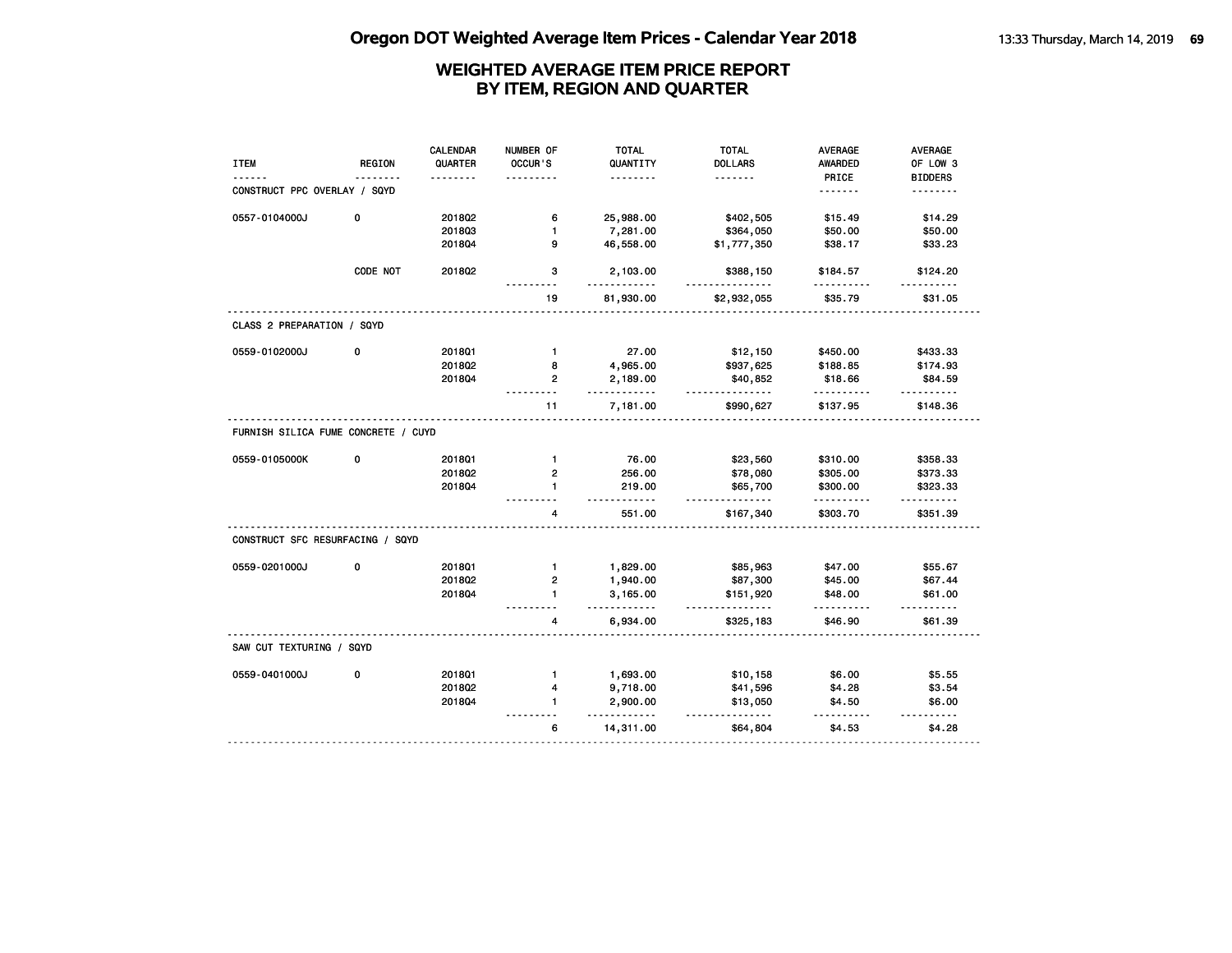| <b>ITEM</b>                                                                                                     | <b>REGION</b> | <b>CALENDAR</b><br>QUARTER<br>. | NUMBER OF<br><b>OCCUR'S</b> | <b>TOTAL</b><br>QUANTITY<br>. | <b>TOTAL</b><br><b>DOLLARS</b><br><u>.</u> | <b>AVERAGE</b><br><b>AWARDED</b><br>PRICE | <b>AVERAGE</b><br>OF LOW 3<br><b>BIDDERS</b> |
|-----------------------------------------------------------------------------------------------------------------|---------------|---------------------------------|-----------------------------|-------------------------------|--------------------------------------------|-------------------------------------------|----------------------------------------------|
| CONSTRUCT PPC OVERLAY / SQYD                                                                                    |               |                                 |                             |                               |                                            | .                                         | <u>.</u>                                     |
| 0557-0104000J                                                                                                   | 0             | 201802                          | 6                           | 25,988.00                     | \$402,505                                  | \$15.49                                   | \$14.29                                      |
|                                                                                                                 |               | 201803                          | $\mathbf{1}$                | 7,281.00                      | \$364,050                                  | \$50.00                                   | \$50.00                                      |
|                                                                                                                 |               | 201804                          | 9                           | 46,558.00                     | \$1,777,350                                | \$38.17                                   | \$33.23                                      |
|                                                                                                                 | CODE NOT      | 2018Q2                          | з                           | 2,103.00<br>.                 | \$388,150<br>.                             | \$184.57<br>.                             | \$124.20                                     |
|                                                                                                                 |               |                                 | 19                          | 81,930.00                     | \$2,932,055                                | \$35.79                                   | \$31.05                                      |
| CLASS 2 PREPARATION / SQYD                                                                                      |               |                                 |                             |                               |                                            |                                           |                                              |
| 0559-0102000J                                                                                                   | 0             | 201801                          | $\mathbf{1}$                | 27.00                         | \$12,150                                   | \$450.00                                  | \$433.33                                     |
|                                                                                                                 |               | 201802                          | 8                           | 4,965.00                      | \$937,625                                  | \$188.85                                  | \$174.93                                     |
|                                                                                                                 |               | 201804                          | $\overline{2}$              | 2,189.00<br><u>.</u>          | \$40,852<br>.                              | \$18.66<br>.                              | \$84.59<br>.                                 |
|                                                                                                                 |               |                                 | 11                          | 7,181.00                      | \$990,627                                  | \$137.95                                  | \$148.36                                     |
| FURNISH SILICA FUME CONCRETE / CUYD                                                                             |               |                                 |                             |                               |                                            |                                           |                                              |
|                                                                                                                 |               |                                 |                             |                               |                                            |                                           |                                              |
|                                                                                                                 | 0             | 201801                          | $\mathbf{1}$                | 76.00                         | \$23,560                                   | \$310.00                                  | \$358.33                                     |
|                                                                                                                 |               | 201802                          | $\mathbf{2}$                | 256.00                        | \$78,080                                   | \$305.00                                  | \$373.33                                     |
|                                                                                                                 |               | 201804                          | $\mathbf{1}$                | 219.00                        | \$65,700                                   | \$300.00                                  | \$323.33                                     |
|                                                                                                                 |               |                                 | 4                           | .<br>551.00                   | <u>.</u><br>\$167,340                      | .<br>\$303.70                             | \$351.39                                     |
|                                                                                                                 |               |                                 |                             |                               |                                            |                                           |                                              |
|                                                                                                                 | 0             | 2018Q1                          | $\mathbf{1}$                | 1,829.00                      | \$85,963                                   | \$47.00                                   | \$55.67                                      |
|                                                                                                                 |               | 201802                          | $\overline{2}$              | 1,940.00                      | \$87,300                                   | \$45.00                                   | \$67.44                                      |
|                                                                                                                 |               | 201804                          | $\blacksquare$              | 3,165.00                      | \$151,920                                  | \$48.00                                   | \$61.00                                      |
|                                                                                                                 |               |                                 | 4                           | .<br>6,934.00                 | .<br>\$325,183                             | .<br>\$46.90                              | .<br>\$61.39                                 |
|                                                                                                                 |               |                                 |                             |                               |                                            |                                           |                                              |
|                                                                                                                 | 0             | 201801                          | $\mathbf{1}$                | 1,693.00                      | \$10,158                                   | \$6.00                                    | \$5.55                                       |
|                                                                                                                 |               | 201802                          | $\overline{\mathbf{4}}$     | 9,718.00                      | \$41,596                                   | \$4.28                                    | \$3.54                                       |
| 0559-0105000K<br>CONSTRUCT SFC RESURFACING / SQYD<br>0559-0201000J<br>SAW CUT TEXTURING / SQYD<br>0559-0401000J |               | 201804                          | $\mathbf{1}$                | 2,900.00<br><u>.</u>          | \$13,050<br>.                              | \$4.50<br>$- - - - - -$                   | \$6.00<br>------                             |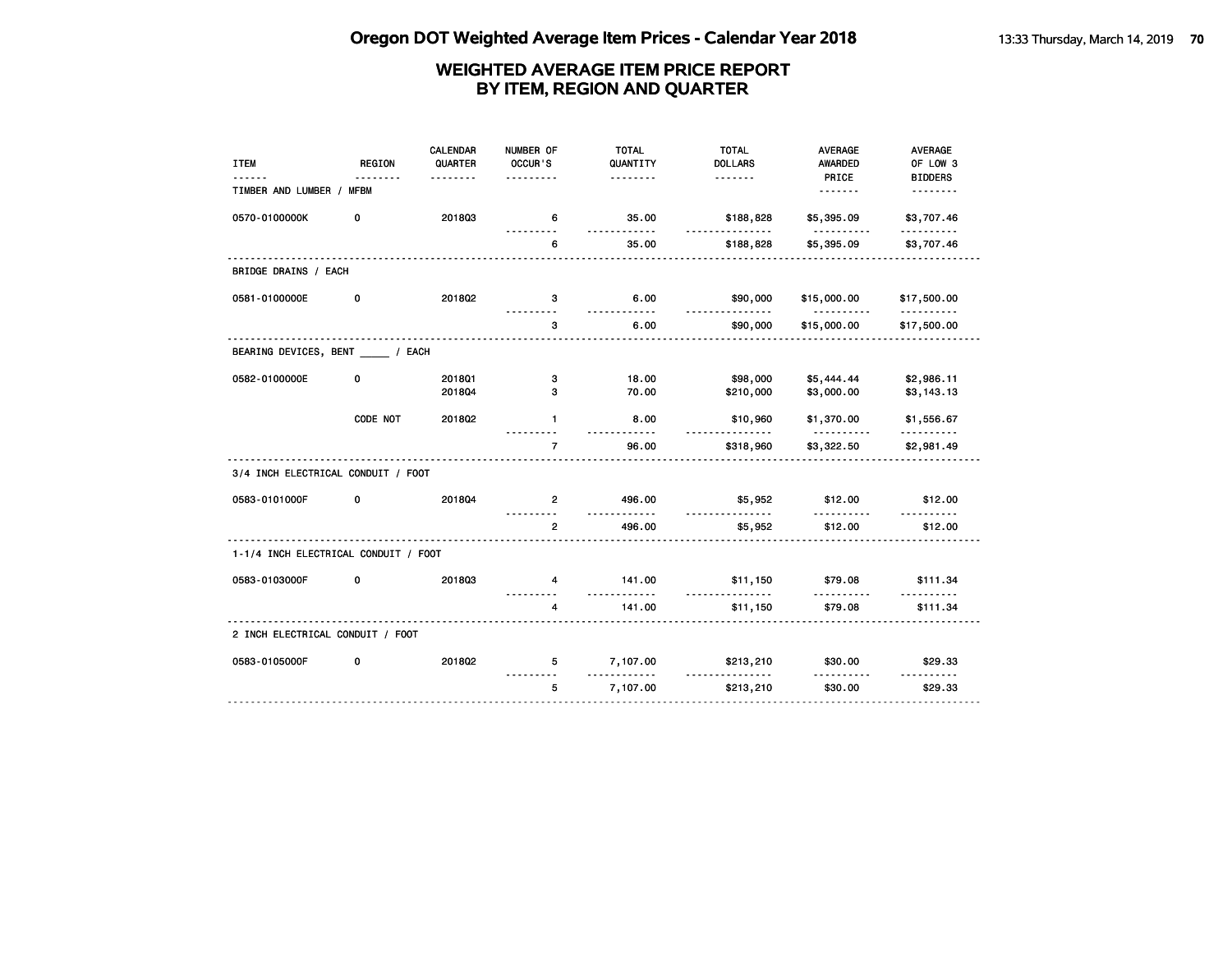| <b>ITEM</b>                          | <b>REGION</b> | <b>CALENDAR</b><br>QUARTER | NUMBER OF<br>OCCUR'S | <b>TOTAL</b><br>QUANTITY | <b>TOTAL</b><br><b>DOLLARS</b> | <b>AVERAGE</b><br>AWARDED | AVERAGE<br>OF LOW 3        |
|--------------------------------------|---------------|----------------------------|----------------------|--------------------------|--------------------------------|---------------------------|----------------------------|
| TIMBER AND LUMBER / MFBM             | .             | <u>.</u>                   | .                    | <u>.</u>                 |                                | PRICE                     | <b>BIDDERS</b><br><u>.</u> |
| 0570-0100000K                        | 0             | 201803                     | 6                    | 35.00                    | \$188,828                      | \$5,395.09                | \$3,707.46                 |
|                                      |               |                            | .<br>6               | .<br>35.00               | .<br>\$188,828                 | .<br>\$5,395.09           | <u>.</u><br>\$3,707.46     |
| BRIDGE DRAINS / EACH                 |               |                            |                      |                          |                                |                           |                            |
| 0581-0100000E                        | 0             | 201802                     | 3                    | 6.00<br><u>---------</u> | \$90,000<br><u>.</u>           | \$15,000.00<br>.          | \$17,500.00<br><u>.</u>    |
|                                      |               |                            | 3                    | 6.00                     | \$90,000                       | \$15,000.00               | \$17,500.00                |
| BEARING DEVICES, BENT _____ / EACH   |               |                            |                      |                          |                                |                           |                            |
| 0582-0100000E                        | 0             | 2018Q1                     | 3                    | 18.00                    | \$98,000                       | \$5,444.44                | \$2,986.11                 |
|                                      |               | 201804                     | з                    | 70.00                    | \$210,000                      | \$3,000.00                | \$3,143.13                 |
|                                      | CODE NOT      | 2018Q2                     | $\mathbf{1}$         | 8.00                     | \$10,960<br><u>.</u>           | \$1,370.00<br><u>.</u>    | \$1,556.67                 |
|                                      |               |                            | $\overline{7}$       | 96.00                    | \$318,960                      | \$3,322.50                | \$2,981.49                 |
| 3/4 INCH ELECTRICAL CONDUIT / FOOT   |               |                            |                      |                          |                                |                           |                            |
| 0583-0101000F                        | 0             | 201804                     | $\overline{2}$       | 496.00                   | \$5,952<br><u>.</u>            | \$12.00                   | \$12.00                    |
|                                      |               |                            | $\overline{2}$       | 496.00                   | \$5,952                        | \$12.00                   | \$12.00                    |
| 1-1/4 INCH ELECTRICAL CONDUIT / FOOT |               |                            |                      |                          |                                |                           |                            |
| 0583-0103000F                        | 0             | 201803                     | $\overline{4}$       | 141.00<br>.              | \$11,150<br>.                  | \$79.08<br>.              | \$111.34                   |
|                                      |               |                            | 4                    | 141.00                   | \$11,150                       | \$79.08                   | \$111.34                   |
| 2 INCH ELECTRICAL CONDUIT / FOOT     |               |                            |                      |                          |                                |                           |                            |
| 0583-0105000F                        | 0             | 2018Q2                     | 5                    | 7,107.00<br><u>.</u>     | \$213,210<br>.                 | \$30.00                   | \$29.33<br><u>.</u>        |
|                                      |               |                            | 5                    | 7,107.00                 | \$213,210                      | \$30.00                   | \$29.33                    |
|                                      |               |                            |                      |                          |                                |                           |                            |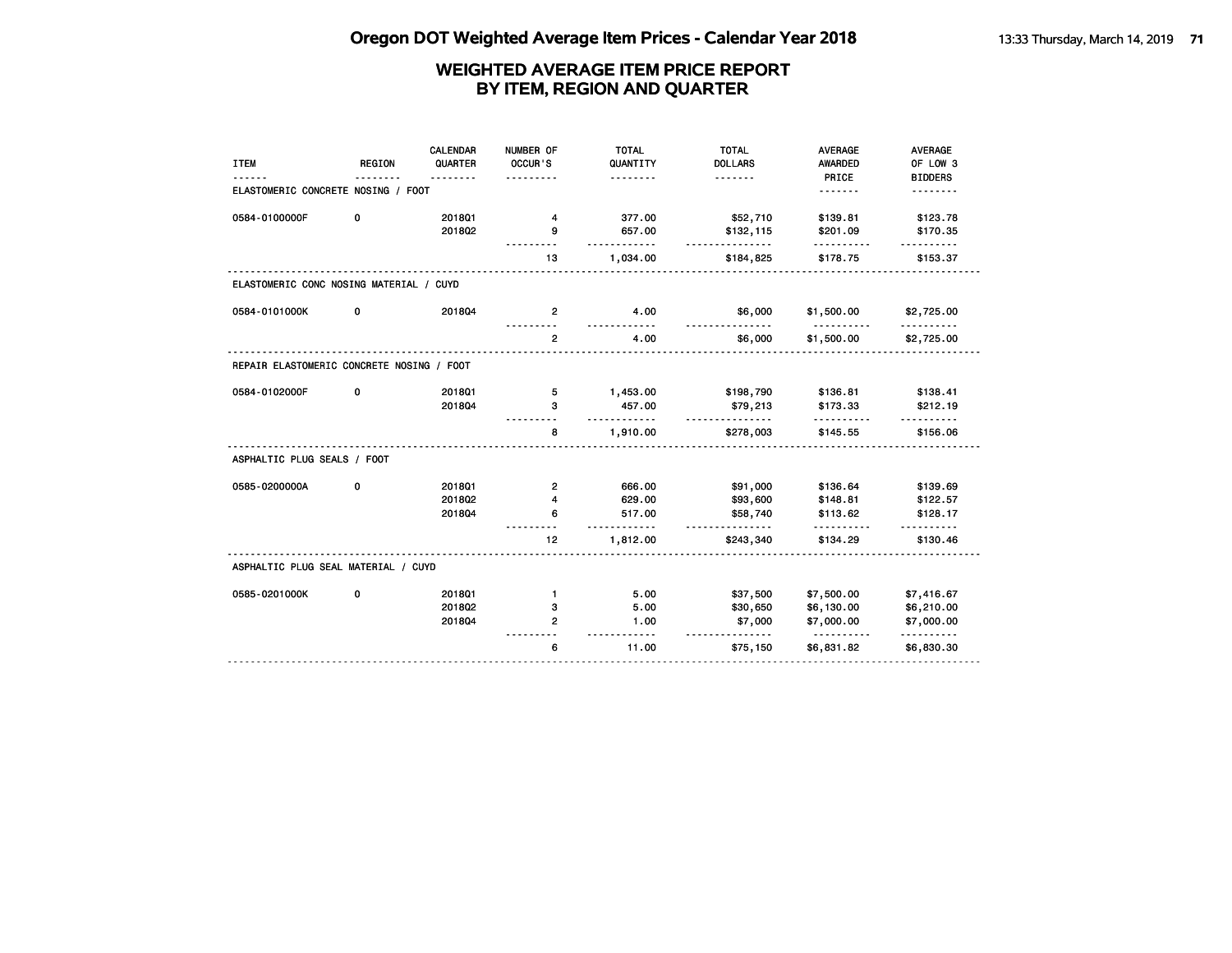| <b>ITEM</b>                               | <b>REGION</b> | <b>CALENDAR</b><br>QUARTER | NUMBER OF<br>OCCUR'S | <b>TOTAL</b><br>QUANTITY | <b>TOTAL</b><br><b>DOLLARS</b> | <b>AVERAGE</b><br><b>AWARDED</b> | AVERAGE<br>OF LOW 3    |
|-------------------------------------------|---------------|----------------------------|----------------------|--------------------------|--------------------------------|----------------------------------|------------------------|
|                                           |               |                            |                      | .                        | <u>.</u>                       | PRICE                            | <b>BIDDERS</b>         |
| ELASTOMERIC CONCRETE NOSING / FOOT        |               |                            |                      |                          |                                | <u>.</u>                         | .                      |
| 0584-0100000F                             | 0             | 2018Q1                     | 4                    | 377.00                   | \$52,710                       | \$139.81                         | \$123.78               |
|                                           |               | 201802                     | 9                    | 657.00                   | \$132,115                      | \$201.09                         | \$170.35               |
|                                           |               |                            | 13                   | 1,034.00                 | \$184,825                      | \$178.75                         | \$153.37               |
| ELASTOMERIC CONC NOSING MATERIAL / CUYD   |               |                            |                      |                          |                                |                                  |                        |
| 0584-0101000K                             | 0             | 201804                     | $\overline{2}$       | 4.00<br>$- - - -$        | \$6,000                        | \$1,500.00<br><u>.</u>           | \$2,725.00<br><u>.</u> |
|                                           |               |                            | $\overline{2}$       | 4.00                     | \$6,000                        | \$1,500.00                       | \$2,725.00             |
| REPAIR ELASTOMERIC CONCRETE NOSING / FOOT |               |                            |                      |                          |                                |                                  |                        |
| 0584-0102000F                             | 0             | 2018Q1                     | 5                    | 1,453.00                 | \$198,790                      | \$136.81                         | \$138.41               |
|                                           |               | 201804                     | 3                    | 457.00<br>.              | \$79,213<br>.                  | \$173.33<br>.                    | \$212.19<br><u>.</u>   |
|                                           |               |                            | 8                    | 1,910.00                 | \$278,003                      | \$145.55                         | \$156.06               |
| ASPHALTIC PLUG SEALS / FOOT               |               |                            |                      |                          |                                |                                  |                        |
| 0585-0200000A                             | 0             | 2018Q1                     | $\overline{2}$       | 666.00                   | \$91,000                       | \$136.64                         | \$139.69               |
|                                           |               | 201802                     | 4                    | 629.00                   | \$93,600                       | \$148.81                         | \$122.57               |
|                                           |               | 201804                     | 6                    | 517.00<br>$     -$       | \$58,740<br><u>.</u>           | \$113.62                         | \$128.17               |
|                                           |               |                            | 12                   | 1,812.00                 | \$243,340                      | \$134.29                         | \$130.46               |
| ASPHALTIC PLUG SEAL MATERIAL / CUYD       |               |                            |                      |                          |                                |                                  |                        |
| 0585-0201000K                             | 0             | 201801                     | $\mathbf{1}$         | 5.00                     | \$37,500                       | \$7,500.00                       | \$7,416.67             |
|                                           |               | 201802                     | 3                    | 5.00                     | \$30,650                       | \$6,130.00                       | \$6,210.00             |
|                                           |               | 201804                     | $\mathbf{2}$         | 1.00<br>.                | \$7,000<br><u>.</u>            | \$7,000.00<br><u>.</u>           | \$7,000.00<br>.        |
|                                           |               |                            | 6                    | 11.00                    | \$75,150                       | \$6,831.82                       | \$6,830.30             |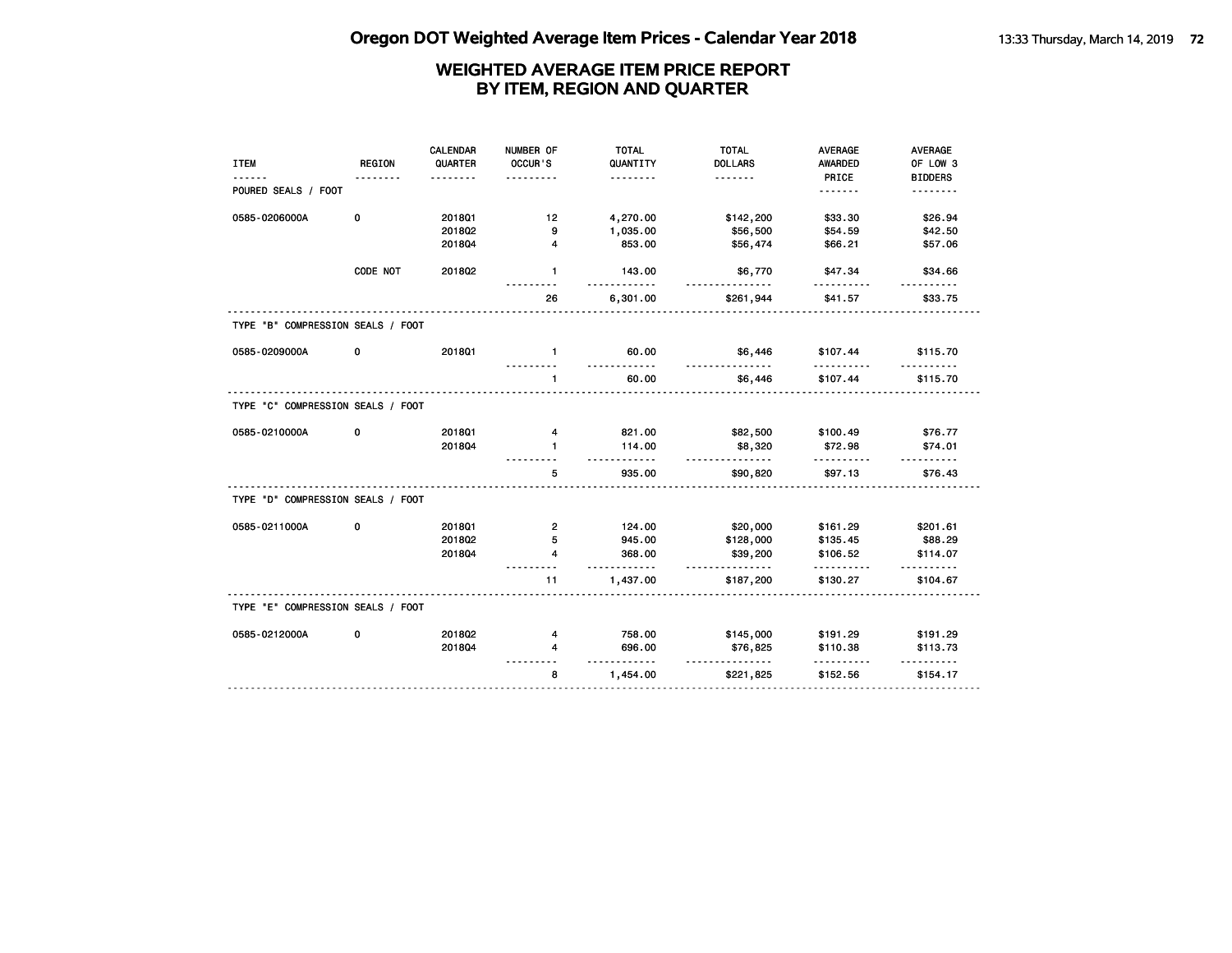|                                   |               | <b>CALENDAR</b> | NUMBER OF      | <b>TOTAL</b>          | <b>TOTAL</b>          | <b>AVERAGE</b> | AVERAGE        |
|-----------------------------------|---------------|-----------------|----------------|-----------------------|-----------------------|----------------|----------------|
| <b>ITEM</b>                       | <b>REGION</b> | QUARTER         | OCCUR'S        | QUANTITY              | <b>DOLLARS</b>        | <b>AWARDED</b> | OF LOW 3       |
|                                   |               |                 |                | .                     | <u>.</u>              | PRICE          | <b>BIDDERS</b> |
| POURED SEALS / FOOT               |               |                 |                |                       |                       | .              | .              |
| 0585-0206000A                     | 0             | 2018Q1          | 12             | 4,270.00              | \$142,200             | \$33.30        | \$26.94        |
|                                   |               | 201802          | g,             | 1,035.00              | \$56,500              | \$54.59        | \$42.50        |
|                                   |               | 201804          | 4              | 853.00                | \$56,474              | \$66.21        | \$57.06        |
|                                   |               |                 |                |                       |                       |                |                |
|                                   | CODE NOT      | 2018Q2          | $\mathbf{1}$   | 143.00<br><u>.</u>    | \$6,770<br>.          | \$47.34        | \$34.66        |
|                                   |               |                 | 26             | 6,301.00              | \$261,944             | \$41.57        | \$33.75        |
| TYPE "B" COMPRESSION SEALS / FOOT |               |                 |                |                       |                       |                |                |
| 0585-0209000A                     | 0             | 2018Q1          | $\mathbf{1}$   | 60.00                 | \$6,446<br><u>.</u>   | \$107.44<br>.  | \$115.70       |
|                                   |               |                 | $\mathbf{1}$   | <u>.</u><br>60.00     | \$6,446               | \$107.44       | \$115.70       |
| TYPE "C" COMPRESSION SEALS / FOOT |               |                 |                |                       |                       |                |                |
| 0585-0210000A                     | 0             | 201801          | 4              | 821.00                | \$82,500              | \$100.49       | \$76.77        |
|                                   |               | 201804          | $\mathbf{1}$   | 114.00                | \$8,320               | \$72.98        | \$74.01        |
|                                   |               |                 |                | .                     | .                     | .              |                |
|                                   |               |                 | 5              | 935.00                | \$90,820              | \$97.13        | \$76.43        |
| TYPE "D" COMPRESSION SEALS / FOOT |               |                 |                |                       |                       |                |                |
| 0585-0211000A                     | 0             | 2018Q1          | $\overline{2}$ | 124.00                | \$20,000              | \$161.29       | \$201.61       |
|                                   |               | 201802          | 5              | 945.00                | \$128,000             | \$135.45       | \$88.29        |
|                                   |               | 201804          | 4              | 368.00                | \$39,200              | \$106.52       | \$114.07       |
|                                   |               |                 | 11             | $- - - -$<br>1,437.00 | .<br>\$187,200        | .<br>\$130.27  | .<br>\$104.67  |
| TYPE "E" COMPRESSION SEALS / FOOT |               |                 |                |                       |                       |                |                |
| 0585-0212000A                     | 0             | 2018Q2          | 4              | 758.00                | \$145,000             | \$191.29       | \$191.29       |
|                                   |               | 201804          | 4              | 696.00                | \$76,825              | \$110.38       | \$113.73       |
|                                   |               |                 | 8              | .<br>1,454.00         | <u>.</u><br>\$221,825 | .<br>\$152.56  | \$154.17       |
|                                   |               |                 |                |                       |                       |                |                |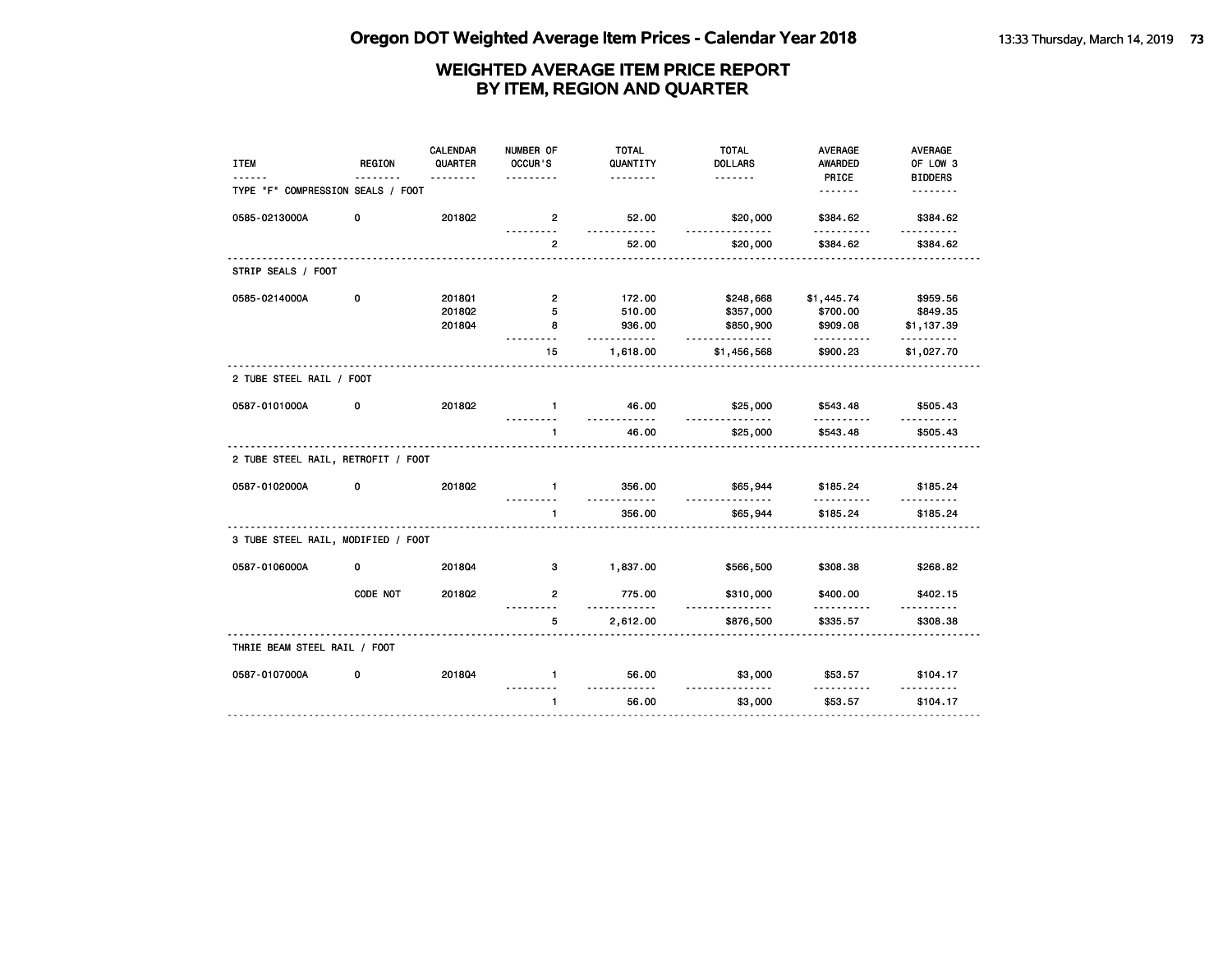| <b>ITEM</b>                        | REGION       | <b>CALENDAR</b><br>QUARTER | NUMBER OF<br>OCCUR'S | <b>TOTAL</b><br>QUANTITY | <b>TOTAL</b><br><b>DOLLARS</b> | <b>AVERAGE</b><br>AWARDED | <b>AVERAGE</b><br>OF LOW 3 |
|------------------------------------|--------------|----------------------------|----------------------|--------------------------|--------------------------------|---------------------------|----------------------------|
| TYPE "F" COMPRESSION SEALS / FOOT  |              |                            |                      | <u>.</u>                 |                                | PRICE<br><u>.</u>         | <b>BIDDERS</b><br><u>.</u> |
| 0585-0213000A                      | 0            | 201802                     | $\overline{2}$       | 52.00<br><u></u>         | \$20,000<br>.                  | \$384.62<br>.             | \$384.62<br>.              |
|                                    |              |                            | $\overline{2}$       | 52.00                    | \$20,000                       | \$384.62                  | \$384.62                   |
| STRIP SEALS / FOOT                 |              |                            |                      |                          |                                |                           |                            |
| 0585-0214000A                      | 0            | 2018Q1                     | $\overline{2}$       | 172.00                   | \$248,668                      | \$1,445.74                | \$959.56                   |
|                                    |              | 2018Q2                     | 5                    | 510.00                   | \$357,000                      | \$700.00                  | \$849.35                   |
|                                    |              | 201804                     | 8                    | 936.00<br>.              | \$850,900<br>.                 | \$909.08<br>.             | \$1,137.39<br>.            |
|                                    |              | .                          | 15                   | 1,618.00                 | \$1,456,568                    | \$900.23                  | \$1,027.70                 |
| 2 TUBE STEEL RAIL / FOOT           |              |                            |                      |                          |                                |                           |                            |
| 0587-0101000A                      | 0            | 2018Q2                     | $\mathbf{1}$         | 46.00<br><u></u>         | \$25,000<br>.                  | \$543.48                  | \$505.43                   |
|                                    |              |                            | $\mathbf{1}$         | 46.00                    | \$25,000                       | .<br>\$543.48             | \$505.43                   |
| 2 TUBE STEEL RAIL, RETROFIT / FOOT |              |                            |                      |                          |                                |                           |                            |
| 0587-0102000A                      | 0            | 201802                     | $\mathbf{1}$         | 356.00<br>.              | \$65,944<br>.                  | \$185.24<br>.             | \$185.24<br>.              |
|                                    |              |                            | $\mathbf{1}$         | 356.00                   | \$65,944                       | \$185.24                  | \$185.24                   |
| 3 TUBE STEEL RAIL, MODIFIED / FOOT |              |                            |                      |                          |                                |                           |                            |
| 0587-0106000A                      | $\mathbf{0}$ | 201804                     | 3                    | 1,837.00                 | \$566,500                      | \$308.38                  | \$268.82                   |
|                                    | CODE NOT     | 201802                     | $\overline{2}$       | 775.00<br><u>.</u>       | \$310,000<br>.                 | \$400.00                  | \$402.15                   |
|                                    |              |                            | 5                    | 2,612.00                 | \$876,500                      | .<br>\$335.57             | .<br>\$308.38              |
| THRIE BEAM STEEL RAIL / FOOT       |              |                            |                      |                          |                                |                           |                            |
| 0587-0107000A                      | 0            | 201804                     | $\mathbf{1}$         | 56.00<br><u>.</u>        | \$3,000                        | \$53.57                   | \$104.17                   |
|                                    |              |                            | $\mathbf{1}$         | 56.00                    | \$3,000                        | \$53.57                   | \$104.17                   |
|                                    |              |                            |                      |                          |                                |                           |                            |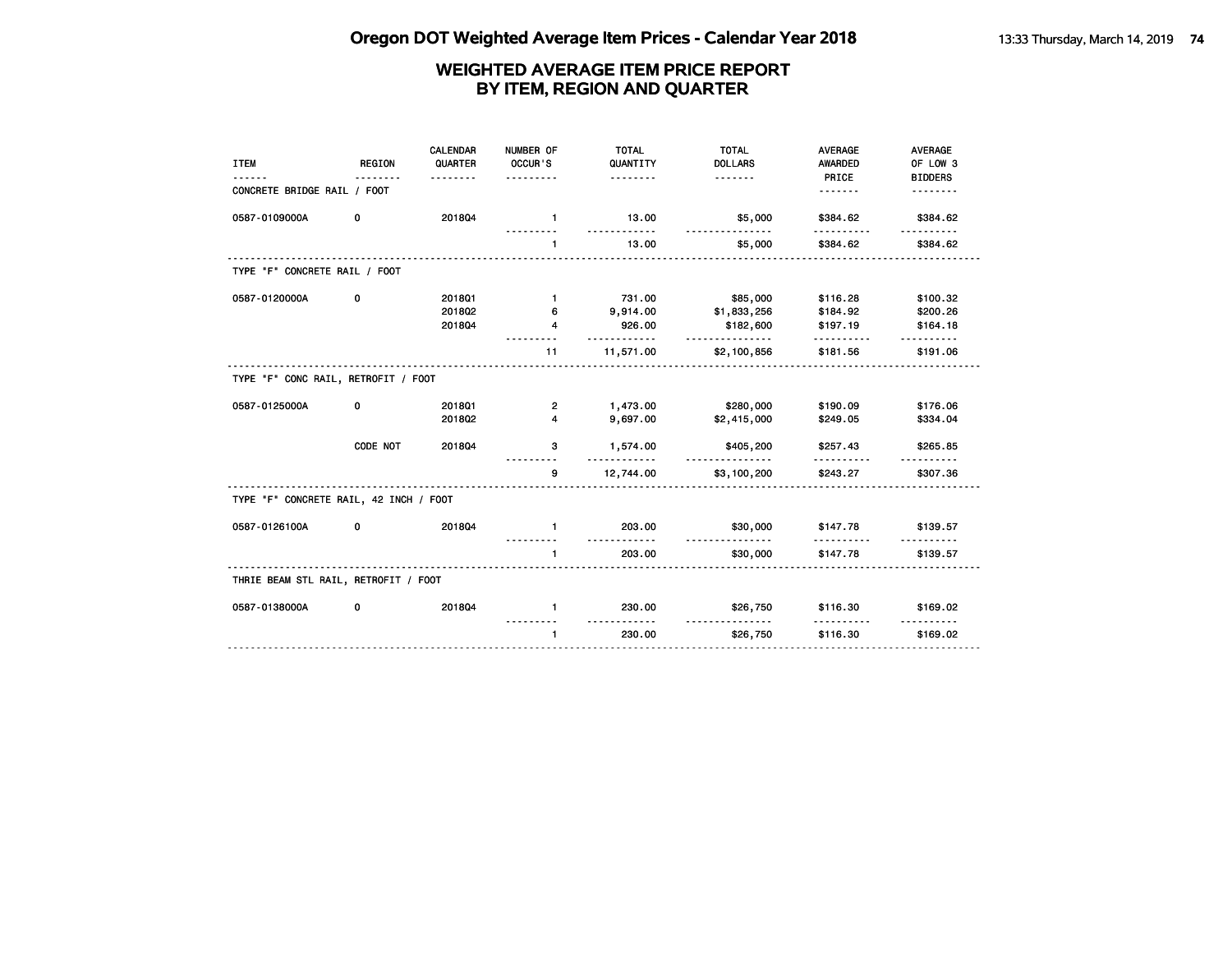| <b>ITEM</b>                            | <b>REGION</b> | <b>CALENDAR</b><br>QUARTER<br>. | NUMBER OF<br>OCCUR'S<br>. | <b>TOTAL</b><br>QUANTITY<br><u>.</u> | <b>TOTAL</b><br><b>DOLLARS</b>  | <b>AVERAGE</b><br>AWARDED<br>PRICE | <b>AVERAGE</b><br>OF LOW 3<br><b>BIDDERS</b> |
|----------------------------------------|---------------|---------------------------------|---------------------------|--------------------------------------|---------------------------------|------------------------------------|----------------------------------------------|
| CONCRETE BRIDGE RAIL / FOOT            |               |                                 |                           |                                      |                                 | <u>.</u>                           | .                                            |
| 0587-0109000A                          | 0             | 201804                          | $-1$                      | 13.00                                | \$5,000<br><u>.</u>             | \$384.62                           | \$384.62                                     |
|                                        |               |                                 | $\mathbf{1}$              | 13.00                                | \$5,000                         | \$384.62                           | \$384.62                                     |
| TYPE "F" CONCRETE RAIL / FOOT          |               |                                 |                           |                                      |                                 |                                    |                                              |
| 0587-0120000A                          | 0             | 2018Q1                          | $\mathbf{1}$              | 731.00                               | \$85,000                        | \$116.28                           | \$100.32                                     |
|                                        |               | 201802                          | 6                         | 9,914.00                             | \$1,833,256                     | \$184.92                           | \$200.26                                     |
|                                        |               | 201804                          | 4                         | 926.00<br>.                          | \$182,600<br>.                  | \$197.19                           | \$164.18                                     |
|                                        |               |                                 | 11                        | 11,571.00                            | \$2,100,856                     | \$181.56                           | \$191.06                                     |
| TYPE "F" CONC RAIL, RETROFIT / FOOT    |               |                                 |                           |                                      |                                 |                                    |                                              |
| 0587-0125000A                          | 0             | 201801                          | 2                         | 1,473.00                             | \$280,000                       | \$190.09                           | \$176.06                                     |
|                                        |               | 201802                          | 4                         | 9,697.00                             | \$2,415,000                     | \$249.05                           | \$334.04                                     |
|                                        | CODE NOT      | 201804                          | 3                         | 1,574.00<br>.                        | \$405,200<br>.                  | \$257.43                           | \$265.85                                     |
|                                        |               | .                               | 9                         | 12,744.00                            | \$3,100,200                     | \$243.27                           | \$307.36                                     |
| TYPE "F" CONCRETE RAIL, 42 INCH / FOOT |               |                                 |                           |                                      |                                 |                                    |                                              |
| 0587-0126100A                          | 0             | 201804                          | $\mathbf{1}$              | 203.00                               | \$30,000<br><u>------------</u> | \$147.78                           | \$139.57                                     |
|                                        |               |                                 | $\mathbf{1}$              | 203.00                               | \$30,000                        | \$147.78                           | \$139.57                                     |
| THRIE BEAM STL RAIL, RETROFIT / FOOT   |               |                                 |                           |                                      |                                 |                                    |                                              |
| 0587-0138000A                          | 0             | 201804                          | $\mathbf{1}$              | 230.00                               | \$26,750                        | \$116.30                           | \$169.02                                     |
|                                        |               |                                 | $\mathbf{1}$              | 230.00                               | .<br>\$26,750                   | .<br>\$116.30                      | \$169.02                                     |
|                                        |               |                                 |                           |                                      |                                 |                                    |                                              |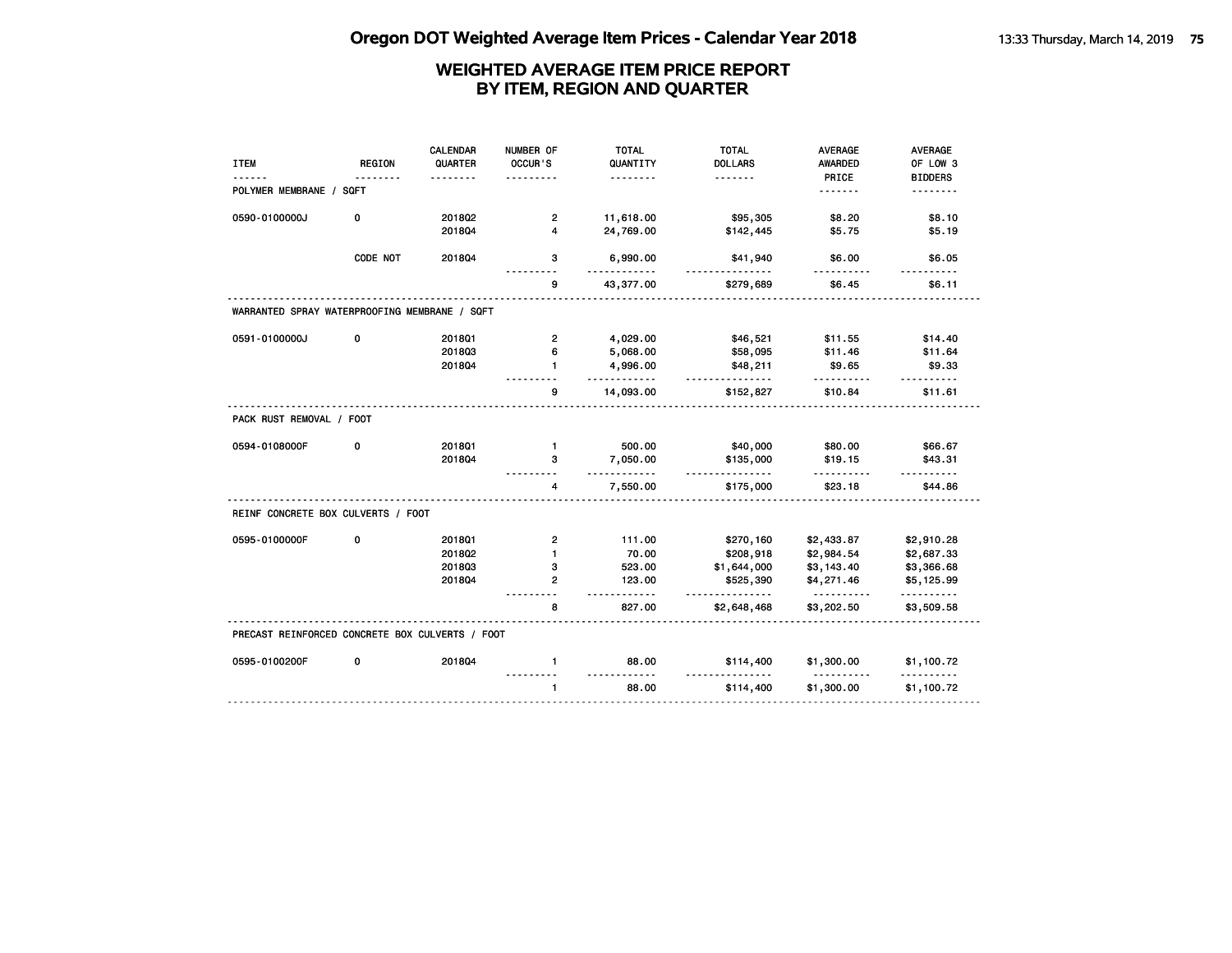|                                                 |               | <b>CALENDAR</b> | NUMBER OF               | <b>TOTAL</b>         | <b>TOTAL</b>          | <b>AVERAGE</b>         | AVERAGE                 |
|-------------------------------------------------|---------------|-----------------|-------------------------|----------------------|-----------------------|------------------------|-------------------------|
| <b>ITEM</b>                                     | <b>REGION</b> | QUARTER         | OCCUR'S                 | QUANTITY             | <b>DOLLARS</b>        | AWARDED                | OF LOW 3                |
|                                                 |               |                 |                         |                      | .                     | PRICE                  | <b>BIDDERS</b>          |
| POLYMER MEMBRANE / SQFT                         |               |                 |                         |                      |                       | .                      |                         |
| 0590-0100000J                                   | 0             | 201802          | $\overline{2}$          | 11,618.00            | \$95,305              | \$8.20                 | \$8.10                  |
|                                                 |               | 201804          | $\overline{\mathbf{4}}$ | 24,769.00            | \$142,445             | \$5.75                 | \$5.19                  |
|                                                 | CODE NOT      | 2018Q4          | 3                       | 6,990.00             | \$41,940<br><u>.</u>  | \$6.00                 | \$6.05                  |
|                                                 |               |                 | 9                       | 43,377.00            | \$279,689             | \$6.45                 | \$6.11                  |
| WARRANTED SPRAY WATERPROOFING MEMBRANE / SQFT   |               |                 |                         |                      |                       |                        |                         |
| 0591-0100000J                                   | 0             | 2018Q1          | $\overline{2}$          | 4,029.00             | \$46,521              | \$11.55                | \$14.40                 |
|                                                 |               | 201803          | 6                       | 5,068.00             | \$58,095              | \$11.46                | \$11.64                 |
|                                                 |               | 201804          | 1                       | 4,996.00<br><u>.</u> | \$48,211<br>.         | \$9.65<br>. <u>.</u>   | \$9.33<br>$- - - - - -$ |
|                                                 |               |                 | 9                       | 14,093.00            | \$152,827             | \$10.84                | \$11.61                 |
| PACK RUST REMOVAL / FOOT                        |               |                 |                         |                      |                       |                        |                         |
| 0594-0108000F                                   | 0             | 2018Q1          | $\mathbf{1}$            | 500.00               | \$40,000              | \$80.00                | \$66.67                 |
|                                                 |               | 201804          | 3                       | 7,050.00<br>$- - -$  | \$135,000<br><u>.</u> | \$19.15                | \$43.31                 |
|                                                 |               |                 | 4                       | 7,550.00             | \$175,000             | \$23.18                | \$44.86                 |
| REINF CONCRETE BOX CULVERTS / FOOT              |               |                 |                         |                      |                       |                        |                         |
| 0595-0100000F                                   | 0             | 201801          | $\overline{2}$          | 111.00               | \$270,160             | \$2,433.87             | \$2,910.28              |
|                                                 |               | 201802          | $\mathbf{1}$            | 70.00                | \$208,918             | \$2,984.54             | \$2,687.33              |
|                                                 |               | 201803          | з                       | 523.00               | \$1,644,000           | \$3,143.40             | \$3,366.68              |
|                                                 |               | 2018Q4          | $\overline{2}$          | 123.00               | \$525,390             | \$4,271.46<br><u>.</u> | \$5,125.99<br>.         |
|                                                 |               |                 | 8                       | 827.00               | \$2,648,468           | \$3,202.50             | \$3,509.58              |
| PRECAST REINFORCED CONCRETE BOX CULVERTS / FOOT |               |                 |                         |                      |                       |                        |                         |
| 0595-0100200F                                   | 0             | 201804          | $\mathbf{1}$            | 88.00                | \$114,400             | \$1,300.00<br>.        | \$1,100.72              |
|                                                 |               |                 | $\mathbf{1}$            | <u>.</u><br>88.00    | \$114,400             | \$1,300.00             | \$1,100.72              |
|                                                 |               |                 |                         |                      |                       |                        |                         |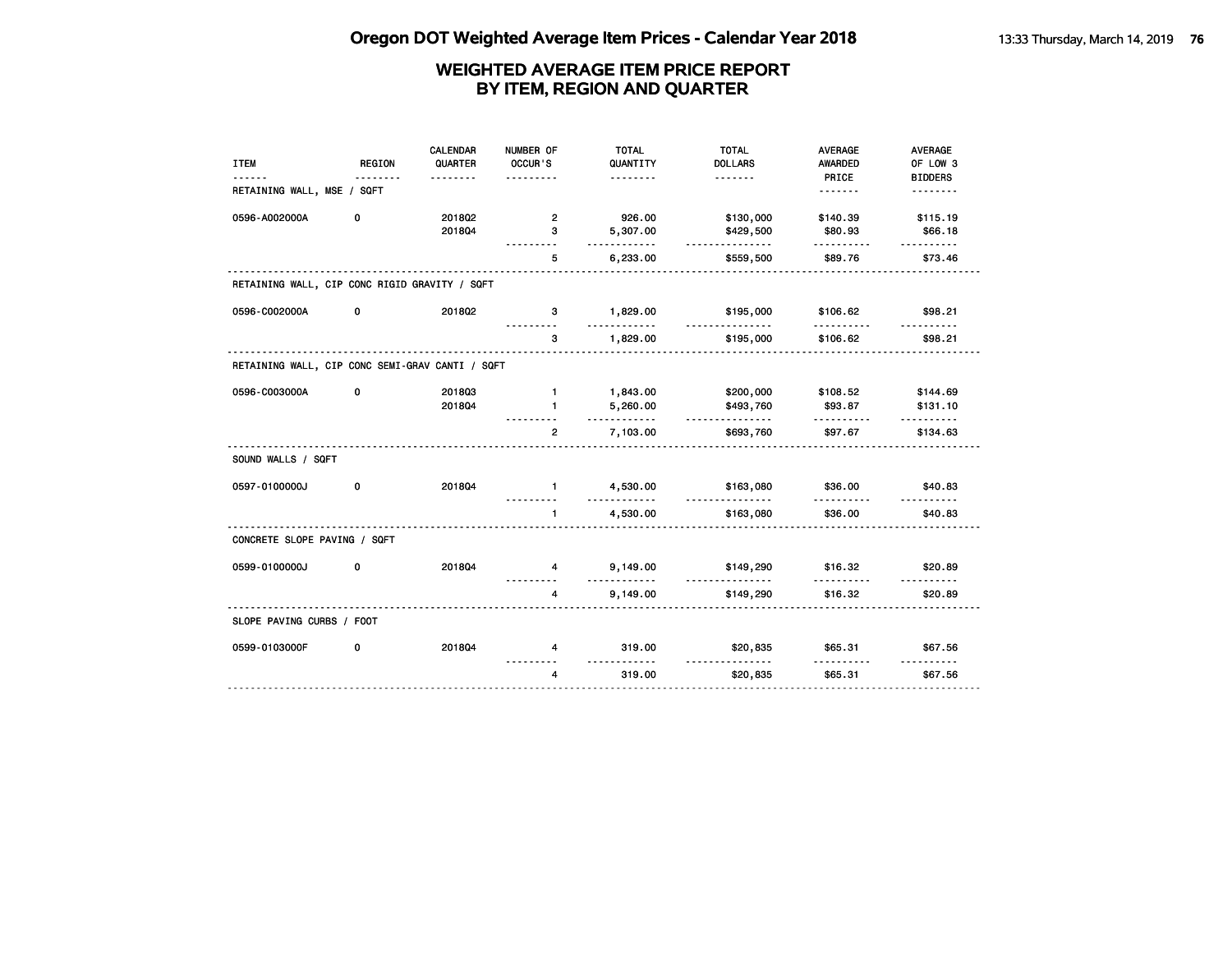|                                                 |               | <b>CALENDAR</b> | NUMBER OF      | <b>TOTAL</b>         | <b>TOTAL</b>          | <b>AVERAGE</b>      | <b>AVERAGE</b>             |
|-------------------------------------------------|---------------|-----------------|----------------|----------------------|-----------------------|---------------------|----------------------------|
| <b>ITEM</b>                                     | <b>REGION</b> | QUARTER         | OCCUR'S        | QUANTITY             | <b>DOLLARS</b>        | <b>AWARDED</b>      | OF LOW 3                   |
|                                                 |               | <u>.</u>        |                | <u>.</u>             |                       | PRICE<br><u>.</u>   | <b>BIDDERS</b><br><u>.</u> |
| RETAINING WALL, MSE / SQFT                      |               |                 |                |                      |                       |                     |                            |
| 0596-A002000A                                   | 0             | 201802          | $\overline{2}$ | 926.00               | \$130,000             | \$140.39            | \$115.19                   |
|                                                 |               | 201804          | 3              | 5,307.00             | \$429,500             | \$80.93             | \$66.18                    |
|                                                 |               |                 | 5              | .<br>6,233.00        | .<br>\$559,500        | .<br>\$89.76        | .<br>\$73.46               |
| RETAINING WALL, CIP CONC RIGID GRAVITY / SQFT   |               |                 |                |                      |                       |                     |                            |
|                                                 |               |                 |                |                      |                       |                     |                            |
| 0596-C002000A                                   | 0             | 2018Q2          | 3              | 1,829.00             | \$195,000<br><u>.</u> | \$106.62            | \$98.21                    |
|                                                 |               |                 | 3              | 1,829.00             | \$195,000             | \$106.62            | \$98.21                    |
| RETAINING WALL, CIP CONC SEMI-GRAV CANTI / SQFT |               |                 |                |                      |                       |                     |                            |
| 0596-C003000A                                   | 0             | 201803          | $\mathbf{1}$   | 1,843.00             | \$200,000             | \$108.52            | \$144.69                   |
|                                                 |               | 201804          | $\mathbf{1}$   | 5,260.00             | \$493,760             | \$93.87             | \$131.10                   |
|                                                 |               |                 | $\overline{2}$ | .<br>7,103.00        | <u>.</u><br>\$693,760 | .<br>\$97.67        | <u>.</u><br>\$134.63       |
|                                                 |               |                 |                |                      |                       |                     |                            |
| SOUND WALLS / SQFT                              |               |                 |                |                      |                       |                     |                            |
| 0597-0100000J                                   | 0             | 201804          | $\mathbf{1}$   | 4,530.00             | \$163,080             | \$36.00             | \$40.83                    |
|                                                 |               |                 | $\mathbf{1}$   | .<br>4,530.00        | .<br>\$163,080        | \$36.00             | .<br>\$40.83               |
|                                                 |               |                 |                |                      |                       |                     |                            |
| CONCRETE SLOPE PAVING / SQFT                    |               |                 |                |                      |                       |                     |                            |
| 0599-0100000J                                   | 0             | 201804          | 4              | 9,149.00<br><u>.</u> | \$149,290<br>.        | \$16.32<br><u>.</u> | \$20.89<br><u>.</u>        |
|                                                 |               |                 | 4              | 9,149.00             | \$149,290             | \$16.32             | \$20.89                    |
| SLOPE PAVING CURBS / FOOT                       |               |                 |                |                      |                       |                     |                            |
| 0599-0103000F                                   | 0             | 201804          | 4              | 319.00               | \$20,835              | \$65.31             | \$67.56                    |
|                                                 |               |                 | $\overline{4}$ | 319.00               | \$20,835              | \$65.31             | \$67.56                    |
|                                                 |               |                 |                |                      |                       |                     |                            |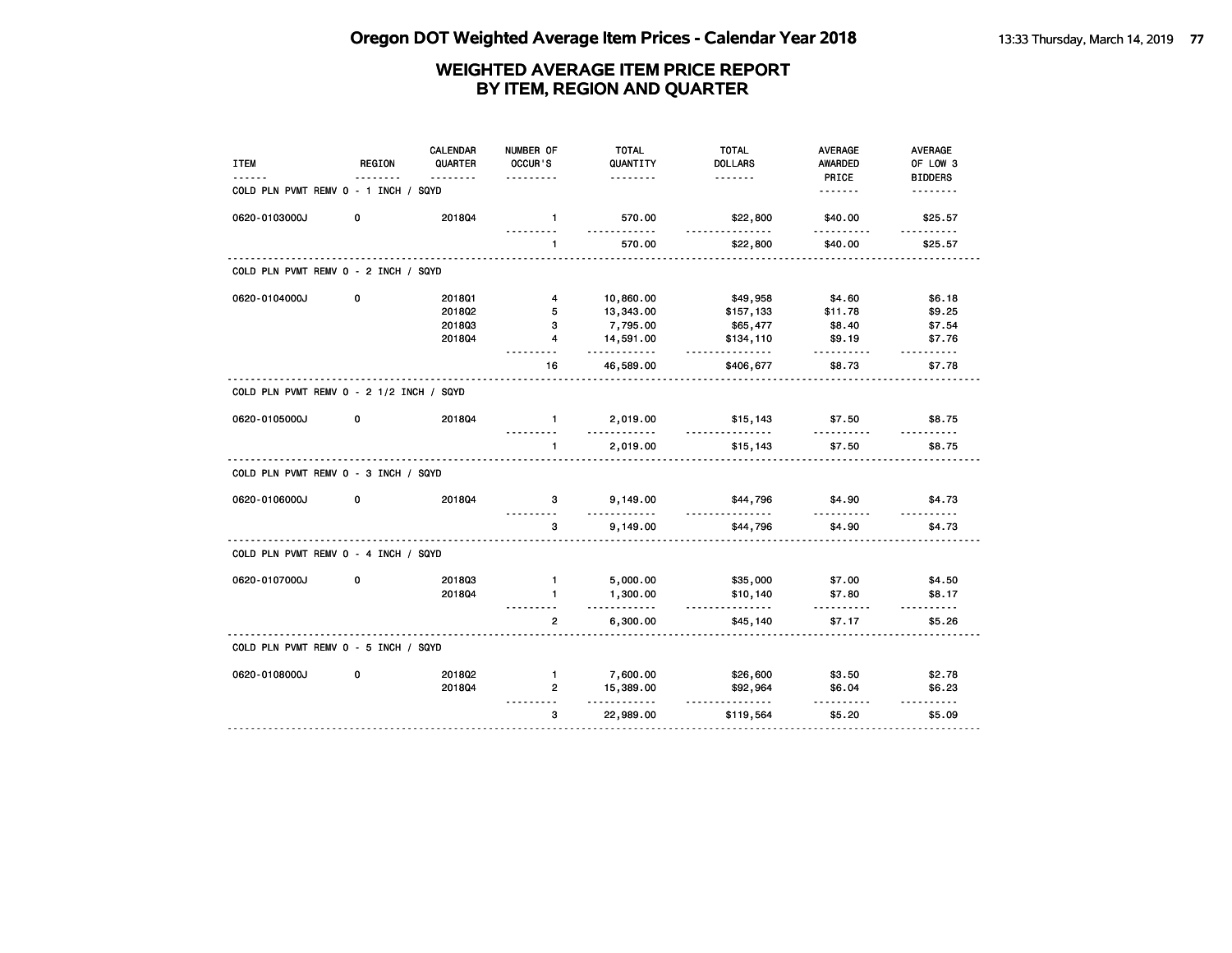| <b>ITEM</b>                              | REGION | <b>CALENDAR</b><br>QUARTER | NUMBER OF<br>OCCUR'S | <b>TOTAL</b><br>QUANTITY | <b>TOTAL</b><br><b>DOLLARS</b> | <b>AVERAGE</b><br><b>AWARDED</b> | AVERAGE<br>OF LOW 3        |
|------------------------------------------|--------|----------------------------|----------------------|--------------------------|--------------------------------|----------------------------------|----------------------------|
| COLD PLN PVMT REMV 0 - 1 INCH / SQYD     |        | <u>.</u>                   | <u>.</u>             | <u>.</u>                 | <u>.</u>                       | PRICE<br><u>.</u>                | <b>BIDDERS</b><br><u>.</u> |
| 0620-0103000J                            | 0      | 201804                     | $\mathbf{1}$         | 570.00<br>.              | \$22,800<br>.                  | \$40.00<br>.                     | \$25.57                    |
|                                          |        |                            | $\mathbf{1}$         | 570.00                   | \$22,800                       | \$40.00                          | <u>.</u><br>\$25.57        |
| COLD PLN PVMT REMV 0 - 2 INCH / SQYD     |        |                            |                      |                          |                                |                                  |                            |
| 0620-0104000J                            | 0      | 2018Q1                     | 4                    | 10,860.00                | \$49,958                       | \$4.60                           | \$6.18                     |
|                                          |        | 201802                     | 5                    | 13,343.00                | \$157,133                      | \$11.78                          | \$9.25                     |
|                                          |        | 201803                     | 3                    | 7,795.00                 | \$65,477                       | \$8.40                           | \$7.54                     |
|                                          |        | 2018Q4                     | $\overline{4}$       | 14,591.00<br>.           | \$134,110<br>.                 | \$9.19<br>.                      | \$7.76<br>.                |
|                                          |        |                            | 16                   | 46,589.00                | \$406,677                      | \$8.73                           | \$7.78                     |
| COLD PLN PVMT REMV 0 - 2 1/2 INCH / SQYD |        |                            |                      |                          |                                |                                  |                            |
| 0620-0105000J                            | 0      | 201804                     | $\mathbf{1}$         | 2,019.00<br>.            | \$15,143<br>.                  | \$7.50                           | \$8.75                     |
|                                          |        |                            | $\mathbf{1}$         | 2,019.00                 | \$15,143                       | \$7.50                           | \$8.75                     |
| COLD PLN PVMT REMV 0 - 3 INCH / SQYD     |        |                            |                      |                          |                                |                                  |                            |
| 0620-0106000J                            | 0      | 201804                     | 3                    | 9,149.00<br><u>.</u>     | \$44,796<br>.                  | \$4.90                           | \$4.73                     |
|                                          |        |                            | 3                    | 9,149.00                 | \$44,796                       | \$4.90                           | \$4.73                     |
| COLD PLN PVMT REMV 0 - 4 INCH / SQYD     |        |                            |                      |                          |                                |                                  |                            |
| 0620-0107000J                            | 0      | 201803                     | $\mathbf{1}$         | 5,000.00                 | \$35,000                       | \$7.00                           | \$4.50                     |
|                                          |        | 201804                     | $\blacksquare$       | 1,300.00<br>.            | \$10,140<br>.                  | \$7.80                           | \$8.17                     |
|                                          |        |                            | $\overline{2}$       | 6,300.00                 | \$45,140                       | .<br>\$7.17                      | $- - - - - -$<br>\$5.26    |
| COLD PLN PVMT REMV 0 - 5 INCH / SQYD     |        |                            |                      |                          |                                |                                  |                            |
| 0620-0108000J                            | 0      | 2018Q2                     | $\blacksquare$       | 7,600.00                 | \$26,600                       | \$3.50                           | \$2.78                     |
|                                          |        | 201804                     | $\overline{2}$       | 15,389.00<br>.           | \$92,964                       | \$6.04                           | \$6.23                     |
|                                          |        |                            | 3                    | 22,989.00                | <u>.</u><br>\$119,564          | .<br>\$5.20                      | <u>.</u><br>\$5.09         |
|                                          |        |                            |                      |                          |                                |                                  |                            |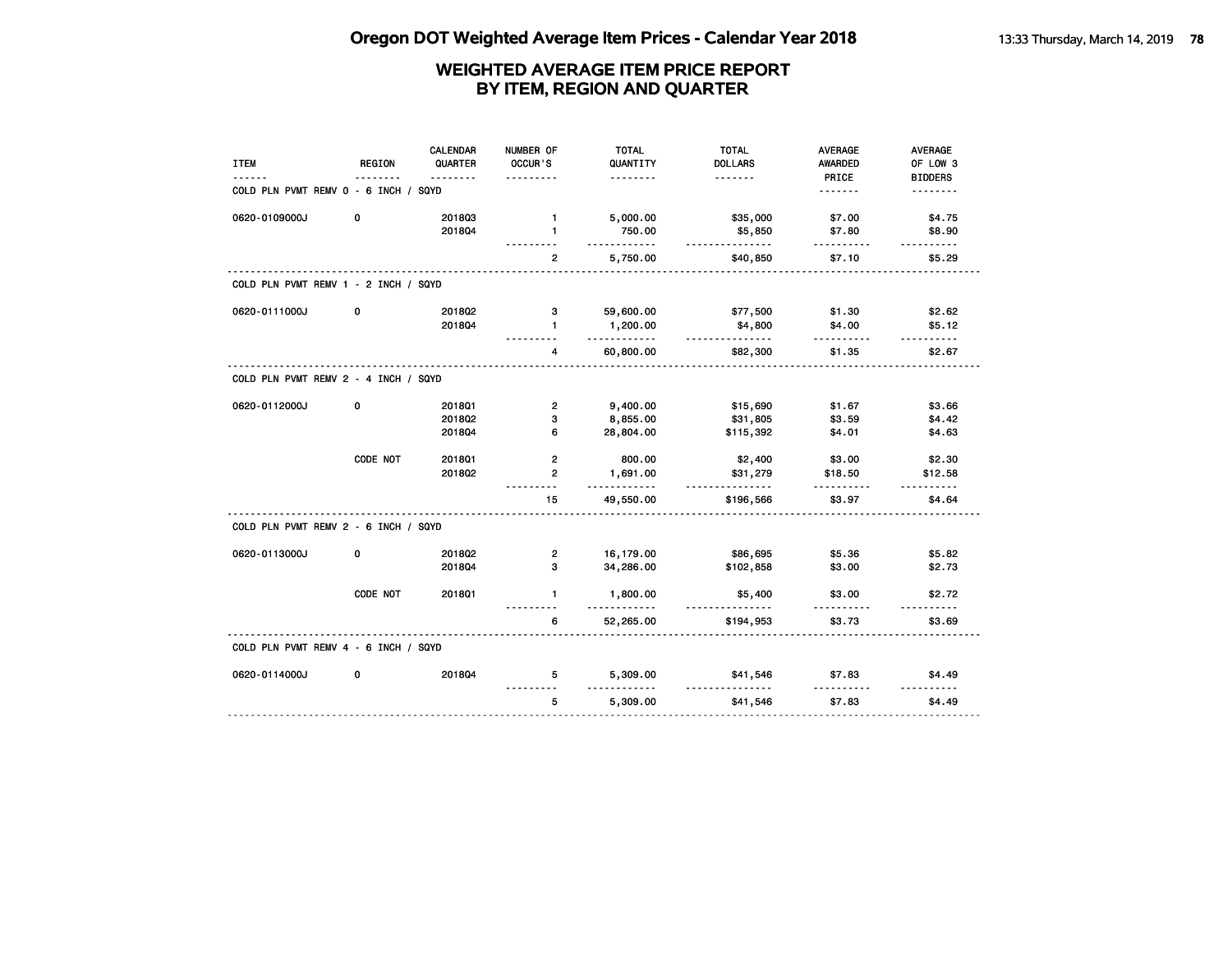| <b>ITEM</b>                          | <b>REGION</b> | <b>CALENDAR</b><br>QUARTER | NUMBER OF<br>OCCUR'S    | <b>TOTAL</b><br>QUANTITY | <b>TOTAL</b><br><b>DOLLARS</b> | <b>AVERAGE</b><br>AWARDED | <b>AVERAGE</b><br>OF LOW 3 |
|--------------------------------------|---------------|----------------------------|-------------------------|--------------------------|--------------------------------|---------------------------|----------------------------|
| COLD PLN PVMT REMV 0 - 6 INCH / SQYD |               | $- - - - - - -$            | .                       | .                        | .                              | PRICE<br>.                | <b>BIDDERS</b><br><u>.</u> |
| 0620-0109000J                        | 0             | 201803<br>201804           | $\mathbf{1}$<br>1       | 5,000.00<br>750.00       | \$35,000<br>\$5,850            | \$7.00<br>\$7.80          | \$4.75<br>\$8.90           |
|                                      |               |                            | $\overline{2}$          | .<br>5,750.00            | .<br>\$40,850                  | <u>.</u><br>\$7.10        | \$5.29                     |
| COLD PLN PVMT REMV 1 - 2 INCH / SQYD |               |                            |                         |                          |                                |                           |                            |
| 0620-0111000J                        | 0             | 2018Q2                     | з                       | 59,600.00                | \$77,500                       | \$1.30                    | \$2.62                     |
|                                      |               | 201804                     | $\blacksquare$          | 1,200.00<br>.            | \$4,800<br><u>.</u>            | \$4.00<br><u>.</u>        | \$5.12<br>.                |
|                                      |               |                            | 4                       | 60,800.00                | \$82,300                       | \$1.35                    | \$2.67                     |
| COLD PLN PVMT REMV 2 - 4 INCH / SQYD |               |                            |                         |                          |                                |                           |                            |
| 0620-0112000J                        | 0             | 201801                     | $\overline{2}$          | 9,400.00                 | \$15,690                       | \$1.67                    | \$3.66                     |
|                                      |               | 2018Q2                     | 3                       | 8,855.00                 | \$31,805                       | \$3.59                    | \$4.42                     |
|                                      |               | 2018Q4                     | 6                       | 28,804.00                | \$115,392                      | \$4.01                    | \$4.63                     |
|                                      | CODE NOT      | 201801                     | $\overline{2}$          | 800.00                   | \$2,400                        | \$3.00                    | \$2.30                     |
|                                      |               | 201802                     | $\overline{2}$          | 1,691.00<br><u>.</u>     | \$31,279<br><u>.</u>           | \$18.50                   | \$12.58<br>.               |
|                                      |               |                            | 15                      | 49,550.00                | \$196,566                      | \$3.97                    | \$4.64                     |
| COLD PLN PVMT REMV 2 - 6 INCH / SQYD |               |                            |                         |                          |                                |                           |                            |
| 0620-0113000J                        | 0             | 2018Q2                     | $\overline{\mathbf{2}}$ | 16,179.00                | \$86,695                       | \$5.36                    | \$5.82                     |
|                                      |               | 201804                     | 3                       | 34,286.00                | \$102,858                      | \$3.00                    | \$2.73                     |
|                                      | CODE NOT      | 2018Q1                     | $\mathbf{1}$            | 1,800.00<br>. . <b>.</b> | \$5,400<br>.                   | \$3.00                    | \$2.72<br>.                |
|                                      |               |                            | 6                       | 52,265.00                | \$194,953                      | \$3.73                    | \$3.69                     |
| COLD PLN PVMT REMV 4 - 6 INCH / SQYD |               |                            |                         |                          |                                |                           |                            |
| 0620-0114000J                        | 0             | 2018Q4                     | 5                       | 5,309.00                 | \$41,546                       | \$7.83                    | \$4.49                     |
|                                      |               |                            | 5                       | 5,309.00                 | \$41,546                       | \$7.83                    | \$4.49                     |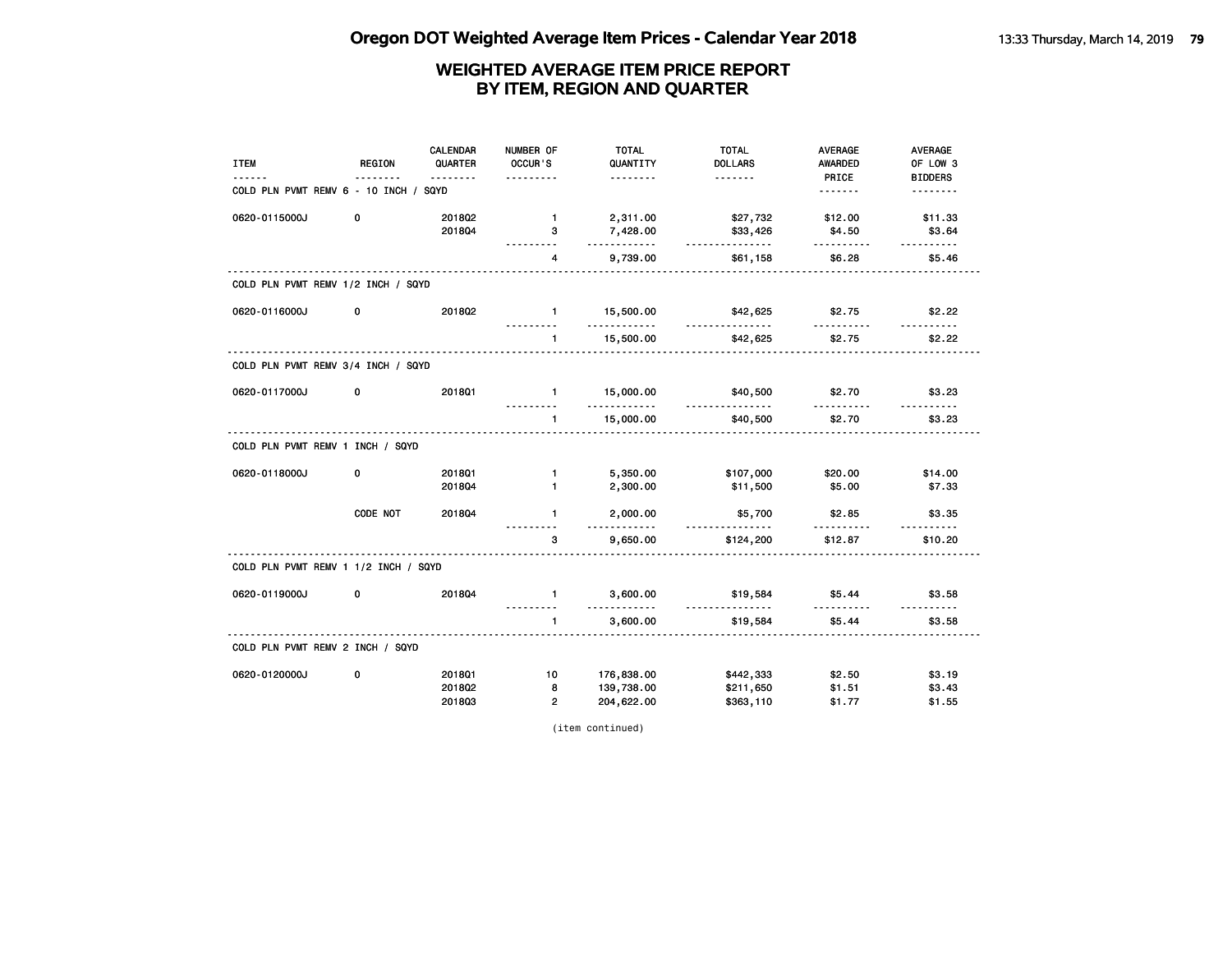| <b>ITEM</b>                           | REGION      | <b>CALENDAR</b><br>QUARTER | NUMBER OF<br>OCCUR'S       | <b>TOTAL</b><br>QUANTITY | <b>TOTAL</b><br><b>DOLLARS</b> | AVERAGE<br>AWARDED | AVERAGE<br>OF LOW 3 |
|---------------------------------------|-------------|----------------------------|----------------------------|--------------------------|--------------------------------|--------------------|---------------------|
|                                       | <u>.</u>    | <u>.</u>                   | .                          | <u>.</u>                 | <u>.</u>                       | PRICE              | <b>BIDDERS</b>      |
| COLD PLN PVMT REMV 6 - 10 INCH / SQYD |             |                            |                            |                          |                                | <u>.</u>           | <u>.</u>            |
| 0620-0115000J                         | $\mathbf 0$ | 201802                     | $\mathbf{1}$               | 2,311.00                 | \$27,732                       | \$12.00            | \$11.33             |
|                                       |             | 201804                     | 3<br>.                     | 7,428.00<br>.            | \$33,426<br>.                  | \$4.50<br>.        | \$3.64<br><u>.</u>  |
|                                       |             |                            | 4                          | 9,739.00                 | \$61,158                       | \$6.28             | \$5.46              |
| COLD PLN PVMT REMV 1/2 INCH / SQYD    |             |                            |                            |                          |                                |                    |                     |
| 0620-0116000J                         | 0           | 201802                     | $\blacksquare$<br><u>.</u> | 15,500.00<br><u></u>     | \$42,625<br>.                  | \$2.75<br>.        | \$2.22<br><u>.</u>  |
|                                       |             |                            | $\mathbf{1}$               | 15,500.00                | \$42,625                       | \$2.75             | \$2.22              |
| COLD PLN PVMT REMV 3/4 INCH / SQYD    |             |                            |                            |                          |                                |                    |                     |
| 0620-0117000J                         | 0           | 2018Q1                     | $\sim$ 1                   | 15,000.00<br>.           | \$40,500<br>.                  | \$2.70             | \$3.23              |
|                                       |             |                            | $\mathbf{1}$               | 15,000.00                | \$40,500                       | \$2.70             | \$3.23              |
| COLD PLN PVMT REMV 1 INCH / SQYD      |             |                            |                            |                          |                                |                    |                     |
| 0620-0118000J                         | 0           | 201801                     | 1                          | 5,350.00                 | \$107,000                      | \$20.00            | \$14.00             |
|                                       |             | 201804                     | $\mathbf{1}$               | 2,300.00                 | \$11,500                       | \$5.00             | \$7.33              |
|                                       | CODE NOT    | 2018Q4                     | $\mathbf{1}$               | 2,000.00<br>.            | \$5,700<br>.                   | \$2.85             | \$3.35              |
|                                       |             |                            | 3                          | 9,650.00                 | \$124,200                      | \$12.87            | \$10.20             |
| COLD PLN PVMT REMV 1 1/2 INCH / SQYD  |             |                            |                            |                          |                                |                    |                     |
| 0620-0119000J                         | 0           | 201804                     | $\mathbf{1}$<br><u>.</u>   | 3,600.00<br>.            | \$19,584<br><u>.</u>           | \$5.44<br>.        | \$3.58              |
|                                       |             |                            | $\blacksquare$             | 3,600.00                 | \$19,584                       | \$5.44             | \$3.58              |
| COLD PLN PVMT REMV 2 INCH / SQYD      |             |                            |                            |                          |                                |                    |                     |
| 0620-0120000J                         | 0           | 201801                     | 10                         | 176,838.00               | \$442,333                      | \$2.50             | \$3.19              |
|                                       |             | 201802                     | 8                          | 139,738.00               | \$211,650                      | \$1.51             | \$3.43              |
|                                       |             | 201803                     | $\overline{2}$             | 204,622.00               | \$363,110                      | \$1.77             | \$1.55              |

(item continued)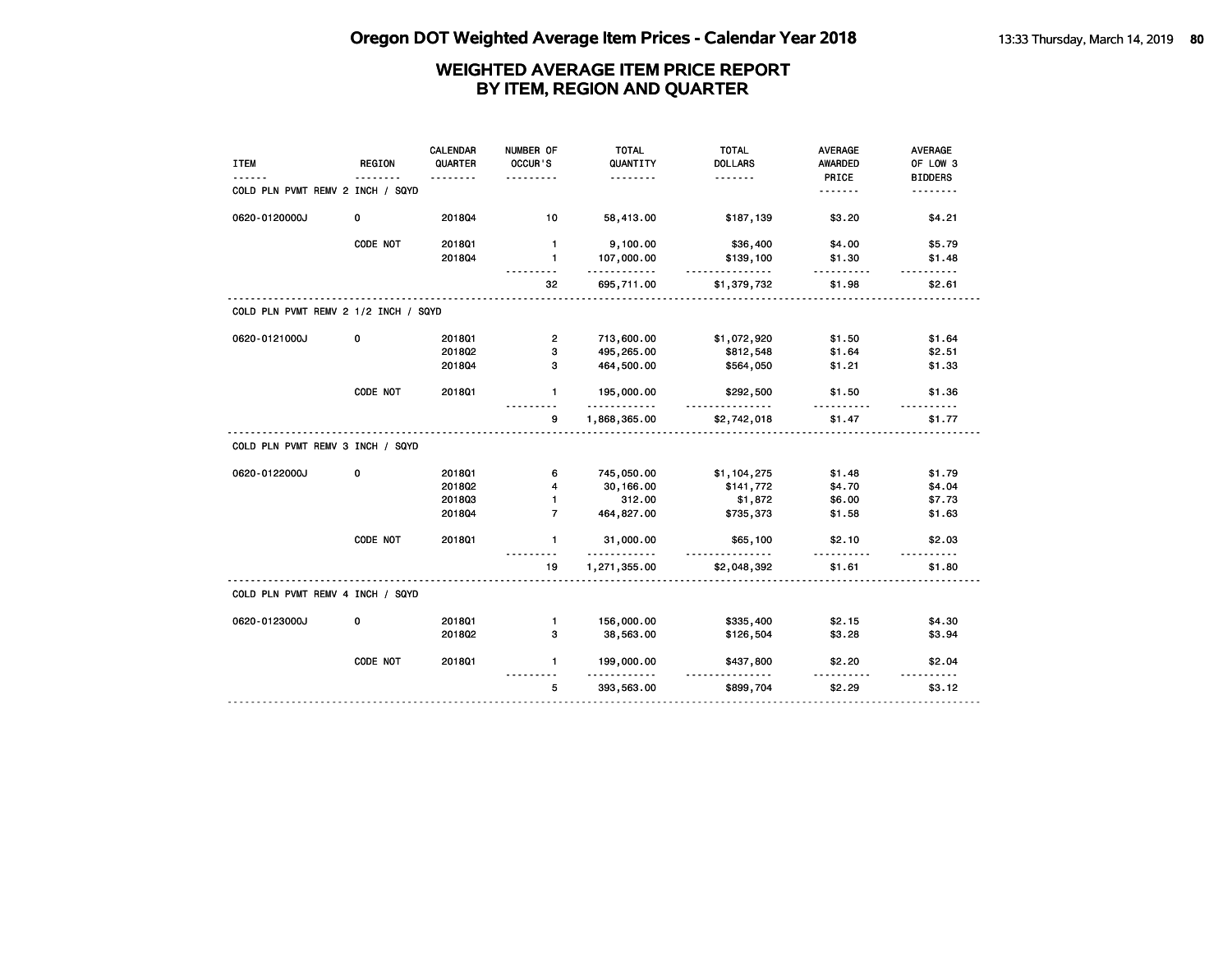| <b>ITEM</b>                          | <b>REGION</b> | CALENDAR<br>QUARTER | NUMBER OF<br>OCCUR'S | <b>TOTAL</b><br>QUANTITY | <b>TOTAL</b><br><b>DOLLARS</b> | <b>AVERAGE</b><br>AWARDED | AVERAGE<br>OF LOW 3 |
|--------------------------------------|---------------|---------------------|----------------------|--------------------------|--------------------------------|---------------------------|---------------------|
|                                      |               | .                   | .                    | <u>.</u>                 | .                              | PRICE                     | <b>BIDDERS</b>      |
| COLD PLN PVMT REMV 2 INCH / SQYD     |               |                     |                      |                          |                                | <u>.</u>                  | <u>.</u>            |
| 0620-0120000J                        | 0             | 2018Q4              | 10                   | 58,413.00                | \$187,139                      | \$3.20                    | \$4.21              |
|                                      | CODE NOT      | 2018Q1              | $\mathbf{1}$         | 9,100.00                 | \$36,400                       | \$4.00                    | \$5.79              |
|                                      |               | 201804              | $\mathbf{1}$         | 107,000.00<br>.          | \$139,100<br>.                 | \$1.30                    | \$1.48              |
|                                      |               |                     | 32                   | 695,711.00               | \$1,379,732                    | .<br>\$1.98               | \$2.61              |
| COLD PLN PVMT REMV 2 1/2 INCH / SQYD |               |                     |                      |                          |                                |                           |                     |
| 0620-0121000J                        | 0             | 2018Q1              | $\overline{2}$       | 713,600.00               | \$1,072,920                    | \$1.50                    | \$1.64              |
|                                      |               | 2018Q2              | з                    | 495,265.00               | \$812,548                      | \$1.64                    | \$2.51              |
|                                      |               | 2018Q4              | з                    | 464,500.00               | \$564,050                      | \$1.21                    | \$1.33              |
|                                      | CODE NOT      | 2018Q1              | $\mathbf{1}$         | 195,000.00<br>.          | \$292,500<br>.                 | \$1.50                    | \$1.36              |
|                                      |               |                     | 9                    | 1,868,365.00             | \$2,742,018                    | \$1.47                    | \$1.77              |
| COLD PLN PVMT REMV 3 INCH / SQYD     |               |                     |                      |                          |                                |                           |                     |
| 0620-0122000J                        | 0             | 201801              | 6                    | 745,050.00               | \$1,104,275                    | \$1.48                    | \$1.79              |
|                                      |               | 201802              | 4                    | 30,166.00                | \$141,772                      | \$4.70                    | \$4.04              |
|                                      |               | 201803              | $\blacksquare$       | 312.00                   | \$1,872                        | \$6.00                    | \$7.73              |
|                                      |               | 2018Q4              | $\overline{7}$       | 464,827.00               | \$735,373                      | \$1.58                    | \$1.63              |
|                                      | CODE NOT      | 2018Q1              | $\mathbf{1}$         | 31,000.00<br>.           | \$65,100<br><u>.</u>           | \$2.10<br><u>.</u>        | \$2.03<br><u>.</u>  |
|                                      |               |                     | 19                   | 1,271,355.00             | \$2,048,392                    | \$1.61                    | \$1.80              |
| COLD PLN PVMT REMV 4 INCH / SQYD     |               |                     |                      |                          |                                |                           |                     |
| 0620-0123000J                        | 0             | 2018Q1              | $\mathbf{1}$         | 156,000.00               | \$335,400                      | \$2.15                    | \$4.30              |
|                                      |               | 2018Q2              | 3                    | 38,563.00                | \$126,504                      | \$3.28                    | \$3.94              |
|                                      | CODE NOT      | 2018Q1              | $\mathbf{1}$         | 199,000.00<br>.          | \$437,800<br><u>.</u>          | \$2.20<br>----------      | \$2.04<br><u>.</u>  |
|                                      |               |                     | 5                    | 393,563.00               | \$899,704                      | \$2.29                    | \$3.12              |
|                                      |               |                     |                      |                          |                                |                           |                     |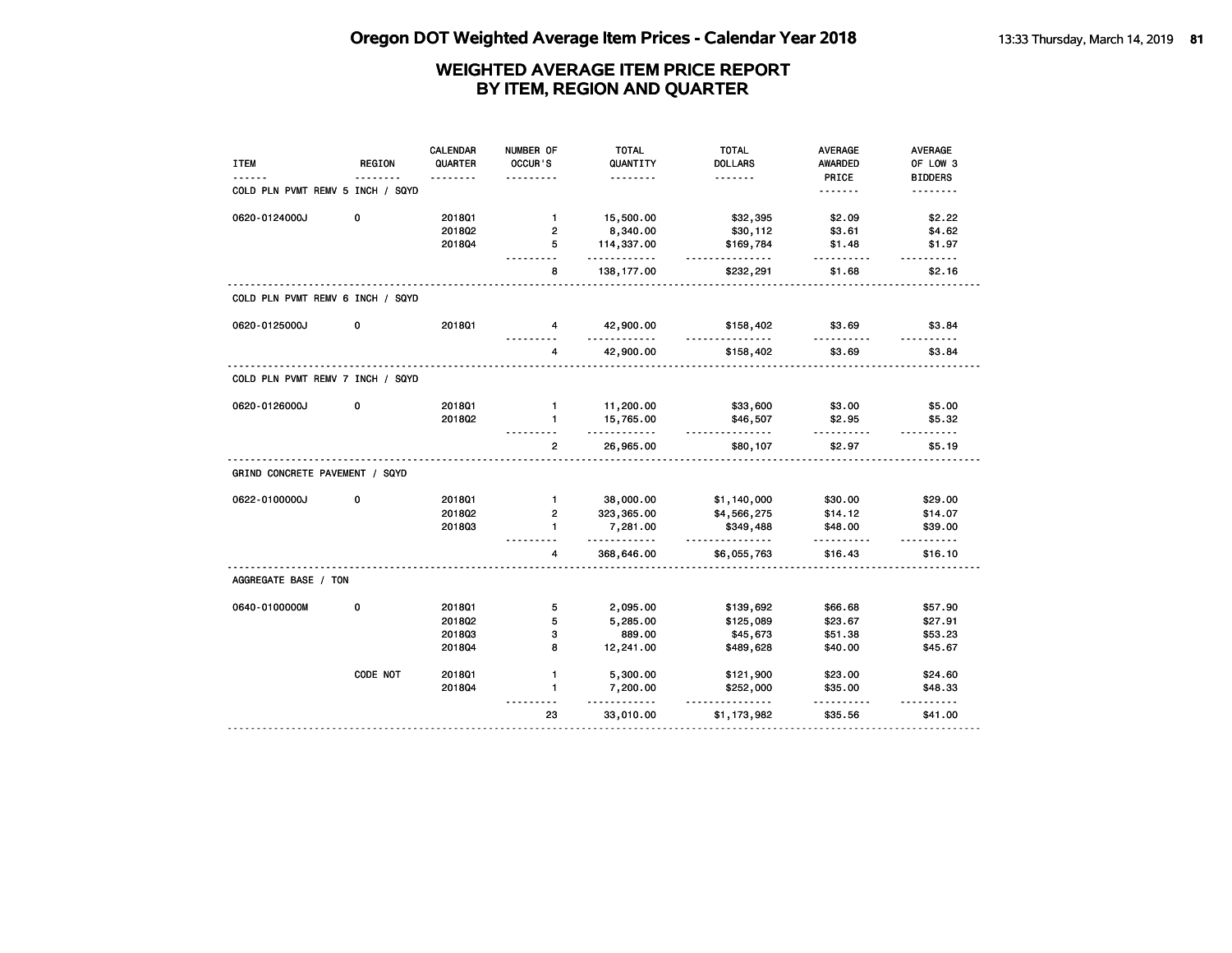| <b>ITEM</b>                      | REGION   | <b>CALENDAR</b><br>QUARTER | NUMBER OF<br>OCCUR'S | <b>TOTAL</b><br>QUANTITY | <b>TOTAL</b><br><b>DOLLARS</b> | <b>AVERAGE</b><br><b>AWARDED</b> | AVERAGE<br>OF LOW 3      |
|----------------------------------|----------|----------------------------|----------------------|--------------------------|--------------------------------|----------------------------------|--------------------------|
|                                  |          |                            |                      | .                        | <u>.</u>                       | PRICE                            | <b>BIDDERS</b>           |
| COLD PLN PVMT REMV 5 INCH / SQYD |          |                            |                      |                          |                                | .                                | <u>.</u>                 |
| 0620-0124000J                    | 0        | 201801                     | $\mathbf{1}$         | 15,500.00                | \$32,395                       | \$2.09                           | \$2.22                   |
|                                  |          | 201802                     | $\overline{2}$       | 8,340.00                 | \$30,112                       | \$3.61                           | \$4.62                   |
|                                  |          | 201804                     | 5                    | 114,337.00<br><u>.</u>   | \$169,784<br>.                 | \$1.48<br>.                      | \$1.97<br>.              |
|                                  |          |                            | 8                    | 138, 177.00              | \$232,291                      | \$1.68                           | \$2.16                   |
| COLD PLN PVMT REMV 6 INCH / SQYD |          |                            |                      |                          |                                |                                  |                          |
| 0620-0125000J                    | 0        | 2018Q1                     | $\overline{4}$       | 42,900.00                | \$158,402                      | \$3.69                           | \$3.84                   |
|                                  |          |                            | 4                    | 42,900.00                | \$158,402                      | \$3.69                           | \$3.84                   |
| COLD PLN PVMT REMV 7 INCH / SQYD |          |                            |                      |                          |                                |                                  |                          |
| 0620-0126000J                    | 0        | 2018Q1                     | $\blacksquare$       | 11,200.00                | \$33,600                       | \$3.00                           | \$5.00                   |
|                                  |          | 201802                     | $\mathbf{1}$         | 15,765.00<br>.           | \$46,507<br><u>.</u>           | \$2.95                           | \$5.32                   |
|                                  |          |                            | $\overline{2}$       | 26,965.00                | \$80,107                       | \$2.97                           | \$5.19                   |
| GRIND CONCRETE PAVEMENT / SQYD   |          |                            |                      |                          |                                |                                  |                          |
| 0622-0100000J                    | 0        | 2018Q1                     | $\mathbf{1}$         | 38,000.00                | \$1,140,000                    | \$30.00                          | \$29.00                  |
|                                  |          | 201802                     | $\overline{2}$       | 323, 365.00              | \$4,566,275                    | \$14.12                          | \$14.07                  |
|                                  |          | 201803                     | $\mathbf{1}$         | 7,281.00<br>.            | \$349,488<br>.                 | \$48.00<br>.                     | \$39.00<br>$- - - - - -$ |
|                                  |          |                            | 4                    | 368,646.00               | \$6,055,763                    | \$16.43                          | \$16.10                  |
| AGGREGATE BASE / TON             |          |                            |                      |                          |                                |                                  |                          |
| 0640-0100000M                    | 0        | 2018Q1                     | 5                    | 2,095.00                 | \$139,692                      | \$66.68                          | \$57.90                  |
|                                  |          | 201802                     | 5                    | 5,285.00                 | \$125,089                      | \$23.67                          | \$27.91                  |
|                                  |          | 201803                     | з                    | 889.00                   | \$45,673                       | \$51.38                          | \$53.23                  |
|                                  |          | 201804                     | 8                    | 12,241.00                | \$489,628                      | \$40.00                          | \$45.67                  |
|                                  | CODE NOT | 2018Q1                     | $\mathbf{1}$         | 5,300.00                 | \$121,900                      | \$23.00                          | \$24.60                  |
|                                  |          | 2018Q4                     | $\blacksquare$       | 7,200.00<br>$- - - - -$  | \$252,000<br><u>.</u>          | \$35.00<br><u>.</u>              | \$48.33<br>.             |
|                                  |          |                            | 23                   | 33,010.00                | \$1,173,982                    | \$35.56                          | \$41.00                  |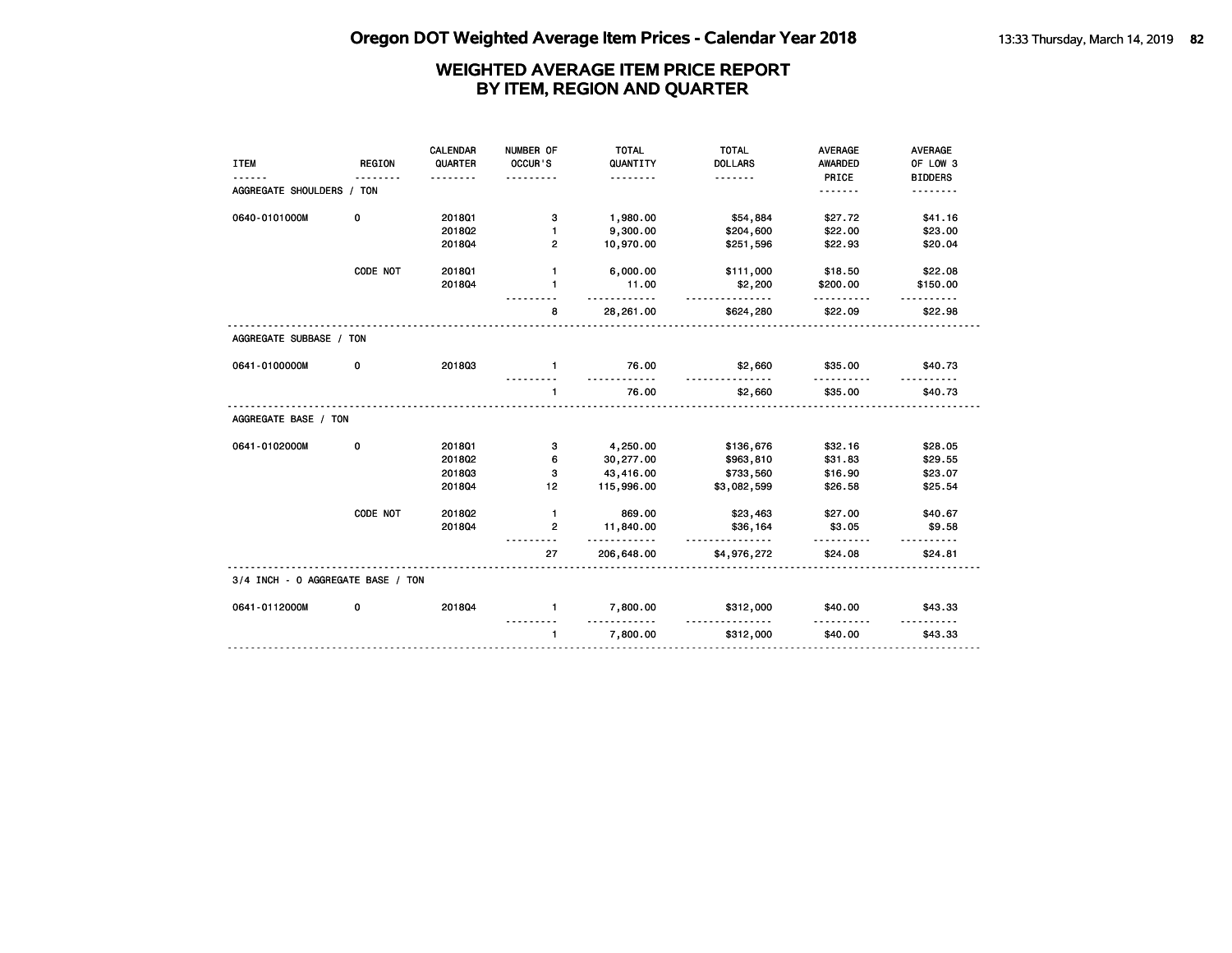|                                   |               | CALENDAR | NUMBER OF      | <b>TOTAL</b>         | <b>TOTAL</b>         | <b>AVERAGE</b> | <b>AVERAGE</b> |
|-----------------------------------|---------------|----------|----------------|----------------------|----------------------|----------------|----------------|
| <b>ITEM</b>                       | <b>REGION</b> | QUARTER  | OCCUR'S        | QUANTITY             | <b>DOLLARS</b>       | <b>AWARDED</b> | OF LOW 3       |
|                                   |               |          |                | <u>.</u>             | .                    | PRICE          | <b>BIDDERS</b> |
| AGGREGATE SHOULDERS / TON         |               |          |                |                      |                      | <u>.</u>       |                |
| 0640-0101000M                     | 0             | 2018Q1   | з              | 1,980.00             | \$54,884             | \$27.72        | \$41.16        |
|                                   |               | 201802   | $\blacksquare$ | 9,300.00             | \$204,600            | \$22.00        | \$23.00        |
|                                   |               | 201804   | $\mathbf{2}$   | 10,970.00            | \$251,596            | \$22.93        | \$20.04        |
|                                   | CODE NOT      | 2018Q1   | $\mathbf{1}$   | 6,000.00             | \$111,000            | \$18.50        | \$22.08        |
|                                   |               | 201804   | 1              | 11.00<br><u>.</u>    | \$2,200<br><u>.</u>  | \$200.00       | \$150.00       |
|                                   |               |          | 8              | 28,261.00            | \$624,280            | \$22.09        | \$22.98        |
| AGGREGATE SUBBASE / TON           |               |          |                |                      |                      |                |                |
| 0641-0100000M                     | 0             | 201803   | $\mathbf{1}$   | 76.00                | \$2,660              | \$35.00        | \$40.73        |
|                                   |               |          | $\mathbf{1}$   | 76.00                | \$2,660              | \$35.00        | \$40.73        |
| AGGREGATE BASE / TON              |               |          |                |                      |                      |                |                |
| 0641-0102000M                     | 0             | 201801   | з              | 4,250.00             | \$136,676            | \$32.16        | \$28.05        |
|                                   |               | 201802   | 6              | 30,277.00            | \$963,810            | \$31.83        | \$29.55        |
|                                   |               | 201803   | 3              | 43,416.00            | \$733,560            | \$16.90        | \$23.07        |
|                                   |               | 201804   | 12             | 115,996.00           | \$3,082,599          | \$26.58        | \$25.54        |
|                                   | CODE NOT      | 2018Q2   | $\mathbf{1}$   | 869.00               | \$23,463             | \$27.00        | \$40.67        |
|                                   |               | 201804   | 2              | 11,840.00<br>.       | \$36,164<br><u>.</u> | \$3.05         | \$9.58         |
|                                   |               |          | 27             | 206,648.00           | \$4,976,272          | \$24.08        | \$24.81        |
| 3/4 INCH - 0 AGGREGATE BASE / TON |               |          |                |                      |                      |                |                |
| 0641-0112000M                     | 0             | 201804   | $\mathbf{1}$   | 7,800.00<br><u>.</u> | \$312,000            | \$40.00<br>.   | \$43.33        |
|                                   |               |          | $\mathbf{1}$   | 7,800.00             | \$312,000            | \$40.00        | \$43.33        |
|                                   |               |          |                |                      |                      |                |                |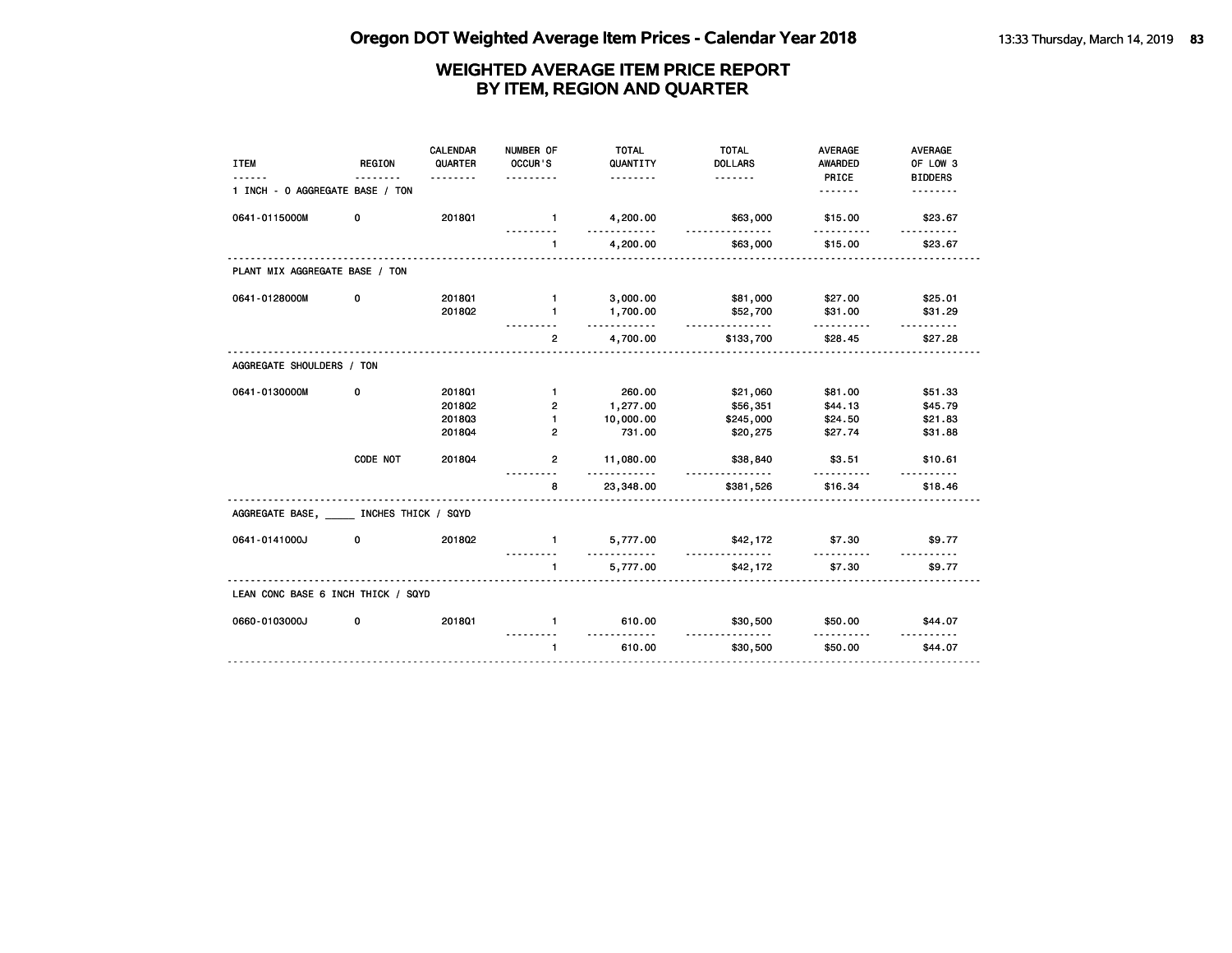| <b>ITEM</b>                         | <b>REGION</b> | CALENDAR<br>QUARTER<br><u>.</u> | NUMBER OF<br>OCCUR'S<br>. | <b>TOTAL</b><br>QUANTITY<br><u>.</u> | <b>TOTAL</b><br><b>DOLLARS</b> | <b>AVERAGE</b><br><b>AWARDED</b><br>PRICE | <b>AVERAGE</b><br>OF LOW 3<br><b>BIDDERS</b> |
|-------------------------------------|---------------|---------------------------------|---------------------------|--------------------------------------|--------------------------------|-------------------------------------------|----------------------------------------------|
| 1 INCH - 0 AGGREGATE BASE / TON     |               |                                 |                           |                                      |                                | <u>.</u>                                  |                                              |
| 0641-0115000M                       | 0             | 2018Q1                          | $\sim$ 1                  | 4,200.00<br>.                        | \$63,000<br>.                  | \$15.00                                   | \$23.67                                      |
|                                     |               |                                 | $\blacksquare$            | 4,200.00                             | \$63,000                       | \$15.00                                   | \$23.67                                      |
| PLANT MIX AGGREGATE BASE / TON      |               |                                 |                           |                                      |                                |                                           |                                              |
| 0641-0128000M                       | 0             | 201801                          | $\blacksquare$            | 3,000.00                             | \$81,000                       | \$27.00                                   | \$25.01                                      |
|                                     |               | 201802                          | $\mathbf{1}$              | 1,700.00<br>.                        | \$52,700<br><u>.</u>           | \$31.00<br>.                              | \$31.29<br><u>.</u>                          |
|                                     |               |                                 | $\overline{2}$            | 4,700.00                             | \$133,700                      | \$28.45                                   | \$27.28                                      |
| AGGREGATE SHOULDERS / TON           |               |                                 |                           |                                      |                                |                                           |                                              |
| 0641-0130000M                       | 0             | 2018Q1                          | $\mathbf{1}$              | 260.00                               | \$21,060                       | \$81.00                                   | \$51.33                                      |
|                                     |               | 2018Q2                          | $\overline{2}$            | 1,277.00                             | \$56,351                       | \$44.13                                   | \$45.79                                      |
|                                     |               | 201803                          | $\blacksquare$            | 10,000.00                            | \$245,000                      | \$24.50                                   | \$21.83                                      |
|                                     |               | 201804                          | $\overline{2}$            | 731.00                               | \$20,275                       | \$27.74                                   | \$31.88                                      |
|                                     | CODE NOT      | 201804                          | $\overline{2}$            | 11,080.00<br>.                       | \$38,840                       | \$3.51<br>.                               | \$10.61                                      |
|                                     |               |                                 | 8                         | 23,348.00                            | \$381,526                      | \$16.34                                   | \$18.46                                      |
| AGGREGATE BASE, INCHES THICK / SQYD |               |                                 |                           |                                      |                                |                                           |                                              |
| 0641-0141000J                       | 0             | 201802                          | $\mathbf{1}$              | 5,777.00<br><u>.</u>                 | \$42,172                       | \$7.30                                    | \$9.77                                       |
|                                     |               |                                 | $\mathbf{1}$              | 5,777.00                             | <u>.</u><br>\$42,172           | .<br>\$7.30                               | \$9.77                                       |
| LEAN CONC BASE 6 INCH THICK / SQYD  |               |                                 |                           |                                      |                                |                                           |                                              |
| 0660-0103000J                       | 0             | 2018Q1                          | $\mathbf{1}$              | 610.00<br>.                          | \$30,500                       | \$50.00<br>.                              | \$44.07                                      |
|                                     |               |                                 | $\mathbf{1}$              | 610.00                               | .<br>\$30,500                  | \$50.00                                   | <u>.</u><br>\$44.07                          |
|                                     |               |                                 |                           |                                      |                                |                                           |                                              |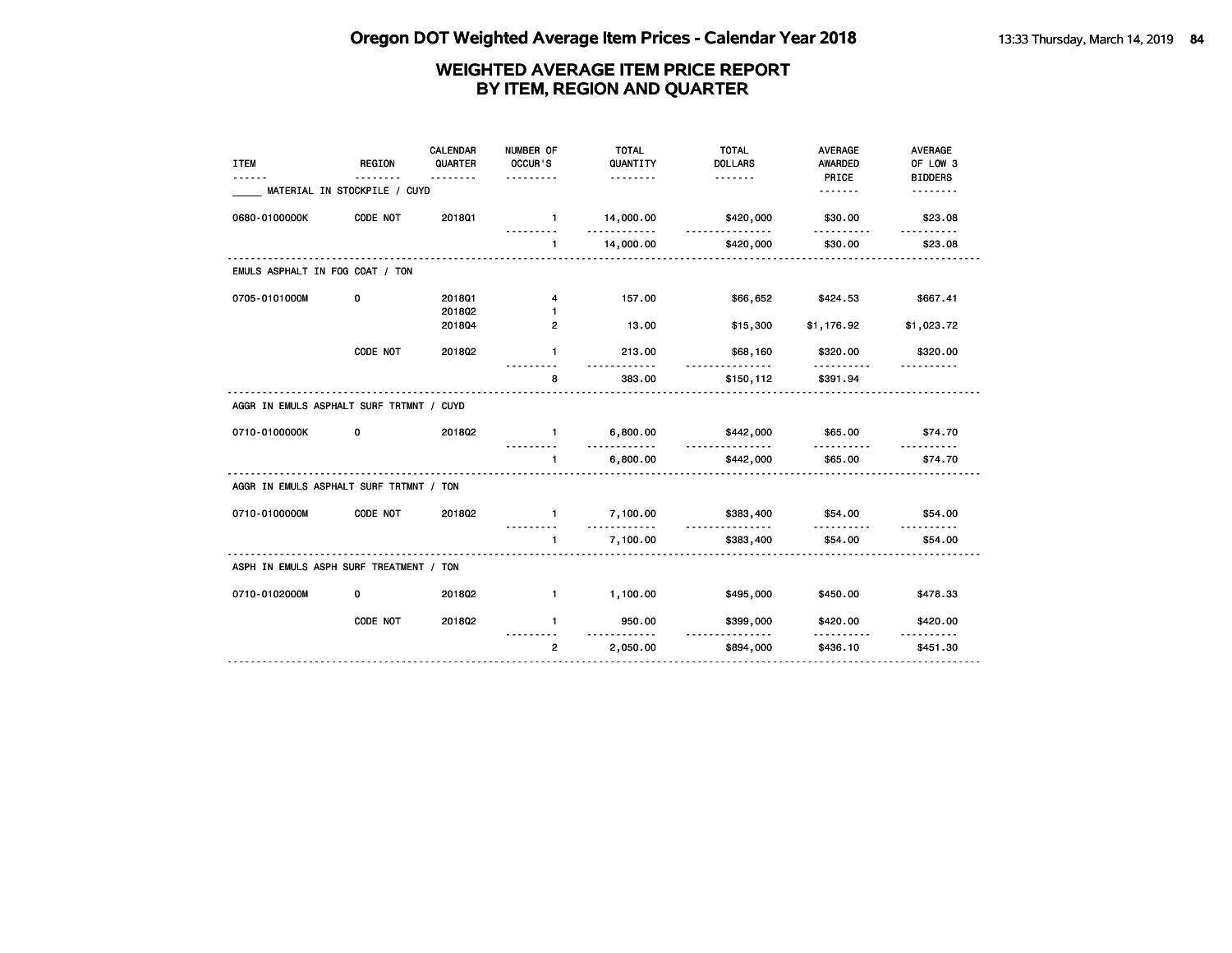| <b>ITEM</b><br><u>.</u>                  | <b>REGION</b><br><u>.</u>    | CALENDAR<br>QUARTER<br>. | NUMBER OF<br>OCCUR'S<br>.        | <b>TOTAL</b><br>QUANTITY<br><u>.</u>   | <b>TOTAL</b><br><b>DOLLARS</b>                           | <b>AVERAGE</b><br><b>AWARDED</b><br>PRICE | <b>AVERAGE</b><br>OF LOW 3<br><b>BIDDERS</b> |
|------------------------------------------|------------------------------|--------------------------|----------------------------------|----------------------------------------|----------------------------------------------------------|-------------------------------------------|----------------------------------------------|
|                                          | MATERIAL IN STOCKPILE / CUYD |                          |                                  |                                        |                                                          | <u>.</u>                                  | <u>.</u>                                     |
| 0680-0100000K                            | CODE NOT                     | <b>2018Q1</b>            | $\blacksquare$                   | 14,000.00<br><u> - - - - - - - - -</u> | \$420,000<br><u>.</u>                                    | \$30.00                                   | \$23.08                                      |
|                                          |                              |                          | $\mathbf{1}$                     | 14,000.00                              | \$420,000                                                | \$30.00                                   | \$23.08                                      |
| EMULS ASPHALT IN FOG COAT / TON          |                              |                          |                                  |                                        |                                                          |                                           |                                              |
| 0705-0101000M                            | 0                            | 201801                   | 4                                | 157.00                                 | \$66,652                                                 | \$424.53                                  | \$667.41                                     |
|                                          |                              | 2018Q2<br>201804         | $\blacksquare$<br>$\overline{2}$ | 13.00                                  | \$15,300                                                 | \$1,176.92                                | \$1,023.72                                   |
|                                          | CODE NOT                     | 201802                   | $\mathbf{1}$                     | 213.00                                 | \$68,160                                                 | \$320.00                                  | \$320.00                                     |
|                                          |                              |                          | 8                                | $- - - -$<br>383.00                    | <b><i><u><u>a a a a a a a a</u></u></i></b><br>\$150,112 | .<br>\$391.94                             | <u>.</u>                                     |
| AGGR IN EMULS ASPHALT SURF TRTMNT / CUYD |                              |                          |                                  |                                        |                                                          |                                           |                                              |
| 0710-0100000K                            | 0                            | 201802                   | $\mathbf{1}$<br>---------        | 6,800.00<br>.                          | \$442,000<br>.                                           | \$65.00<br><u>.</u>                       | \$74.70                                      |
|                                          |                              |                          | $\mathbf 1$                      | 6,800.00                               | \$442,000                                                | \$65.00                                   | \$74.70                                      |
| AGGR IN EMULS ASPHALT SURF TRTMNT / TON  |                              |                          |                                  |                                        |                                                          |                                           |                                              |
| 0710-0100000M                            | CODE NOT                     | 201802                   | $\mathbf{1}$                     | 7,100.00<br>.                          | \$383,400<br><u>.</u>                                    | \$54.00<br>.                              | \$54,00                                      |
|                                          |                              |                          | $\mathbf{1}$<br>.                | 7,100.00                               | \$383,400                                                | \$54.00                                   | \$54.00                                      |
| ASPH IN EMULS ASPH SURF TREATMENT / TON  |                              |                          |                                  |                                        |                                                          |                                           |                                              |
| 0710-0102000M                            | 0                            | 2018Q2                   | $\mathbf{1}$                     | 1,100.00                               | \$495,000                                                | \$450.00                                  | \$478.33                                     |
|                                          | CODE NOT                     | 2018Q2                   | $\mathbf{1}$                     | 950.00<br><u>.</u>                     | \$399,000<br>.                                           | \$420.00<br>.                             | \$420.00                                     |
|                                          |                              |                          | $\overline{2}$                   | 2,050.00                               | \$894,000                                                | \$436.10                                  | \$451.30                                     |
|                                          |                              |                          |                                  |                                        |                                                          |                                           |                                              |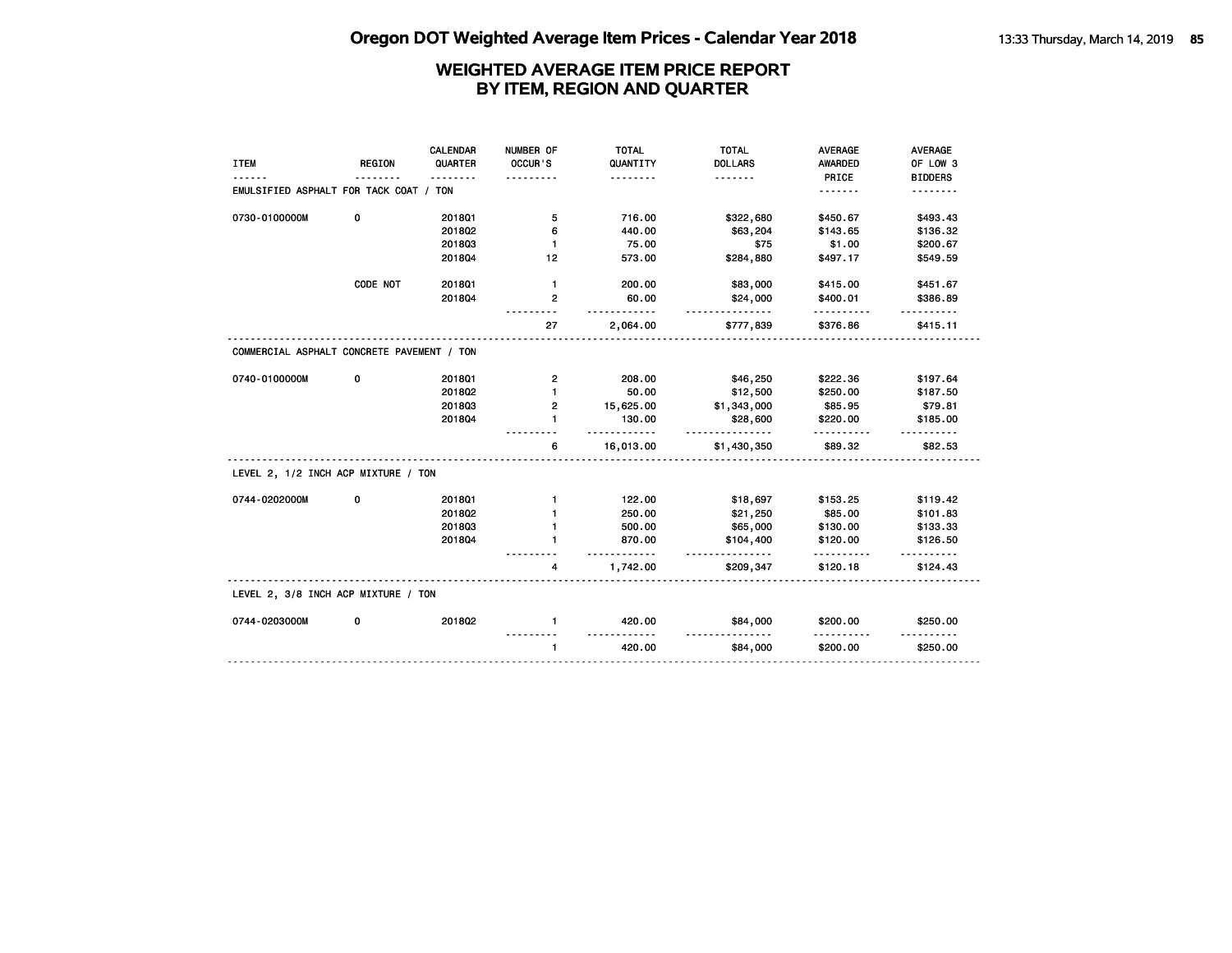| <b>ITEM</b>                                | <b>REGION</b> | CALENDAR<br>QUARTER | NUMBER OF<br>OCCUR'S | <b>TOTAL</b><br>QUANTITY  | <b>TOTAL</b><br><b>DOLLARS</b> | <b>AVERAGE</b><br><b>AWARDED</b> | <b>AVERAGE</b><br>OF LOW 3 |
|--------------------------------------------|---------------|---------------------|----------------------|---------------------------|--------------------------------|----------------------------------|----------------------------|
|                                            |               | <u>.</u>            |                      | .                         | <u>.</u>                       | PRICE                            | <b>BIDDERS</b>             |
| EMULSIFIED ASPHALT FOR TACK COAT / TON     |               |                     |                      |                           |                                | .                                | .                          |
| 0730-0100000M                              | 0             | 2018Q1              | 5                    | 716.00                    | \$322,680                      | \$450.67                         | \$493.43                   |
|                                            |               | 2018Q2              | 6                    | 440.00                    | \$63,204                       | \$143.65                         | \$136.32                   |
|                                            |               | 201803              | $\mathbf{1}$         | 75.00                     | \$75                           | \$1.00                           | \$200.67                   |
|                                            |               | 201804              | 12                   | 573.00                    | \$284,880                      | \$497.17                         | \$549.59                   |
|                                            | CODE NOT      | 2018Q1              | $\mathbf{1}$         | 200.00                    | \$83,000                       | \$415.00                         | \$451.67                   |
|                                            |               | 201804              | 2                    | 60.00                     | \$24,000<br><u>.</u>           | \$400.01<br>.                    | \$386.89                   |
|                                            |               |                     | 27                   | 2,064.00                  | \$777,839                      | \$376.86                         | <u>.</u><br>\$415.11       |
| COMMERCIAL ASPHALT CONCRETE PAVEMENT / TON |               |                     |                      |                           |                                |                                  |                            |
| 0740-0100000M                              | 0             | 2018Q1              | $\mathbf{2}$         | 208.00                    | \$46,250                       | \$222.36                         | \$197.64                   |
|                                            |               | 2018Q2              | $\mathbf{1}$         | 50.00                     | \$12,500                       | \$250.00                         | \$187.50                   |
|                                            |               | 201803              | 2                    | 15,625.00                 | \$1,343,000                    | \$85.95                          | \$79.81                    |
|                                            |               | 201804              | $\mathbf{1}$         | 130.00                    | \$28,600<br>.                  | \$220.00                         | \$185.00                   |
|                                            |               |                     | 6                    | . <b>.</b> .<br>16,013.00 | \$1,430,350                    | <u>.</u><br>\$89.32              | .<br>\$82.53               |
| LEVEL 2, 1/2 INCH ACP MIXTURE / TON        |               |                     |                      |                           |                                |                                  |                            |
| 0744-0202000M                              | 0             | 2018Q1              | $\mathbf{1}$         | 122.00                    | \$18,697                       | \$153.25                         | \$119.42                   |
|                                            |               | 201802              | $\mathbf{1}$         | 250.00                    | \$21,250                       | \$85.00                          | \$101.83                   |
|                                            |               | 201803              | $\mathbf{1}$         | 500.00                    | \$65,000                       | \$130.00                         | \$133.33                   |
|                                            |               | 201804              | $\blacksquare$       | 870.00<br>$- - - -$       | \$104,400<br><u>.</u>          | \$120.00                         | \$126.50                   |
|                                            |               |                     | 4                    | 1,742.00                  | \$209,347                      | \$120.18                         | \$124.43                   |
| LEVEL 2, 3/8 INCH ACP MIXTURE / TON        |               |                     |                      |                           |                                |                                  |                            |
| 0744-0203000M                              | 0             | 2018Q2              | $\mathbf{1}$         | 420.00                    | \$84,000                       | \$200.00                         | \$250.00                   |
|                                            |               |                     |                      | <u>.</u>                  | .                              | .                                |                            |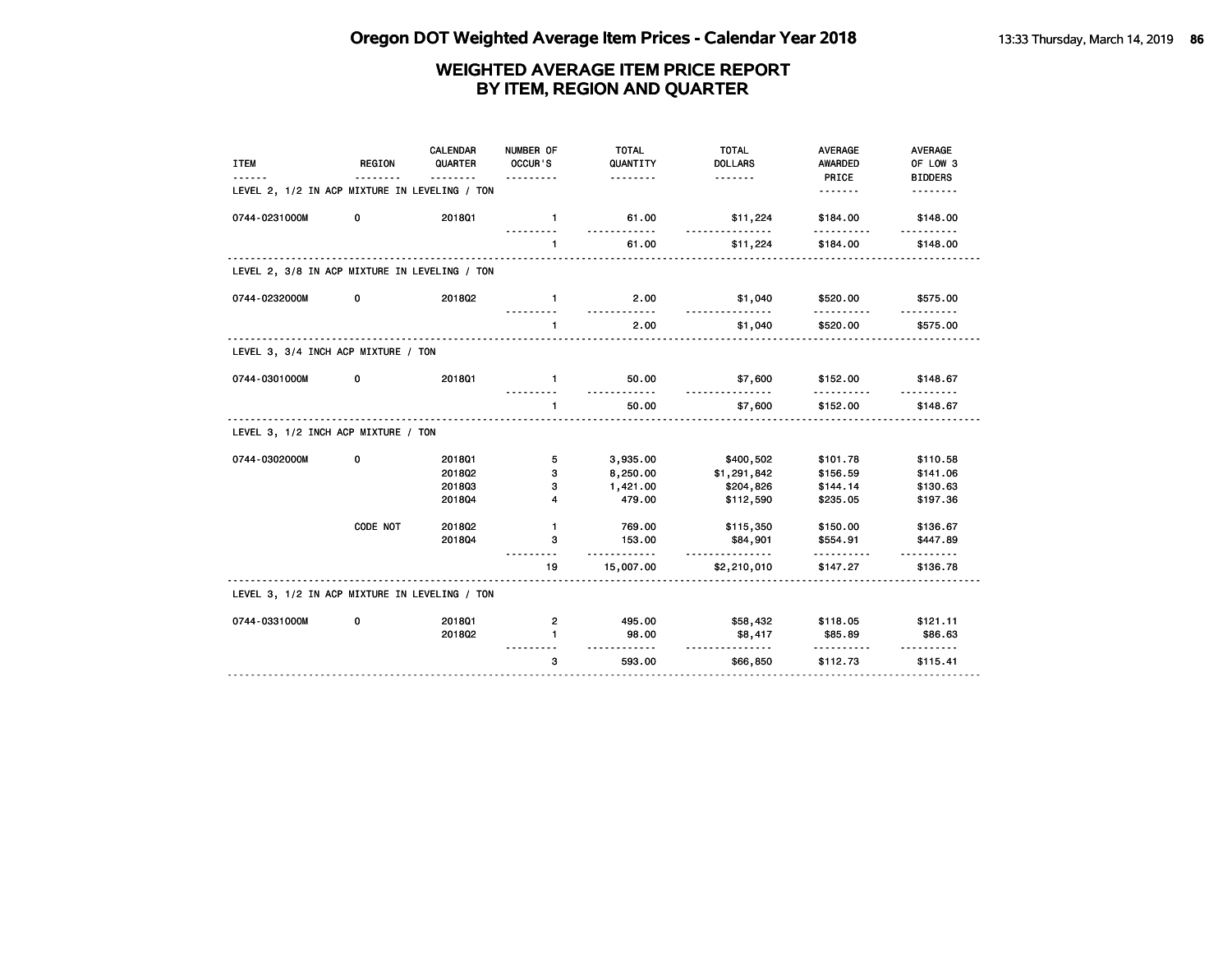| <b>ITEM</b>                                   | <b>REGION</b> | CALENDAR<br>QUARTER | NUMBER OF<br>OCCUR'S | <b>TOTAL</b><br>QUANTITY<br><u>.</u> | <b>TOTAL</b><br><b>DOLLARS</b><br><u>.</u> | <b>AVERAGE</b><br><b>AWARDED</b><br>PRICE | AVERAGE<br>OF LOW 3<br><b>BIDDERS</b> |
|-----------------------------------------------|---------------|---------------------|----------------------|--------------------------------------|--------------------------------------------|-------------------------------------------|---------------------------------------|
| LEVEL 2, 1/2 IN ACP MIXTURE IN LEVELING / TON |               |                     |                      |                                      |                                            | .                                         | <u>.</u>                              |
| 0744-0231000M                                 | 0             | 2018Q1              | $\mathbf{1}$         | 61.00                                | \$11,224                                   | \$184.00                                  | \$148.00                              |
|                                               |               |                     | $\mathbf{1}$         | 61.00                                | \$11,224                                   | \$184.00                                  | \$148.00                              |
| LEVEL 2, 3/8 IN ACP MIXTURE IN LEVELING / TON |               |                     |                      |                                      |                                            |                                           |                                       |
| 0744-0232000M                                 | 0             | 201802              | $\mathbf{1}$         | 2.00<br><u>.</u>                     | \$1,040<br>.                               | \$520.00<br>.                             | \$575.00                              |
|                                               |               |                     | 1                    | 2.00                                 | \$1,040                                    | \$520.00                                  | \$575.00                              |
| LEVEL 3, 3/4 INCH ACP MIXTURE / TON           |               |                     |                      |                                      |                                            |                                           |                                       |
| 0744-0301000M                                 | 0             | 201801              | $\blacksquare$       | 50.00                                | \$7,600                                    | \$152.00                                  | \$148.67                              |
|                                               |               |                     | $\mathbf{1}$         | 50.00                                | \$7,600                                    | \$152.00                                  | \$148.67                              |
| LEVEL 3, 1/2 INCH ACP MIXTURE / TON           |               |                     |                      |                                      |                                            |                                           |                                       |
| 0744-0302000M                                 | 0             | 2018Q1              | 5                    | 3,935.00                             | \$400,502                                  | \$101.78                                  | \$110.58                              |
|                                               |               | 2018Q2              | з                    | 8,250.00                             | \$1,291,842                                | \$156.59                                  | \$141.06                              |
|                                               |               | 201803              | 3                    | 1,421.00                             | \$204,826                                  | \$144.14                                  | \$130.63                              |
|                                               |               | 201804              | 4                    | 479.00                               | \$112,590                                  | \$235.05                                  | \$197.36                              |
|                                               | CODE NOT      | 2018Q2              | $\mathbf{1}$         | 769.00                               | \$115,350                                  | \$150.00                                  | \$136.67                              |
|                                               |               | 201804              | 3                    | 153.00<br>.                          | \$84,901                                   | \$554.91<br>.                             | \$447.89<br>.                         |
|                                               |               |                     | 19                   | 15,007.00                            | \$2,210,010                                | \$147.27                                  | \$136.78                              |
| LEVEL 3, 1/2 IN ACP MIXTURE IN LEVELING / TON |               |                     |                      |                                      |                                            |                                           |                                       |
| 0744-0331000M                                 | 0             | 201801              | $\mathbf{2}$         | 495.00                               | \$58,432                                   | \$118.05                                  | \$121.11                              |
|                                               |               | 201802              | 1                    | 98.00                                | \$8,417                                    | \$85.89                                   | \$86.63                               |
|                                               |               |                     | 3                    | 593.00                               | <u>.</u><br>\$66,850                       | <u>.</u><br>\$112.73                      | \$115.41                              |
|                                               |               |                     |                      |                                      |                                            |                                           |                                       |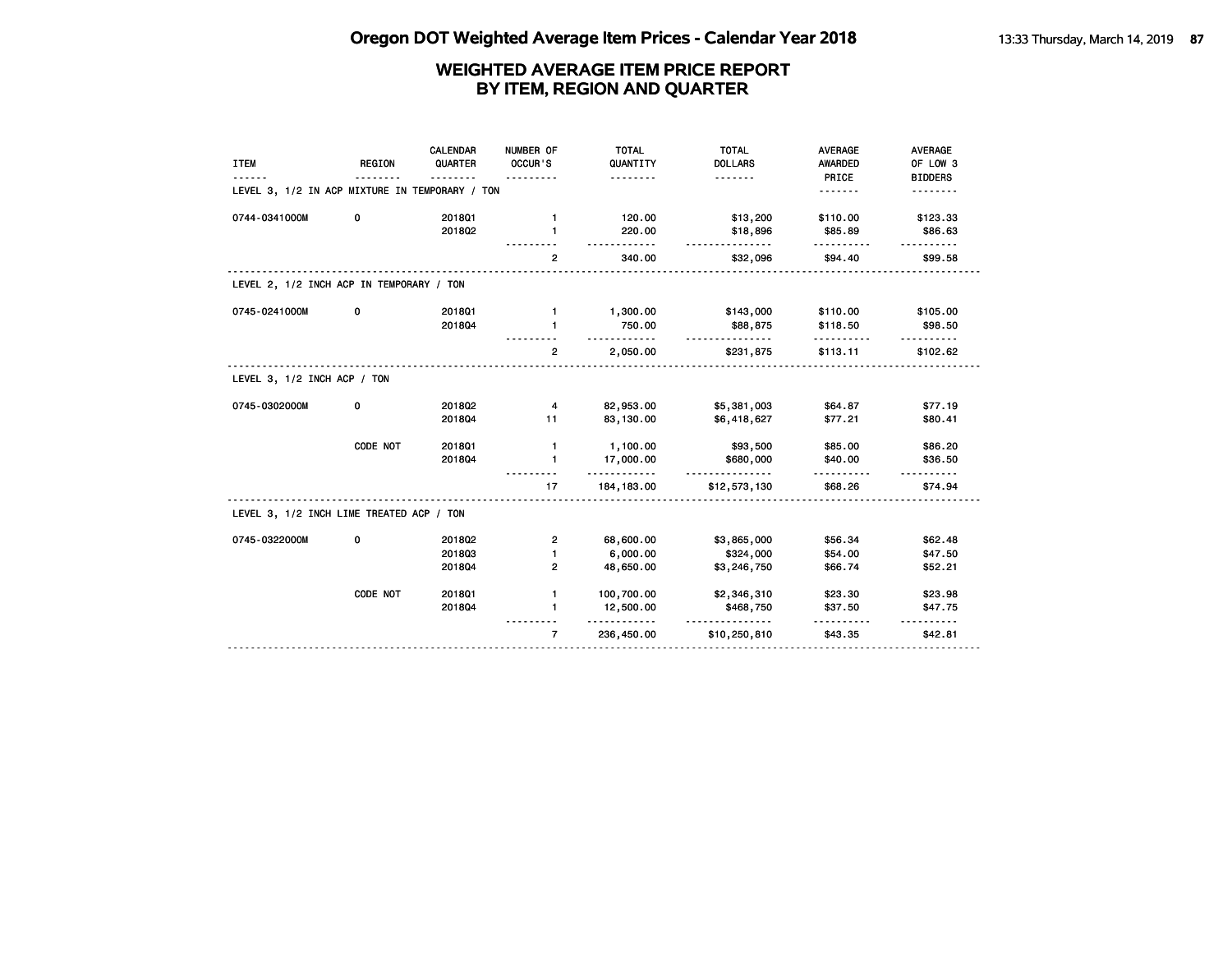| <b>ITEM</b>                                    | <b>REGION</b> | <b>CALENDAR</b><br>QUARTER | NUMBER OF<br>OCCUR'S | <b>TOTAL</b><br>QUANTITY<br>. | <b>TOTAL</b><br><b>DOLLARS</b><br>. | <b>AVERAGE</b><br><b>AWARDED</b><br>PRICE | AVERAGE<br>OF LOW 3<br><b>BIDDERS</b> |
|------------------------------------------------|---------------|----------------------------|----------------------|-------------------------------|-------------------------------------|-------------------------------------------|---------------------------------------|
| LEVEL 3, 1/2 IN ACP MIXTURE IN TEMPORARY / TON |               |                            |                      |                               |                                     | <u>.</u>                                  | .                                     |
| 0744-0341000M                                  | 0             | 201801                     | $\mathbf{1}$         | 120.00                        | \$13,200                            | \$110.00                                  | \$123.33                              |
|                                                |               | 2018Q2                     | 1                    | 220.00<br><u>.</u>            | \$18,896<br><u>.</u>                | \$85.89                                   | \$86.63                               |
|                                                |               |                            | $\overline{2}$       | 340.00                        | \$32,096                            | \$94.40                                   | \$99.58                               |
| LEVEL 2, 1/2 INCH ACP IN TEMPORARY / TON       |               |                            |                      |                               |                                     |                                           |                                       |
| 0745-0241000M                                  | 0             | 2018Q1                     | $\mathbf{1}$         | 1,300.00                      | \$143,000                           | \$110.00                                  | \$105.00                              |
|                                                |               | 201804                     | 1                    | 750.00<br><u>.</u>            | \$88,875<br><u>.</u>                | \$118.50                                  | \$98.50                               |
|                                                |               |                            | $\overline{2}$       | 2,050.00                      | \$231,875                           | \$113.11                                  | \$102.62                              |
| LEVEL 3, 1/2 INCH ACP / TON                    |               |                            |                      |                               |                                     |                                           |                                       |
| 0745-0302000M                                  | 0             | 2018Q2                     | 4                    | 82,953.00                     | \$5,381,003                         | \$64.87                                   | \$77.19                               |
|                                                |               | 201804                     | 11                   | 83,130.00                     | \$6,418,627                         | \$77.21                                   | \$80.41                               |
|                                                | CODE NOT      | 2018Q1                     | $\mathbf{1}$         | 1,100.00                      | \$93,500                            | \$85.00                                   | \$86.20                               |
|                                                |               | 201804                     | $\mathbf{1}$         | 17,000.00<br><u>.</u>         | \$680,000<br>.                      | \$40.00                                   | \$36.50                               |
|                                                |               |                            | 17                   | 184, 183.00                   | \$12,573,130                        | \$68.26                                   | \$74.94                               |
| LEVEL 3, 1/2 INCH LIME TREATED ACP / TON       |               |                            |                      |                               |                                     |                                           |                                       |
| 0745-0322000M                                  | 0             | 2018Q2                     | $\mathbf{2}$         | 68,600.00                     | \$3,865,000                         | \$56.34                                   | \$62.48                               |
|                                                |               | 201803                     | 1                    | 6,000.00                      | \$324,000                           | \$54.00                                   | \$47.50                               |
|                                                |               | 201804                     | 2                    | 48,650.00                     | \$3,246,750                         | \$66.74                                   | \$52.21                               |
|                                                | CODE NOT      | 201801                     | $\mathbf{1}$         | 100,700.00                    | \$2,346,310                         | \$23.30                                   | \$23.98                               |
|                                                |               | 201804                     | $\mathbf{1}$         | 12,500.00                     | \$468,750<br><u>-----------</u>     | \$37.50                                   | \$47.75                               |
|                                                |               |                            | $\overline{7}$       | 236,450.00                    | \$10,250,810                        | \$43.35                                   | \$42.81                               |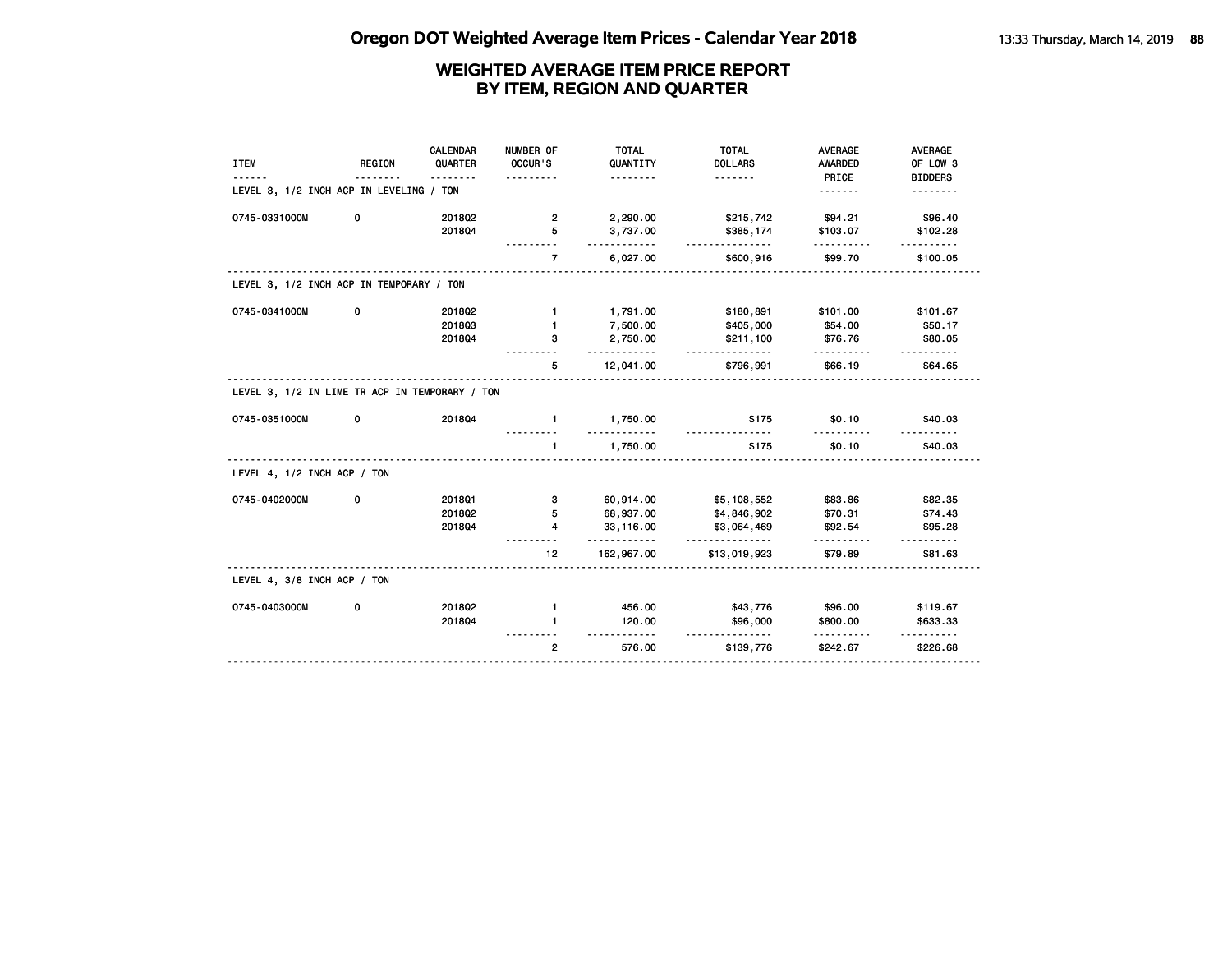| <b>ITEM</b>                                    | <b>REGION</b> | <b>CALENDAR</b><br>QUARTER | NUMBER OF<br>OCCUR'S<br>. | <b>TOTAL</b><br>QUANTITY<br>. | <b>TOTAL</b><br><b>DOLLARS</b><br><u>.</u> | <b>AVERAGE</b><br><b>AWARDED</b><br>PRICE | <b>AVERAGE</b><br>OF LOW 3<br><b>BIDDERS</b> |
|------------------------------------------------|---------------|----------------------------|---------------------------|-------------------------------|--------------------------------------------|-------------------------------------------|----------------------------------------------|
| LEVEL 3, 1/2 INCH ACP IN LEVELING / TON        |               |                            |                           |                               |                                            | .                                         |                                              |
| 0745-0331000M                                  | 0             | 2018Q2                     | $\overline{\mathbf{2}}$   | 2,290.00                      | \$215,742                                  | \$94.21                                   | \$96.40                                      |
|                                                |               | 201804                     | 5                         | 3,737.00<br><u>.</u>          | \$385,174<br>.                             | \$103.07                                  | \$102.28                                     |
|                                                |               |                            | $\overline{7}$            | 6,027.00                      | \$600,916                                  | \$99.70                                   | \$100.05                                     |
| LEVEL 3, 1/2 INCH ACP IN TEMPORARY / TON       |               |                            |                           |                               |                                            |                                           |                                              |
| 0745-0341000M                                  | 0             | 2018Q2                     | $\mathbf{1}$              | 1,791.00                      | \$180,891                                  | \$101.00                                  | \$101.67                                     |
|                                                |               | 201803                     | $\blacksquare$            | 7,500.00                      | \$405,000                                  | \$54.00                                   | \$50.17                                      |
|                                                |               | 201804                     | З                         | 2,750.00<br>.                 | \$211,100<br>.                             | \$76.76<br>---------                      | \$80.05<br>$- - - - - -$                     |
|                                                |               |                            | 5                         | 12,041.00                     | \$796,991                                  | \$66.19                                   | \$64.65                                      |
| LEVEL 3, 1/2 IN LIME TR ACP IN TEMPORARY / TON |               |                            |                           |                               |                                            |                                           |                                              |
| 0745-0351000M                                  | 0             | 201804                     | 1.                        | 1,750.00<br>.                 | \$175<br><u>.</u>                          | \$0.10<br><u>.</u>                        | \$40.03                                      |
|                                                |               |                            |                           | 1,750.00                      | \$175                                      | \$0.10                                    | \$40.03                                      |
| LEVEL 4, 1/2 INCH ACP / TON                    |               |                            |                           |                               |                                            |                                           |                                              |
| 0745-0402000M                                  | 0             | 201801                     | 3                         | 60,914.00                     | \$5,108,552                                | \$83.86                                   | \$82.35                                      |
|                                                |               | 2018Q2                     | 5                         | 68,937.00                     | \$4,846,902                                | \$70.31                                   | \$74.43                                      |
|                                                |               | 201804                     | 4                         | 33,116.00<br>.                | \$3,064,469                                | \$92.54                                   | \$95.28<br><u>.</u>                          |
|                                                |               |                            | 12 <sub>2</sub>           | 162,967.00                    | \$13,019,923                               | \$79.89                                   | \$81.63                                      |
|                                                |               |                            |                           |                               |                                            |                                           |                                              |
| LEVEL 4, 3/8 INCH ACP / TON                    |               |                            |                           |                               |                                            |                                           |                                              |
| 0745-0403000M                                  | 0             | 201802                     | $\mathbf{1}$              | 456.00                        | \$43,776                                   | \$96.00                                   | \$119.67                                     |
|                                                |               | 201804                     | $\mathbf{1}$              | 120.00                        | \$96,000<br><u>.</u>                       | \$800.00<br>.                             | \$633.33                                     |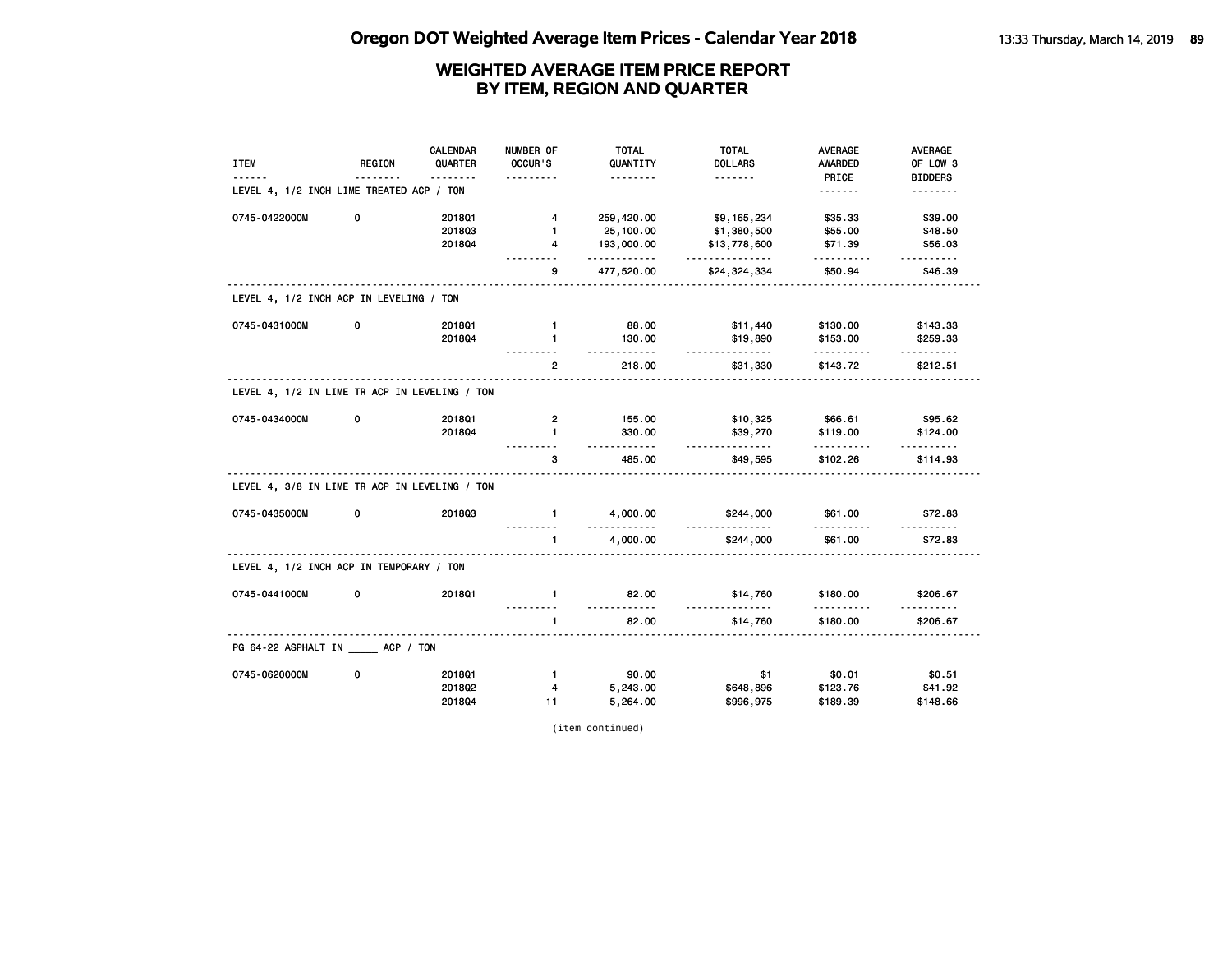|                                               |          | <b>CALENDAR</b> | NUMBER OF      | <b>TOTAL</b>         | <b>TOTAL</b>          | <b>AVERAGE</b> | <b>AVERAGE</b>       |
|-----------------------------------------------|----------|-----------------|----------------|----------------------|-----------------------|----------------|----------------------|
| <b>ITEM</b>                                   | REGION   | QUARTER         | OCCUR'S        | QUANTITY             | <b>DOLLARS</b>        | <b>AWARDED</b> | OF LOW 3             |
|                                               |          | <u>.</u>        | .              | <u>.</u>             |                       | PRICE          | <b>BIDDERS</b>       |
| LEVEL 4, 1/2 INCH LIME TREATED ACP / TON      |          |                 |                |                      |                       | <u>.</u>       | .                    |
| 0745-0422000M                                 | 0        | 201801          | 4              | 259,420.00           | \$9,165,234           | \$35.33        | \$39.00              |
|                                               |          | 201803          | $\mathbf{1}$   | 25,100.00            | \$1,380,500           | \$55.00        | \$48.50              |
|                                               |          | 201804          | 4              | 193,000.00<br>.      | \$13,778,600<br>.     | \$71.39<br>.   | \$56.03<br>.         |
|                                               | <u>.</u> |                 | 9              | 477,520.00           | \$24,324,334          | \$50.94        | \$46.39              |
| LEVEL 4, 1/2 INCH ACP IN LEVELING / TON       |          |                 |                |                      |                       |                |                      |
| 0745-0431000M                                 | 0        | 201801          | $\mathbf{1}$   | 88.00                | \$11,440              | \$130.00       | \$143.33             |
|                                               |          | 2018Q4          | $\mathbf{1}$   | 130.00<br>.          | \$19,890<br>.         | \$153.00<br>.  | \$259.33<br><u>.</u> |
|                                               |          |                 | $\overline{2}$ | 218.00               | \$31,330              | \$143.72       | \$212.51             |
| LEVEL 4, 1/2 IN LIME TR ACP IN LEVELING / TON |          |                 |                |                      |                       |                |                      |
| 0745-0434000M                                 | 0        | 201801          | 2              | 155.00               | \$10,325              | \$66.61        | \$95.62              |
|                                               |          | 201804          | $\mathbf{1}$   | 330.00<br><u>.</u>   | \$39,270<br>.         | \$119.00<br>.  | \$124.00             |
|                                               |          |                 | 3              | 485.00               | \$49,595              | \$102.26       | \$114.93             |
| LEVEL 4, 3/8 IN LIME TR ACP IN LEVELING / TON |          |                 |                |                      |                       |                |                      |
| 0745-0435000M                                 | 0        | 201803          | $\mathbf{1}$   | 4,000.00<br><u>.</u> | \$244,000<br><u>.</u> | \$61.00        | \$72.83              |
|                                               |          |                 | $\mathbf{1}$   | 4,000.00             | \$244,000             | \$61.00        | \$72.83              |
| LEVEL 4, 1/2 INCH ACP IN TEMPORARY / TON      |          |                 | .              |                      |                       |                |                      |
| 0745-0441000M                                 | 0        | 201801          | $\mathbf{1}$   | 82.00<br><u>.</u>    | \$14,760<br><u>.</u>  | \$180.00<br>.  | \$206.67<br><u>.</u> |
|                                               |          |                 | $\mathbf{1}$   | 82.00                | \$14,760              | \$180.00       | \$206.67             |
| PG 64-22 ASPHALT IN _____ ACP / TON           |          |                 |                |                      |                       |                |                      |
| 0745-0620000M                                 | 0        | 201801          | $\mathbf{1}$   | 90.00                | \$1                   | \$0.01         | \$0.51               |
|                                               |          | 201802          | 4              | 5,243.00             | \$648,896             | \$123.76       | \$41.92              |
|                                               |          | 2018Q4          | 11             | 5,264.00             | \$996,975             | \$189.39       | \$148.66             |

(item continued)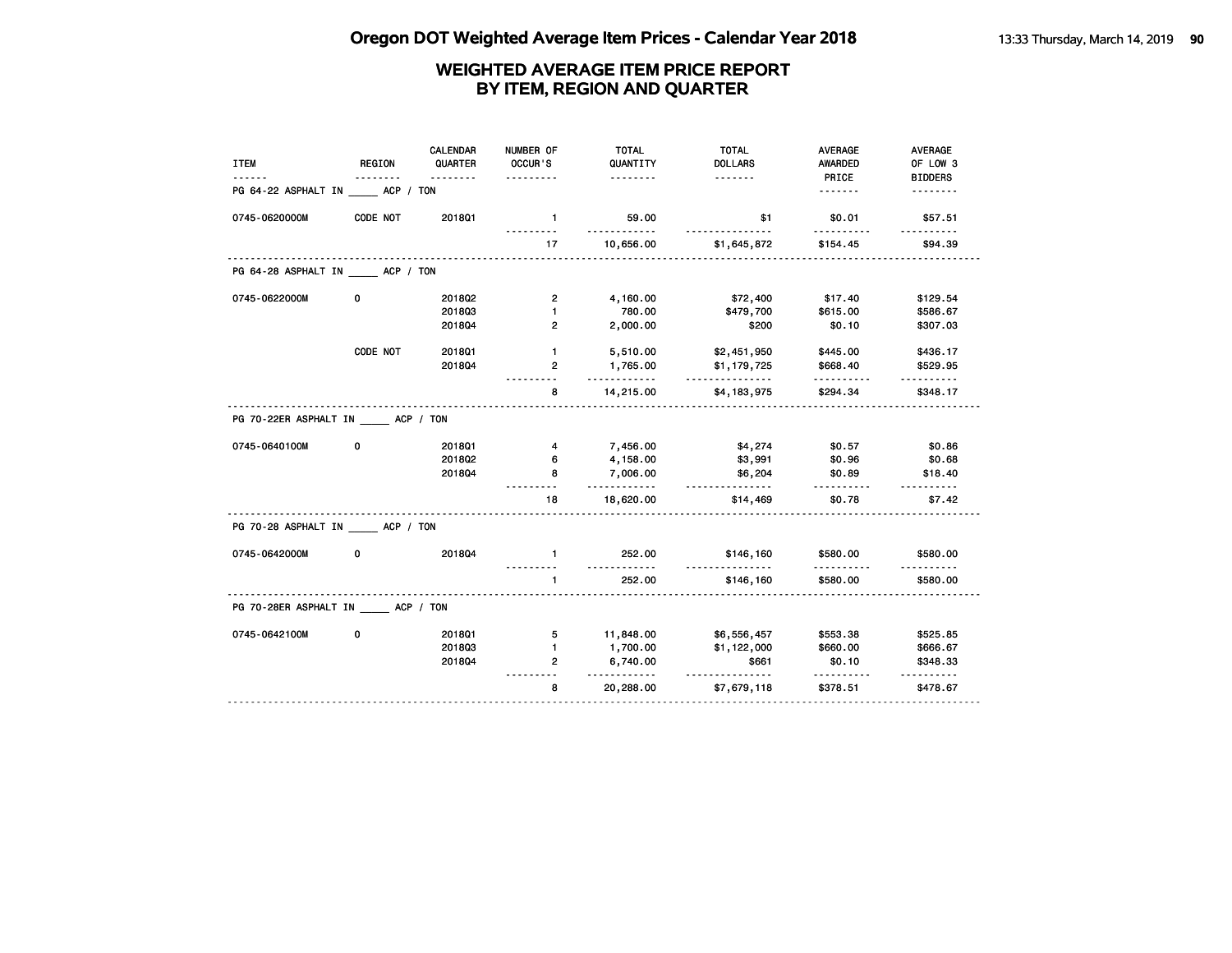| <b>ITEM</b>                           | <b>REGION</b> | CALENDAR<br>QUARTER | NUMBER OF<br>OCCUR'S | <b>TOTAL</b><br>QUANTITY | <b>TOTAL</b><br><b>DOLLARS</b> | <b>AVERAGE</b><br>AWARDED | <b>AVERAGE</b><br>OF LOW 3 |
|---------------------------------------|---------------|---------------------|----------------------|--------------------------|--------------------------------|---------------------------|----------------------------|
| PG 64-22 ASPHALT IN ACP / TON         |               | .                   | .                    | .                        |                                | PRICE<br>.                | <b>BIDDERS</b>             |
| 0745-0620000M                         | CODE NOT      | 201801              | $\mathbf{1}$         | 59.00                    | \$1                            | \$0.01                    | \$57.51                    |
|                                       |               |                     |                      | <u>.</u>                 |                                | .                         |                            |
|                                       |               |                     | 17                   | 10,656.00                | \$1,645,872                    | \$154.45                  | \$94.39                    |
| PG 64-28 ASPHALT IN ACP / TON         |               |                     |                      |                          |                                |                           |                            |
| 0745-0622000M                         | 0             | 2018Q2              | $\overline{2}$       | 4,160.00                 | \$72,400                       | \$17.40                   | \$129.54                   |
|                                       |               | 201803              | $\mathbf{1}$         | 780.00                   | \$479,700                      | \$615.00                  | \$586.67                   |
|                                       |               | 2018Q4              | $\overline{2}$       | 2,000.00                 | \$200                          | \$0.10                    | \$307.03                   |
|                                       | CODE NOT      | 2018Q1              | $\mathbf{1}$         | 5,510.00                 | \$2,451,950                    | \$445.00                  | \$436.17                   |
|                                       |               | 201804              | $\overline{2}$       | 1,765.00                 | \$1,179,725                    | \$668.40                  | \$529.95                   |
|                                       |               |                     | 8                    | .<br>14,215.00           | <u>.</u><br>\$4,183,975        | .<br>\$294.34             | .<br>\$348.17              |
| PG 70-22ER ASPHALT IN ACP / TON       |               |                     |                      |                          |                                |                           |                            |
| 0745-0640100M                         | 0             | 201801              | 4                    | 7,456.00                 | \$4,274                        | \$0.57                    | \$0.86                     |
|                                       |               | 201802              | 6                    | 4,158.00                 | \$3,991                        | \$0.96                    | \$0.68                     |
|                                       |               | 2018Q4              | 8                    | 7,006.00<br>.            | \$6,204<br><u>.</u>            | \$0.89<br>.               | \$18.40<br><u>.</u>        |
|                                       |               |                     | 18                   | 18,620.00                | \$14,469                       | \$0.78                    | \$7.42                     |
| PG 70-28 ASPHALT IN ACP / TON         |               |                     |                      |                          |                                |                           |                            |
| 0745-0642000M                         | 0             | 201804              | $\blacksquare$       | 252.00                   | \$146,160<br><u>.</u>          | \$580.00                  | \$580.00                   |
|                                       |               |                     | $\mathbf{1}$         | 252.00                   | \$146,160                      | \$580.00                  | \$580.00                   |
| PG 70-28ER ASPHALT IN _____ ACP / TON |               |                     |                      |                          |                                |                           |                            |
| 0745-0642100M                         | 0             | 2018Q1              | 5                    | 11,848.00                | \$6,556,457                    | \$553.38                  | \$525.85                   |
|                                       |               | 201803              | $\blacksquare$       | 1,700.00                 | \$1,122,000                    | \$660.00                  | \$666.67                   |
|                                       |               | 2018Q4              | $\overline{2}$       | 6,740.00                 | \$661<br><u>.</u>              | \$0.10                    | \$348.33                   |
|                                       |               |                     | 8                    | .<br>20,288.00           | \$7,679,118                    | .<br>\$378.51             | <u>.</u><br>\$478.67       |
|                                       |               |                     |                      |                          |                                |                           |                            |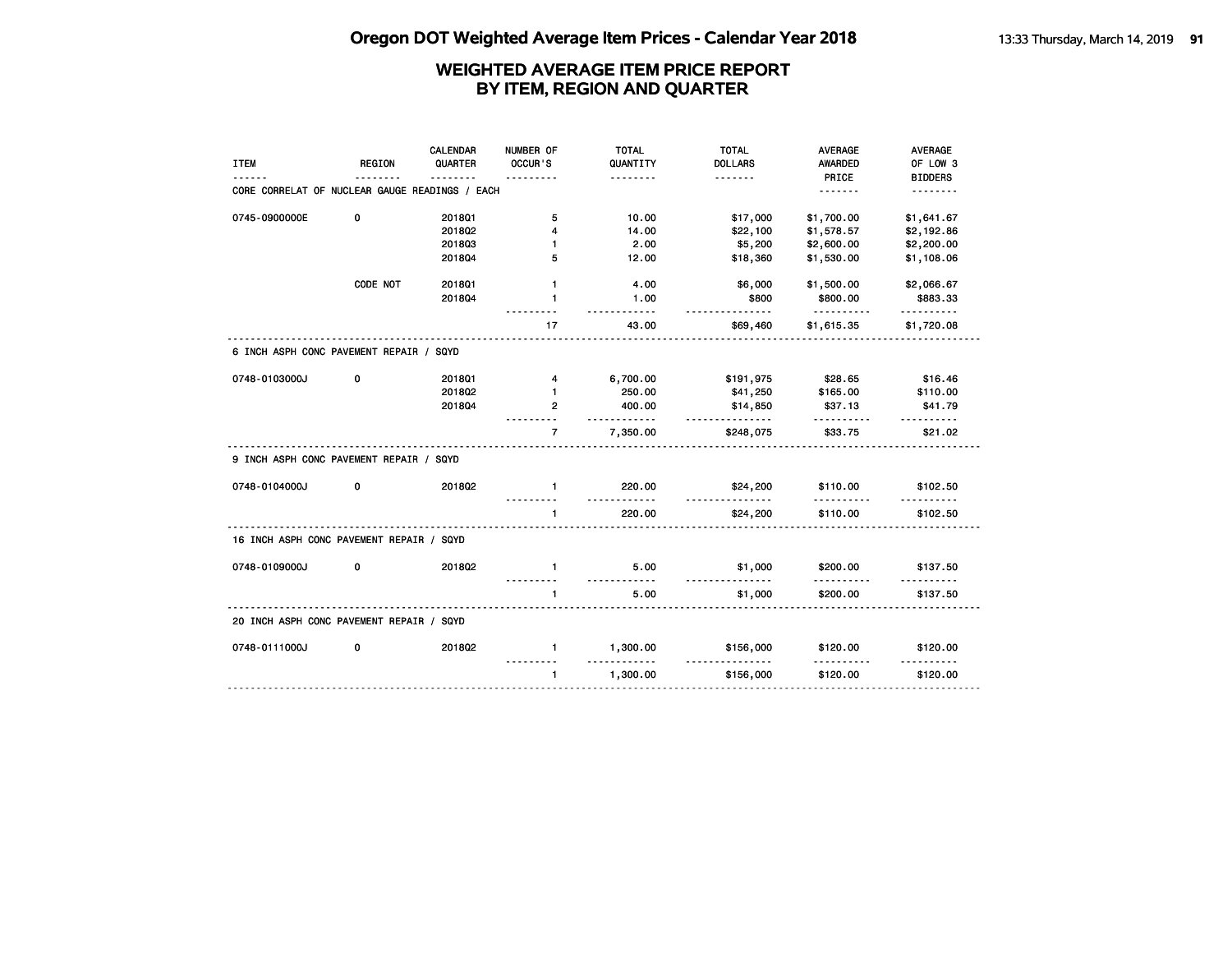|                                                |               | <b>CALENDAR</b> | NUMBER OF      | <b>TOTAL</b>       | <b>TOTAL</b>         | <b>AVERAGE</b>       | <b>AVERAGE</b>       |
|------------------------------------------------|---------------|-----------------|----------------|--------------------|----------------------|----------------------|----------------------|
| <b>ITEM</b>                                    | <b>REGION</b> | QUARTER         | OCCUR'S        | QUANTITY           | <b>DOLLARS</b>       | <b>AWARDED</b>       | OF LOW 3             |
|                                                |               |                 |                | .                  | <u>.</u>             | PRICE                | <b>BIDDERS</b>       |
| CORE CORRELAT OF NUCLEAR GAUGE READINGS / EACH |               |                 |                |                    |                      | <u>.</u>             | <u>.</u>             |
| 0745-0900000E                                  | 0             | 2018Q1          | 5              | 10.00              | \$17,000             | \$1,700.00           | \$1,641.67           |
|                                                |               | 2018Q2          | 4              | 14.00              | \$22,100             | \$1,578.57           | \$2,192.86           |
|                                                |               | 201803          | $\mathbf{1}$   | 2.00               | \$5,200              | \$2,600.00           | \$2,200.00           |
|                                                |               | 201804          | 5              | 12.00              | \$18,360             | \$1,530.00           | \$1,108.06           |
|                                                | CODE NOT      | 201801          | $\mathbf{1}$   | 4.00               | \$6,000              | \$1,500.00           | \$2,066.67           |
|                                                |               | 201804          | $\mathbf{1}$   | 1.00<br>- - - - -  | \$800<br>.           | \$800.00<br><u>.</u> | \$883.33             |
|                                                |               |                 | 17             | 43.00              | \$69,460             | \$1,615.35           | .<br>\$1,720.08      |
| 6 INCH ASPH CONC PAVEMENT REPAIR / SQYD        |               |                 |                |                    |                      |                      |                      |
| 0748-0103000J                                  | 0             | 2018Q1          | 4              | 6,700.00           | \$191,975            | \$28.65              | \$16.46              |
|                                                |               | 201802          | $\mathbf{1}$   | 250.00             | \$41,250             | \$165.00             | \$110.00             |
|                                                |               | 201804          | $\mathbf{2}$   | 400.00<br>.        | \$14,850<br><u>.</u> | \$37.13<br>.         | \$41.79<br><u>.</u>  |
|                                                |               |                 | $\overline{7}$ | 7,350.00           | \$248,075            | \$33.75              | \$21.02              |
| 9 INCH ASPH CONC PAVEMENT REPAIR / SQYD        |               |                 |                |                    |                      |                      |                      |
| 0748-0104000J                                  | 0             | 2018Q2          | $\mathbf{1}$   | 220.00<br><u>.</u> | \$24,200<br>.        | \$110.00             | \$102.50             |
|                                                |               |                 | $\mathbf{1}$   | 220.00             | \$24,200             | \$110.00             | \$102.50             |
| 16 INCH ASPH CONC PAVEMENT REPAIR / SQYD       |               |                 |                |                    |                      |                      |                      |
| 0748-0109000J                                  | 0             | 2018Q2          | $\mathbf{1}$   | 5.00<br>.          | \$1,000<br>.         | \$200.00             | \$137.50             |
|                                                |               |                 |                | 5.00               | \$1,000              | .<br>\$200.00        | <u>.</u><br>\$137.50 |
| 20 INCH ASPH CONC PAVEMENT REPAIR / SQYD       |               |                 |                |                    |                      |                      |                      |
| 0748-0111000J                                  | 0             | 2018Q2          | $\mathbf{1}$   | 1,300.00           | \$156,000            | \$120.00             | \$120.00             |
|                                                |               |                 | $\mathbf{1}$   | 1,300.00           | \$156,000            | \$120.00             | \$120.00             |
|                                                |               |                 |                |                    |                      |                      |                      |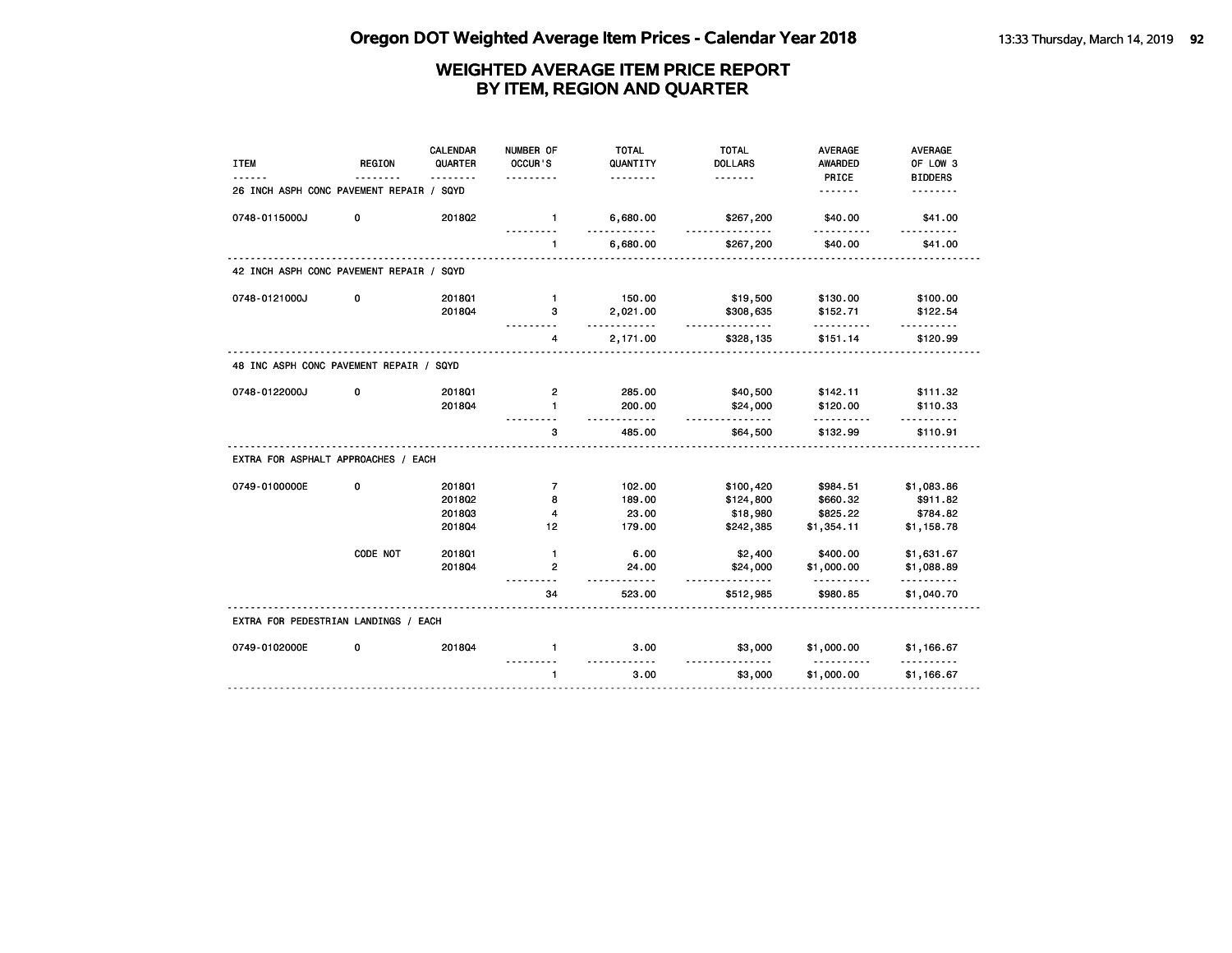| <b>ITEM</b>                              | <b>REGION</b> | CALENDAR<br>QUARTER | NUMBER OF<br>OCCUR'S | <b>TOTAL</b><br>QUANTITY | <b>TOTAL</b><br><b>DOLLARS</b> | <b>AVERAGE</b><br><b>AWARDED</b> | <b>AVERAGE</b><br>OF LOW 3 |
|------------------------------------------|---------------|---------------------|----------------------|--------------------------|--------------------------------|----------------------------------|----------------------------|
|                                          |               |                     |                      | .                        |                                | PRICE                            | <b>BIDDERS</b>             |
| 26 INCH ASPH CONC PAVEMENT REPAIR / SQYD |               |                     |                      |                          |                                | <u>.</u>                         |                            |
| 0748-0115000J                            | 0             | 2018Q2              | $\mathbf{1}$         | 6,680.00                 | \$267,200<br>------            | \$40.00                          | \$41.00                    |
|                                          |               |                     | 1                    | 6,680.00                 | \$267,200                      | \$40.00                          | \$41.00                    |
| 42 INCH ASPH CONC PAVEMENT REPAIR / SQYD |               |                     |                      |                          |                                |                                  |                            |
| 0748-0121000J                            | 0             | 201801              | $\mathbf{1}$         | 150.00                   | \$19,500                       | \$130.00                         | \$100.00                   |
|                                          |               | 201804              | 3                    | 2,021.00<br>$- - - - -$  | \$308,635<br><u>.</u>          | \$152.71                         | \$122.54                   |
|                                          |               |                     | 4                    | 2,171.00                 | \$328,135                      | \$151.14                         | \$120.99                   |
| 48 INC ASPH CONC PAVEMENT REPAIR / SQYD  |               |                     |                      |                          |                                |                                  |                            |
| 0748-0122000J                            | 0             | 2018Q1              | $\overline{2}$       | 285.00                   | \$40,500                       | \$142.11                         | \$111.32                   |
|                                          |               | 201804              | $\mathbf{1}$         | 200.00<br>.              | \$24,000<br>.                  | \$120.00<br>.                    | \$110.33<br>.              |
|                                          |               |                     | 3                    | 485.00                   | \$64,500                       | \$132.99                         | \$110.91                   |
| EXTRA FOR ASPHALT APPROACHES / EACH      |               |                     |                      |                          |                                |                                  |                            |
| 0749-0100000E                            | 0             | 201801              | $\overline{7}$       | 102.00                   | \$100,420                      | \$984.51                         | \$1,083.86                 |
|                                          |               | 201802              | 8                    | 189.00                   | \$124,800                      | \$660.32                         | \$911.82                   |
|                                          |               | 201803              | 4                    | 23.00                    | \$18,980                       | \$825.22                         | \$784.82                   |
|                                          |               | 201804              | 12                   | 179.00                   | \$242,385                      | \$1,354.11                       | \$1,158.78                 |
|                                          | CODE NOT      | 2018Q1              | $\mathbf{1}$         | 6.00                     | \$2,400                        | \$400.00                         | \$1,631.67                 |
|                                          |               | 201804              | $\mathbf{2}$         | 24.00<br><u>.</u>        | \$24,000<br>.                  | \$1,000.00<br>.                  | \$1,088.89<br>.            |
|                                          |               |                     | 34                   | 523.00                   | \$512,985                      | \$980.85                         | \$1,040.70                 |
| EXTRA FOR PEDESTRIAN LANDINGS / EACH     |               |                     |                      |                          |                                |                                  |                            |
| 0749-0102000E                            | 0             | 201804              | $\mathbf{1}$         | 3.00                     | \$3,000                        | \$1,000.00                       | \$1,166.67                 |
|                                          |               |                     | $\mathbf{1}$         | 3.00                     | \$3,000                        | \$1,000.00                       | \$1,166.67                 |
|                                          |               |                     |                      |                          |                                |                                  |                            |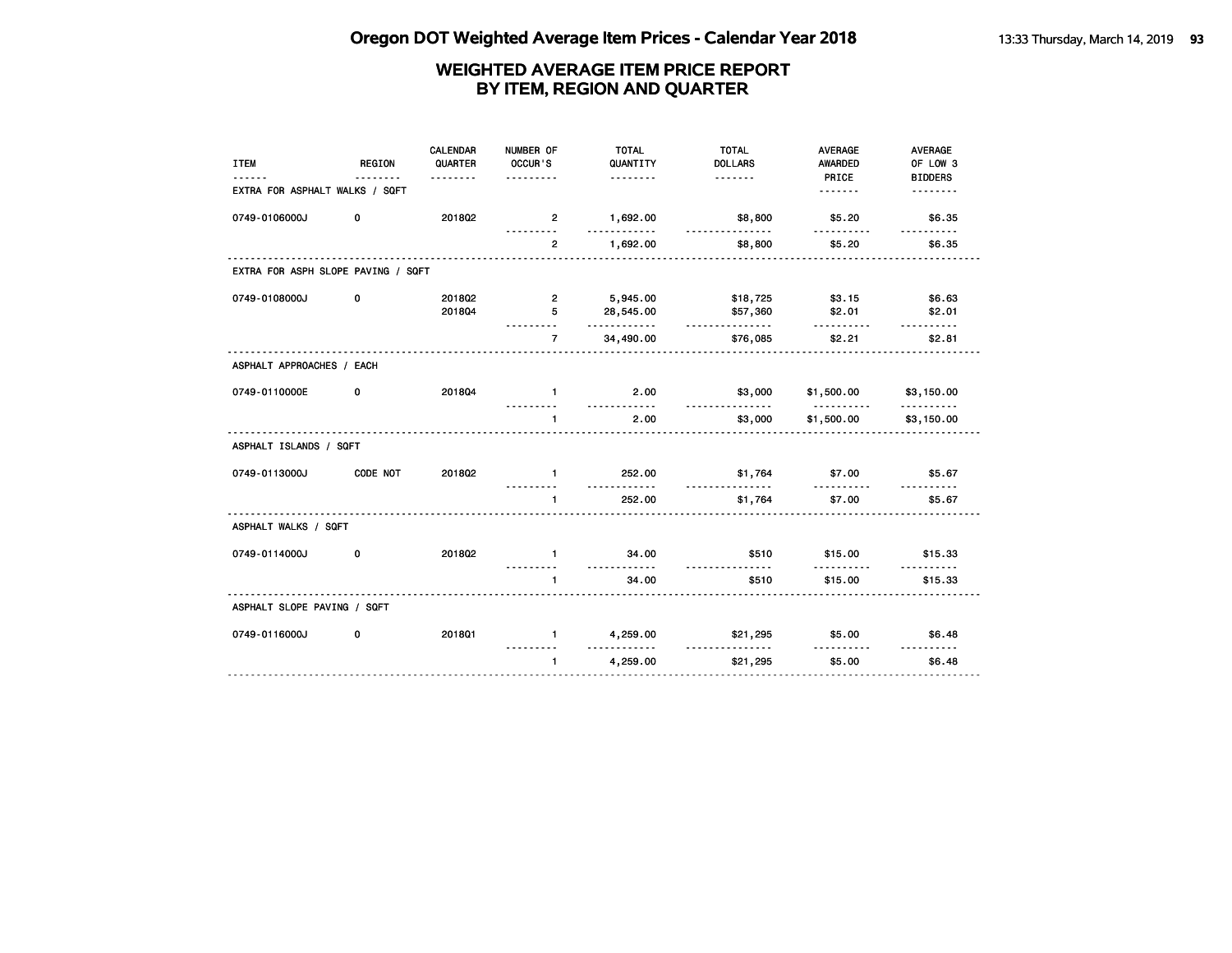| <b>ITEM</b>                        | <b>REGION</b> | <b>CALENDAR</b><br>QUARTER<br><u>.</u> | NUMBER OF<br>OCCUR'S<br>. | <b>TOTAL</b><br>QUANTITY<br><u>.</u> | <b>TOTAL</b><br><b>DOLLARS</b> | <b>AVERAGE</b><br><b>AWARDED</b><br>PRICE | AVERAGE<br>OF LOW 3<br><b>BIDDERS</b> |
|------------------------------------|---------------|----------------------------------------|---------------------------|--------------------------------------|--------------------------------|-------------------------------------------|---------------------------------------|
| EXTRA FOR ASPHALT WALKS / SQFT     |               |                                        |                           |                                      |                                | .                                         | <u>.</u>                              |
| 0749-0106000J                      | 0             | 2018Q2                                 | $\overline{2}$            | 1,692.00<br>.                        | \$8,800<br>.                   | \$5.20<br>----------                      | \$6.35<br>.                           |
|                                    |               |                                        | $\overline{2}$            | 1,692.00                             | \$8,800                        | \$5.20                                    | \$6.35                                |
| EXTRA FOR ASPH SLOPE PAVING / SQFT |               |                                        |                           |                                      |                                |                                           |                                       |
| 0749-0108000J                      | 0             | 2018Q2                                 | $\overline{2}$            | 5,945.00                             | \$18,725                       | \$3.15                                    | \$6.63                                |
|                                    |               | 201804                                 | 5<br>.                    | 28,545.00<br>.                       | \$57,360<br><u>.</u>           | \$2.01<br>.                               | \$2.01<br>.                           |
|                                    |               |                                        | $\overline{7}$            | 34,490.00                            | \$76,085                       | \$2.21                                    | \$2.81                                |
| ASPHALT APPROACHES / EACH          |               |                                        |                           |                                      |                                |                                           |                                       |
| 0749-0110000E                      | 0             | 201804                                 | $\mathbf{1}$              | 2.00<br><u>----------</u>            | \$3,000<br><u>.</u>            | \$1,500.00                                | \$3,150.00                            |
|                                    |               |                                        | $\mathbf{1}$              | 2.00                                 | \$3,000                        | \$1,500.00                                | \$3,150.00                            |
| ASPHALT ISLANDS / SQFT             |               |                                        |                           |                                      |                                |                                           |                                       |
| 0749-0113000J                      | CODE NOT      | 2018Q2                                 | $\mathbf{1}$              | 252.00<br><u>.</u>                   | \$1,764<br>.                   | \$7.00<br><u>.</u>                        | \$5.67                                |
|                                    |               |                                        | $\mathbf{1}$              | 252.00                               | \$1,764                        | \$7.00                                    | \$5.67                                |
| ASPHALT WALKS / SQFT               |               |                                        |                           |                                      |                                |                                           |                                       |
| 0749-0114000J                      | 0             | 2018Q2                                 | $\blacksquare$            | 34.00<br><u>.</u>                    | \$510                          | \$15.00                                   | \$15.33                               |
|                                    |               |                                        | $\blacksquare$            | 34.00                                | \$510                          | \$15.00                                   | \$15.33                               |
| ASPHALT SLOPE PAVING / SQFT        |               |                                        |                           |                                      |                                |                                           |                                       |
| 0749-0116000J                      | 0             | 201801                                 | $\mathbf{1}$              | 4,259.00<br>. <b>.</b>               | \$21,295<br><u>.</u>           | \$5.00                                    | \$6.48<br><u>.</u>                    |
|                                    |               |                                        | $\mathbf{1}$              | 4,259.00                             | \$21,295                       | \$5.00                                    | \$6.48                                |
|                                    |               |                                        |                           |                                      |                                |                                           |                                       |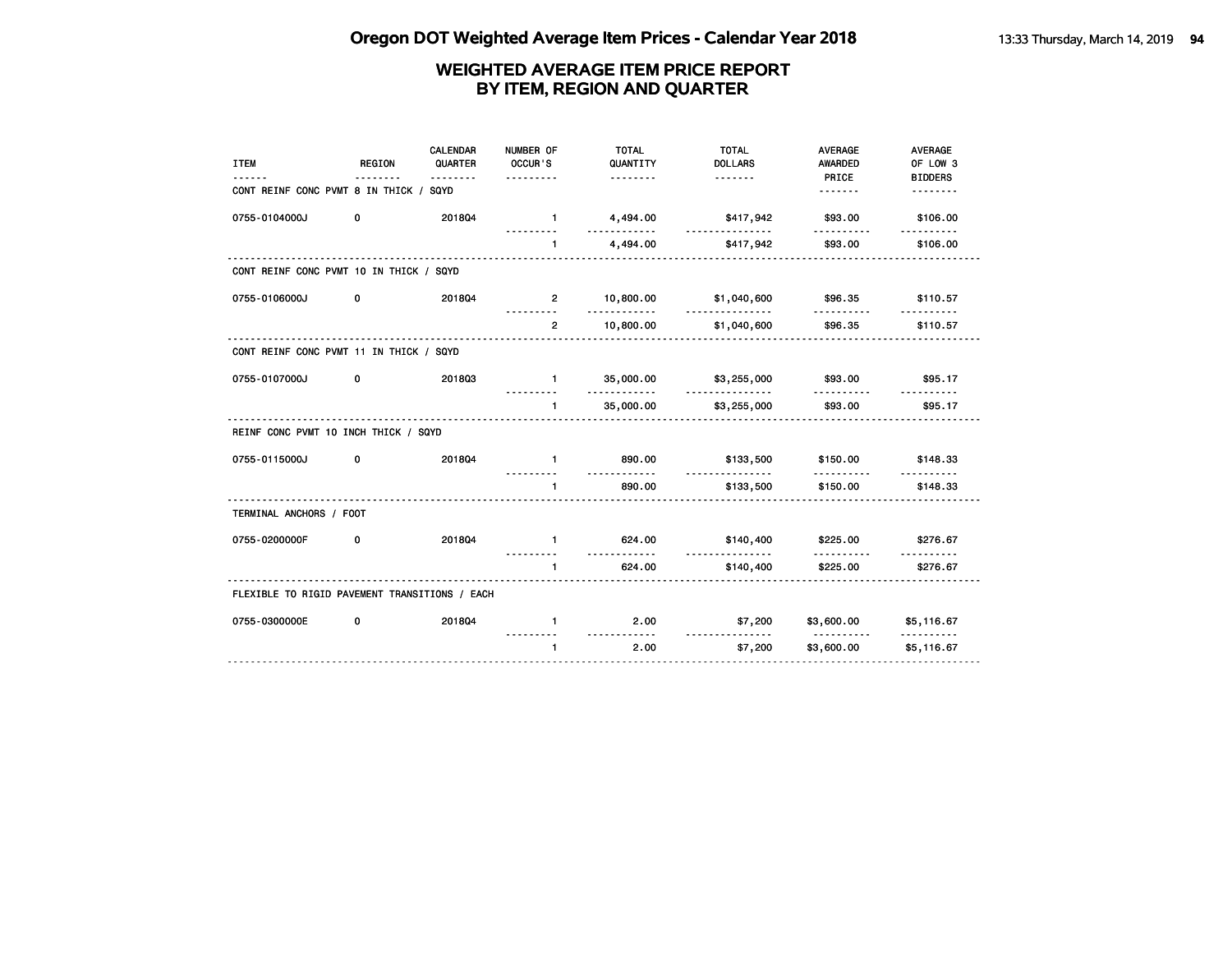| <b>ITEM</b>                                   | <b>REGION</b> | CALENDAR<br>QUARTER<br><u>.</u> | NUMBER OF<br>OCCUR'S<br>. | <b>TOTAL</b><br>QUANTITY<br><u>.</u> | <b>TOTAL</b><br><b>DOLLARS</b> | <b>AVERAGE</b><br><b>AWARDED</b><br>PRICE              | <b>AVERAGE</b><br>OF LOW 3<br><b>BIDDERS</b> |
|-----------------------------------------------|---------------|---------------------------------|---------------------------|--------------------------------------|--------------------------------|--------------------------------------------------------|----------------------------------------------|
| CONT REINF CONC PVMT 8 IN THICK / SQYD        |               |                                 |                           |                                      |                                | <u>.</u>                                               | --------                                     |
| 0755-0104000J                                 | 0             | 201804                          | $\sim$ 1                  | 4,494.00<br>.                        | \$417,942<br><u>.</u>          | \$93.00                                                | \$106.00                                     |
|                                               |               |                                 | $\mathbf{1}$              | 4,494.00                             | \$417,942                      | \$93.00                                                | \$106.00                                     |
| CONT REINF CONC PVMT 10 IN THICK / SQYD       |               |                                 |                           |                                      |                                |                                                        |                                              |
| 0755-0106000J                                 | 0             | 201804                          | $\overline{2}$            | 10,800.00<br><u>.</u>                | \$1,040,600                    | \$96.35<br>.                                           | \$110.57                                     |
|                                               |               |                                 | $\overline{2}$            | 10,800.00                            | .<br>\$1,040,600               | \$96.35                                                | \$110.57                                     |
| CONT REINF CONC PVMT 11 IN THICK / SQYD       |               |                                 |                           |                                      |                                |                                                        |                                              |
| 0755-0107000J                                 | 0             | 201803                          | $1 -$                     | 35,000.00<br>.                       | \$3,255,000<br><u>.</u>        | \$93.00<br>.                                           | \$95.17<br>.                                 |
|                                               |               |                                 | $\mathbf{1}$              | 35,000.00                            | \$3,255,000                    | \$93.00                                                | \$95.17                                      |
| REINF CONC PVMT 10 INCH THICK / SQYD          |               |                                 |                           |                                      |                                |                                                        |                                              |
| 0755-0115000J                                 | 0             | 201804                          | $\blacksquare$            | 890.00<br>$- - - - - - -$            | \$133,500                      | \$150.00                                               | \$148.33                                     |
|                                               |               |                                 | $\mathbf{1}$              | 890.00                               | .<br>\$133,500                 | <u>.</u><br>\$150.00                                   | \$148.33                                     |
| TERMINAL ANCHORS / FOOT                       |               |                                 |                           |                                      |                                |                                                        |                                              |
| 0755-0200000F                                 | 0             | 201804                          | $\blacksquare$            | 624.00                               | \$140,400                      | \$225,00                                               | \$276.67                                     |
|                                               |               |                                 | $\mathbf{1}$<br>.         | .<br>624.00<br><u>.</u> .            | .<br>\$140,400                 | \$225.00                                               | \$276.67                                     |
| FLEXIBLE TO RIGID PAVEMENT TRANSITIONS / EACH |               |                                 |                           |                                      |                                |                                                        |                                              |
| 0755-0300000E                                 | 0             | 201804                          | $\mathbf{1}$              | 2.00<br>.                            | \$7,200<br><u>.</u>            | $$3,600.00$ $$5,116.67$<br><u> - - - - - - - - - -</u> | .                                            |
|                                               |               |                                 | $\mathbf{1}$              | 2.00                                 | \$7,200                        | \$3,600.00                                             | \$5,116.67                                   |
|                                               |               |                                 |                           |                                      |                                |                                                        |                                              |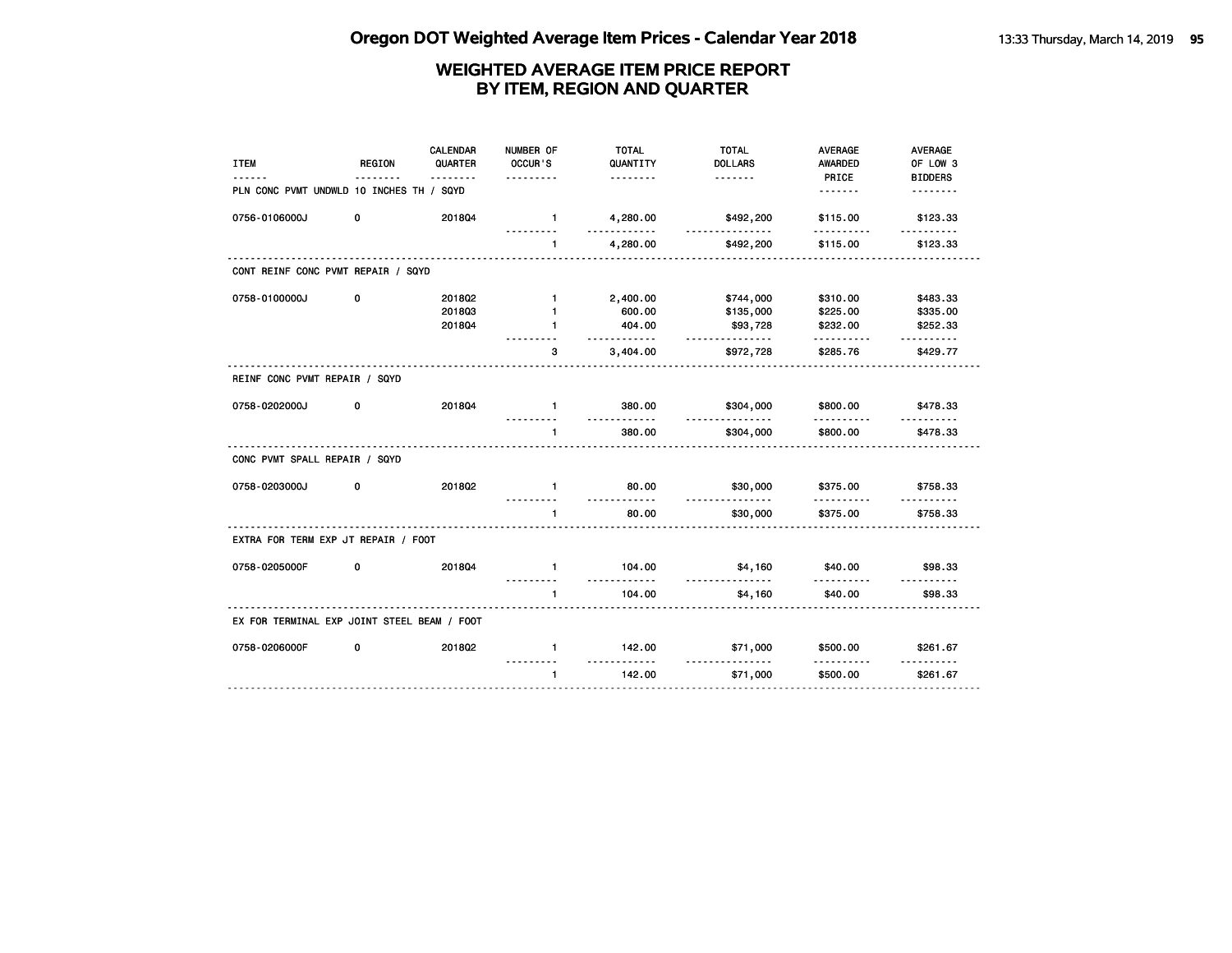| <b>ITEM</b>                                 | <b>REGION</b> | CALENDAR<br>QUARTER<br>$- - - - -$ | NUMBER OF<br>OCCUR'S<br>---------     | <b>TOTAL</b><br>QUANTITY<br>. | <b>TOTAL</b><br><b>DOLLARS</b> | <b>AVERAGE</b><br><b>AWARDED</b><br>PRICE | <b>AVERAGE</b><br>OF LOW 3<br><b>BIDDERS</b> |
|---------------------------------------------|---------------|------------------------------------|---------------------------------------|-------------------------------|--------------------------------|-------------------------------------------|----------------------------------------------|
| PLN CONC PVMT UNDWLD 10 INCHES TH / SQYD    |               |                                    |                                       |                               |                                | <u>.</u>                                  | <u>.</u>                                     |
| 0756-0106000J                               | 0             | 201804                             | $\mathbf{1}$                          | 4,280.00                      | \$492,200                      | \$115.00<br>.                             | \$123.33<br>.                                |
|                                             |               |                                    | $\mathbf{1}$                          | 4,280.00                      | \$492,200                      | \$115.00                                  | \$123.33                                     |
| CONT REINF CONC PVMT REPAIR / SQYD          |               |                                    |                                       |                               |                                |                                           |                                              |
| 0758-0100000J                               | 0             | 201802                             | $\mathbf{1}$                          | 2,400.00                      | \$744,000                      | \$310.00                                  | \$483.33                                     |
|                                             |               | 201803                             | $\mathbf{1}$                          | 600.00                        | \$135,000                      | \$225.00                                  | \$335.00                                     |
|                                             |               | 201804                             | $\blacksquare$                        | 404.00<br>.                   | \$93,728<br>.                  | \$232.00                                  | \$252.33<br><u>.</u>                         |
|                                             |               |                                    | з                                     | 3,404.00                      | \$972,728                      | \$285.76                                  | \$429.77                                     |
| REINF CONC PVMT REPAIR / SQYD               |               |                                    |                                       |                               |                                |                                           |                                              |
| 0758-0202000J                               | 0             | 201804                             | $\mathbf{1}$                          | 380.00<br><u>.</u>            | \$304,000<br><u>.</u>          | \$800.00<br><u>.</u>                      | \$478.33                                     |
|                                             |               |                                    | 1                                     | 380.00                        | \$304,000                      | \$800.00                                  | \$478.33                                     |
| CONC PVMT SPALL REPAIR / SQYD               |               |                                    |                                       |                               |                                |                                           |                                              |
| 0758-0203000J                               | 0             | 201802                             | $\mathbf{1}$                          | 80.00                         | \$30,000                       | \$375.00                                  | \$758.33                                     |
|                                             |               |                                    | $\mathbf{1}$                          | <u>.</u><br>80.00             | <u>.</u><br>\$30,000           | \$375.00                                  | \$758.33                                     |
| EXTRA FOR TERM EXP JT REPAIR / FOOT         |               |                                    |                                       |                               |                                |                                           |                                              |
| 0758-0205000F                               | 0             | 201804                             | $\mathbf{1}$                          | 104.00                        | \$4,160                        | \$40.00                                   | \$98.33                                      |
|                                             |               |                                    | 1                                     | .<br>104.00                   | .<br>\$4,160                   | .<br>\$40.00                              | <u>.</u><br>\$98.33                          |
| EX FOR TERMINAL EXP JOINT STEEL BEAM / FOOT |               |                                    |                                       |                               |                                |                                           |                                              |
| 0758-0206000F                               | 0             | 2018Q2                             | $\mathbf{1}$                          | 142.00                        | \$71,000                       | \$500.00                                  | \$261.67                                     |
|                                             |               |                                    | $\mathbf{1}$                          | <u>.</u><br>142.00            | \$71,000                       | \$500.00                                  | \$261.67                                     |
|                                             |               |                                    | _____________________________________ |                               |                                |                                           |                                              |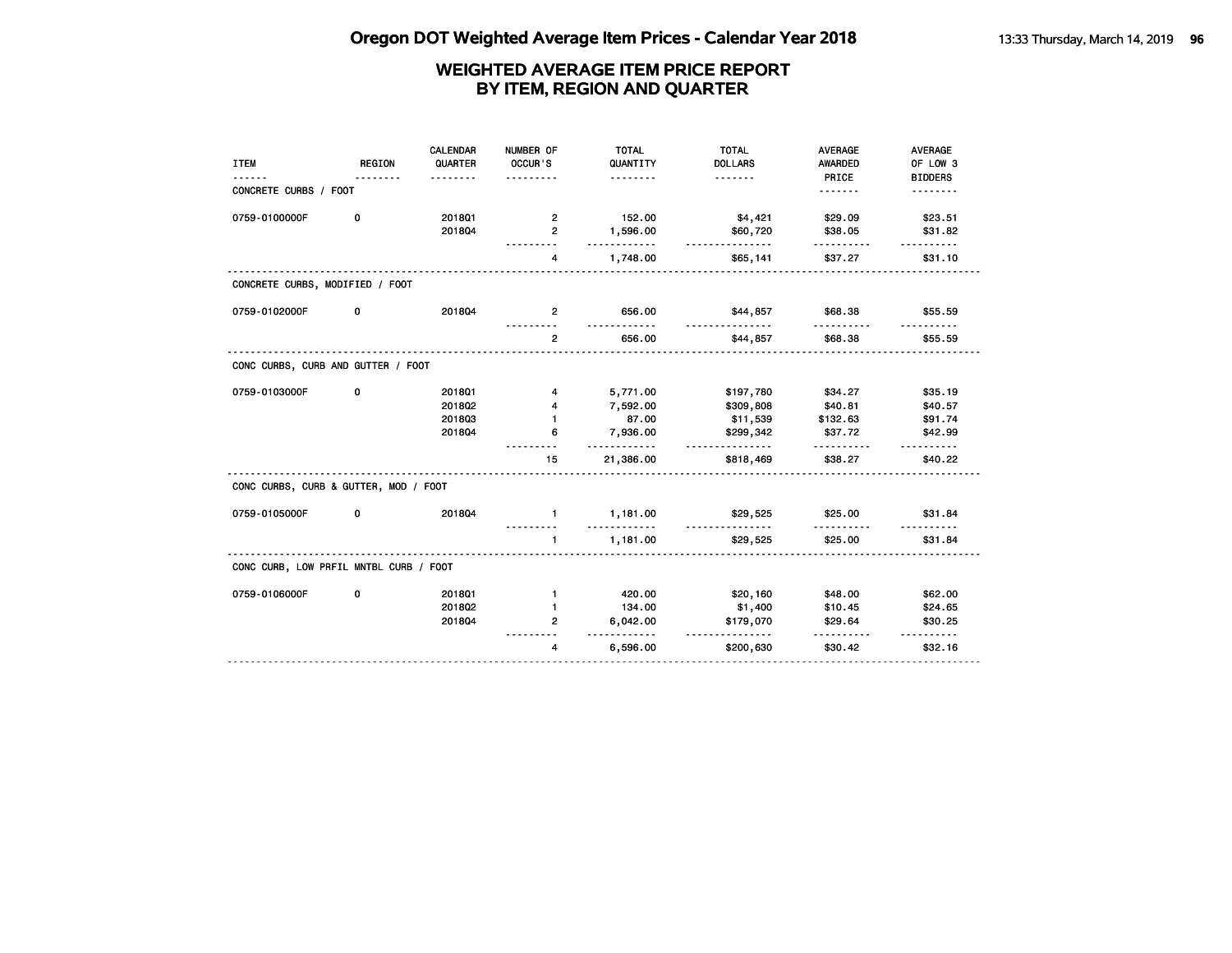| <b>ITEM</b>                            | <b>REGION</b> | <b>CALENDAR</b><br>QUARTER | NUMBER OF<br>OCCUR'S | <b>TOTAL</b><br>QUANTITY | <b>TOTAL</b><br><b>DOLLARS</b> | <b>AVERAGE</b><br><b>AWARDED</b> | <b>AVERAGE</b><br>OF LOW 3 |
|----------------------------------------|---------------|----------------------------|----------------------|--------------------------|--------------------------------|----------------------------------|----------------------------|
|                                        |               | .                          | . <u>.</u>           | <u>.</u>                 | .                              | PRICE                            | <b>BIDDERS</b>             |
| CONCRETE CURBS / FOOT                  |               |                            |                      |                          |                                | .                                | <u>.</u>                   |
| 0759-0100000F                          | 0             | 2018Q1                     | 2                    | 152.00                   | \$4,421                        | \$29.09                          | \$23.51                    |
|                                        |               | 201804                     | $\overline{2}$       | 1,596.00<br>.            | \$60,720<br><u>.</u>           | \$38.05                          | \$31.82                    |
|                                        |               |                            | 4                    | 1,748.00                 | \$65,141                       | \$37.27                          | \$31.10                    |
| CONCRETE CURBS, MODIFIED / FOOT        |               |                            |                      |                          |                                |                                  |                            |
| 0759-0102000F                          | 0             | 201804                     | $\overline{2}$       | 656.00<br>- - - -        | \$44,857                       | \$68.38<br>.                     | \$55.59                    |
|                                        |               |                            | $\overline{2}$       | 656.00                   | \$44,857                       | \$68.38                          | \$55.59                    |
| CONC CURBS, CURB AND GUTTER / FOOT     |               |                            |                      |                          |                                |                                  |                            |
| 0759-0103000F                          | 0             | 201801                     | 4                    | 5,771.00                 | \$197,780                      | \$34.27                          | \$35.19                    |
|                                        |               | 2018Q2                     | 4                    | 7,592.00                 | \$309,808                      | \$40.81                          | \$40.57                    |
|                                        |               | 201803                     | $\mathbf{1}$         | 87.00                    | \$11,539                       | \$132.63                         | \$91.74                    |
|                                        |               | 201804                     | 6                    | 7,936.00<br>.            | \$299,342<br><u>.</u>          | \$37.72<br><u>.</u>              | \$42.99<br><u>.</u>        |
|                                        |               |                            | 15                   | 21,386.00                | \$818,469                      | \$38.27                          | \$40.22                    |
| CONC CURBS, CURB & GUTTER, MOD / FOOT  |               |                            |                      |                          |                                |                                  |                            |
| 0759-0105000F                          | 0             | 201804                     | $\mathbf{1}$         | 1,181.00<br>.            | \$29,525                       | \$25.00                          | \$31.84                    |
|                                        |               |                            | $\mathbf{1}$         | 1,181.00                 | \$29,525                       | \$25.00                          | \$31.84                    |
| CONC CURB, LOW PRFIL MNTBL CURB / FOOT |               |                            |                      |                          |                                |                                  |                            |
| 0759-0106000F                          | 0             | 2018Q1                     | $\mathbf{1}$         | 420.00                   | \$20,160                       | \$48.00                          | \$62.00                    |
|                                        |               | 2018Q2                     | 1                    | 134.00                   | \$1,400                        | \$10.45                          | \$24.65                    |
|                                        |               | 201804                     | 2                    | 6,042.00<br>.            | \$179,070<br><u>.</u>          | \$29.64                          | \$30.25<br>.               |
|                                        |               |                            | 4                    | 6,596.00                 | \$200,630                      | \$30.42                          | \$32.16                    |
|                                        |               |                            |                      |                          |                                |                                  |                            |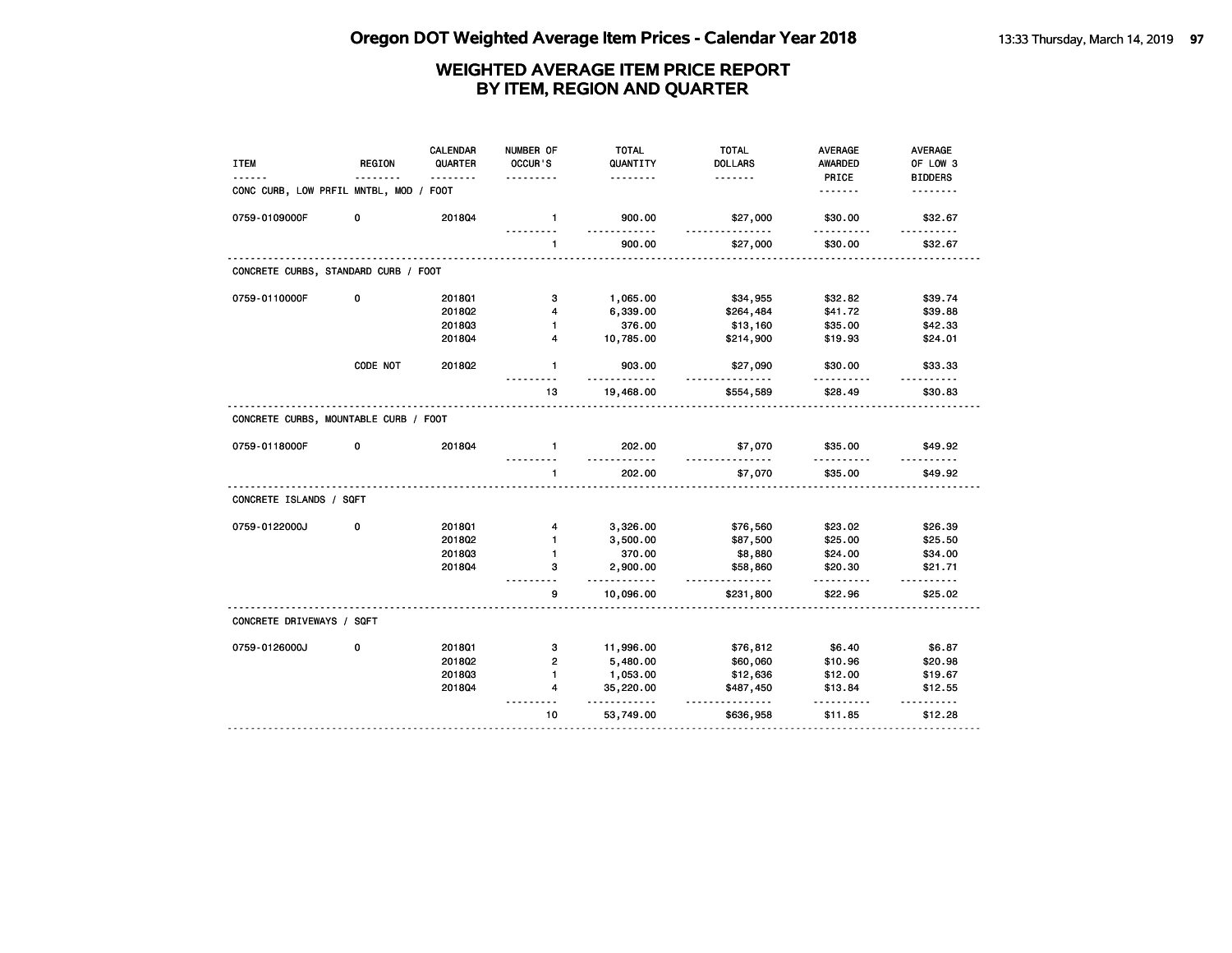| PRICE<br><b>BIDDERS</b><br>.<br><u>.</u><br>.<br>CONC CURB, LOW PRFIL MNTBL, MOD / FOOT<br>.<br>.<br>0759-0109000F<br>0<br>201804<br>$\mathbf{1}$<br>900.00<br>\$27,000<br>\$30.00<br>\$32.67<br>900.00<br>\$30.00<br>\$32.67<br>$\mathbf{1}$<br>\$27,000<br>CONCRETE CURBS, STANDARD CURB / FOOT<br>0759-0110000F<br>0<br>201801<br>з<br>1,065.00<br>\$34,955<br>\$32.82<br>\$39.74<br>201802<br>6,339.00<br>\$41.72<br>\$39.88<br>4<br>\$264,484<br>201803<br>376.00<br>\$35.00<br>\$42.33<br>$\blacksquare$<br>\$13,160<br>10,785.00<br>2018Q4<br>4<br>\$214,900<br>\$19.93<br>\$24.01<br>CODE NOT<br>2018Q2<br>$\mathbf{1}$<br>903.00<br>\$27,090<br>\$30.00<br>\$33.33<br>----<br>13<br>19,468.00<br>\$28.49<br>\$30.83<br>\$554,589<br>CONCRETE CURBS, MOUNTABLE CURB / FOOT<br>201804<br>202.00<br>0759-0118000F<br>0<br>\$7,070<br>\$35.00<br>\$49.92<br>$\mathbf{1}$<br>$- - - - - -$<br>$- - - - - -$<br>202.00<br>\$7,070<br>\$35.00<br>\$49.92<br>$\mathbf{1}$<br>CONCRETE ISLANDS / SQFT<br>0759-0122000J<br>0<br>\$23.02<br>\$26.39<br>201801<br>3,326.00<br>\$76,560<br>4<br>2018Q2<br>$\mathbf{1}$<br>3,500.00<br>\$87,500<br>\$25.00<br>\$25.50<br>201803<br>370.00<br>\$8,880<br>1<br>\$24.00<br>\$34.00<br>з<br>2,900.00<br>\$58,860<br>\$20.30<br>\$21.71<br>2018Q4<br>.<br>.<br>.<br>$- - - - - -$<br>9<br>\$22.96<br>10,096.00<br>\$231,800<br>\$25.02<br>CONCRETE DRIVEWAYS / SQFT<br>0759-0126000J<br>0<br>201801<br>з<br>11,996.00<br>\$76,812<br>\$6.40<br>\$6.87<br>$\overline{2}$<br>201802<br>5,480.00<br>\$60,060<br>\$10.96<br>\$20.98<br>1<br>201803<br>1,053.00<br>\$12,636<br>\$12.00<br>\$19.67<br>201804<br>4<br>35,220.00<br>\$487,450<br>\$13.84<br>\$12.55 | <b>ITEM</b> | <b>REGION</b> | <b>CALENDAR</b><br>QUARTER | NUMBER OF<br>OCCUR'S | <b>TOTAL</b><br>QUANTITY | <b>TOTAL</b><br><b>DOLLARS</b> | <b>AVERAGE</b><br>AWARDED | <b>AVERAGE</b><br>OF LOW 3 |
|---------------------------------------------------------------------------------------------------------------------------------------------------------------------------------------------------------------------------------------------------------------------------------------------------------------------------------------------------------------------------------------------------------------------------------------------------------------------------------------------------------------------------------------------------------------------------------------------------------------------------------------------------------------------------------------------------------------------------------------------------------------------------------------------------------------------------------------------------------------------------------------------------------------------------------------------------------------------------------------------------------------------------------------------------------------------------------------------------------------------------------------------------------------------------------------------------------------------------------------------------------------------------------------------------------------------------------------------------------------------------------------------------------------------------------------------------------------------------------------------------------------------------------------------------------------------------------------------------------------------------------------------------------------------------------------------------|-------------|---------------|----------------------------|----------------------|--------------------------|--------------------------------|---------------------------|----------------------------|
|                                                                                                                                                                                                                                                                                                                                                                                                                                                                                                                                                                                                                                                                                                                                                                                                                                                                                                                                                                                                                                                                                                                                                                                                                                                                                                                                                                                                                                                                                                                                                                                                                                                                                                   |             |               |                            |                      |                          |                                |                           |                            |
|                                                                                                                                                                                                                                                                                                                                                                                                                                                                                                                                                                                                                                                                                                                                                                                                                                                                                                                                                                                                                                                                                                                                                                                                                                                                                                                                                                                                                                                                                                                                                                                                                                                                                                   |             |               |                            |                      |                          |                                |                           |                            |
|                                                                                                                                                                                                                                                                                                                                                                                                                                                                                                                                                                                                                                                                                                                                                                                                                                                                                                                                                                                                                                                                                                                                                                                                                                                                                                                                                                                                                                                                                                                                                                                                                                                                                                   |             |               |                            |                      |                          |                                |                           |                            |
|                                                                                                                                                                                                                                                                                                                                                                                                                                                                                                                                                                                                                                                                                                                                                                                                                                                                                                                                                                                                                                                                                                                                                                                                                                                                                                                                                                                                                                                                                                                                                                                                                                                                                                   |             |               |                            |                      |                          |                                |                           |                            |
|                                                                                                                                                                                                                                                                                                                                                                                                                                                                                                                                                                                                                                                                                                                                                                                                                                                                                                                                                                                                                                                                                                                                                                                                                                                                                                                                                                                                                                                                                                                                                                                                                                                                                                   |             |               |                            |                      |                          |                                |                           |                            |
|                                                                                                                                                                                                                                                                                                                                                                                                                                                                                                                                                                                                                                                                                                                                                                                                                                                                                                                                                                                                                                                                                                                                                                                                                                                                                                                                                                                                                                                                                                                                                                                                                                                                                                   |             |               |                            |                      |                          |                                |                           |                            |
|                                                                                                                                                                                                                                                                                                                                                                                                                                                                                                                                                                                                                                                                                                                                                                                                                                                                                                                                                                                                                                                                                                                                                                                                                                                                                                                                                                                                                                                                                                                                                                                                                                                                                                   |             |               |                            |                      |                          |                                |                           |                            |
|                                                                                                                                                                                                                                                                                                                                                                                                                                                                                                                                                                                                                                                                                                                                                                                                                                                                                                                                                                                                                                                                                                                                                                                                                                                                                                                                                                                                                                                                                                                                                                                                                                                                                                   |             |               |                            |                      |                          |                                |                           |                            |
|                                                                                                                                                                                                                                                                                                                                                                                                                                                                                                                                                                                                                                                                                                                                                                                                                                                                                                                                                                                                                                                                                                                                                                                                                                                                                                                                                                                                                                                                                                                                                                                                                                                                                                   |             |               |                            |                      |                          |                                |                           |                            |
|                                                                                                                                                                                                                                                                                                                                                                                                                                                                                                                                                                                                                                                                                                                                                                                                                                                                                                                                                                                                                                                                                                                                                                                                                                                                                                                                                                                                                                                                                                                                                                                                                                                                                                   |             |               |                            |                      |                          |                                |                           |                            |
|                                                                                                                                                                                                                                                                                                                                                                                                                                                                                                                                                                                                                                                                                                                                                                                                                                                                                                                                                                                                                                                                                                                                                                                                                                                                                                                                                                                                                                                                                                                                                                                                                                                                                                   |             |               |                            |                      |                          |                                |                           |                            |
|                                                                                                                                                                                                                                                                                                                                                                                                                                                                                                                                                                                                                                                                                                                                                                                                                                                                                                                                                                                                                                                                                                                                                                                                                                                                                                                                                                                                                                                                                                                                                                                                                                                                                                   |             |               |                            |                      |                          |                                |                           |                            |
|                                                                                                                                                                                                                                                                                                                                                                                                                                                                                                                                                                                                                                                                                                                                                                                                                                                                                                                                                                                                                                                                                                                                                                                                                                                                                                                                                                                                                                                                                                                                                                                                                                                                                                   |             |               |                            |                      |                          |                                |                           |                            |
|                                                                                                                                                                                                                                                                                                                                                                                                                                                                                                                                                                                                                                                                                                                                                                                                                                                                                                                                                                                                                                                                                                                                                                                                                                                                                                                                                                                                                                                                                                                                                                                                                                                                                                   |             |               |                            |                      |                          |                                |                           |                            |
|                                                                                                                                                                                                                                                                                                                                                                                                                                                                                                                                                                                                                                                                                                                                                                                                                                                                                                                                                                                                                                                                                                                                                                                                                                                                                                                                                                                                                                                                                                                                                                                                                                                                                                   |             |               |                            |                      |                          |                                |                           |                            |
|                                                                                                                                                                                                                                                                                                                                                                                                                                                                                                                                                                                                                                                                                                                                                                                                                                                                                                                                                                                                                                                                                                                                                                                                                                                                                                                                                                                                                                                                                                                                                                                                                                                                                                   |             |               |                            |                      |                          |                                |                           |                            |
|                                                                                                                                                                                                                                                                                                                                                                                                                                                                                                                                                                                                                                                                                                                                                                                                                                                                                                                                                                                                                                                                                                                                                                                                                                                                                                                                                                                                                                                                                                                                                                                                                                                                                                   |             |               |                            |                      |                          |                                |                           |                            |
|                                                                                                                                                                                                                                                                                                                                                                                                                                                                                                                                                                                                                                                                                                                                                                                                                                                                                                                                                                                                                                                                                                                                                                                                                                                                                                                                                                                                                                                                                                                                                                                                                                                                                                   |             |               |                            |                      |                          |                                |                           |                            |
|                                                                                                                                                                                                                                                                                                                                                                                                                                                                                                                                                                                                                                                                                                                                                                                                                                                                                                                                                                                                                                                                                                                                                                                                                                                                                                                                                                                                                                                                                                                                                                                                                                                                                                   |             |               |                            |                      |                          |                                |                           |                            |
|                                                                                                                                                                                                                                                                                                                                                                                                                                                                                                                                                                                                                                                                                                                                                                                                                                                                                                                                                                                                                                                                                                                                                                                                                                                                                                                                                                                                                                                                                                                                                                                                                                                                                                   |             |               |                            |                      |                          |                                |                           |                            |
|                                                                                                                                                                                                                                                                                                                                                                                                                                                                                                                                                                                                                                                                                                                                                                                                                                                                                                                                                                                                                                                                                                                                                                                                                                                                                                                                                                                                                                                                                                                                                                                                                                                                                                   |             |               |                            |                      |                          |                                |                           |                            |
|                                                                                                                                                                                                                                                                                                                                                                                                                                                                                                                                                                                                                                                                                                                                                                                                                                                                                                                                                                                                                                                                                                                                                                                                                                                                                                                                                                                                                                                                                                                                                                                                                                                                                                   |             |               |                            |                      |                          |                                |                           |                            |
|                                                                                                                                                                                                                                                                                                                                                                                                                                                                                                                                                                                                                                                                                                                                                                                                                                                                                                                                                                                                                                                                                                                                                                                                                                                                                                                                                                                                                                                                                                                                                                                                                                                                                                   |             |               |                            |                      |                          |                                |                           |                            |
|                                                                                                                                                                                                                                                                                                                                                                                                                                                                                                                                                                                                                                                                                                                                                                                                                                                                                                                                                                                                                                                                                                                                                                                                                                                                                                                                                                                                                                                                                                                                                                                                                                                                                                   |             |               |                            |                      |                          |                                |                           |                            |
|                                                                                                                                                                                                                                                                                                                                                                                                                                                                                                                                                                                                                                                                                                                                                                                                                                                                                                                                                                                                                                                                                                                                                                                                                                                                                                                                                                                                                                                                                                                                                                                                                                                                                                   |             |               |                            |                      |                          |                                |                           |                            |
| 10<br>53,749.00<br>\$11.85<br>\$12.28<br>\$636,958                                                                                                                                                                                                                                                                                                                                                                                                                                                                                                                                                                                                                                                                                                                                                                                                                                                                                                                                                                                                                                                                                                                                                                                                                                                                                                                                                                                                                                                                                                                                                                                                                                                |             |               |                            |                      | $- - -$                  | $- - - -$                      |                           |                            |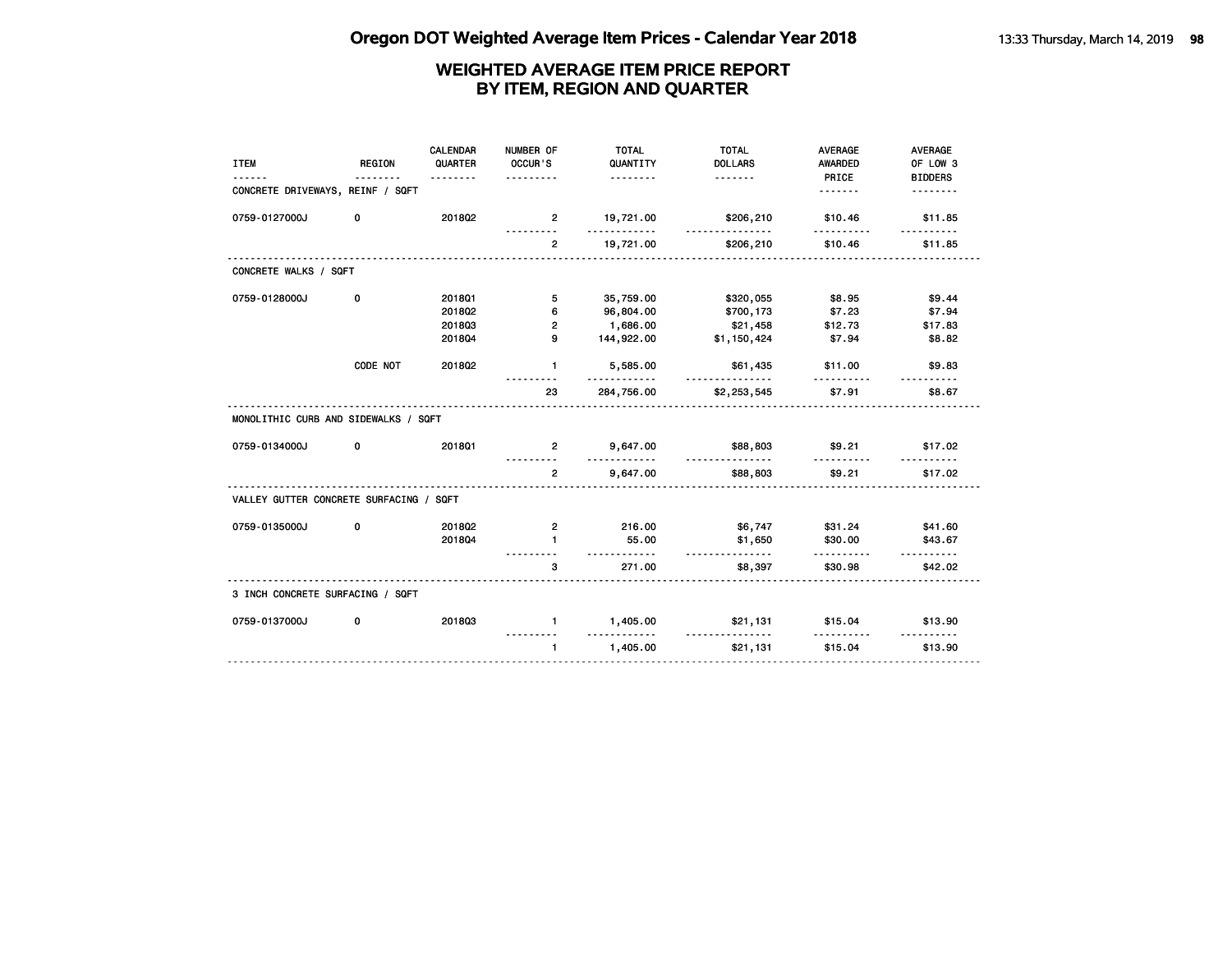| <b>ITEM</b>                             | REGION   | <b>CALENDAR</b><br>QUARTER<br>. | NUMBER OF<br>OCCUR'S<br>. | <b>TOTAL</b><br>QUANTITY<br><u>.</u> | <b>TOTAL</b><br><b>DOLLARS</b> | <b>AVERAGE</b><br>AWARDED<br>PRICE | <b>AVERAGE</b><br>OF LOW 3<br><b>BIDDERS</b> |
|-----------------------------------------|----------|---------------------------------|---------------------------|--------------------------------------|--------------------------------|------------------------------------|----------------------------------------------|
| CONCRETE DRIVEWAYS, REINF / SQFT        |          |                                 |                           |                                      |                                | .                                  | <u>.</u>                                     |
| 0759-0127000J                           | 0        | 201802                          | $\overline{2}$            | 19,721.00<br>.                       | \$206,210<br>.                 | \$10.46<br>. . <b>.</b>            | \$11.85                                      |
|                                         |          |                                 | $\overline{2}$            | 19,721.00                            | \$206,210                      | \$10.46                            | \$11.85                                      |
| CONCRETE WALKS / SQFT                   |          |                                 |                           |                                      |                                |                                    |                                              |
| 0759-0128000J                           | 0        | 2018Q1                          | 5                         | 35,759.00                            | \$320,055                      | \$8.95                             | \$9.44                                       |
|                                         |          | 201802                          | 6                         | 96,804.00                            | \$700,173                      | \$7.23                             | \$7.94                                       |
|                                         |          | 201803                          | $\overline{2}$            | 1,686.00                             | \$21,458                       | \$12.73                            | \$17.83                                      |
|                                         |          | 201804                          | 9                         | 144,922.00                           | \$1,150,424                    | \$7.94                             | \$8.82                                       |
|                                         | CODE NOT | 201802                          | 1.                        | 5,585.00<br>.                        | \$61,435<br><u>-----------</u> | \$11.00<br><u>.</u>                | \$9.83                                       |
|                                         |          |                                 | 23                        | 284,756.00                           | \$2,253,545                    | \$7.91                             | \$8.67                                       |
| MONOLITHIC CURB AND SIDEWALKS / SQFT    |          |                                 |                           |                                      |                                |                                    |                                              |
| 0759-0134000J                           | 0        | 201801                          | $\overline{2}$            | 9,647.00<br>.                        | \$88,803<br><u>.</u>           | \$9.21                             | \$17.02                                      |
|                                         |          |                                 | $\overline{2}$            | 9,647.00                             | \$88,803                       | \$9.21                             | \$17.02                                      |
| VALLEY GUTTER CONCRETE SURFACING / SQFT |          |                                 |                           |                                      |                                |                                    |                                              |
| 0759-0135000J                           | 0        | 2018Q2                          | $\overline{2}$            | 216.00                               | \$6,747                        | \$31.24                            | \$41.60                                      |
|                                         |          | 201804                          | $\blacksquare$            | 55.00<br><u>.</u>                    | \$1,650<br><u>.</u>            | \$30.00<br>.                       | \$43.67<br>.                                 |
|                                         |          |                                 | 3                         | 271.00                               | \$8,397                        | \$30.98                            | \$42.02                                      |
| 3 INCH CONCRETE SURFACING / SQFT        |          |                                 |                           |                                      |                                |                                    |                                              |
| 0759-0137000J                           | 0        | 201803                          | $\mathbf{1}$              | 1,405.00<br><u>----------</u>        | \$21,131<br><u>.</u>           | \$15.04<br>.                       | \$13.90                                      |
|                                         |          |                                 | $\mathbf{1}$              | 1,405.00                             | \$21,131                       | \$15.04                            | .<br>\$13.90                                 |
|                                         |          |                                 |                           |                                      |                                |                                    |                                              |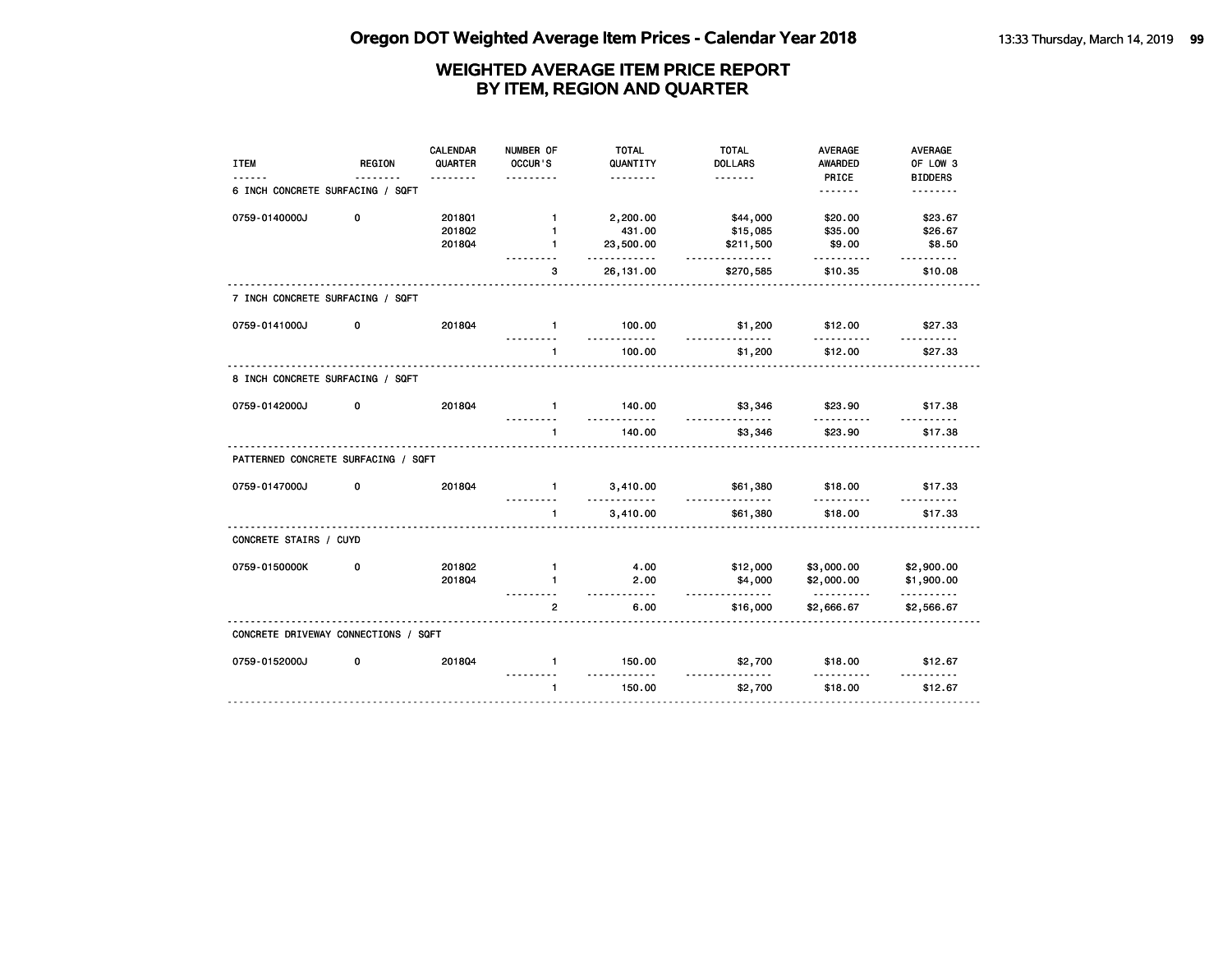| <b>ITEM</b>                          | <b>REGION</b> | CALENDAR<br>QUARTER | NUMBER OF<br>OCCUR'S | <b>TOTAL</b><br>QUANTITY<br>. | <b>TOTAL</b><br><b>DOLLARS</b> | <b>AVERAGE</b><br><b>AWARDED</b><br>PRICE | <b>AVERAGE</b><br>OF LOW 3<br><b>BIDDERS</b> |
|--------------------------------------|---------------|---------------------|----------------------|-------------------------------|--------------------------------|-------------------------------------------|----------------------------------------------|
| 6 INCH CONCRETE SURFACING / SQFT     |               |                     |                      |                               |                                | <u>.</u>                                  | <u>.</u>                                     |
| 0759-0140000J                        | 0             | 201801              | $\mathbf{1}$         | 2,200.00                      | \$44,000                       | \$20.00                                   | \$23.67                                      |
|                                      |               | 201802              | $\mathbf{1}$         | 431.00                        | \$15,085                       | \$35.00                                   | \$26.67                                      |
|                                      |               | 201804              | $\mathbf{1}$         | 23,500.00<br>.                | \$211,500<br>.                 | \$9.00                                    | \$8.50                                       |
|                                      |               |                     | 3                    | 26, 131.00                    | \$270,585                      | \$10.35                                   | \$10.08                                      |
| 7 INCH CONCRETE SURFACING / SQFT     |               |                     |                      |                               |                                |                                           |                                              |
| 0759-0141000J                        | 0             | 201804              | $\mathbf{1}$<br>.    | 100.00<br>.                   | \$1,200<br><u>.</u>            | \$12.00<br>.                              | \$27.33<br>.                                 |
|                                      |               |                     | $\mathbf{1}$         | 100.00                        | \$1,200                        | \$12.00                                   | \$27.33                                      |
| 8 INCH CONCRETE SURFACING / SQFT     |               |                     |                      |                               |                                |                                           |                                              |
| 0759-0142000J                        | 0             | 201804              | $\blacksquare$       | 140.00<br><u>.</u>            | \$3,346<br>.                   | \$23.90                                   | \$17.38                                      |
|                                      |               |                     | $\mathbf{1}$         | 140.00                        | \$3,346                        | \$23.90                                   | \$17.38                                      |
| PATTERNED CONCRETE SURFACING / SQFT  |               |                     |                      |                               |                                |                                           |                                              |
| 0759-0147000J                        | 0             | 201804              | $\mathbf{1}$         | 3,410.00<br>.                 | \$61,380<br>.                  | \$18.00<br>.                              | \$17.33<br><u>.</u>                          |
|                                      |               | <u>.</u>            | $\blacksquare$       | 3,410.00                      | \$61,380                       | \$18.00                                   | \$17.33                                      |
| CONCRETE STAIRS / CUYD               |               |                     |                      |                               |                                |                                           |                                              |
| 0759-0150000K                        | 0             | 201802              | $\mathbf{1}$         | 4.00                          | \$12,000                       | \$3,000.00                                | \$2,900.00                                   |
|                                      |               | 201804              | $\blacksquare$       | 2.00<br>$- - - - -$           | \$4,000<br><u>.</u>            | \$2,000.00<br><u>.</u>                    | \$1,900.00<br>.                              |
|                                      |               |                     | $\mathbf{2}$         | 6.00                          | \$16,000                       | \$2,666.67                                | \$2,566.67                                   |
| CONCRETE DRIVEWAY CONNECTIONS / SQFT |               |                     |                      |                               |                                |                                           |                                              |
| 0759-0152000J                        | 0             | 201804              | $\mathbf{1}$         | 150.00<br>.                   | \$2,700<br>.                   | \$18.00                                   | \$12.67<br><u>.</u>                          |
|                                      |               |                     | $\mathbf{1}$         | 150.00                        | \$2,700                        | \$18.00                                   | \$12.67                                      |
|                                      |               |                     |                      |                               |                                |                                           |                                              |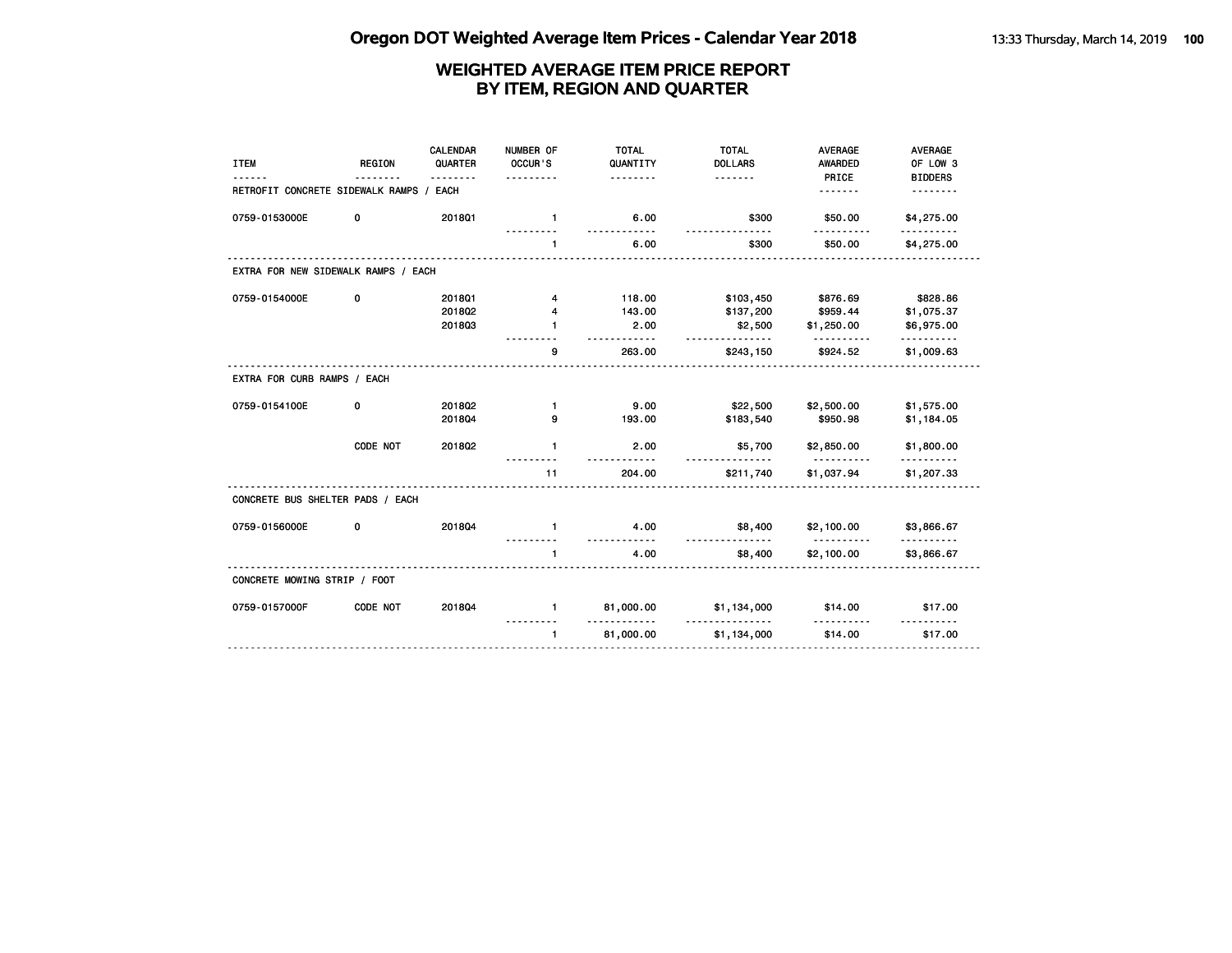| <b>ITEM</b>                         | <b>REGION</b> | CALENDAR<br>QUARTER | NUMBER OF<br>OCCUR'S | <b>TOTAL</b><br>QUANTITY<br><u>.</u> | <b>TOTAL</b><br><b>DOLLARS</b><br><u>.</u> | <b>AVERAGE</b><br><b>AWARDED</b><br>PRICE | <b>AVERAGE</b><br>OF LOW 3<br><b>BIDDERS</b> |
|-------------------------------------|---------------|---------------------|----------------------|--------------------------------------|--------------------------------------------|-------------------------------------------|----------------------------------------------|
| RETROFIT CONCRETE SIDEWALK RAMPS /  |               | EACH                |                      |                                      |                                            | .                                         |                                              |
| 0759-0153000E                       | 0             | 201801              | $\mathbf{1}$         | 6.00                                 | \$300                                      | \$50.00                                   | \$4,275.00                                   |
|                                     |               |                     | $\mathbf{1}$         | 6.00                                 | \$300                                      | \$50.00                                   | \$4,275.00                                   |
| EXTRA FOR NEW SIDEWALK RAMPS / EACH |               |                     |                      |                                      |                                            |                                           |                                              |
| 0759-0154000E                       | 0             | 2018Q1              | 4                    | 118.00                               | \$103,450                                  | \$876.69                                  | \$828.86                                     |
|                                     |               | 2018Q2              | 4                    | 143.00                               | \$137,200                                  | \$959.44                                  | \$1,075.37                                   |
|                                     |               | 201803              | 1                    | 2.00                                 | \$2,500<br><u>.</u>                        | \$1,250.00                                | \$6,975.00<br><u> - - - - - - - - -</u>      |
|                                     |               |                     | 9                    | 263.00                               | \$243,150                                  | \$924.52                                  | \$1,009.63                                   |
| EXTRA FOR CURB RAMPS / EACH         |               |                     |                      |                                      |                                            |                                           |                                              |
| 0759-0154100E                       | 0             | 201802              | $\mathbf{1}$         | 9.00                                 | \$22,500                                   | \$2,500.00                                | \$1,575.00                                   |
|                                     |               | 201804              | 9                    | 193.00                               | \$183,540                                  | \$950.98                                  | \$1,184.05                                   |
|                                     | CODE NOT      | 2018Q2              | $\mathbf{1}$         | 2.00                                 | \$5,700<br><u>.</u>                        | \$2,850.00                                | \$1,800.00                                   |
|                                     |               |                     | 11                   | 204.00                               | \$211,740                                  | \$1,037.94                                | \$1,207.33                                   |
| CONCRETE BUS SHELTER PADS / EACH    |               |                     |                      |                                      |                                            |                                           |                                              |
| 0759-0156000E                       | 0             | 201804              | $\mathbf{1}$         | 4.00<br>-----                        | \$8,400                                    | \$2,100.00                                | \$3,866.67                                   |
|                                     |               |                     | $\mathbf{1}$         | 4.00                                 | \$8,400                                    | \$2,100.00                                | \$3,866.67                                   |
| CONCRETE MOWING STRIP / FOOT        |               |                     |                      |                                      |                                            |                                           |                                              |
| 0759-0157000F                       | CODE NOT      | 201804              | $\mathbf{1}$         | 81,000.00<br><u>----------</u>       | \$1,134,000                                | \$14.00                                   | \$17.00                                      |
|                                     |               |                     | $\mathbf{1}$         | 81,000.00                            | \$1,134,000                                | \$14.00                                   | \$17.00                                      |
|                                     |               |                     |                      |                                      |                                            |                                           |                                              |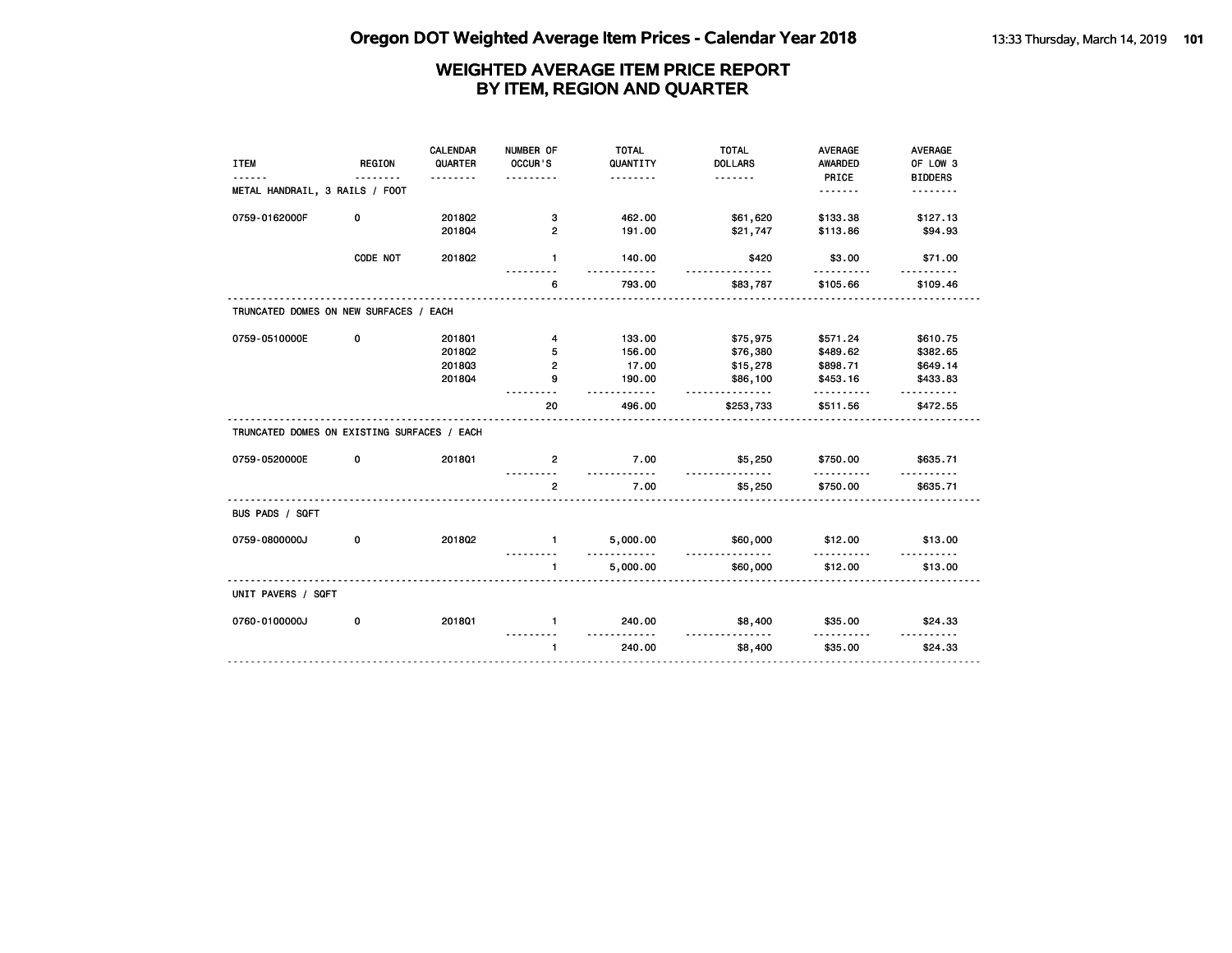| <b>ITEM</b>                                 | <b>REGION</b> | <b>CALENDAR</b><br>QUARTER | NUMBER OF<br>OCCUR'S | <b>TOTAL</b><br>QUANTITY | <b>TOTAL</b><br><b>DOLLARS</b> | <b>AVERAGE</b><br><b>AWARDED</b> | AVERAGE<br>OF LOW 3 |
|---------------------------------------------|---------------|----------------------------|----------------------|--------------------------|--------------------------------|----------------------------------|---------------------|
| METAL HANDRAIL, 3 RAILS / FOOT              |               | <u>.</u>                   | .                    | <u>.</u>                 | <u>.</u>                       | PRICE<br><u>.</u>                | <b>BIDDERS</b><br>. |
|                                             |               |                            |                      |                          |                                |                                  |                     |
| 0759-0162000F                               | 0             | 201802                     | з                    | 462.00                   | \$61,620                       | \$133.38                         | \$127.13            |
|                                             |               | 201804                     | $\overline{2}$       | 191.00                   | \$21,747                       | \$113.86                         | \$94.93             |
|                                             | CODE NOT      | 2018Q2                     | $\mathbf{1}$         | 140.00<br><u>.</u>       | \$420<br>.                     | \$3.00<br>----------             | \$71.00<br><u>.</u> |
|                                             |               |                            | 6                    | 793.00                   | \$83,787                       | \$105.66                         | \$109.46            |
| TRUNCATED DOMES ON NEW SURFACES / EACH      |               |                            |                      |                          |                                |                                  |                     |
| 0759-0510000E                               | 0             | 201801                     | 4                    | 133.00                   | \$75,975                       | \$571.24                         | \$610.75            |
|                                             |               | 2018Q2                     | 5                    | 156.00                   | \$76,380                       | \$489.62                         | \$382.65            |
|                                             |               | 201803                     | $\overline{2}$       | 17.00                    | \$15,278                       | \$898.71                         | \$649.14            |
|                                             |               | 201804                     | 9                    | 190.00<br>.              | \$86,100<br><u>.</u>           | \$453.16<br>.                    | \$433.83            |
|                                             |               |                            | 20                   | 496.00                   | \$253,733                      | \$511.56                         | \$472.55            |
| TRUNCATED DOMES ON EXISTING SURFACES / EACH |               |                            |                      |                          |                                |                                  |                     |
| 0759-0520000E                               | 0             | 201801                     | $\overline{2}$       | 7.00<br>.                | \$5,250                        | \$750.00                         | \$635.71            |
|                                             |               |                            | $\overline{2}$       | 7.00                     | \$5,250                        | \$750.00                         | \$635.71            |
| BUS PADS / SQFT                             |               |                            |                      |                          |                                |                                  |                     |
| 0759-0800000J                               | 0             | 201802                     | $\blacksquare$       | 5,000.00<br><u>.</u>     | \$60,000<br><u>.</u>           | \$12.00<br>.                     | \$13.00             |
|                                             |               |                            | $\mathbf{1}$         | 5,000.00                 | \$60,000                       | \$12.00                          | \$13.00             |
| UNIT PAVERS / SQFT                          |               |                            |                      |                          |                                |                                  |                     |
| 0760-0100000J                               | 0             | 201801                     | $\mathbf{1}$         | 240.00                   | \$8,400                        | \$35.00                          | \$24.33             |
|                                             |               |                            | $\mathbf{1}$         | .<br>240.00              | <u>.</u><br>\$8,400            | .<br>\$35.00                     | .<br>\$24.33        |
|                                             |               |                            |                      |                          |                                |                                  |                     |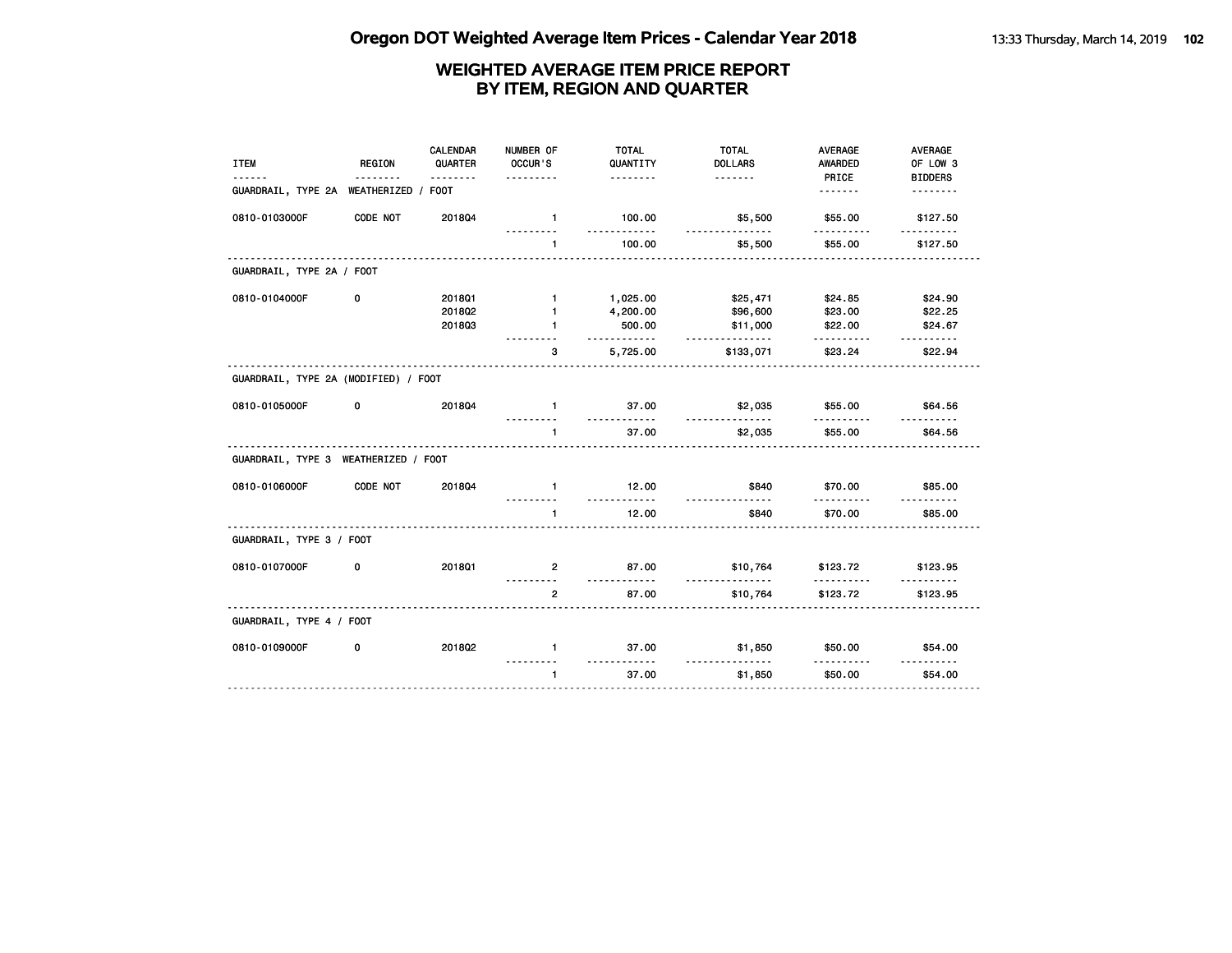| <b>ITEM</b>                          | <b>REGION</b> | <b>CALENDAR</b><br>QUARTER | NUMBER OF<br>OCCUR'S | <b>TOTAL</b><br>QUANTITY | <b>TOTAL</b><br><b>DOLLARS</b> | <b>AVERAGE</b><br><b>AWARDED</b> | AVERAGE<br>OF LOW 3 |
|--------------------------------------|---------------|----------------------------|----------------------|--------------------------|--------------------------------|----------------------------------|---------------------|
|                                      |               | .                          | .                    | <u>.</u>                 | <u>.</u>                       | PRICE                            | <b>BIDDERS</b>      |
| GUARDRAIL, TYPE 2A                   | WEATHERIZED / | <b>FOOT</b>                |                      |                          |                                | <u>.</u>                         | <u>.</u>            |
| 0810-0103000F                        | CODE NOT      | 201804                     | $\mathbf{1}$         | 100.00<br><u>.</u>       | \$5,500<br>.                   | \$55.00                          | \$127.50            |
|                                      |               |                            | $\mathbf{1}$         | 100.00                   | \$5,500                        | \$55.00                          | \$127.50            |
| GUARDRAIL, TYPE 2A / FOOT            |               |                            |                      |                          |                                |                                  |                     |
| 0810-0104000F                        | 0             | 2018Q1                     | $\mathbf{1}$         | 1,025.00                 | \$25,471                       | \$24.85                          | \$24.90             |
|                                      |               | 2018Q2                     | $\mathbf{1}$         | 4,200.00                 | \$96,600                       | \$23.00                          | \$22.25             |
|                                      |               | 201803                     | $\mathbf{1}$         | 500.00<br>.              | \$11,000<br><u>.</u>           | \$22.00                          | \$24.67<br><u>.</u> |
|                                      |               |                            | 3                    | 5,725.00                 | \$133,071                      | \$23.24                          | \$22.94             |
| GUARDRAIL, TYPE 2A (MODIFIED) / FOOT |               |                            |                      |                          |                                |                                  |                     |
| 0810-0105000F                        | 0             | 201804                     | $\mathbf{1}$         | 37.00                    | \$2,035                        | \$55.00                          | \$64.56             |
|                                      |               |                            | 1                    | <u>.</u><br>37.00        | .<br>\$2,035                   | <u>.</u><br>\$55.00              | <u>.</u><br>\$64.56 |
| GUARDRAIL, TYPE 3 WEATHERIZED / FOOT |               |                            |                      |                          |                                |                                  |                     |
| 0810-0106000F                        | CODE NOT      | 201804                     | $\mathbf{1}$         | 12.00                    | \$840                          | \$70.00                          | \$85.00             |
|                                      |               |                            | $\mathbf{1}$         | 12.00                    | \$840                          | \$70.00                          | \$85.00             |
| GUARDRAIL, TYPE 3 / FOOT             |               |                            |                      |                          |                                |                                  |                     |
| 0810-0107000F                        | 0             | 201801                     | $\mathbf{2}$         | 87.00                    | \$10,764                       | \$123.72                         | \$123.95            |
|                                      |               |                            | $\overline{2}$       | .<br>87.00               | .<br>\$10,764                  | .<br>\$123.72                    | \$123.95            |
| GUARDRAIL, TYPE 4 / FOOT             |               |                            |                      |                          |                                |                                  |                     |
| 0810-0109000F                        | 0             | 201802                     | $\mathbf{1}$         | 37.00                    | \$1,850                        | \$50.00                          | \$54.00             |
|                                      |               |                            | $\mathbf{1}$         | .<br>37.00               | \$1,850                        | \$50.00                          | \$54.00             |
|                                      |               |                            |                      |                          |                                |                                  |                     |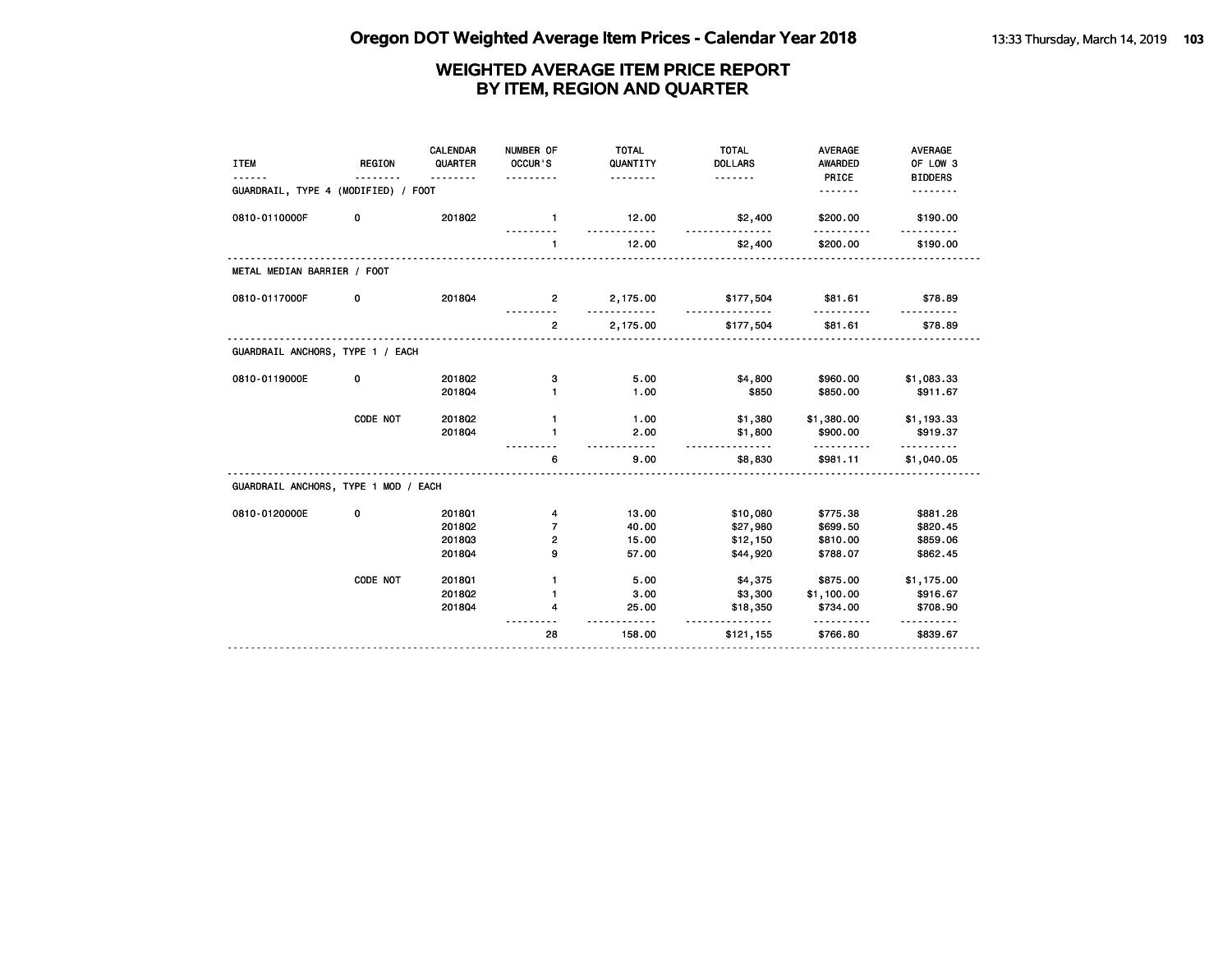| <b>ITEM</b>                          | <b>REGION</b> | CALENDAR<br>QUARTER<br>. <b>.</b> | NUMBER OF<br>OCCUR'S<br>. | <b>TOTAL</b><br>QUANTITY<br><u>.</u> | <b>TOTAL</b><br><b>DOLLARS</b><br><u>.</u> | <b>AVERAGE</b><br>AWARDED<br>PRICE | <b>AVERAGE</b><br>OF LOW 3<br><b>BIDDERS</b> |
|--------------------------------------|---------------|-----------------------------------|---------------------------|--------------------------------------|--------------------------------------------|------------------------------------|----------------------------------------------|
| GUARDRAIL, TYPE 4 (MODIFIED) / FOOT  |               |                                   |                           |                                      |                                            | .                                  |                                              |
| 0810-0110000F                        | 0             | 201802                            | $\blacksquare$            | 12.00                                | \$2,400                                    | \$200.00                           | \$190.00                                     |
|                                      |               |                                   | $\blacksquare$            | 12.00                                | \$2,400                                    | \$200.00                           | \$190.00                                     |
| METAL MEDIAN BARRIER / FOOT          |               |                                   |                           |                                      |                                            |                                    |                                              |
| 0810-0117000F                        | 0             | 201804                            | $\overline{2}$            | 2,175.00                             | \$177,504                                  | \$81.61                            | \$78.89                                      |
|                                      |               |                                   | $\overline{2}$            | 2,175.00                             | \$177,504                                  | \$81.61                            | \$78.89                                      |
| GUARDRAIL ANCHORS, TYPE 1 / EACH     |               |                                   |                           |                                      |                                            |                                    |                                              |
| 0810-0119000E                        | 0             | 2018Q2                            | з                         | 5.00                                 | \$4,800                                    | \$960.00                           | \$1,083.33                                   |
|                                      |               | 201804                            | 1                         | 1.00                                 | \$850                                      | \$850.00                           | \$911.67                                     |
|                                      | CODE NOT      | 2018Q2                            | $\mathbf{1}$              | 1.00                                 | \$1,380                                    | \$1,380.00                         | \$1,193.33                                   |
|                                      |               | 201804                            | 1                         | 2.00<br>$\overline{a}$               | \$1,800<br><u>.</u>                        | \$900.00                           | \$919.37                                     |
|                                      |               |                                   | 6                         | 9.00                                 | \$8,830                                    | \$981.11                           | \$1,040.05                                   |
| GUARDRAIL ANCHORS, TYPE 1 MOD / EACH |               |                                   |                           |                                      |                                            |                                    |                                              |
| 0810-0120000E                        | 0             | 201801                            | 4                         | 13.00                                | \$10,080                                   | \$775.38                           | \$881.28                                     |
|                                      |               | 201802                            | $\overline{7}$            | 40.00                                | \$27,980                                   | \$699.50                           | \$820.45                                     |
|                                      |               | 201803                            | 2                         | 15.00                                | \$12,150                                   | \$810.00                           | \$859.06                                     |
|                                      |               | 201804                            | 9                         | 57.00                                | \$44,920                                   | \$788.07                           | \$862.45                                     |
|                                      | CODE NOT      | 2018Q1                            | $\mathbf{1}$              | 5.00                                 | \$4,375                                    | \$875.00                           | \$1,175.00                                   |
|                                      |               | 2018Q2                            | $\mathbf{1}$              | 3.00                                 | \$3,300                                    | \$1,100.00                         | \$916.67                                     |
|                                      |               | 201804                            | 4                         | 25.00                                | \$18,350<br><u>.</u>                       | \$734.00<br>.                      | \$708.90                                     |
|                                      |               |                                   | 28                        | 158.00                               | \$121,155                                  | \$766.80                           | \$839.67                                     |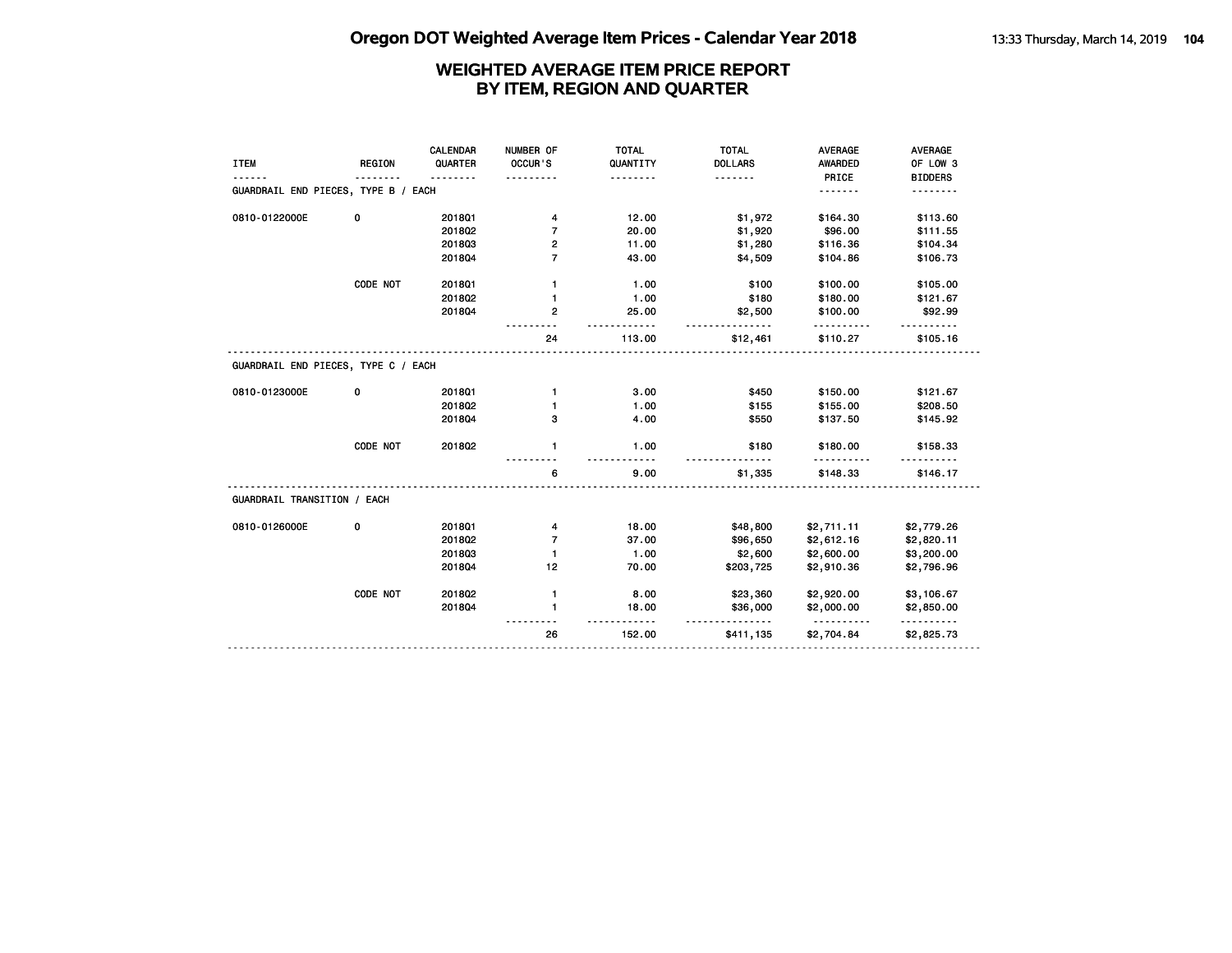| <b>ITEM</b>                         | <b>REGION</b> | CALENDAR<br>QUARTER<br>. | NUMBER OF<br>OCCUR'S | <b>TOTAL</b><br>QUANTITY<br>. | <b>TOTAL</b><br><b>DOLLARS</b><br><u>.</u> | <b>AVERAGE</b><br>AWARDED<br>PRICE | <b>AVERAGE</b><br>OF LOW 3<br><b>BIDDERS</b> |
|-------------------------------------|---------------|--------------------------|----------------------|-------------------------------|--------------------------------------------|------------------------------------|----------------------------------------------|
| GUARDRAIL END PIECES, TYPE B / EACH |               |                          |                      |                               |                                            | .                                  | .                                            |
| 0810-0122000E                       | 0             | 2018Q1                   | 4                    | 12.00                         | \$1,972                                    | \$164.30                           | \$113.60                                     |
|                                     |               | 2018Q2                   | $\overline{7}$       | 20.00                         | \$1,920                                    | \$96.00                            | \$111.55                                     |
|                                     |               | 201803                   | 2                    | 11.00                         | \$1,280                                    | \$116.36                           | \$104.34                                     |
|                                     |               | 201804                   | $\overline{7}$       | 43.00                         | \$4,509                                    | \$104.86                           | \$106.73                                     |
|                                     | CODE NOT      | 2018Q1                   | $\mathbf{1}$         | 1.00                          | \$100                                      | \$100.00                           | \$105.00                                     |
|                                     |               | 2018Q2                   | $\mathbf{1}$         | 1.00                          | \$180                                      | \$180.00                           | \$121.67                                     |
|                                     |               | 201804                   | $\mathbf{2}$         | 25.00                         | \$2,500<br>.                               | \$100.00                           | \$92.99                                      |
|                                     |               |                          | 24                   | 113.00                        | \$12,461                                   | \$110.27                           | \$105.16                                     |
| GUARDRAIL END PIECES, TYPE C / EACH |               |                          |                      |                               |                                            |                                    |                                              |
| 0810-0123000E                       | 0             | 2018Q1                   | $\mathbf{1}$         | 3.00                          | \$450                                      | \$150.00                           | \$121.67                                     |
|                                     |               | 201802                   | 1                    | 1.00                          | \$155                                      | \$155.00                           | \$208.50                                     |
|                                     |               | 201804                   | з                    | 4.00                          | \$550                                      | \$137.50                           | \$145.92                                     |
|                                     | CODE NOT      | 201802                   | $\mathbf{1}$         | 1.00                          | \$180                                      | \$180.00                           | \$158.33                                     |
|                                     |               |                          | 6                    | 9.00                          | \$1,335                                    | \$148.33                           | \$146.17                                     |
| GUARDRAIL TRANSITION / EACH         |               |                          |                      |                               |                                            |                                    |                                              |
| 0810-0126000E                       | 0             | 2018Q1                   | 4                    | 18.00                         | \$48,800                                   | \$2,711.11                         | \$2,779.26                                   |
|                                     |               | 201802                   | $\overline{7}$       | 37.00                         | \$96,650                                   | \$2,612.16                         | \$2,820.11                                   |
|                                     |               | 201803                   | $\mathbf{1}$         | 1.00                          | \$2,600                                    | \$2,600.00                         | \$3,200.00                                   |
|                                     |               | 201804                   | 12                   | 70.00                         | \$203,725                                  | \$2,910.36                         | \$2,796.96                                   |
|                                     | CODE NOT      | 2018Q2                   | $\mathbf{1}$         | 8.00                          | \$23,360                                   | \$2,920.00                         | \$3,106.67                                   |
|                                     |               | 201804                   | $\mathbf{1}$         | 18.00                         | \$36,000                                   | \$2,000.00                         | \$2,850.00                                   |
|                                     |               |                          | 26                   | 152.00                        | <u>.</u><br>\$411,135                      | <u>.</u><br>\$2,704.84             | <u>.</u><br>\$2,825.73                       |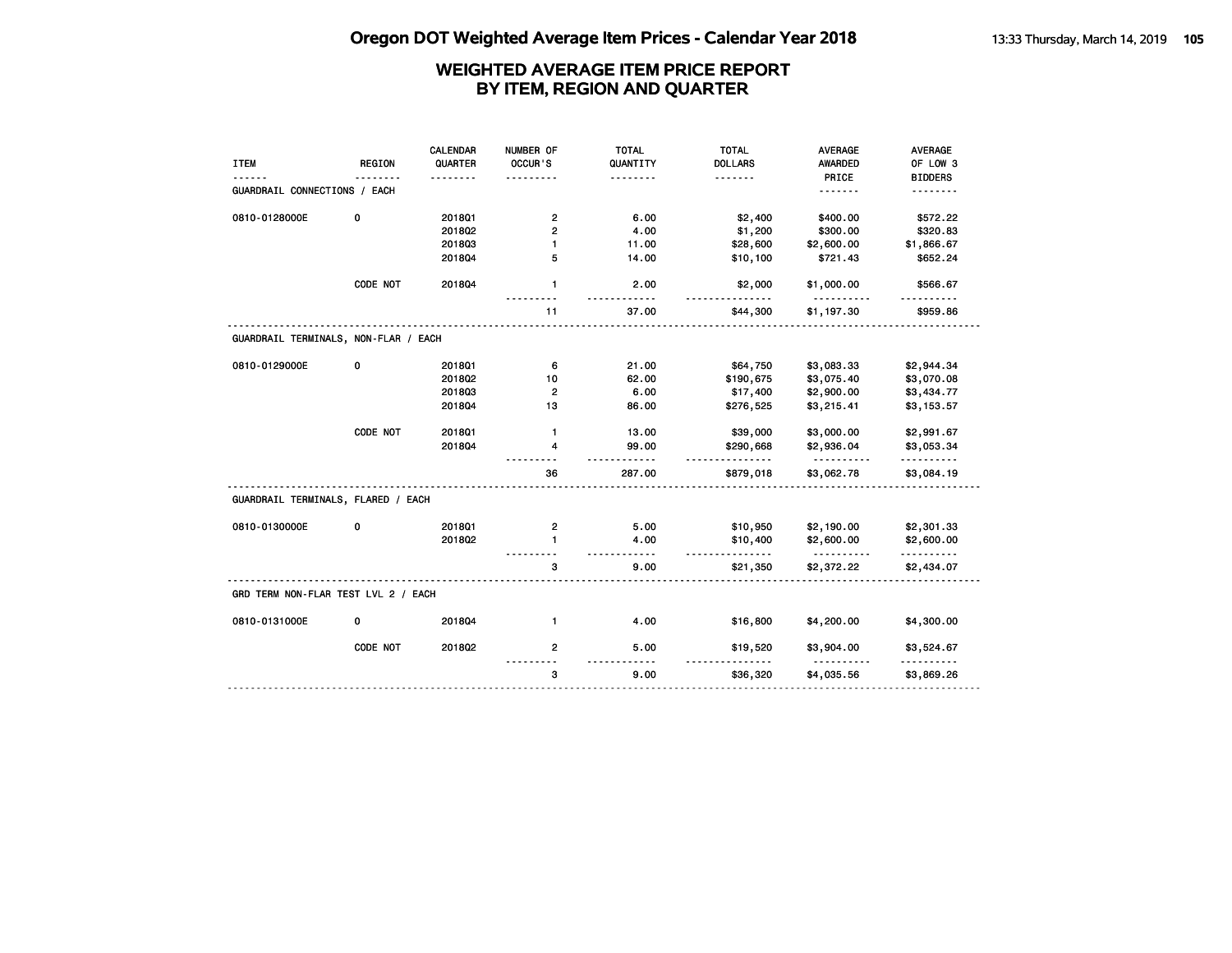|                                      |               | CALENDAR | NUMBER OF               | <b>TOTAL</b>   | <b>TOTAL</b>   | <b>AVERAGE</b>         | <b>AVERAGE</b>         |
|--------------------------------------|---------------|----------|-------------------------|----------------|----------------|------------------------|------------------------|
| <b>ITEM</b>                          | <b>REGION</b> | QUARTER  | OCCUR'S                 | QUANTITY       | <b>DOLLARS</b> | AWARDED                | OF LOW 3               |
|                                      |               |          |                         |                | <u>.</u>       | PRICE                  | <b>BIDDERS</b>         |
| GUARDRAIL CONNECTIONS / EACH         |               |          |                         |                |                | .                      |                        |
| 0810-0128000E                        | 0             | 2018Q1   | $\overline{\mathbf{c}}$ | 6.00           | \$2,400        | \$400.00               | \$572.22               |
|                                      |               | 2018Q2   |                         | 4.00           |                | \$300.00               | \$320.83               |
|                                      |               | 201803   | 2<br>$\blacksquare$     |                | \$1,200        |                        |                        |
|                                      |               | 201804   | 5                       | 11.00<br>14.00 | \$28,600       | \$2,600.00<br>\$721.43 | \$1,866.67<br>\$652.24 |
|                                      |               |          |                         |                | \$10,100       |                        |                        |
|                                      | CODE NOT      | 201804   | $\mathbf{1}$            | 2.00           | \$2,000<br>.   | \$1,000.00             | \$566.67               |
|                                      |               |          | 11                      | 37.00          | \$44,300       | \$1,197.30             | \$959.86               |
| GUARDRAIL TERMINALS, NON-FLAR / EACH |               |          |                         |                |                |                        |                        |
| 0810-0129000E                        | 0             | 201801   | 6                       | 21.00          | \$64,750       | \$3,083.33             | \$2,944.34             |
|                                      |               | 2018Q2   | 10                      | 62.00          | \$190,675      | \$3,075.40             | \$3,070.08             |
|                                      |               | 201803   | $\overline{2}$          | 6.00           | \$17,400       | \$2,900.00             | \$3,434.77             |
|                                      |               | 201804   | 13                      | 86.00          | \$276,525      | \$3,215.41             | \$3,153.57             |
|                                      |               |          |                         |                |                |                        |                        |
|                                      | CODE NOT      | 201801   | $\mathbf{1}$            | 13.00          | \$39,000       | \$3,000.00             | \$2,991.67             |
|                                      |               | 201804   | 4                       | 99.00          | \$290,668<br>. | \$2,936.04<br><u>.</u> | \$3,053.34<br>.        |
|                                      |               |          | 36                      | 287.00         | \$879,018      | \$3,062.78             | \$3,084.19             |
| GUARDRAIL TERMINALS, FLARED / EACH   |               |          |                         |                |                |                        |                        |
| 0810-0130000E                        | 0             | 2018Q1   | $\mathbf{2}$            | 5.00           | \$10,950       | \$2,190.00             | \$2,301.33             |
|                                      |               | 201802   | $\mathbf{1}$            | 4.00           | \$10,400       | \$2,600.00             | \$2,600.00             |
|                                      |               |          |                         | .              | .              | <u>.</u>               | .                      |
|                                      |               |          | з                       | 9.00           | \$21,350       | \$2,372.22             | \$2,434.07             |
| GRD TERM NON-FLAR TEST LVL 2 / EACH  |               |          |                         |                |                |                        |                        |
| 0810-0131000E                        | 0             | 201804   | $\mathbf{1}$            | 4.00           | \$16,800       | \$4,200.00             | \$4,300.00             |
|                                      | CODE NOT      | 2018Q2   | $\overline{2}$          | 5.00           | \$19,520       | \$3,904.00             | \$3,524.67             |
|                                      |               |          | 3                       | 9.00           | \$36,320       | \$4,035.56             | \$3,869.26             |
|                                      |               |          |                         |                |                |                        |                        |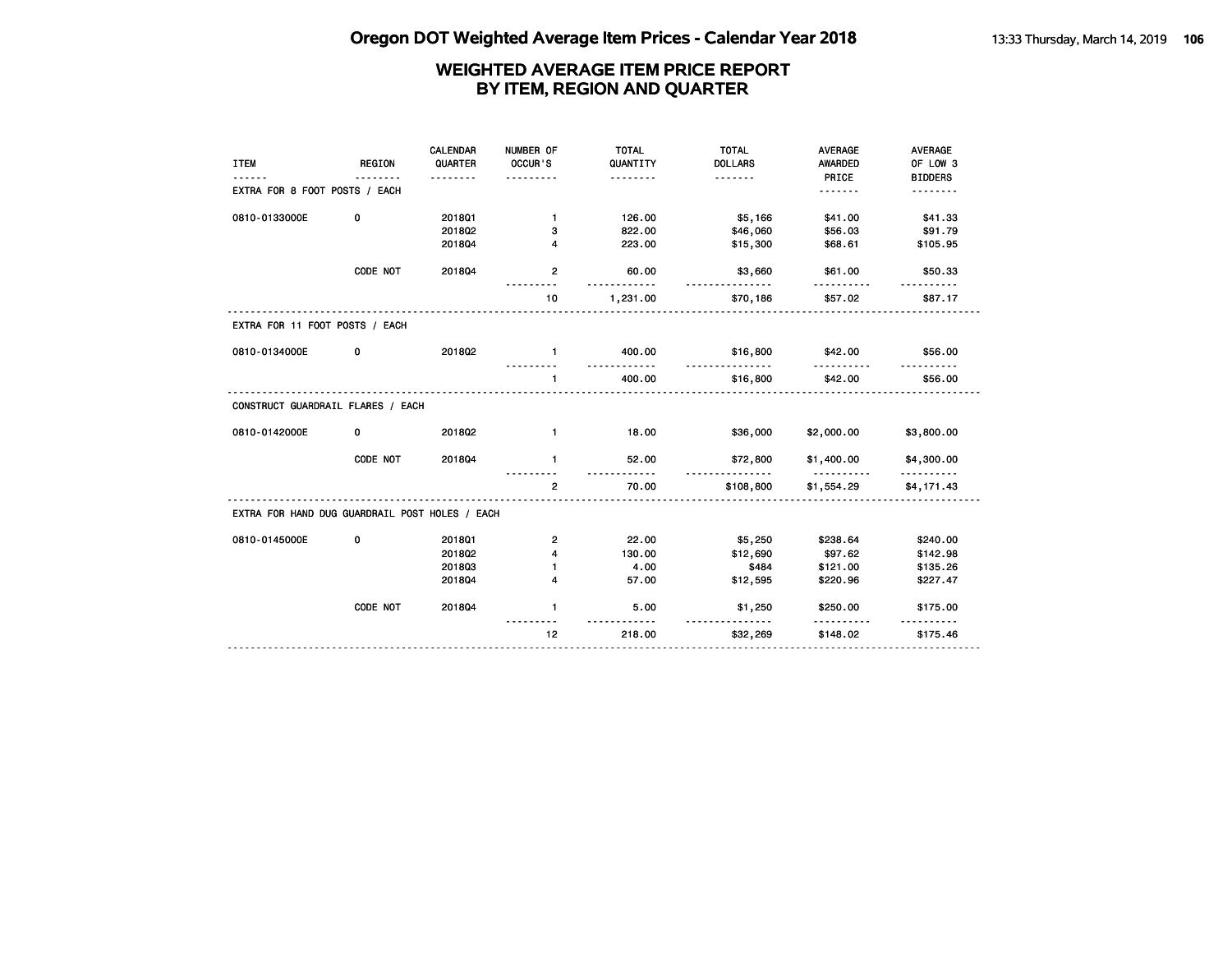| <b>ITEM</b>                                    | <b>REGION</b> | CALENDAR<br>QUARTER | NUMBER OF<br>OCCUR'S | <b>TOTAL</b><br>QUANTITY | <b>TOTAL</b><br><b>DOLLARS</b> | <b>AVERAGE</b><br><b>AWARDED</b> | <b>AVERAGE</b><br>OF LOW 3 |
|------------------------------------------------|---------------|---------------------|----------------------|--------------------------|--------------------------------|----------------------------------|----------------------------|
|                                                |               | .                   | .                    | <u>.</u>                 | <u>.</u>                       | PRICE                            | <b>BIDDERS</b>             |
| EXTRA FOR 8 FOOT POSTS / EACH                  |               |                     |                      |                          |                                | .                                | .                          |
| 0810-0133000E                                  | 0             | 2018Q1              | $\mathbf{1}$         | 126.00                   | \$5,166                        | \$41.00                          | \$41.33                    |
|                                                |               | 201802              | з                    | 822.00                   | \$46,060                       | \$56.03                          | \$91.79                    |
|                                                |               | 201804              | 4                    | 223.00                   | \$15,300                       | \$68.61                          | \$105.95                   |
|                                                | CODE NOT      | 201804              | $\mathbf{2}$         | 60.00<br><u>.</u>        | \$3,660<br><u>.</u>            | \$61.00                          | \$50.33                    |
|                                                |               |                     | 10                   | 1,231.00                 | \$70,186                       | \$57.02                          | \$87.17                    |
| EXTRA FOR 11 FOOT POSTS / EACH                 |               |                     |                      |                          |                                |                                  |                            |
| 0810-0134000E                                  | 0             | 201802              | $\mathbf{1}$         | 400.00                   | \$16,800                       | \$42.00                          | \$56.00                    |
|                                                |               |                     | $\mathbf{1}$         | 400.00                   | <u>.</u><br>\$16,800           | \$42.00                          | \$56.00                    |
| CONSTRUCT GUARDRAIL FLARES / EACH              |               |                     |                      |                          |                                |                                  |                            |
| 0810-0142000E                                  | 0             | 2018Q2              | $\mathbf{1}$         | 18.00                    | \$36,000                       | \$2,000.00                       | \$3,800.00                 |
|                                                | CODE NOT      | 201804              | $\mathbf{1}$         | 52.00                    | \$72,800<br>.                  | \$1,400.00                       | \$4,300.00                 |
|                                                |               |                     | $\mathbf{2}$         | 70.00                    | \$108,800                      | \$1,554.29                       | \$4,171.43                 |
| EXTRA FOR HAND DUG GUARDRAIL POST HOLES / EACH |               |                     |                      |                          |                                |                                  |                            |
| 0810-0145000E                                  | 0             | 2018Q1              | 2                    | 22.00                    | \$5,250                        | \$238.64                         | \$240.00                   |
|                                                |               | 2018Q2              | 4                    | 130.00                   | \$12,690                       | \$97.62                          | \$142.98                   |
|                                                |               | 201803              | $\mathbf{1}$         | 4.00                     | \$484                          | \$121.00                         | \$135.26                   |
|                                                |               | 201804              | 4                    | 57.00                    | \$12,595                       | \$220.96                         | \$227.47                   |
|                                                | CODE NOT      | 201804              | $\mathbf{1}$         | 5.00                     | \$1,250                        | \$250.00<br>.                    | \$175.00                   |
|                                                |               |                     | 12                   | 218.00                   | <u>.</u><br>\$32,269           | \$148.02                         | \$175.46                   |
|                                                |               |                     |                      |                          |                                |                                  |                            |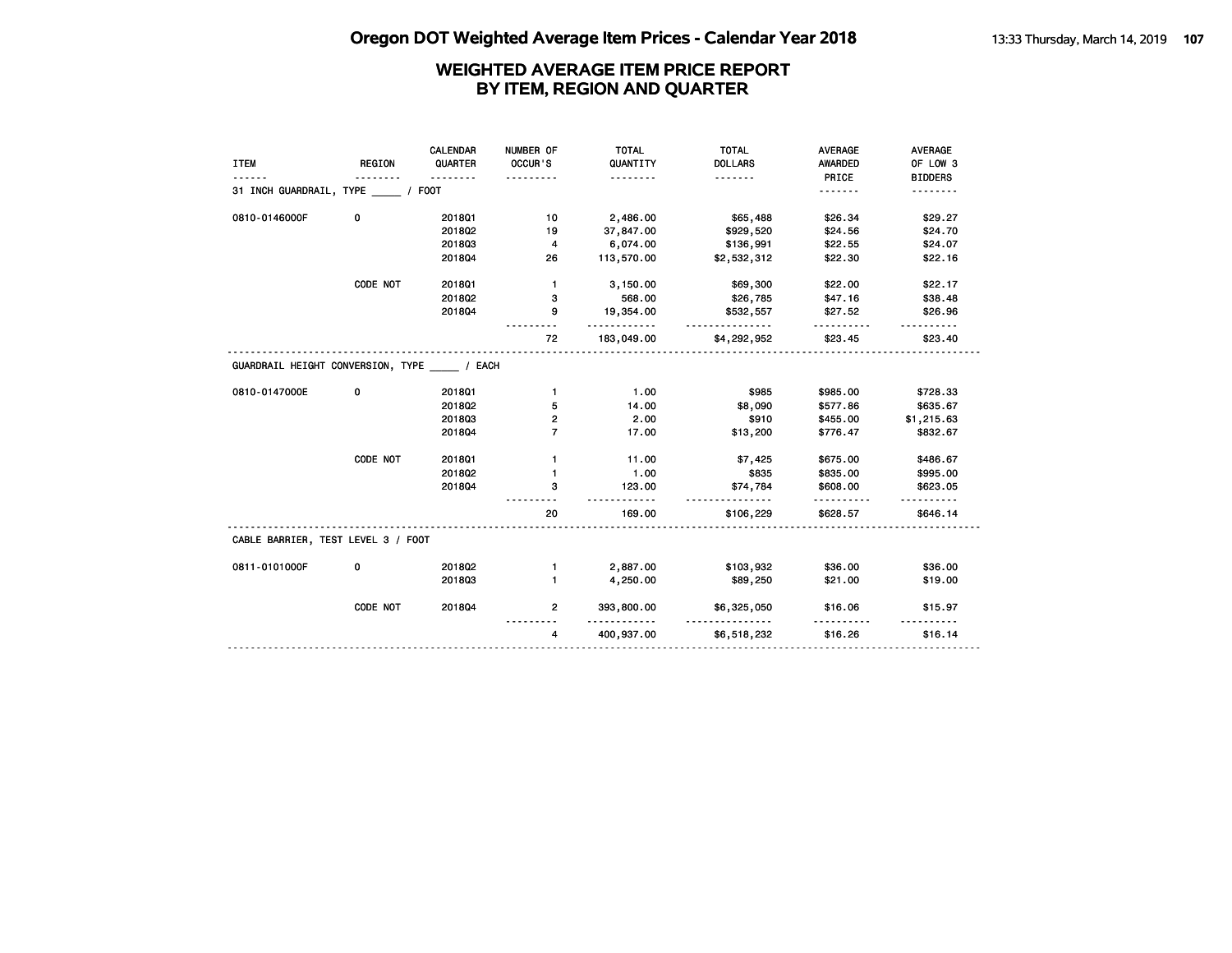| <b>ITEM</b>                                         | <b>REGION</b> | CALENDAR<br>QUARTER | NUMBER OF<br>OCCUR'S | <b>TOTAL</b><br>QUANTITY        | <b>TOTAL</b><br><b>DOLLARS</b> | <b>AVERAGE</b><br><b>AWARDED</b> | <b>AVERAGE</b><br>OF LOW 3 |
|-----------------------------------------------------|---------------|---------------------|----------------------|---------------------------------|--------------------------------|----------------------------------|----------------------------|
|                                                     | .             | .                   |                      | .                               | .                              | PRICE                            | <b>BIDDERS</b>             |
| 31 INCH GUARDRAIL, TYPE / FOOT                      |               |                     |                      |                                 |                                | .                                | .                          |
| 0810-0146000F                                       | 0             | 2018Q1              | 10                   | 2,486.00                        | \$65,488                       | \$26.34                          | \$29.27                    |
|                                                     |               | 2018Q2              | 19                   | 37,847.00                       | \$929,520                      | \$24.56                          | \$24.70                    |
|                                                     |               | 201803              | 4                    | 6,074.00                        | \$136,991                      | \$22.55                          | \$24.07                    |
|                                                     |               | 201804              | 26                   | 113,570.00                      | \$2,532,312                    | \$22.30                          | \$22.16                    |
|                                                     | CODE NOT      | 201801              | $\mathbf{1}$         | 3,150.00                        | \$69,300                       | \$22.00                          | \$22.17                    |
|                                                     |               | 2018Q2              | з                    | 568.00                          | \$26,785                       | \$47.16                          | \$38.48                    |
|                                                     |               | 201804              | 9                    | 19,354.00<br>.                  | \$532,557<br><u>.</u>          | \$27.52                          | \$26.96                    |
|                                                     |               |                     | 72                   | 183,049.00                      | \$4,292,952                    | \$23.45                          | \$23.40                    |
| GUARDRAIL HEIGHT CONVERSION, TYPE / EACH            |               |                     |                      |                                 |                                |                                  |                            |
| 0810-0147000E                                       | 0             | 2018Q1              | $\mathbf{1}$         | 1.00                            | \$985                          | \$985.00                         | \$728.33                   |
|                                                     |               | 2018Q2              | 5                    | 14.00                           | \$8,090                        | \$577.86                         | \$635.67                   |
|                                                     |               | 201803              | 2                    | 2.00                            | \$910                          | \$455.00                         | \$1,215.63                 |
|                                                     |               | 201804              | $\overline{7}$       | 17.00                           | \$13,200                       | \$776.47                         | \$832.67                   |
|                                                     |               |                     |                      |                                 |                                |                                  |                            |
|                                                     | CODE NOT      | 2018Q1              | 1                    | 11.00                           | \$7,425                        | \$675.00                         | \$486.67                   |
|                                                     |               | 2018Q2              | $\mathbf{1}$         | 1.00                            | \$835                          | \$835.00                         | \$995.00                   |
|                                                     |               | 201804              | 3                    | 123.00                          | \$74,784                       | \$608.00                         | \$623.05                   |
|                                                     |               |                     | 20                   | 169.00                          | .<br>\$106,229                 | \$628.57                         | \$646.14                   |
|                                                     |               |                     |                      |                                 |                                |                                  |                            |
|                                                     | 0             | 2018Q2              | 1                    | 2,887.00                        | \$103,932                      | \$36.00                          | \$36.00                    |
| CABLE BARRIER, TEST LEVEL 3 / FOOT<br>0811-0101000F |               | 201803              | 1                    | 4,250.00                        | \$89,250                       | \$21.00                          | \$19.00                    |
|                                                     | CODE NOT      | 201804              | $\overline{2}$       | 393,800.00<br><u>----------</u> | \$6,325,050                    | \$16.06<br><u>.</u>              | \$15.97                    |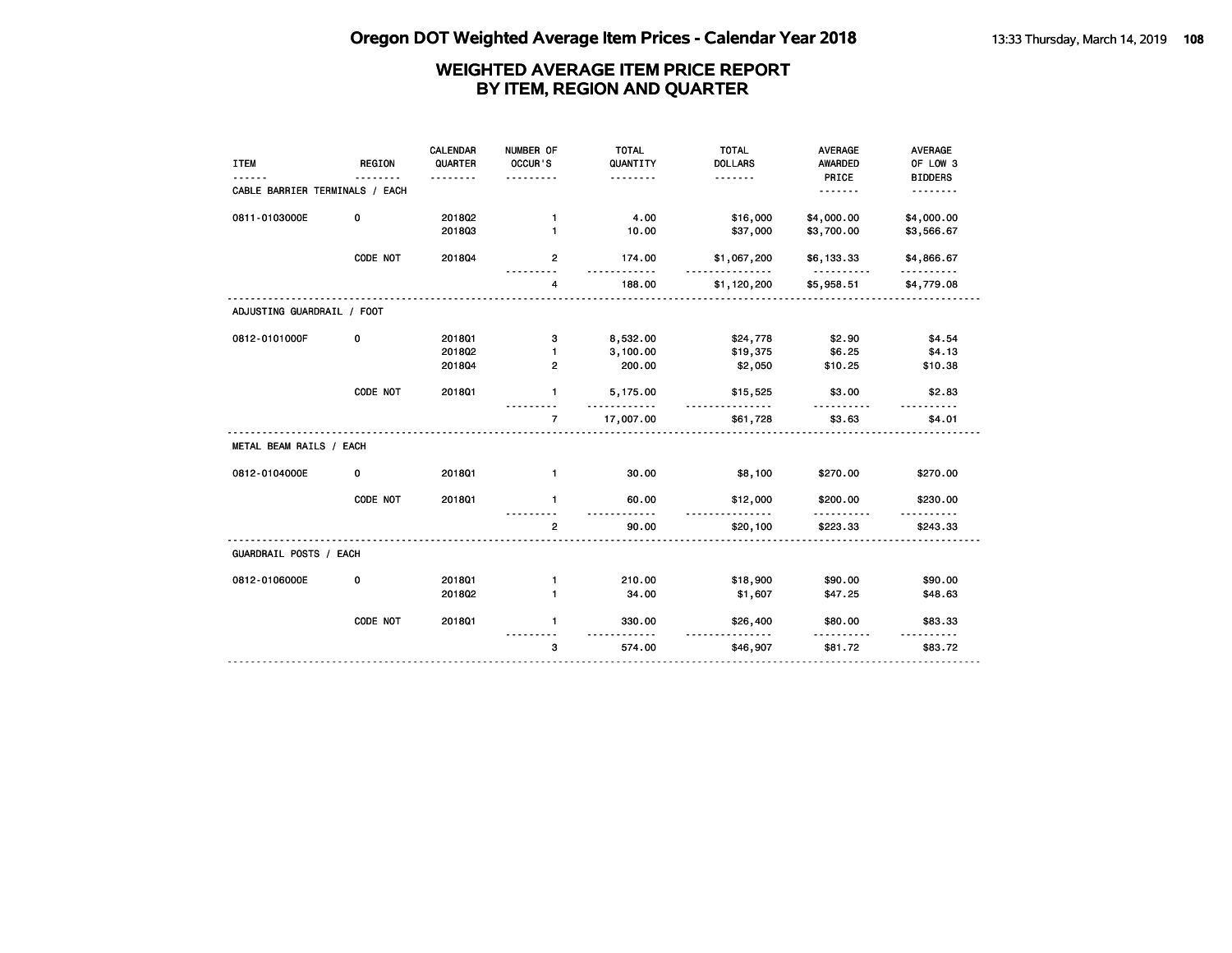| <b>REGION</b>                  | CALENDAR<br>QUARTER | NUMBER OF<br>OCCUR'S | <b>TOTAL</b><br>QUANTITY | <b>TOTAL</b><br><b>DOLLARS</b> | <b>AVERAGE</b><br><b>AWARDED</b> | <b>AVERAGE</b><br>OF LOW 3 |
|--------------------------------|---------------------|----------------------|--------------------------|--------------------------------|----------------------------------|----------------------------|
| CABLE BARRIER TERMINALS / EACH |                     |                      |                          |                                | .                                | <b>BIDDERS</b><br>.        |
| 0                              | 2018Q2              | $\mathbf{1}$         | 4.00                     | \$16,000                       | \$4,000.00                       | \$4,000.00                 |
|                                |                     |                      |                          |                                |                                  | \$3,566.67                 |
| CODE NOT                       | 201804              | $\mathbf{2}$         | 174.00                   | \$1,067,200                    | \$6,133.33                       | \$4,866.67                 |
|                                |                     | 4                    | 188.00                   | \$1,120,200                    | \$5,958.51                       | \$4,779.08                 |
| ADJUSTING GUARDRAIL / FOOT     |                     |                      |                          |                                |                                  |                            |
| 0                              | 2018Q1              | з                    | 8,532.00                 | \$24,778                       | \$2.90                           | \$4.54                     |
|                                | 2018Q2              | 1                    | 3,100.00                 | \$19,375                       | \$6.25                           | \$4.13                     |
|                                | 201804              | $\mathbf{2}$         | 200.00                   | \$2,050                        | \$10.25                          | \$10.38                    |
| CODE NOT                       | 201801              | 1                    | 5,175.00                 | \$15,525                       | \$3.00                           | \$2.83                     |
|                                |                     | $\overline{7}$       | 17,007.00                | \$61,728                       | \$3.63                           | \$4.01                     |
| METAL BEAM RAILS / EACH        |                     |                      |                          |                                |                                  |                            |
| 0                              | 2018Q1              | $\mathbf{1}$         | 30.00                    | \$8,100                        | \$270.00                         | \$270.00                   |
| CODE NOT                       | 2018Q1              | $\mathbf{1}$         | 60.00                    | \$12,000                       | \$200.00                         | \$230.00                   |
|                                |                     | $\overline{2}$       | 90.00                    | \$20,100                       | \$223.33                         | \$243.33                   |
| GUARDRAIL POSTS / EACH         |                     |                      |                          |                                |                                  |                            |
| 0                              | 2018Q1              | $\mathbf{1}$         | 210.00                   | \$18,900                       | \$90.00                          | \$90.00                    |
|                                | 201802              | 1                    | 34.00                    | \$1,607                        | \$47.25                          | \$48.63                    |
| CODE NOT                       | 2018Q1              | $\mathbf{1}$         | 330.00                   | \$26,400                       | \$80.00                          | \$83.33                    |
|                                |                     | 3                    | 574.00                   | \$46,907                       | \$81.72                          | \$83.72                    |
|                                |                     | <u>.</u><br>201803   | 1                        | .<br>10.00<br><u>.</u>         | .<br>\$37,000<br><u>.</u>        | PRICE<br>\$3,700.00<br>.   |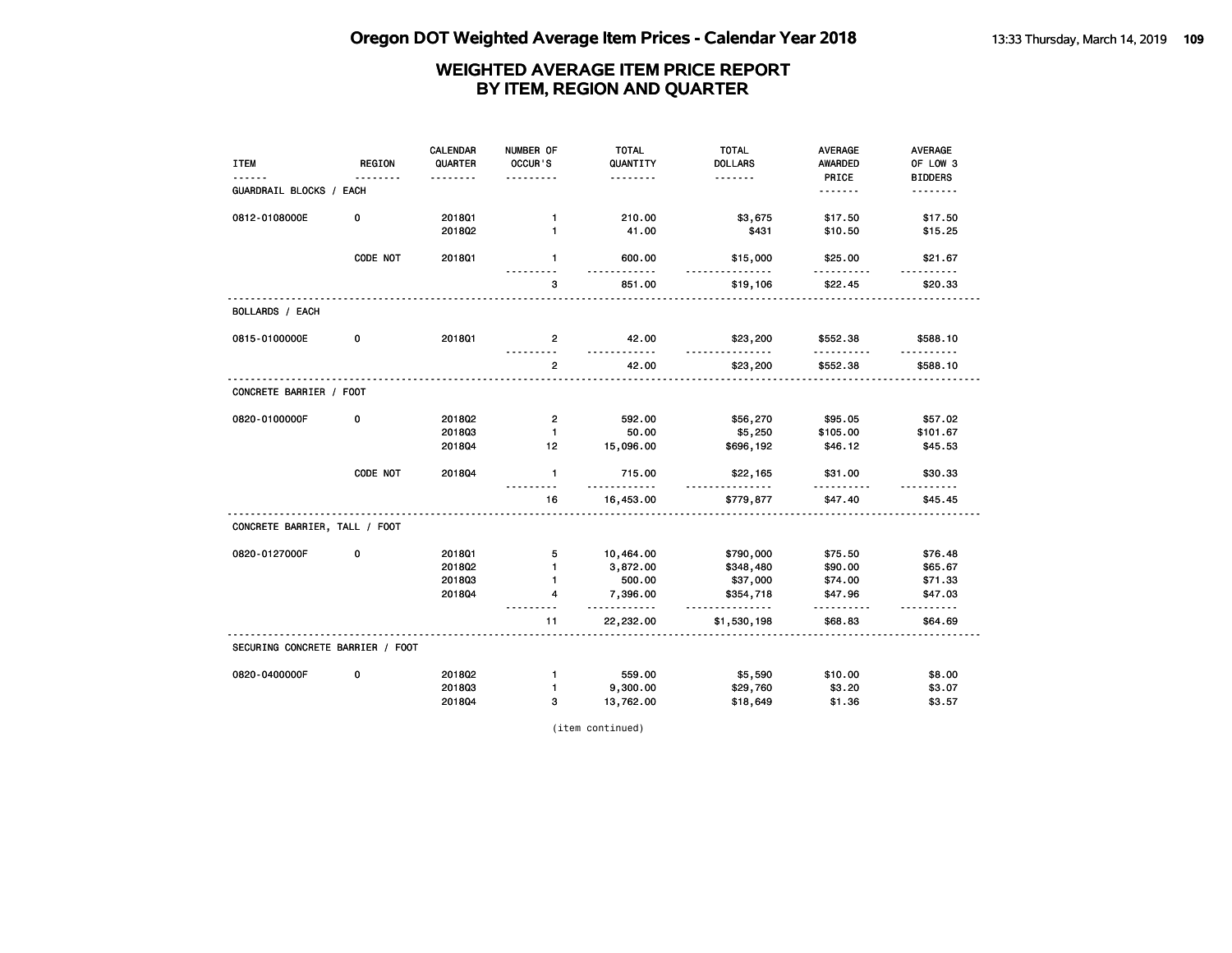| <b>ITEM</b>                      | <b>REGION</b><br>. | CALENDAR<br>QUARTER | NUMBER OF<br>OCCUR'S | <b>TOTAL</b><br>QUANTITY<br>. | <b>TOTAL</b><br><b>DOLLARS</b><br><u>.</u> | <b>AVERAGE</b><br><b>AWARDED</b><br>PRICE | <b>AVERAGE</b><br>OF LOW 3<br><b>BIDDERS</b> |
|----------------------------------|--------------------|---------------------|----------------------|-------------------------------|--------------------------------------------|-------------------------------------------|----------------------------------------------|
| GUARDRAIL BLOCKS / EACH          |                    |                     |                      |                               |                                            | <u>.</u>                                  | .                                            |
| 0812-0108000E                    | 0                  | 2018Q1              | $\mathbf{1}$         | 210.00                        | \$3,675                                    | \$17.50                                   | \$17.50                                      |
|                                  |                    | 201802              | $\mathbf{1}$         | 41.00                         | \$431                                      | \$10.50                                   | \$15.25                                      |
|                                  | CODE NOT           | 2018Q1              | $\mathbf{1}$         | 600.00                        | \$15,000<br>.                              | \$25.00                                   | \$21.67                                      |
|                                  |                    |                     | 3                    | 851.00                        | \$19,106                                   | \$22.45                                   | \$20.33                                      |
| <b>BOLLARDS / EACH</b>           |                    |                     |                      |                               |                                            |                                           |                                              |
| 0815-0100000E                    | 0                  | 2018Q1              | $\overline{2}$       | 42.00<br><u>.</u>             | \$23,200<br><u>.</u>                       | \$552.38<br>.                             | \$588.10                                     |
|                                  |                    |                     | $\overline{2}$       | 42.00                         | \$23,200                                   | \$552.38                                  | \$588.10                                     |
| CONCRETE BARRIER / FOOT          |                    |                     |                      |                               |                                            |                                           |                                              |
| 0820-0100000F                    | 0                  | 2018Q2              | 2                    | 592.00                        | \$56,270                                   | \$95.05                                   | \$57.02                                      |
|                                  |                    | 201803              | $\mathbf{1}$         | 50.00                         | \$5,250                                    | \$105.00                                  | \$101.67                                     |
|                                  |                    | 201804              | 12                   | 15,096.00                     | \$696,192                                  | \$46.12                                   | \$45.53                                      |
|                                  | CODE NOT           | 201804              | $\mathbf{1}$         | 715.00<br>.                   | \$22,165                                   | \$31.00<br>.                              | \$30.33                                      |
|                                  |                    |                     | 16                   | 16,453.00                     | \$779,877                                  | \$47.40                                   | \$45.45                                      |
| CONCRETE BARRIER, TALL / FOOT    |                    |                     |                      |                               |                                            |                                           |                                              |
| 0820-0127000F                    | 0                  | 201801              | 5                    | 10,464.00                     | \$790,000                                  | \$75.50                                   | \$76.48                                      |
|                                  |                    | 2018Q2              | $\mathbf{1}$         | 3,872.00                      | \$348,480                                  | \$90.00                                   | \$65.67                                      |
|                                  |                    | 201803              | 1                    | 500.00                        | \$37,000                                   | \$74.00                                   | \$71.33                                      |
|                                  |                    | 201804              | 4                    | 7,396.00<br>.                 | \$354,718<br>.                             | \$47.96<br>.                              | \$47.03<br><u>.</u>                          |
|                                  |                    |                     | 11                   | 22,232.00                     | \$1,530,198                                | \$68.83                                   | \$64.69                                      |
| SECURING CONCRETE BARRIER / FOOT |                    |                     |                      |                               |                                            |                                           |                                              |
| 0820-0400000F                    | 0                  | 2018Q2              | $\mathbf{1}$         | 559.00                        | \$5,590                                    | \$10.00                                   | \$8.00                                       |
|                                  |                    | 201803              | $\mathbf{1}$         | 9,300.00                      | \$29,760                                   | \$3.20                                    | \$3.07                                       |
|                                  |                    | 201804              | з                    | 13,762.00                     | \$18,649                                   | \$1.36                                    | \$3.57                                       |

(item continued)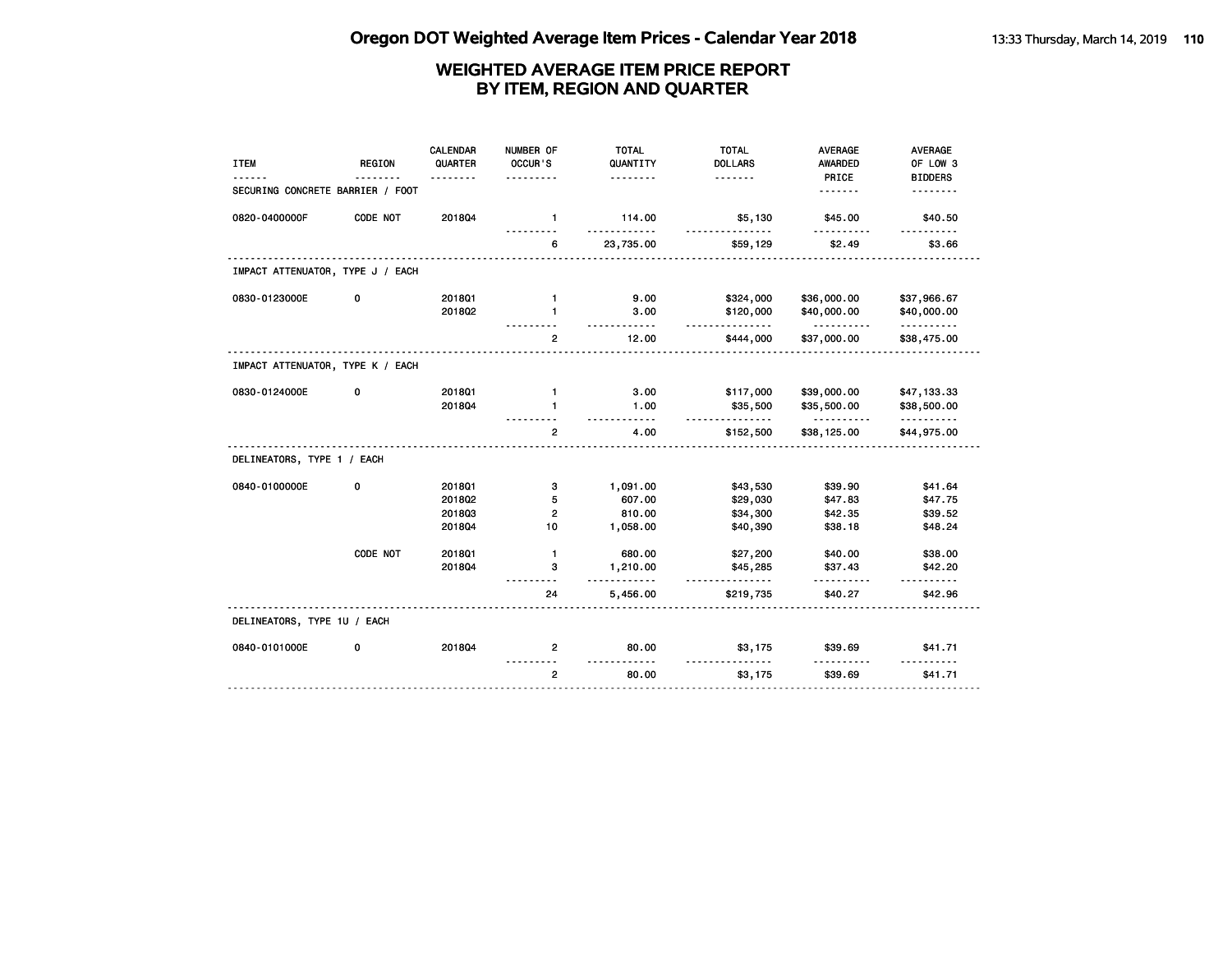| <b>ITEM</b>                      | <b>REGION</b> | CALENDAR<br>QUARTER | NUMBER OF<br>OCCUR'S | <b>TOTAL</b><br>QUANTITY       | <b>TOTAL</b><br><b>DOLLARS</b> | <b>AVERAGE</b><br>AWARDED | <b>AVERAGE</b><br>OF LOW 3 |
|----------------------------------|---------------|---------------------|----------------------|--------------------------------|--------------------------------|---------------------------|----------------------------|
|                                  |               |                     |                      | .                              |                                | PRICE                     | <b>BIDDERS</b>             |
| SECURING CONCRETE BARRIER / FOOT |               |                     |                      |                                |                                | .                         |                            |
| 0820-0400000F                    | CODE NOT      | 201804              | $\mathbf{1}$         | 114.00<br>$\sim$ $\sim$ $\sim$ | \$5,130                        | \$45.00                   | \$40.50                    |
|                                  |               |                     | 6                    | 23,735.00                      | \$59,129                       | \$2.49                    | \$3.66                     |
| IMPACT ATTENUATOR, TYPE J / EACH |               |                     |                      |                                |                                |                           |                            |
| 0830-0123000E                    | 0             | 2018Q1              | $\mathbf{1}$         | 9.00                           | \$324,000                      | \$36,000.00               | \$37,966.67                |
|                                  |               | 201802              | $\mathbf{1}$         | 3.00                           | \$120,000<br><u>.</u>          | \$40,000.00<br><u>.</u>   | \$40,000.00<br>.           |
|                                  |               |                     | $\overline{2}$       | 12.00                          | \$444,000                      | \$37,000.00               | \$38,475.00                |
| IMPACT ATTENUATOR, TYPE K / EACH |               |                     |                      |                                |                                |                           |                            |
| 0830-0124000E                    | 0             | 2018Q1              | $\mathbf{1}$         | 3.00                           | \$117,000                      | \$39,000.00               | \$47,133.33                |
|                                  |               | 201804              | 1                    | 1.00<br>- - - - -              | \$35,500<br><u>.</u>           | \$35,500.00<br><u>.</u>   | \$38,500.00<br><u>.</u>    |
|                                  |               |                     | $\mathbf{2}$         | 4.00                           | \$152,500                      | \$38,125.00               | \$44,975.00                |
| DELINEATORS, TYPE 1 / EACH       |               |                     |                      |                                |                                |                           |                            |
| 0840-0100000E                    | 0             | 201801              | 3                    | 1,091.00                       | \$43,530                       | \$39.90                   | \$41.64                    |
|                                  |               | 201802              | 5                    | 607.00                         | \$29,030                       | \$47.83                   | \$47.75                    |
|                                  |               | 201803              | $\overline{2}$       | 810.00                         | \$34,300                       | \$42.35                   | \$39.52                    |
|                                  |               | 201804              | 10                   | 1,058.00                       | \$40,390                       | \$38.18                   | \$48.24                    |
|                                  | CODE NOT      | 2018Q1              | $\mathbf{1}$         | 680.00                         | \$27,200                       | \$40.00                   | \$38.00                    |
|                                  |               | 201804              | з                    | 1,210.00<br>.                  | \$45,285<br>.                  | \$37.43<br>.              | \$42.20<br>.               |
|                                  |               |                     | 24                   | 5,456.00                       | \$219,735                      | \$40.27                   | \$42.96                    |
| DELINEATORS, TYPE 1U / EACH      |               |                     |                      |                                |                                |                           |                            |
| 0840-0101000E                    | 0             | 201804              | 2                    | 80.00                          | \$3,175                        | \$39.69                   | \$41.71                    |
|                                  |               |                     | $\overline{2}$       | 80.00                          | \$3,175                        | \$39.69                   | \$41.71                    |
|                                  |               |                     |                      |                                |                                |                           |                            |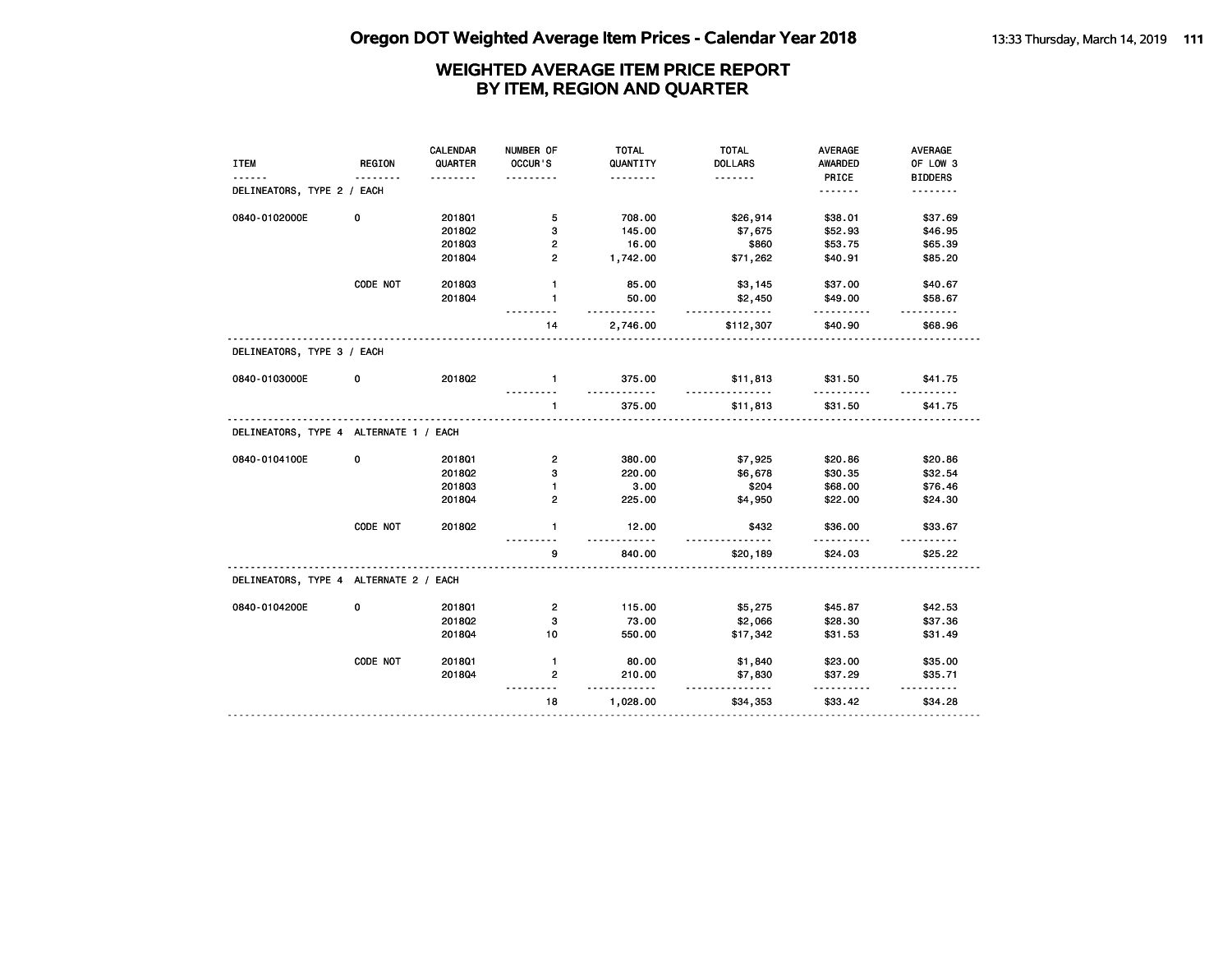| QUARTER<br><b>DOLLARS</b><br>OF LOW 3<br><b>ITEM</b><br><b>REGION</b><br>OCCUR'S<br>QUANTITY<br><b>AWARDED</b><br>PRICE<br><b>BIDDERS</b><br>.<br>DELINEATORS, TYPE 2 / EACH<br><u>.</u><br>.<br>0840-0102000E<br>5<br>\$38.01<br>\$37.69<br>0<br>201801<br>708.00<br>\$26,914<br>2018Q2<br>3<br>145.00<br>\$52.93<br>\$7,675<br>\$46.95<br>201803<br>$\overline{\mathbf{c}}$<br>16.00<br>\$860<br>\$65.39<br>\$53.75<br>$\mathbf{2}$<br>1,742.00<br>\$40.91<br>\$85.20<br>2018Q4<br>\$71,262<br>CODE NOT<br>201803<br>$\mathbf{1}$<br>85.00<br>\$3,145<br>\$37.00<br>\$40.67<br>2018Q4<br>$\mathbf{1}$<br>50.00<br>\$2,450<br>\$49.00<br>\$58.67<br>$- - - - - -$<br>.<br>$- - - - -$<br>.<br>2,746.00<br>\$112,307<br>\$40.90<br>\$68.96<br>14<br>DELINEATORS, TYPE 3 / EACH<br>2018Q2<br>0840-0103000E<br>0<br>375.00<br>\$31.50<br>\$41.75<br>$\mathbf{1}$<br>\$11,813<br>$\mathbf{1}$<br>375.00<br>\$11,813<br>\$31.50<br>\$41.75<br>DELINEATORS, TYPE 4 ALTERNATE 1 / EACH<br>0<br>$\overline{\mathbf{c}}$<br>0840-0104100E<br>201801<br>380.00<br>\$7,925<br>\$20.86<br>\$20.86<br>2018Q2<br>3<br>220.00<br>\$6,678<br>\$30.35<br>\$32.54<br>201803<br>3.00<br>\$204<br>\$68.00<br>1<br>\$76.46<br>201804<br>$\overline{2}$<br>225.00<br>\$4,950<br>\$22.00<br>\$24.30<br>CODE NOT<br>2018Q2<br>12.00<br>\$36.00<br>\$33.67<br>$\mathbf{1}$<br>\$432<br>.<br>.<br>$- - - - - -$<br>9<br>840.00<br>\$20,189<br>\$24.03<br>\$25.22<br>DELINEATORS, TYPE 4 ALTERNATE 2 / EACH<br>0840-0104200E<br>0<br>2018Q1<br>$\overline{2}$<br>115.00<br>\$5,275<br>\$45.87<br>\$42.53<br>201802<br>3<br>73.00<br>\$2,066<br>\$28.30<br>\$37.36<br>2018Q4<br>10<br>550.00<br>\$17,342<br>\$31.53<br>\$31.49<br>CODE NOT<br>201801<br>$\mathbf{1}$<br>80.00<br>\$1,840<br>\$23.00<br>\$35.00<br>2018Q4<br>2<br>210.00<br>\$7,830<br>\$37.29<br>\$35.71<br><u>.</u><br><u>.</u><br>18<br>\$33.42<br>\$34.28<br>1,028.00<br>\$34,353 |  | CALENDAR | NUMBER OF | <b>TOTAL</b> | <b>TOTAL</b> | <b>AVERAGE</b> | <b>AVERAGE</b> |
|---------------------------------------------------------------------------------------------------------------------------------------------------------------------------------------------------------------------------------------------------------------------------------------------------------------------------------------------------------------------------------------------------------------------------------------------------------------------------------------------------------------------------------------------------------------------------------------------------------------------------------------------------------------------------------------------------------------------------------------------------------------------------------------------------------------------------------------------------------------------------------------------------------------------------------------------------------------------------------------------------------------------------------------------------------------------------------------------------------------------------------------------------------------------------------------------------------------------------------------------------------------------------------------------------------------------------------------------------------------------------------------------------------------------------------------------------------------------------------------------------------------------------------------------------------------------------------------------------------------------------------------------------------------------------------------------------------------------------------------------------------------------------------------------------------------------------------------------------------------------------------------------------------------------------|--|----------|-----------|--------------|--------------|----------------|----------------|
|                                                                                                                                                                                                                                                                                                                                                                                                                                                                                                                                                                                                                                                                                                                                                                                                                                                                                                                                                                                                                                                                                                                                                                                                                                                                                                                                                                                                                                                                                                                                                                                                                                                                                                                                                                                                                                                                                                                           |  |          |           |              |              |                |                |
|                                                                                                                                                                                                                                                                                                                                                                                                                                                                                                                                                                                                                                                                                                                                                                                                                                                                                                                                                                                                                                                                                                                                                                                                                                                                                                                                                                                                                                                                                                                                                                                                                                                                                                                                                                                                                                                                                                                           |  |          |           |              |              |                |                |
|                                                                                                                                                                                                                                                                                                                                                                                                                                                                                                                                                                                                                                                                                                                                                                                                                                                                                                                                                                                                                                                                                                                                                                                                                                                                                                                                                                                                                                                                                                                                                                                                                                                                                                                                                                                                                                                                                                                           |  |          |           |              |              |                |                |
|                                                                                                                                                                                                                                                                                                                                                                                                                                                                                                                                                                                                                                                                                                                                                                                                                                                                                                                                                                                                                                                                                                                                                                                                                                                                                                                                                                                                                                                                                                                                                                                                                                                                                                                                                                                                                                                                                                                           |  |          |           |              |              |                |                |
|                                                                                                                                                                                                                                                                                                                                                                                                                                                                                                                                                                                                                                                                                                                                                                                                                                                                                                                                                                                                                                                                                                                                                                                                                                                                                                                                                                                                                                                                                                                                                                                                                                                                                                                                                                                                                                                                                                                           |  |          |           |              |              |                |                |
|                                                                                                                                                                                                                                                                                                                                                                                                                                                                                                                                                                                                                                                                                                                                                                                                                                                                                                                                                                                                                                                                                                                                                                                                                                                                                                                                                                                                                                                                                                                                                                                                                                                                                                                                                                                                                                                                                                                           |  |          |           |              |              |                |                |
|                                                                                                                                                                                                                                                                                                                                                                                                                                                                                                                                                                                                                                                                                                                                                                                                                                                                                                                                                                                                                                                                                                                                                                                                                                                                                                                                                                                                                                                                                                                                                                                                                                                                                                                                                                                                                                                                                                                           |  |          |           |              |              |                |                |
|                                                                                                                                                                                                                                                                                                                                                                                                                                                                                                                                                                                                                                                                                                                                                                                                                                                                                                                                                                                                                                                                                                                                                                                                                                                                                                                                                                                                                                                                                                                                                                                                                                                                                                                                                                                                                                                                                                                           |  |          |           |              |              |                |                |
|                                                                                                                                                                                                                                                                                                                                                                                                                                                                                                                                                                                                                                                                                                                                                                                                                                                                                                                                                                                                                                                                                                                                                                                                                                                                                                                                                                                                                                                                                                                                                                                                                                                                                                                                                                                                                                                                                                                           |  |          |           |              |              |                |                |
|                                                                                                                                                                                                                                                                                                                                                                                                                                                                                                                                                                                                                                                                                                                                                                                                                                                                                                                                                                                                                                                                                                                                                                                                                                                                                                                                                                                                                                                                                                                                                                                                                                                                                                                                                                                                                                                                                                                           |  |          |           |              |              |                |                |
|                                                                                                                                                                                                                                                                                                                                                                                                                                                                                                                                                                                                                                                                                                                                                                                                                                                                                                                                                                                                                                                                                                                                                                                                                                                                                                                                                                                                                                                                                                                                                                                                                                                                                                                                                                                                                                                                                                                           |  |          |           |              |              |                |                |
|                                                                                                                                                                                                                                                                                                                                                                                                                                                                                                                                                                                                                                                                                                                                                                                                                                                                                                                                                                                                                                                                                                                                                                                                                                                                                                                                                                                                                                                                                                                                                                                                                                                                                                                                                                                                                                                                                                                           |  |          |           |              |              |                |                |
|                                                                                                                                                                                                                                                                                                                                                                                                                                                                                                                                                                                                                                                                                                                                                                                                                                                                                                                                                                                                                                                                                                                                                                                                                                                                                                                                                                                                                                                                                                                                                                                                                                                                                                                                                                                                                                                                                                                           |  |          |           |              |              |                |                |
|                                                                                                                                                                                                                                                                                                                                                                                                                                                                                                                                                                                                                                                                                                                                                                                                                                                                                                                                                                                                                                                                                                                                                                                                                                                                                                                                                                                                                                                                                                                                                                                                                                                                                                                                                                                                                                                                                                                           |  |          |           |              |              |                |                |
|                                                                                                                                                                                                                                                                                                                                                                                                                                                                                                                                                                                                                                                                                                                                                                                                                                                                                                                                                                                                                                                                                                                                                                                                                                                                                                                                                                                                                                                                                                                                                                                                                                                                                                                                                                                                                                                                                                                           |  |          |           |              |              |                |                |
|                                                                                                                                                                                                                                                                                                                                                                                                                                                                                                                                                                                                                                                                                                                                                                                                                                                                                                                                                                                                                                                                                                                                                                                                                                                                                                                                                                                                                                                                                                                                                                                                                                                                                                                                                                                                                                                                                                                           |  |          |           |              |              |                |                |
|                                                                                                                                                                                                                                                                                                                                                                                                                                                                                                                                                                                                                                                                                                                                                                                                                                                                                                                                                                                                                                                                                                                                                                                                                                                                                                                                                                                                                                                                                                                                                                                                                                                                                                                                                                                                                                                                                                                           |  |          |           |              |              |                |                |
|                                                                                                                                                                                                                                                                                                                                                                                                                                                                                                                                                                                                                                                                                                                                                                                                                                                                                                                                                                                                                                                                                                                                                                                                                                                                                                                                                                                                                                                                                                                                                                                                                                                                                                                                                                                                                                                                                                                           |  |          |           |              |              |                |                |
|                                                                                                                                                                                                                                                                                                                                                                                                                                                                                                                                                                                                                                                                                                                                                                                                                                                                                                                                                                                                                                                                                                                                                                                                                                                                                                                                                                                                                                                                                                                                                                                                                                                                                                                                                                                                                                                                                                                           |  |          |           |              |              |                |                |
|                                                                                                                                                                                                                                                                                                                                                                                                                                                                                                                                                                                                                                                                                                                                                                                                                                                                                                                                                                                                                                                                                                                                                                                                                                                                                                                                                                                                                                                                                                                                                                                                                                                                                                                                                                                                                                                                                                                           |  |          |           |              |              |                |                |
|                                                                                                                                                                                                                                                                                                                                                                                                                                                                                                                                                                                                                                                                                                                                                                                                                                                                                                                                                                                                                                                                                                                                                                                                                                                                                                                                                                                                                                                                                                                                                                                                                                                                                                                                                                                                                                                                                                                           |  |          |           |              |              |                |                |
|                                                                                                                                                                                                                                                                                                                                                                                                                                                                                                                                                                                                                                                                                                                                                                                                                                                                                                                                                                                                                                                                                                                                                                                                                                                                                                                                                                                                                                                                                                                                                                                                                                                                                                                                                                                                                                                                                                                           |  |          |           |              |              |                |                |
|                                                                                                                                                                                                                                                                                                                                                                                                                                                                                                                                                                                                                                                                                                                                                                                                                                                                                                                                                                                                                                                                                                                                                                                                                                                                                                                                                                                                                                                                                                                                                                                                                                                                                                                                                                                                                                                                                                                           |  |          |           |              |              |                |                |
|                                                                                                                                                                                                                                                                                                                                                                                                                                                                                                                                                                                                                                                                                                                                                                                                                                                                                                                                                                                                                                                                                                                                                                                                                                                                                                                                                                                                                                                                                                                                                                                                                                                                                                                                                                                                                                                                                                                           |  |          |           |              |              |                |                |
|                                                                                                                                                                                                                                                                                                                                                                                                                                                                                                                                                                                                                                                                                                                                                                                                                                                                                                                                                                                                                                                                                                                                                                                                                                                                                                                                                                                                                                                                                                                                                                                                                                                                                                                                                                                                                                                                                                                           |  |          |           |              |              |                |                |
|                                                                                                                                                                                                                                                                                                                                                                                                                                                                                                                                                                                                                                                                                                                                                                                                                                                                                                                                                                                                                                                                                                                                                                                                                                                                                                                                                                                                                                                                                                                                                                                                                                                                                                                                                                                                                                                                                                                           |  |          |           |              |              |                |                |
|                                                                                                                                                                                                                                                                                                                                                                                                                                                                                                                                                                                                                                                                                                                                                                                                                                                                                                                                                                                                                                                                                                                                                                                                                                                                                                                                                                                                                                                                                                                                                                                                                                                                                                                                                                                                                                                                                                                           |  |          |           |              |              |                |                |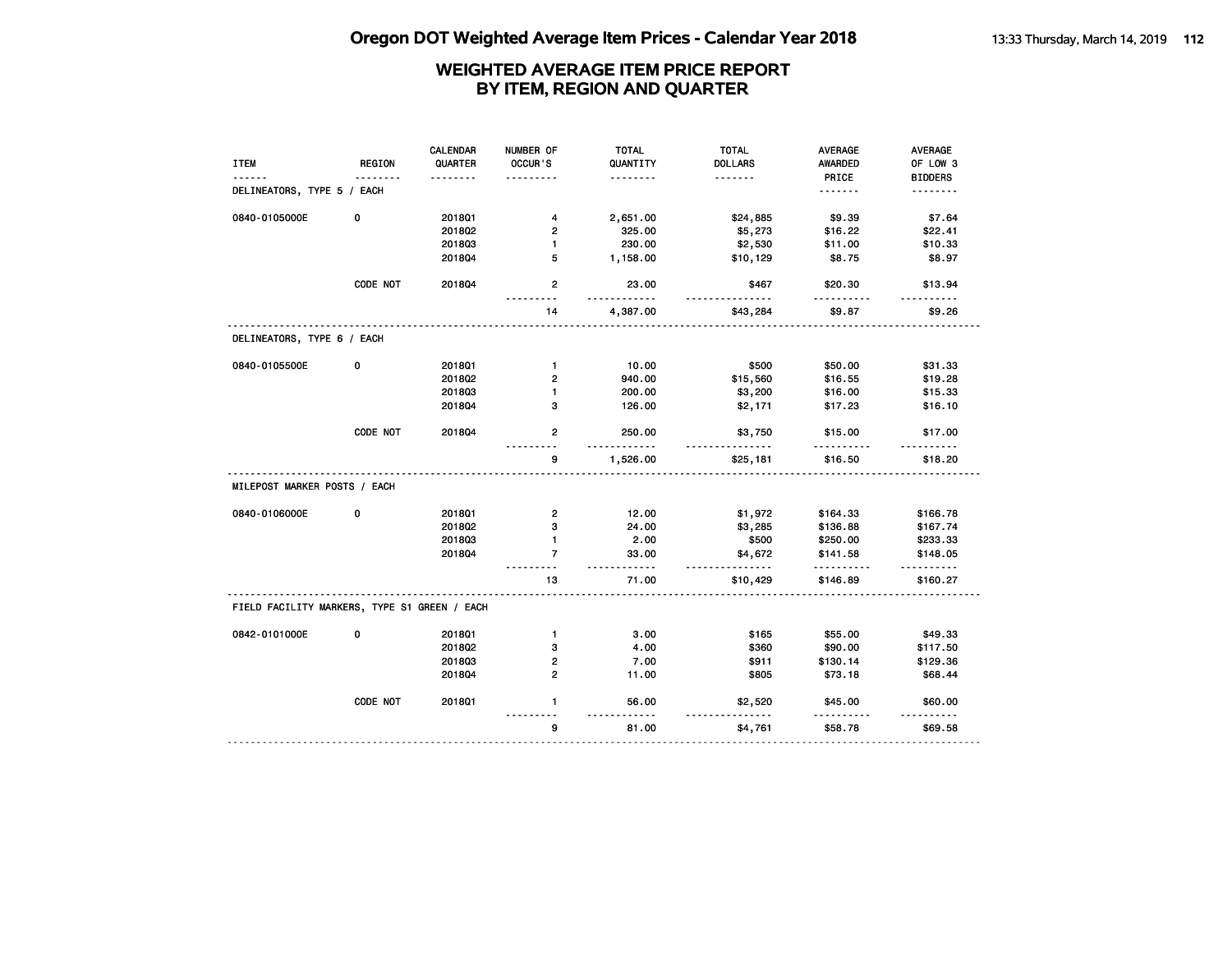| <b>ITEM</b><br>------                        | <b>REGION</b> | <b>CALENDAR</b><br>QUARTER<br><u>.</u> | NUMBER OF<br>OCCUR'S | <b>TOTAL</b><br>QUANTITY<br>. | <b>TOTAL</b><br><b>DOLLARS</b><br><u>.</u> | <b>AVERAGE</b><br><b>AWARDED</b><br>PRICE | AVERAGE<br>OF LOW 3<br><b>BIDDERS</b> |
|----------------------------------------------|---------------|----------------------------------------|----------------------|-------------------------------|--------------------------------------------|-------------------------------------------|---------------------------------------|
| DELINEATORS, TYPE 5 / EACH                   |               |                                        |                      |                               |                                            | .                                         | .                                     |
| 0840-0105000E                                | 0             | 201801                                 | 4                    | 2,651.00                      | \$24,885                                   | \$9.39                                    | \$7.64                                |
|                                              |               | 2018Q2                                 | $\overline{2}$       | 325.00                        | \$5,273                                    | \$16.22                                   | \$22.41                               |
|                                              |               | 201803                                 | $\mathbf{1}$         | 230.00                        | \$2,530                                    | \$11.00                                   | \$10.33                               |
|                                              |               | 201804                                 | 5                    | 1,158.00                      | \$10,129                                   | \$8.75                                    | \$8.97                                |
|                                              | CODE NOT      | 201804                                 | $\mathbf{2}$         | 23.00                         | \$467                                      | \$20.30                                   | \$13.94                               |
|                                              |               |                                        | 14                   | 4,387.00                      | \$43,284                                   | \$9.87                                    | \$9.26                                |
| DELINEATORS, TYPE 6 / EACH                   |               |                                        |                      |                               |                                            |                                           |                                       |
| 0840-0105500E                                | 0             | 2018Q1                                 | $\mathbf{1}$         | 10.00                         | \$500                                      | \$50.00                                   | \$31.33                               |
|                                              |               | 2018Q2                                 | $\overline{2}$       | 940.00                        | \$15,560                                   | \$16.55                                   | \$19.28                               |
|                                              |               | 201803                                 | $\mathbf{1}$         | 200.00                        | \$3,200                                    | \$16.00                                   | \$15.33                               |
|                                              |               | 201804                                 | 3                    | 126.00                        | \$2,171                                    | \$17.23                                   | \$16.10                               |
|                                              | CODE NOT      | 2018Q4                                 | $\overline{2}$       | 250.00<br>.                   | \$3,750                                    | \$15.00<br>.                              | \$17.00                               |
|                                              |               |                                        | 9                    | 1,526.00                      | \$25,181                                   | \$16.50                                   | \$18.20                               |
| MILEPOST MARKER POSTS / EACH                 |               |                                        |                      |                               |                                            |                                           |                                       |
| 0840-0106000E                                | 0             | 201801                                 | $\mathbf{2}$         | 12.00                         | \$1,972                                    | \$164.33                                  | \$166.78                              |
|                                              |               | 2018Q2                                 | 3                    | 24.00                         | \$3,285                                    | \$136.88                                  | \$167.74                              |
|                                              |               | 201803                                 | $\mathbf{1}$         | 2.00                          | \$500                                      | \$250.00                                  | \$233.33                              |
|                                              |               | 2018Q4                                 | $\overline{7}$       | 33.00<br>- - - - -            | \$4,672<br>.                               | \$141.58<br><u>.</u>                      | \$148.05                              |
|                                              |               |                                        | 13                   | 71.00                         | \$10,429                                   | \$146.89                                  | \$160.27                              |
| FIELD FACILITY MARKERS, TYPE S1 GREEN / EACH |               |                                        |                      |                               |                                            |                                           |                                       |
| 0842-0101000E                                | 0             | 201801                                 | $\mathbf{1}$         | 3.00                          | \$165                                      | \$55.00                                   | \$49.33                               |
|                                              |               | 2018Q2                                 | 3                    | 4.00                          | \$360                                      | \$90.00                                   | \$117.50                              |
|                                              |               | 201803                                 | 2                    | 7.00                          | \$911                                      | \$130.14                                  | \$129.36                              |
|                                              |               | 2018Q4                                 | $\overline{2}$       | 11.00                         | \$805                                      | \$73.18                                   | \$68.44                               |
|                                              | CODE NOT      | 201801                                 | $\mathbf{1}$         | 56.00                         | \$2,520                                    | \$45.00                                   | \$60.00                               |
|                                              |               |                                        | $\sim$ $\sim$<br>9   | 81.00                         | \$4,761                                    | \$58.78                                   | \$69.58                               |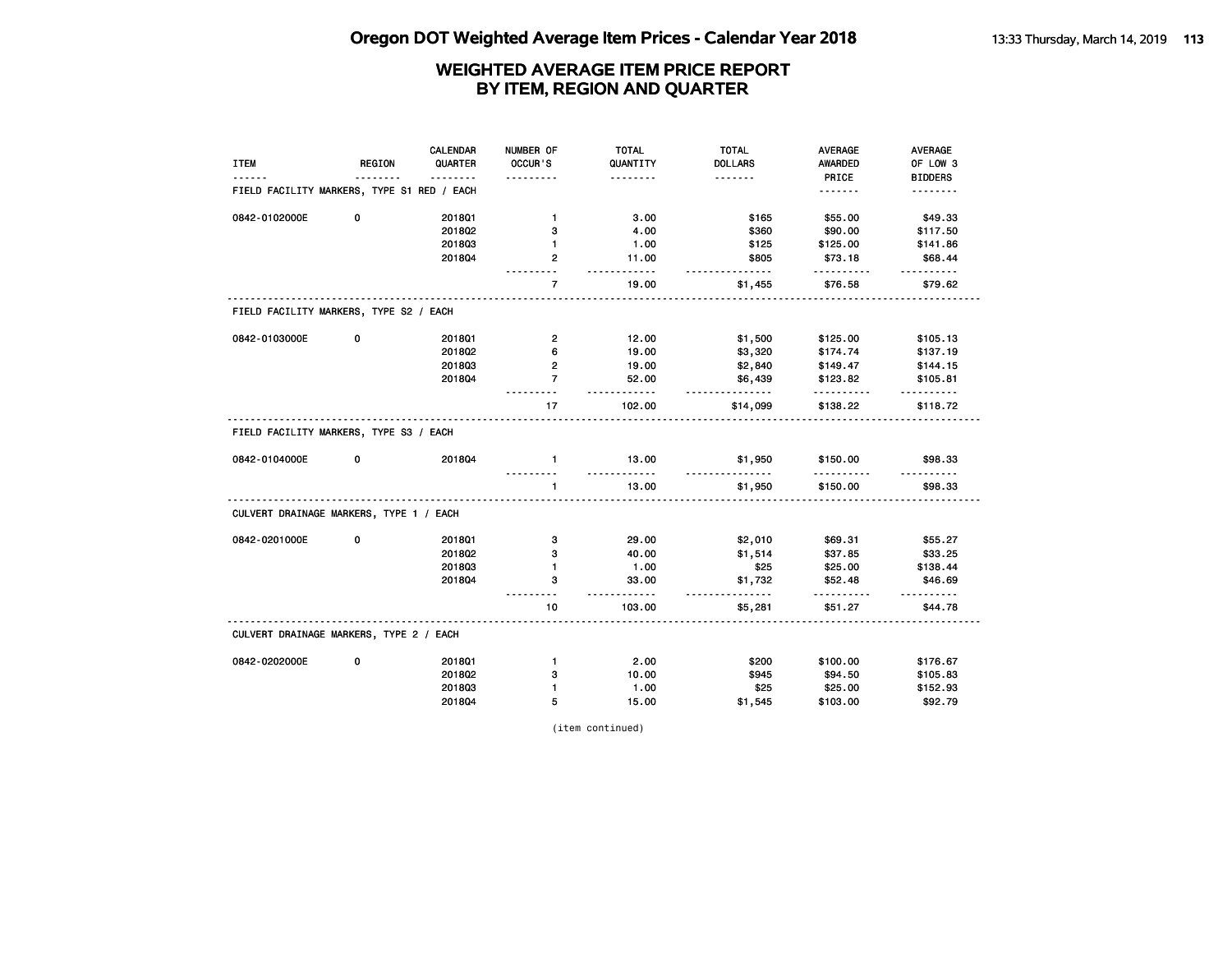|                                            |               | <b>CALENDAR</b> | NUMBER OF               | <b>TOTAL</b>       | <b>TOTAL</b>         | <b>AVERAGE</b> | <b>AVERAGE</b> |
|--------------------------------------------|---------------|-----------------|-------------------------|--------------------|----------------------|----------------|----------------|
| <b>ITEM</b>                                | <b>REGION</b> | QUARTER         | OCCUR'S                 | QUANTITY           | <b>DOLLARS</b>       | <b>AWARDED</b> | OF LOW 3       |
|                                            |               | <u>.</u>        | .                       | .                  | <u>.</u>             | PRICE          | <b>BIDDERS</b> |
| FIELD FACILITY MARKERS, TYPE S1 RED / EACH |               |                 |                         |                    |                      | <u>.</u>       | .              |
| 0842-0102000E                              | 0             | 201801          | $\mathbf{1}$            | 3.00               | \$165                | \$55.00        | \$49.33        |
|                                            |               | 2018Q2          | 3                       | 4.00               | \$360                | \$90.00        | \$117.50       |
|                                            |               | 201803          | 1                       | 1.00               | \$125                | \$125.00       | \$141.86       |
|                                            |               | 2018Q4          | 2                       | 11.00<br>- - - - - | \$805<br>-----       | \$73.18        | \$68.44        |
|                                            |               |                 | $\overline{7}$          | 19.00              | \$1,455              | \$76.58        | \$79.62        |
| FIELD FACILITY MARKERS, TYPE S2 / EACH     |               |                 |                         |                    |                      |                |                |
| 0842-0103000E                              | 0             | 2018Q1          | $\overline{\mathbf{c}}$ | 12.00              | \$1,500              | \$125.00       | \$105.13       |
|                                            |               | 2018Q2          | 6                       | 19.00              | \$3,320              | \$174.74       | \$137.19       |
|                                            |               | 201803          | 2                       | 19.00              | \$2,840              | \$149.47       | \$144.15       |
|                                            |               | 2018Q4          | $\overline{7}$          | 52.00              | \$6,439              | \$123.82       | \$105.81       |
|                                            |               |                 | 17                      | .<br>102.00        | <u>.</u><br>\$14,099 | .<br>\$138.22  | \$118.72       |
| FIELD FACILITY MARKERS, TYPE S3 / EACH     |               |                 |                         |                    |                      |                |                |
| 0842-0104000E                              | 0             | 2018Q4          | $\mathbf{1}$            | 13.00<br>.         | \$1,950              | \$150.00<br>.  | \$98.33        |
|                                            |               |                 | $\mathbf{1}$            | 13.00              | \$1,950              | \$150.00       | \$98.33        |
| CULVERT DRAINAGE MARKERS, TYPE 1 / EACH    |               |                 |                         |                    |                      |                |                |
| 0842-0201000E                              | 0             | 2018Q1          | з                       | 29.00              | \$2,010              | \$69.31        | \$55.27        |
|                                            |               | 2018Q2          | з                       | 40.00              | \$1,514              | \$37.85        | \$33.25        |
|                                            |               | 201803          | $\mathbf{1}$            | 1.00               | \$25                 | \$25.00        | \$138.44       |
|                                            |               | 2018Q4          | з                       | 33.00<br>$- - - -$ | \$1,732<br>.         | \$52.48        | \$46.69        |
|                                            |               |                 | 10                      | 103.00             | \$5,281              | \$51.27        | \$44.78        |
| CULVERT DRAINAGE MARKERS, TYPE 2 / EACH    |               |                 |                         |                    |                      |                |                |
| 0842-0202000E                              | 0             | 2018Q1          | $\mathbf{1}$            | 2.00               | \$200                | \$100.00       | \$176.67       |
|                                            |               | 2018Q2          | з                       | 10.00              | \$945                | \$94.50        | \$105.83       |
|                                            |               | 201803          | $\mathbf{1}$            | 1.00               | \$25                 | \$25.00        | \$152.93       |
|                                            |               | 2018Q4          | 5                       | 15.00              | \$1,545              | \$103.00       | \$92.79        |

(item continued)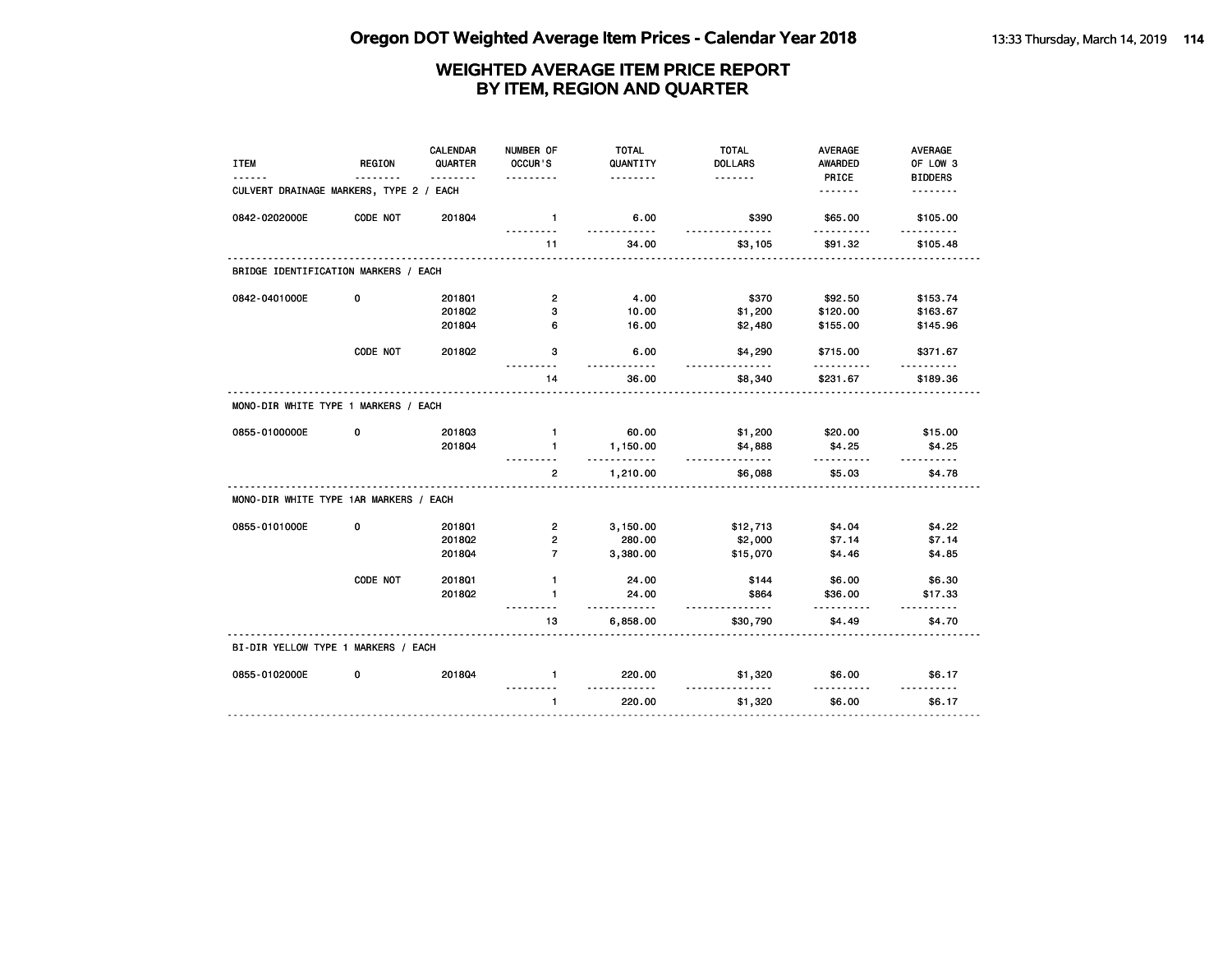| <b>ITEM</b>                            | <b>REGION</b> | <b>CALENDAR</b><br>QUARTER | NUMBER OF<br>OCCUR'S | <b>TOTAL</b><br>QUANTITY | <b>TOTAL</b><br><b>DOLLARS</b> | <b>AVERAGE</b><br>AWARDED | AVERAGE<br>OF LOW 3 |
|----------------------------------------|---------------|----------------------------|----------------------|--------------------------|--------------------------------|---------------------------|---------------------|
|                                        |               | <u>.</u>                   | .                    | .                        | <u>.</u>                       | PRICE                     | <b>BIDDERS</b>      |
| CULVERT DRAINAGE MARKERS, TYPE 2 /     |               | EACH                       |                      |                          |                                | .                         | <u>.</u>            |
| 0842-0202000E                          | CODE NOT      | 2018Q4                     | $\mathbf{1}$         | 6.00<br><u>.</u>         | \$390<br><u>.</u>              | \$65.00<br>.              | \$105.00<br>.       |
|                                        |               |                            | 11                   | 34.00                    | \$3,105                        | \$91.32                   | \$105.48            |
| BRIDGE IDENTIFICATION MARKERS / EACH   |               |                            |                      |                          |                                |                           |                     |
| 0842-0401000E                          | 0             | 2018Q1                     | $\overline{2}$       | 4.00                     | \$370                          | \$92.50                   | \$153.74            |
|                                        |               | 2018Q2                     | з                    | 10.00                    | \$1,200                        | \$120.00                  | \$163.67            |
|                                        |               | 2018Q4                     | 6                    | 16.00                    | \$2,480                        | \$155.00                  | \$145.96            |
|                                        | CODE NOT      | 2018Q2                     | 3                    | 6.00                     | \$4,290                        | \$715.00                  | \$371.67            |
|                                        |               |                            | 14                   | 36.00                    | \$8,340                        | \$231.67                  | \$189.36            |
| MONO-DIR WHITE TYPE 1 MARKERS / EACH   |               |                            |                      |                          |                                |                           |                     |
| 0855-0100000E                          | 0             | 201803                     | $\mathbf{1}$         | 60.00                    | \$1,200                        | \$20.00                   | \$15.00             |
|                                        |               | 201804                     | $\mathbf{1}$         | 1,150.00<br>.            | \$4,888<br><u>.</u>            | \$4.25<br>.               | \$4.25              |
|                                        |               |                            | $\overline{2}$       | 1,210.00                 | \$6,088                        | \$5.03                    | \$4.78              |
| MONO-DIR WHITE TYPE 1AR MARKERS / EACH |               |                            |                      |                          |                                |                           |                     |
| 0855-0101000E                          | 0             | 201801                     | $\overline{2}$       | 3,150.00                 | \$12,713                       | \$4.04                    | \$4.22              |
|                                        |               | 2018Q2                     | $\overline{2}$       | 280.00                   | \$2,000                        | \$7.14                    | \$7.14              |
|                                        |               | 201804                     | $\overline{7}$       | 3,380.00                 | \$15,070                       | \$4.46                    | \$4.85              |
|                                        | CODE NOT      | 2018Q1                     | $\mathbf{1}$         | 24.00                    | \$144                          | \$6.00                    | \$6.30              |
|                                        |               | 201802                     | 1                    | 24.00<br>.               | \$864<br>----                  | \$36.00                   | \$17.33             |
|                                        |               |                            | 13                   | 6,858.00                 | \$30,790                       | \$4.49                    | \$4.70              |
| BI-DIR YELLOW TYPE 1 MARKERS / EACH    |               |                            |                      |                          |                                |                           |                     |
| 0855-0102000E                          | 0             | 2018Q4                     | $\mathbf{1}$         | 220.00<br><u>.</u>       | \$1,320                        | \$6.00                    | \$6.17              |
|                                        |               |                            | $\mathbf{1}$         | 220.00                   | \$1,320                        | \$6.00                    | \$6.17              |
|                                        |               |                            |                      |                          |                                |                           |                     |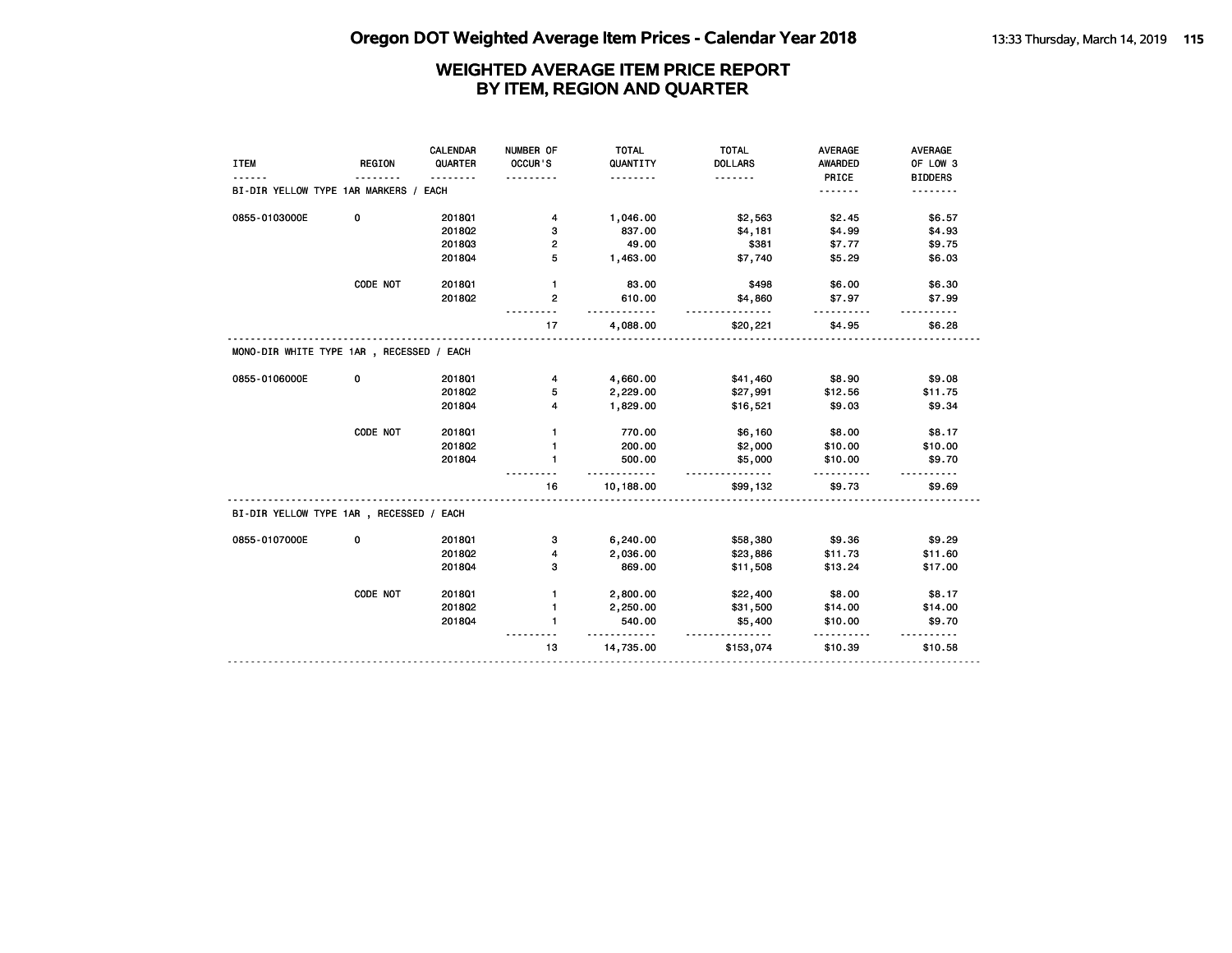| <b>ITEM</b>                              | <b>REGION</b> | <b>CALENDAR</b><br>QUARTER | NUMBER OF<br>OCCUR'S | <b>TOTAL</b><br>QUANTITY | <b>TOTAL</b><br><b>DOLLARS</b> | <b>AVERAGE</b><br><b>AWARDED</b> | AVERAGE<br>OF LOW 3 |
|------------------------------------------|---------------|----------------------------|----------------------|--------------------------|--------------------------------|----------------------------------|---------------------|
|                                          |               |                            |                      | .                        | .                              | PRICE                            | <b>BIDDERS</b>      |
| BI-DIR YELLOW TYPE 1AR MARKERS /         |               | EACH                       |                      |                          |                                | .                                | <u>.</u>            |
| 0855-0103000E                            | 0             | 201801                     | 4                    | 1,046.00                 | \$2,563                        | \$2.45                           | \$6.57              |
|                                          |               | 2018Q2                     | з                    | 837.00                   | \$4,181                        | \$4.99                           | \$4.93              |
|                                          |               | 201803                     | 2                    | 49.00                    | \$381                          | \$7.77                           | \$9.75              |
|                                          |               | 201804                     | 5                    | 1,463.00                 | \$7,740                        | \$5.29                           | \$6.03              |
|                                          | CODE NOT      | 2018Q1                     | $\mathbf{1}$         | 83.00                    | \$498                          | \$6.00                           | \$6.30              |
|                                          |               | 2018Q2                     | $\overline{2}$       | 610.00                   | \$4,860                        | \$7.97                           | \$7.99              |
|                                          |               |                            | 17                   | 4,088.00                 | \$20,221                       | \$4.95                           | \$6.28              |
| MONO-DIR WHITE TYPE 1AR, RECESSED / EACH |               |                            |                      |                          |                                |                                  |                     |
| 0855-0106000E                            | 0             | 201801                     | 4                    | 4,660.00                 | \$41,460                       | \$8.90                           | \$9.08              |
|                                          |               | 2018Q2                     | 5                    | 2,229.00                 | \$27,991                       | \$12.56                          | \$11.75             |
|                                          |               | 201804                     | 4                    | 1,829.00                 | \$16,521                       | \$9.03                           | \$9.34              |
|                                          | CODE NOT      | 2018Q1                     | 1                    | 770.00                   | \$6,160                        | \$8.00                           | \$8.17              |
|                                          |               | 2018Q2                     | $\mathbf{1}$         | 200.00                   | \$2,000                        | \$10.00                          | \$10.00             |
|                                          |               | 201804                     | $\mathbf{1}$         | 500.00                   | \$5,000                        | \$10.00                          | \$9.70              |
|                                          |               |                            | 16                   | 10,188.00                | \$99,132                       | \$9.73                           | \$9.69              |
| BI-DIR YELLOW TYPE 1AR, RECESSED / EACH  |               |                            |                      |                          |                                |                                  |                     |
| 0855-0107000E                            | 0             | 2018Q1                     | з                    | 6,240.00                 | \$58,380                       | \$9.36                           | \$9.29              |
|                                          |               | 2018Q2                     | 4                    | 2,036.00                 | \$23,886                       | \$11.73                          | \$11.60             |
|                                          |               | 201804                     | з                    | 869.00                   | \$11,508                       | \$13.24                          | \$17.00             |
|                                          | CODE NOT      | 2018Q1                     | 1                    | 2,800.00                 | \$22,400                       | \$8.00                           | \$8.17              |
|                                          |               | 2018Q2                     | 1                    | 2,250.00                 | \$31,500                       | \$14.00                          | \$14.00             |
|                                          |               | 201804                     | $\mathbf{1}$         | 540.00                   | \$5,400                        | \$10.00                          | \$9.70              |
|                                          |               |                            | 13                   | 14,735.00                | \$153,074                      | \$10.39                          | \$10.58             |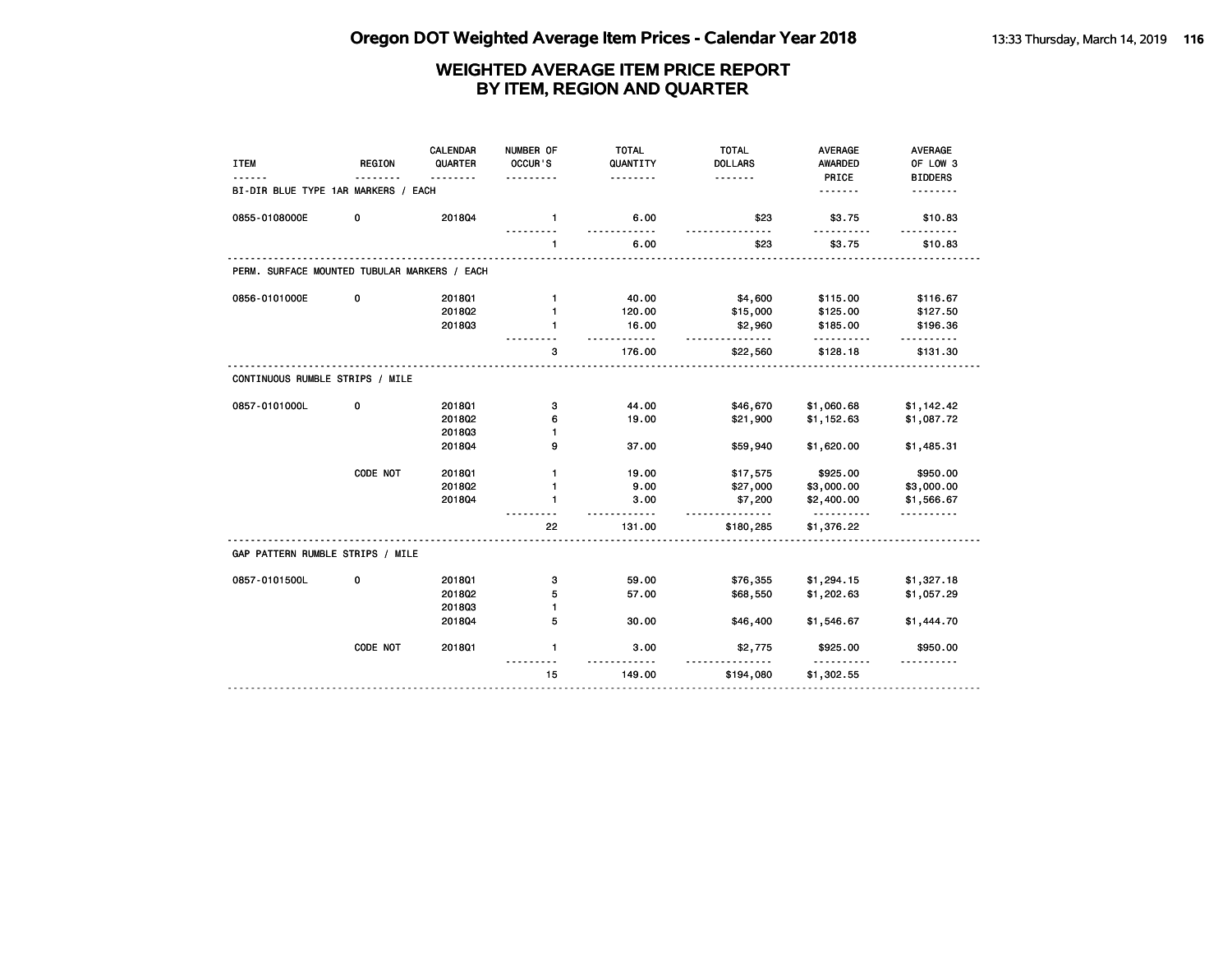| <b>ITEM</b>                                  | <b>REGION</b> | CALENDAR<br>QUARTER | NUMBER OF<br>OCCUR'S<br>$- - - -$ | <b>TOTAL</b><br>QUANTITY<br>. | <b>TOTAL</b><br><b>DOLLARS</b><br>. | <b>AVERAGE</b><br><b>AWARDED</b><br>PRICE | <b>AVERAGE</b><br>OF LOW 3<br><b>BIDDERS</b> |
|----------------------------------------------|---------------|---------------------|-----------------------------------|-------------------------------|-------------------------------------|-------------------------------------------|----------------------------------------------|
| BI-DIR BLUE TYPE 1AR MARKERS / EACH          |               |                     |                                   |                               |                                     | .                                         | .                                            |
| 0855-0108000E                                | 0             | 201804              | $\mathbf{1}$                      | 6.00                          | \$23                                | \$3.75                                    | \$10.83                                      |
|                                              |               |                     | 1                                 | 6.00                          | \$23                                | \$3.75                                    | \$10.83                                      |
| PERM. SURFACE MOUNTED TUBULAR MARKERS / EACH |               |                     |                                   |                               |                                     |                                           |                                              |
| 0856-0101000E                                | 0             | 2018Q1              | $\mathbf{1}$                      | 40.00                         | \$4,600                             | \$115.00                                  | \$116.67                                     |
|                                              |               | 2018Q2              | $\mathbf{1}$                      | 120.00                        | \$15,000                            | \$125.00                                  | \$127.50                                     |
|                                              |               | 201803              | 1                                 | 16.00                         | \$2,960<br><u>.</u>                 | \$185.00                                  | \$196.36                                     |
|                                              |               |                     | з                                 | 176.00                        | \$22,560                            | \$128.18                                  | \$131.30                                     |
| CONTINUOUS RUMBLE STRIPS / MILE              |               |                     |                                   |                               |                                     |                                           |                                              |
| 0857-0101000L                                | 0             | 2018Q1              | з                                 | 44.00                         | \$46,670                            | \$1,060.68                                | \$1,142.42                                   |
|                                              |               | 201802              | 6                                 | 19.00                         | \$21,900                            | \$1,152.63                                | \$1,087.72                                   |
|                                              |               | 201803              | 1                                 |                               |                                     |                                           |                                              |
|                                              |               | 201804              | 9                                 | 37.00                         | \$59,940                            | \$1,620.00                                | \$1,485.31                                   |
|                                              | CODE NOT      | 2018Q1              | $\mathbf{1}$                      | 19.00                         | \$17,575                            | \$925.00                                  | \$950.00                                     |
|                                              |               | 2018Q2              | 1                                 | 9.00                          | \$27,000                            | \$3,000.00                                | \$3,000.00                                   |
|                                              |               | 201804              | 1                                 | 3.00                          | \$7,200                             | \$2,400.00                                | \$1,566.67                                   |
|                                              |               |                     | 22                                | 131.00                        | .<br>\$180,285                      | <u>.</u><br>\$1,376.22                    |                                              |
| GAP PATTERN RUMBLE STRIPS / MILE             |               |                     |                                   |                               |                                     |                                           |                                              |
| 0857-0101500L                                | 0             | 2018Q1              | з                                 | 59.00                         | \$76,355                            | \$1,294.15                                | \$1,327.18                                   |
|                                              |               | 2018Q2              | 5                                 | 57.00                         | \$68,550                            | \$1,202.63                                | \$1,057.29                                   |
|                                              |               | 201803              | 1                                 |                               |                                     |                                           |                                              |
|                                              |               | 201804              | 5                                 | 30.00                         | \$46,400                            | \$1,546.67                                | \$1,444.70                                   |
|                                              | CODE NOT      | 201801              | $\mathbf{1}$                      | 3.00                          | \$2,775                             | \$925.00                                  | \$950.00                                     |
|                                              |               |                     | 15                                | 149.00                        | \$194,080                           | \$1,302.55                                |                                              |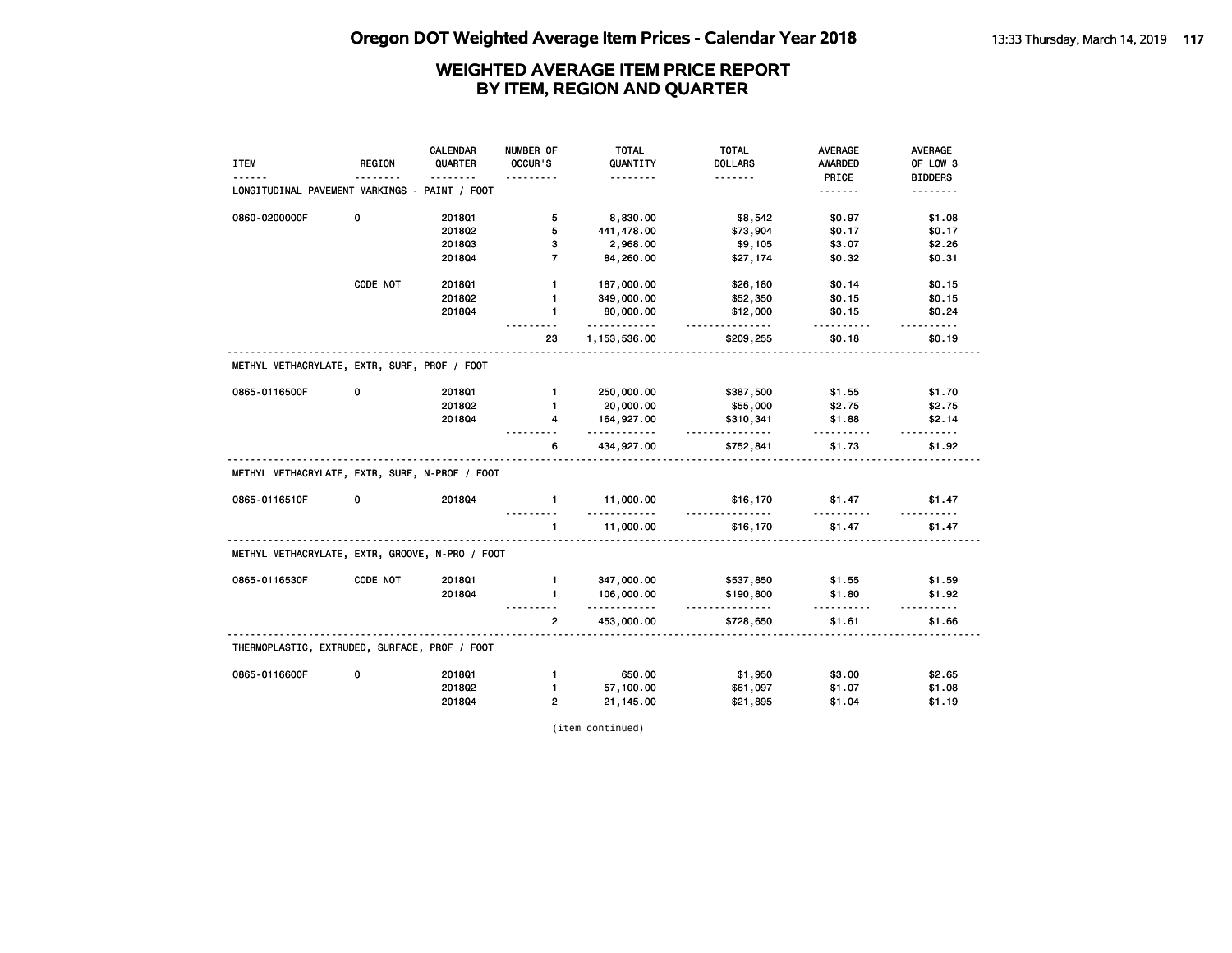|                                                 |          | CALENDAR     | NUMBER OF      | <b>TOTAL</b>    | <b>TOTAL</b>          | <b>AVERAGE</b> | <b>AVERAGE</b>     |
|-------------------------------------------------|----------|--------------|----------------|-----------------|-----------------------|----------------|--------------------|
| <b>ITEM</b>                                     | REGION   | QUARTER      | OCCUR'S        | QUANTITY        | <b>DOLLARS</b>        | AWARDED        | OF LOW 3           |
|                                                 |          | <u>.</u>     |                | - - - - - - - - | <u>.</u>              | PRICE          | <b>BIDDERS</b>     |
| LONGITUDINAL PAVEMENT MARKINGS -                |          | PAINT / FOOT |                |                 |                       | <u>.</u>       | <u>.</u>           |
| 0860-0200000F                                   | 0        | 201801       | 5              | 8,830.00        | \$8,542               | \$0.97         | \$1.08             |
|                                                 |          | 2018Q2       | 5              | 441,478.00      | \$73,904              | \$0.17         | \$0.17             |
|                                                 |          | 201803       | З              | 2,968.00        | \$9,105               | \$3.07         | \$2.26             |
|                                                 |          | 2018Q4       | $\overline{7}$ | 84,260.00       | \$27,174              | \$0.32         | \$0.31             |
|                                                 | CODE NOT | 2018Q1       | $\mathbf{1}$   | 187,000.00      | \$26,180              | \$0.14         | \$0.15             |
|                                                 |          | 2018Q2       | 1              | 349,000.00      | \$52,350              | \$0.15         | \$0.15             |
|                                                 |          | 201804       | $\mathbf{1}$   | 80,000.00<br>.  | \$12,000<br>.         | \$0.15<br>.    | \$0.24             |
|                                                 |          |              | 23             | 1,153,536.00    | \$209,255             | \$0.18         | .<br>\$0.19        |
| METHYL METHACRYLATE, EXTR, SURF, PROF / FOOT    |          |              |                |                 |                       |                |                    |
| 0865-0116500F                                   | 0        | 2018Q1       | $\mathbf{1}$   | 250,000.00      | \$387,500             | \$1.55         | \$1.70             |
|                                                 |          | 2018Q2       | $\mathbf{1}$   | 20,000.00       | \$55,000              | \$2.75         | \$2.75             |
|                                                 |          | 201804       | 4              | 164,927.00<br>. | \$310,341<br><u>.</u> | \$1.88<br>.    | \$2.14<br><u>.</u> |
|                                                 |          |              | 6              | 434,927.00      | \$752,841             | \$1.73         | \$1.92             |
| METHYL METHACRYLATE, EXTR, SURF, N-PROF / FOOT  |          |              |                |                 |                       |                |                    |
| 0865-0116510F                                   | 0        | 201804       | $\mathbf{1}$   | 11,000.00<br>.  | \$16,170<br><u>.</u>  | \$1.47         | \$1.47             |
|                                                 |          |              | $\mathbf{1}$   | 11,000.00       | \$16,170              | \$1.47         | \$1.47             |
| METHYL METHACRYLATE, EXTR, GROOVE, N-PRO / FOOT |          |              |                |                 |                       |                |                    |
| 0865-0116530F                                   | CODE NOT | 2018Q1       | $\mathbf{1}$   | 347,000.00      | \$537,850             | \$1.55         | \$1.59             |
|                                                 |          | 2018Q4       | $\mathbf{1}$   | 106,000.00<br>. | \$190,800<br><u>.</u> | \$1.80<br>.    | \$1.92             |
|                                                 |          |              | $\overline{2}$ | 453,000.00      | \$728,650             | \$1.61         | \$1.66             |
| THERMOPLASTIC, EXTRUDED, SURFACE, PROF / FOOT   |          |              |                |                 |                       |                |                    |
| 0865-0116600F                                   | 0        | 2018Q1       | $\mathbf{1}$   | 650.00          | \$1,950               | \$3.00         | \$2.65             |
|                                                 |          | 2018Q2       | $\mathbf{1}$   | 57,100.00       | \$61,097              | \$1.07         | \$1.08             |
|                                                 |          | 2018Q4       | $\overline{2}$ | 21,145.00       | \$21,895              | \$1.04         | \$1.19             |

(item continued)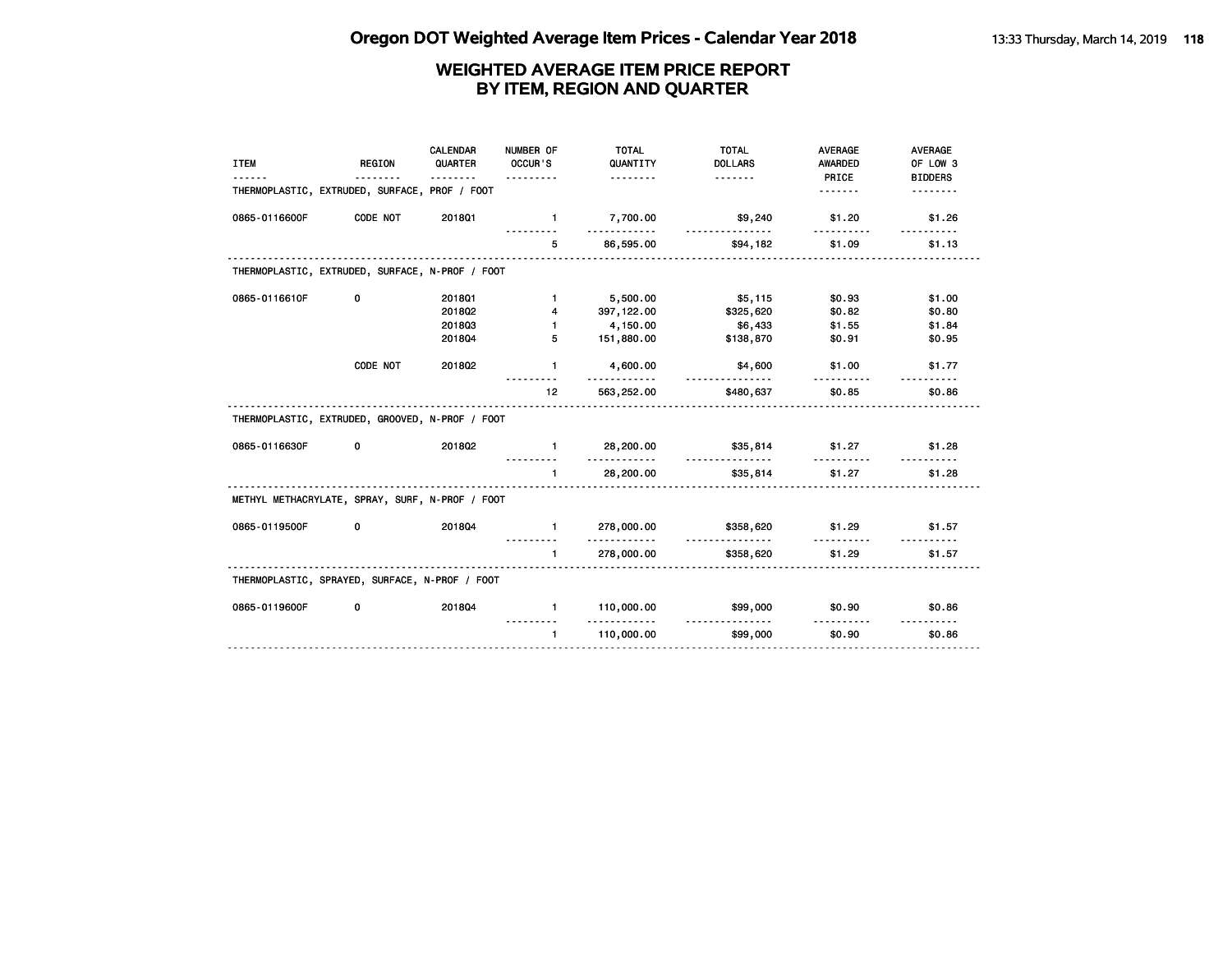| <b>ITEM</b>                                     | <b>REGION</b><br><u>.</u> | CALENDAR<br>QUARTER<br>. | NUMBER OF<br>OCCUR'S<br>. | <b>TOTAL</b><br>QUANTITY<br><u>.</u> | <b>TOTAL</b><br><b>DOLLARS</b> | <b>AVERAGE</b><br>AWARDED<br>PRICE | <b>AVERAGE</b><br>OF LOW 3<br><b>BIDDERS</b> |
|-------------------------------------------------|---------------------------|--------------------------|---------------------------|--------------------------------------|--------------------------------|------------------------------------|----------------------------------------------|
| THERMOPLASTIC, EXTRUDED, SURFACE, PROF / FOOT   |                           |                          |                           |                                      |                                | .                                  |                                              |
| 0865-0116600F                                   | CODE NOT                  | 201801                   | $\mathbf{1}$              | 7,700.00<br><u>.</u>                 | \$9,240                        | \$1.20                             | \$1.26                                       |
|                                                 |                           |                          | 5                         | 86,595.00                            | \$94,182                       | \$1.09                             | \$1.13                                       |
| THERMOPLASTIC, EXTRUDED, SURFACE, N-PROF / FOOT |                           |                          |                           |                                      |                                |                                    |                                              |
| 0865-0116610F                                   | 0                         | 2018Q1                   | $\mathbf{1}$              | 5,500.00                             | \$5,115                        | \$0.93                             | \$1.00                                       |
|                                                 |                           | 201802                   | 4                         | 397, 122.00                          | \$325,620                      | \$0.82                             | \$0.80                                       |
|                                                 |                           | 201803                   | $\mathbf{1}$              | 4,150.00                             | \$6,433                        | \$1.55                             | \$1.84                                       |
|                                                 |                           | 201804                   | 5                         | 151,880.00                           | \$138,870                      | \$0.91                             | \$0.95                                       |
|                                                 | CODE NOT                  | 201802                   | $\mathbf{1}$              | 4,600.00                             | \$4,600<br><u>.</u>            | \$1.00                             | \$1.77                                       |
|                                                 |                           |                          | 12                        | 563,252.00                           | \$480,637                      | \$0.85                             | \$0.86                                       |
| THERMOPLASTIC, EXTRUDED, GROOVED, N-PROF / FOOT |                           |                          |                           |                                      |                                |                                    |                                              |
| 0865-0116630F                                   | 0                         | 201802                   | $\mathbf{1}$              | 28,200.00<br>.                       | \$35,814                       | \$1.27                             | \$1.28                                       |
|                                                 |                           |                          | $\blacksquare$            | 28,200.00                            | \$35,814                       | \$1.27                             | \$1.28                                       |
| METHYL METHACRYLATE, SPRAY, SURF, N-PROF / FOOT |                           |                          |                           |                                      |                                |                                    |                                              |
| 0865-0119500F                                   | 0                         | 201804                   | $\mathbf{1}$              | 278,000.00<br><u>.</u>               | \$358,620                      | \$1.29                             | \$1.57                                       |
|                                                 |                           |                          | $\mathbf{1}$              | 278,000.00                           | \$358,620                      | \$1.29                             | \$1.57                                       |
| THERMOPLASTIC, SPRAYED, SURFACE, N-PROF / FOOT  |                           |                          |                           |                                      |                                |                                    |                                              |
| 0865-0119600F                                   | 0                         | 201804                   | $\mathbf{1}$              | 110,000.00                           | \$99,000                       | \$0.90                             | \$0.86                                       |
|                                                 |                           |                          | $\mathbf{1}$              | <u>.</u><br>110,000.00               | <u>.</u><br>\$99,000           | \$0.90                             | \$0.86                                       |
|                                                 |                           |                          |                           |                                      |                                |                                    |                                              |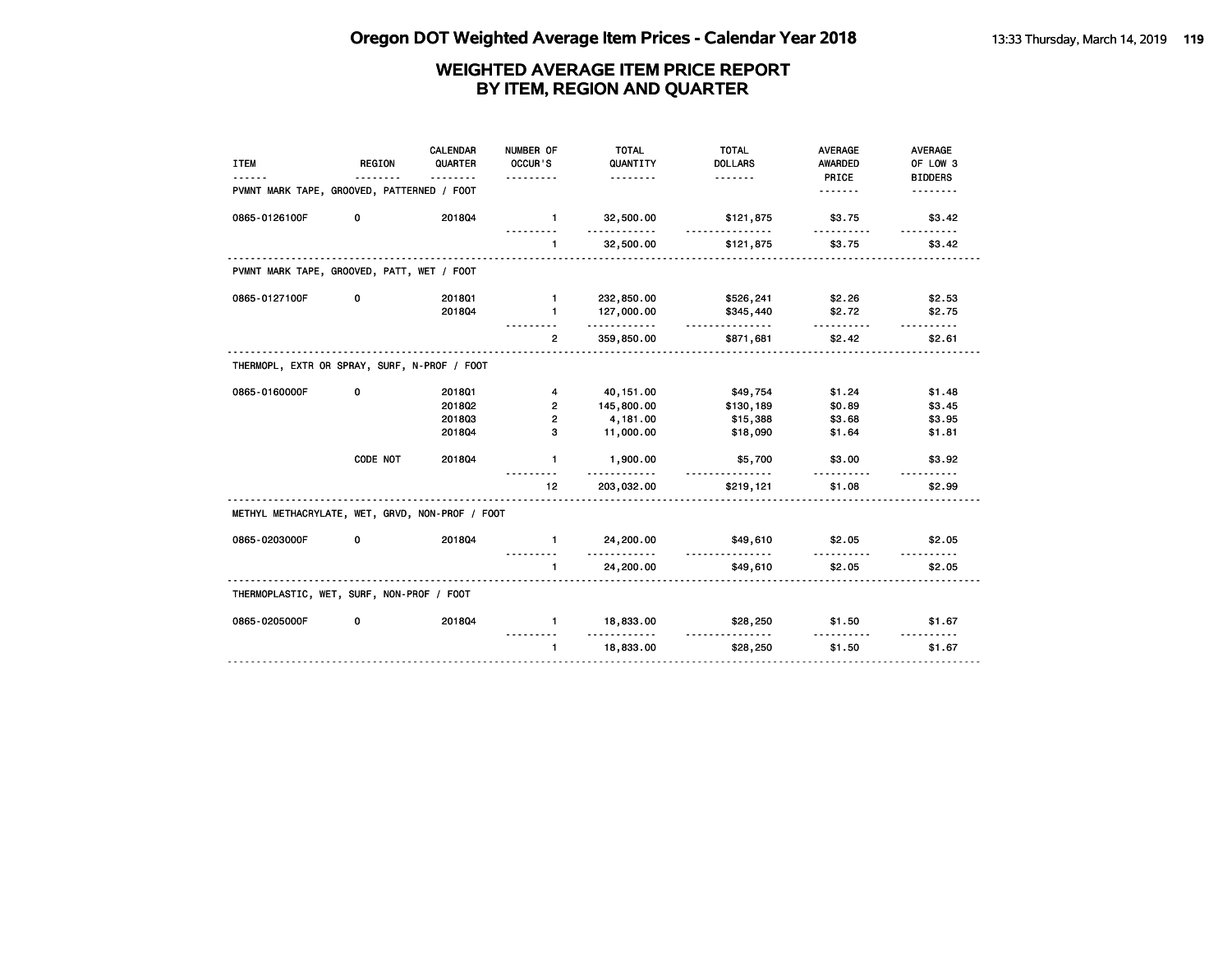| <b>ITEM</b>                                     | <b>REGION</b> | <b>CALENDAR</b><br>QUARTER | NUMBER OF<br>OCCUR'S<br>. | <b>TOTAL</b><br>QUANTITY<br><u>.</u> | <b>TOTAL</b><br><b>DOLLARS</b> | <b>AVERAGE</b><br><b>AWARDED</b><br>PRICE | AVERAGE<br>OF LOW 3<br><b>BIDDERS</b> |
|-------------------------------------------------|---------------|----------------------------|---------------------------|--------------------------------------|--------------------------------|-------------------------------------------|---------------------------------------|
| PVMNT MARK TAPE, GROOVED, PATTERNED / FOOT      |               |                            |                           |                                      |                                | .                                         |                                       |
| 0865-0126100F                                   | 0             | 201804                     | $\blacksquare$            | 32,500.00<br>.                       | \$121,875                      | \$3.75                                    | \$3.42                                |
|                                                 |               |                            | $\mathbf{1}$              | 32,500.00                            | \$121,875                      | \$3.75                                    | \$3.42                                |
| PVMNT MARK TAPE, GROOVED, PATT, WET / FOOT      |               |                            |                           |                                      |                                |                                           |                                       |
| 0865-0127100F                                   | 0             | 2018Q1                     | $\mathbf{1}$              | 232,850.00                           | \$526,241                      | \$2.26                                    | \$2.53                                |
|                                                 |               | 201804                     | $\mathbf{1}$              | 127,000.00<br>.                      | \$345,440<br><u>.</u>          | \$2.72<br><u>.</u>                        | \$2.75<br>$- - - - - -$               |
|                                                 |               |                            | $\overline{2}$            | 359,850.00                           | \$871,681                      | \$2.42                                    | \$2.61                                |
| THERMOPL, EXTR OR SPRAY, SURF, N-PROF / FOOT    |               |                            |                           |                                      |                                |                                           |                                       |
| 0865-0160000F                                   | 0             | 2018Q1                     | 4                         | 40, 151.00                           | \$49,754                       | \$1.24                                    | \$1.48                                |
|                                                 |               | 201802                     | $\overline{2}$            | 145,800.00                           | \$130,189                      | \$0.89                                    | \$3.45                                |
|                                                 |               | 201803                     | $\overline{2}$            | 4,181.00                             | \$15,388                       | \$3.68                                    | \$3.95                                |
|                                                 |               | 201804                     | 3                         | 11,000.00                            | \$18,090                       | \$1.64                                    | \$1.81                                |
|                                                 | CODE NOT      | 201804                     | $\mathbf{1}$              | 1,900.00                             | \$5,700<br>.                   | \$3.00<br>.                               | \$3.92                                |
|                                                 |               |                            | 12                        | 203,032.00                           | \$219,121                      | \$1.08                                    | \$2.99                                |
| METHYL METHACRYLATE, WET, GRVD, NON-PROF / FOOT |               |                            |                           |                                      |                                |                                           |                                       |
| 0865-0203000F                                   | 0             | 201804                     | $\mathbf{1}$              | 24,200.00<br>.                       | \$49,610                       | \$2.05                                    | \$2.05                                |
|                                                 |               |                            | $\mathbf{1}$              | 24,200.00                            | \$49,610                       | \$2.05                                    | \$2.05                                |
| THERMOPLASTIC, WET, SURF, NON-PROF / FOOT       |               |                            |                           |                                      |                                |                                           |                                       |
| 0865-0205000F                                   | 0             | 201804                     | $\mathbf{1}$              | 18,833.00<br>.                       | \$28,250                       | \$1.50                                    | \$1.67                                |
|                                                 |               |                            | $\mathbf{1}$              | 18,833.00                            | \$28,250                       | \$1.50                                    | \$1.67                                |
|                                                 |               |                            |                           |                                      |                                |                                           |                                       |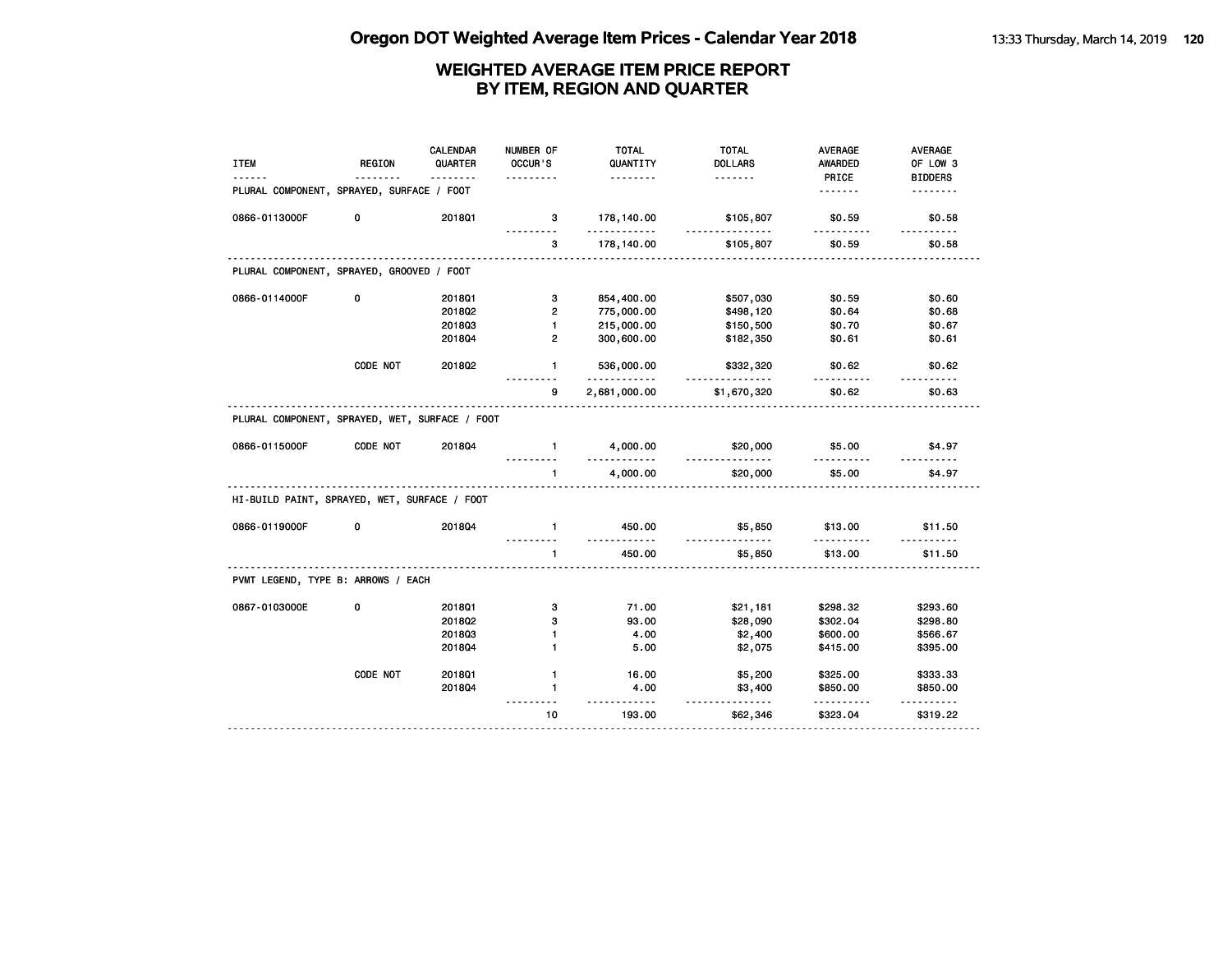| <b>ITEM</b>                                    | <b>REGION</b> | <b>CALENDAR</b><br>QUARTER<br>-------- | NUMBER OF<br>OCCUR'S | <b>TOTAL</b><br>QUANTITY<br>. | <b>TOTAL</b><br><b>DOLLARS</b><br><u>.</u> | <b>AVERAGE</b><br><b>AWARDED</b><br>PRICE | AVERAGE<br>OF LOW 3<br><b>BIDDERS</b> |
|------------------------------------------------|---------------|----------------------------------------|----------------------|-------------------------------|--------------------------------------------|-------------------------------------------|---------------------------------------|
| PLURAL COMPONENT, SPRAYED, SURFACE / FOOT      |               |                                        |                      |                               |                                            | <u>.</u>                                  | <u>.</u>                              |
| 0866-0113000F                                  | 0             | 2018Q1                                 | 3                    | 178,140.00<br>.               | \$105,807<br><u>.</u>                      | \$0.59<br><u></u>                         | \$0.58                                |
|                                                |               |                                        | 3                    | 178,140.00                    | \$105,807                                  | \$0.59                                    | \$0.58                                |
| PLURAL COMPONENT, SPRAYED, GROOVED / FOOT      |               |                                        |                      |                               |                                            |                                           |                                       |
| 0866-0114000F                                  | 0             | 201801                                 | 3                    | 854,400.00                    | \$507,030                                  | \$0.59                                    | \$0.60                                |
|                                                |               | 2018Q2                                 | $\overline{2}$       | 775,000.00                    | \$498,120                                  | \$0.64                                    | \$0.68                                |
|                                                |               | 201803                                 | $\mathbf{1}$         | 215,000.00                    | \$150,500                                  | \$0.70                                    | \$0.67                                |
|                                                |               | 201804                                 | $\overline{2}$       | 300,600.00                    | \$182,350                                  | \$0.61                                    | \$0.61                                |
|                                                | CODE NOT      | 201802                                 | 1.                   | 536,000.00<br><u>.</u>        | \$332,320                                  | \$0.62                                    | \$0.62                                |
|                                                |               |                                        | 9                    | 2,681,000.00                  | \$1,670,320                                | \$0.62                                    | \$0.63                                |
| PLURAL COMPONENT, SPRAYED, WET, SURFACE / FOOT |               |                                        |                      |                               |                                            |                                           |                                       |
| 0866-0115000F                                  | CODE NOT      | 201804                                 | $\mathbf{1}$         | 4,000.00<br><u>.</u>          | \$20,000<br>.                              | \$5.00<br>.                               | \$4.97                                |
|                                                |               |                                        | $\mathbf{1}$<br>.    | 4,000.00                      | \$20,000                                   | \$5.00                                    | \$4.97                                |
| HI-BUILD PAINT, SPRAYED, WET, SURFACE / FOOT   |               |                                        |                      |                               |                                            |                                           |                                       |
| 0866-0119000F                                  | 0             | 201804                                 | $\mathbf{1}$         | 450.00<br><u>.</u>            | \$5,850<br><u>.</u>                        | \$13.00                                   | \$11.50<br>.                          |
|                                                |               |                                        | $\mathbf{1}$         | 450.00                        | \$5,850                                    | \$13.00                                   | \$11.50                               |
| PVMT LEGEND, TYPE B: ARROWS / EACH             |               |                                        |                      |                               |                                            |                                           |                                       |
| 0867-0103000E                                  | 0             | 201801                                 | 3                    | 71.00                         | \$21,181                                   | \$298.32                                  | \$293.60                              |
|                                                |               | 2018Q2                                 | з                    | 93.00                         | \$28,090                                   | \$302.04                                  | \$298.80                              |
|                                                |               | 201803                                 | 1                    | 4.00                          | \$2,400                                    | \$600.00                                  | \$566.67                              |
|                                                |               | 2018Q4                                 | 1                    | 5.00                          | \$2,075                                    | \$415.00                                  | \$395.00                              |
|                                                | CODE NOT      | 201801                                 | $\mathbf{1}$         | 16.00                         | \$5,200                                    | \$325.00                                  | \$333.33                              |
|                                                |               | 2018Q4                                 | 1                    | 4.00<br>$- - - -$             | \$3,400<br>.                               | \$850.00                                  | \$850.00                              |
|                                                |               |                                        | 10                   | 193.00                        | \$62,346                                   | \$323.04                                  | \$319.22                              |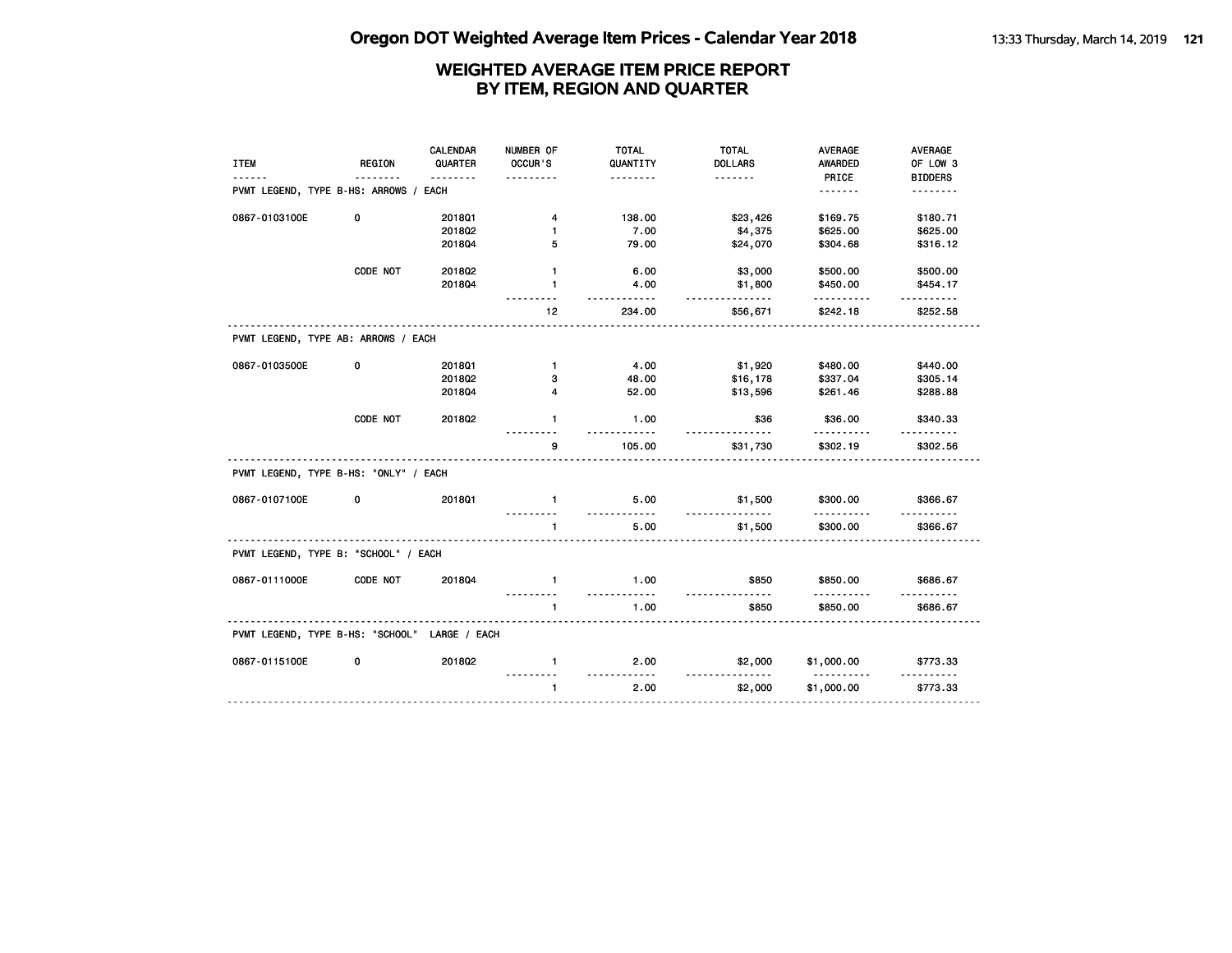|                                       |               | <b>CALENDAR</b> | NUMBER OF         | <b>TOTAL</b>     | <b>TOTAL</b>        | <b>AVERAGE</b>         | AVERAGE              |
|---------------------------------------|---------------|-----------------|-------------------|------------------|---------------------|------------------------|----------------------|
| <b>ITEM</b>                           | <b>REGION</b> | QUARTER         | OCCUR'S           | QUANTITY         | <b>DOLLARS</b>      | AWARDED                | OF LOW 3             |
|                                       |               | .               |                   | .                | .                   | PRICE                  | <b>BIDDERS</b>       |
| PVMT LEGEND, TYPE B-HS: ARROWS / EACH |               |                 |                   |                  |                     |                        | <u>.</u>             |
| 0867-0103100E                         | 0             | 2018Q1          | 4                 | 138.00           | \$23,426            | \$169.75               | \$180.71             |
|                                       |               | 2018Q2          | 1                 | 7.00             | \$4,375             | \$625.00               | \$625.00             |
|                                       |               | 201804          | 5                 | 79.00            | \$24,070            | \$304.68               | \$316.12             |
|                                       | CODE NOT      | 2018Q2          | $\mathbf{1}$      | 6.00             | \$3,000             | \$500.00               | \$500.00             |
|                                       |               | 201804          | $\mathbf{1}$      | 4.00<br><u>.</u> | \$1,800<br><u>.</u> | \$450.00<br>.          | \$454.17<br><u>.</u> |
|                                       |               |                 | 12                | 234.00           | \$56,671            | \$242.18               | \$252.58             |
| PVMT LEGEND, TYPE AB: ARROWS / EACH   |               |                 |                   |                  |                     |                        |                      |
| 0867-0103500E                         | 0             | 201801          | $\mathbf{1}$      | 4.00             | \$1,920             | \$480.00               | \$440.00             |
|                                       |               | 2018Q2          | 3                 | 48.00            | \$16,178            | \$337.04               | \$305.14             |
|                                       |               | 201804          | 4                 | 52.00            | \$13,596            | \$261.46               | \$288.88             |
|                                       | CODE NOT      | 201802          | $\mathbf{1}$      | 1.00             | \$36                | \$36.00                | \$340.33             |
|                                       |               |                 | g,                | 105.00           | \$31,730            | \$302.19               | \$302.56             |
| PVMT LEGEND, TYPE B-HS: "ONLY" / EACH |               |                 |                   |                  |                     |                        |                      |
| 0867-0107100E                         | 0             | 2018Q1          | $\mathbf{1}$      | 5.00<br><u>.</u> | \$1,500<br><u>.</u> | \$300.00<br>.          | \$366.67             |
|                                       |               |                 | $\mathbf{1}$      | 5.00             | \$1,500             | \$300.00               | \$366.67             |
| PVMT LEGEND, TYPE B: "SCHOOL" / EACH  |               |                 |                   |                  |                     |                        |                      |
| 0867-0111000E                         | CODE NOT      | 201804          | $\mathbf{1}$<br>. | 1.00<br><u>.</u> | \$850<br><u>.</u>   | \$850.00<br>.          | \$686.67<br>.        |
|                                       |               |                 | 1                 | 1.00             | \$850               | \$850.00               | \$686.67             |
| PVMT LEGEND, TYPE B-HS: "SCHOOL"      |               | LARGE / EACH    |                   |                  |                     |                        |                      |
| 0867-0115100E                         | 0             | 2018Q2          | $\mathbf{1}$      | 2.00<br><u></u>  | \$2,000<br><u>.</u> | \$1,000.00<br><u>.</u> | \$773.33<br><u>.</u> |
|                                       |               |                 | $\mathbf{1}$      | 2.00             | \$2,000             | \$1,000.00             | \$773.33             |
|                                       |               |                 |                   |                  |                     |                        |                      |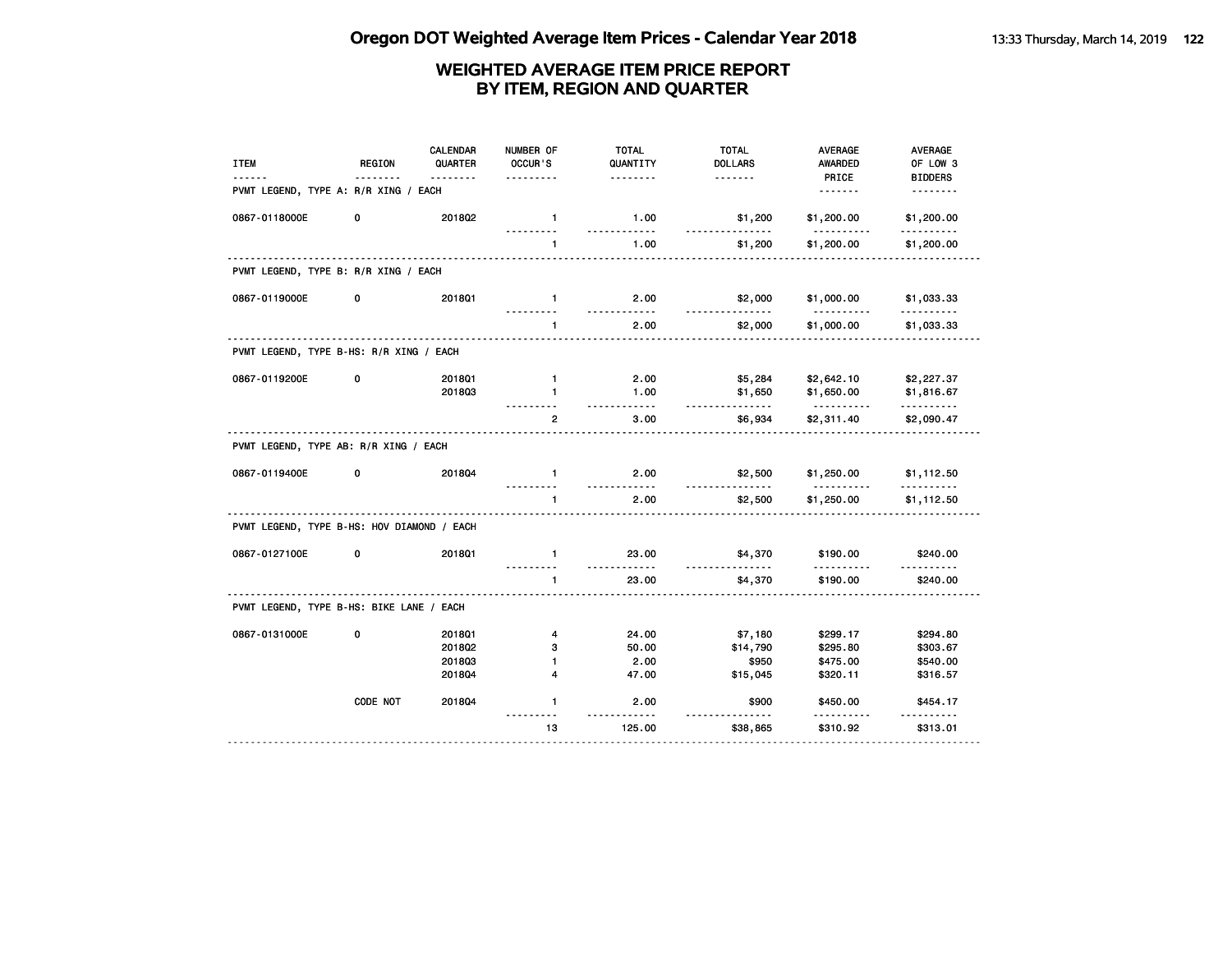| <b>ITEM</b>                                | <b>REGION</b> | <b>CALENDAR</b><br>QUARTER<br>$- - - - - - -$ | NUMBER OF<br>OCCUR'S | <b>TOTAL</b><br>QUANTITY<br>. | <b>TOTAL</b><br><b>DOLLARS</b><br>. | <b>AVERAGE</b><br><b>AWARDED</b><br>PRICE | <b>AVERAGE</b><br>OF LOW 3<br><b>BIDDERS</b> |
|--------------------------------------------|---------------|-----------------------------------------------|----------------------|-------------------------------|-------------------------------------|-------------------------------------------|----------------------------------------------|
| PVMT LEGEND, TYPE A: R/R XING / EACH       |               |                                               |                      |                               |                                     | <u>.</u>                                  | .                                            |
| 0867-0118000E                              | 0             | 201802                                        | $\mathbf{1}$         | 1.00                          | \$1,200                             | \$1,200.00                                | \$1,200.00                                   |
|                                            |               |                                               | $\mathbf{1}$         | 1.00                          | \$1,200                             | \$1,200.00                                | \$1,200.00                                   |
| PVMT LEGEND, TYPE B: R/R XING / EACH       |               |                                               |                      |                               |                                     |                                           |                                              |
| 0867-0119000E                              | 0             | 2018Q1                                        | $\mathbf{1}$         | 2.00                          | \$2,000                             | \$1,000.00                                | \$1,033.33                                   |
|                                            |               |                                               | $\mathbf{1}$         | 2.00                          | \$2,000                             | \$1,000.00                                | \$1,033.33                                   |
| PVMT LEGEND, TYPE B-HS: R/R XING / EACH    |               |                                               |                      |                               |                                     |                                           |                                              |
| 0867-0119200E                              | 0             | 2018Q1                                        | $\mathbf{1}$         | 2.00                          | \$5,284                             | \$2,642.10                                | \$2,227.37                                   |
|                                            |               | 201803                                        | $\blacksquare$       | 1.00<br>-----                 | \$1,650<br><u>.</u>                 | \$1,650.00<br><u>.</u>                    | \$1,816.67<br>.                              |
|                                            |               |                                               | $\overline{2}$       | 3.00                          | \$6,934                             | \$2,311.40                                | \$2,090.47                                   |
| PVMT LEGEND, TYPE AB: R/R XING / EACH      |               |                                               |                      |                               |                                     |                                           |                                              |
| 0867-0119400E                              | 0             | 201804                                        | $\mathbf{1}$         | 2.00<br>.                     | \$2,500                             | \$1,250.00                                | \$1,112.50                                   |
|                                            |               |                                               | $\mathbf{1}$         | 2.00                          | \$2,500                             | \$1,250.00                                | \$1,112.50                                   |
| PVMT LEGEND, TYPE B-HS: HOV DIAMOND / EACH |               |                                               |                      |                               |                                     |                                           |                                              |
| 0867-0127100E                              | 0             | 2018Q1                                        | $\mathbf{1}$         | 23.00<br>. . <b>.</b>         | \$4,370<br><u>.</u>                 | \$190.00                                  | \$240.00                                     |
|                                            |               |                                               | $\mathbf{1}$         | 23.00                         | \$4,370                             | \$190.00                                  | \$240.00                                     |
| PVMT LEGEND, TYPE B-HS: BIKE LANE / EACH   |               |                                               |                      |                               |                                     |                                           |                                              |
| 0867-0131000E                              | 0             | 2018Q1                                        | 4                    | 24.00                         | \$7,180                             | \$299.17                                  | \$294.80                                     |
|                                            |               | 201802                                        | з                    | 50.00                         | \$14,790                            | \$295.80                                  | \$303.67                                     |
|                                            |               | 201803                                        | $\mathbf{1}$         | 2.00                          | \$950                               | \$475.00                                  | \$540.00                                     |
|                                            |               | 2018Q4                                        | 4                    | 47.00                         | \$15,045                            | \$320.11                                  | \$316.57                                     |
|                                            | CODE NOT      | 2018Q4                                        | $\mathbf{1}$         | 2.00                          | \$900                               | \$450.00                                  | \$454.17                                     |
|                                            |               |                                               | 13                   | 125.00                        | \$38,865                            | \$310.92                                  | \$313.01                                     |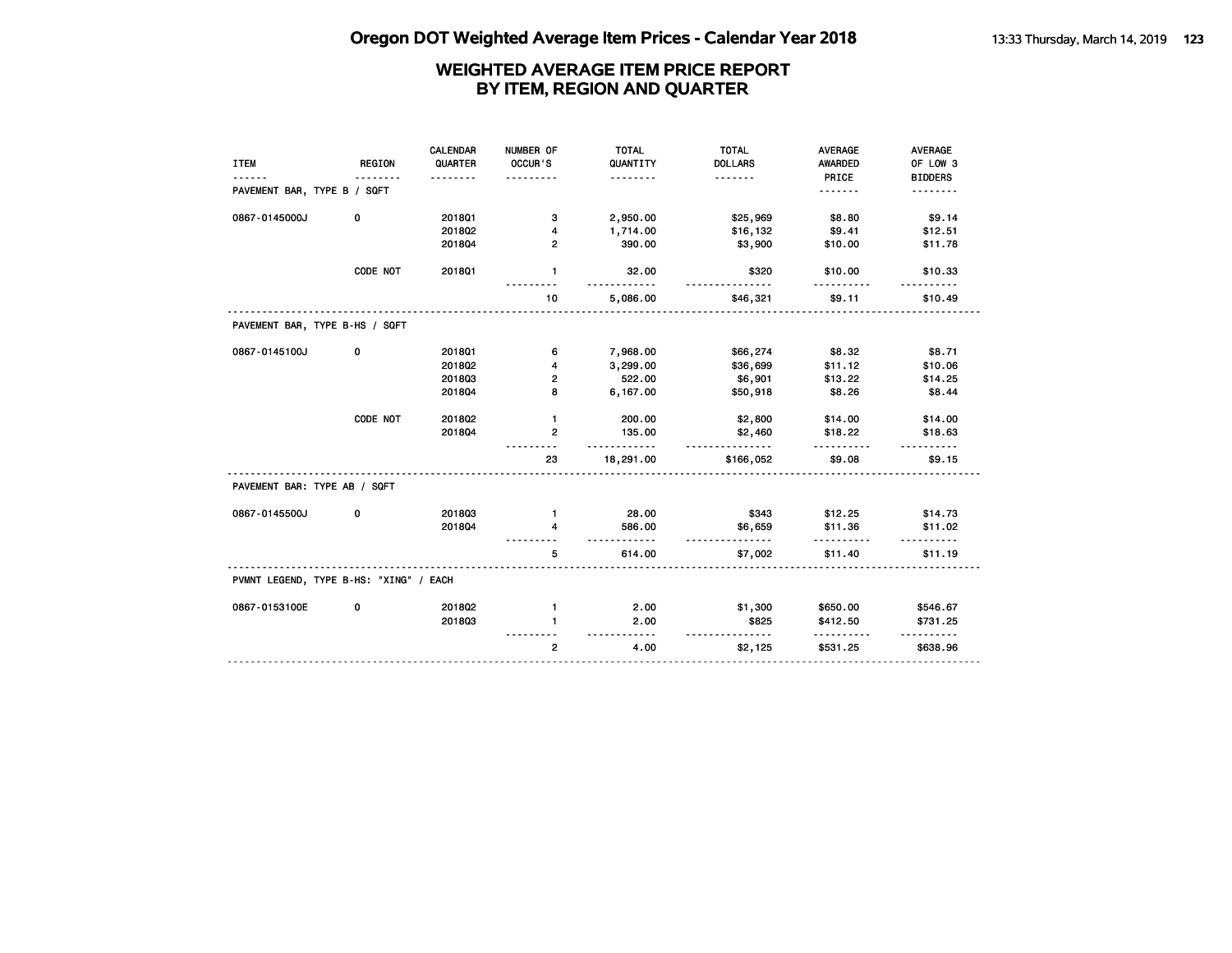|                                        |               | CALENDAR | NUMBER OF               | <b>TOTAL</b>               | <b>TOTAL</b>        | <b>AVERAGE</b> | AVERAGE        |
|----------------------------------------|---------------|----------|-------------------------|----------------------------|---------------------|----------------|----------------|
| <b>ITEM</b>                            | <b>REGION</b> | QUARTER  | OCCUR'S                 | QUANTITY                   | <b>DOLLARS</b>      | AWARDED        | OF LOW 3       |
|                                        |               | <u>.</u> |                         | .                          | <u>.</u>            | PRICE          | <b>BIDDERS</b> |
| PAVEMENT BAR, TYPE B / SQFT            |               |          |                         |                            |                     | <u>.</u>       |                |
| 0867-0145000J                          | 0             | 2018Q1   | 3                       | 2,950.00                   | \$25,969            | \$8.80         | \$9.14         |
|                                        |               | 2018Q2   | 4                       | 1,714.00                   | \$16,132            | \$9.41         | \$12.51        |
|                                        |               | 201804   | $\overline{2}$          | 390.00                     | \$3,900             | \$10.00        | \$11.78        |
|                                        | CODE NOT      | 201801   | $\mathbf{1}$            | 32.00<br><u>----------</u> | \$320<br>--------   | \$10.00<br>.   | \$10.33        |
|                                        |               |          | 10                      | 5,086.00                   | \$46,321            | \$9.11         | \$10.49        |
| PAVEMENT BAR, TYPE B-HS / SQFT         |               |          |                         |                            |                     |                |                |
| 0867-0145100J                          | 0             | 2018Q1   | 6                       | 7,968.00                   | \$66,274            | \$8.32         | \$8.71         |
|                                        |               | 2018Q2   | 4                       | 3,299.00                   | \$36,699            | \$11.12        | \$10.06        |
|                                        |               | 201803   | $\overline{\mathbf{2}}$ | 522.00                     | \$6,901             | \$13.22        | \$14.25        |
|                                        |               | 201804   | 8                       | 6,167.00                   | \$50,918            | \$8.26         | \$8.44         |
|                                        | CODE NOT      | 2018Q2   | $\mathbf{1}$            | 200.00                     | \$2,800             | \$14.00        | \$14.00        |
|                                        |               | 201804   | $\overline{2}$          | 135.00<br>.                | \$2,460<br><u>.</u> | \$18.22        | \$18.63        |
|                                        |               |          | 23                      | 18,291.00                  | \$166,052           | \$9.08         | \$9.15         |
| PAVEMENT BAR: TYPE AB / SQFT           |               |          |                         |                            |                     |                |                |
| 0867-0145500J                          | 0             | 201803   | $\mathbf{1}$            | 28.00                      | \$343               | \$12.25        | \$14.73        |
|                                        |               | 201804   | 4                       | 586.00<br>.                | \$6,659<br>.        | \$11.36<br>.   | \$11.02        |
|                                        |               |          | 5                       | 614.00                     | \$7,002             | \$11.40        | \$11.19        |
| PVMNT LEGEND, TYPE B-HS: "XING" / EACH |               |          |                         |                            |                     |                |                |
| 0867-0153100E                          | 0             | 201802   | $\mathbf{1}$            | 2.00                       | \$1,300             | \$650.00       | \$546.67       |
|                                        |               | 201803   | $\blacksquare$          | 2.00<br><u>---------</u>   | \$825<br>.          | \$412.50<br>.  | \$731.25       |
|                                        |               |          | $\overline{2}$          | 4.00                       | \$2,125             | \$531.25       | \$638.96       |
|                                        |               |          |                         |                            |                     |                |                |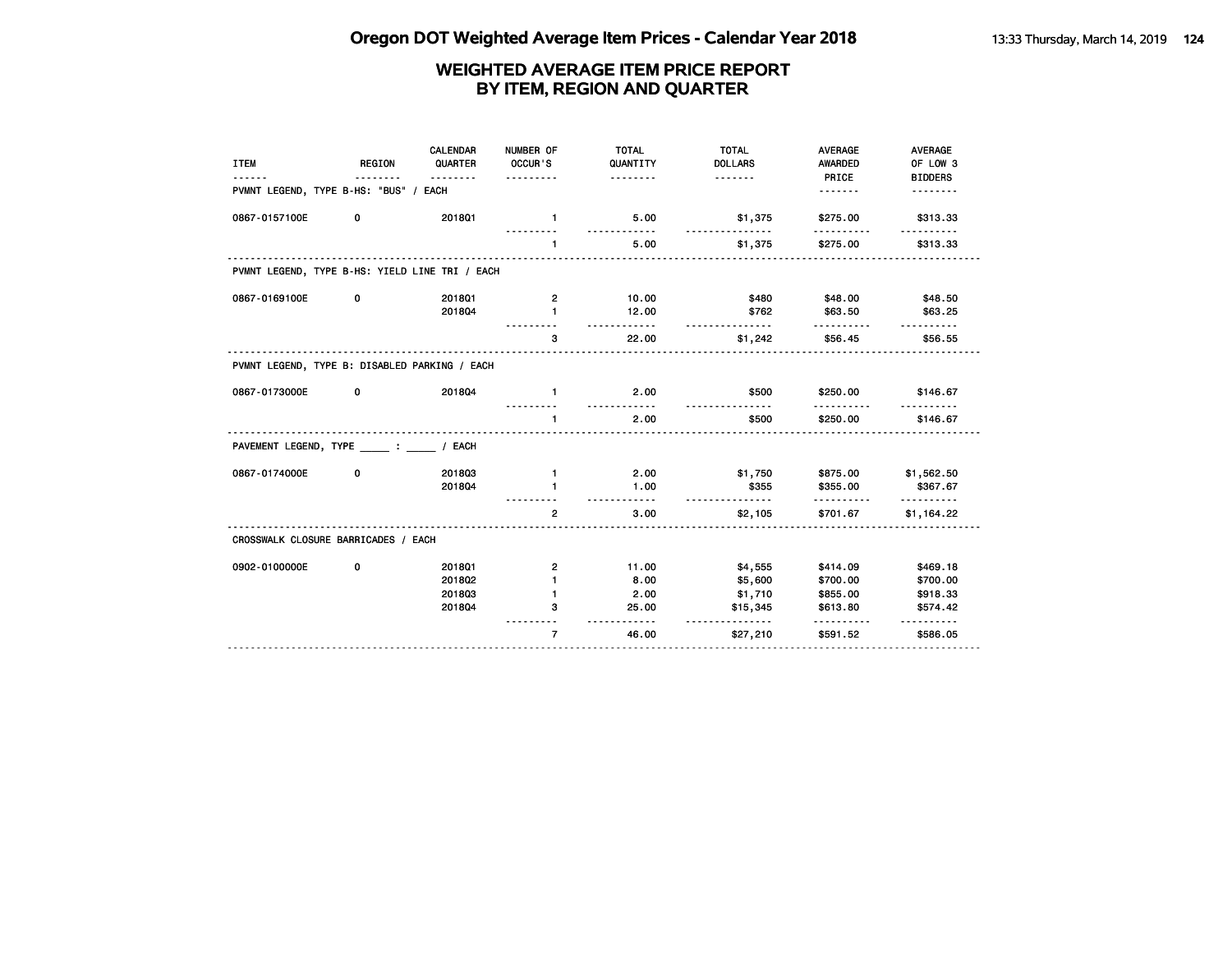| <b>ITEM</b>                                    | <b>REGION</b> | CALENDAR<br>QUARTER<br>. | NUMBER OF<br>OCCUR'S    | <b>TOTAL</b><br>QUANTITY<br><u>.</u> | <b>TOTAL</b><br><b>DOLLARS</b><br><u>.</u> | <b>AVERAGE</b><br><b>AWARDED</b><br>PRICE | <b>AVERAGE</b><br>OF LOW 3<br><b>BIDDERS</b> |
|------------------------------------------------|---------------|--------------------------|-------------------------|--------------------------------------|--------------------------------------------|-------------------------------------------|----------------------------------------------|
| PVMNT LEGEND, TYPE B-HS: "BUS" /               |               | EACH                     |                         |                                      |                                            | <u>.</u>                                  |                                              |
| 0867-0157100E                                  | 0             | 201801                   | $\blacksquare$          | 5.00                                 | \$1,375                                    | \$275.00                                  | \$313.33                                     |
|                                                |               |                          | $\mathbf{1}$            | 5.00                                 | \$1,375                                    | \$275.00                                  | \$313.33                                     |
| PVMNT LEGEND, TYPE B-HS: YIELD LINE TRI / EACH |               |                          |                         |                                      |                                            |                                           |                                              |
| 0867-0169100E                                  | 0             | 2018Q1                   | $\overline{\mathbf{2}}$ | 10.00                                | \$480                                      | \$48.00                                   | \$48.50                                      |
|                                                |               | 201804                   | $\blacksquare$          | 12.00                                | \$762<br>--------                          | \$63.50                                   | \$63.25                                      |
|                                                |               |                          | 3                       | 22.00                                | \$1,242                                    | \$56.45                                   | \$56.55                                      |
| PVMNT LEGEND, TYPE B: DISABLED PARKING / EACH  |               |                          |                         |                                      |                                            |                                           |                                              |
| 0867-0173000E                                  | 0             | 201804                   | $\mathbf{1}$            | 2.00<br><u>.</u>                     | \$500                                      | \$250.00                                  | \$146.67                                     |
|                                                |               |                          | $\mathbf{1}$            | 2.00                                 | \$500                                      | \$250.00                                  | \$146.67                                     |
| PAVEMENT LEGEND, TYPE : / EACH                 |               |                          |                         |                                      |                                            |                                           |                                              |
| 0867-0174000E                                  | 0             | 201803                   | $\mathbf{1}$            | 2.00                                 | \$1,750                                    | \$875.00                                  | \$1,562.50                                   |
|                                                |               | 201804                   | $\mathbf{1}$            | 1.00<br>$- - - - -$                  | \$355                                      | \$355.00<br>.                             | \$367.67<br>.                                |
|                                                |               |                          | $\overline{2}$          | 3.00                                 | \$2,105                                    | \$701.67                                  | \$1,164.22                                   |
| CROSSWALK CLOSURE BARRICADES / EACH            |               |                          |                         |                                      |                                            |                                           |                                              |
| 0902-0100000E                                  | 0             | 201801                   | $\mathbf{2}$            | 11.00                                | \$4,555                                    | \$414.09                                  | \$469.18                                     |
|                                                |               | 2018Q2                   | $\blacksquare$          | 8.00                                 | \$5,600                                    | \$700.00                                  | \$700.00                                     |
|                                                |               | 201803                   | $\mathbf{1}$            | 2.00                                 | \$1,710                                    | \$855.00                                  | \$918.33                                     |
|                                                |               | 201804                   | з                       | 25.00<br><u>.</u>                    | \$15,345<br><u>.</u>                       | \$613.80<br>.                             | \$574.42<br><u>.</u>                         |
|                                                |               |                          | $\overline{7}$          | 46.00                                | \$27,210                                   | \$591.52                                  | \$586.05                                     |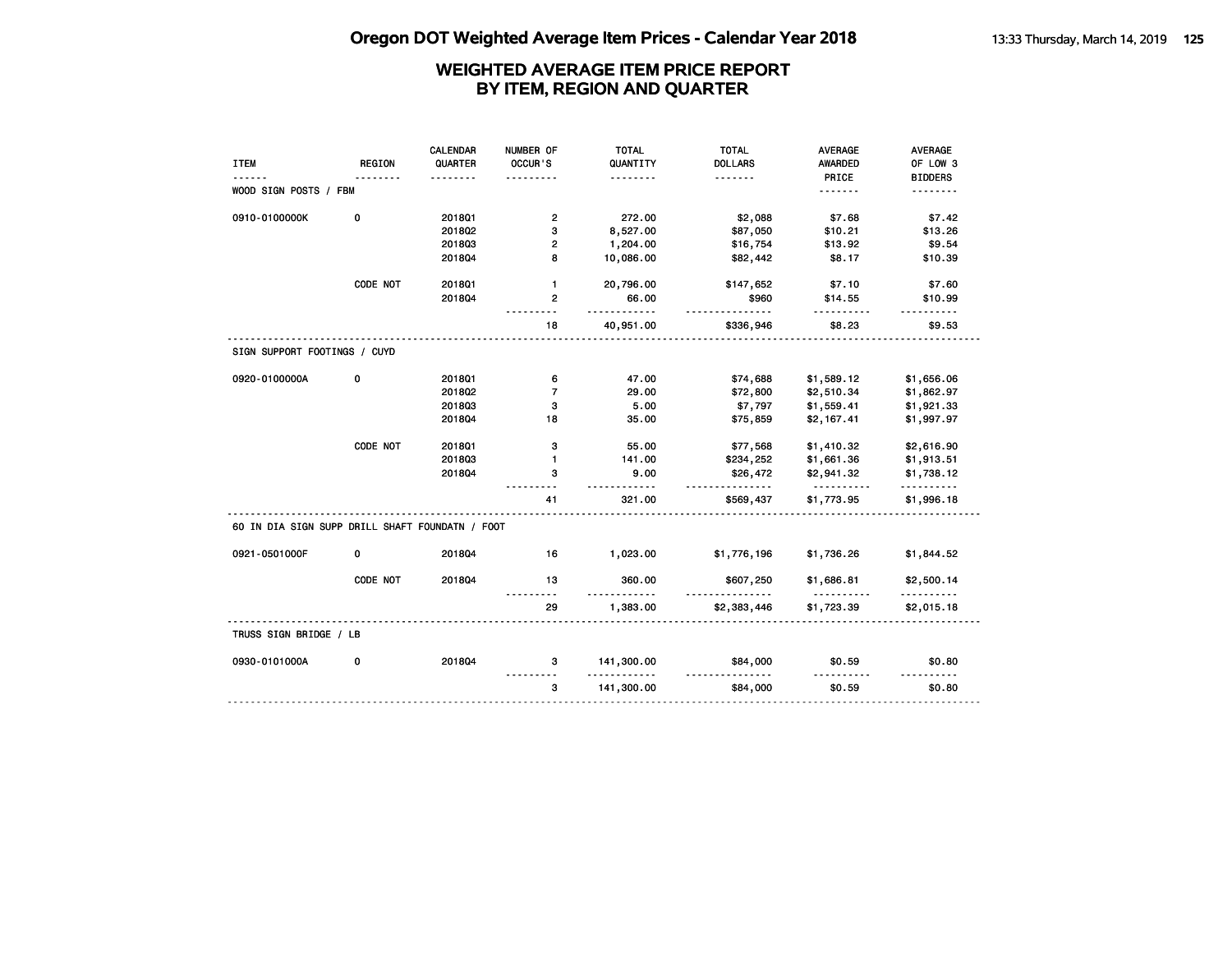|                                                 |               | <b>CALENDAR</b> | NUMBER OF      | <b>TOTAL</b>           | <b>TOTAL</b>         | <b>AVERAGE</b>         | AVERAGE                |
|-------------------------------------------------|---------------|-----------------|----------------|------------------------|----------------------|------------------------|------------------------|
| <b>ITEM</b>                                     | <b>REGION</b> | QUARTER         | OCCUR'S        | QUANTITY               | <b>DOLLARS</b>       | AWARDED                | OF LOW 3               |
|                                                 |               |                 |                | .                      | .                    | PRICE                  | <b>BIDDERS</b>         |
| WOOD SIGN POSTS / FBM                           |               |                 |                |                        |                      | <u>.</u>               | <u>.</u>               |
| 0910-0100000K                                   | 0             | 2018Q1          | $\mathbf{2}$   | 272.00                 | \$2,088              | \$7.68                 | \$7.42                 |
|                                                 |               | 2018Q2          | 3              | 8,527.00               | \$87,050             | \$10.21                | \$13.26                |
|                                                 |               | 201803          | 2              | 1,204.00               | \$16,754             | \$13.92                | \$9.54                 |
|                                                 |               | 201804          | 8              | 10,086.00              | \$82,442             | \$8.17                 | \$10.39                |
|                                                 | CODE NOT      | 2018Q1          | $\mathbf{1}$   | 20,796.00              | \$147,652            | \$7.10                 | \$7.60                 |
|                                                 |               | 201804          | $\overline{2}$ | 66.00<br>.             | \$960                | \$14.55                | \$10.99                |
|                                                 |               |                 | 18             | 40,951.00              | \$336,946            | \$8.23                 | \$9.53                 |
| SIGN SUPPORT FOOTINGS / CUYD                    |               |                 |                |                        |                      |                        |                        |
| 0920-0100000A                                   | 0             | 2018Q1          | 6              | 47.00                  | \$74,688             | \$1,589.12             | \$1,656.06             |
|                                                 |               | 201802          | $\overline{7}$ | 29.00                  | \$72,800             | \$2,510.34             | \$1,862.97             |
|                                                 |               | 201803          | 3              | 5.00                   | \$7,797              | \$1,559.41             | \$1,921.33             |
|                                                 |               | 201804          | 18             | 35.00                  | \$75,859             | \$2,167.41             | \$1,997.97             |
|                                                 | CODE NOT      | 2018Q1          | з              | 55.00                  | \$77,568             | \$1,410.32             | \$2,616.90             |
|                                                 |               | 201803          | $\mathbf{1}$   | 141.00                 | \$234,252            | \$1,661.36             | \$1,913.51             |
|                                                 |               | 201804          | 3              | 9.00<br>.              | \$26,472<br><u>.</u> | \$2,941.32<br><u>.</u> | \$1,738.12<br><u>.</u> |
|                                                 |               |                 | 41             | 321.00                 | \$569,437            | \$1,773.95             | \$1,996.18             |
| 60 IN DIA SIGN SUPP DRILL SHAFT FOUNDATN / FOOT |               |                 |                |                        |                      |                        |                        |
| 0921-0501000F                                   | 0             | 201804          | 16             | 1,023.00               | \$1,776,196          | \$1,736.26             | \$1,844.52             |
|                                                 | CODE NOT      | 201804          | 13<br><u>.</u> | 360.00<br>$- - -$      | \$607,250            | \$1,686.81<br><u>.</u> | \$2,500.14<br>.        |
|                                                 |               |                 | 29             | 1,383.00               | \$2,383,446          | \$1,723.39             | \$2,015.18             |
| TRUSS SIGN BRIDGE / LB                          |               |                 |                |                        |                      |                        |                        |
| 0930-0101000A                                   | 0             | 201804          | 3              | 141,300.00<br><u>.</u> | \$84,000             | \$0.59                 | \$0.80<br>.            |
|                                                 |               |                 |                |                        |                      |                        |                        |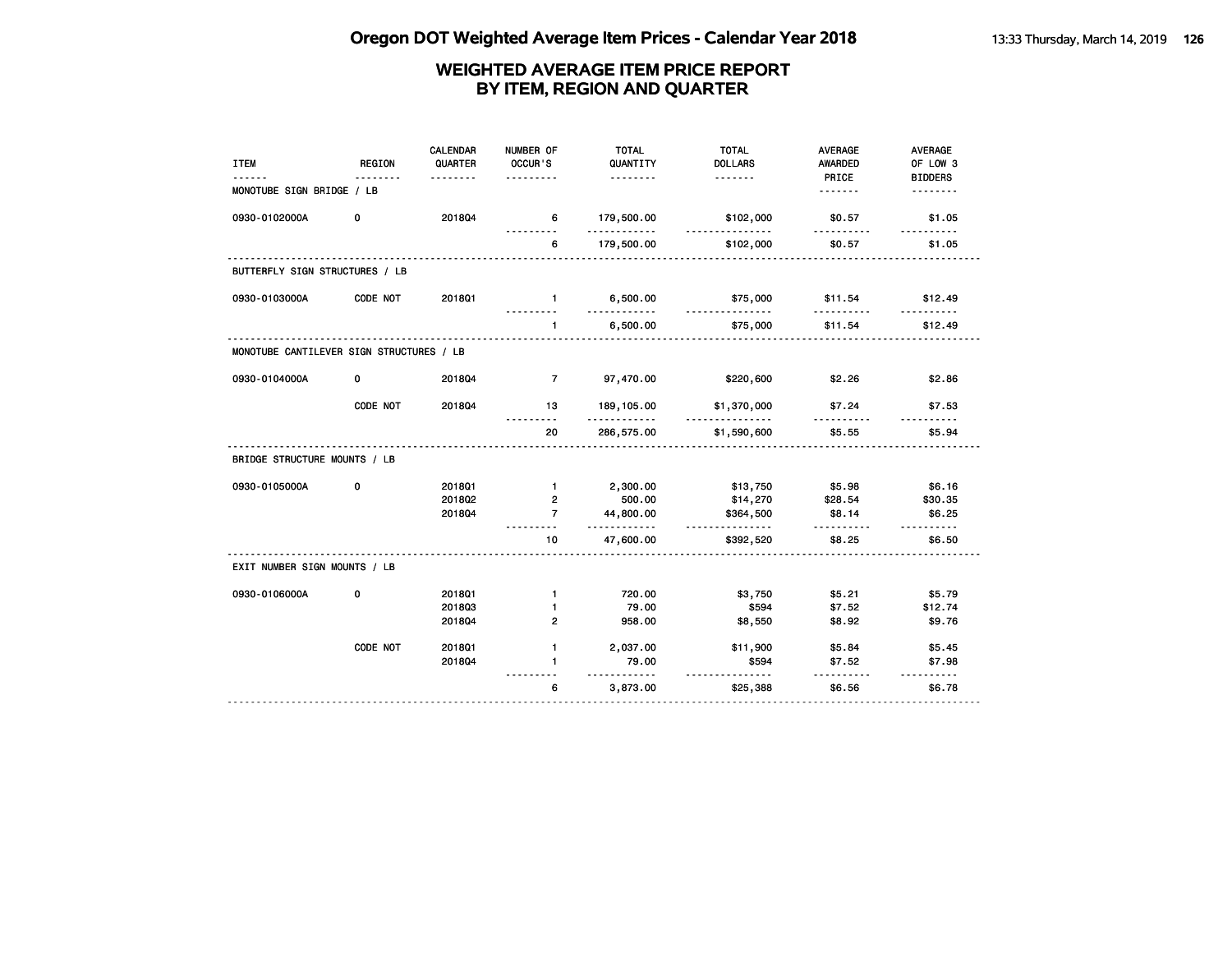| <b>ITEM</b>                              | <b>REGION</b> | <b>CALENDAR</b><br>QUARTER | NUMBER OF<br>OCCUR'S | <b>TOTAL</b><br>QUANTITY | <b>TOTAL</b><br><b>DOLLARS</b> | <b>AVERAGE</b><br><b>AWARDED</b> | <b>AVERAGE</b><br>OF LOW 3 |
|------------------------------------------|---------------|----------------------------|----------------------|--------------------------|--------------------------------|----------------------------------|----------------------------|
| MONOTUBE SIGN BRIDGE / LB                | $- - - -$     | .                          | .                    | .                        | <u>.</u>                       | PRICE                            | <b>BIDDERS</b><br>.        |
| 0930-0102000A                            | 0             | 201804                     | 6<br>.               | 179,500.00<br>.          | \$102,000<br>.                 | \$0.57<br>.                      | \$1.05<br>.                |
|                                          |               |                            | 6                    | 179,500.00               | \$102,000                      | \$0.57                           | \$1.05                     |
| BUTTERFLY SIGN STRUCTURES / LB           |               |                            |                      |                          |                                |                                  |                            |
| 0930-0103000A                            | CODE NOT      | 2018Q1                     | $\blacksquare$       | 6,500.00                 | \$75,000<br>.                  | \$11.54<br>.                     | \$12.49                    |
|                                          |               |                            | $\mathbf{1}$         | 6,500.00                 | \$75,000                       | \$11.54                          | \$12.49                    |
| MONOTUBE CANTILEVER SIGN STRUCTURES / LB |               |                            |                      |                          |                                |                                  |                            |
| 0930-0104000A                            | 0             | 2018Q4                     | $\overline{7}$       | 97,470.00                | \$220,600                      | \$2.26                           | \$2.86                     |
|                                          | CODE NOT      | 2018Q4                     | 13                   | 189, 105.00<br>.         | \$1,370,000                    | \$7.24                           | \$7.53                     |
|                                          |               |                            | 20                   | 286,575.00               | \$1,590,600                    | \$5.55                           | \$5.94                     |
| BRIDGE STRUCTURE MOUNTS / LB             |               |                            |                      |                          |                                |                                  |                            |
| 0930-0105000A                            | 0             | 2018Q1                     | $\mathbf{1}$         | 2,300.00                 | \$13,750                       | \$5.98                           | \$6.16                     |
|                                          |               | 201802                     | $\overline{2}$       | 500.00                   | \$14,270                       | \$28.54                          | \$30.35                    |
|                                          |               | 201804                     | $\overline{7}$       | 44,800.00<br>.           | \$364,500<br>.                 | \$8.14<br>.                      | \$6.25                     |
|                                          |               |                            | 10                   | 47,600.00                | \$392,520                      | \$8.25                           | \$6.50                     |
| EXIT NUMBER SIGN MOUNTS / LB             |               |                            |                      |                          |                                |                                  |                            |
| 0930-0106000A                            | 0             | 201801                     | $\mathbf{1}$         | 720.00                   | \$3,750                        | \$5.21                           | \$5.79                     |
|                                          |               | 201803                     | $\mathbf{1}$         | 79.00                    | \$594                          | \$7.52                           | \$12.74                    |
|                                          |               | 201804                     | $\overline{2}$       | 958.00                   | \$8,550                        | \$8.92                           | \$9.76                     |
|                                          | CODE NOT      | 2018Q1                     | 1.                   | 2,037.00                 | \$11,900                       | \$5.84                           | \$5.45                     |
|                                          |               | 201804                     | $\mathbf{1}$         | 79.00<br><u>.</u>        | \$594<br><u>.</u>              | \$7.52                           | \$7.98<br>.                |
|                                          |               |                            | 6                    | 3,873.00                 | \$25,388                       | .<br>\$6.56                      | \$6.78                     |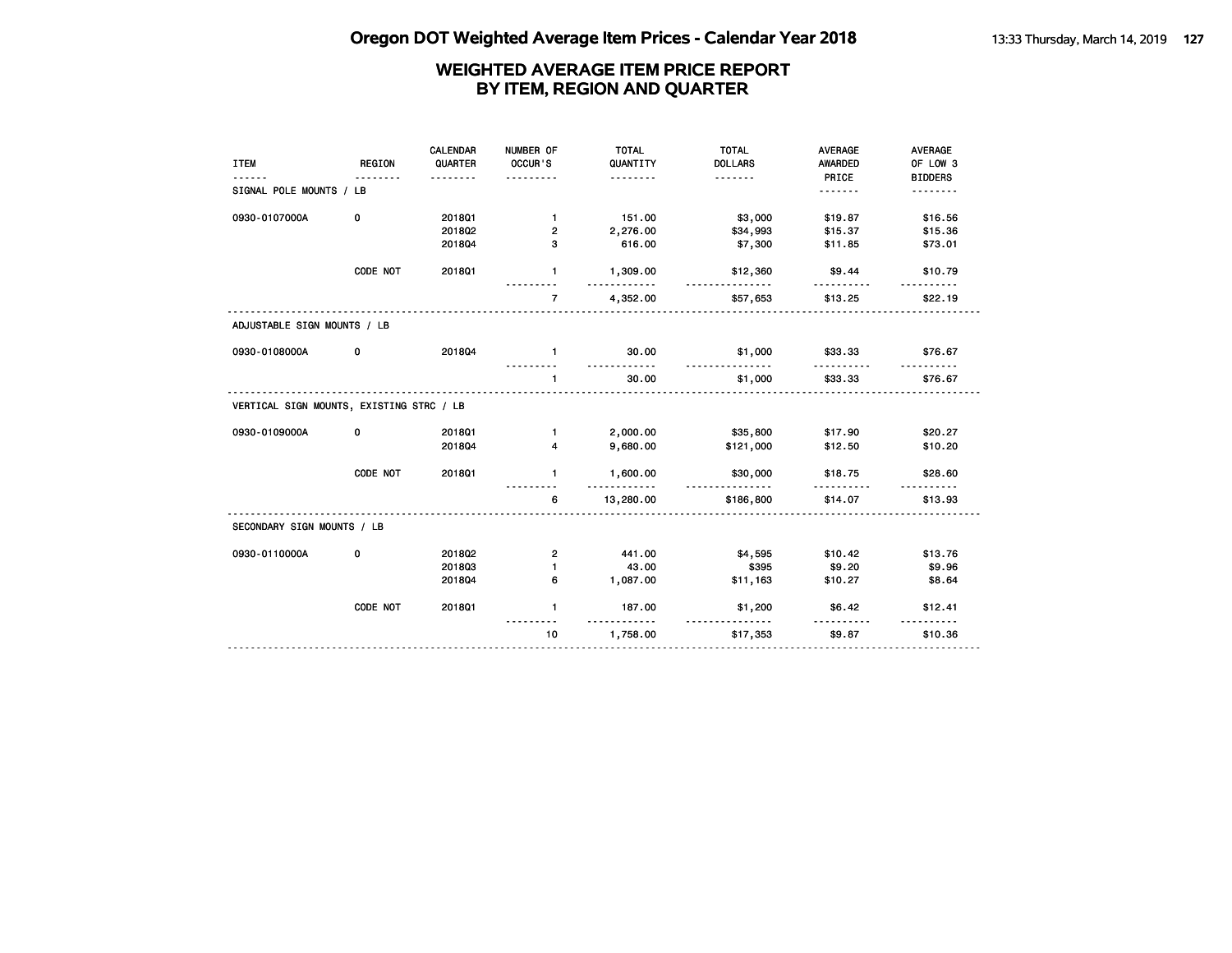|                                          |               | <b>CALENDAR</b> | NUMBER OF      | <b>TOTAL</b>                 | <b>TOTAL</b>        | <b>AVERAGE</b> | AVERAGE             |
|------------------------------------------|---------------|-----------------|----------------|------------------------------|---------------------|----------------|---------------------|
| <b>ITEM</b>                              | <b>REGION</b> | QUARTER         | OCCUR'S        | QUANTITY                     | <b>DOLLARS</b>      | AWARDED        | OF LOW 3            |
|                                          |               |                 | $- - - -$      | <u>.</u>                     | <u>.</u>            | PRICE          | <b>BIDDERS</b>      |
| SIGNAL POLE MOUNTS / LB                  |               |                 |                |                              |                     | <u>.</u>       | .                   |
| 0930-0107000A                            | 0             | 2018Q1          | $\mathbf{1}$   | 151.00                       | \$3,000             | \$19.87        | \$16.56             |
|                                          |               | 201802          | 2              | 2,276.00                     | \$34,993            | \$15.37        | \$15.36             |
|                                          |               | 201804          | 3              | 616.00                       | \$7,300             | \$11.85        | \$73.01             |
|                                          | CODE NOT      | 2018Q1          | 1              | 1,309.00                     | \$12,360            | \$9.44         | \$10.79             |
|                                          |               |                 | $\overline{7}$ | 4,352.00                     | \$57,653            | \$13.25        | \$22.19             |
| ADJUSTABLE SIGN MOUNTS / LB              |               |                 |                |                              |                     |                |                     |
| 0930-0108000A                            | 0             | 201804          | $\mathbf{1}$   | 30.00<br><u>----------</u>   | \$1,000             | \$33.33        | \$76.67             |
|                                          |               |                 | $\mathbf{1}$   | 30.00                        | <u>.</u><br>\$1,000 | \$33.33        | \$76.67             |
| VERTICAL SIGN MOUNTS, EXISTING STRC / LB |               |                 |                |                              |                     |                |                     |
| 0930-0109000A                            | 0             | 2018Q1          | $\mathbf{1}$   | 2,000.00                     | \$35,800            | \$17.90        | \$20.27             |
|                                          |               | 201804          | 4              | 9,680.00                     | \$121,000           | \$12.50        | \$10.20             |
|                                          | CODE NOT      | 2018Q1          | $\mathbf{1}$   | 1,600.00<br><u>---------</u> | \$30,000<br>.       | \$18.75        | \$28.60             |
|                                          |               |                 | 6              | 13,280.00                    | \$186,800           | \$14.07        | \$13.93             |
| SECONDARY SIGN MOUNTS / LB               |               |                 |                |                              |                     |                |                     |
| 0930-0110000A                            | 0             | 2018Q2          | 2              | 441.00                       | \$4,595             | \$10.42        | \$13.76             |
|                                          |               | 201803          | $\blacksquare$ | 43.00                        | \$395               | \$9.20         | \$9.96              |
|                                          |               | 201804          | 6              | 1,087.00                     | \$11,163            | \$10.27        | \$8.64              |
|                                          | CODE NOT      | 2018Q1          | $\mathbf{1}$   | 187.00<br><u>.</u>           | \$1,200             | \$6.42         | \$12.41<br><u>.</u> |
|                                          |               |                 | 10             | 1,758.00                     | \$17,353            | \$9.87         | \$10.36             |
|                                          |               |                 |                |                              |                     |                |                     |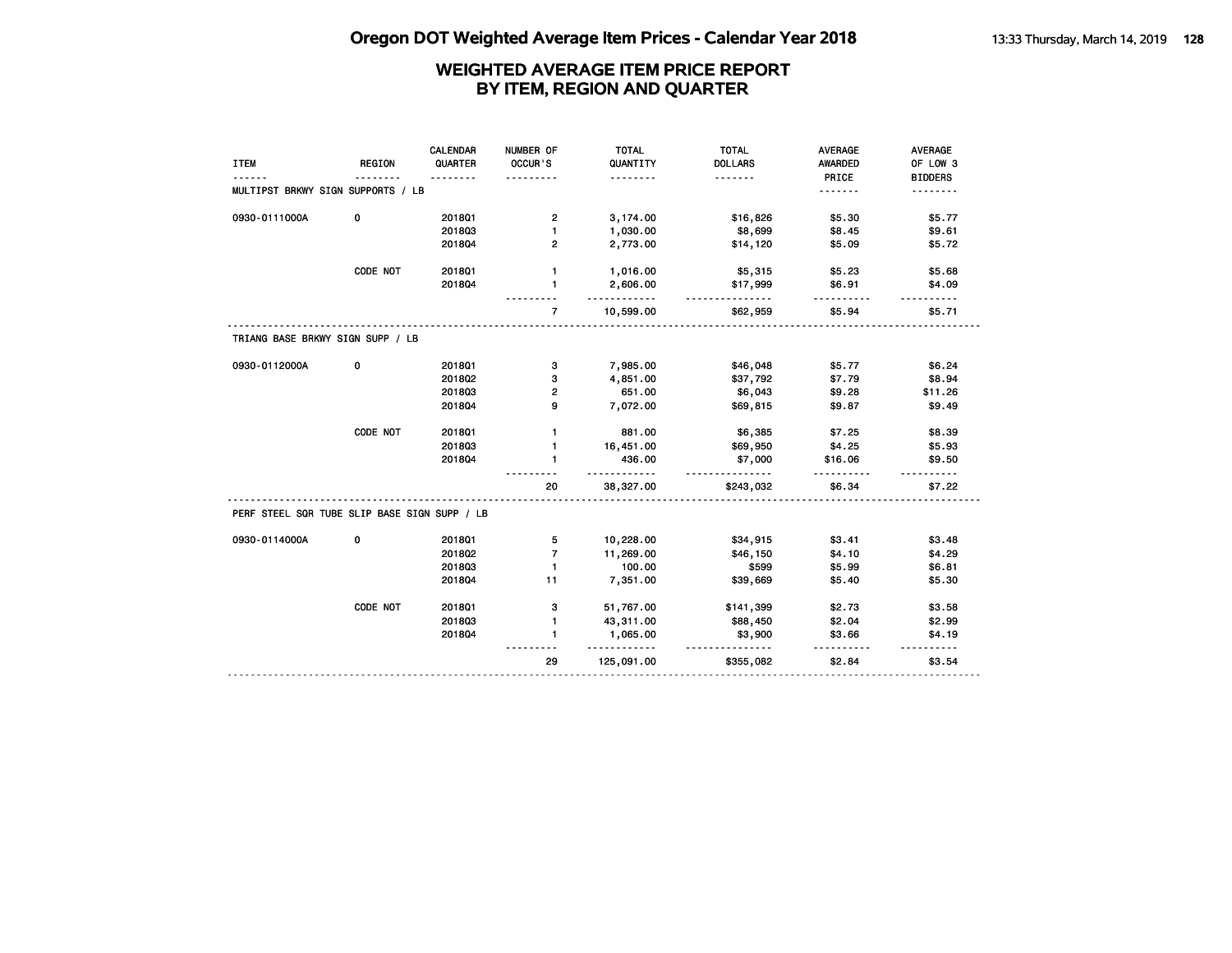|                                              |               | CALENDAR | NUMBER OF      | <b>TOTAL</b>           | <b>TOTAL</b>          | <b>AVERAGE</b> | AVERAGE                 |
|----------------------------------------------|---------------|----------|----------------|------------------------|-----------------------|----------------|-------------------------|
| <b>ITEM</b>                                  | <b>REGION</b> | QUARTER  | OCCUR'S        | QUANTITY               | <b>DOLLARS</b>        | <b>AWARDED</b> | OF LOW 3                |
|                                              |               |          |                | .                      | .                     | PRICE          | <b>BIDDERS</b>          |
| MULTIPST BRKWY SIGN SUPPORTS / LB            |               |          |                |                        |                       | <u>.</u>       | <u>.</u>                |
| 0930-0111000A                                | 0             | 2018Q1   | 2              | 3,174.00               | \$16,826              | \$5.30         | \$5.77                  |
|                                              |               | 201803   | $\mathbf{1}$   | 1,030.00               | \$8,699               | \$8.45         | \$9.61                  |
|                                              |               | 201804   | $\mathbf{2}$   | 2,773.00               | \$14,120              | \$5.09         | \$5.72                  |
|                                              | CODE NOT      | 201801   | $\mathbf{1}$   | 1,016.00               | \$5,315               | \$5.23         | \$5.68                  |
|                                              |               | 201804   | $\blacksquare$ | 2,606.00               | \$17,999              | \$6.91         | \$4.09                  |
|                                              |               |          | $\overline{7}$ | .<br>10,599.00         | <u>.</u><br>\$62,959  | .<br>\$5.94    | $- - - - - -$<br>\$5.71 |
| TRIANG BASE BRKWY SIGN SUPP / LB             |               |          |                |                        |                       |                |                         |
| 0930-0112000A                                | 0             | 2018Q1   | з              | 7,985.00               | \$46,048              | \$5.77         | \$6.24                  |
|                                              |               | 2018Q2   | з              | 4,851.00               | \$37,792              | \$7.79         | \$8.94                  |
|                                              |               | 201803   | 2              | 651.00                 | \$6,043               | \$9.28         | \$11.26                 |
|                                              |               | 201804   | 9              | 7,072.00               | \$69,815              | \$9.87         | \$9.49                  |
|                                              | CODE NOT      | 2018Q1   | $\mathbf{1}$   | 881.00                 | \$6,385               | \$7.25         | \$8.39                  |
|                                              |               | 201803   | $\mathbf{1}$   | 16,451.00              | \$69,950              | \$4.25         | \$5.93                  |
|                                              |               | 201804   | $\mathbf{1}$   | 436.00                 | \$7,000               | \$16.06        | \$9.50                  |
|                                              |               |          | 20             | .<br>38,327.00         | .<br>\$243,032        | \$6.34         | \$7.22                  |
| PERF STEEL SQR TUBE SLIP BASE SIGN SUPP / LB |               |          |                |                        |                       |                |                         |
| 0930-0114000A                                | 0             | 2018Q1   | 5              | 10,228.00              | \$34,915              | \$3.41         | \$3.48                  |
|                                              |               | 2018Q2   | $\overline{7}$ | 11,269.00              | \$46,150              | \$4.10         | \$4.29                  |
|                                              |               | 201803   | $\mathbf{1}$   | 100.00                 | \$599                 | \$5.99         | \$6.81                  |
|                                              |               | 201804   | 11             | 7,351.00               | \$39,669              | \$5.40         | \$5.30                  |
|                                              | CODE NOT      | 2018Q1   | з              | 51,767.00              | \$141,399             | \$2.73         | \$3.58                  |
|                                              |               | 201803   | $\mathbf{1}$   | 43,311.00              | \$88,450              | \$2.04         | \$2.99                  |
|                                              |               | 201804   | 1              | 1,065.00               | \$3,900               | \$3.66         | \$4.19                  |
|                                              |               |          | 29             | <u>.</u><br>125,091.00 | <u>.</u><br>\$355,082 | \$2.84         | \$3.54                  |
|                                              |               |          |                |                        |                       |                |                         |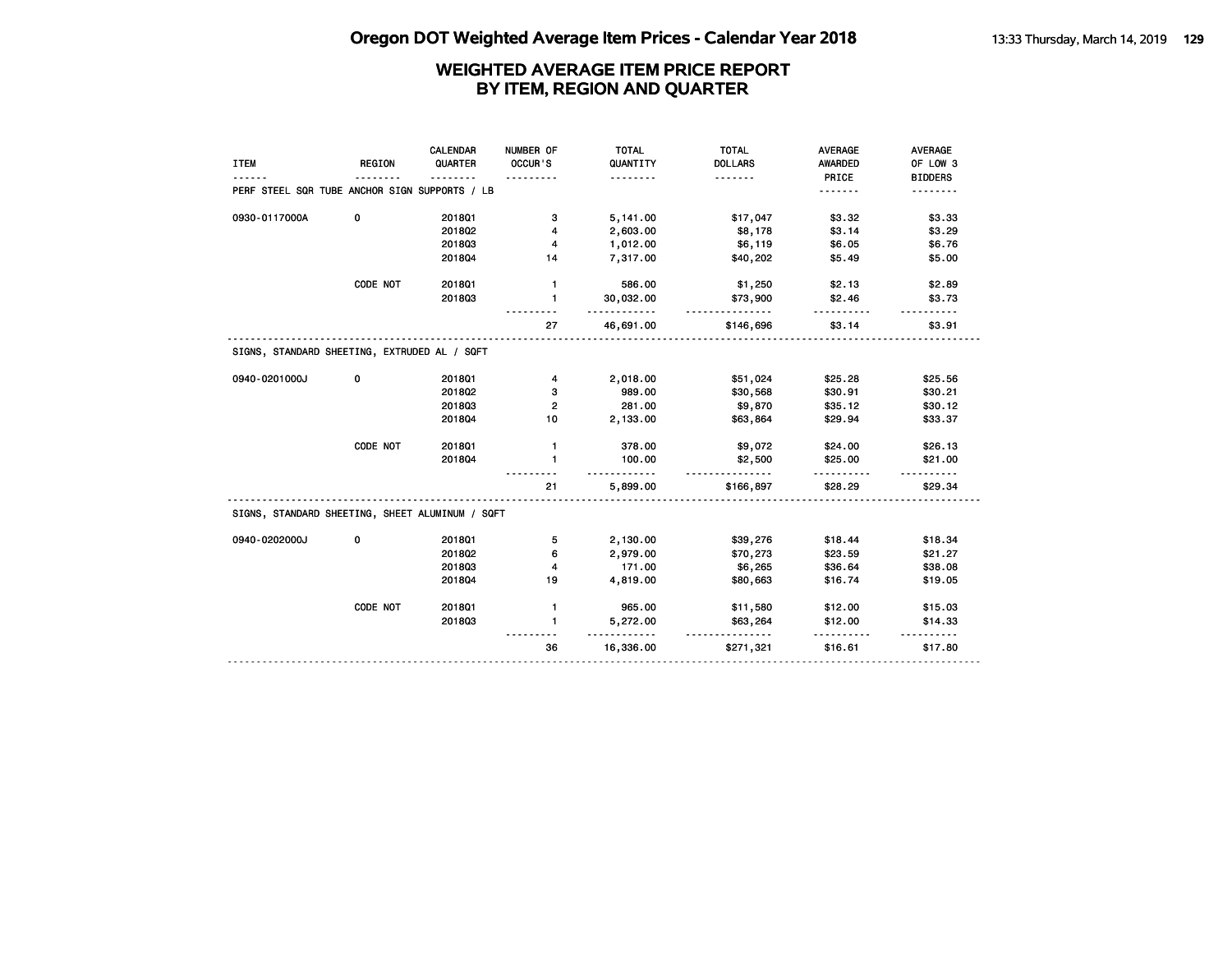| <b>ITEM</b>                                     | <b>REGION</b> | CALENDAR<br>QUARTER | NUMBER OF<br>OCCUR'S | <b>TOTAL</b><br>QUANTITY<br>. | <b>TOTAL</b><br><b>DOLLARS</b><br>. | <b>AVERAGE</b><br><b>AWARDED</b><br>PRICE | <b>AVERAGE</b><br>OF LOW 3<br><b>BIDDERS</b> |
|-------------------------------------------------|---------------|---------------------|----------------------|-------------------------------|-------------------------------------|-------------------------------------------|----------------------------------------------|
| PERF STEEL SQR TUBE ANCHOR SIGN SUPPORTS / LB   |               |                     |                      |                               |                                     | .                                         |                                              |
| 0930-0117000A                                   | 0             | 2018Q1              | з                    | 5,141.00                      | \$17,047                            | \$3.32                                    | \$3.33                                       |
|                                                 |               | 2018Q2              | 4                    | 2,603.00                      | \$8,178                             | \$3.14                                    | \$3.29                                       |
|                                                 |               | 201803              | 4                    | 1,012.00                      | \$6,119                             | \$6.05                                    | \$6.76                                       |
|                                                 |               | 201804              | 14                   | 7,317.00                      | \$40,202                            | \$5.49                                    | \$5.00                                       |
|                                                 | CODE NOT      | 2018Q1              | $\mathbf{1}$         | 586.00                        | \$1,250                             | \$2.13                                    | \$2.89                                       |
|                                                 |               | 201803              | $\mathbf{1}$         | 30,032.00                     | \$73,900                            | \$2.46                                    | \$3.73                                       |
|                                                 |               |                     | 27                   | 46,691.00                     | \$146,696                           | \$3.14                                    | \$3.91                                       |
| SIGNS, STANDARD SHEETING, EXTRUDED AL / SQFT    |               |                     |                      |                               |                                     |                                           |                                              |
| 0940-0201000J                                   | 0             | 201801              | 4                    | 2,018.00                      | \$51,024                            | \$25.28                                   | \$25.56                                      |
|                                                 |               | 2018Q2              | з                    | 989.00                        | \$30,568                            | \$30.91                                   | \$30.21                                      |
|                                                 |               | 201803              | 2                    | 281.00                        | \$9,870                             | \$35.12                                   | \$30.12                                      |
|                                                 |               | 201804              | 10                   | 2,133.00                      | \$63,864                            | \$29.94                                   | \$33.37                                      |
|                                                 | CODE NOT      | 201801              | $\mathbf{1}$         | 378.00                        | \$9,072                             | \$24.00                                   | \$26.13                                      |
|                                                 |               | 201804              | $\mathbf{1}$         | 100.00                        | \$2,500                             | \$25.00                                   | \$21.00                                      |
|                                                 |               |                     | 21                   | 5,899.00                      | \$166,897                           | \$28.29                                   | \$29.34                                      |
| SIGNS, STANDARD SHEETING, SHEET ALUMINUM / SQFT |               |                     |                      |                               |                                     |                                           |                                              |
| 0940-0202000J                                   | 0             | 201801              | 5                    | 2,130.00                      | \$39,276                            | \$18.44                                   | \$18.34                                      |
|                                                 |               | 2018Q2              | 6                    | 2,979.00                      | \$70,273                            | \$23.59                                   | \$21.27                                      |
|                                                 |               | 201803              | 4                    | 171.00                        | \$6,265                             | \$36.64                                   | \$38.08                                      |
|                                                 |               | 201804              | 19                   | 4,819.00                      | \$80,663                            | \$16.74                                   | \$19.05                                      |
|                                                 | CODE NOT      | 201801              | $\mathbf{1}$         | 965.00                        | \$11,580                            | \$12.00                                   | \$15.03                                      |
|                                                 |               | 201803              | $\mathbf{1}$         | 5,272.00                      | \$63,264                            | \$12.00                                   | \$14.33                                      |
|                                                 |               |                     | 36                   | 16,336.00                     | \$271,321                           | \$16.61                                   | \$17.80                                      |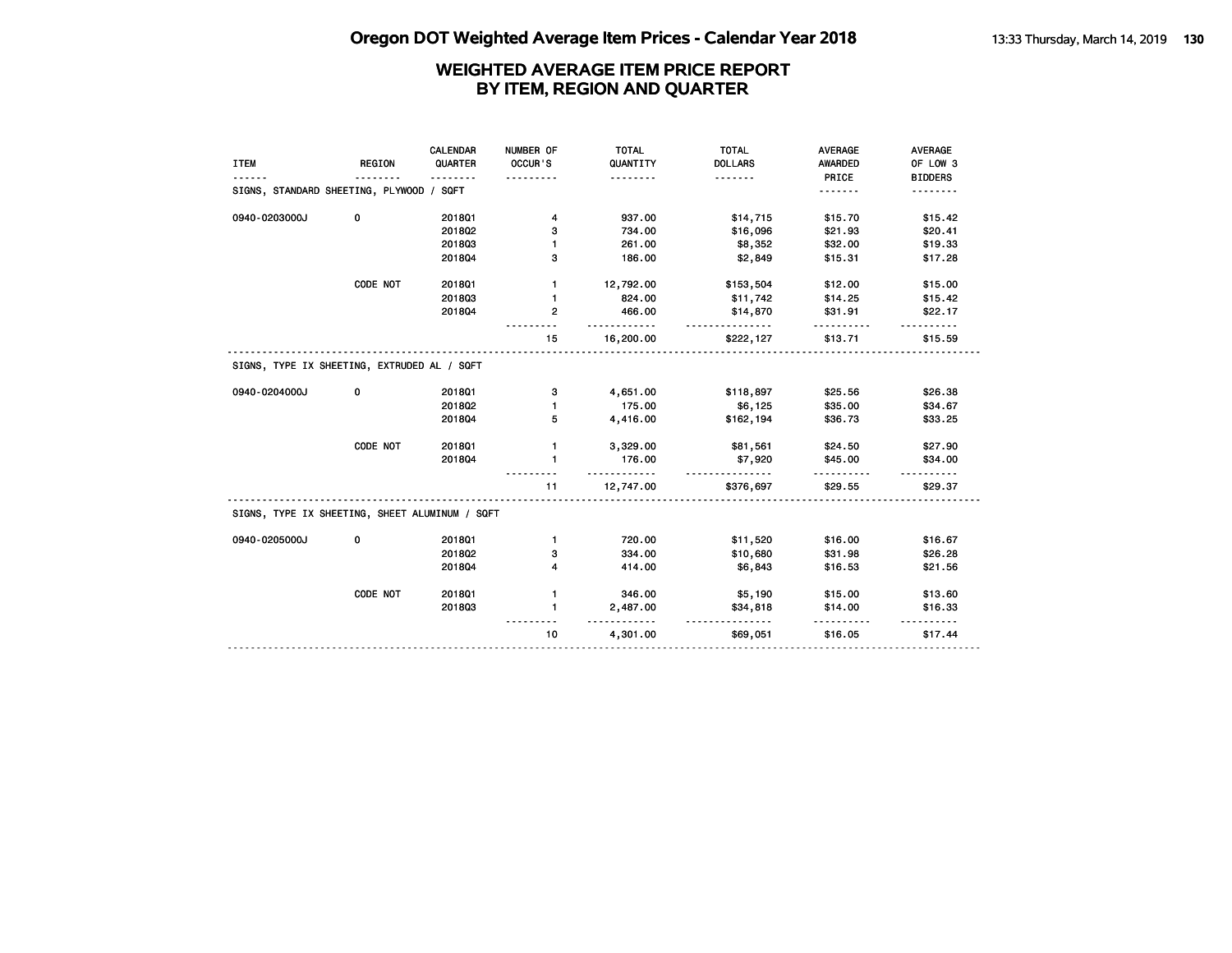| <b>ITEM</b>                                    | <b>REGION</b> | CALENDAR<br>QUARTER<br>. <b>.</b> | NUMBER OF<br>OCCUR'S | <b>TOTAL</b><br>QUANTITY<br>. | <b>TOTAL</b><br><b>DOLLARS</b><br><u>.</u> | <b>AVERAGE</b><br>AWARDED<br>PRICE | <b>AVERAGE</b><br>OF LOW 3<br><b>BIDDERS</b> |
|------------------------------------------------|---------------|-----------------------------------|----------------------|-------------------------------|--------------------------------------------|------------------------------------|----------------------------------------------|
| SIGNS, STANDARD SHEETING, PLYWOOD / SQFT       |               |                                   |                      |                               |                                            | .                                  |                                              |
| 0940-0203000J                                  | 0             | 2018Q1                            | 4                    | 937.00                        | \$14,715                                   | \$15.70                            | \$15.42                                      |
|                                                |               | 2018Q2                            | 3                    | 734.00                        | \$16,096                                   | \$21.93                            | \$20.41                                      |
|                                                |               | 201803                            | 1                    | 261.00                        | \$8,352                                    | \$32.00                            | \$19.33                                      |
|                                                |               | 201804                            | з                    | 186.00                        | \$2,849                                    | \$15.31                            | \$17.28                                      |
|                                                | CODE NOT      | 2018Q1                            | 1                    | 12,792.00                     | \$153,504                                  | \$12.00                            | \$15.00                                      |
|                                                |               | 201803                            | $\mathbf{1}$         | 824.00                        | \$11,742                                   | \$14.25                            | \$15.42                                      |
|                                                |               | 201804                            | $\mathbf{2}$         | 466.00                        | \$14,870                                   | \$31.91                            | \$22.17                                      |
|                                                |               |                                   | 15                   | 16,200.00                     | \$222,127                                  | \$13.71                            | \$15.59                                      |
| SIGNS, TYPE IX SHEETING, EXTRUDED AL / SQFT    |               |                                   |                      |                               |                                            |                                    |                                              |
| 0940-0204000J                                  | 0             | 2018Q1                            | з                    | 4,651.00                      | \$118,897                                  | \$25.56                            | \$26.38                                      |
|                                                |               | 201802                            | 1                    | 175.00                        | \$6,125                                    | \$35.00                            | \$34.67                                      |
|                                                |               | 201804                            | 5                    | 4,416.00                      | \$162,194                                  | \$36.73                            | \$33.25                                      |
|                                                | CODE NOT      | 2018Q1                            | $\mathbf{1}$         | 3,329.00                      | \$81,561                                   | \$24.50                            | \$27.90                                      |
|                                                |               | 201804                            | 1                    | 176.00                        | \$7,920                                    | \$45.00                            | \$34.00                                      |
|                                                |               |                                   |                      |                               |                                            |                                    |                                              |
|                                                |               |                                   | 11                   | .<br>12,747.00                | <u>.</u><br>\$376,697                      | \$29.55                            | \$29.37                                      |
| SIGNS, TYPE IX SHEETING, SHEET ALUMINUM / SQFT |               |                                   |                      |                               |                                            |                                    |                                              |
| 0940-0205000J                                  | 0             | 2018Q1                            | $\mathbf{1}$         | 720.00                        | \$11,520                                   | \$16.00                            | \$16.67                                      |
|                                                |               | 2018Q2                            | 3                    | 334.00                        | \$10,680                                   | \$31.98                            | \$26.28                                      |
|                                                |               | 201804                            | 4                    | 414.00                        | \$6,843                                    | \$16.53                            | \$21.56                                      |
|                                                | CODE NOT      | 201801                            | 1                    | 346.00                        | \$5,190                                    | \$15.00                            | \$13.60                                      |
|                                                |               | 201803                            | $\mathbf{1}$         | 2,487.00                      | \$34,818                                   | \$14.00                            | \$16.33                                      |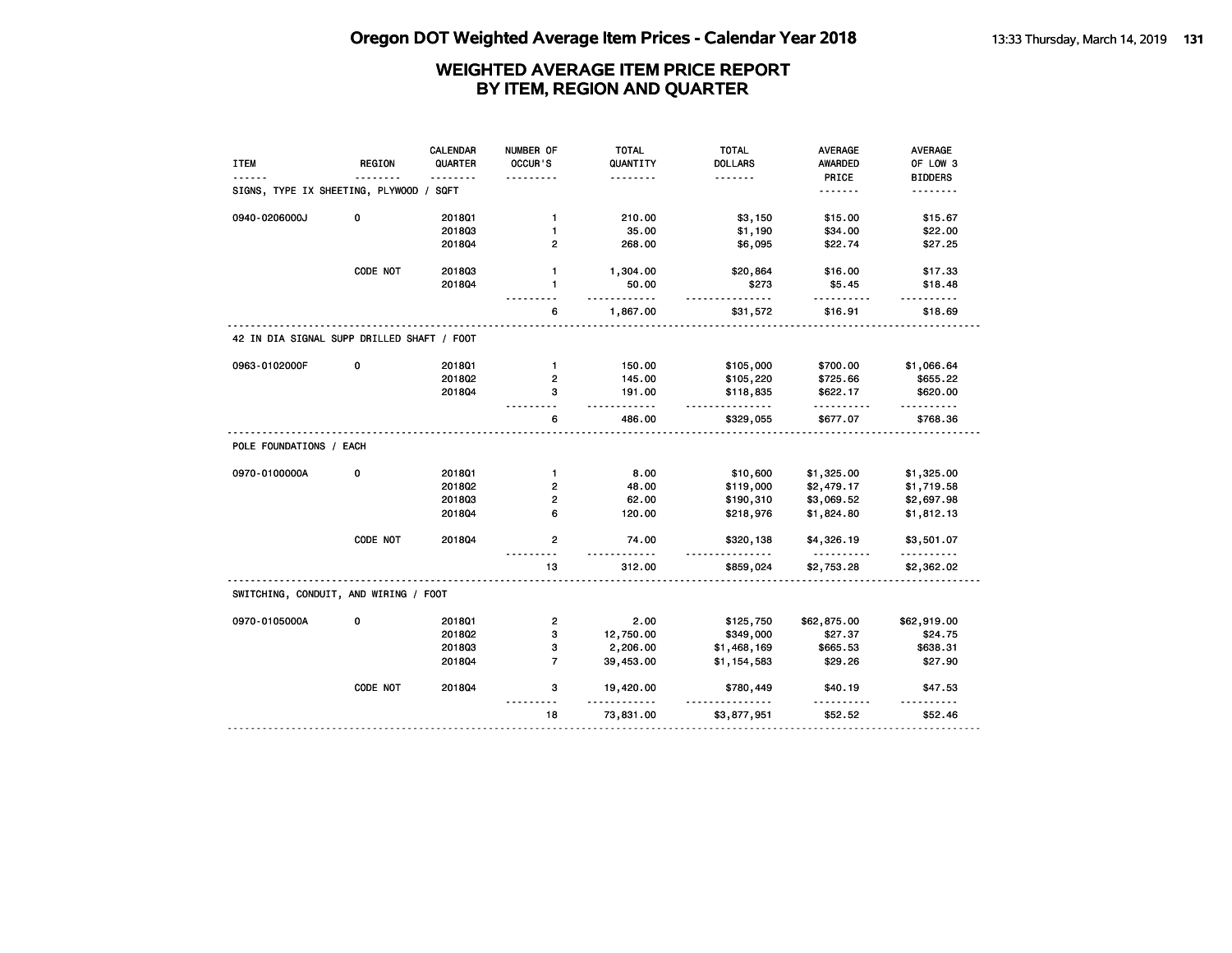| <b>ITEM</b>                                | REGION   | CALENDAR<br>QUARTER | NUMBER OF<br>OCCUR'S    | <b>TOTAL</b><br>QUANTITY | <b>TOTAL</b><br><b>DOLLARS</b> | AVERAGE<br><b>AWARDED</b> | AVERAGE<br>OF LOW 3  |
|--------------------------------------------|----------|---------------------|-------------------------|--------------------------|--------------------------------|---------------------------|----------------------|
|                                            |          | .                   |                         | .                        | .                              | PRICE                     | <b>BIDDERS</b>       |
| SIGNS, TYPE IX SHEETING, PLYWOOD /         |          | SQFT                |                         |                          |                                | <u>.</u>                  | <u>.</u>             |
| 0940-0206000J                              | 0        | 201801              | $\mathbf{1}$            | 210.00                   | \$3,150                        | \$15.00                   | \$15.67              |
|                                            |          | 201803              | 1                       | 35.00                    | \$1,190                        | \$34.00                   | \$22.00              |
|                                            |          | 201804              | $\overline{2}$          | 268.00                   | \$6,095                        | \$22.74                   | \$27.25              |
|                                            | CODE NOT | 201803              | $\mathbf{1}$            | 1,304.00                 | \$20,864                       | \$16.00                   | \$17.33              |
|                                            |          | 201804              | $\mathbf{1}$            | 50.00<br>.               | \$273<br>.                     | \$5.45<br>.               | \$18.48<br>.         |
|                                            |          |                     | 6                       | 1,867.00                 | \$31,572                       | \$16.91                   | \$18.69              |
| 42 IN DIA SIGNAL SUPP DRILLED SHAFT / FOOT |          |                     |                         |                          |                                |                           |                      |
| 0963-0102000F                              | 0        | 201801              | $\mathbf{1}$            | 150.00                   | \$105,000                      | \$700.00                  | \$1,066.64           |
|                                            |          | 2018Q2              | 2                       | 145.00                   | \$105,220                      | \$725.66                  | \$655.22             |
|                                            |          | 201804              | 3                       | 191.00<br>.              | \$118,835<br><u>.</u>          | \$622.17<br>.             | \$620.00<br><u>.</u> |
|                                            |          |                     | 6                       | 486.00                   | \$329,055                      | \$677.07                  | \$768.36             |
| POLE FOUNDATIONS / EACH                    |          |                     |                         |                          |                                |                           |                      |
| 0970-0100000A                              | 0        | 201801              | $\mathbf{1}$            | 8.00                     | \$10,600                       | \$1,325.00                | \$1,325.00           |
|                                            |          | 2018Q2              | $\overline{2}$          | 48.00                    | \$119,000                      | \$2,479.17                | \$1,719.58           |
|                                            |          | 201803              | $\overline{2}$          | 62.00                    | \$190,310                      | \$3,069.52                | \$2,697.98           |
|                                            |          | 201804              | 6                       | 120.00                   | \$218,976                      | \$1,824.80                | \$1,812.13           |
|                                            | CODE NOT | 201804              | $\overline{2}$          | 74.00<br><u>.</u>        | \$320,138                      | \$4,326.19                | \$3,501.07<br>.      |
|                                            |          |                     | 13                      | 312.00                   | \$859,024                      | \$2,753.28                | \$2,362.02           |
| SWITCHING, CONDUIT, AND WIRING / FOOT      |          |                     |                         |                          |                                |                           |                      |
| 0970-0105000A                              | 0        | 2018Q1              | $\overline{\mathbf{c}}$ | 2.00                     | \$125,750                      | \$62,875.00               | \$62,919.00          |
|                                            |          | 2018Q2              | з                       | 12,750.00                | \$349,000                      | \$27.37                   | \$24.75              |
|                                            |          | 201803              | 3                       | 2,206.00                 | \$1,468,169                    | \$665.53                  | \$638.31             |
|                                            |          | 2018Q4              | $\overline{7}$          | 39,453.00                | \$1,154,583                    | \$29.26                   | \$27.90              |
|                                            | CODE NOT | 2018Q4              | 3                       | 19,420.00                | \$780,449                      | \$40.19                   | \$47.53              |
|                                            |          |                     | 18                      | 73,831.00                | \$3,877,951                    | \$52.52                   | \$52.46              |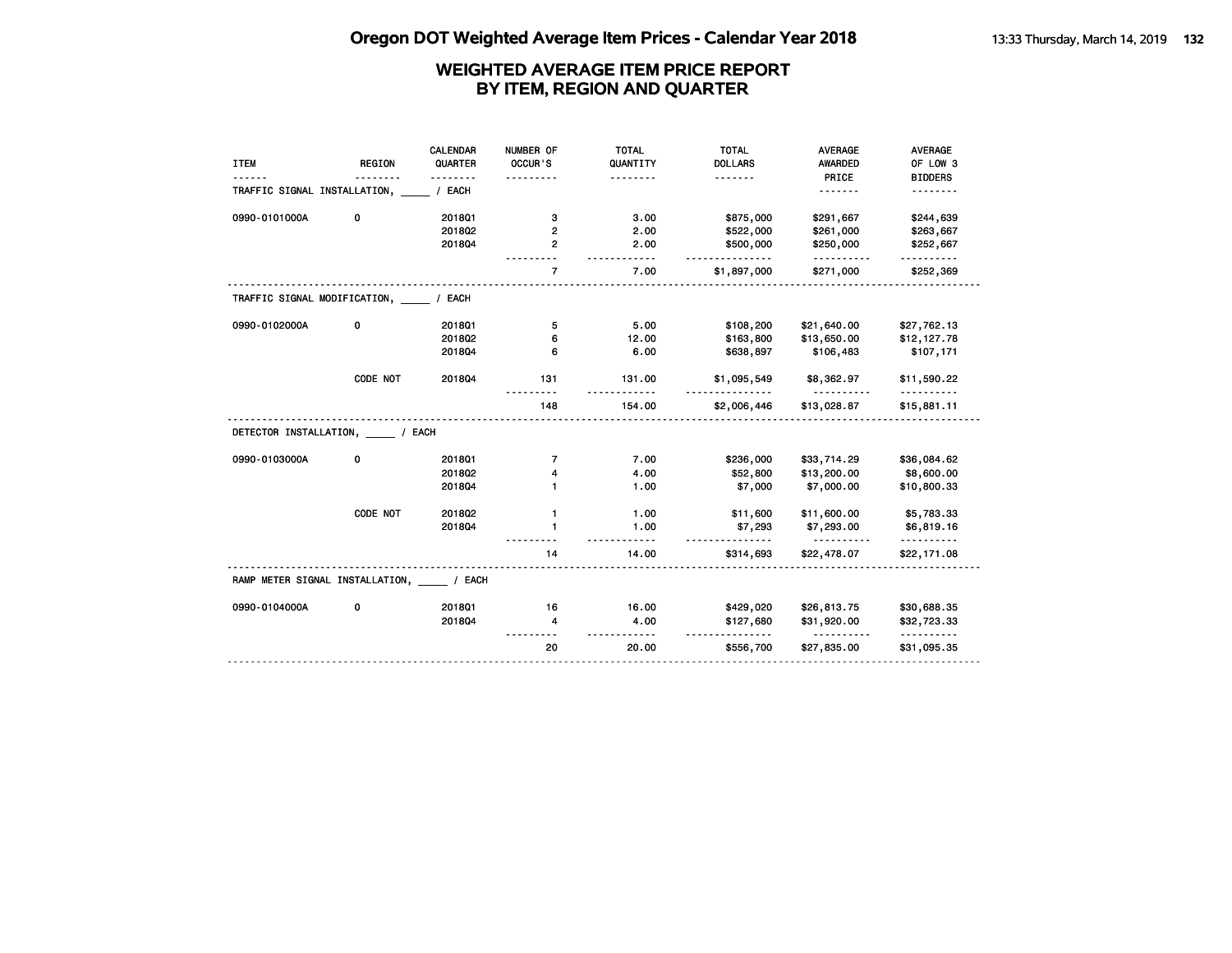|                                        |               | <b>CALENDAR</b> | NUMBER OF        | <b>TOTAL</b> | <b>TOTAL</b>   | <b>AVERAGE</b>          | AVERAGE                   |
|----------------------------------------|---------------|-----------------|------------------|--------------|----------------|-------------------------|---------------------------|
| <b>ITEM</b>                            | <b>REGION</b> | QUARTER         | OCCUR'S          | QUANTITY     | <b>DOLLARS</b> | <b>AWARDED</b>          | OF LOW 3                  |
|                                        |               |                 |                  | .            | .              | PRICE                   | <b>BIDDERS</b>            |
| TRAFFIC SIGNAL INSTALLATION,           |               | / EACH          |                  |              |                | .                       | .                         |
| 0990-0101000A                          | 0             | 201801          | з                | 3.00         | \$875,000      | \$291,667               | \$244,639                 |
|                                        |               | 2018Q2          | 2                | 2.00         | \$522,000      | \$261,000               | \$263,667                 |
|                                        |               | 201804          | 2                | 2.00         | \$500,000      | \$250,000<br><u>.</u>   | \$252,667                 |
|                                        |               |                 | $\overline{7}$   | 7.00         | \$1,897,000    | \$271,000               | \$252,369                 |
| TRAFFIC SIGNAL MODIFICATION, ____      |               | / EACH          |                  |              |                |                         |                           |
| 0990-0102000A                          | 0             | 2018Q1          | 5                | 5.00         | \$108,200      | \$21,640.00             | \$27,762.13               |
|                                        |               | 2018Q2          | 6                | 12.00        | \$163,800      | \$13,650.00             | \$12,127.78               |
|                                        |               | 201804          | 6                | 6.00         | \$638,897      | \$106,483               | \$107,171                 |
|                                        | CODE NOT      | 201804          | 131              | 131.00       | \$1,095,549    | \$8,362.97              | \$11,590.22<br>.          |
|                                        |               |                 | $- - - -$<br>148 | .<br>154.00  | \$2,006,446    | <u>.</u><br>\$13,028.87 | \$15,881.11               |
| DETECTOR INSTALLATION, ___ / EACH      |               |                 |                  |              |                |                         |                           |
| 0990-0103000A                          | 0             | 2018Q1          | $\overline{7}$   | 7.00         | \$236,000      | \$33,714.29             | \$36,084.62               |
|                                        |               | 2018Q2          | 4                | 4.00         | \$52,800       | \$13,200.00             | \$8,600.00                |
|                                        |               | 201804          |                  | 1.00         | \$7,000        | \$7,000.00              | \$10,800.33               |
|                                        |               |                 |                  |              |                |                         |                           |
|                                        | CODE NOT      | 2018Q2          | $\mathbf{1}$     | 1.00         | \$11,600       | \$11,600.00             | \$5,783.33                |
|                                        |               | 201804          | 1                | 1.00         | \$7,293        | \$7,293.00              | \$6,819.16                |
|                                        |               |                 | 14               | 14.00        | \$314,693      | \$22,478.07             | \$22,171.08               |
| RAMP METER SIGNAL INSTALLATION, / EACH |               |                 |                  |              |                |                         |                           |
| 0990-0104000A                          | 0             | 201801          | 16               | 16.00        | \$429,020      | \$26,813.75             | \$30,688.35               |
|                                        |               | 201804          | 4                | 4.00         | \$127,680      | \$31,920.00<br><u>.</u> | \$32,723.33<br>. <u>.</u> |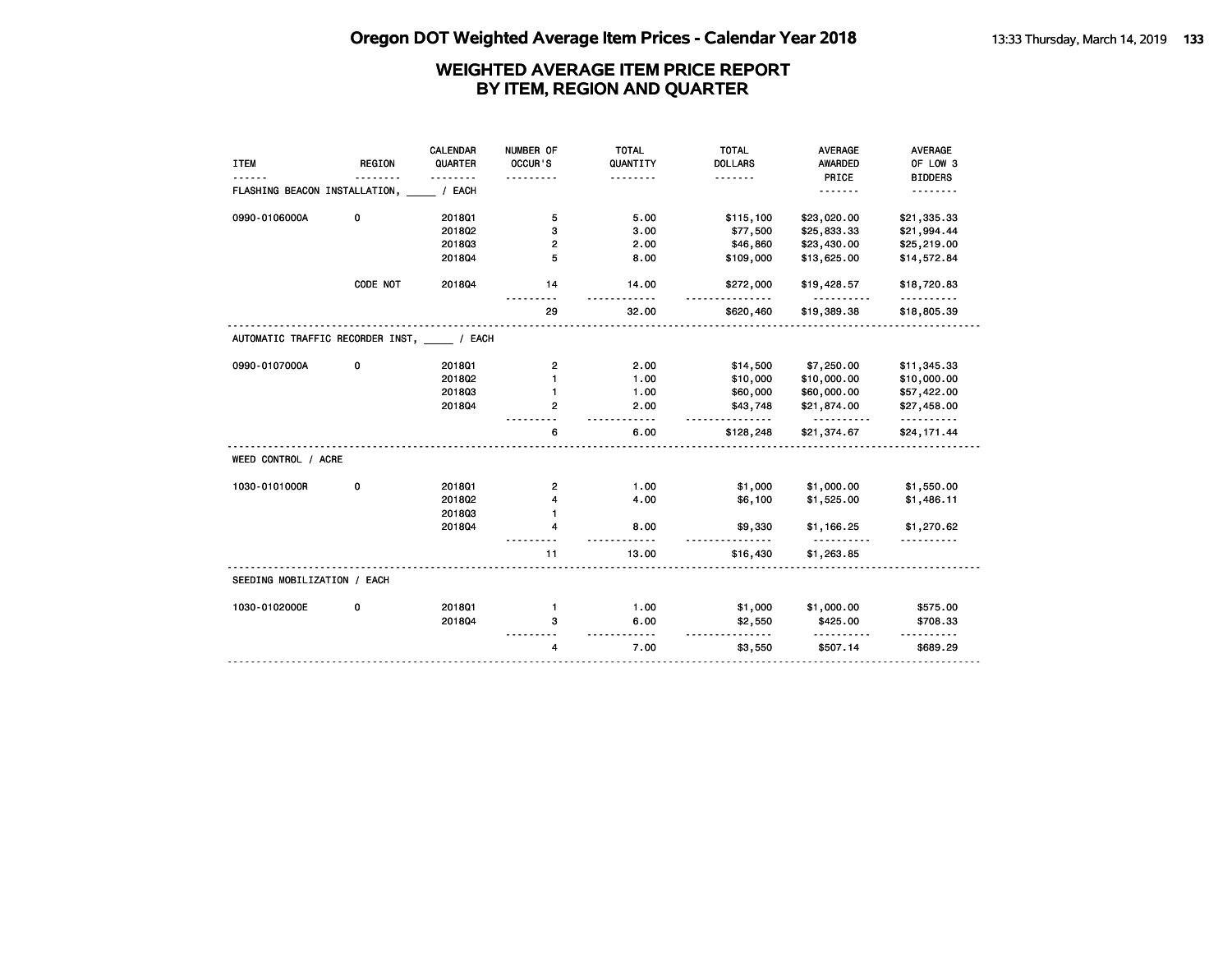|                                         |               | <b>CALENDAR</b> | NUMBER OF      | <b>TOTAL</b>    | <b>TOTAL</b>   | <b>AVERAGE</b>          | <b>AVERAGE</b>          |
|-----------------------------------------|---------------|-----------------|----------------|-----------------|----------------|-------------------------|-------------------------|
| <b>ITEM</b>                             | <b>REGION</b> | QUARTER         | OCCUR'S        | QUANTITY        | <b>DOLLARS</b> | <b>AWARDED</b>          | OF LOW 3                |
|                                         |               |                 |                | .               | .              | PRICE                   | <b>BIDDERS</b>          |
| FLASHING BEACON INSTALLATION,           |               | / EACH          |                |                 |                | .                       | .                       |
| 0990-0106000A                           | 0             | 201801          | 5              | 5.00            | \$115,100      | \$23,020.00             | \$21,335.33             |
|                                         |               | 2018Q2          | з              | 3.00            | \$77,500       | \$25,833.33             | \$21,994.44             |
|                                         |               | 201803          | 2              | 2.00            | \$46,860       | \$23,430.00             | \$25,219.00             |
|                                         |               | 201804          | 5              | 8.00            | \$109,000      | \$13,625.00             | \$14,572.84             |
|                                         | CODE NOT      | 201804          | 14             | 14.00           | \$272,000      | \$19,428.57             | \$18,720.83<br><u>.</u> |
|                                         |               |                 | 29             | 32.00           | \$620,460      | \$19,389.38             | \$18,805.39             |
| AUTOMATIC TRAFFIC RECORDER INST, / EACH |               |                 |                |                 |                |                         |                         |
| 0990-0107000A                           | 0             | 2018Q1          | $\mathbf{2}$   | 2.00            | \$14,500       | \$7,250.00              | \$11,345.33             |
|                                         |               | 2018Q2          | $\mathbf{1}$   | 1.00            | \$10,000       | \$10,000.00             | \$10,000.00             |
|                                         |               | 201803          | 1              | 1.00            | \$60,000       | \$60,000.00             | \$57,422.00             |
|                                         |               | 201804          | 2              | 2.00<br>$- - -$ | \$43,748       | \$21,874.00<br><u>.</u> | \$27,458.00<br><u>.</u> |
|                                         |               |                 | 6              | 6.00            | \$128,248      | \$21,374.67             | \$24,171.44             |
| WEED CONTROL / ACRE                     |               |                 |                |                 |                |                         |                         |
| 1030-0101000R                           | 0             | 2018Q1          | $\mathbf{2}$   | 1.00            | \$1,000        | \$1,000.00              | \$1,550.00              |
|                                         |               | 2018Q2          | 4              | 4.00            | \$6,100        | \$1,525.00              | \$1,486.11              |
|                                         |               | 201803          | $\mathbf{1}$   |                 |                |                         |                         |
|                                         |               | 201804          | 4              | 8.00            | \$9,330        | \$1,166.25              | \$1,270.62              |
|                                         |               |                 | 11             | 13.00           | \$16,430       | \$1,263.85              |                         |
| SEEDING MOBILIZATION / EACH             |               |                 |                |                 |                |                         |                         |
| 1030-0102000E                           | 0             | 2018Q1          | $\mathbf{1}$   | 1.00            | \$1,000        | \$1,000.00              | \$575.00                |
|                                         |               | 201804          | з              | 6.00<br>.       | \$2,550<br>.   | \$425.00<br>.           | \$708.33                |
|                                         |               |                 | $\overline{4}$ | 7.00            | \$3,550        | \$507.14                | \$689.29                |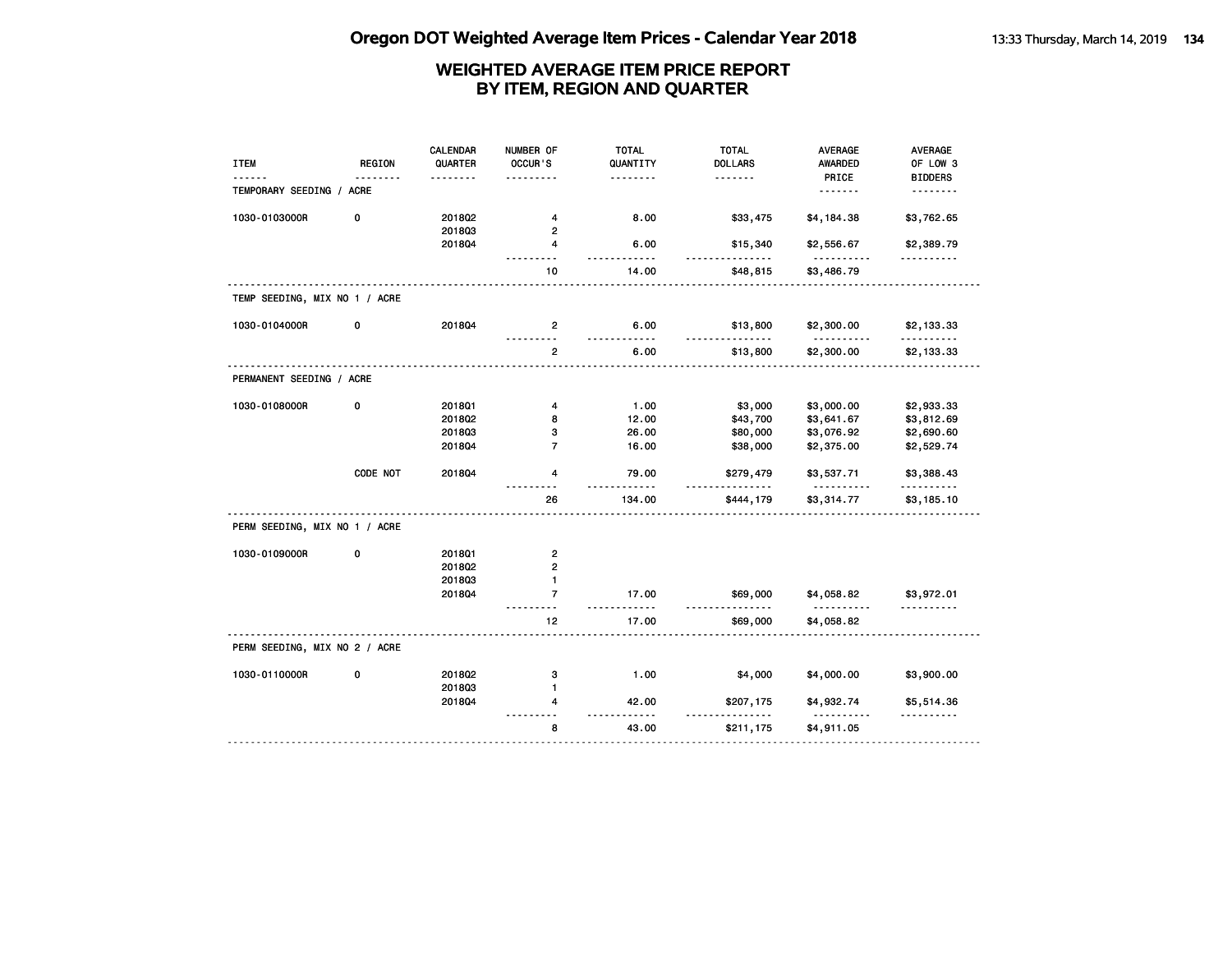| <b>ITEM</b>                   | <b>REGION</b> | <b>CALENDAR</b><br>QUARTER | NUMBER OF<br>OCCUR'S       | <b>TOTAL</b><br>QUANTITY<br>. | <b>TOTAL</b><br><b>DOLLARS</b><br>. | <b>AVERAGE</b><br><b>AWARDED</b><br>PRICE | AVERAGE<br>OF LOW 3<br><b>BIDDERS</b> |
|-------------------------------|---------------|----------------------------|----------------------------|-------------------------------|-------------------------------------|-------------------------------------------|---------------------------------------|
| TEMPORARY SEEDING / ACRE      |               |                            |                            |                               |                                     |                                           | .                                     |
| 1030-0103000R                 | 0             | 2018Q2<br>201803           | 4<br>$\overline{2}$        | 8.00                          | \$33,475                            | \$4,184.38                                | \$3,762.65                            |
|                               |               | 2018Q4                     | 4                          | 6.00<br>- - - -               | \$15,340                            | \$2,556.67                                | \$2,389.79                            |
|                               |               |                            | 10                         | 14.00                         | \$48,815                            | \$3,486.79                                |                                       |
| TEMP SEEDING, MIX NO 1 / ACRE |               |                            |                            |                               |                                     |                                           |                                       |
| 1030-0104000R                 | 0             | 2018Q4                     | 2                          | 6.00<br>$- - -$               | \$13,800                            | \$2,300.00                                | \$2,133.33                            |
|                               |               |                            | $\overline{2}$             | 6.00                          | \$13,800                            | \$2,300.00                                | \$2,133.33                            |
| PERMANENT SEEDING / ACRE      |               |                            |                            |                               |                                     |                                           |                                       |
| 1030-0108000R                 | 0             | 201801                     | 4                          | 1.00                          | \$3,000                             | \$3,000.00                                | \$2,933.33                            |
|                               |               | 2018Q2                     | 8                          | 12.00                         | \$43,700                            | \$3,641.67                                | \$3,812.69                            |
|                               |               | 201803                     | з                          | 26.00                         | \$80,000                            | \$3,076.92                                | \$2,690.60                            |
|                               |               | 201804                     | $\overline{7}$             | 16.00                         | \$38,000                            | \$2,375.00                                | \$2,529.74                            |
|                               | CODE NOT      | 201804                     | 4                          | 79.00                         | \$279,479                           | \$3,537.71                                | \$3,388.43                            |
|                               |               |                            | 26                         | 134.00                        | \$444,179                           | \$3,314.77                                | \$3,185.10                            |
| PERM SEEDING, MIX NO 1 / ACRE |               |                            |                            |                               |                                     |                                           |                                       |
| 1030-0109000R                 | 0             | 2018Q1                     | $\overline{\mathbf{c}}$    |                               |                                     |                                           |                                       |
|                               |               | 201802                     | $\mathbf{2}$               |                               |                                     |                                           |                                       |
|                               |               | 201803                     | 1                          |                               |                                     |                                           |                                       |
|                               |               | 2018Q4                     | $\overline{7}$<br><u>.</u> | 17.00<br>.                    | \$69,000                            | \$4,058.82<br>.                           | \$3,972.01<br>.                       |
|                               |               |                            | 12                         | 17.00                         | \$69,000                            | \$4,058.82                                |                                       |
| PERM SEEDING, MIX NO 2 / ACRE |               |                            |                            |                               |                                     |                                           |                                       |
| 1030-0110000R                 | 0             | 2018Q2                     | з                          | 1.00                          | \$4,000                             | \$4,000.00                                | \$3,900.00                            |
|                               |               | 201803                     | $\mathbf{1}$               |                               |                                     |                                           |                                       |
|                               |               | 2018Q4                     | 4                          | 42.00<br>$\sim$ $\sim$        | \$207,175                           | \$4,932.74                                | \$5,514.36<br><u>.</u>                |
|                               |               |                            | 8                          | 43.00                         | \$211,175                           | \$4,911.05                                |                                       |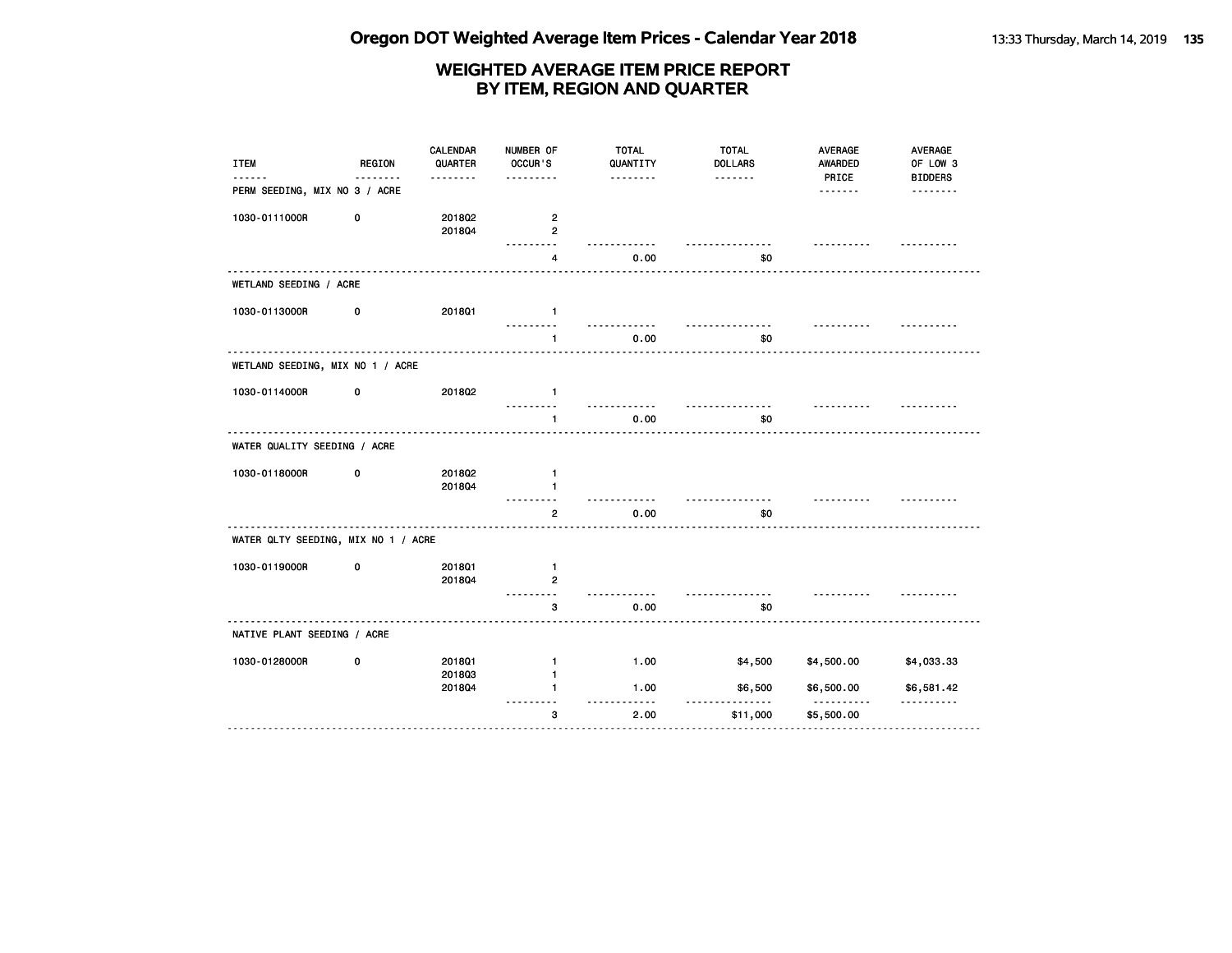**Oregon DOT Weighted Average Item Prices - Calendar Year 2018** 13:33 Thursday, March 14, 2019 135

| <b>ITEM</b>                         | REGION<br><u>.</u> | <b>CALENDAR</b><br>QUARTER | NUMBER OF<br>OCCUR'S                      | <b>TOTAL</b><br>QUANTITY | <b>TOTAL</b><br><b>DOLLARS</b> | AVERAGE<br><b>AWARDED</b> | AVERAGE<br>OF LOW 3        |
|-------------------------------------|--------------------|----------------------------|-------------------------------------------|--------------------------|--------------------------------|---------------------------|----------------------------|
| PERM SEEDING, MIX NO 3 / ACRE       |                    | .                          |                                           | <u>.</u>                 | .                              | PRICE                     | <b>BIDDERS</b><br><u>.</u> |
| 1030-0111000R                       | 0                  | 201802<br>201804           | $\overline{\mathbf{c}}$<br>$\overline{2}$ |                          |                                |                           |                            |
|                                     |                    |                            | 4                                         | 0.00                     | \$0                            |                           |                            |
| WETLAND SEEDING / ACRE              |                    |                            |                                           |                          |                                |                           |                            |
| 1030-0113000R                       | 0                  | 201801                     | $\mathbf{1}$                              |                          |                                | .                         |                            |
|                                     |                    |                            | $\mathbf{1}$                              | 0.00                     | \$0                            |                           |                            |
| WETLAND SEEDING, MIX NO 1 / ACRE    |                    |                            |                                           |                          |                                |                           |                            |
| 1030-0114000R                       | 0                  | 201802                     | $\mathbf{1}$                              |                          | <u>.</u>                       | <u>.</u>                  |                            |
|                                     |                    |                            | $\mathbf{1}$                              | 0.00                     | \$0                            |                           |                            |
| WATER QUALITY SEEDING / ACRE        |                    |                            |                                           |                          |                                |                           |                            |
| 1030-0118000R                       | 0                  | 2018Q2<br>201804           | $\mathbf{1}$<br>$\mathbf{1}$              |                          | .                              |                           |                            |
|                                     |                    |                            | $\overline{2}$                            | 0.00                     | \$0                            |                           |                            |
| WATER QLTY SEEDING, MIX NO 1 / ACRE |                    |                            |                                           |                          |                                |                           |                            |
| 1030-0119000R                       | 0                  | 2018Q1<br>201804           | $\mathbf{1}$<br>$\overline{2}$<br>.       |                          |                                |                           |                            |
|                                     |                    |                            | 3                                         | 0.00                     | \$0                            |                           |                            |
| NATIVE PLANT SEEDING / ACRE         |                    |                            |                                           |                          |                                |                           |                            |
| 1030-0128000R                       | 0                  | <b>2018Q1</b><br>201803    | $\mathbf{1}$<br>$\mathbf{1}$              | 1.00                     | \$4,500                        | \$4,500.00                | \$4,033.33                 |
|                                     |                    | 201804                     | 1.                                        | 1.00                     | \$6,500                        | \$6,500.00<br>- - - - -   | \$6,581.42<br><u>.</u>     |
|                                     |                    |                            | з                                         | 2.00                     | \$11,000                       | \$5,500.00                |                            |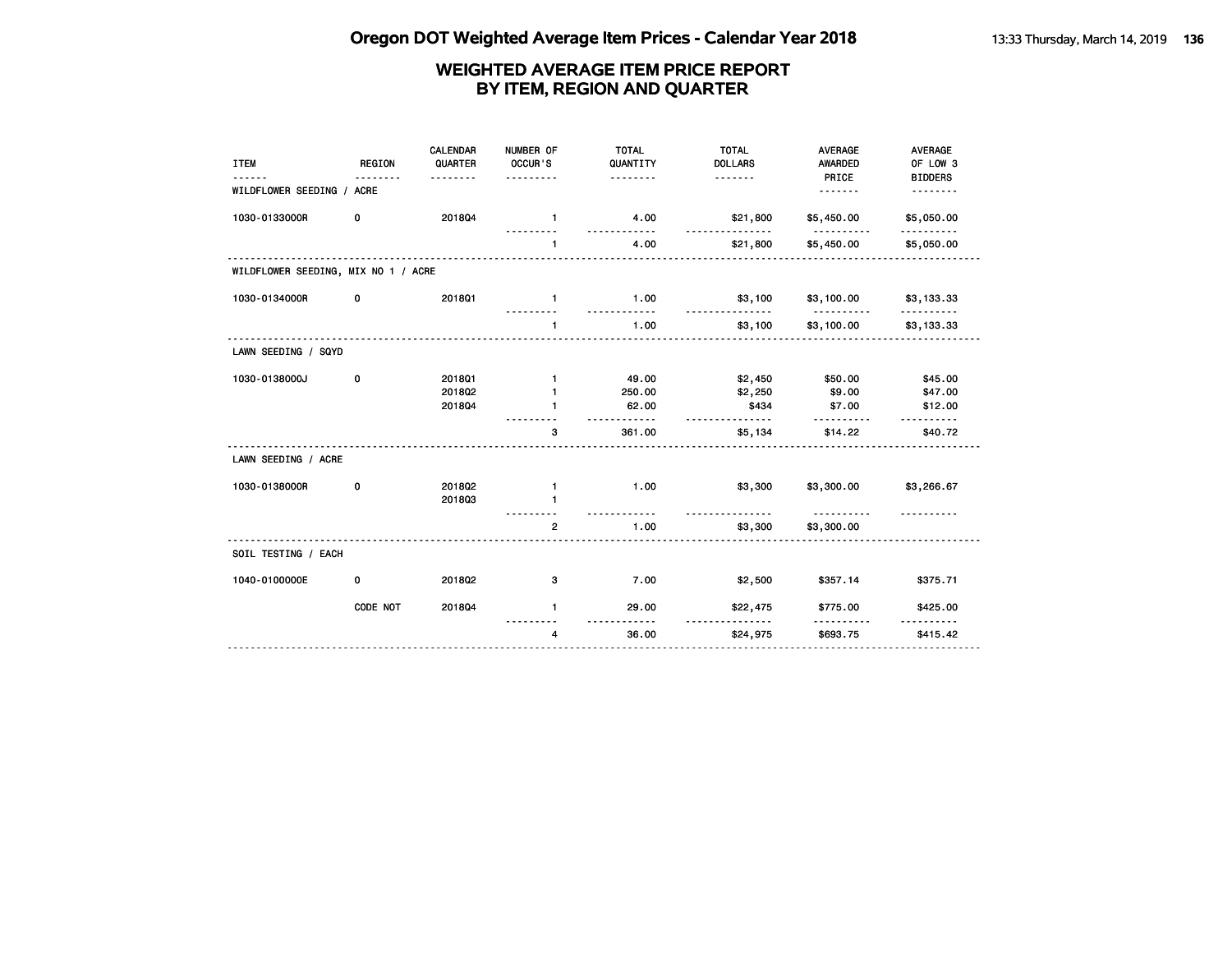| <b>ITEM</b>                         | <b>REGION</b> | <b>CALENDAR</b><br>QUARTER | NUMBER OF<br>OCCUR'S<br>. | <b>TOTAL</b><br>QUANTITY<br>. | <b>TOTAL</b><br><b>DOLLARS</b><br><u>.</u>              | <b>AVERAGE</b><br><b>AWARDED</b><br>PRICE | AVERAGE<br>OF LOW 3<br><b>BIDDERS</b> |
|-------------------------------------|---------------|----------------------------|---------------------------|-------------------------------|---------------------------------------------------------|-------------------------------------------|---------------------------------------|
| WILDFLOWER SEEDING / ACRE           |               |                            |                           |                               |                                                         | <u>.</u>                                  | <u>.</u>                              |
| 1030-0133000R                       | 0             | 201804                     | $\blacksquare$            | 4.00                          | \$21,800<br><u>.</u>                                    | \$5,450.00<br><u>.</u>                    | \$5,050.00<br><u>.</u>                |
|                                     |               |                            | $\mathbf{1}$              | 4.00                          | \$21,800                                                | \$5,450.00                                | \$5,050.00                            |
| WILDFLOWER SEEDING, MIX NO 1 / ACRE |               |                            |                           |                               |                                                         |                                           |                                       |
| 1030-0134000R                       | 0             | 2018Q1                     | $\mathbf{1}$              | 1.00                          | \$3,100                                                 | \$3,100.00                                | \$3,133.33                            |
|                                     |               |                            | $\mathbf{1}$              | 1.00                          | \$3,100                                                 | \$3,100.00                                | \$3,133.33                            |
| LAWN SEEDING / SQYD                 |               |                            |                           |                               |                                                         |                                           |                                       |
| 1030-0138000J                       | 0             | 2018Q1                     | $\mathbf{1}$              | 49.00                         | \$2,450                                                 | \$50.00                                   | \$45.00                               |
|                                     |               | 201802                     | 1                         | 250.00                        | \$2,250                                                 | \$9.00                                    | \$47.00                               |
|                                     |               | 201804                     | $\mathbf{1}$              | 62.00                         | \$434                                                   | \$7.00                                    | \$12.00                               |
|                                     |               |                            | 3                         | 361.00                        | \$5,134                                                 | \$14.22                                   | \$40.72                               |
| LAWN SEEDING / ACRE                 |               |                            |                           |                               |                                                         |                                           |                                       |
| 1030-0138000R                       | 0             | 201802                     | $\mathbf{1}$              | 1.00                          | \$3,300                                                 | \$3,300.00                                | \$3,266.67                            |
|                                     |               | 201803                     | 1                         |                               |                                                         |                                           |                                       |
|                                     |               |                            | $\overline{2}$            | 1.00                          | \$3,300                                                 | <u>.</u><br>\$3,300.00                    |                                       |
| SOIL TESTING / EACH                 |               |                            |                           |                               |                                                         |                                           |                                       |
| 1040-0100000E                       | 0             | 2018Q2                     | з                         | 7.00                          | \$2,500                                                 | \$357.14                                  | \$375.71                              |
|                                     | CODE NOT      | 201804                     | $\mathbf{1}$              | 29.00                         | \$22,475<br><b><i><u><u>a a a a a a a a</u></u></i></b> | \$775.00                                  | \$425.00                              |
|                                     |               |                            | $\overline{4}$            | 36.00                         | \$24,975                                                | <u>.</u><br>\$693.75                      | <u>.</u><br>\$415.42                  |
|                                     |               |                            |                           |                               |                                                         |                                           |                                       |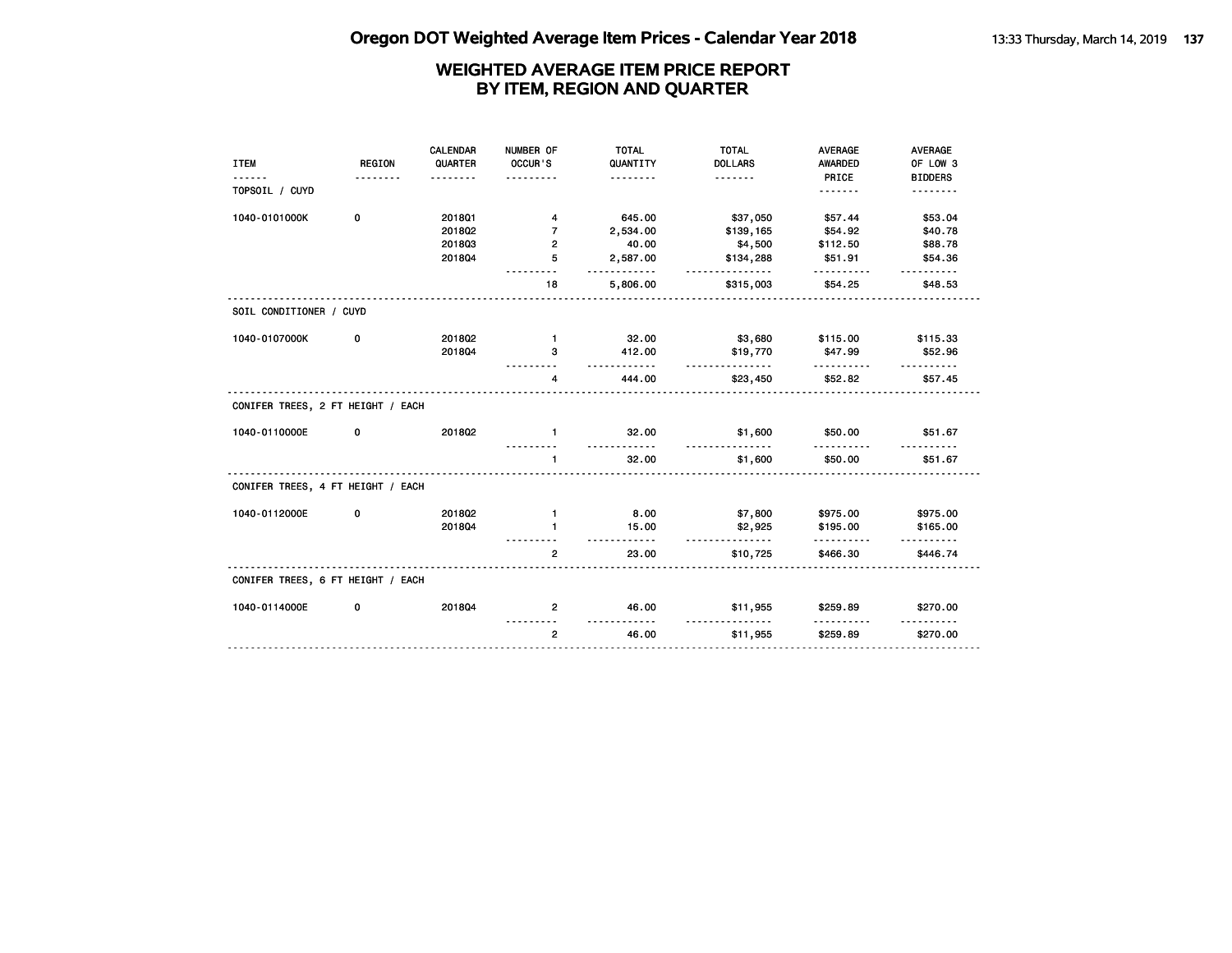|                                   |             | <b>CALENDAR</b> | NUMBER OF           | <b>TOTAL</b>               | <b>TOTAL</b>               | <b>AVERAGE</b>       | <b>AVERAGE</b>             |
|-----------------------------------|-------------|-----------------|---------------------|----------------------------|----------------------------|----------------------|----------------------------|
| <b>ITEM</b>                       | REGION<br>. | QUARTER<br>.    | OCCUR'S<br>.        | QUANTITY<br><u>.</u>       | <b>DOLLARS</b><br><u>.</u> | AWARDED<br>PRICE     | OF LOW 3<br><b>BIDDERS</b> |
| TOPSOIL / CUYD                    |             |                 |                     |                            |                            | .                    | .                          |
| 1040-0101000K                     | 0           | <b>2018Q1</b>   | 4                   | 645.00                     | \$37,050                   | \$57.44              | \$53.04                    |
|                                   |             | 2018Q2          | $\overline{7}$      | 2,534.00                   | \$139,165                  | \$54.92              | \$40.78                    |
|                                   |             | 201803          | 2                   | 40.00                      | \$4,500                    | \$112.50             | \$88.78                    |
|                                   |             | 201804          | 5                   | 2,587.00<br>.              | \$134,288<br><u>.</u>      | \$51.91              | \$54.36<br>$- - - - - -$   |
|                                   |             |                 | 18                  | 5,806.00                   | \$315,003                  | \$54.25              | \$48.53                    |
| SOIL CONDITIONER / CUYD           |             |                 |                     |                            |                            |                      |                            |
| 1040-0107000K                     | 0           | 201802          | $\mathbf{1}$        | 32.00                      | \$3,680                    | \$115.00             | \$115.33                   |
|                                   |             | 201804          | 3                   | 412.00<br><u>.</u>         | \$19,770<br>.              | \$47.99<br><u>.</u>  | \$52.96                    |
|                                   |             |                 | 4                   | 444.00                     | \$23,450                   | \$52.82              | \$57.45                    |
| CONIFER TREES, 2 FT HEIGHT / EACH |             |                 |                     |                            |                            |                      |                            |
| 1040-0110000E                     | 0           | 201802          | $\mathbf{1}$        | 32.00<br><u>----------</u> | \$1,600<br><u>.</u>        | \$50.00              | \$51.67                    |
|                                   |             |                 | $\mathbf{1}$        | 32.00                      | \$1,600                    | \$50.00              | \$51.67                    |
| CONIFER TREES, 4 FT HEIGHT / EACH |             |                 |                     |                            |                            |                      |                            |
| 1040-0112000E                     | 0           | 201802          | $\mathbf{1}$        | 8.00                       | \$7,800                    | \$975.00             | \$975.00                   |
|                                   |             | 201804          | $\mathbf{1}$        | 15.00<br>.                 | \$2,925<br>.               | \$195.00<br>.        | \$165.00                   |
|                                   |             |                 | $\overline{2}$<br>. | 23.00                      | \$10,725                   | \$466.30             | \$446.74                   |
| CONIFER TREES, 6 FT HEIGHT / EACH |             |                 |                     |                            |                            |                      |                            |
| 1040-0114000E                     | 0           | 201804          | $\overline{2}$      | 46.00                      | \$11,955                   | \$259.89             | \$270.00                   |
|                                   |             |                 | $\mathbf{2}$        | <u>.</u><br>46.00          | <u>.</u><br>\$11,955       | <u>.</u><br>\$259.89 | \$270.00                   |
|                                   |             |                 |                     |                            |                            |                      |                            |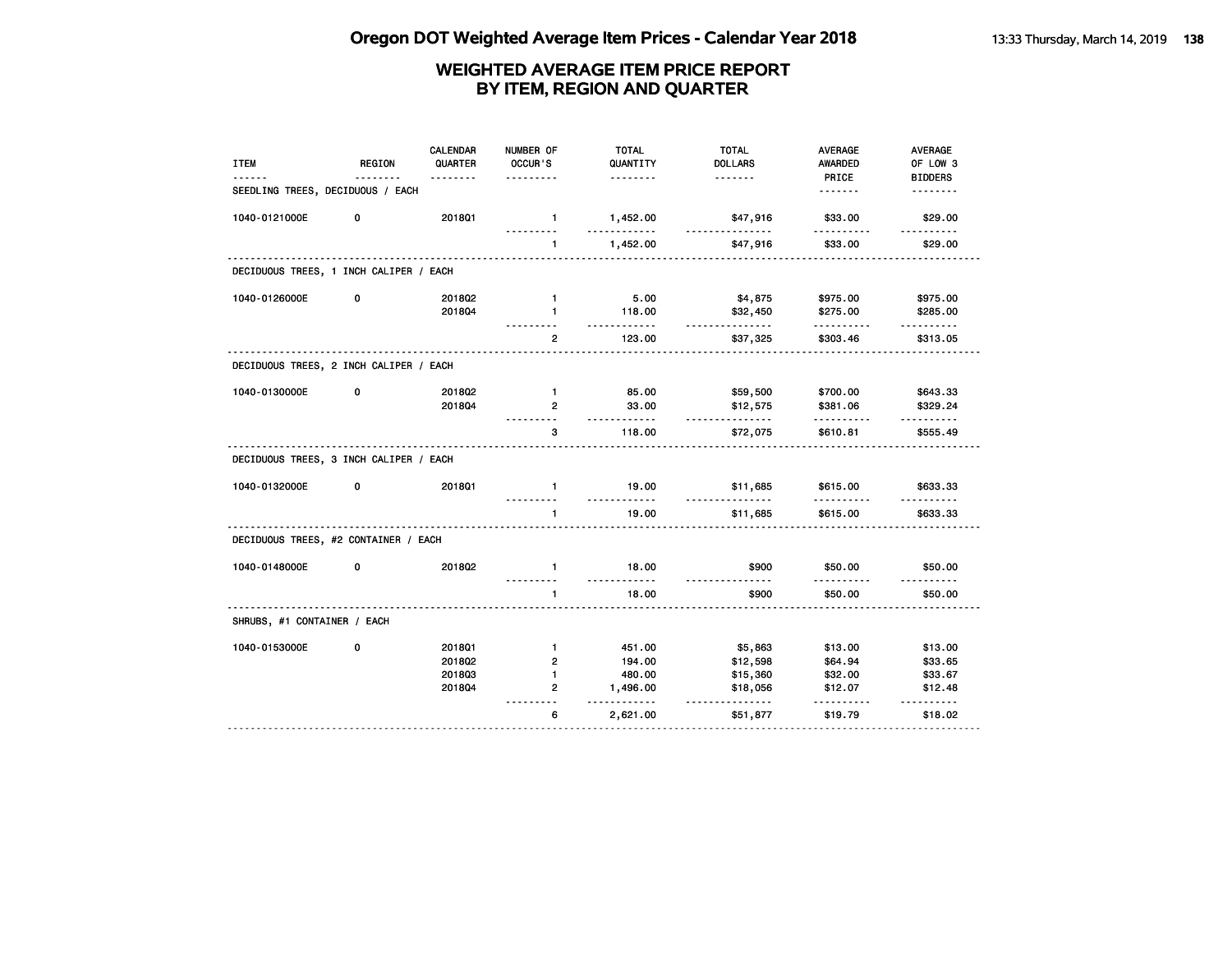| <b>ITEM</b>                            | <b>REGION</b> | <b>CALENDAR</b><br>QUARTER<br><u>.</u> | NUMBER OF<br>OCCUR'S<br>. | <b>TOTAL</b><br>QUANTITY<br><u>.</u> | <b>TOTAL</b><br><b>DOLLARS</b> | <b>AVERAGE</b><br>AWARDED<br>PRICE | <b>AVERAGE</b><br>OF LOW 3<br><b>BIDDERS</b> |
|----------------------------------------|---------------|----------------------------------------|---------------------------|--------------------------------------|--------------------------------|------------------------------------|----------------------------------------------|
| SEEDLING TREES, DECIDUOUS / EACH       |               |                                        |                           |                                      |                                | <u>.</u>                           | <u>.</u>                                     |
| 1040-0121000E                          | 0             | 201801                                 | $\mathbf{1}$              | 1,452.00<br>.                        | \$47,916<br><u>.</u>           | \$33.00                            | \$29.00<br>.                                 |
|                                        |               |                                        | $\mathbf{1}$              | 1,452.00                             | \$47,916                       | \$33.00                            | \$29.00                                      |
| DECIDUOUS TREES, 1 INCH CALIPER / EACH |               |                                        |                           |                                      |                                |                                    |                                              |
| 1040-0126000E                          | 0             | 201802                                 | $\mathbf{1}$              | 5.00                                 | \$4,875                        | \$975.00                           | \$975.00                                     |
|                                        |               | 201804                                 | $\mathbf{1}$              | 118.00<br>.                          | \$32,450<br>.                  | \$275.00<br>.                      | \$285.00                                     |
|                                        |               |                                        | $\overline{2}$<br>.       | 123.00                               | \$37,325                       | \$303.46                           | \$313.05                                     |
| DECIDUOUS TREES, 2 INCH CALIPER / EACH |               |                                        |                           |                                      |                                |                                    |                                              |
| 1040-0130000E                          | 0             | 201802                                 | $\blacksquare$            | 85.00                                | \$59,500                       | \$700.00                           | \$643.33                                     |
|                                        |               | 201804                                 | $\overline{2}$            | 33.00<br>.                           | \$12,575<br>.                  | \$381.06<br>.                      | \$329.24<br>.                                |
|                                        |               |                                        | 3<br><u>.</u>             | 118.00                               | \$72,075                       | \$610.81                           | \$555.49                                     |
| DECIDUOUS TREES, 3 INCH CALIPER / EACH |               |                                        |                           |                                      |                                |                                    |                                              |
| 1040-0132000E                          | 0             | 201801                                 | $\mathbf{1}$<br>.         | 19.00<br>.                           | \$11,685<br>.                  | \$615.00<br>.                      | \$633.33<br>.                                |
|                                        |               |                                        | $\mathbf{1}$<br><u></u>   | 19.00<br><u>.</u>                    | \$11,685                       | \$615.00                           | \$633.33                                     |
| DECIDUOUS TREES, #2 CONTAINER / EACH   |               |                                        |                           |                                      |                                |                                    |                                              |
| 1040-0148000E                          | 0             | 2018Q2                                 | $\blacksquare$<br>.       | 18.00<br>.                           | \$900<br>.                     | \$50.00<br>.                       | \$50.00<br><u>.</u>                          |
|                                        |               |                                        | -1.                       | 18.00                                | \$900                          | \$50.00                            | \$50.00                                      |
| SHRUBS, #1 CONTAINER / EACH            |               |                                        |                           |                                      |                                |                                    |                                              |
| 1040-0153000E                          | 0             | 2018Q1                                 | 1.                        | 451.00                               | \$5,863                        | \$13.00                            | \$13.00                                      |
|                                        |               | 2018Q2                                 | $\overline{2}$            | 194.00                               | \$12,598                       | \$64.94                            | \$33.65                                      |
|                                        |               | 201803                                 | $\mathbf{1}$              | 480.00                               | \$15,360                       | \$32.00                            | \$33.67                                      |
|                                        |               | 2018Q4                                 | $\overline{2}$            | 1,496.00<br>.                        | \$18,056<br>.                  | \$12.07<br>.                       | \$12.48<br>.                                 |
|                                        |               |                                        | 6                         | 2,621.00                             | \$51,877                       | \$19.79                            | \$18.02                                      |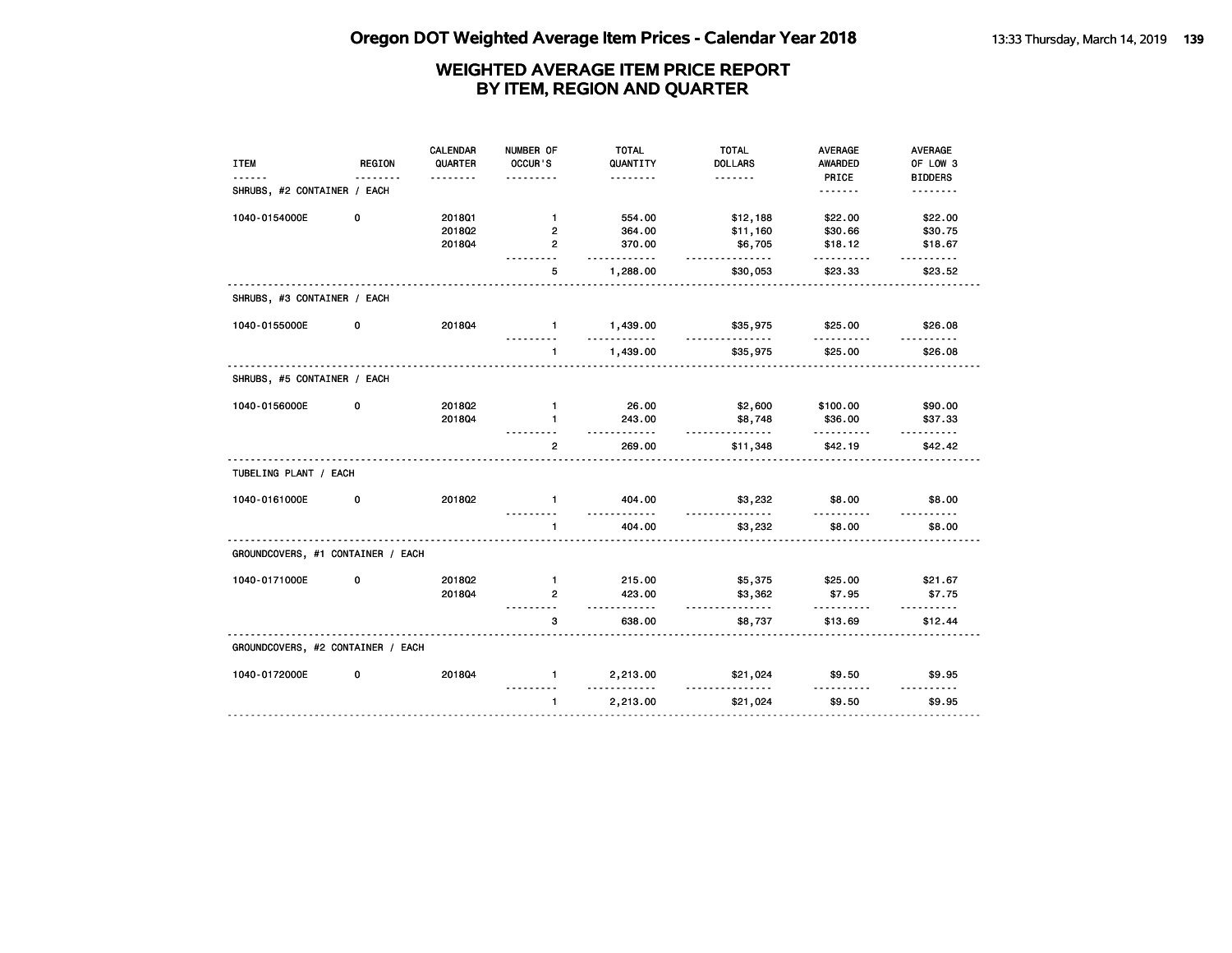| <b>ITEM</b>                       | REGION | <b>CALENDAR</b><br>QUARTER | NUMBER OF<br>OCCUR'S | <b>TOTAL</b><br>QUANTITY | <b>TOTAL</b><br><b>DOLLARS</b> | <b>AVERAGE</b><br>AWARDED | AVERAGE<br>OF LOW 3     |
|-----------------------------------|--------|----------------------------|----------------------|--------------------------|--------------------------------|---------------------------|-------------------------|
|                                   |        |                            |                      | .                        | <u>.</u>                       | PRICE                     | <b>BIDDERS</b>          |
| SHRUBS, #2 CONTAINER / EACH       |        |                            |                      |                          |                                | <u>.</u>                  | <u>.</u>                |
| 1040-0154000E                     | 0      | 2018Q1                     | $\mathbf{1}$         | 554.00                   | \$12,188                       | \$22.00                   | \$22.00                 |
|                                   |        | 2018Q2                     | $\overline{2}$       | 364.00                   | \$11,160                       | \$30.66                   | \$30.75                 |
|                                   |        | 2018Q4                     | $\overline{2}$       | 370.00<br>$- - - -$      | \$6,705<br>.                   | \$18.12                   | \$18.67<br>.            |
|                                   |        |                            | 5                    | 1,288.00                 | \$30,053                       | \$23.33                   | \$23.52                 |
| SHRUBS, #3 CONTAINER / EACH       |        |                            |                      |                          |                                |                           |                         |
| 1040-0155000E                     | 0      | 201804                     | $\mathbf{1}$         | 1,439.00<br>.            | \$35,975<br>.                  | \$25.00                   | \$26.08                 |
|                                   |        |                            | $\mathbf{1}$         | 1,439.00                 | \$35,975                       | \$25.00                   | \$26.08                 |
| SHRUBS, #5 CONTAINER / EACH       |        |                            |                      |                          |                                |                           |                         |
| 1040-0156000E                     | 0      | 201802                     | $\mathbf{1}$         | 26.00                    | \$2,600                        | \$100.00                  | \$90.00                 |
|                                   |        | 2018Q4                     | $\mathbf{1}$         | 243.00<br><u>.</u>       | \$8,748<br>.                   | \$36.00<br>.              | \$37.33                 |
|                                   |        |                            | $\mathbf{2}$         | 269.00                   | \$11,348                       | \$42.19                   | \$42.42                 |
| TUBELING PLANT / EACH             |        |                            |                      |                          |                                |                           |                         |
| 1040-0161000E                     | 0      | 201802                     | $\mathbf{1}$         | 404.00<br>$- - -$        | \$3,232                        | \$8.00                    | \$8.00<br>$- - - - - -$ |
|                                   |        |                            | 1                    | 404.00                   | \$3,232                        | \$8.00                    | \$8.00                  |
| GROUNDCOVERS, #1 CONTAINER / EACH |        |                            |                      |                          |                                |                           |                         |
| 1040-0171000E                     | 0      | 201802                     | $\mathbf{1}$         | 215.00                   | \$5,375                        | \$25.00                   | \$21.67                 |
|                                   |        | 201804                     | $\overline{2}$       | 423.00<br><u>.</u>       | \$3,362<br>.                   | \$7.95                    | \$7.75<br><u>.</u>      |
|                                   |        |                            | 3                    | 638.00                   | \$8,737                        | \$13.69                   | \$12.44                 |
| GROUNDCOVERS, #2 CONTAINER / EACH |        |                            |                      |                          |                                |                           |                         |
| 1040-0172000E                     | 0      | 201804                     | $\mathbf{1}$         | 2,213.00<br><u>.</u>     | \$21,024                       | \$9.50                    | \$9.95<br><u>.</u>      |
|                                   |        |                            | $\mathbf{1}$         | 2,213.00                 | \$21,024                       | \$9.50                    | \$9.95                  |
|                                   |        |                            |                      |                          |                                |                           |                         |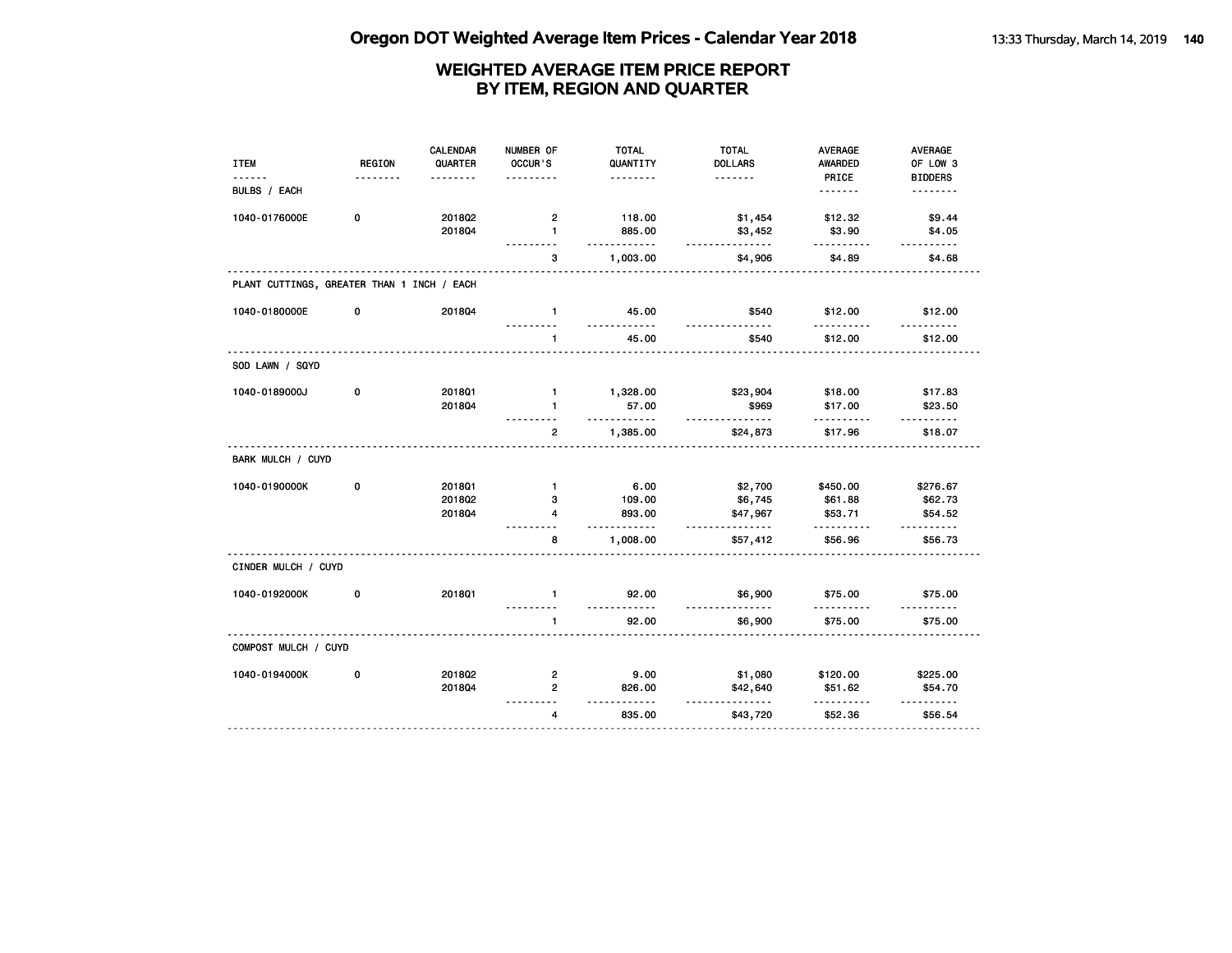| <b>REGION</b>        | <b>CALENDAR</b><br>QUARTER | NUMBER OF<br>OCCUR'S                                      | <b>TOTAL</b><br>QUANTITY | <b>TOTAL</b><br><b>DOLLARS</b>                            | AVERAGE<br>AWARDED                                                       | AVERAGE<br>OF LOW 3<br><b>BIDDERS</b> |
|----------------------|----------------------------|-----------------------------------------------------------|--------------------------|-----------------------------------------------------------|--------------------------------------------------------------------------|---------------------------------------|
|                      |                            |                                                           |                          |                                                           | .                                                                        | <u>.</u>                              |
| 0                    | 2018Q2                     | $\overline{2}$                                            | 118.00                   | \$1,454                                                   | \$12.32                                                                  | \$9.44                                |
|                      |                            |                                                           |                          |                                                           |                                                                          | \$4.05<br><u>.</u>                    |
|                      |                            | 3                                                         | 1,003.00                 | \$4,906                                                   | \$4.89                                                                   | \$4.68                                |
|                      |                            |                                                           |                          |                                                           |                                                                          |                                       |
| 0                    | 201804                     | $\mathbf{1}$                                              | 45.00                    | \$540                                                     | \$12.00                                                                  | \$12.00                               |
|                      |                            | $\mathbf{1}$                                              | 45.00                    | \$540                                                     | \$12.00                                                                  | \$12.00                               |
|                      |                            |                                                           |                          |                                                           |                                                                          |                                       |
| 0                    | 2018Q1                     | $\mathbf{1}$                                              | 1,328.00                 | \$23,904                                                  | \$18.00                                                                  | \$17.83                               |
|                      | 201804                     | $\mathbf{1}$                                              | 57.00                    | \$969                                                     | \$17.00                                                                  | \$23.50                               |
|                      |                            | $\overline{2}$                                            | 1,385.00                 | \$24,873                                                  | \$17.96                                                                  | \$18.07                               |
|                      |                            |                                                           |                          |                                                           |                                                                          |                                       |
| 0                    | 2018Q1                     | $\mathbf{1}$                                              | 6.00                     | \$2,700                                                   | \$450.00                                                                 | \$276.67                              |
|                      | 201802                     | 3                                                         | 109.00                   | \$6,745                                                   | \$61.88                                                                  | \$62.73                               |
|                      | 201804                     | 4                                                         | 893.00                   | \$47,967                                                  | \$53.71                                                                  | \$54.52<br>.                          |
|                      |                            | 8                                                         | 1,008.00                 | \$57,412                                                  | \$56.96                                                                  | \$56.73                               |
| CINDER MULCH / CUYD  |                            |                                                           |                          |                                                           |                                                                          |                                       |
| 0                    | <b>2018Q1</b>              | $\mathbf{1}$                                              | 92.00                    | \$6,900                                                   | \$75.00                                                                  | \$75.00                               |
|                      |                            | $\mathbf{1}$                                              | 92.00                    | \$6,900                                                   | \$75.00                                                                  | \$75.00                               |
| COMPOST MULCH / CUYD |                            |                                                           |                          |                                                           |                                                                          |                                       |
| 0                    | 2018Q2                     | $\overline{2}$                                            | 9.00                     | \$1,080                                                   | \$120.00                                                                 | \$225.00                              |
|                      | 201804                     | $\overline{2}$                                            | 826.00                   | \$42,640                                                  | \$51.62                                                                  | \$54.70<br>.                          |
|                      |                            | $\overline{\mathbf{4}}$                                   | 835.00                   | \$43,720                                                  | \$52.36                                                                  | \$56.54                               |
|                      | .                          | .<br>201804<br>PLANT CUTTINGS, GREATER THAN 1 INCH / EACH | 1                        | <u>.</u><br>885.00<br><u>.</u><br>.<br>.<br>.<br><u>.</u> | .<br>\$3,452<br><u>.</u><br><u>.</u><br><u>.</u><br><u>.</u><br><u>.</u> | PRICE<br>\$3.90<br>.                  |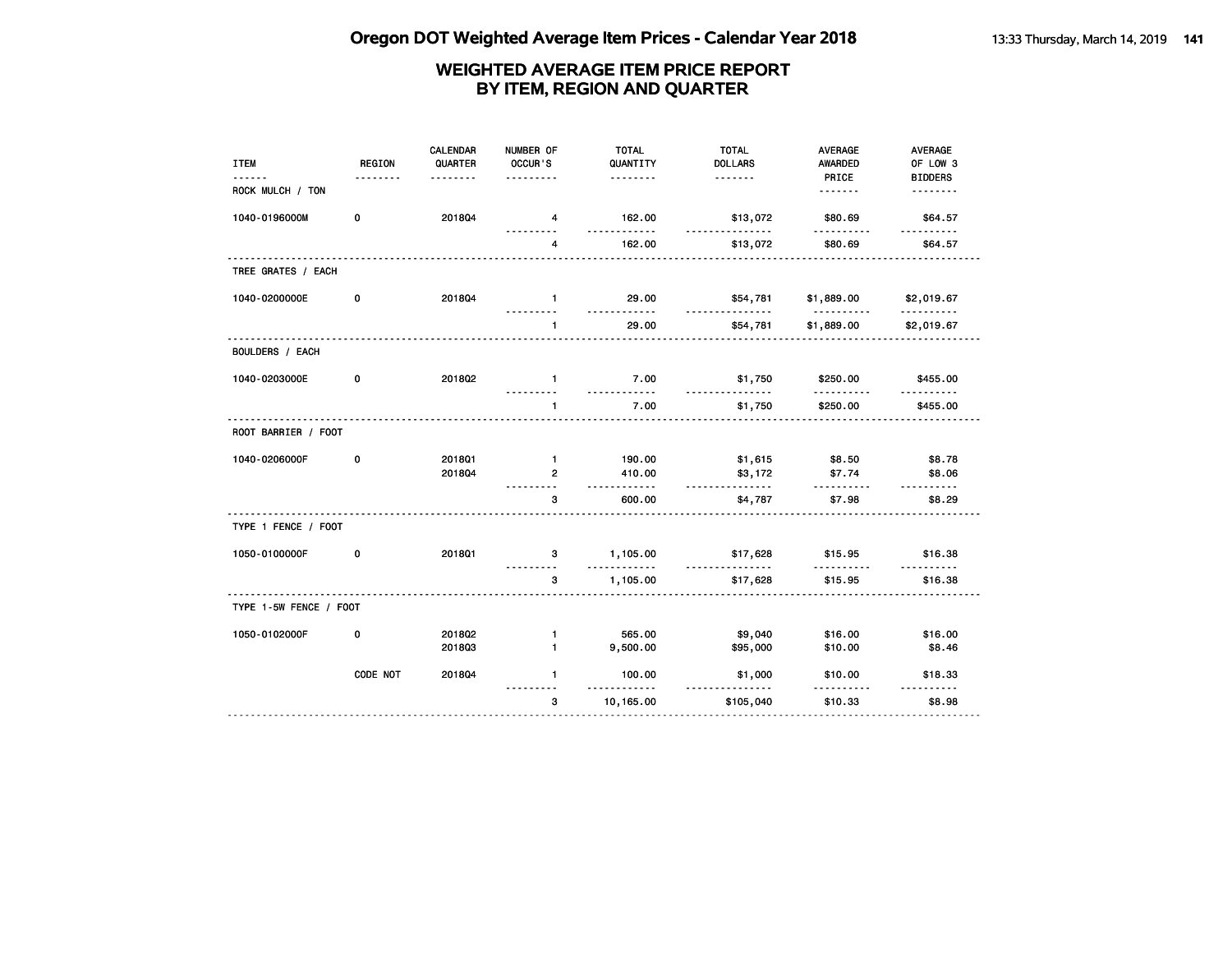| PRICE<br><b>BIDDERS</b><br>.<br><u>.</u><br><u>.</u><br>ROCK MULCH / TON<br><u>.</u><br><u>.</u><br>0<br>201804<br>1040-0196000M<br>162.00<br>\$13,072<br>\$80.69<br>\$64.57<br>4<br>.<br><u>.</u><br>162.00<br>\$13,072<br>\$80.69<br>4<br>\$64.57<br>TREE GRATES / EACH<br>1040-0200000E<br>0<br>201804<br>$\mathbf{1}$<br>29.00<br>\$54,781<br>\$1,889.00<br>\$2,019.67<br><u>.</u><br>.<br>$- - -$<br><u>.</u><br>.<br>29.00<br>\$54,781<br>\$1,889.00<br>\$2,019.67<br>$\mathbf{1}$<br><b>BOULDERS / EACH</b><br>1040-0203000E<br>2018Q2<br>7.00<br>\$250.00<br>0<br>\$1,750<br>\$455.00<br>$\mathbf{1}$<br><u>.</u><br>.<br><u>.</u><br>.<br>7.00<br>$\mathbf{1}$<br>\$1,750<br>\$250.00<br>\$455.00<br>ROOT BARRIER / FOOT<br>0<br>$\mathbf{1}$<br>\$1,615<br>\$8.78<br>1040-0206000F<br><b>2018Q1</b><br>190.00<br>\$8.50<br>201804<br>410.00<br>\$3,172<br>$\overline{2}$<br>\$7.74<br>\$8.06<br>.<br>.<br>.<br>.<br>3<br>600.00<br>\$4,787<br>\$7.98<br>\$8.29<br>TYPE 1 FENCE / FOOT |
|-------------------------------------------------------------------------------------------------------------------------------------------------------------------------------------------------------------------------------------------------------------------------------------------------------------------------------------------------------------------------------------------------------------------------------------------------------------------------------------------------------------------------------------------------------------------------------------------------------------------------------------------------------------------------------------------------------------------------------------------------------------------------------------------------------------------------------------------------------------------------------------------------------------------------------------------------------------------------------------------------|
|                                                                                                                                                                                                                                                                                                                                                                                                                                                                                                                                                                                                                                                                                                                                                                                                                                                                                                                                                                                                 |
|                                                                                                                                                                                                                                                                                                                                                                                                                                                                                                                                                                                                                                                                                                                                                                                                                                                                                                                                                                                                 |
|                                                                                                                                                                                                                                                                                                                                                                                                                                                                                                                                                                                                                                                                                                                                                                                                                                                                                                                                                                                                 |
|                                                                                                                                                                                                                                                                                                                                                                                                                                                                                                                                                                                                                                                                                                                                                                                                                                                                                                                                                                                                 |
|                                                                                                                                                                                                                                                                                                                                                                                                                                                                                                                                                                                                                                                                                                                                                                                                                                                                                                                                                                                                 |
|                                                                                                                                                                                                                                                                                                                                                                                                                                                                                                                                                                                                                                                                                                                                                                                                                                                                                                                                                                                                 |
|                                                                                                                                                                                                                                                                                                                                                                                                                                                                                                                                                                                                                                                                                                                                                                                                                                                                                                                                                                                                 |
|                                                                                                                                                                                                                                                                                                                                                                                                                                                                                                                                                                                                                                                                                                                                                                                                                                                                                                                                                                                                 |
|                                                                                                                                                                                                                                                                                                                                                                                                                                                                                                                                                                                                                                                                                                                                                                                                                                                                                                                                                                                                 |
|                                                                                                                                                                                                                                                                                                                                                                                                                                                                                                                                                                                                                                                                                                                                                                                                                                                                                                                                                                                                 |
|                                                                                                                                                                                                                                                                                                                                                                                                                                                                                                                                                                                                                                                                                                                                                                                                                                                                                                                                                                                                 |
|                                                                                                                                                                                                                                                                                                                                                                                                                                                                                                                                                                                                                                                                                                                                                                                                                                                                                                                                                                                                 |
|                                                                                                                                                                                                                                                                                                                                                                                                                                                                                                                                                                                                                                                                                                                                                                                                                                                                                                                                                                                                 |
| 201801<br>1050-0100000F<br>0<br>3<br>1,105.00<br>\$17,628<br>\$15.95<br>\$16.38                                                                                                                                                                                                                                                                                                                                                                                                                                                                                                                                                                                                                                                                                                                                                                                                                                                                                                                 |
| .<br>1,105.00<br>\$15.95<br>\$16.38<br>3<br>\$17,628                                                                                                                                                                                                                                                                                                                                                                                                                                                                                                                                                                                                                                                                                                                                                                                                                                                                                                                                            |
| TYPE 1-5W FENCE / FOOT                                                                                                                                                                                                                                                                                                                                                                                                                                                                                                                                                                                                                                                                                                                                                                                                                                                                                                                                                                          |
| \$9,040<br>1050-0102000F<br>0<br>2018Q2<br>565.00<br>\$16.00<br>\$16.00<br>$\mathbf{1}$<br>$\mathbf{1}$<br>9,500.00<br>201803<br>\$95,000<br>\$10.00<br>\$8.46                                                                                                                                                                                                                                                                                                                                                                                                                                                                                                                                                                                                                                                                                                                                                                                                                                  |
| CODE NOT<br>$\mathbf{1}$<br>2018Q4<br>100.00<br>\$1,000<br>\$10.00<br>\$18.33<br><u></u><br><u>.</u>                                                                                                                                                                                                                                                                                                                                                                                                                                                                                                                                                                                                                                                                                                                                                                                                                                                                                            |
| 3<br>10,165.00<br>\$105,040<br>\$10.33<br>\$8.98                                                                                                                                                                                                                                                                                                                                                                                                                                                                                                                                                                                                                                                                                                                                                                                                                                                                                                                                                |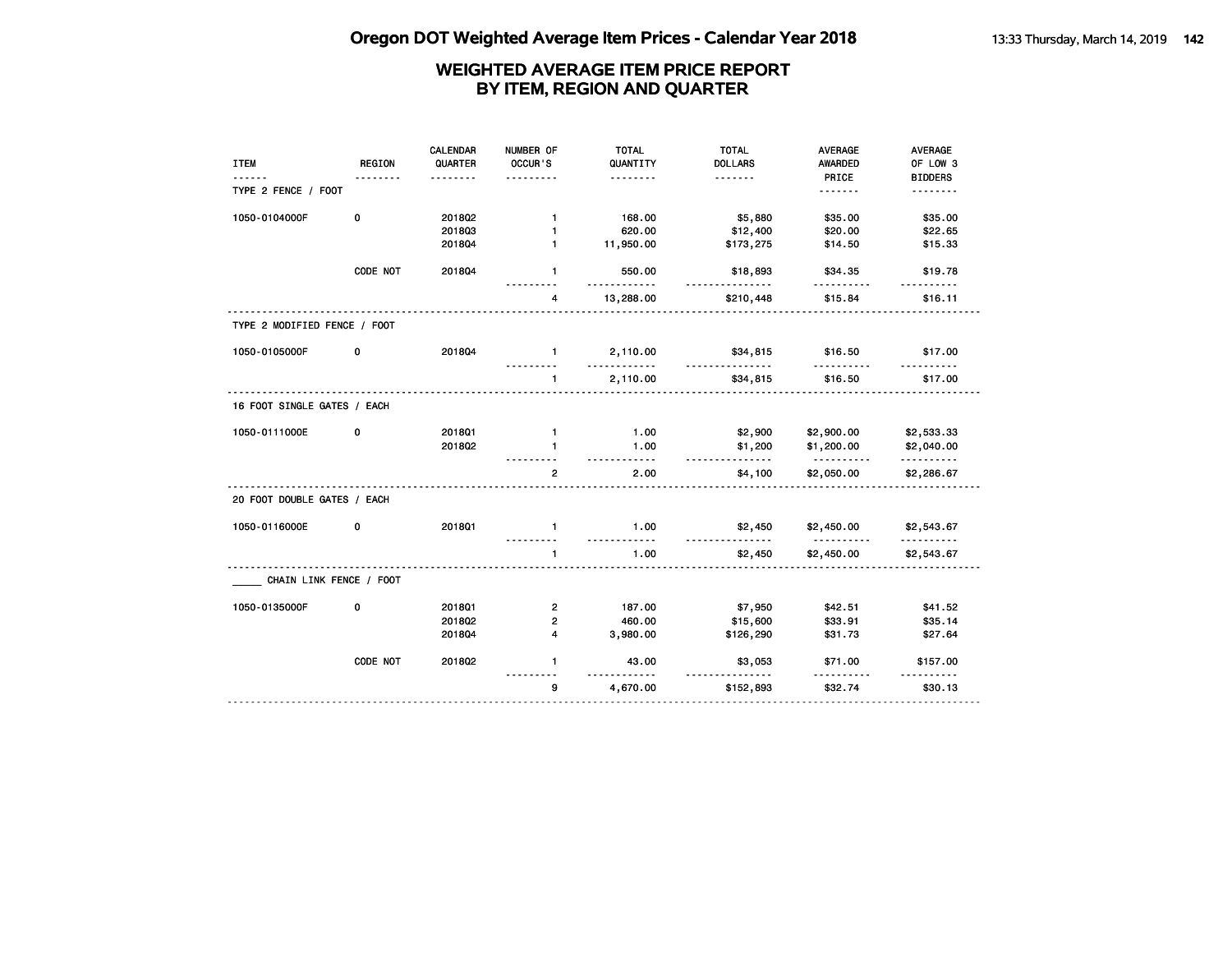|                              |               | <b>CALENDAR</b> | NUMBER OF      | <b>TOTAL</b>        | <b>TOTAL</b>         | <b>AVERAGE</b>         | AVERAGE         |
|------------------------------|---------------|-----------------|----------------|---------------------|----------------------|------------------------|-----------------|
| <b>ITEM</b>                  | <b>REGION</b> | QUARTER         | OCCUR'S        | QUANTITY            | <b>DOLLARS</b>       | AWARDED                | OF LOW 3        |
|                              |               |                 |                | .                   | <u>.</u>             | PRICE                  | <b>BIDDERS</b>  |
| TYPE 2 FENCE / FOOT          |               |                 |                |                     |                      | <u>.</u>               | .               |
| 1050-0104000F                | 0             | 2018Q2          | $\mathbf{1}$   | 168.00              | \$5,880              | \$35.00                | \$35.00         |
|                              |               | 201803          | $\mathbf{1}$   | 620.00              | \$12,400             | \$20.00                | \$22.65         |
|                              |               | 201804          | $\mathbf{1}$   | 11,950.00           | \$173,275            | \$14.50                | \$15.33         |
|                              | CODE NOT      | 201804          | $\mathbf{1}$   | 550.00              | \$18,893<br><u>.</u> | \$34.35                | \$19.78         |
|                              |               |                 | 4              | 13,288.00           | \$210,448            | \$15.84                | \$16.11         |
| TYPE 2 MODIFIED FENCE / FOOT |               |                 |                |                     |                      |                        |                 |
| 1050-0105000F                | 0             | 201804          | $\mathbf{1}$   | 2,110.00<br>.       | \$34,815<br><u>.</u> | \$16.50<br>.           | \$17.00         |
|                              |               |                 | $\blacksquare$ | 2,110.00            | \$34,815             | \$16.50                | \$17.00         |
| 16 FOOT SINGLE GATES / EACH  |               |                 |                |                     |                      |                        |                 |
| 1050-0111000E                | 0             | 2018Q1          | $\mathbf{1}$   | 1.00                | \$2,900              | \$2,900.00             | \$2,533.33      |
|                              |               | 2018Q2          | $\mathbf{1}$   | 1.00<br>$- - - - -$ | \$1,200<br><u>.</u>  | \$1,200.00<br><u>.</u> | \$2,040.00<br>. |
|                              |               |                 | $\overline{2}$ | 2.00                | \$4,100              | \$2,050.00             | \$2,286.67      |
| 20 FOOT DOUBLE GATES / EACH  |               |                 |                |                     |                      |                        |                 |
| 1050-0116000E                | 0             | <b>2018Q1</b>   | $\mathbf{1}$   | 1.00                | \$2,450              | \$2,450.00             | \$2,543.67      |
|                              |               |                 | $\mathbf{1}$   | 1.00                | \$2,450              | \$2,450.00             | \$2,543.67      |
| CHAIN LINK FENCE / FOOT      |               |                 |                |                     |                      |                        |                 |
| 1050-0135000F                | 0             | 201801          | $\overline{2}$ | 187.00              | \$7,950              | \$42.51                | \$41.52         |
|                              |               | 2018Q2          | 2              | 460.00              | \$15,600             | \$33.91                | \$35.14         |
|                              |               | 2018Q4          | $\overline{4}$ | 3,980.00            | \$126,290            | \$31.73                | \$27.64         |
|                              | CODE NOT      | 201802          | $\mathbf{1}$   | 43.00<br><u>.</u>   | \$3,053<br>.         | \$71.00                | \$157.00<br>.   |
|                              |               |                 | 9              | 4,670.00            | \$152,893            | \$32.74                | \$30.13         |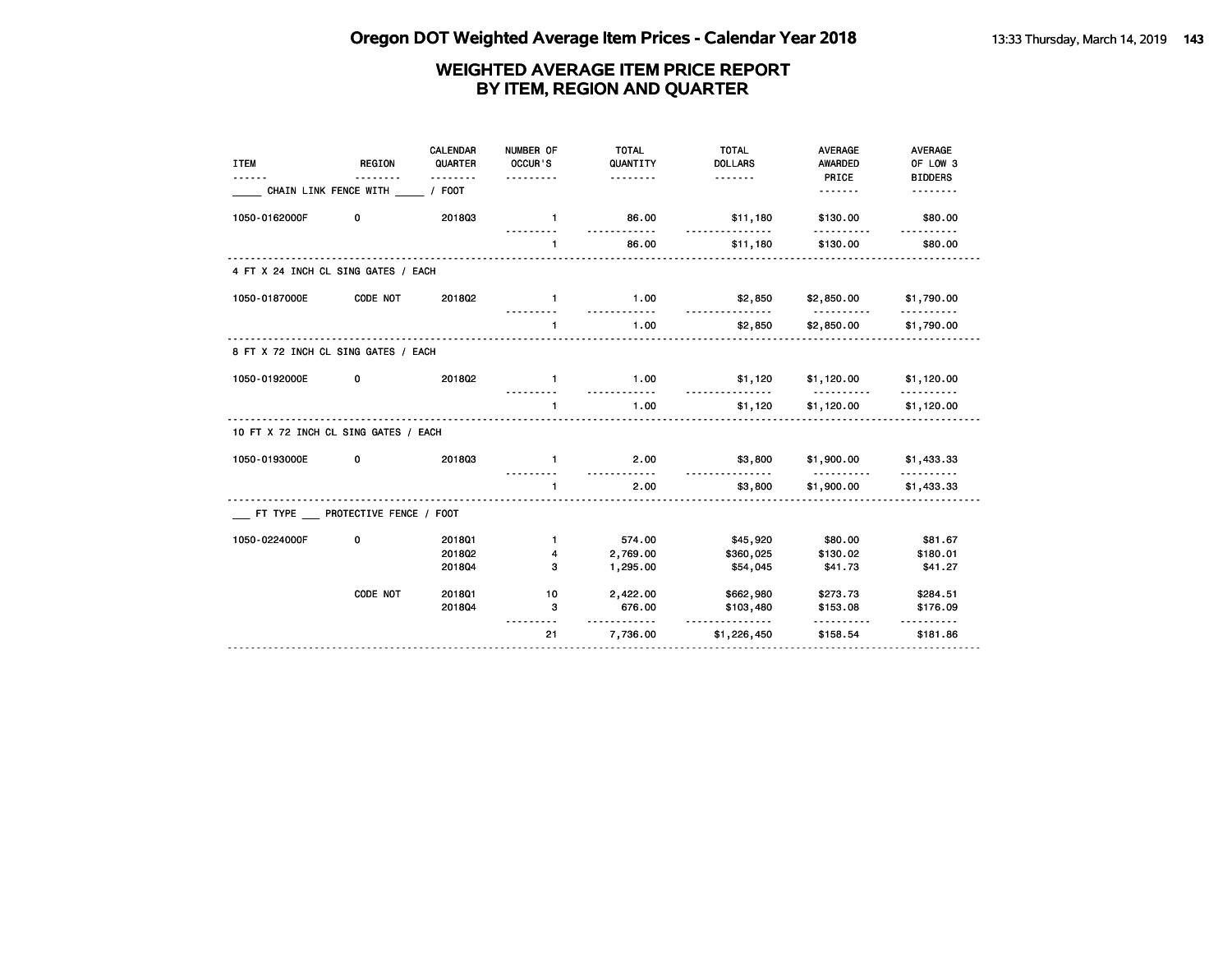| <b>REGION</b> | CALENDAR<br>QUARTER | NUMBER OF<br>OCCUR'S                                                                                                                                                           | <b>TOTAL</b><br>QUANTITY<br><u>.</u> | <b>TOTAL</b><br><b>DOLLARS</b><br><u>.</u> | <b>AVERAGE</b><br><b>AWARDED</b> | <b>AVERAGE</b><br>OF LOW 3<br><b>BIDDERS</b>                                  |
|---------------|---------------------|--------------------------------------------------------------------------------------------------------------------------------------------------------------------------------|--------------------------------------|--------------------------------------------|----------------------------------|-------------------------------------------------------------------------------|
|               | $/$ FOOT            |                                                                                                                                                                                |                                      |                                            | <u>.</u>                         |                                                                               |
| 0             | 201803              | $\mathbf{1}$                                                                                                                                                                   | 86.00                                | \$11,180                                   | \$130.00                         | \$80.00                                                                       |
|               |                     | $\mathbf{1}$                                                                                                                                                                   | 86.00                                | \$11,180                                   | \$130.00                         | \$80.00                                                                       |
|               |                     |                                                                                                                                                                                |                                      |                                            |                                  |                                                                               |
| CODE NOT      | 201802              | $\blacksquare$                                                                                                                                                                 | 1.00                                 | \$2,850                                    |                                  | \$1,790.00                                                                    |
|               |                     | $\mathbf{1}$                                                                                                                                                                   | 1.00                                 | \$2,850                                    | \$2,850.00                       | \$1,790.00                                                                    |
|               |                     |                                                                                                                                                                                |                                      |                                            |                                  |                                                                               |
| 0             | 201802              | $\mathbf{1}$                                                                                                                                                                   | 1.00                                 | \$1,120                                    |                                  |                                                                               |
|               |                     | $\mathbf{1}$                                                                                                                                                                   | 1.00                                 | \$1,120                                    | \$1,120.00                       | \$1,120.00                                                                    |
|               |                     |                                                                                                                                                                                |                                      |                                            |                                  |                                                                               |
| 0             | 201803              | $\mathbf{1}$                                                                                                                                                                   | 2.00                                 | \$3,800                                    |                                  | \$1,433.33                                                                    |
|               |                     | $\mathbf{1}$                                                                                                                                                                   | 2.00                                 | \$3,800                                    | \$1,900.00                       | \$1,433.33                                                                    |
|               |                     |                                                                                                                                                                                |                                      |                                            |                                  |                                                                               |
| 0             | 2018Q1              | $\mathbf{1}$                                                                                                                                                                   | 574.00                               |                                            | \$80.00                          | \$81.67                                                                       |
|               | 2018Q2              | 4                                                                                                                                                                              | 2,769.00                             | \$360,025                                  |                                  | \$180.01                                                                      |
|               | 201804              | 3                                                                                                                                                                              | 1,295.00                             | \$54,045                                   | \$41.73                          | \$41.27                                                                       |
| CODE NOT      | 201801              | 10                                                                                                                                                                             | 2,422.00                             | \$662,980                                  | \$273.73                         | \$284.51                                                                      |
|               | 201804              | 3                                                                                                                                                                              | 676.00                               | \$103,480                                  | \$153.08                         | \$176.09                                                                      |
|               |                     | 21                                                                                                                                                                             | 7,736.00                             | <u>-----------</u><br>\$1,226,450          | \$158.54                         | \$181.86                                                                      |
|               |                     | CHAIN LINK FENCE WITH<br>4 FT X 24 INCH CL SING GATES / EACH<br>8 FT X 72 INCH CL SING GATES / EACH<br>10 FT X 72 INCH CL SING GATES / EACH<br>FT TYPE PROTECTIVE FENCE / FOOT |                                      | <u>----------</u><br><u>.</u>              | <u>.</u><br>\$45,920             | PRICE<br>\$2,850.00<br>$$1,120.00$ $$1,120.00$<br>\$1,900.00<br>\$130.02<br>. |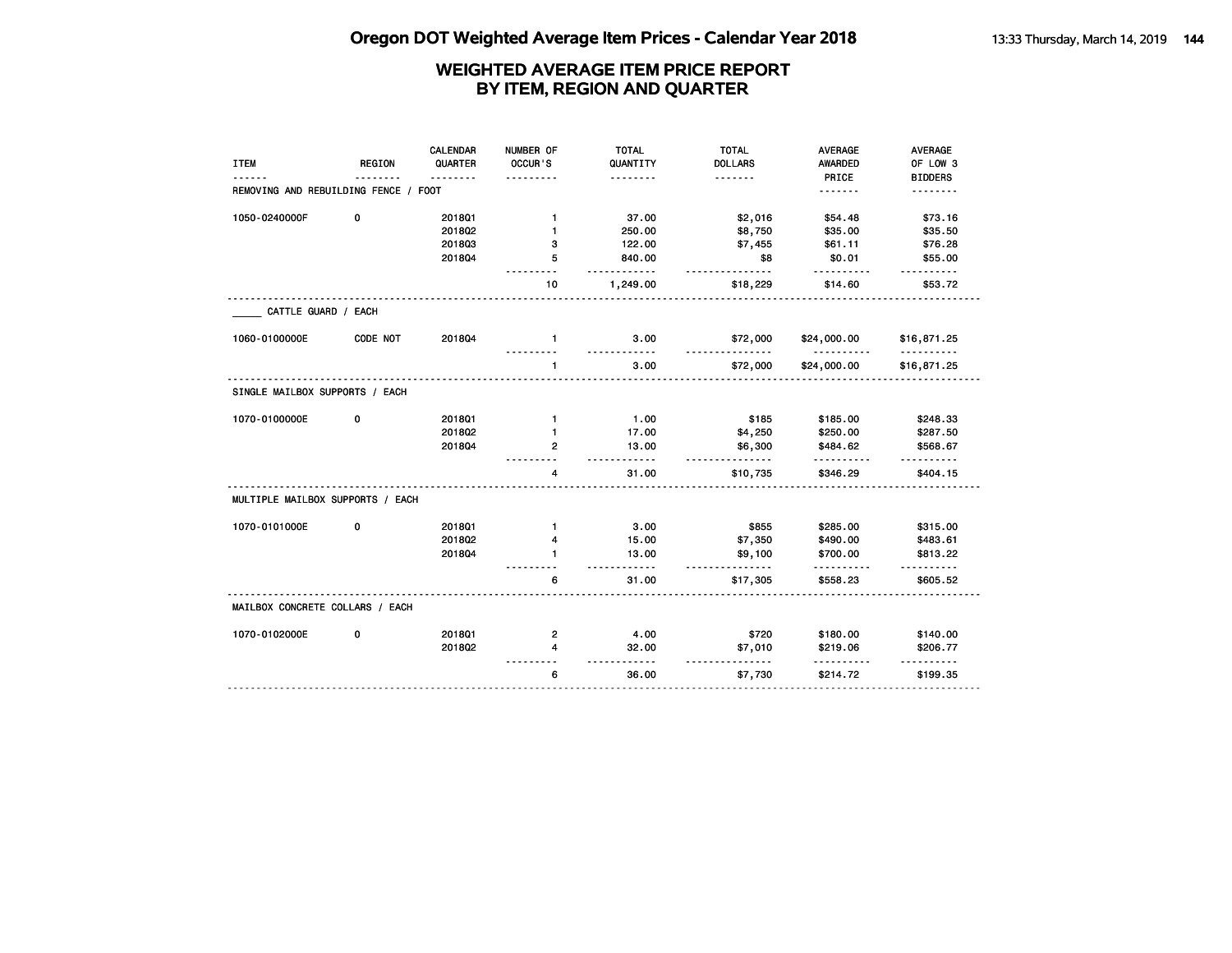|                                      |               | CALENDAR | NUMBER OF    | <b>TOTAL</b>         | <b>TOTAL</b>   | <b>AVERAGE</b>                             | <b>AVERAGE</b> |
|--------------------------------------|---------------|----------|--------------|----------------------|----------------|--------------------------------------------|----------------|
| <b>ITEM</b>                          | <b>REGION</b> | QUARTER  | OCCUR'S      | QUANTITY             | <b>DOLLARS</b> | AWARDED                                    | OF LOW 3       |
|                                      |               | <u>.</u> |              | .                    | <u>.</u>       | PRICE                                      | <b>BIDDERS</b> |
| REMOVING AND REBUILDING FENCE / FOOT |               |          |              |                      |                | <u>.</u>                                   | .              |
| 1050-0240000F                        | 0             | 2018Q1   | $\mathbf{1}$ | 37.00                | \$2,016        | \$54.48                                    | \$73.16        |
|                                      |               | 2018Q2   | $\mathbf{1}$ | 250.00               | \$8,750        | \$35.00                                    | \$35.50        |
|                                      |               | 201803   | з            | 122.00               | \$7,455        | \$61.11                                    | \$76.28        |
|                                      |               | 201804   | 5            | 840.00               | \$8            | \$0.01                                     | \$55.00        |
|                                      |               |          |              | <u>.</u>             | .              | .                                          | $- - - - - -$  |
|                                      |               |          | 10           | 1,249.00             | \$18,229       | \$14.60                                    | \$53.72        |
| CATTLE GUARD / EACH                  |               |          |              |                      |                |                                            |                |
| 1060-0100000E                        | CODE NOT      | 201804   | $\mathbf{1}$ | 3.00<br>-----        | \$72,000       | \$24,000.00<br><u> - - - - - - - - - -</u> | \$16,871.25    |
|                                      |               |          | $\mathbf{1}$ | 3.00                 | \$72,000       | \$24,000.00                                | \$16,871.25    |
| SINGLE MAILBOX SUPPORTS / EACH       |               |          |              |                      |                |                                            |                |
| 1070-0100000E                        | 0             | 2018Q1   | $\mathbf{1}$ | 1.00                 | \$185          | \$185.00                                   | \$248.33       |
|                                      |               | 201802   | $\mathbf{1}$ | 17.00                | \$4,250        | \$250.00                                   | \$287.50       |
|                                      |               | 201804   | $\mathbf{2}$ | 13.00                | \$6,300        | \$484.62                                   | \$568.67       |
|                                      |               |          | 4            | $- - - - -$<br>31.00 | .<br>\$10,735  | \$346.29                                   | \$404.15       |
| MULTIPLE MAILBOX SUPPORTS / EACH     |               |          |              |                      |                |                                            |                |
| 1070-0101000E                        | 0             | 2018Q1   | $\mathbf{1}$ | 3.00                 | \$855          | \$285.00                                   | \$315.00       |
|                                      |               | 201802   | 4            | 15.00                | \$7,350        | \$490.00                                   | \$483.61       |
|                                      |               | 201804   | 1            | 13.00                | \$9,100        | \$700.00                                   | \$813.22       |
|                                      |               |          | 6            | $- - - - -$<br>31.00 | \$17,305       | .<br>\$558.23                              | \$605.52       |
| MAILBOX CONCRETE COLLARS / EACH      |               |          |              |                      |                |                                            |                |
| 1070-0102000E                        | 0             | 2018Q1   | 2            | 4.00                 | \$720          | \$180.00                                   | \$140.00       |
|                                      |               | 2018Q2   | 4            | 32.00                | \$7,010        | \$219.06                                   | \$206.77       |
|                                      |               |          | 6            | .<br>36.00           | .<br>\$7,730   | .<br>\$214.72                              | \$199.35       |
|                                      |               |          |              |                      |                |                                            |                |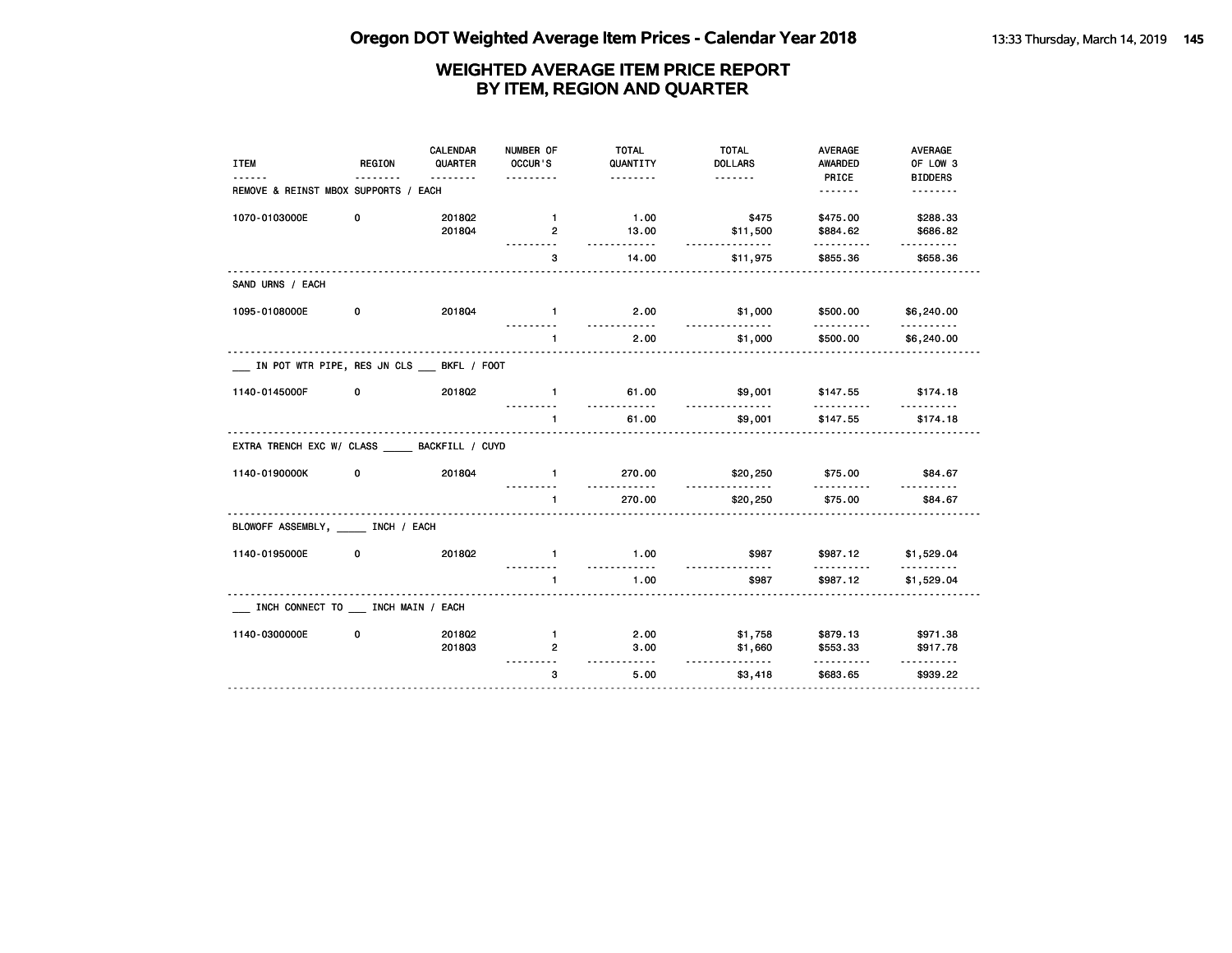| <b>ITEM</b>                                | <b>REGION</b> | CALENDAR<br>QUARTER | NUMBER OF<br>OCCUR'S             | <b>TOTAL</b><br>QUANTITY              | <b>TOTAL</b><br><b>DOLLARS</b> | <b>AVERAGE</b><br><b>AWARDED</b> | <b>AVERAGE</b><br>OF LOW 3 |
|--------------------------------------------|---------------|---------------------|----------------------------------|---------------------------------------|--------------------------------|----------------------------------|----------------------------|
| REMOVE & REINST MBOX SUPPORTS / EACH       |               | .                   | .                                | <u>.</u>                              | <u>.</u>                       | PRICE                            | <b>BIDDERS</b><br>.        |
| 1070-0103000E                              | 0             | 201802<br>201804    | $\mathbf{1}$<br>$\overline{2}$   | 1.00<br>13.00                         | \$475<br>\$11,500              | \$475.00<br>\$884.62             | \$288.33<br>\$686.82       |
|                                            |               |                     | 3                                | <u>.</u><br>14.00                     | .<br>\$11,975                  | .<br>\$855.36                    | .<br>\$658.36              |
| SAND URNS / EACH                           |               |                     |                                  |                                       |                                |                                  |                            |
| 1095-0108000E                              | 0             | 201804              | $-1$                             | 2.00                                  | \$1,000                        | \$500.00                         | \$6,240.00                 |
|                                            |               |                     | $\mathbf{1}$                     | 2.00                                  | \$1,000                        | \$500.00                         | \$6,240.00                 |
| IN POT WTR PIPE, RES JN CLS __ BKFL / FOOT |               |                     |                                  |                                       |                                |                                  |                            |
| 1140-0145000F                              | 0             | 2018Q2              | $\mathbf{1}$                     | 61.00<br>.                            | \$9,001<br>.                   | \$147.55<br>.                    | \$174.18                   |
|                                            |               |                     |                                  | 61.00                                 | \$9,001                        | \$147.55                         | \$174.18                   |
| EXTRA TRENCH EXC W/ CLASS BACKFILL / CUYD  |               |                     |                                  |                                       |                                |                                  |                            |
| 1140-0190000K                              | 0             | 201804              | $\mathbf{1}$                     | 270.00                                | \$20,250                       | \$75.00                          | \$84.67                    |
|                                            |               |                     | $\mathbf{1}$                     | 270.00                                | \$20,250                       | \$75.00                          | \$84.67                    |
| BLOWOFF ASSEMBLY, _____ INCH / EACH        |               |                     |                                  |                                       |                                |                                  |                            |
| 1140-0195000E                              | 0             | 201802              | $\mathbf{1}$<br><u>---------</u> | 1.00<br><u> - - - - - - - - - - -</u> | \$987<br><u>.</u>              | \$987.12<br><u>.</u>             | \$1,529.04<br><u>.</u>     |
|                                            |               |                     |                                  | 1.00                                  | \$987                          | \$987.12                         | \$1,529.04                 |
| INCH CONNECT TO __ INCH MAIN / EACH        |               |                     |                                  |                                       |                                |                                  |                            |
| 1140-0300000E                              | 0             | 2018Q2<br>201803    | $\mathbf{1}$<br>$\overline{2}$   | 2.00<br>3.00<br><u>---------</u>      | \$1,758<br>\$1,660<br><u>.</u> | \$879.13<br>\$553.33             | \$971.38<br>\$917.78       |
|                                            |               |                     | 3                                | 5.00                                  | \$3,418                        | .<br>\$683.65                    | .<br>\$939.22              |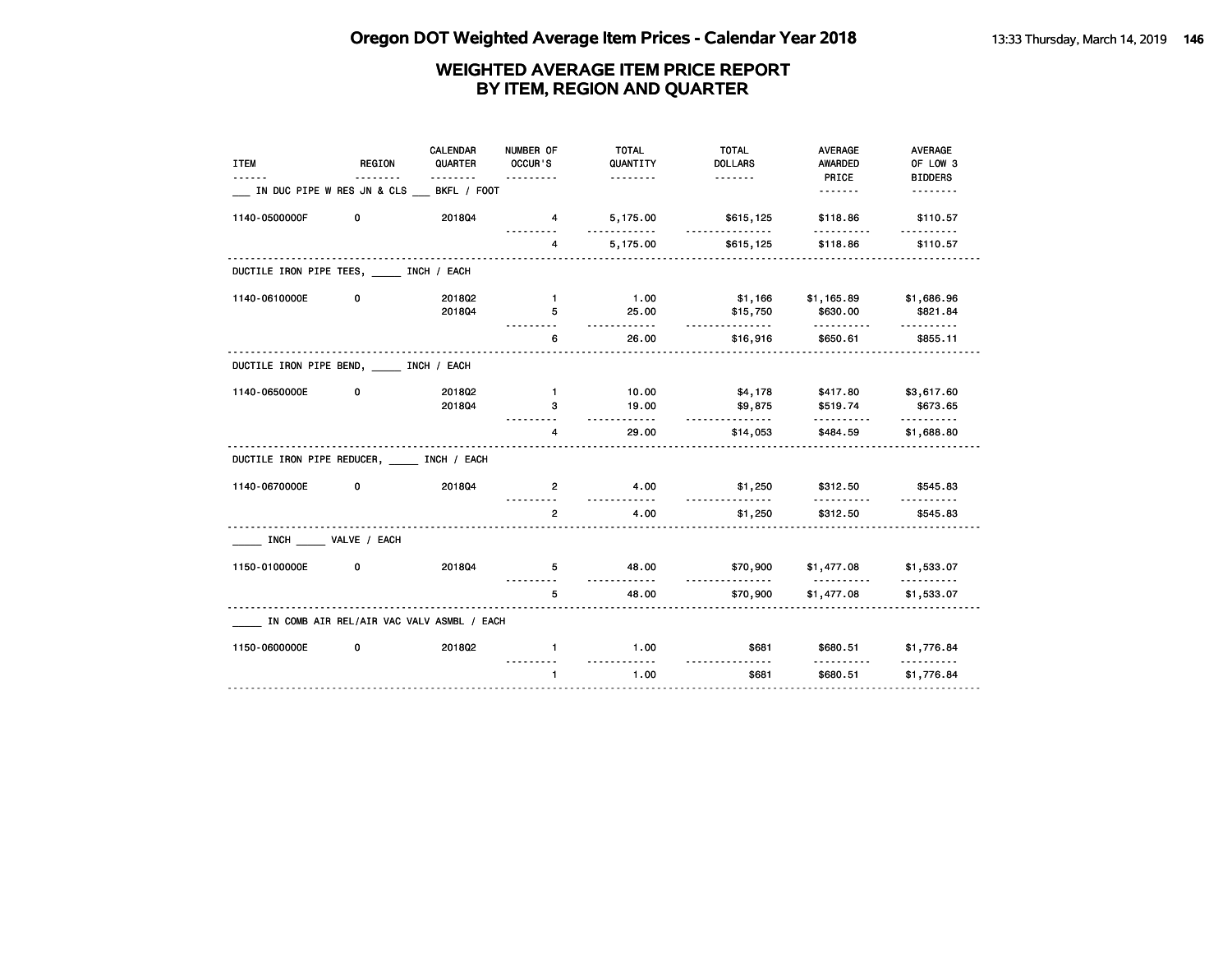| <b>ITEM</b>                               | REGION                                    | <b>CALENDAR</b><br>QUARTER | NUMBER OF<br>OCCUR'S | <b>TOTAL</b><br>QUANTITY | <b>TOTAL</b><br><b>DOLLARS</b> | <b>AVERAGE</b><br><b>AWARDED</b>          | <b>AVERAGE</b><br>OF LOW 3          |
|-------------------------------------------|-------------------------------------------|----------------------------|----------------------|--------------------------|--------------------------------|-------------------------------------------|-------------------------------------|
|                                           |                                           |                            |                      | .                        |                                | PRICE                                     | <b>BIDDERS</b>                      |
|                                           | IN DUC PIPE W RES JN & CLS                | BKFL / FOOT                |                      |                          |                                | <u>.</u>                                  | <u>.</u>                            |
| 1140-0500000F                             | 0                                         | 201804                     | 4                    | 5,175.00<br>.            | \$615,125<br><u>.</u>          | \$118.86<br>.                             | \$110.57                            |
|                                           |                                           |                            | 4                    | 5,175.00                 | \$615,125                      | \$118.86                                  | \$110.57                            |
| DUCTILE IRON PIPE TEES, INCH / EACH       |                                           |                            |                      |                          |                                |                                           |                                     |
| 1140-0610000E                             | 0                                         | 201802                     | $\blacksquare$       | 1.00                     | \$1,166                        | \$1,165.89                                | \$1,686.96                          |
|                                           |                                           | 201804                     | 5                    | 25.00<br>.               | \$15,750<br><u>.</u>           | \$630.00                                  | \$821.84<br><u> - - - - - - - -</u> |
|                                           |                                           |                            | 6                    | 26.00                    | \$16,916                       | \$650.61                                  | \$855.11                            |
| DUCTILE IRON PIPE BEND, _____ INCH / EACH |                                           |                            |                      |                          |                                |                                           |                                     |
| 1140-0650000E                             | 0                                         | 201802                     | $\mathbf{1}$         | 10.00                    | \$4,178                        | \$417.80                                  | \$3,617.60                          |
|                                           |                                           | 201804                     | 3                    | 19.00<br>.               | \$9,875                        | \$519.74                                  | \$673.65                            |
|                                           |                                           |                            | 4                    | 29.00                    | <u>.</u><br>\$14,053           | .<br>\$484.59                             | <u>.</u><br>\$1,688.80              |
| DUCTILE IRON PIPE REDUCER, INCH / EACH    |                                           |                            |                      |                          |                                |                                           |                                     |
| 1140-0670000E                             | 0                                         | 201804                     | $\overline{2}$       | 4.00<br><u>.</u>         | \$1,250                        | \$312.50                                  | \$545.83                            |
|                                           |                                           |                            | $\overline{2}$       | 4.00                     | .<br>\$1,250                   | \$312.50                                  | \$545.83                            |
|                                           | INCH VALVE / EACH                         |                            |                      |                          |                                |                                           |                                     |
| 1150-0100000E                             | 0                                         | 201804                     | 5                    | 48.00                    | \$70,900                       | \$1,477.08                                | \$1,533.07                          |
|                                           |                                           |                            | 5                    | <u></u><br>48.00         | .<br>\$70,900                  | <u> - - - - - - - - - -</u><br>\$1,477.08 | <u>.</u><br>\$1,533.07              |
|                                           | IN COMB AIR REL/AIR VAC VALV ASMBL / EACH |                            |                      |                          |                                |                                           |                                     |
| 1150-0600000E                             | 0                                         | 2018Q2                     | $\mathbf{1}$         | 1.00                     | \$681                          | \$680.51                                  | \$1,776.84                          |
|                                           |                                           |                            | $\mathbf{1}$         | .<br>1.00                | <u>.</u><br>\$681              | \$680.51                                  | \$1,776.84                          |
|                                           |                                           |                            |                      |                          |                                |                                           |                                     |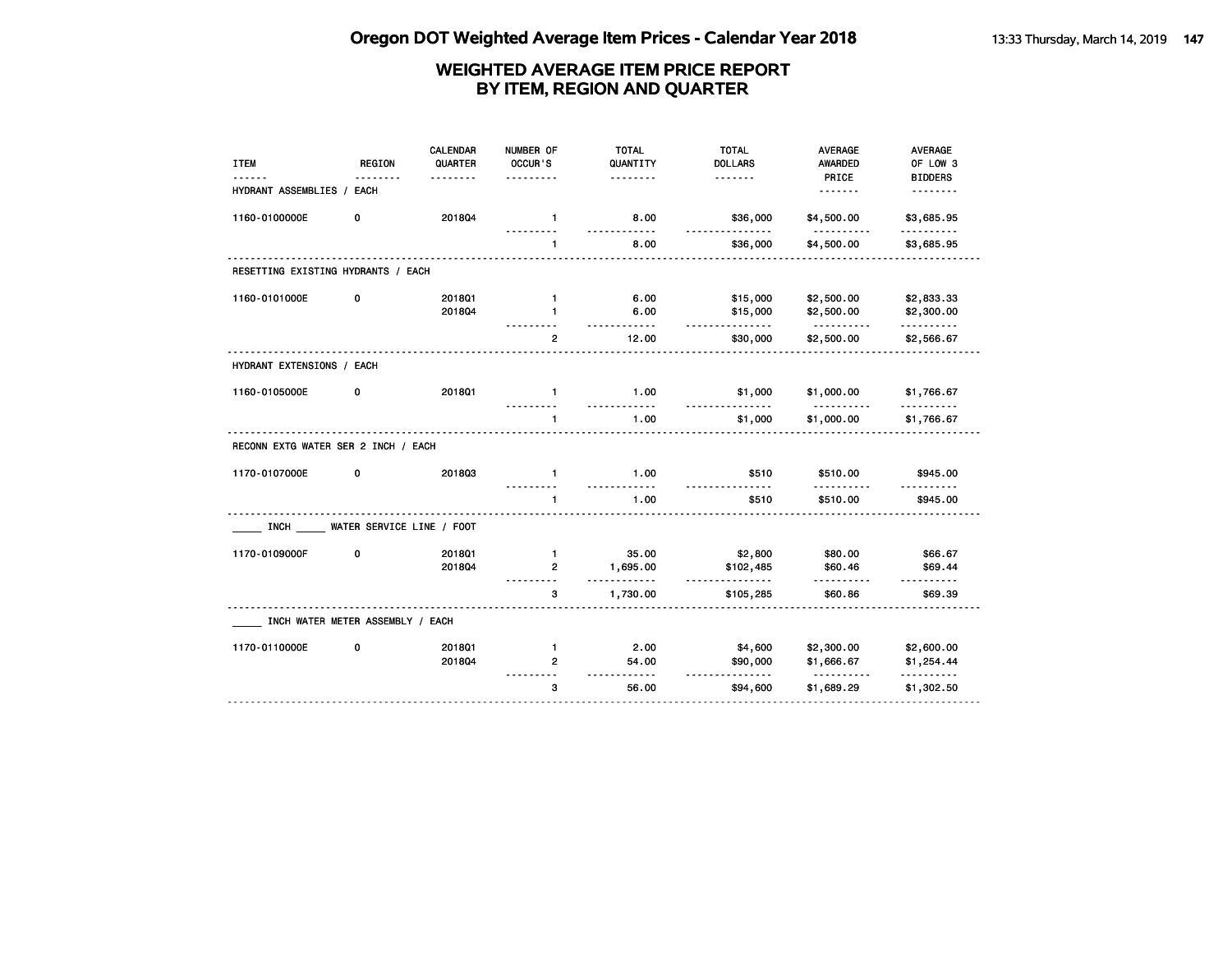| <b>REGION</b>             | <b>CALENDAR</b><br>QUARTER   | NUMBER OF<br>OCCUR'S                                                                                                                       | <b>TOTAL</b><br>QUANTITY | <b>TOTAL</b><br><b>DOLLARS</b>   | <b>AVERAGE</b><br>AWARDED                                        | AVERAGE<br>OF LOW 3                                                      |
|---------------------------|------------------------------|--------------------------------------------------------------------------------------------------------------------------------------------|--------------------------|----------------------------------|------------------------------------------------------------------|--------------------------------------------------------------------------|
|                           |                              |                                                                                                                                            | .                        | <u>.</u>                         | PRICE                                                            | <b>BIDDERS</b><br>--------                                               |
|                           |                              |                                                                                                                                            |                          |                                  |                                                                  |                                                                          |
| 0                         | 201804                       | $\mathbf{1}$                                                                                                                               | 8.00                     | \$36,000                         | \$4,500.00                                                       | \$3,685.95<br>.                                                          |
|                           |                              | 1                                                                                                                                          | 8.00                     | \$36,000                         | \$4,500.00                                                       | \$3,685.95                                                               |
|                           |                              |                                                                                                                                            |                          |                                  |                                                                  |                                                                          |
| 0                         | 2018Q1                       | $\mathbf{1}$                                                                                                                               | 6.00                     | \$15,000                         | \$2,500.00                                                       | \$2,833.33                                                               |
|                           | 201804                       | $\mathbf{1}$                                                                                                                               | 6.00                     | \$15,000                         | \$2,500.00                                                       | \$2,300.00<br>.                                                          |
|                           |                              | $\overline{2}$                                                                                                                             | 12.00                    | \$30,000                         | \$2,500.00                                                       | \$2,566.67                                                               |
| HYDRANT EXTENSIONS / EACH |                              |                                                                                                                                            |                          |                                  |                                                                  |                                                                          |
| 0                         | 201801                       | $\mathbf{1}$                                                                                                                               | 1.00                     | \$1,000                          | \$1,000.00                                                       | \$1,766.67                                                               |
|                           |                              | $\mathbf{1}$                                                                                                                               | 1.00                     | \$1,000                          | \$1,000.00                                                       | \$1,766.67                                                               |
|                           |                              |                                                                                                                                            |                          |                                  |                                                                  |                                                                          |
| 0                         | 201803                       | $\mathbf{1}$                                                                                                                               | 1.00                     | \$510                            | \$510.00                                                         | \$945.00                                                                 |
|                           |                              | $\mathbf{1}$                                                                                                                               | 1.00                     | \$510                            | \$510.00                                                         | .<br>\$945.00                                                            |
|                           |                              |                                                                                                                                            |                          |                                  |                                                                  |                                                                          |
| 0                         | 2018Q1                       | $\mathbf{1}$                                                                                                                               | 35.00                    |                                  | \$80.00                                                          | \$66.67                                                                  |
|                           | 201804                       | 2                                                                                                                                          | 1,695.00                 | \$102,485                        | \$60.46                                                          | \$69.44                                                                  |
|                           |                              | 3                                                                                                                                          | 1,730.00                 | \$105,285                        | \$60.86                                                          | \$69.39                                                                  |
|                           |                              |                                                                                                                                            |                          |                                  |                                                                  |                                                                          |
| 0                         | 2018Q1                       | $\mathbf{1}$                                                                                                                               | 2.00                     |                                  |                                                                  | \$2,600.00                                                               |
|                           | 201804                       | $\overline{2}$                                                                                                                             | 54.00                    | \$90,000                         | \$1,666.67                                                       | \$1,254.44                                                               |
|                           |                              | 3                                                                                                                                          | 56.00                    | \$94,600                         | \$1,689.29                                                       | .<br>\$1,302.50                                                          |
|                           | HYDRANT ASSEMBLIES /<br>EACH | RESETTING EXISTING HYDRANTS / EACH<br>RECONN EXTG WATER SER 2 INCH / EACH<br>WATER SERVICE LINE / FOOT<br>INCH WATER METER ASSEMBLY / EACH |                          | .<br>$- - - - -$<br>$- - -$<br>. | <u>.</u><br><u>.</u><br>\$2,800<br>------<br>\$4,600<br><u>.</u> | <u>.</u><br><u>.</u><br><u>.</u><br>. <u>.</u><br>\$2,300.00<br><u>.</u> |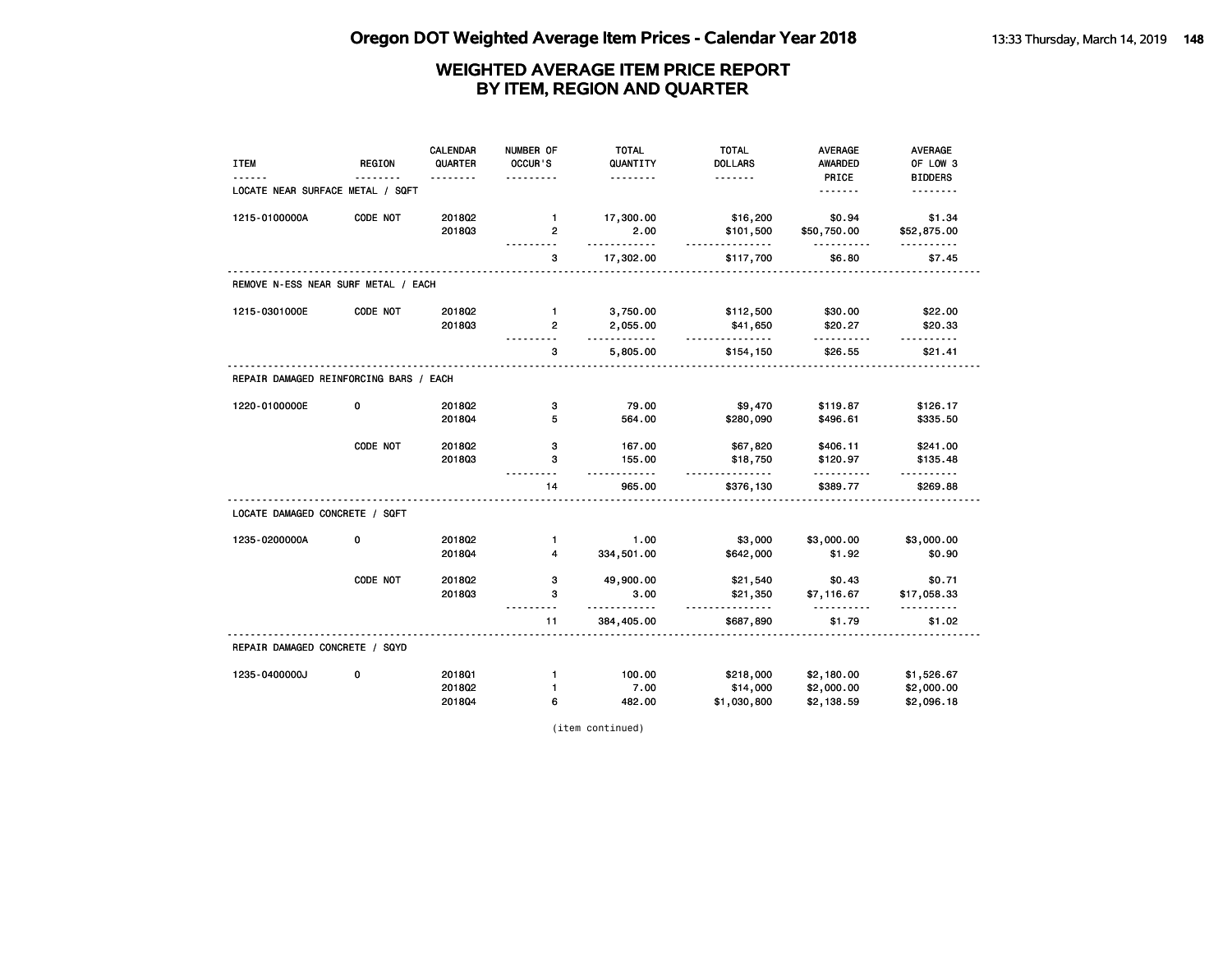|                                        |               | <b>CALENDAR</b> | NUMBER OF           | <b>TOTAL</b>         | <b>TOTAL</b>               | <b>AVERAGE</b>          | AVERAGE                    |
|----------------------------------------|---------------|-----------------|---------------------|----------------------|----------------------------|-------------------------|----------------------------|
| <b>ITEM</b>                            | <b>REGION</b> | QUARTER         | OCCUR'S             | QUANTITY<br><u>.</u> | <b>DOLLARS</b><br><u>.</u> | <b>AWARDED</b><br>PRICE | OF LOW 3<br><b>BIDDERS</b> |
| LOCATE NEAR SURFACE METAL / SQFT       |               |                 |                     |                      |                            |                         | .                          |
| 1215-0100000A                          | CODE NOT      | 201802          | $\mathbf{1}$        | 17,300.00            | \$16,200                   | \$0.94                  | \$1.34                     |
|                                        |               | 201803          | $\overline{2}$<br>. | 2.00<br><u>.</u>     | \$101,500<br><u>.</u>      | \$50,750.00<br><u>.</u> | \$52,875.00<br>.           |
|                                        |               |                 | 3                   | 17,302.00            | \$117,700                  | \$6.80                  | \$7.45                     |
| REMOVE N-ESS NEAR SURF METAL / EACH    |               |                 |                     |                      |                            |                         |                            |
| 1215-0301000E                          | CODE NOT      | 2018Q2          | $\mathbf{1}$        | 3,750.00             | \$112,500                  | \$30.00                 | \$22.00                    |
|                                        |               | 201803          | $\overline{2}$      | 2,055.00<br>.        | \$41,650<br>.              | \$20.27<br>.            | \$20.33<br><u>.</u>        |
|                                        |               |                 | з                   | 5,805.00             | \$154,150                  | \$26.55                 | \$21.41                    |
| REPAIR DAMAGED REINFORCING BARS / EACH |               |                 |                     |                      |                            |                         |                            |
| 1220-0100000E                          | 0             | 2018Q2          | з                   | 79.00                | \$9,470                    | \$119.87                | \$126.17                   |
|                                        |               | 201804          | 5                   | 564.00               | \$280,090                  | \$496.61                | \$335.50                   |
|                                        | CODE NOT      | 2018Q2          | з                   | 167.00               | \$67,820                   | \$406.11                | \$241.00                   |
|                                        |               | 201803          | 3                   | 155.00<br>$- - -$    | \$18,750<br><u>.</u>       | \$120.97<br>.           | \$135.48                   |
|                                        |               |                 | 14                  | 965.00               | \$376,130                  | \$389.77                | \$269.88                   |
| LOCATE DAMAGED CONCRETE / SQFT         |               |                 |                     |                      |                            |                         |                            |
| 1235-0200000A                          | 0             | 201802          | $\mathbf{1}$        | 1.00                 | \$3,000                    | \$3,000.00              | \$3,000.00                 |
|                                        |               | 201804          | 4                   | 334,501.00           | \$642,000                  | \$1.92                  | \$0.90                     |
|                                        | CODE NOT      | 2018Q2          | з                   | 49,900.00            | \$21,540                   | \$0.43                  | \$0.71                     |
|                                        |               | 201803          | 3                   | 3.00<br>$- - - - -$  | \$21,350<br><u>.</u>       | \$7,116.67<br><u>.</u>  | \$17,058.33<br>.           |
|                                        |               |                 | 11                  | 384,405.00           | \$687,890                  | \$1.79                  | \$1.02                     |
| REPAIR DAMAGED CONCRETE / SQYD         |               |                 |                     |                      |                            |                         |                            |
| 1235-0400000J                          | 0             | 201801          | $\mathbf{1}$        | 100.00               | \$218,000                  | \$2,180.00              | \$1,526.67                 |
|                                        |               | 201802          | $\mathbf{1}$        | 7.00                 | \$14,000                   | \$2,000.00              | \$2,000.00                 |
|                                        |               | 2018Q4          | 6                   | 482.00               | \$1,030,800                | \$2,138.59              | \$2,096.18                 |

(item continued)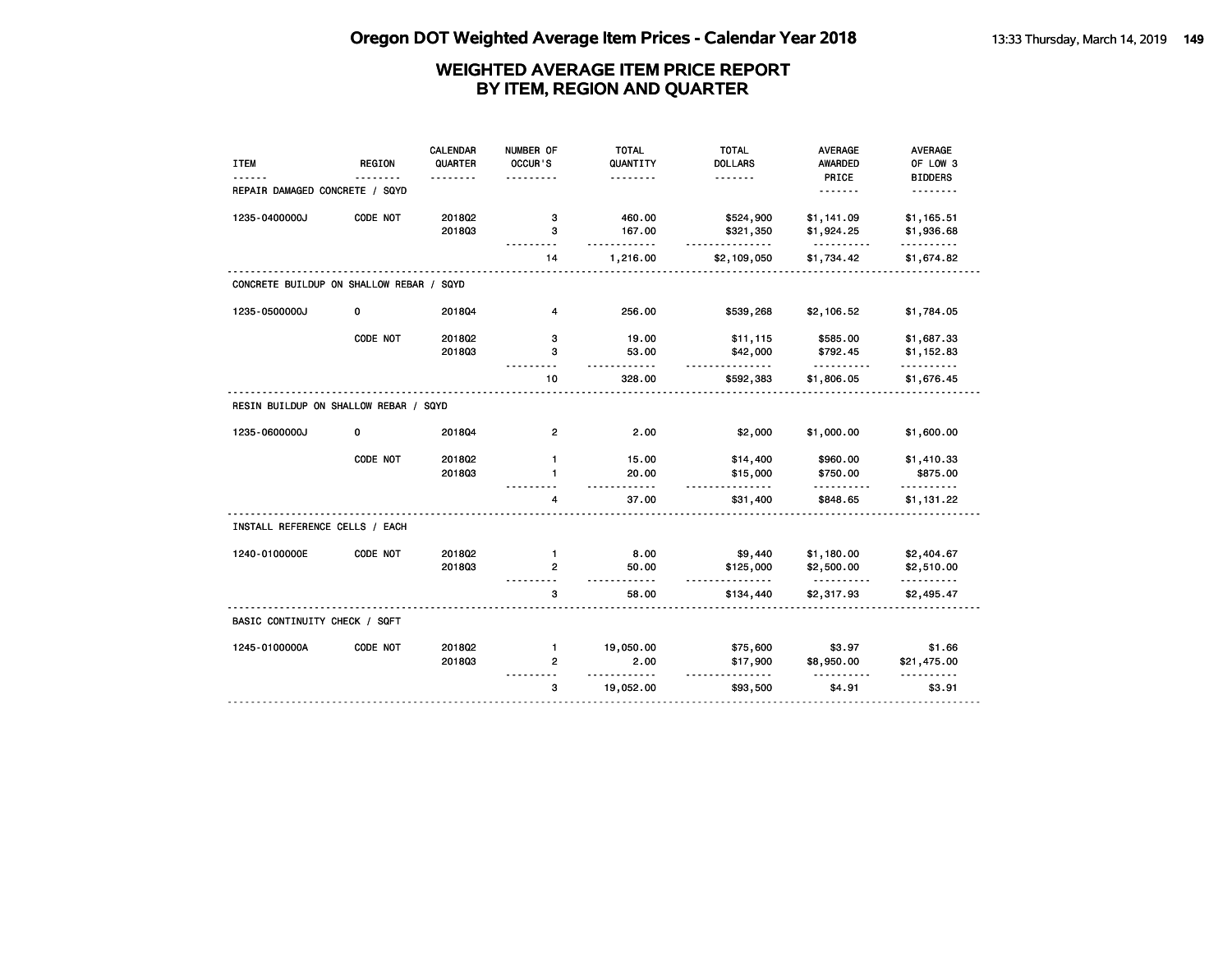|                                          |               | <b>CALENDAR</b> | NUMBER OF      | <b>TOTAL</b>        | <b>TOTAL</b>          | <b>AVERAGE</b>         | AVERAGE                |
|------------------------------------------|---------------|-----------------|----------------|---------------------|-----------------------|------------------------|------------------------|
| <b>ITEM</b>                              | <b>REGION</b> | QUARTER         | OCCUR'S        | QUANTITY            | <b>DOLLARS</b>        | <b>AWARDED</b>         | OF LOW 3               |
| REPAIR DAMAGED CONCRETE / SQYD           |               | .               |                | .                   | <u>.</u>              | PRICE                  | <b>BIDDERS</b><br>.    |
| 1235-0400000J                            | CODE NOT      | 201802          | з              | 460.00              | \$524,900             | \$1,141.09             | \$1,165.51             |
|                                          |               | 201803          | 3<br>$- - -$   | 167.00<br><u>.</u>  | \$321,350<br><u>.</u> | \$1,924.25<br><u>.</u> | \$1,936.68<br><u>.</u> |
|                                          |               |                 | 14             | 1,216.00            | \$2,109,050           | \$1,734.42             | \$1,674.82             |
| CONCRETE BUILDUP ON SHALLOW REBAR / SQYD |               |                 |                |                     |                       |                        |                        |
| 1235-0500000J                            | 0             | 201804          | 4              | 256.00              | \$539,268             | \$2,106.52             | \$1,784.05             |
|                                          | CODE NOT      | 2018Q2          | з              | 19.00               | \$11,115              | \$585.00               | \$1,687.33             |
|                                          |               | 201803          | 3<br>$- - -$   | 53.00<br>.          | \$42,000<br>.         | \$792.45<br>.          | \$1,152.83<br>.        |
|                                          |               |                 | 10             | 328.00              | \$592,383             | \$1,806.05             | \$1,676.45             |
| RESIN BUILDUP ON SHALLOW REBAR / SQYD    |               |                 |                |                     |                       |                        |                        |
| 1235-0600000J                            | 0             | 201804          | $\mathbf{2}$   | 2.00                | \$2,000               | \$1,000.00             | \$1,600.00             |
|                                          | CODE NOT      | 2018Q2          | $\mathbf{1}$   | 15.00               | \$14,400              | \$960.00               | \$1,410.33             |
|                                          |               | 201803          | $\mathbf{1}$   | 20.00               | \$15,000              | \$750.00               | \$875.00               |
|                                          |               |                 | 4              | .<br>37.00          | \$31,400              | .<br>\$848.65          | <u>.</u><br>\$1,131.22 |
| INSTALL REFERENCE CELLS / EACH           |               |                 |                |                     |                       |                        |                        |
| 1240-0100000E                            | CODE NOT      | 2018Q2          | $\mathbf{1}$   | 8.00                | \$9,440               | \$1,180.00             | \$2,404.67             |
|                                          |               | 201803          | $\mathbf{2}$   | 50.00               | \$125,000             | \$2,500.00             | \$2,510.00             |
|                                          |               |                 | 3              | 58.00               | \$134,440             | \$2,317.93             | \$2,495.47             |
| BASIC CONTINUITY CHECK / SQFT            |               |                 |                |                     |                       |                        |                        |
| 1245-0100000A                            | CODE NOT      | 2018Q2          | 1              | 19,050.00           | \$75,600              | \$3.97                 | \$1.66                 |
|                                          |               | 201803          | $\overline{2}$ | 2.00<br>$- - - - -$ | \$17,900<br><u>.</u>  | \$8,950.00             | \$21,475.00            |
|                                          |               |                 | 3              | 19,052.00           | \$93,500              | \$4.91                 | \$3.91                 |
|                                          |               |                 |                |                     |                       |                        |                        |